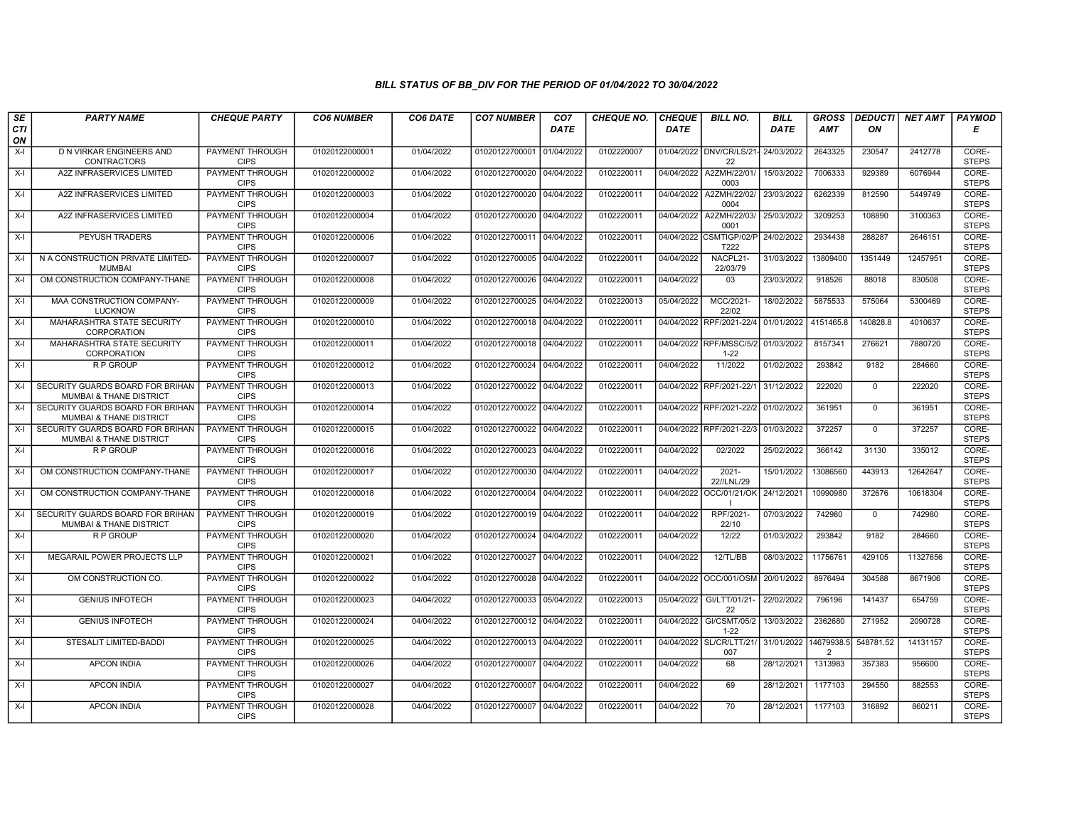| SE        | <b>PARTY NAME</b>                                                      | <b>CHEQUE PARTY</b>                   | <b>CO6 NUMBER</b> | CO6 DATE   | <b>CO7 NUMBER</b>         | CO <sub>7</sub> | <b>CHEQUE NO.</b> | <b>CHEQUE</b> | <b>BILL NO.</b>                     | <b>BILL</b> | <b>GROSS</b>    | <b>DEDUCTI</b> | NET AMT  | <b>PAYMOD</b>         |
|-----------|------------------------------------------------------------------------|---------------------------------------|-------------------|------------|---------------------------|-----------------|-------------------|---------------|-------------------------------------|-------------|-----------------|----------------|----------|-----------------------|
| CTI<br>ON |                                                                        |                                       |                   |            |                           | <b>DATE</b>     |                   | <b>DATE</b>   |                                     | <b>DATE</b> | <b>AMT</b>      | ON             |          | Е                     |
| $X-I$     | D N VIRKAR ENGINEERS AND<br><b>CONTRACTORS</b>                         | <b>PAYMENT THROUGH</b><br><b>CIPS</b> | 01020122000001    | 01/04/2022 | 01020122700001            | 01/04/2022      | 0102220007        |               | 01/04/2022 DNV/CR/LS/21-<br>22      | 24/03/2022  | 2643325         | 230547         | 2412778  | CORE-<br><b>STEPS</b> |
| $X-I$     | A2Z INFRASERVICES LIMITED                                              | PAYMENT THROUGH<br><b>CIPS</b>        | 01020122000002    | 01/04/2022 | 01020122700020 04/04/2022 |                 | 0102220011        |               | 04/04/2022 A2ZMH/22/01/<br>0003     | 15/03/2022  | 7006333         | 929389         | 6076944  | CORE-<br><b>STEPS</b> |
| $X-I$     | <b>A2Z INFRASERVICES LIMITED</b>                                       | <b>PAYMENT THROUGH</b><br><b>CIPS</b> | 01020122000003    | 01/04/2022 | 01020122700020            | 04/04/2022      | 0102220011        | 04/04/2022    | A2ZMH/22/02<br>0004                 | 23/03/2022  | 6262339         | 812590         | 5449749  | CORE-<br><b>STEPS</b> |
| $X-I$     | A2Z INFRASERVICES LIMITED                                              | PAYMENT THROUGH<br><b>CIPS</b>        | 01020122000004    | 01/04/2022 | 01020122700020            | 04/04/2022      | 0102220011        | 04/04/2022    | A2ZMH/22/03<br>0001                 | 25/03/2022  | 3209253         | 108890         | 3100363  | CORE-<br><b>STEPS</b> |
| $X-I$     | <b>PEYUSH TRADERS</b>                                                  | <b>PAYMENT THROUGH</b><br><b>CIPS</b> | 01020122000006    | 01/04/2022 | 01020122700011            | 04/04/2022      | 0102220011        |               | 04/04/2022 CSMTIGP/02/P<br>T222     | 24/02/2022  | 2934438         | 288287         | 2646151  | CORE-<br><b>STEPS</b> |
| $X-I$     | N A CONSTRUCTION PRIVATE LIMITED-<br><b>MUMBAI</b>                     | <b>PAYMENT THROUGH</b><br><b>CIPS</b> | 01020122000007    | 01/04/2022 | 01020122700005 04/04/2022 |                 | 0102220011        | 04/04/2022    | NACPL21-<br>22/03/79                | 31/03/2022  | 13809400        | 1351449        | 12457951 | CORE-<br><b>STEPS</b> |
| $X-I$     | OM CONSTRUCTION COMPANY-THANE                                          | PAYMENT THROUGH<br><b>CIPS</b>        | 01020122000008    | 01/04/2022 | 01020122700026            | 04/04/2022      | 0102220011        | 04/04/2022    | 03                                  | 23/03/2022  | 918526          | 88018          | 830508   | CORE-<br><b>STEPS</b> |
| $X-I$     | MAA CONSTRUCTION COMPANY-<br><b>LUCKNOW</b>                            | <b>PAYMENT THROUGH</b><br><b>CIPS</b> | 01020122000009    | 01/04/2022 | 01020122700025 04/04/2022 |                 | 0102220013        | 05/04/2022    | MCC/2021-<br>22/02                  | 18/02/2022  | 5875533         | 575064         | 5300469  | CORE-<br><b>STEPS</b> |
| $X-I$     | MAHARASHTRA STATE SECURITY<br>CORPORATION                              | <b>PAYMENT THROUGH</b><br><b>CIPS</b> | 01020122000010    | 01/04/2022 | 01020122700018            | 04/04/2022      | 0102220011        |               | 04/04/2022 RPF/2021-22/4            | 01/01/2022  | 4151465.8       | 140828.8       | 4010637  | CORE-<br><b>STEPS</b> |
| $X-I$     | MAHARASHTRA STATE SECURITY<br>CORPORATION                              | <b>PAYMENT THROUGH</b><br><b>CIPS</b> | 01020122000011    | 01/04/2022 | 01020122700018 04/04/2022 |                 | 0102220011        |               | 04/04/2022 RPF/MSSC/5/2<br>$1 - 22$ | 01/03/2022  | 8157341         | 276621         | 7880720  | CORE-<br><b>STEPS</b> |
| $X-I$     | R P GROUP                                                              | PAYMENT THROUGH<br><b>CIPS</b>        | 01020122000012    | 01/04/2022 | 01020122700024            | 04/04/2022      | 0102220011        | 04/04/2022    | 11/2022                             | 01/02/2022  | 293842          | 9182           | 284660   | CORE-<br><b>STEPS</b> |
| $X-I$     | SECURITY GUARDS BOARD FOR BRIHAN<br>MUMBAI & THANE DISTRICT            | PAYMENT THROUGH<br><b>CIPS</b>        | 01020122000013    | 01/04/2022 | 01020122700022            | 04/04/2022      | 0102220011        |               | 04/04/2022 RPF/2021-22/1            | 31/12/2022  | 222020          | $^{\circ}$     | 222020   | CORE-<br><b>STEPS</b> |
| $X-I$     | SECURITY GUARDS BOARD FOR BRIHAN<br>MUMBAI & THANE DISTRICT            | <b>PAYMENT THROUGH</b><br><b>CIPS</b> | 01020122000014    | 01/04/2022 | 01020122700022 04/04/2022 |                 | 0102220011        |               | 04/04/2022 RPF/2021-22/2            | 01/02/2022  | 361951          | $\Omega$       | 361951   | CORE-<br><b>STEPS</b> |
| $X-I$     | SECURITY GUARDS BOARD FOR BRIHAN<br>MUMBAI & THANE DISTRICT            | <b>PAYMENT THROUGH</b><br><b>CIPS</b> | 01020122000015    | 01/04/2022 | 01020122700022            | 04/04/2022      | 0102220011        | 04/04/2022    | RPF/2021-22/3                       | 01/03/2022  | 372257          | $\mathbf{0}$   | 372257   | CORE-<br><b>STEPS</b> |
| $X-I$     | R P GROUP                                                              | PAYMENT THROUGH<br><b>CIPS</b>        | 01020122000016    | 01/04/2022 | 01020122700023 04/04/2022 |                 | 0102220011        | 04/04/2022    | 02/2022                             | 25/02/2022  | 366142          | 31130          | 335012   | CORE-<br><b>STEPS</b> |
| $X-I$     | OM CONSTRUCTION COMPANY-THANE                                          | PAYMENT THROUGH<br><b>CIPS</b>        | 01020122000017    | 01/04/2022 | 01020122700030            | 04/04/2022      | 0102220011        | 04/04/2022    | $2021 -$<br>22//LNL/29              | 15/01/2022  | 13086560        | 443913         | 12642647 | CORE-<br><b>STEPS</b> |
| $X-I$     | OM CONSTRUCTION COMPANY-THANE                                          | <b>PAYMENT THROUGH</b><br><b>CIPS</b> | 01020122000018    | 01/04/2022 | 01020122700004            | 04/04/2022      | 0102220011        | 04/04/2022    | OCC/01/21/OK                        | 24/12/2021  | 10990980        | 372676         | 10618304 | CORE-<br><b>STEPS</b> |
| $X-I$     | SECURITY GUARDS BOARD FOR BRIHAN<br><b>MUMBAI &amp; THANE DISTRICT</b> | <b>PAYMENT THROUGH</b><br><b>CIPS</b> | 01020122000019    | 01/04/2022 | 01020122700019 04/04/2022 |                 | 0102220011        | 04/04/2022    | RPF/2021-<br>22/10                  | 07/03/2022  | 742980          | $\mathbf 0$    | 742980   | CORE-<br><b>STEPS</b> |
| $X-I$     | R P GROUP                                                              | PAYMENT THROUGH<br><b>CIPS</b>        | 01020122000020    | 01/04/2022 | 01020122700024            | 04/04/2022      | 0102220011        | 04/04/2022    | 12/22                               | 01/03/2022  | 293842          | 9182           | 284660   | CORE-<br><b>STEPS</b> |
| $X-I$     | MEGARAIL POWER PROJECTS LLP                                            | PAYMENT THROUGH<br><b>CIPS</b>        | 01020122000021    | 01/04/2022 | 01020122700027            | 04/04/2022      | 0102220011        | 04/04/2022    | 12/TL/BB                            | 08/03/2022  | 11756761        | 429105         | 11327656 | CORE-<br><b>STEPS</b> |
| $X-I$     | OM CONSTRUCTION CO.                                                    | PAYMENT THROUGH<br><b>CIPS</b>        | 01020122000022    | 01/04/2022 | 01020122700028            | 04/04/2022      | 0102220011        | 04/04/2022    | OCC/001/OSM                         | 20/01/2022  | 8976494         | 304588         | 8671906  | CORE-<br><b>STEPS</b> |
| $X-I$     | <b>GENIUS INFOTECH</b>                                                 | <b>PAYMENT THROUGH</b><br><b>CIPS</b> | 01020122000023    | 04/04/2022 | 01020122700033 05/04/2022 |                 | 0102220013        | 05/04/2022    | GI/LTT/01/21-<br>22                 | 22/02/2022  | 796196          | 141437         | 654759   | CORE-<br><b>STEPS</b> |
| $X-I$     | <b>GENIUS INFOTECH</b>                                                 | PAYMENT THROUGH<br><b>CIPS</b>        | 01020122000024    | 04/04/2022 | 01020122700012            | 04/04/2022      | 0102220011        | 04/04/2022    | GI/CSMT/05/2<br>$1 - 22$            | 13/03/2022  | 2362680         | 271952         | 2090728  | CORE-<br><b>STEPS</b> |
| $X-I$     | STESALIT LIMITED-BADDI                                                 | PAYMENT THROUGH<br><b>CIPS</b>        | 01020122000025    | 04/04/2022 | 01020122700013 04/04/2022 |                 | 0102220011        |               | 04/04/2022 SL/CR/LTT/21/<br>007     | 31/01/2022  | 14679938.5<br>2 | 548781.52      | 14131157 | CORE-<br><b>STEPS</b> |
| $X-I$     | <b>APCON INDIA</b>                                                     | PAYMENT THROUGH<br><b>CIPS</b>        | 01020122000026    | 04/04/2022 | 01020122700007            | 04/04/2022      | 0102220011        | 04/04/2022    | 68                                  | 28/12/2021  | 1313983         | 357383         | 956600   | CORE-<br><b>STEPS</b> |
| $X-I$     | <b>APCON INDIA</b>                                                     | <b>PAYMENT THROUGH</b><br><b>CIPS</b> | 01020122000027    | 04/04/2022 | 01020122700007            | 04/04/2022      | 0102220011        | 04/04/2022    | 69                                  | 28/12/2021  | 1177103         | 294550         | 882553   | CORE-<br><b>STEPS</b> |
| $X-I$     | <b>APCON INDIA</b>                                                     | PAYMENT THROUGH<br><b>CIPS</b>        | 01020122000028    | 04/04/2022 | 01020122700007 04/04/2022 |                 | 0102220011        | 04/04/2022    | 70                                  | 28/12/2021  | 1177103         | 316892         | 860211   | CORE-<br><b>STEPS</b> |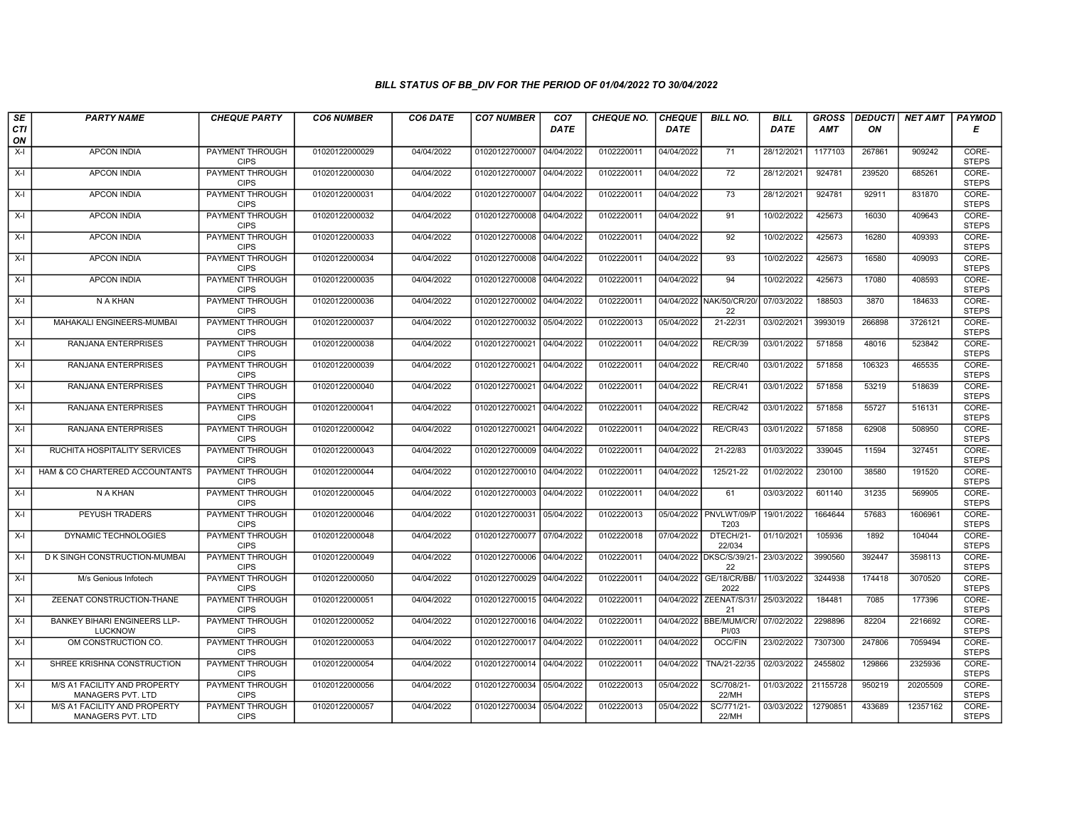| SE        | <b>PARTY NAME</b>                                 | <b>CHEQUE PARTY</b>                   | <b>CO6 NUMBER</b> | CO6 DATE   | <b>CO7 NUMBER</b>         | CO <sub>7</sub> | <b>CHEQUE NO.</b> | <b>CHEQUE</b> | <b>BILL NO.</b>                 | <b>BILL</b> | <b>GROSS</b> |        | <b>DEDUCTI NET AMT</b> | <b>PAYMOD</b>         |
|-----------|---------------------------------------------------|---------------------------------------|-------------------|------------|---------------------------|-----------------|-------------------|---------------|---------------------------------|-------------|--------------|--------|------------------------|-----------------------|
| CTI<br>ON |                                                   |                                       |                   |            |                           | <b>DATE</b>     |                   | <b>DATE</b>   |                                 | <b>DATE</b> | <b>AMT</b>   | ON     |                        | Е                     |
| $X-I$     | <b>APCON INDIA</b>                                | PAYMENT THROUGH<br><b>CIPS</b>        | 01020122000029    | 04/04/2022 | 01020122700007            | 04/04/2022      | 0102220011        | 04/04/2022    | 71                              | 28/12/2021  | 1177103      | 267861 | 909242                 | CORE-<br><b>STEPS</b> |
| $X-I$     | <b>APCON INDIA</b>                                | <b>PAYMENT THROUGH</b><br><b>CIPS</b> | 01020122000030    | 04/04/2022 | 01020122700007 04/04/2022 |                 | 0102220011        | 04/04/2022    | $\overline{72}$                 | 28/12/2021  | 924781       | 239520 | 685261                 | CORE-<br><b>STEPS</b> |
| X-I       | <b>APCON INDIA</b>                                | <b>PAYMENT THROUGH</b><br><b>CIPS</b> | 01020122000031    | 04/04/2022 | 01020122700007            | 04/04/2022      | 0102220011        | 04/04/2022    | 73                              | 28/12/2021  | 924781       | 92911  | 831870                 | CORE-<br><b>STEPS</b> |
| $X-I$     | <b>APCON INDIA</b>                                | PAYMENT THROUGH<br><b>CIPS</b>        | 01020122000032    | 04/04/2022 | 01020122700008            | 04/04/2022      | 0102220011        | 04/04/2022    | 91                              | 10/02/2022  | 425673       | 16030  | 409643                 | CORE-<br><b>STEPS</b> |
| $X-I$     | <b>APCON INDIA</b>                                | <b>PAYMENT THROUGH</b><br><b>CIPS</b> | 01020122000033    | 04/04/2022 | 01020122700008 04/04/2022 |                 | 0102220011        | 04/04/2022    | $\overline{92}$                 | 10/02/2022  | 425673       | 16280  | 409393                 | CORE-<br><b>STEPS</b> |
| X-I       | <b>APCON INDIA</b>                                | PAYMENT THROUGH<br><b>CIPS</b>        | 01020122000034    | 04/04/2022 | 01020122700008 04/04/2022 |                 | 0102220011        | 04/04/2022    | 93                              | 10/02/2022  | 425673       | 16580  | 409093                 | CORE-<br><b>STEPS</b> |
| $X-I$     | <b>APCON INDIA</b>                                | PAYMENT THROUGH<br><b>CIPS</b>        | 01020122000035    | 04/04/2022 | 01020122700008 04/04/2022 |                 | 0102220011        | 04/04/2022    | 94                              | 10/02/2022  | 425673       | 17080  | 408593                 | CORE-<br><b>STEPS</b> |
| X-I       | N A KHAN                                          | PAYMENT THROUGH<br><b>CIPS</b>        | 01020122000036    | 04/04/2022 | 01020122700002 04/04/2022 |                 | 0102220011        |               | 04/04/2022 NAK/50/CR/20/<br>22  | 07/03/2022  | 188503       | 3870   | 184633                 | CORE-<br><b>STEPS</b> |
| $X-I$     | MAHAKALI ENGINEERS-MUMBAI                         | PAYMENT THROUGH<br><b>CIPS</b>        | 01020122000037    | 04/04/2022 | 01020122700032 05/04/2022 |                 | 0102220013        | 05/04/2022    | $21 - 22/31$                    | 03/02/2021  | 3993019      | 266898 | 3726121                | CORE-<br><b>STEPS</b> |
| $X-I$     | RANJANA ENTERPRISES                               | <b>PAYMENT THROUGH</b><br><b>CIPS</b> | 01020122000038    | 04/04/2022 | 01020122700021 04/04/2022 |                 | 0102220011        | 04/04/2022    | RE/CR/39                        | 03/01/2022  | 571858       | 48016  | 523842                 | CORE-<br><b>STEPS</b> |
| $X-I$     | RANJANA ENTERPRISES                               | PAYMENT THROUGH<br><b>CIPS</b>        | 01020122000039    | 04/04/2022 | 01020122700021            | 04/04/2022      | 0102220011        | 04/04/2022    | RE/CR/40                        | 03/01/2022  | 571858       | 106323 | 465535                 | CORE-<br><b>STEPS</b> |
| $X-I$     | RANJANA ENTERPRISES                               | <b>PAYMENT THROUGH</b><br><b>CIPS</b> | 01020122000040    | 04/04/2022 | 01020122700021 04/04/2022 |                 | 0102220011        | 04/04/2022    | RE/CR/41                        | 03/01/2022  | 571858       | 53219  | 518639                 | CORE-<br><b>STEPS</b> |
| X-I       | RANJANA ENTERPRISES                               | <b>PAYMENT THROUGH</b><br><b>CIPS</b> | 01020122000041    | 04/04/2022 | 01020122700021 04/04/2022 |                 | 0102220011        | 04/04/2022    | RE/CR/42                        | 03/01/2022  | 571858       | 55727  | 516131                 | CORE-<br><b>STEPS</b> |
| $X-I$     | RANJANA ENTERPRISES                               | <b>PAYMENT THROUGH</b><br><b>CIPS</b> | 01020122000042    | 04/04/2022 | 01020122700021            | 04/04/2022      | 0102220011        | 04/04/2022    | RE/CR/43                        | 03/01/2022  | 571858       | 62908  | 508950                 | CORE-<br><b>STEPS</b> |
| $X-I$     | RUCHITA HOSPITALITY SERVICES                      | <b>PAYMENT THROUGH</b><br><b>CIPS</b> | 01020122000043    | 04/04/2022 | 01020122700009 04/04/2022 |                 | 0102220011        | 04/04/2022    | 21-22/83                        | 01/03/2022  | 339045       | 11594  | 327451                 | CORE-<br><b>STEPS</b> |
| X-I       | HAM & CO CHARTERED ACCOUNTANTS                    | PAYMENT THROUGH<br><b>CIPS</b>        | 01020122000044    | 04/04/2022 | 01020122700010 04/04/2022 |                 | 0102220011        | 04/04/2022    | 125/21-22                       | 01/02/2022  | 230100       | 38580  | 191520                 | CORE-<br><b>STEPS</b> |
| X-I       | <b>N A KHAN</b>                                   | <b>PAYMENT THROUGH</b><br><b>CIPS</b> | 01020122000045    | 04/04/2022 | 01020122700003 04/04/2022 |                 | 0102220011        | 04/04/2022    | 61                              | 03/03/2022  | 601140       | 31235  | 569905                 | CORE-<br><b>STEPS</b> |
| X-I       | <b>PEYUSH TRADERS</b>                             | <b>PAYMENT THROUGH</b><br><b>CIPS</b> | 01020122000046    | 04/04/2022 | 01020122700031            | 05/04/2022      | 0102220013        |               | 05/04/2022 PNVLWT/09/P<br>T203  | 19/01/2022  | 1664644      | 57683  | 1606961                | CORE-<br><b>STEPS</b> |
| $X-I$     | DYNAMIC TECHNOLOGIES                              | PAYMENT THROUGH<br><b>CIPS</b>        | 01020122000048    | 04/04/2022 | 01020122700077 07/04/2022 |                 | 0102220018        | 07/04/2022    | DTECH/21-<br>22/034             | 01/10/2021  | 105936       | 1892   | 104044                 | CORE-<br><b>STEPS</b> |
| $X-I$     | D K SINGH CONSTRUCTION-MUMBAI                     | <b>PAYMENT THROUGH</b><br><b>CIPS</b> | 01020122000049    | 04/04/2022 | 01020122700006 04/04/2022 |                 | 0102220011        |               | 04/04/2022 DKSC/S/39/21-<br>22  | 23/03/2022  | 3990560      | 392447 | 3598113                | CORE-<br><b>STEPS</b> |
| X-I       | M/s Genious Infotech                              | PAYMENT THROUGH<br><b>CIPS</b>        | 01020122000050    | 04/04/2022 | 01020122700029 04/04/2022 |                 | 0102220011        | 04/04/2022    | GE/18/CR/BB/<br>2022            | 11/03/2022  | 3244938      | 174418 | 3070520                | CORE-<br><b>STEPS</b> |
| $X-I$     | ZEENAT CONSTRUCTION-THANE                         | <b>PAYMENT THROUGH</b><br><b>CIPS</b> | 01020122000051    | 04/04/2022 | 01020122700015 04/04/2022 |                 | 0102220011        |               | 04/04/2022 ZEENAT/S/31/<br>21   | 25/03/2022  | 184481       | 7085   | 177396                 | CORE-<br><b>STEPS</b> |
| $X-I$     | BANKEY BIHARI ENGINEERS LLP-<br><b>LUCKNOW</b>    | PAYMENT THROUGH<br><b>CIPS</b>        | 01020122000052    | 04/04/2022 | 01020122700016 04/04/2022 |                 | 0102220011        |               | 04/04/2022 BBE/MUM/CR/<br>PI/03 | 07/02/2022  | 2298896      | 82204  | 2216692                | CORE-<br><b>STEPS</b> |
| $X-I$     | OM CONSTRUCTION CO.                               | PAYMENT THROUGH<br><b>CIPS</b>        | 01020122000053    | 04/04/2022 | 01020122700017            | 04/04/2022      | 0102220011        | 04/04/2022    | OCC/FIN                         | 23/02/2022  | 7307300      | 247806 | 7059494                | CORE-<br><b>STEPS</b> |
| $X-I$     | SHREE KRISHNA CONSTRUCTION                        | <b>PAYMENT THROUGH</b><br><b>CIPS</b> | 01020122000054    | 04/04/2022 | 01020122700014 04/04/2022 |                 | 0102220011        | 04/04/2022    | TNA/21-22/35                    | 02/03/2022  | 2455802      | 129866 | 2325936                | CORE-<br><b>STEPS</b> |
| $X-I$     | M/S A1 FACILITY AND PROPERTY<br>MANAGERS PVT. LTD | <b>PAYMENT THROUGH</b><br><b>CIPS</b> | 01020122000056    | 04/04/2022 | 01020122700034 05/04/2022 |                 | 0102220013        | 05/04/2022    | SC/708/21-<br>22/MH             | 01/03/2022  | 21155728     | 950219 | 20205509               | CORE-<br><b>STEPS</b> |
| X-I       | M/S A1 FACILITY AND PROPERTY<br>MANAGERS PVT. LTD | <b>PAYMENT THROUGH</b><br><b>CIPS</b> | 01020122000057    | 04/04/2022 | 01020122700034 05/04/2022 |                 | 0102220013        | 05/04/2022    | SC/771/21-<br>22/MH             | 03/03/2022  | 12790851     | 433689 | 12357162               | CORE-<br><b>STEPS</b> |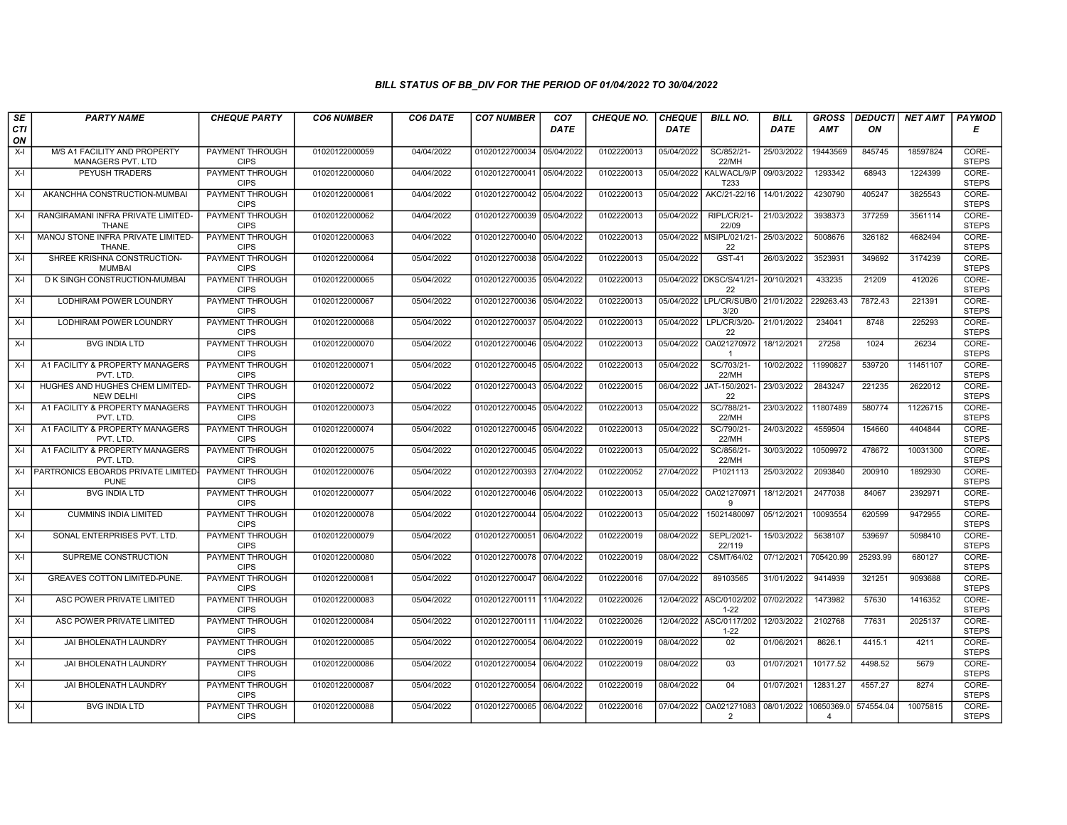| SE        | <b>PARTY NAME</b>                                   | <b>CHEQUE PARTY</b>                   | <b>CO6 NUMBER</b> | CO6 DATE   | <b>CO7 NUMBER</b>         | CO <sub>7</sub> | <b>CHEQUE NO.</b> | <b>CHEQUE</b> | <b>BILL NO.</b>                 | <b>BILL</b>           | <b>GROSS</b>   |           | DEDUCTI  NET AMT   PAYMOD |                       |
|-----------|-----------------------------------------------------|---------------------------------------|-------------------|------------|---------------------------|-----------------|-------------------|---------------|---------------------------------|-----------------------|----------------|-----------|---------------------------|-----------------------|
| CTI<br>ON |                                                     |                                       |                   |            |                           | <b>DATE</b>     |                   | <b>DATE</b>   |                                 | DATE                  | <b>AMT</b>     | ΟN        |                           | Е                     |
| $X-I$     | M/S A1 FACILITY AND PROPERTY<br>MANAGERS PVT. LTD   | <b>PAYMENT THROUGH</b><br><b>CIPS</b> | 01020122000059    | 04/04/2022 | 01020122700034 05/04/2022 |                 | 0102220013        | 05/04/2022    | SC/852/21-<br>22/MH             | 25/03/2022            | 19443569       | 845745    | 18597824                  | CORE-<br><b>STEPS</b> |
| X-I       | <b>PEYUSH TRADERS</b>                               | <b>PAYMENT THROUGH</b><br><b>CIPS</b> | 01020122000060    | 04/04/2022 | 01020122700041 05/04/2022 |                 | 0102220013        |               | 05/04/2022 KALWACL/9/P<br>T233  | 09/03/2022            | 1293342        | 68943     | 1224399                   | CORE-<br><b>STEPS</b> |
| $X-I$     | AKANCHHA CONSTRUCTION-MUMBAI                        | PAYMENT THROUGH<br><b>CIPS</b>        | 01020122000061    | 04/04/2022 | 01020122700042 05/04/2022 |                 | 0102220013        | 05/04/2022    | AKC/21-22/16                    | 14/01/2022            | 4230790        | 405247    | 3825543                   | CORE-<br><b>STEPS</b> |
| X-I       | RANGIRAMANI INFRA PRIVATE LIMITED-<br><b>THANE</b>  | <b>PAYMENT THROUGH</b><br><b>CIPS</b> | 01020122000062    | 04/04/2022 | 01020122700039            | 05/04/2022      | 0102220013        | 05/04/2022    | RIPL/CR/21-<br>22/09            | 21/03/2022            | 3938373        | 377259    | 3561114                   | CORE-<br><b>STEPS</b> |
| $X-I$     | MANOJ STONE INFRA PRIVATE LIMITED-<br><b>THANE</b>  | <b>PAYMENT THROUGH</b><br><b>CIPS</b> | 01020122000063    | 04/04/2022 | 01020122700040 05/04/2022 |                 | 0102220013        | 05/04/2022    | MSIPL/021/21<br>22              | 25/03/2022            | 5008676        | 326182    | 4682494                   | CORE-<br><b>STEPS</b> |
| X-I       | SHREE KRISHNA CONSTRUCTION-<br><b>MUMBAI</b>        | <b>PAYMENT THROUGH</b><br><b>CIPS</b> | 01020122000064    | 05/04/2022 | 01020122700038 05/04/2022 |                 | 0102220013        | 05/04/2022    | <b>GST-41</b>                   | 26/03/2022            | 3523931        | 349692    | 3174239                   | CORE-<br><b>STEPS</b> |
| $X-I$     | D K SINGH CONSTRUCTION-MUMBAI                       | PAYMENT THROUGH<br><b>CIPS</b>        | 01020122000065    | 05/04/2022 | 01020122700035 05/04/2022 |                 | 0102220013        |               | 05/04/2022 DKSC/S/41/21-<br>22  | 20/10/2021            | 433235         | 21209     | 412026                    | CORE-<br><b>STEPS</b> |
| $X-I$     | LODHIRAM POWER LOUNDRY                              | <b>PAYMENT THROUGH</b><br><b>CIPS</b> | 01020122000067    | 05/04/2022 | 01020122700036            | 05/04/2022      | 0102220013        |               | 05/04/2022 LPL/CR/SUB/0<br>3/20 | 21/01/2022            | 229263.43      | 7872.43   | 221391                    | CORE-<br><b>STEPS</b> |
| $X-I$     | LODHIRAM POWER LOUNDRY                              | PAYMENT THROUGH<br><b>CIPS</b>        | 01020122000068    | 05/04/2022 | 01020122700037            | 05/04/2022      | 0102220013        | 05/04/2022    | LPL/CR/3/20-<br>22              | 21/01/2022            | 234041         | 8748      | 225293                    | CORE-<br><b>STEPS</b> |
| $X-I$     | <b>BVG INDIA LTD</b>                                | <b>PAYMENT THROUGH</b><br><b>CIPS</b> | 01020122000070    | 05/04/2022 | 01020122700046 05/04/2022 |                 | 0102220013        | 05/04/2022    | OA021270972<br>-1               | 18/12/2021            | 27258          | 1024      | 26234                     | CORE-<br><b>STEPS</b> |
| $X-I$     | A1 FACILITY & PROPERTY MANAGERS<br>PVT. LTD         | PAYMENT THROUGH<br><b>CIPS</b>        | 01020122000071    | 05/04/2022 | 01020122700045            | 05/04/2022      | 0102220013        | 05/04/2022    | SC/703/21-<br>22/MH             | 10/02/2022            | 11990827       | 539720    | 11451107                  | CORE-<br><b>STEPS</b> |
| $X-I$     | HUGHES AND HUGHES CHEM LIMITED-<br><b>NEW DELHI</b> | PAYMENT THROUGH<br><b>CIPS</b>        | 01020122000072    | 05/04/2022 | 01020122700043 05/04/2022 |                 | 0102220015        | 06/04/2022    | JAT-150/2021<br>22              | 23/03/2022            | 2843247        | 221235    | 2622012                   | CORE-<br><b>STEPS</b> |
| $X-I$     | A1 FACILITY & PROPERTY MANAGERS<br>PVT. LTD         | <b>PAYMENT THROUGH</b><br><b>CIPS</b> | 01020122000073    | 05/04/2022 | 01020122700045 05/04/2022 |                 | 0102220013        | 05/04/2022    | SC/788/21<br>22/MH              | 23/03/2022            | 11807489       | 580774    | 11226715                  | CORE-<br><b>STEPS</b> |
| $X-I$     | A1 FACILITY & PROPERTY MANAGERS<br>PVT. LTD         | <b>PAYMENT THROUGH</b><br><b>CIPS</b> | 01020122000074    | 05/04/2022 | 01020122700045            | 05/04/2022      | 0102220013        | 05/04/2022    | SC/790/21-<br>22/MH             | 24/03/2022            | 4559504        | 154660    | 4404844                   | CORE-<br><b>STEPS</b> |
| $X-I$     | A1 FACILITY & PROPERTY MANAGERS<br>PVT. LTD         | <b>PAYMENT THROUGH</b><br><b>CIPS</b> | 01020122000075    | 05/04/2022 | 01020122700045 05/04/2022 |                 | 0102220013        | 05/04/2022    | SC/856/21-<br>22/MH             | 30/03/2022            | 10509972       | 478672    | 10031300                  | CORE-<br><b>STEPS</b> |
| $X-I$     | PARTRONICS EBOARDS PRIVATE LIMITED-<br><b>PUNE</b>  | PAYMENT THROUGH<br><b>CIPS</b>        | 01020122000076    | 05/04/2022 | 01020122700393 27/04/2022 |                 | 0102220052        | 27/04/2022    | P1021113                        | 25/03/2022            | 2093840        | 200910    | 1892930                   | CORE-<br><b>STEPS</b> |
| $X-I$     | <b>BVG INDIA LTD</b>                                | PAYMENT THROUGH<br><b>CIPS</b>        | 01020122000077    | 05/04/2022 | 01020122700046 05/04/2022 |                 | 0102220013        | 05/04/2022    | OA021270971<br>9                | 18/12/2021            | 2477038        | 84067     | 2392971                   | CORE-<br><b>STEPS</b> |
| $X-I$     | <b>CUMMINS INDIA LIMITED</b>                        | <b>PAYMENT THROUGH</b><br><b>CIPS</b> | 01020122000078    | 05/04/2022 | 01020122700044            | 05/04/2022      | 0102220013        | 05/04/2022    | 15021480097                     | 05/12/2021            | 10093554       | 620599    | 9472955                   | CORE-<br><b>STEPS</b> |
| $X-I$     | SONAL ENTERPRISES PVT. LTD.                         | PAYMENT THROUGH<br><b>CIPS</b>        | 01020122000079    | 05/04/2022 | 01020122700051            | 06/04/2022      | 0102220019        | 08/04/2022    | SEPL/2021-<br>22/119            | 15/03/2022            | 5638107        | 539697    | 5098410                   | CORE-<br><b>STEPS</b> |
| $X-I$     | SUPREME CONSTRUCTION                                | <b>PAYMENT THROUGH</b><br><b>CIPS</b> | 01020122000080    | 05/04/2022 | 01020122700078 07/04/2022 |                 | 0102220019        | 08/04/2022    | CSMT/64/02                      | 07/12/2021            | 705420.99      | 25293.99  | 680127                    | CORE-<br><b>STEPS</b> |
| $X-I$     | <b>GREAVES COTTON LIMITED-PUNE</b>                  | PAYMENT THROUGH<br><b>CIPS</b>        | 01020122000081    | 05/04/2022 | 01020122700047 06/04/2022 |                 | 0102220016        | 07/04/2022    | 89103565                        | 31/01/2022            | 9414939        | 321251    | 9093688                   | CORE-<br><b>STEPS</b> |
| X-I       | ASC POWER PRIVATE LIMITED                           | PAYMENT THROUGH<br><b>CIPS</b>        | 01020122000083    | 05/04/2022 | 01020122700111 11/04/2022 |                 | 0102220026        | 12/04/2022    | ASC/0102/202<br>$1 - 22$        | 07/02/2022            | 1473982        | 57630     | 1416352                   | CORE-<br><b>STEPS</b> |
| $X-I$     | ASC POWER PRIVATE LIMITED                           | <b>PAYMENT THROUGH</b><br><b>CIPS</b> | 01020122000084    | 05/04/2022 | 01020122700111 11/04/2022 |                 | 0102220026        | 12/04/2022    | ASC/0117/202<br>$1 - 22$        | 12/03/2022            | 2102768        | 77631     | 2025137                   | CORE-<br><b>STEPS</b> |
| $X-I$     | JAI BHOLENATH LAUNDRY                               | PAYMENT THROUGH<br><b>CIPS</b>        | 01020122000085    | 05/04/2022 | 01020122700054            | 06/04/2022      | 0102220019        | 08/04/2022    | 02                              | 01/06/2021            | 8626.1         | 4415.1    | 4211                      | CORE-<br><b>STEPS</b> |
| $X-I$     | <b>JAI BHOLENATH LAUNDRY</b>                        | PAYMENT THROUGH<br><b>CIPS</b>        | 01020122000086    | 05/04/2022 | 01020122700054 06/04/2022 |                 | 0102220019        | 08/04/2022    | 03                              | 01/07/2021            | 10177.52       | 4498.52   | 5679                      | CORE-<br><b>STEPS</b> |
| X-I       | JAI BHOLENATH LAUNDRY                               | <b>PAYMENT THROUGH</b><br><b>CIPS</b> | 01020122000087    | 05/04/2022 | 01020122700054 06/04/2022 |                 | 0102220019        | 08/04/2022    | 04                              | 01/07/2021            | 12831.27       | 4557.27   | 8274                      | CORE-<br><b>STEPS</b> |
| $X-I$     | <b>BVG INDIA LTD</b>                                | <b>PAYMENT THROUGH</b><br><b>CIPS</b> | 01020122000088    | 05/04/2022 | 01020122700065 06/04/2022 |                 | 0102220016        | 07/04/2022    | OA021271083<br>$\overline{2}$   | 08/01/2022 10650369.0 | $\overline{4}$ | 574554.04 | 10075815                  | CORE-<br><b>STEPS</b> |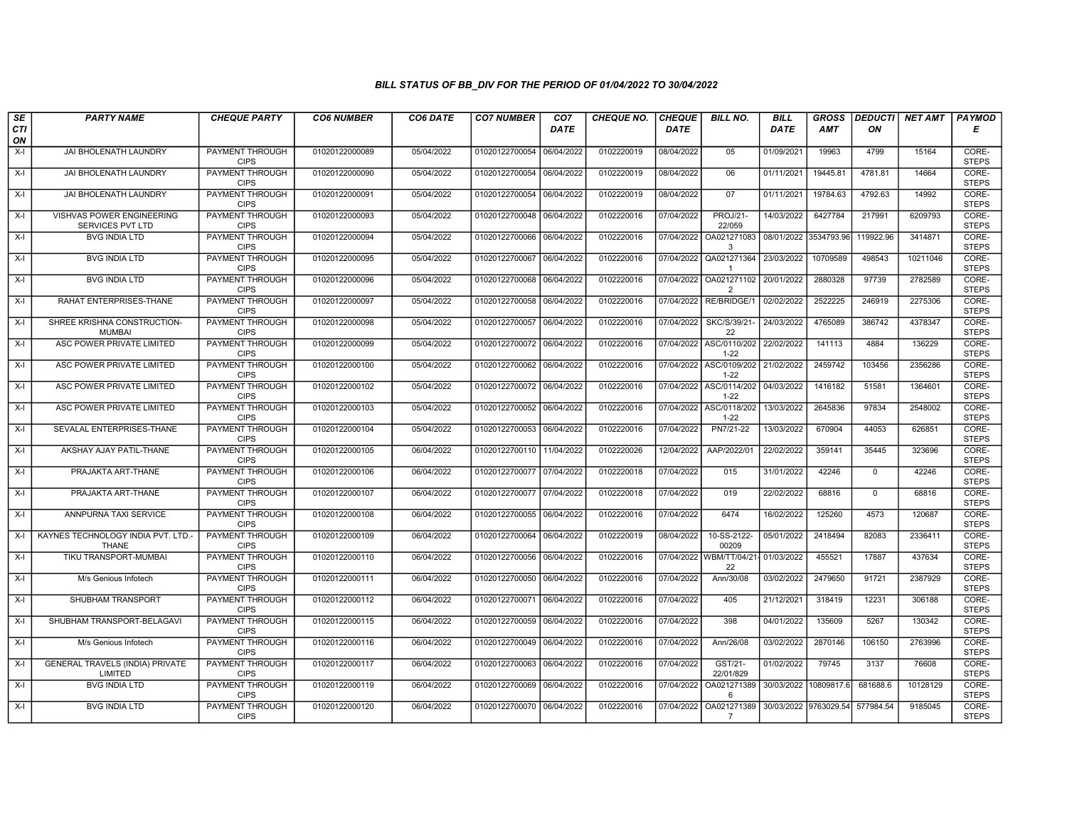| SE               | <b>PARTY NAME</b>                                 | <b>CHEQUE PARTY</b>                   | <b>CO6 NUMBER</b> | CO6 DATE   | <b>CO7 NUMBER</b>         | CO <sub>7</sub> | <b>CHEQUE NO.</b> | <b>CHEQUE</b> | <b>BILL NO.</b>                     | <b>BILL</b>           | <b>GROSS</b> | <b>DEDUCTI</b> | NET AMT  | <b>PAYMOD</b>         |
|------------------|---------------------------------------------------|---------------------------------------|-------------------|------------|---------------------------|-----------------|-------------------|---------------|-------------------------------------|-----------------------|--------------|----------------|----------|-----------------------|
| <b>CTI</b><br>ON |                                                   |                                       |                   |            |                           | <b>DATE</b>     |                   | DATE          |                                     | DATE                  | AMT          | ON             |          | Е                     |
| $X-I$            | JAI BHOLENATH LAUNDRY                             | <b>PAYMENT THROUGH</b><br><b>CIPS</b> | 01020122000089    | 05/04/2022 | 01020122700054 06/04/2022 |                 | 0102220019        | 08/04/2022    | 05                                  | 01/09/2021            | 19963        | 4799           | 15164    | CORE-<br><b>STEPS</b> |
| X-I              | JAI BHOLENATH LAUNDRY                             | <b>PAYMENT THROUGH</b><br><b>CIPS</b> | 01020122000090    | 05/04/2022 | 01020122700054 06/04/2022 |                 | 0102220019        | 08/04/2022    | 06                                  | 01/11/2021            | 19445.81     | 4781.81        | 14664    | CORE-<br><b>STEPS</b> |
| $X-I$            | JAI BHOLENATH LAUNDRY                             | PAYMENT THROUGH<br><b>CIPS</b>        | 01020122000091    | 05/04/2022 | 01020122700054 06/04/2022 |                 | 0102220019        | 08/04/2022    | 07                                  | 01/11/2021            | 19784.63     | 4792.63        | 14992    | CORE-<br><b>STEPS</b> |
| X-I              | VISHVAS POWER ENGINEERING<br>SERVICES PVT LTD     | PAYMENT THROUGH<br><b>CIPS</b>        | 01020122000093    | 05/04/2022 | 01020122700048 06/04/2022 |                 | 0102220016        | 07/04/2022    | PROJ/21<br>22/059                   | 14/03/2022            | 6427784      | 217991         | 6209793  | CORE-<br><b>STEPS</b> |
| X-I              | <b>BVG INDIA LTD</b>                              | <b>PAYMENT THROUGH</b><br><b>CIPS</b> | 01020122000094    | 05/04/2022 | 01020122700066 06/04/2022 |                 | 0102220016        | 07/04/2022    | OA021271083<br>3                    | 08/01/2022 3534793.96 |              | 119922.96      | 3414871  | CORE-<br><b>STEPS</b> |
| X-I              | <b>BVG INDIA LTD</b>                              | PAYMENT THROUGH<br><b>CIPS</b>        | 01020122000095    | 05/04/2022 | 01020122700067 06/04/2022 |                 | 0102220016        | 07/04/2022    | QA021271364<br>$\overline{1}$       | 23/03/2022            | 10709589     | 498543         | 10211046 | CORE-<br><b>STEPS</b> |
| X-I              | <b>BVG INDIA LTD</b>                              | PAYMENT THROUGH<br><b>CIPS</b>        | 01020122000096    | 05/04/2022 | 01020122700068            | 06/04/2022      | 0102220016        | 07/04/2022    | OA021271102<br>$\overline{2}$       | 20/01/2022            | 2880328      | 97739          | 2782589  | CORE-<br><b>STEPS</b> |
| X-I              | RAHAT ENTERPRISES-THANE                           | <b>PAYMENT THROUGH</b><br><b>CIPS</b> | 01020122000097    | 05/04/2022 | 01020122700058 06/04/2022 |                 | 0102220016        | 07/04/2022    | RE/BRIDGE/1                         | 02/02/2022            | 2522225      | 246919         | 2275306  | CORE-<br><b>STEPS</b> |
| X-I              | SHREE KRISHNA CONSTRUCTION-<br><b>MUMBAI</b>      | <b>PAYMENT THROUGH</b><br><b>CIPS</b> | 01020122000098    | 05/04/2022 | 01020122700057 06/04/2022 |                 | 0102220016        | 07/04/2022    | SKC/S/39/21-<br>22                  | 24/03/2022            | 4765089      | 386742         | 4378347  | CORE-<br><b>STEPS</b> |
| $X-I$            | ASC POWER PRIVATE LIMITED                         | <b>PAYMENT THROUGH</b><br><b>CIPS</b> | 01020122000099    | 05/04/2022 | 01020122700072 06/04/2022 |                 | 0102220016        |               | 07/04/2022 ASC/0110/202<br>$1 - 22$ | 22/02/2022            | 141113       | 4884           | 136229   | CORE-<br><b>STEPS</b> |
| X-I              | ASC POWER PRIVATE LIMITED                         | PAYMENT THROUGH<br><b>CIPS</b>        | 01020122000100    | 05/04/2022 | 01020122700062 06/04/2022 |                 | 0102220016        |               | 07/04/2022 ASC/0109/202<br>$1 - 22$ | 21/02/2022            | 2459742      | 103456         | 2356286  | CORE-<br><b>STEPS</b> |
| $X-I$            | ASC POWER PRIVATE LIMITED                         | <b>PAYMENT THROUGH</b><br><b>CIPS</b> | 01020122000102    | 05/04/2022 | 01020122700072 06/04/2022 |                 | 0102220016        |               | 07/04/2022 ASC/0114/202<br>$1 - 22$ | 04/03/2022            | 1416182      | 51581          | 1364601  | CORE-<br><b>STEPS</b> |
| X-I              | ASC POWER PRIVATE LIMITED                         | <b>PAYMENT THROUGH</b><br><b>CIPS</b> | 01020122000103    | 05/04/2022 | 01020122700052 06/04/2022 |                 | 0102220016        | 07/04/2022    | ASC/0118/202<br>$1 - 22$            | 13/03/2022            | 2645836      | 97834          | 2548002  | CORE-<br><b>STEPS</b> |
| X-I              | SEVALAL ENTERPRISES-THANE                         | <b>PAYMENT THROUGH</b><br><b>CIPS</b> | 01020122000104    | 05/04/2022 | 01020122700053 06/04/2022 |                 | 0102220016        | 07/04/2022    | PN7/21-22                           | 13/03/2022            | 670904       | 44053          | 626851   | CORE-<br><b>STEPS</b> |
| $X-I$            | AKSHAY AJAY PATIL-THANE                           | PAYMENT THROUGH<br><b>CIPS</b>        | 01020122000105    | 06/04/2022 | 01020122700110            | 11/04/2022      | 0102220026        | 12/04/2022    | AAP/2022/01                         | 22/02/2022            | 359141       | 35445          | 323696   | CORE-<br><b>STEPS</b> |
| $X-I$            | PRAJAKTA ART-THANE                                | PAYMENT THROUGH<br><b>CIPS</b>        | 01020122000106    | 06/04/2022 | 01020122700077 07/04/2022 |                 | 0102220018        | 07/04/2022    | 015                                 | 31/01/2022            | 42246        | $\mathbf{0}$   | 42246    | CORE-<br><b>STEPS</b> |
| X-I              | PRAJAKTA ART-THANE                                | <b>PAYMENT THROUGH</b><br><b>CIPS</b> | 01020122000107    | 06/04/2022 | 01020122700077 07/04/2022 |                 | 0102220018        | 07/04/2022    | 019                                 | 22/02/2022            | 68816        | $\mathbf 0$    | 68816    | CORE-<br><b>STEPS</b> |
| $X-I$            | <b>ANNPURNA TAXI SERVICE</b>                      | <b>PAYMENT THROUGH</b><br><b>CIPS</b> | 01020122000108    | 06/04/2022 | 01020122700055 06/04/2022 |                 | 0102220016        | 07/04/2022    | 6474                                | 16/02/2022            | 125260       | 4573           | 120687   | CORE-<br><b>STEPS</b> |
| X-I              | KAYNES TECHNOLOGY INDIA PVT. LTD.-<br>THANE       | PAYMENT THROUGH<br><b>CIPS</b>        | 01020122000109    | 06/04/2022 | 01020122700064 06/04/2022 |                 | 0102220019        | 08/04/2022    | 10-SS-2122-<br>00209                | 05/01/2022            | 2418494      | 82083          | 2336411  | CORE-<br><b>STEPS</b> |
| $X-I$            | TIKU TRANSPORT-MUMBAI                             | PAYMENT THROUGH<br><b>CIPS</b>        | 01020122000110    | 06/04/2022 | 01020122700056 06/04/2022 |                 | 0102220016        |               | 07/04/2022 WBM/TT/04/21<br>22       | 01/03/2022            | 455521       | 17887          | 437634   | CORE-<br><b>STEPS</b> |
| X-I              | M/s Genious Infotech                              | PAYMENT THROUGH<br><b>CIPS</b>        | 01020122000111    | 06/04/2022 | 01020122700050 06/04/2022 |                 | 0102220016        | 07/04/2022    | Ann/30/08                           | 03/02/2022            | 2479650      | 91721          | 2387929  | CORE-<br><b>STEPS</b> |
| X-I              | SHUBHAM TRANSPORT                                 | <b>PAYMENT THROUGH</b><br><b>CIPS</b> | 01020122000112    | 06/04/2022 | 01020122700071 06/04/2022 |                 | 0102220016        | 07/04/2022    | 405                                 | 21/12/2021            | 318419       | 12231          | 306188   | CORE-<br><b>STEPS</b> |
| X-I              | SHUBHAM TRANSPORT-BELAGAVI                        | <b>PAYMENT THROUGH</b><br><b>CIPS</b> | 01020122000115    | 06/04/2022 | 01020122700059            | 06/04/2022      | 0102220016        | 07/04/2022    | 398                                 | 04/01/2022            | 135609       | 5267           | 130342   | CORE-<br><b>STEPS</b> |
| $X-I$            | M/s Genious Infotech                              | PAYMENT THROUGH<br><b>CIPS</b>        | 01020122000116    | 06/04/2022 | 01020122700049 06/04/2022 |                 | 0102220016        | 07/04/2022    | Ann/26/08                           | 03/02/2022            | 2870146      | 106150         | 2763996  | CORE-<br><b>STEPS</b> |
| X-I              | <b>GENERAL TRAVELS (INDIA) PRIVATE</b><br>LIMITED | PAYMENT THROUGH<br><b>CIPS</b>        | 01020122000117    | 06/04/2022 | 01020122700063            | 06/04/2022      | 0102220016        | 07/04/2022    | GST/21-<br>22/01/829                | 01/02/2022            | 79745        | 3137           | 76608    | CORE-<br><b>STEPS</b> |
| $X-I$            | <b>BVG INDIA LTD</b>                              | <b>PAYMENT THROUGH</b><br><b>CIPS</b> | 01020122000119    | 06/04/2022 | 01020122700069 06/04/2022 |                 | 0102220016        | 07/04/2022    | OA021271389<br>6                    | 30/03/2022            | 10809817.6   | 681688.6       | 10128129 | CORE-<br><b>STEPS</b> |
| X-I              | <b>BVG INDIA LTD</b>                              | <b>PAYMENT THROUGH</b><br><b>CIPS</b> | 01020122000120    | 06/04/2022 | 01020122700070 06/04/2022 |                 | 0102220016        | 07/04/2022    | OA021271389<br>$\overline{7}$       | 30/03/2022            | 9763029.54   | 577984.54      | 9185045  | CORE-<br><b>STEPS</b> |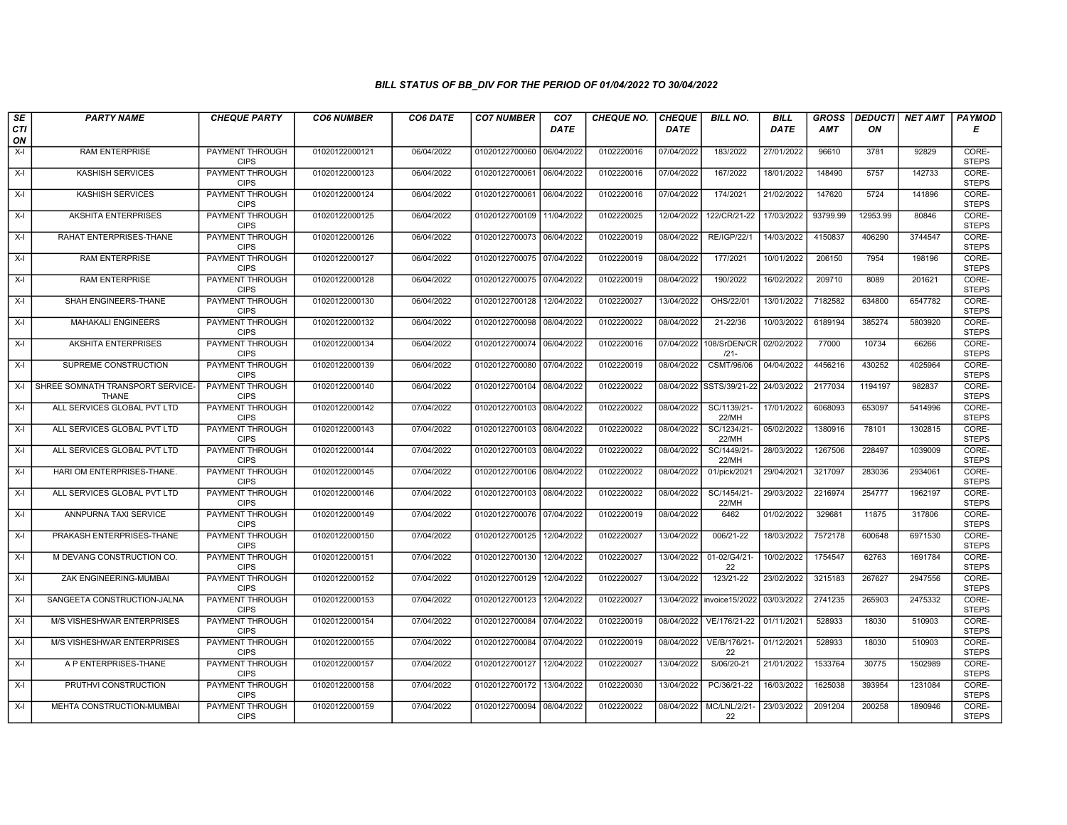| SE               | <b>PARTY NAME</b>                         | <b>CHEQUE PARTY</b>                   | <b>CO6 NUMBER</b> | CO6 DATE   | <b>CO7 NUMBER</b>         | CO <sub>7</sub> | <b>CHEQUE NO.</b> | <b>CHEQUE</b> | <b>BILL NO.</b>          | <b>BILL</b> | <b>GROSS</b> | <b>DEDUCTI</b> | NET AMT | <b>PAYMOD</b>         |
|------------------|-------------------------------------------|---------------------------------------|-------------------|------------|---------------------------|-----------------|-------------------|---------------|--------------------------|-------------|--------------|----------------|---------|-----------------------|
| <b>CTI</b><br>ON |                                           |                                       |                   |            |                           | <b>DATE</b>     |                   | <b>DATE</b>   |                          | <b>DATE</b> | <b>AMT</b>   | ON             |         | Е                     |
| $X-I$            | <b>RAM ENTERPRISE</b>                     | <b>PAYMENT THROUGH</b><br><b>CIPS</b> | 01020122000121    | 06/04/2022 | 01020122700060 06/04/2022 |                 | 0102220016        | 07/04/2022    | 183/2022                 | 27/01/2022  | 96610        | 3781           | 92829   | CORE-<br><b>STEPS</b> |
| X-I              | <b>KASHISH SERVICES</b>                   | <b>PAYMENT THROUGH</b><br><b>CIPS</b> | 01020122000123    | 06/04/2022 | 01020122700061 06/04/2022 |                 | 0102220016        | 07/04/2022    | 167/2022                 | 18/01/2022  | 148490       | 5757           | 142733  | CORE-<br><b>STEPS</b> |
| X-I              | <b>KASHISH SERVICES</b>                   | PAYMENT THROUGH<br><b>CIPS</b>        | 01020122000124    | 06/04/2022 | 01020122700061 06/04/2022 |                 | 0102220016        | 07/04/2022    | 174/2021                 | 21/02/2022  | 147620       | 5724           | 141896  | CORE-<br><b>STEPS</b> |
| X-I              | <b>AKSHITA ENTERPRISES</b>                | PAYMENT THROUGH<br><b>CIPS</b>        | 01020122000125    | 06/04/2022 | 01020122700109            | 11/04/2022      | 0102220025        | 12/04/2022    | 122/CR/21-22             | 17/03/2022  | 93799.99     | 12953.99       | 80846   | CORE-<br><b>STEPS</b> |
| X-I              | RAHAT ENTERPRISES-THANE                   | PAYMENT THROUGH<br><b>CIPS</b>        | 01020122000126    | 06/04/2022 | 01020122700073 06/04/2022 |                 | 0102220019        | 08/04/2022    | <b>RE/IGP/22/1</b>       | 14/03/2022  | 4150837      | 406290         | 3744547 | CORE-<br><b>STEPS</b> |
| X-I              | <b>RAM ENTERPRISE</b>                     | PAYMENT THROUGH<br><b>CIPS</b>        | 01020122000127    | 06/04/2022 | 01020122700075 07/04/2022 |                 | 0102220019        | 08/04/2022    | 177/2021                 | 10/01/2022  | 206150       | 7954           | 198196  | CORE-<br><b>STEPS</b> |
| X-I              | <b>RAM ENTERPRISE</b>                     | PAYMENT THROUGH<br><b>CIPS</b>        | 01020122000128    | 06/04/2022 | 01020122700075 07/04/2022 |                 | 0102220019        | 08/04/2022    | 190/2022                 | 16/02/2022  | 209710       | 8089           | 201621  | CORE-<br><b>STEPS</b> |
| X-I              | SHAH ENGINEERS-THANE                      | <b>PAYMENT THROUGH</b><br><b>CIPS</b> | 01020122000130    | 06/04/2022 | 01020122700128            | 12/04/2022      | 0102220027        | 13/04/2022    | OHS/22/01                | 13/01/2022  | 7182582      | 634800         | 6547782 | CORE-<br><b>STEPS</b> |
| X-I              | <b>MAHAKALI ENGINEERS</b>                 | PAYMENT THROUGH<br><b>CIPS</b>        | 01020122000132    | 06/04/2022 | 01020122700098            | 08/04/2022      | 0102220022        | 08/04/2022    | 21-22/36                 | 10/03/2022  | 6189194      | 385274         | 5803920 | CORE-<br><b>STEPS</b> |
| $X-I$            | <b>AKSHITA ENTERPRISES</b>                | <b>PAYMENT THROUGH</b><br><b>CIPS</b> | 01020122000134    | 06/04/2022 | 01020122700074 06/04/2022 |                 | 0102220016        | 07/04/2022    | 108/SrDEN/CR<br>$121 -$  | 02/02/2022  | 77000        | 10734          | 66266   | CORE-<br><b>STEPS</b> |
| X-I              | SUPREME CONSTRUCTION                      | PAYMENT THROUGH<br><b>CIPS</b>        | 01020122000139    | 06/04/2022 | 01020122700080 07/04/2022 |                 | 0102220019        | 08/04/2022    | CSMT/96/06               | 04/04/2022  | 4456216      | 430252         | 4025964 | CORE-<br><b>STEPS</b> |
| X-I              | SHREE SOMNATH TRANSPORT SERVICE-<br>THANE | PAYMENT THROUGH<br><b>CIPS</b>        | 01020122000140    | 06/04/2022 | 01020122700104 08/04/2022 |                 | 0102220022        |               | 08/04/2022 SSTS/39/21-22 | 24/03/2022  | 2177034      | 1194197        | 982837  | CORE-<br><b>STEPS</b> |
| X-I              | ALL SERVICES GLOBAL PVT LTD               | <b>PAYMENT THROUGH</b><br><b>CIPS</b> | 01020122000142    | 07/04/2022 | 01020122700103 08/04/2022 |                 | 0102220022        | 08/04/2022    | SC/1139/21-<br>22/MH     | 17/01/2022  | 6068093      | 653097         | 5414996 | CORE-<br><b>STEPS</b> |
| X-I              | ALL SERVICES GLOBAL PVT LTD               | <b>PAYMENT THROUGH</b><br><b>CIPS</b> | 01020122000143    | 07/04/2022 | 01020122700103            | 08/04/2022      | 0102220022        | 08/04/2022    | SC/1234/21-<br>22/MH     | 05/02/2022  | 1380916      | 78101          | 1302815 | CORE-<br><b>STEPS</b> |
| $X-I$            | ALL SERVICES GLOBAL PVT LTD               | PAYMENT THROUGH<br><b>CIPS</b>        | 01020122000144    | 07/04/2022 | 01020122700103 08/04/2022 |                 | 0102220022        | 08/04/2022    | SC/1449/21-<br>22/MH     | 28/03/2022  | 1267506      | 228497         | 1039009 | CORE-<br><b>STEPS</b> |
| X-I              | HARI OM ENTERPRISES-THANE.                | PAYMENT THROUGH<br><b>CIPS</b>        | 01020122000145    | 07/04/2022 | 01020122700106 08/04/2022 |                 | 0102220022        | 08/04/2022    | 01/pick/2021             | 29/04/2021  | 3217097      | 283036         | 2934061 | CORE-<br><b>STEPS</b> |
| $X-I$            | ALL SERVICES GLOBAL PVT LTD               | <b>PAYMENT THROUGH</b><br><b>CIPS</b> | 01020122000146    | 07/04/2022 | 01020122700103 08/04/2022 |                 | 0102220022        | 08/04/2022    | SC/1454/21-<br>22/MH     | 29/03/2022  | 2216974      | 254777         | 1962197 | CORE-<br><b>STEPS</b> |
| X-I              | ANNPURNA TAXI SERVICE                     | <b>PAYMENT THROUGH</b><br><b>CIPS</b> | 01020122000149    | 07/04/2022 | 01020122700076 07/04/2022 |                 | 0102220019        | 08/04/2022    | 6462                     | 01/02/2022  | 329681       | 11875          | 317806  | CORE-<br><b>STEPS</b> |
| $X-I$            | PRAKASH ENTERPRISES-THANE                 | <b>PAYMENT THROUGH</b><br><b>CIPS</b> | 01020122000150    | 07/04/2022 | 01020122700125            | 12/04/2022      | 0102220027        | 13/04/2022    | 006/21-22                | 18/03/2022  | 7572178      | 600648         | 6971530 | CORE-<br><b>STEPS</b> |
| X-I              | M DEVANG CONSTRUCTION CO.                 | PAYMENT THROUGH<br><b>CIPS</b>        | 01020122000151    | 07/04/2022 | 01020122700130            | 12/04/2022      | 0102220027        | 13/04/2022    | 01-02/G4/21-<br>22       | 10/02/2022  | 1754547      | 62763          | 1691784 | CORE-<br><b>STEPS</b> |
| X-I              | ZAK ENGINEERING-MUMBAI                    | PAYMENT THROUGH<br><b>CIPS</b>        | 01020122000152    | 07/04/2022 | 01020122700129            | 12/04/2022      | 0102220027        | 13/04/2022    | 123/21-22                | 23/02/2022  | 3215183      | 267627         | 2947556 | CORE-<br><b>STEPS</b> |
| X-I              | SANGEETA CONSTRUCTION-JALNA               | <b>PAYMENT THROUGH</b><br><b>CIPS</b> | 01020122000153    | 07/04/2022 | 01020122700123            | 12/04/2022      | 0102220027        | 13/04/2022    | invoice 15/2022          | 03/03/2022  | 2741235      | 265903         | 2475332 | CORE-<br><b>STEPS</b> |
| X-I              | M/S VISHESHWAR ENTERPRISES                | PAYMENT THROUGH<br><b>CIPS</b>        | 01020122000154    | 07/04/2022 | 01020122700084            | 07/04/2022      | 0102220019        | 08/04/2022    | VE/176/21-22             | 01/11/2021  | 528933       | 18030          | 510903  | CORE-<br><b>STEPS</b> |
| $X-I$            | <b>M/S VISHESHWAR ENTERPRISES</b>         | PAYMENT THROUGH<br><b>CIPS</b>        | 01020122000155    | 07/04/2022 | 01020122700084 07/04/2022 |                 | 0102220019        | 08/04/2022    | VE/B/176/21-<br>22       | 01/12/2021  | 528933       | 18030          | 510903  | CORE-<br><b>STEPS</b> |
| X-I              | A P ENTERPRISES-THANE                     | PAYMENT THROUGH<br><b>CIPS</b>        | 01020122000157    | 07/04/2022 | 01020122700127            | 12/04/2022      | 0102220027        | 13/04/2022    | S/06/20-21               | 21/01/2022  | 1533764      | 30775          | 1502989 | CORE-<br><b>STEPS</b> |
| X-I              | PRUTHVI CONSTRUCTION                      | PAYMENT THROUGH<br><b>CIPS</b>        | 01020122000158    | 07/04/2022 | 01020122700172            | 13/04/2022      | 0102220030        | 13/04/2022    | PC/36/21-22              | 16/03/2022  | 1625038      | 393954         | 1231084 | CORE-<br><b>STEPS</b> |
| X-I              | MEHTA CONSTRUCTION-MUMBAI                 | PAYMENT THROUGH<br><b>CIPS</b>        | 01020122000159    | 07/04/2022 | 01020122700094 08/04/2022 |                 | 0102220022        | 08/04/2022    | MC/LNL/2/21-<br>22       | 23/03/2022  | 2091204      | 200258         | 1890946 | CORE-<br><b>STEPS</b> |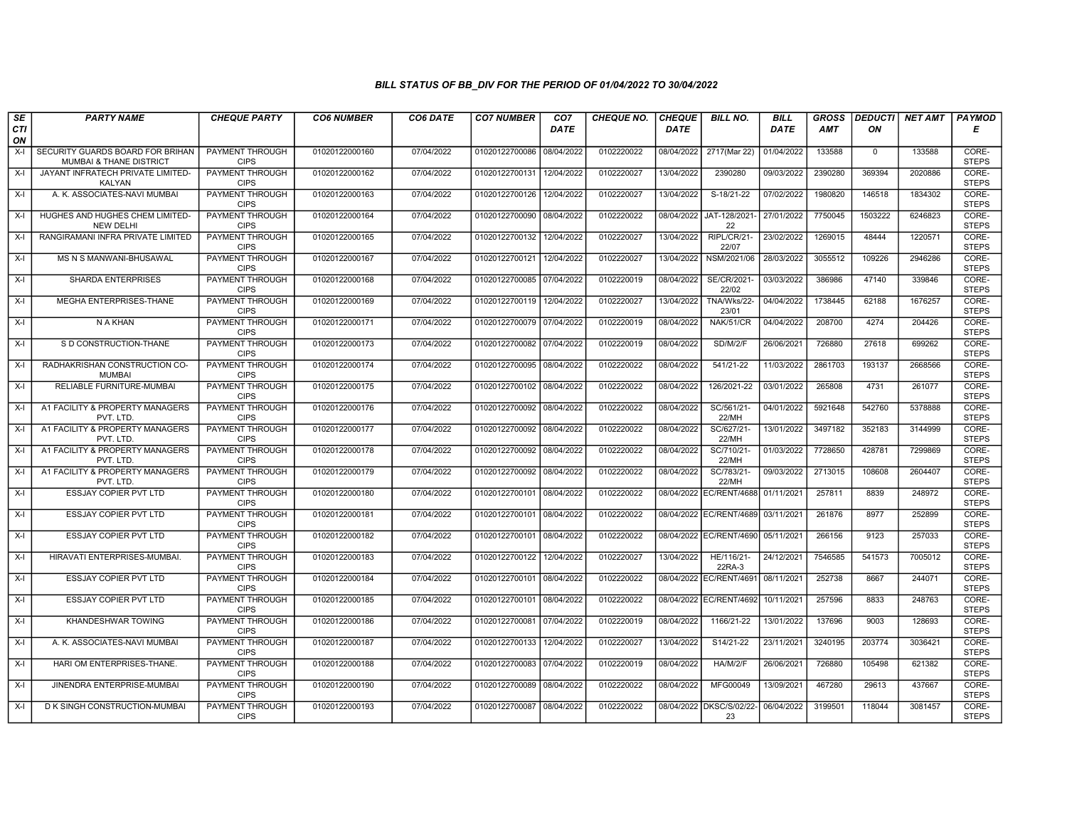| SE        | <b>PARTY NAME</b>                                           | <b>CHEQUE PARTY</b>                   | <b>CO6 NUMBER</b> | CO6 DATE   | <b>CO7 NUMBER</b>         | CO <sub>7</sub> | <b>CHEQUE NO.</b> | <b>CHEQUE</b> | <b>BILL NO.</b>         | <b>BILL</b> | <b>GROSS</b> |              | <b>DEDUCTI NET AMT</b> | <b>PAYMOD</b>         |
|-----------|-------------------------------------------------------------|---------------------------------------|-------------------|------------|---------------------------|-----------------|-------------------|---------------|-------------------------|-------------|--------------|--------------|------------------------|-----------------------|
| CTI<br>ON |                                                             |                                       |                   |            |                           | <b>DATE</b>     |                   | <b>DATE</b>   |                         | <b>DATE</b> | AMT          | ON           |                        | Е                     |
| $X-I$     | SECURITY GUARDS BOARD FOR BRIHAN<br>MUMBAI & THANE DISTRICT | <b>PAYMENT THROUGH</b><br><b>CIPS</b> | 01020122000160    | 07/04/2022 | 01020122700086            | 08/04/2022      | 0102220022        | 08/04/2022    | 2717(Mar 22)            | 01/04/2022  | 133588       | $\mathbf{0}$ | 133588                 | CORE-<br><b>STEPS</b> |
| $X-I$     | JAYANT INFRATECH PRIVATE LIMITED-<br><b>KALYAN</b>          | <b>PAYMENT THROUGH</b><br><b>CIPS</b> | 01020122000162    | 07/04/2022 | 01020122700131 12/04/2022 |                 | 0102220027        | 13/04/2022    | 2390280                 | 09/03/2022  | 2390280      | 369394       | 2020886                | CORE-<br><b>STEPS</b> |
| $X-I$     | A. K. ASSOCIATES-NAVI MUMBAI                                | PAYMENT THROUGH<br><b>CIPS</b>        | 01020122000163    | 07/04/2022 | 01020122700126            | 12/04/2022      | 0102220027        | 13/04/2022    | S-18/21-22              | 07/02/2022  | 1980820      | 146518       | 1834302                | CORE-<br><b>STEPS</b> |
| $X-I$     | HUGHES AND HUGHES CHEM LIMITED-<br><b>NEW DELHI</b>         | PAYMENT THROUGH<br><b>CIPS</b>        | 01020122000164    | 07/04/2022 | 01020122700090            | 08/04/2022      | 0102220022        | 08/04/2022    | JAT-128/2021<br>22      | 27/01/2022  | 7750045      | 1503222      | 6246823                | CORE-<br><b>STEPS</b> |
| $X-I$     | RANGIRAMANI INFRA PRIVATE LIMITED                           | <b>PAYMENT THROUGH</b><br><b>CIPS</b> | 01020122000165    | 07/04/2022 | 01020122700132            | 12/04/2022      | 0102220027        | 13/04/2022    | RIPL/CR/21-<br>22/07    | 23/02/2022  | 1269015      | 48444        | 1220571                | CORE-<br><b>STEPS</b> |
| $X-I$     | MS N S MANWANI-BHUSAWAL                                     | <b>PAYMENT THROUGH</b><br><b>CIPS</b> | 01020122000167    | 07/04/2022 | 01020122700121 12/04/2022 |                 | 0102220027        | 13/04/2022    | NSM/2021/06             | 28/03/2022  | 3055512      | 109226       | 2946286                | CORE-<br><b>STEPS</b> |
| $X-I$     | <b>SHARDA ENTERPRISES</b>                                   | PAYMENT THROUGH<br><b>CIPS</b>        | 01020122000168    | 07/04/2022 | 01020122700085 07/04/2022 |                 | 0102220019        | 08/04/2022    | SE/CR/2021<br>22/02     | 03/03/2022  | 386986       | 47140        | 339846                 | CORE-<br><b>STEPS</b> |
| $X-I$     | MEGHA ENTERPRISES-THANE                                     | PAYMENT THROUGH<br><b>CIPS</b>        | 01020122000169    | 07/04/2022 | 01020122700119 12/04/2022 |                 | 0102220027        | 13/04/2022    | TNA/Wks/22-<br>23/01    | 04/04/2022  | 1738445      | 62188        | 1676257                | CORE-<br><b>STEPS</b> |
| $X-I$     | N A KHAN                                                    | <b>PAYMENT THROUGH</b><br><b>CIPS</b> | 01020122000171    | 07/04/2022 | 01020122700079 07/04/2022 |                 | 0102220019        | 08/04/2022    | NAK/51/CR               | 04/04/2022  | 208700       | 4274         | 204426                 | CORE-<br><b>STEPS</b> |
| $X-I$     | S D CONSTRUCTION-THANE                                      | <b>PAYMENT THROUGH</b><br><b>CIPS</b> | 01020122000173    | 07/04/2022 | 01020122700082 07/04/2022 |                 | 0102220019        | 08/04/2022    | SD/M/2/F                | 26/06/2021  | 726880       | 27618        | 699262                 | CORE-<br><b>STEPS</b> |
| $X-I$     | RADHAKRISHAN CONSTRUCTION CO-<br><b>MUMBAI</b>              | PAYMENT THROUGH<br><b>CIPS</b>        | 01020122000174    | 07/04/2022 | 01020122700095 08/04/2022 |                 | 0102220022        | 08/04/2022    | 541/21-22               | 11/03/2022  | 2861703      | 193137       | 2668566                | CORE-<br><b>STEPS</b> |
| $X-I$     | RELIABLE FURNITURE-MUMBAI                                   | PAYMENT THROUGH<br><b>CIPS</b>        | 01020122000175    | 07/04/2022 | 01020122700102 08/04/2022 |                 | 0102220022        | 08/04/2022    | 126/2021-22             | 03/01/2022  | 265808       | 4731         | 261077                 | CORE-<br><b>STEPS</b> |
| $X-I$     | A1 FACILITY & PROPERTY MANAGERS<br>PVT. LTD                 | <b>PAYMENT THROUGH</b><br><b>CIPS</b> | 01020122000176    | 07/04/2022 | 01020122700092 08/04/2022 |                 | 0102220022        | 08/04/2022    | SC/561/21-<br>22/MH     | 04/01/2022  | 5921648      | 542760       | 5378888                | CORE-<br><b>STEPS</b> |
| $X-I$     | A1 FACILITY & PROPERTY MANAGERS<br>PVT. LTD                 | <b>PAYMENT THROUGH</b><br><b>CIPS</b> | 01020122000177    | 07/04/2022 | 01020122700092 08/04/2022 |                 | 0102220022        | 08/04/2022    | SC/627/21-<br>22/MH     | 13/01/2022  | 3497182      | 352183       | 3144999                | CORE-<br><b>STEPS</b> |
| $X-I$     | A1 FACILITY & PROPERTY MANAGERS<br>PVT. LTD                 | PAYMENT THROUGH<br><b>CIPS</b>        | 01020122000178    | 07/04/2022 | 01020122700092 08/04/2022 |                 | 0102220022        | 08/04/2022    | SC/710/21-<br>22/MH     | 01/03/2022  | 7728650      | 428781       | 7299869                | CORE-<br><b>STEPS</b> |
| $X-I$     | A1 FACILITY & PROPERTY MANAGERS<br>PVT. LTD                 | PAYMENT THROUGH<br><b>CIPS</b>        | 01020122000179    | 07/04/2022 | 01020122700092 08/04/2022 |                 | 0102220022        | 08/04/2022    | SC/783/21-<br>22/MH     | 09/03/2022  | 2713015      | 108608       | 2604407                | CORE-<br><b>STEPS</b> |
| $X-I$     | <b>ESSJAY COPIER PVT LTD</b>                                | <b>PAYMENT THROUGH</b><br><b>CIPS</b> | 01020122000180    | 07/04/2022 | 01020122700101            | 08/04/2022      | 0102220022        | 08/04/2022    | EC/RENT/4688            | 01/11/2021  | 257811       | 8839         | 248972                 | CORE-<br><b>STEPS</b> |
| $X-I$     | <b>ESSJAY COPIER PVT LTD</b>                                | <b>PAYMENT THROUGH</b><br><b>CIPS</b> | 01020122000181    | 07/04/2022 | 01020122700101            | 08/04/2022      | 0102220022        | 08/04/2022    | EC/RENT/4689            | 03/11/2021  | 261876       | 8977         | 252899                 | CORE-<br><b>STEPS</b> |
| $X-I$     | ESSJAY COPIER PVT LTD                                       | PAYMENT THROUGH<br><b>CIPS</b>        | 01020122000182    | 07/04/2022 | 01020122700101 08/04/2022 |                 | 0102220022        |               | 08/04/2022 EC/RENT/4690 | 05/11/2021  | 266156       | 9123         | 257033                 | CORE-<br><b>STEPS</b> |
| $X-I$     | HIRAVATI ENTERPRISES-MUMBAL                                 | PAYMENT THROUGH<br><b>CIPS</b>        | 01020122000183    | 07/04/2022 | 01020122700122            | 12/04/2022      | 0102220027        | 13/04/2022    | HE/116/21-<br>22RA-3    | 24/12/2021  | 7546585      | 541573       | 7005012                | CORE-<br><b>STEPS</b> |
| $X-I$     | ESSJAY COPIER PVT LTD                                       | PAYMENT THROUGH<br><b>CIPS</b>        | 01020122000184    | 07/04/2022 | 01020122700101 08/04/2022 |                 | 0102220022        | 08/04/2022    | EC/RENT/4691            | 08/11/2021  | 252738       | 8667         | 244071                 | CORE-<br><b>STEPS</b> |
| $X-I$     | <b>ESSJAY COPIER PVT LTD</b>                                | <b>PAYMENT THROUGH</b><br><b>CIPS</b> | 01020122000185    | 07/04/2022 | 01020122700101 08/04/2022 |                 | 0102220022        | 08/04/2022    | EC/RENT/4692            | 10/11/2021  | 257596       | 8833         | 248763                 | CORE-<br><b>STEPS</b> |
| $X-I$     | KHANDESHWAR TOWING                                          | PAYMENT THROUGH<br><b>CIPS</b>        | 01020122000186    | 07/04/2022 | 01020122700081            | 07/04/2022      | 0102220019        | 08/04/2022    | 1166/21-22              | 13/01/2022  | 137696       | 9003         | 128693                 | CORE-<br><b>STEPS</b> |
| $X-I$     | A. K. ASSOCIATES-NAVI MUMBAI                                | PAYMENT THROUGH<br><b>CIPS</b>        | 01020122000187    | 07/04/2022 | 01020122700133            | 12/04/2022      | 0102220027        | 13/04/2022    | S14/21-22               | 23/11/2021  | 3240195      | 203774       | 3036421                | CORE-<br><b>STEPS</b> |
| $X-I$     | HARI OM ENTERPRISES-THANE.                                  | PAYMENT THROUGH<br><b>CIPS</b>        | 01020122000188    | 07/04/2022 | 01020122700083            | 07/04/2022      | 0102220019        | 08/04/2022    | HA/M/2/F                | 26/06/2021  | 726880       | 105498       | 621382                 | CORE-<br><b>STEPS</b> |
| $X-I$     | JINENDRA ENTERPRISE-MUMBAI                                  | <b>PAYMENT THROUGH</b><br><b>CIPS</b> | 01020122000190    | 07/04/2022 | 01020122700089 08/04/2022 |                 | 0102220022        | 08/04/2022    | MFG00049                | 13/09/2021  | 467280       | 29613        | 437667                 | CORE-<br><b>STEPS</b> |
| $X-I$     | D K SINGH CONSTRUCTION-MUMBAI                               | <b>PAYMENT THROUGH</b><br><b>CIPS</b> | 01020122000193    | 07/04/2022 | 01020122700087            | 08/04/2022      | 0102220022        | 08/04/2022    | DKSC/S/02/22-<br>23     | 06/04/2022  | 3199501      | 118044       | 3081457                | CORE-<br><b>STEPS</b> |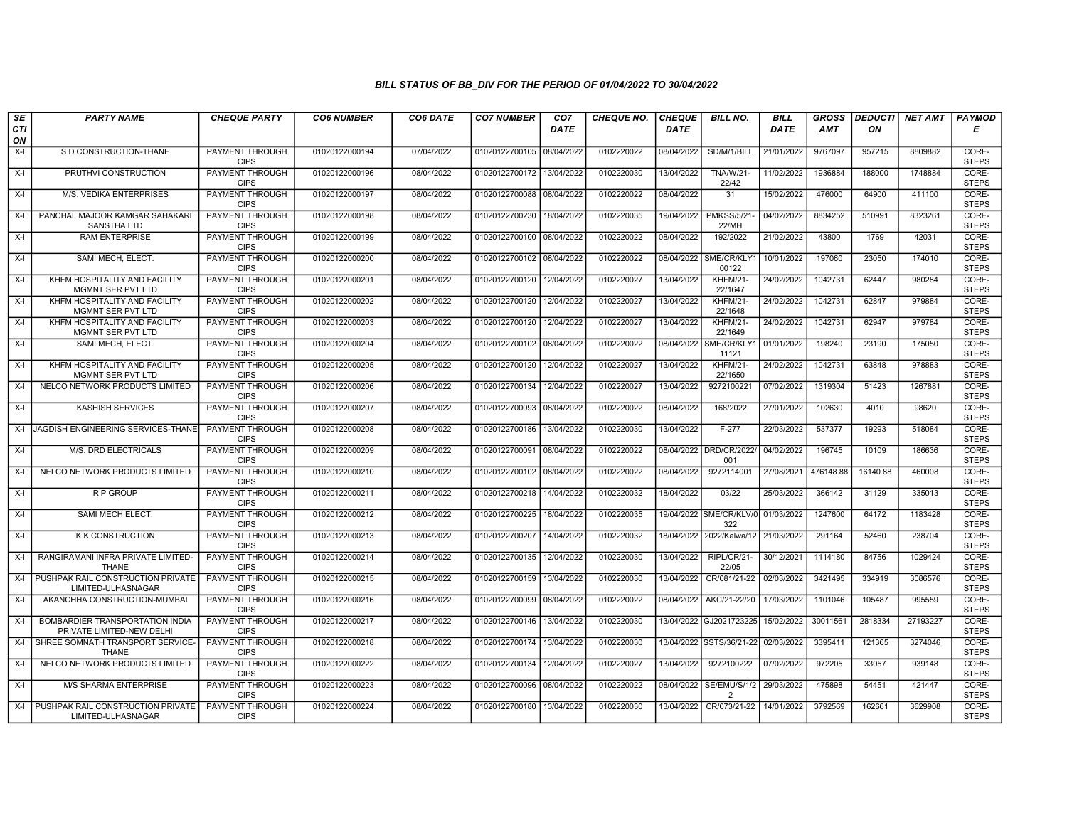| SE        | <b>PARTY NAME</b>                                             | <b>CHEQUE PARTY</b>                   | <b>CO6 NUMBER</b> | CO6 DATE   | <b>CO7 NUMBER</b>         | CO <sub>7</sub> | <b>CHEQUE NO.</b> | <b>CHEQUE</b> | <b>BILL NO.</b>                | <b>BILL</b> | <b>GROSS</b>     | <b>DEDUCTI</b> | NET AMT  | <b>PAYMOD</b>                  |
|-----------|---------------------------------------------------------------|---------------------------------------|-------------------|------------|---------------------------|-----------------|-------------------|---------------|--------------------------------|-------------|------------------|----------------|----------|--------------------------------|
| CTI<br>ON |                                                               |                                       |                   |            |                           | <b>DATE</b>     |                   | DATE          |                                | <b>DATE</b> | AMT              | ON             |          | Е                              |
| $X-I$     | S D CONSTRUCTION-THANE                                        | <b>PAYMENT THROUGH</b><br><b>CIPS</b> | 01020122000194    | 07/04/2022 | 01020122700105 08/04/2022 |                 | 0102220022        | 08/04/2022    | SD/M/1/BILL                    | 21/01/2022  | 9767097          | 957215         | 8809882  | CORE-<br><b>STEPS</b>          |
| $X-I$     | PRUTHVI CONSTRUCTION                                          | <b>PAYMENT THROUGH</b><br><b>CIPS</b> | 01020122000196    | 08/04/2022 | 01020122700172 13/04/2022 |                 | 0102220030        | 13/04/2022    | TNA/W/21-<br>22/42             | 11/02/2022  | 1936884          | 188000         | 1748884  | CORE-<br><b>STEPS</b>          |
| $X-I$     | M/S. VEDIKA ENTERPRISES                                       | <b>PAYMENT THROUGH</b><br><b>CIPS</b> | 01020122000197    | 08/04/2022 | 01020122700088 08/04/2022 |                 | 0102220022        | 08/04/2022    | 31                             | 15/02/2022  | 476000           | 64900          | 411100   | CORE-<br><b>STEPS</b>          |
| $X-I$     | PANCHAL MAJOOR KAMGAR SAHAKARI<br><b>SANSTHA LTD</b>          | <b>PAYMENT THROUGH</b><br><b>CIPS</b> | 01020122000198    | 08/04/2022 | 01020122700230            | 18/04/2022      | 0102220035        | 19/04/2022    | <b>PMKSS/5/21</b><br>22/MH     | 04/02/2022  | 8834252          | 510991         | 8323261  | CORE-<br><b>STEPS</b>          |
| X-I       | <b>RAM ENTERPRISE</b>                                         | <b>PAYMENT THROUGH</b><br><b>CIPS</b> | 01020122000199    | 08/04/2022 | 01020122700100 08/04/2022 |                 | 0102220022        | 08/04/2022    | 192/2022                       | 21/02/2022  | 43800            | 1769           | 42031    | CORE-<br><b>STEPS</b>          |
| X-I       | SAMI MECH. ELECT.                                             | <b>PAYMENT THROUGH</b><br><b>CIPS</b> | 01020122000200    | 08/04/2022 | 01020122700102 08/04/2022 |                 | 0102220022        | 08/04/2022    | SME/CR/KLY1<br>00122           | 10/01/2022  | 197060           | 23050          | 174010   | CORE-<br><b>STEPS</b>          |
| $X-I$     | KHFM HOSPITALITY AND FACILITY<br>MGMNT SER PVT LTD            | PAYMENT THROUGH<br><b>CIPS</b>        | 01020122000201    | 08/04/2022 | 01020122700120            | 12/04/2022      | 0102220027        | 13/04/2022    | <b>KHFM/21-</b><br>22/1647     | 24/02/2022  | 1042731          | 62447          | 980284   | CORE-<br><b>STEPS</b>          |
| $X-I$     | KHFM HOSPITALITY AND FACILITY<br><b>MGMNT SER PVT LTD</b>     | PAYMENT THROUGH<br><b>CIPS</b>        | 01020122000202    | 08/04/2022 | 01020122700120            | 12/04/2022      | 0102220027        | 13/04/2022    | <b>KHFM/21-</b><br>22/1648     | 24/02/2022  | 1042731          | 62847          | 979884   | CORE-<br><b>STEPS</b>          |
| $X-I$     | KHFM HOSPITALITY AND FACILITY<br>MGMNT SER PVT LTD            | PAYMENT THROUGH<br><b>CIPS</b>        | 01020122000203    | 08/04/2022 | 01020122700120            | 12/04/2022      | 0102220027        | 13/04/2022    | <b>KHFM/21-</b><br>22/1649     | 24/02/2022  | 1042731          | 62947          | 979784   | CORE-<br><b>STEPS</b>          |
| $X-I$     | SAMI MECH. ELECT.                                             | <b>PAYMENT THROUGH</b><br><b>CIPS</b> | 01020122000204    | 08/04/2022 | 01020122700102 08/04/2022 |                 | 0102220022        | 08/04/2022    | SME/CR/KLY1<br>11121           | 01/01/2022  | 198240           | 23190          | 175050   | CORE-<br><b>STEPS</b>          |
| $X-I$     | KHFM HOSPITALITY AND FACILITY<br>MGMNT SER PVT LTD            | PAYMENT THROUGH<br><b>CIPS</b>        | 01020122000205    | 08/04/2022 | 01020122700120            | 12/04/2022      | 0102220027        | 13/04/2022    | KHFM/21-<br>22/1650            | 24/02/2022  | 1042731          | 63848          | 978883   | CORE-<br><b>STEPS</b>          |
| $X-I$     | NELCO NETWORK PRODUCTS LIMITED                                | PAYMENT THROUGH<br><b>CIPS</b>        | 01020122000206    | 08/04/2022 | 01020122700134 12/04/2022 |                 | 0102220027        | 13/04/2022    | 9272100221                     | 07/02/2022  | 1319304          | 51423          | 1267881  | CORE-<br><b>STEPS</b>          |
| X-I       | <b>KASHISH SERVICES</b>                                       | <b>PAYMENT THROUGH</b><br><b>CIPS</b> | 01020122000207    | 08/04/2022 | 01020122700093 08/04/2022 |                 | 0102220022        | 08/04/2022    | 168/2022<br>$F-277$            | 27/01/2022  | 102630<br>537377 | 4010<br>19293  | 98620    | CORE-<br><b>STEPS</b><br>CORE- |
| $X-I$     | IJAGDISH ENGINEERING SERVICES-THANE                           | <b>PAYMENT THROUGH</b><br><b>CIPS</b> | 01020122000208    | 08/04/2022 | 01020122700186            | 13/04/2022      | 0102220030        | 13/04/2022    |                                | 22/03/2022  |                  |                | 518084   | <b>STEPS</b>                   |
| $X-I$     | M/S. DRD ELECTRICALS                                          | PAYMENT THROUGH<br><b>CIPS</b>        | 01020122000209    | 08/04/2022 | 01020122700091 08/04/2022 |                 | 0102220022        |               | 08/04/2022 DRD/CR/2022/<br>001 | 04/02/2022  | 196745           | 10109          | 186636   | CORE-<br><b>STEPS</b>          |
| $X-I$     | NELCO NETWORK PRODUCTS LIMITED                                | PAYMENT THROUGH<br><b>CIPS</b>        | 01020122000210    | 08/04/2022 | 01020122700102 08/04/2022 |                 | 0102220022        | 08/04/2022    | 9272114001                     | 27/08/2021  | 476148.88        | 16140.88       | 460008   | CORE-<br><b>STEPS</b>          |
| $X-I$     | <b>RP GROUP</b>                                               | <b>PAYMENT THROUGH</b><br><b>CIPS</b> | 01020122000211    | 08/04/2022 | 01020122700218            | 14/04/2022      | 0102220032        | 18/04/2022    | 03/22                          | 25/03/2022  | 366142           | 31129          | 335013   | CORE-<br><b>STEPS</b>          |
| $X-I$     | SAMI MECH ELECT.                                              | <b>PAYMENT THROUGH</b><br><b>CIPS</b> | 01020122000212    | 08/04/2022 | 01020122700225            | 18/04/2022      | 0102220035        | 19/04/2022    | SME/CR/KLV/0<br>322            | 01/03/2022  | 1247600          | 64172          | 1183428  | CORE-<br><b>STEPS</b>          |
| X-I       | <b>K K CONSTRUCTION</b>                                       | PAYMENT THROUGH<br><b>CIPS</b>        | 01020122000213    | 08/04/2022 | 01020122700207            | 14/04/2022      | 0102220032        |               | 18/04/2022 2022/Kalwa/12       | 21/03/2022  | 291164           | 52460          | 238704   | CORE-<br><b>STEPS</b>          |
| $X-I$     | RANGIRAMANI INFRA PRIVATE LIMITED-<br><b>THANE</b>            | <b>PAYMENT THROUGH</b><br><b>CIPS</b> | 01020122000214    | 08/04/2022 | 01020122700135            | 12/04/2022      | 0102220030        | 13/04/2022    | RIPL/CR/21-<br>22/05           | 30/12/2021  | 1114180          | 84756          | 1029424  | CORE-<br><b>STEPS</b>          |
| $X-I$     | PUSHPAK RAIL CONSTRUCTION PRIVATE<br>LIMITED-ULHASNAGAR       | PAYMENT THROUGH<br><b>CIPS</b>        | 01020122000215    | 08/04/2022 | 01020122700159            | 13/04/2022      | 0102220030        | 13/04/2022    | CR/081/21-22                   | 02/03/2022  | 3421495          | 334919         | 3086576  | CORE-<br><b>STEPS</b>          |
| $X-I$     | AKANCHHA CONSTRUCTION-MUMBAI                                  | <b>PAYMENT THROUGH</b><br><b>CIPS</b> | 01020122000216    | 08/04/2022 | 01020122700099 08/04/2022 |                 | 0102220022        | 08/04/2022    | AKC/21-22/20                   | 17/03/2022  | 1101046          | 105487         | 995559   | CORE-<br><b>STEPS</b>          |
| $X-I$     | BOMBARDIER TRANSPORTATION INDIA<br>PRIVATE LIMITED-NEW DELHI  | PAYMENT THROUGH<br><b>CIPS</b>        | 01020122000217    | 08/04/2022 | 01020122700146            | 13/04/2022      | 0102220030        | 13/04/2022    | GJ2021723225                   | 15/02/2022  | 30011561         | 2818334        | 27193227 | CORE-<br><b>STEPS</b>          |
| $X-I$     | SHREE SOMNATH TRANSPORT SERVICE-<br><b>THANE</b>              | PAYMENT THROUGH<br><b>CIPS</b>        | 01020122000218    | 08/04/2022 | 01020122700174            | 13/04/2022      | 0102220030        |               | 13/04/2022 SSTS/36/21-22       | 02/03/2022  | 3395411          | 121365         | 3274046  | CORE-<br><b>STEPS</b>          |
| $X-I$     | NELCO NETWORK PRODUCTS LIMITED                                | PAYMENT THROUGH<br><b>CIPS</b>        | 01020122000222    | 08/04/2022 | 01020122700134            | 12/04/2022      | 0102220027        | 13/04/2022    | 9272100222                     | 07/02/2022  | 972205           | 33057          | 939148   | CORE-<br><b>STEPS</b>          |
| $X-I$     | <b>M/S SHARMA ENTERPRISE</b>                                  | <b>PAYMENT THROUGH</b><br><b>CIPS</b> | 01020122000223    | 08/04/2022 | 01020122700096 08/04/2022 |                 | 0102220022        | 08/04/2022    | SE/EMU/S/1/2<br>$\overline{2}$ | 29/03/2022  | 475898           | 54451          | 421447   | CORE-<br><b>STEPS</b>          |
|           | X-I   PUSHPAK RAIL CONSTRUCTION PRIVATE<br>LIMITED-ULHASNAGAR | PAYMENT THROUGH<br><b>CIPS</b>        | 01020122000224    | 08/04/2022 | 01020122700180 13/04/2022 |                 | 0102220030        | 13/04/2022    | CR/073/21-22                   | 14/01/2022  | 3792569          | 162661         | 3629908  | CORE-<br><b>STEPS</b>          |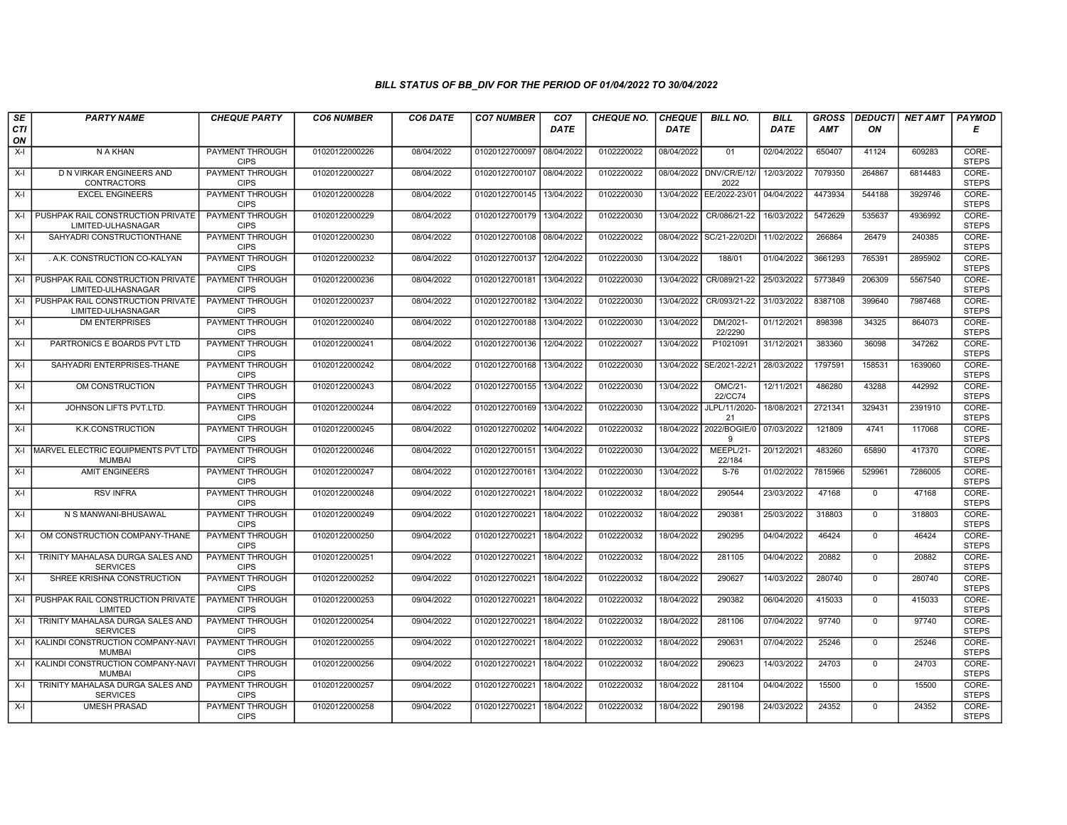| SE        | <b>PARTY NAME</b>                                       | <b>CHEQUE PARTY</b>                   | <b>CO6 NUMBER</b> | CO6 DATE   | <b>CO7 NUMBER</b>         | CO <sub>7</sub> | <b>CHEQUE NO.</b> | <b>CHEQUE</b> | <b>BILL NO.</b>      | <b>BILL</b> | <b>GROSS</b> | <b>DEDUCTI</b> | NET AMT | <b>PAYMOD</b>         |
|-----------|---------------------------------------------------------|---------------------------------------|-------------------|------------|---------------------------|-----------------|-------------------|---------------|----------------------|-------------|--------------|----------------|---------|-----------------------|
| CTI<br>ON |                                                         |                                       |                   |            |                           | <b>DATE</b>     |                   | <b>DATE</b>   |                      | DATE        | AMT          | ON             |         | Е                     |
| $X-I$     | N A KHAN                                                | <b>PAYMENT THROUGH</b><br><b>CIPS</b> | 01020122000226    | 08/04/2022 | 01020122700097 08/04/2022 |                 | 0102220022        | 08/04/2022    | 01                   | 02/04/2022  | 650407       | 41124          | 609283  | CORE-<br><b>STEPS</b> |
| $X-I$     | D N VIRKAR ENGINEERS AND<br><b>CONTRACTORS</b>          | <b>PAYMENT THROUGH</b><br><b>CIPS</b> | 01020122000227    | 08/04/2022 | 01020122700107 08/04/2022 |                 | 0102220022        | 08/04/2022    | DNV/CR/E/12/<br>2022 | 12/03/2022  | 7079350      | 264867         | 6814483 | CORE-<br><b>STEPS</b> |
| $X-I$     | <b>EXCEL ENGINEERS</b>                                  | PAYMENT THROUGH<br><b>CIPS</b>        | 01020122000228    | 08/04/2022 | 01020122700145 13/04/2022 |                 | 0102220030        | 13/04/2022    | EE/2022-23/01        | 04/04/2022  | 4473934      | 544188         | 3929746 | CORE-<br><b>STEPS</b> |
| $X-I$     | PUSHPAK RAIL CONSTRUCTION PRIVATE<br>LIMITED-ULHASNAGAR | PAYMENT THROUGH<br><b>CIPS</b>        | 01020122000229    | 08/04/2022 | 01020122700179 13/04/2022 |                 | 0102220030        | 13/04/2022    | CR/086/21-22         | 16/03/2022  | 5472629      | 535637         | 4936992 | CORE-<br><b>STEPS</b> |
| $X-I$     | SAHYADRI CONSTRUCTIONTHANE                              | <b>PAYMENT THROUGH</b><br><b>CIPS</b> | 01020122000230    | 08/04/2022 | 01020122700108 08/04/2022 |                 | 0102220022        | 08/04/2022    | SC/21-22/02DI        | 11/02/2022  | 266864       | 26479          | 240385  | CORE-<br><b>STEPS</b> |
| $X-I$     | . A.K. CONSTRUCTION CO-KALYAN                           | <b>PAYMENT THROUGH</b><br><b>CIPS</b> | 01020122000232    | 08/04/2022 | 01020122700137 12/04/2022 |                 | 0102220030        | 13/04/2022    | 188/01               | 01/04/2022  | 3661293      | 765391         | 2895902 | CORE-<br><b>STEPS</b> |
| X-I       | PUSHPAK RAIL CONSTRUCTION PRIVATE<br>LIMITED-ULHASNAGAR | PAYMENT THROUGH<br><b>CIPS</b>        | 01020122000236    | 08/04/2022 | 01020122700181            | 13/04/2022      | 0102220030        | 13/04/2022    | CR/089/21-22         | 25/03/2022  | 5773849      | 206309         | 5567540 | CORE-<br><b>STEPS</b> |
| $X-I$     | PUSHPAK RAIL CONSTRUCTION PRIVATE<br>LIMITED-ULHASNAGAR | <b>PAYMENT THROUGH</b><br><b>CIPS</b> | 01020122000237    | 08/04/2022 | 01020122700182            | 13/04/2022      | 0102220030        | 13/04/2022    | CR/093/21-22         | 31/03/2022  | 8387108      | 399640         | 7987468 | CORE-<br><b>STEPS</b> |
| $X-I$     | <b>DM ENTERPRISES</b>                                   | <b>PAYMENT THROUGH</b><br><b>CIPS</b> | 01020122000240    | 08/04/2022 | 01020122700188            | 13/04/2022      | 0102220030        | 13/04/2022    | DM/2021-<br>22/2290  | 01/12/2021  | 898398       | 34325          | 864073  | CORE-<br><b>STEPS</b> |
| $X-I$     | PARTRONICS E BOARDS PVT LTD                             | <b>PAYMENT THROUGH</b><br><b>CIPS</b> | 01020122000241    | 08/04/2022 | 01020122700136            | 12/04/2022      | 0102220027        | 13/04/2022    | P1021091             | 31/12/2021  | 383360       | 36098          | 347262  | CORE-<br><b>STEPS</b> |
| $X-I$     | SAHYADRI ENTERPRISES-THANE                              | PAYMENT THROUGH<br><b>CIPS</b>        | 01020122000242    | 08/04/2022 | 01020122700168            | 13/04/2022      | 0102220030        | 13/04/2022    | SE/2021-22/21        | 28/03/2022  | 1797591      | 158531         | 1639060 | CORE-<br><b>STEPS</b> |
| $X-I$     | OM CONSTRUCTION                                         | PAYMENT THROUGH<br><b>CIPS</b>        | 01020122000243    | 08/04/2022 | 01020122700155            | 13/04/2022      | 0102220030        | 13/04/2022    | OMC/21-<br>22/CC74   | 12/11/2021  | 486280       | 43288          | 442992  | CORE-<br><b>STEPS</b> |
| $X-I$     | JOHNSON LIFTS PVT.LTD.                                  | <b>PAYMENT THROUGH</b><br><b>CIPS</b> | 01020122000244    | 08/04/2022 | 01020122700169 13/04/2022 |                 | 0102220030        | 13/04/2022    | JLPL/11/2020<br>21   | 18/08/2021  | 2721341      | 329431         | 2391910 | CORE-<br><b>STEPS</b> |
| $X-I$     | <b>K.K.CONSTRUCTION</b>                                 | <b>PAYMENT THROUGH</b><br><b>CIPS</b> | 01020122000245    | 08/04/2022 | 01020122700202            | 14/04/2022      | 0102220032        | 18/04/2022    | 2022/BOGIE/0<br>9    | 07/03/2022  | 121809       | 4741           | 117068  | CORE-<br><b>STEPS</b> |
|           | X-I MARVEL ELECTRIC EQUIPMENTS PVT LTD<br><b>MUMBAI</b> | PAYMENT THROUGH<br><b>CIPS</b>        | 01020122000246    | 08/04/2022 | 01020122700151            | 13/04/2022      | 0102220030        | 13/04/2022    | MEEPL/21-<br>22/184  | 20/12/2021  | 483260       | 65890          | 417370  | CORE-<br><b>STEPS</b> |
| $X-I$     | <b>AMIT ENGINEERS</b>                                   | PAYMENT THROUGH<br><b>CIPS</b>        | 01020122000247    | 08/04/2022 | 01020122700161 13/04/2022 |                 | 0102220030        | 13/04/2022    | $S-76$               | 01/02/2022  | 7815966      | 529961         | 7286005 | CORE-<br><b>STEPS</b> |
| $X-I$     | <b>RSV INFRA</b>                                        | <b>PAYMENT THROUGH</b><br><b>CIPS</b> | 01020122000248    | 09/04/2022 | 01020122700221            | 18/04/2022      | 0102220032        | 18/04/2022    | 290544               | 23/03/2022  | 47168        | $\overline{0}$ | 47168   | CORE-<br><b>STEPS</b> |
| $X-I$     | N S MANWANI-BHUSAWAL                                    | <b>PAYMENT THROUGH</b><br><b>CIPS</b> | 01020122000249    | 09/04/2022 | 01020122700221            | 18/04/2022      | 0102220032        | 18/04/2022    | 290381               | 25/03/2022  | 318803       | $\Omega$       | 318803  | CORE-<br><b>STEPS</b> |
| $X-I$     | OM CONSTRUCTION COMPANY-THANE                           | PAYMENT THROUGH<br><b>CIPS</b>        | 01020122000250    | 09/04/2022 | 01020122700221            | 18/04/2022      | 0102220032        | 18/04/2022    | 290295               | 04/04/2022  | 46424        | $\mathbf{0}$   | 46424   | CORE-<br><b>STEPS</b> |
| $X-I$     | TRINITY MAHALASA DURGA SALES AND<br><b>SERVICES</b>     | PAYMENT THROUGH<br><b>CIPS</b>        | 01020122000251    | 09/04/2022 | 01020122700221            | 18/04/2022      | 0102220032        | 18/04/2022    | 281105               | 04/04/2022  | 20882        | $\Omega$       | 20882   | CORE-<br><b>STEPS</b> |
| $X-I$     | SHREE KRISHNA CONSTRUCTION                              | PAYMENT THROUGH<br><b>CIPS</b>        | 01020122000252    | 09/04/2022 | 01020122700221            | 18/04/2022      | 0102220032        | 18/04/2022    | 290627               | 14/03/2022  | 280740       | $\mathbf 0$    | 280740  | CORE-<br><b>STEPS</b> |
| $X-I$     | PUSHPAK RAIL CONSTRUCTION PRIVATE<br>LIMITED            | <b>PAYMENT THROUGH</b><br><b>CIPS</b> | 01020122000253    | 09/04/2022 | 01020122700221            | 18/04/2022      | 0102220032        | 18/04/2022    | 290382               | 06/04/2020  | 415033       | $\Omega$       | 415033  | CORE-<br><b>STEPS</b> |
| $X-I$     | TRINITY MAHALASA DURGA SALES AND<br><b>SERVICES</b>     | PAYMENT THROUGH<br><b>CIPS</b>        | 01020122000254    | 09/04/2022 | 01020122700221            | 18/04/2022      | 0102220032        | 18/04/2022    | 281106               | 07/04/2022  | 97740        | $\mathbf 0$    | 97740   | CORE-<br><b>STEPS</b> |
| $X-I$     | KALINDI CONSTRUCTION COMPANY-NAV<br><b>MUMBAI</b>       | PAYMENT THROUGH<br><b>CIPS</b>        | 01020122000255    | 09/04/2022 | 01020122700221            | 18/04/2022      | 0102220032        | 18/04/2022    | 290631               | 07/04/2022  | 25246        | $\mathbf 0$    | 25246   | CORE-<br><b>STEPS</b> |
| $X-I$     | KALINDI CONSTRUCTION COMPANY-NAVI<br><b>MUMBAI</b>      | <b>PAYMENT THROUGH</b><br><b>CIPS</b> | 01020122000256    | 09/04/2022 | 01020122700221            | 18/04/2022      | 0102220032        | 18/04/2022    | 290623               | 14/03/2022  | 24703        | $\Omega$       | 24703   | CORE-<br><b>STEPS</b> |
| $X-I$     | TRINITY MAHALASA DURGA SALES AND<br><b>SERVICES</b>     | <b>PAYMENT THROUGH</b><br><b>CIPS</b> | 01020122000257    | 09/04/2022 | 01020122700221            | 18/04/2022      | 0102220032        | 18/04/2022    | 281104               | 04/04/2022  | 15500        | $\mathbf 0$    | 15500   | CORE-<br><b>STEPS</b> |
| $X-I$     | <b>UMESH PRASAD</b>                                     | <b>PAYMENT THROUGH</b><br><b>CIPS</b> | 01020122000258    | 09/04/2022 | 01020122700221 18/04/2022 |                 | 0102220032        | 18/04/2022    | 290198               | 24/03/2022  | 24352        | $\mathbf{0}$   | 24352   | CORE-<br><b>STEPS</b> |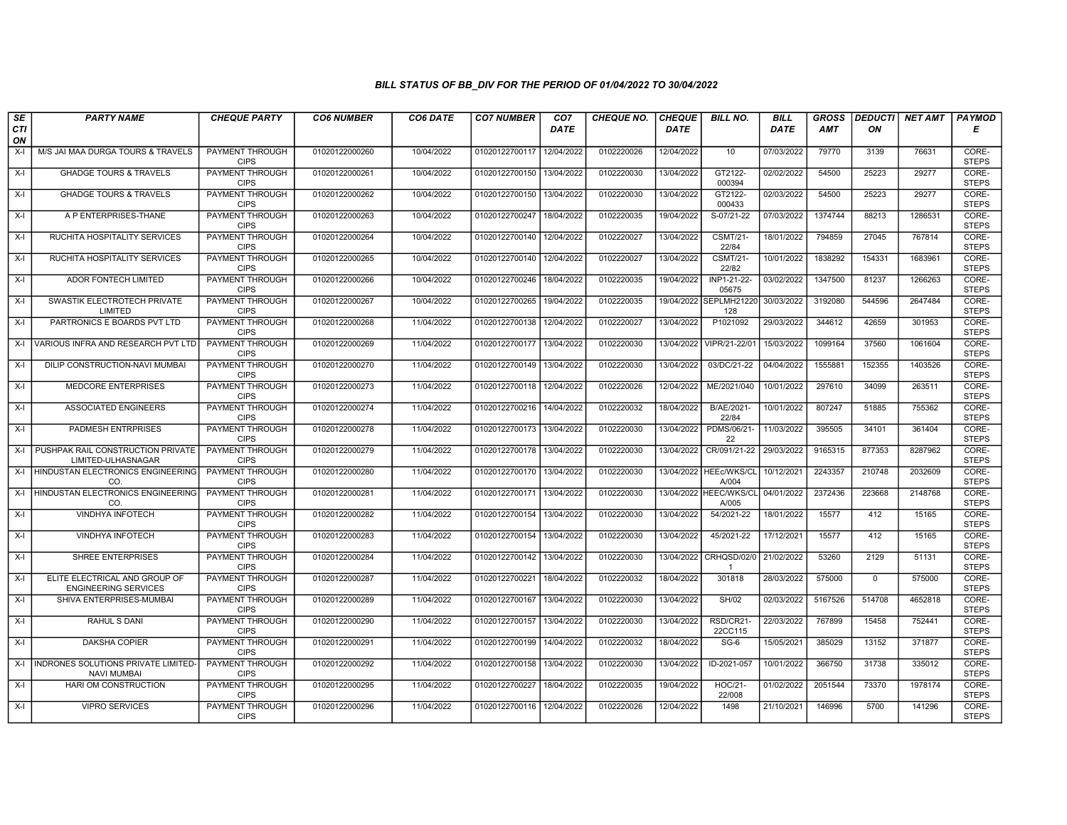| SE        | <b>PARTY NAME</b>                                             | <b>CHEQUE PARTY</b>                   | <b>CO6 NUMBER</b> | CO6 DATE   | <b>CO7 NUMBER</b>         | CO <sub>7</sub> | <b>CHEQUE NO.</b> | <b>CHEQUE</b> | <b>BILL NO.</b>                 | <b>BILL</b> | <b>GROSS</b> | <b>DEDUCTI</b> | NET AMT | <b>PAYMOD</b>         |
|-----------|---------------------------------------------------------------|---------------------------------------|-------------------|------------|---------------------------|-----------------|-------------------|---------------|---------------------------------|-------------|--------------|----------------|---------|-----------------------|
| CTI<br>ON |                                                               |                                       |                   |            |                           | <b>DATE</b>     |                   | <b>DATE</b>   |                                 | <b>DATE</b> | AMT          | ON             |         | Е                     |
| $X-I$     | M/S JAI MAA DURGA TOURS & TRAVELS                             | <b>PAYMENT THROUGH</b><br><b>CIPS</b> | 01020122000260    | 10/04/2022 | 01020122700117            | 12/04/2022      | 0102220026        | 12/04/2022    | 10                              | 07/03/2022  | 79770        | 3139           | 76631   | CORE-<br><b>STEPS</b> |
| $X-I$     | <b>GHADGE TOURS &amp; TRAVELS</b>                             | <b>PAYMENT THROUGH</b><br><b>CIPS</b> | 01020122000261    | 10/04/2022 | 01020122700150            | 13/04/2022      | 0102220030        | 13/04/2022    | GT2122-<br>000394               | 02/02/2022  | 54500        | 25223          | 29277   | CORE-<br><b>STEPS</b> |
| $X-I$     | <b>GHADGE TOURS &amp; TRAVELS</b>                             | <b>PAYMENT THROUGH</b><br><b>CIPS</b> | 01020122000262    | 10/04/2022 | 01020122700150            | 13/04/2022      | 0102220030        | 13/04/2022    | GT2122-<br>000433               | 02/03/2022  | 54500        | 25223          | 29277   | CORE-<br><b>STEPS</b> |
| $X-I$     | A P ENTERPRISES-THANE                                         | PAYMENT THROUGH<br><b>CIPS</b>        | 01020122000263    | 10/04/2022 | 01020122700247            | 18/04/2022      | 0102220035        | 19/04/2022    | S-07/21-22                      | 07/03/2022  | 1374744      | 88213          | 1286531 | CORE-<br><b>STEPS</b> |
| $X-I$     | RUCHITA HOSPITALITY SERVICES                                  | <b>PAYMENT THROUGH</b><br><b>CIPS</b> | 01020122000264    | 10/04/2022 | 01020122700140            | 12/04/2022      | 0102220027        | 13/04/2022    | <b>CSMT/21-</b><br>22/84        | 18/01/2022  | 794859       | 27045          | 767814  | CORE-<br><b>STEPS</b> |
| $X-I$     | <b>RUCHITA HOSPITALITY SERVICES</b>                           | <b>PAYMENT THROUGH</b><br><b>CIPS</b> | 01020122000265    | 10/04/2022 | 01020122700140 12/04/2022 |                 | 0102220027        | 13/04/2022    | <b>CSMT/21-</b><br>22/82        | 10/01/2022  | 1838292      | 154331         | 1683961 | CORE-<br><b>STEPS</b> |
| $X-I$     | ADOR FONTECH LIMITED                                          | PAYMENT THROUGH<br><b>CIPS</b>        | 01020122000266    | 10/04/2022 | 01020122700246            | 18/04/2022      | 0102220035        | 19/04/2022    | INP1-21-22-<br>05675            | 03/02/2022  | 1347500      | 81237          | 1266263 | CORE-<br><b>STEPS</b> |
| $X-I$     | SWASTIK ELECTROTECH PRIVATE<br>LIMITED                        | <b>PAYMENT THROUGH</b><br><b>CIPS</b> | 01020122000267    | 10/04/2022 | 01020122700265            | 19/04/2022      | 0102220035        |               | 19/04/2022 SEPLMH21220<br>128   | 30/03/2022  | 3192080      | 544596         | 2647484 | CORE-<br><b>STEPS</b> |
| $X-I$     | PARTRONICS E BOARDS PVT LTD                                   | <b>PAYMENT THROUGH</b><br><b>CIPS</b> | 01020122000268    | 11/04/2022 | 01020122700138            | 12/04/2022      | 0102220027        | 13/04/2022    | P1021092                        | 29/03/2022  | 344612       | 42659          | 301953  | CORE-<br><b>STEPS</b> |
|           | X-I VARIOUS INFRA AND RESEARCH PVT LTD                        | <b>PAYMENT THROUGH</b><br><b>CIPS</b> | 01020122000269    | 11/04/2022 | 01020122700177            | 13/04/2022      | 0102220030        | 13/04/2022    | VIPR/21-22/01                   | 15/03/2022  | 1099164      | 37560          | 1061604 | CORE-<br><b>STEPS</b> |
| $X-I$     | DILIP CONSTRUCTION-NAVI MUMBAI                                | PAYMENT THROUGH<br><b>CIPS</b>        | 01020122000270    | 11/04/2022 | 01020122700149            | 13/04/2022      | 0102220030        | 13/04/2022    | 03/DC/21-22                     | 04/04/2022  | 1555881      | 152355         | 1403526 | CORE-<br><b>STEPS</b> |
| $X-I$     | MEDCORE ENTERPRISES                                           | PAYMENT THROUGH<br><b>CIPS</b>        | 01020122000273    | 11/04/2022 | 01020122700118 12/04/2022 |                 | 0102220026        | 12/04/2022    | ME/2021/040                     | 10/01/2022  | 297610       | 34099          | 263511  | CORE-<br><b>STEPS</b> |
| $X-I$     | <b>ASSOCIATED ENGINEERS</b>                                   | PAYMENT THROUGH<br><b>CIPS</b>        | 01020122000274    | 11/04/2022 | 01020122700216 14/04/2022 |                 | 0102220032        | 18/04/2022    | B/AE/2021-<br>22/84             | 10/01/2022  | 807247       | 51885          | 755362  | CORE-<br><b>STEPS</b> |
| $X-I$     | PADMESH ENTRPRISES                                            | <b>PAYMENT THROUGH</b><br><b>CIPS</b> | 01020122000278    | 11/04/2022 | 01020122700173            | 13/04/2022      | 0102220030        | 13/04/2022    | PDMS/06/21-<br>22               | 11/03/2022  | 395505       | 34101          | 361404  | CORE-<br><b>STEPS</b> |
|           | X-I PUSHPAK RAIL CONSTRUCTION PRIVATE<br>LIMITED-ULHASNAGAR   | PAYMENT THROUGH<br><b>CIPS</b>        | 01020122000279    | 11/04/2022 | 01020122700178            | 13/04/2022      | 0102220030        | 13/04/2022    | CR/091/21-22                    | 29/03/2022  | 9165315      | 877353         | 8287962 | CORE-<br><b>STEPS</b> |
| $X-I$     | HINDUSTAN ELECTRONICS ENGINEERING<br>CO.                      | PAYMENT THROUGH<br><b>CIPS</b>        | 01020122000280    | 11/04/2022 | 01020122700170            | 13/04/2022      | 0102220030        |               | 13/04/2022 HEEc/WKS/CL<br>A/004 | 10/12/2021  | 2243357      | 210748         | 2032609 | CORE-<br><b>STEPS</b> |
|           | X-I HINDUSTAN ELECTRONICS ENGINEERING<br>CO.                  | <b>PAYMENT THROUGH</b><br><b>CIPS</b> | 01020122000281    | 11/04/2022 | 01020122700171            | 13/04/2022      | 0102220030        |               | 13/04/2022 HEEC/WKS/CL<br>A/005 | 04/01/2022  | 2372436      | 223668         | 2148768 | CORE-<br><b>STEPS</b> |
| $X-I$     | <b>VINDHYA INFOTECH</b>                                       | <b>PAYMENT THROUGH</b><br><b>CIPS</b> | 01020122000282    | 11/04/2022 | 01020122700154 13/04/2022 |                 | 0102220030        | 13/04/2022    | 54/2021-22                      | 18/01/2022  | 15577        | 412            | 15165   | CORE-<br><b>STEPS</b> |
| $X-I$     | VINDHYA INFOTECH                                              | <b>PAYMENT THROUGH</b><br><b>CIPS</b> | 01020122000283    | 11/04/2022 | 01020122700154            | 13/04/2022      | 0102220030        | 13/04/2022    | 45/2021-22                      | 17/12/2021  | 15577        | 412            | 15165   | CORE-<br><b>STEPS</b> |
| $X-I$     | SHREE ENTERPRISES                                             | <b>PAYMENT THROUGH</b><br><b>CIPS</b> | 01020122000284    | 11/04/2022 | 01020122700142            | 13/04/2022      | 0102220030        | 13/04/2022    | CRHQSD/02/0<br>$\overline{1}$   | 21/02/2022  | 53260        | 2129           | 51131   | CORE-<br><b>STEPS</b> |
| $X-I$     | ELITE ELECTRICAL AND GROUP OF<br><b>ENGINEERING SERVICES</b>  | <b>PAYMENT THROUGH</b><br><b>CIPS</b> | 01020122000287    | 11/04/2022 | 01020122700221            | 18/04/2022      | 0102220032        | 18/04/2022    | 301818                          | 28/03/2022  | 575000       | $\mathbf 0$    | 575000  | CORE-<br><b>STEPS</b> |
| $X-I$     | SHIVA ENTERPRISES-MUMBAI                                      | <b>PAYMENT THROUGH</b><br><b>CIPS</b> | 01020122000289    | 11/04/2022 | 01020122700167            | 13/04/2022      | 0102220030        | 13/04/2022    | SH/02                           | 02/03/2022  | 5167526      | 514708         | 4652818 | CORE-<br><b>STEPS</b> |
| $X-I$     | RAHUL S DANI                                                  | PAYMENT THROUGH<br><b>CIPS</b>        | 01020122000290    | 11/04/2022 | 01020122700157            | 13/04/2022      | 0102220030        | 13/04/2022    | RSD/CR21-<br>22CC115            | 22/03/2022  | 767899       | 15458          | 752441  | CORE-<br><b>STEPS</b> |
| $X-I$     | <b>DAKSHA COPIER</b>                                          | PAYMENT THROUGH<br><b>CIPS</b>        | 01020122000291    | 11/04/2022 | 01020122700199            | 14/04/2022      | 0102220032        | 18/04/2022    | $SG-6$                          | 15/05/2021  | 385029       | 13152          | 371877  | CORE-<br><b>STEPS</b> |
|           | X-I INDRONES SOLUTIONS PRIVATE LIMITED-<br><b>NAVI MUMBAI</b> | <b>PAYMENT THROUGH</b><br><b>CIPS</b> | 01020122000292    | 11/04/2022 | 01020122700158            | 13/04/2022      | 0102220030        | 13/04/2022    | ID-2021-057                     | 10/01/2022  | 366750       | 31738          | 335012  | CORE-<br><b>STEPS</b> |
| $X-I$     | HARI OM CONSTRUCTION                                          | <b>PAYMENT THROUGH</b><br><b>CIPS</b> | 01020122000295    | 11/04/2022 | 01020122700227            | 18/04/2022      | 0102220035        | 19/04/2022    | <b>HOC/21-</b><br>22/008        | 01/02/2022  | 2051544      | 73370          | 1978174 | CORE-<br><b>STEPS</b> |
| $X-I$     | <b>VIPRO SERVICES</b>                                         | PAYMENT THROUGH<br><b>CIPS</b>        | 01020122000296    | 11/04/2022 | 01020122700116 12/04/2022 |                 | 0102220026        | 12/04/2022    | 1498                            | 21/10/2021  | 146996       | 5700           | 141296  | CORE-<br><b>STEPS</b> |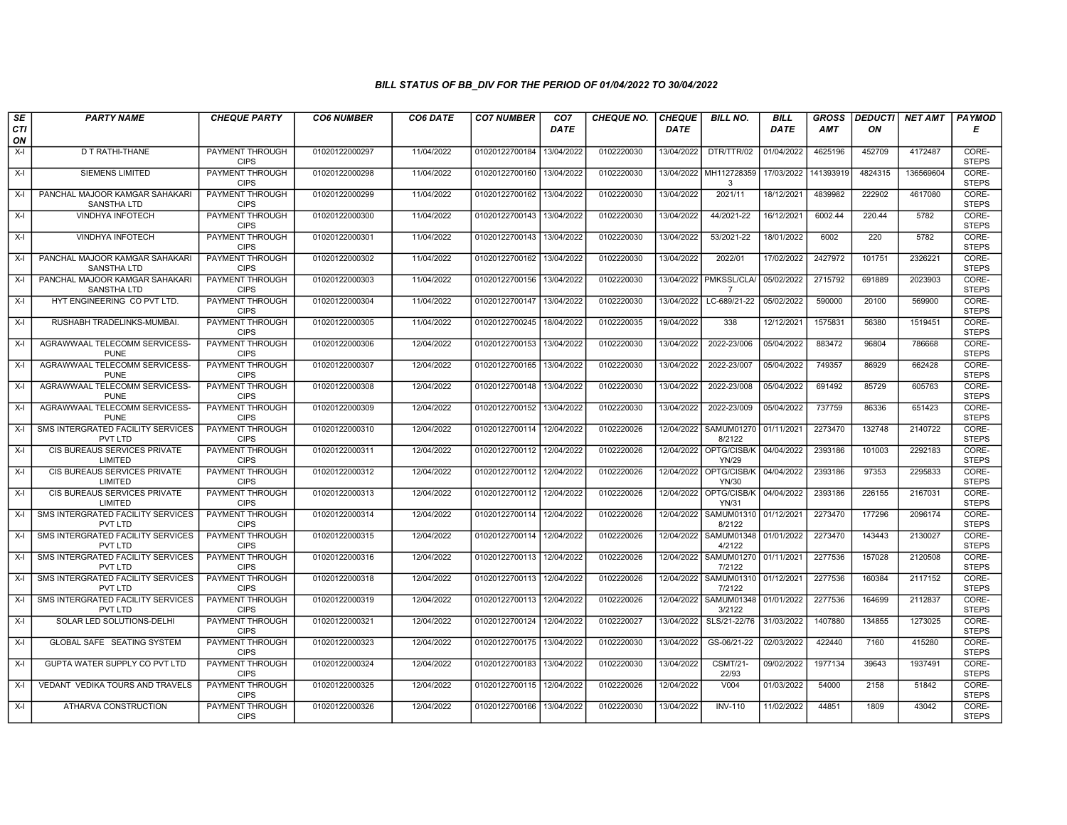| SE        | <b>PARTY NAME</b>                                    | <b>CHEQUE PARTY</b>                   | <b>CO6 NUMBER</b> | CO6 DATE   | <b>CO7 NUMBER</b>         | CO <sub>7</sub> | <b>CHEQUE NO.</b> | <b>CHEQUE</b> | <b>BILL NO.</b>                        | <b>BILL</b> | <b>GROSS</b> |         | <b>DEDUCTI</b> NET AMT | <b>PAYMOD</b>         |
|-----------|------------------------------------------------------|---------------------------------------|-------------------|------------|---------------------------|-----------------|-------------------|---------------|----------------------------------------|-------------|--------------|---------|------------------------|-----------------------|
| CTI<br>ON |                                                      |                                       |                   |            |                           | <b>DATE</b>     |                   | <b>DATE</b>   |                                        | <b>DATE</b> | AMT          | ON      |                        | Е                     |
| $X-I$     | D T RATHI-THANE                                      | <b>PAYMENT THROUGH</b><br><b>CIPS</b> | 01020122000297    | 11/04/2022 | 01020122700184            | 13/04/2022      | 0102220030        | 13/04/2022    | DTR/TTR/02                             | 01/04/2022  | 4625196      | 452709  | 4172487                | CORE-<br><b>STEPS</b> |
| X-I       | <b>SIEMENS LIMITED</b>                               | <b>PAYMENT THROUGH</b><br><b>CIPS</b> | 01020122000298    | 11/04/2022 | 01020122700160            | 13/04/2022      | 0102220030        | 13/04/2022    | MH112728359<br>3                       | 17/03/2022  | 141393919    | 4824315 | 136569604              | CORE-<br><b>STEPS</b> |
| X-I       | PANCHAL MAJOOR KAMGAR SAHAKARI<br><b>SANSTHA LTD</b> | PAYMENT THROUGH<br><b>CIPS</b>        | 01020122000299    | 11/04/2022 | 01020122700162            | 13/04/2022      | 0102220030        | 13/04/2022    | 2021/11                                | 18/12/2021  | 4839982      | 222902  | 4617080                | CORE-<br><b>STEPS</b> |
| X-I       | VINDHYA INFOTECH                                     | PAYMENT THROUGH<br><b>CIPS</b>        | 01020122000300    | 11/04/2022 | 01020122700143            | 13/04/2022      | 0102220030        | 13/04/2022    | 44/2021-22                             | 16/12/2021  | 6002.44      | 220.44  | 5782                   | CORE-<br><b>STEPS</b> |
| $X-I$     | <b>VINDHYA INFOTECH</b>                              | <b>PAYMENT THROUGH</b><br><b>CIPS</b> | 01020122000301    | 11/04/2022 | 01020122700143 13/04/2022 |                 | 0102220030        | 13/04/2022    | 53/2021-22                             | 18/01/2022  | 6002         | 220     | 5782                   | CORE-<br><b>STEPS</b> |
| X-I       | PANCHAL MAJOOR KAMGAR SAHAKARI<br><b>SANSTHA LTD</b> | <b>PAYMENT THROUGH</b><br><b>CIPS</b> | 01020122000302    | 11/04/2022 | 01020122700162 13/04/2022 |                 | 0102220030        | 13/04/2022    | 2022/01                                | 17/02/2022  | 2427972      | 101751  | 2326221                | CORE-<br><b>STEPS</b> |
| X-I       | PANCHAL MAJOOR KAMGAR SAHAKARI<br><b>SANSTHA LTD</b> | PAYMENT THROUGH<br><b>CIPS</b>        | 01020122000303    | 11/04/2022 | 01020122700156            | 13/04/2022      | 0102220030        | 13/04/2022    | PMKSSL/CLA<br>$\overline{7}$           | 05/02/2022  | 2715792      | 691889  | 2023903                | CORE-<br><b>STEPS</b> |
| $X-I$     | HYT ENGINEERING CO PVT LTD.                          | <b>PAYMENT THROUGH</b><br><b>CIPS</b> | 01020122000304    | 11/04/2022 | 01020122700147            | 13/04/2022      | 0102220030        | 13/04/2022    | LC-689/21-22                           | 05/02/2022  | 590000       | 20100   | 569900                 | CORE-<br><b>STEPS</b> |
| X-I       | RUSHABH TRADELINKS-MUMBAI.                           | <b>PAYMENT THROUGH</b><br><b>CIPS</b> | 01020122000305    | 11/04/2022 | 01020122700245            | 18/04/2022      | 0102220035        | 19/04/2022    | 338                                    | 12/12/2021  | 1575831      | 56380   | 1519451                | CORE-<br><b>STEPS</b> |
| $X-I$     | AGRAWWAAL TELECOMM SERVICESS-<br><b>PUNE</b>         | PAYMENT THROUGH<br><b>CIPS</b>        | 01020122000306    | 12/04/2022 | 01020122700153 13/04/2022 |                 | 0102220030        | 13/04/2022    | 2022-23/006                            | 05/04/2022  | 883472       | 96804   | 786668                 | CORE-<br><b>STEPS</b> |
| X-I       | AGRAWWAAL TELECOMM SERVICESS-<br><b>PUNE</b>         | PAYMENT THROUGH<br><b>CIPS</b>        | 01020122000307    | 12/04/2022 | 01020122700165            | 13/04/2022      | 0102220030        | 13/04/2022    | 2022-23/007                            | 05/04/2022  | 749357       | 86929   | 662428                 | CORE-<br><b>STEPS</b> |
| $X-I$     | AGRAWWAAL TELECOMM SERVICESS-<br><b>PUNE</b>         | PAYMENT THROUGH<br><b>CIPS</b>        | 01020122000308    | 12/04/2022 | 01020122700148            | 13/04/2022      | 0102220030        | 13/04/2022    | 2022-23/008                            | 05/04/2022  | 691492       | 85729   | 605763                 | CORE-<br><b>STEPS</b> |
| X-I       | AGRAWWAAL TELECOMM SERVICESS-<br><b>PUNE</b>         | PAYMENT THROUGH<br><b>CIPS</b>        | 01020122000309    | 12/04/2022 | 01020122700152            | 13/04/2022      | 0102220030        | 13/04/2022    | 2022-23/009                            | 05/04/2022  | 737759       | 86336   | 651423                 | CORE-<br><b>STEPS</b> |
| X-I       | SMS INTERGRATED FACILITY SERVICES<br>PVT LTD         | <b>PAYMENT THROUGH</b><br><b>CIPS</b> | 01020122000310    | 12/04/2022 | 01020122700114 12/04/2022 |                 | 0102220026        | 12/04/2022    | <b>SAMUM01270</b><br>8/2122            | 01/11/2021  | 2273470      | 132748  | 2140722                | CORE-<br><b>STEPS</b> |
| X-I       | CIS BUREAUS SERVICES PRIVATE<br>LIMITED              | PAYMENT THROUGH<br><b>CIPS</b>        | 01020122000311    | 12/04/2022 | 01020122700112 12/04/2022 |                 | 0102220026        |               | 12/04/2022 OPTG/CISB/K<br><b>YN/29</b> | 04/04/2022  | 2393186      | 101003  | 2292183                | CORE-<br><b>STEPS</b> |
| $X-I$     | CIS BUREAUS SERVICES PRIVATE<br>LIMITED              | PAYMENT THROUGH<br><b>CIPS</b>        | 01020122000312    | 12/04/2022 | 01020122700112 12/04/2022 |                 | 0102220026        | 12/04/2022    | OPTG/CISB/K<br>YN/30                   | 04/04/2022  | 2393186      | 97353   | 2295833                | CORE-<br><b>STEPS</b> |
| $X-I$     | CIS BUREAUS SERVICES PRIVATE<br>LIMITED              | <b>PAYMENT THROUGH</b><br><b>CIPS</b> | 01020122000313    | 12/04/2022 | 01020122700112 12/04/2022 |                 | 0102220026        | 12/04/2022    | OPTG/CISB/K<br><b>YN/31</b>            | 04/04/2022  | 2393186      | 226155  | 2167031                | CORE-<br><b>STEPS</b> |
| $X-I$     | <b>SMS INTERGRATED FACILITY SERVICES</b><br>PVT LTD  | PAYMENT THROUGH<br><b>CIPS</b>        | 01020122000314    | 12/04/2022 | 01020122700114            | 12/04/2022      | 0102220026        | 12/04/2022    | <b>SAMUM01310</b><br>8/2122            | 01/12/2021  | 2273470      | 177296  | 2096174                | CORE-<br><b>STEPS</b> |
| $X-I$     | SMS INTERGRATED FACILITY SERVICES<br><b>PVT LTD</b>  | PAYMENT THROUGH<br><b>CIPS</b>        | 01020122000315    | 12/04/2022 | 01020122700114            | 12/04/2022      | 0102220026        | 12/04/2022    | SAMUM01348<br>4/2122                   | 01/01/2022  | 2273470      | 143443  | 2130027                | CORE-<br><b>STEPS</b> |
| $X-I$     | SMS INTERGRATED FACILITY SERVICES<br><b>PVT LTD</b>  | PAYMENT THROUGH<br><b>CIPS</b>        | 01020122000316    | 12/04/2022 | 01020122700113            | 12/04/2022      | 0102220026        | 12/04/2022    | <b>SAMUM01270</b><br>7/2122            | 01/11/2021  | 2277536      | 157028  | 2120508                | CORE-<br><b>STEPS</b> |
| X-I       | SMS INTERGRATED FACILITY SERVICES<br>PVT LTD         | PAYMENT THROUGH<br><b>CIPS</b>        | 01020122000318    | 12/04/2022 | 01020122700113            | 12/04/2022      | 0102220026        | 12/04/2022    | <b>SAMUM01310</b><br>7/2122            | 01/12/2021  | 2277536      | 160384  | 2117152                | CORE-<br><b>STEPS</b> |
| X-I       | SMS INTERGRATED FACILITY SERVICES<br><b>PVT LTD</b>  | <b>PAYMENT THROUGH</b><br><b>CIPS</b> | 01020122000319    | 12/04/2022 | 01020122700113 12/04/2022 |                 | 0102220026        | 12/04/2022    | <b>SAMUM01348</b><br>3/2122            | 01/01/2022  | 2277536      | 164699  | 2112837                | CORE-<br><b>STEPS</b> |
| $X-I$     | SOLAR LED SOLUTIONS-DELHI                            | PAYMENT THROUGH<br><b>CIPS</b>        | 01020122000321    | 12/04/2022 | 01020122700124            | 12/04/2022      | 0102220027        | 13/04/2022    | SLS/21-22/76                           | 31/03/2022  | 1407880      | 134855  | 1273025                | CORE-<br><b>STEPS</b> |
| $X-I$     | GLOBAL SAFE SEATING SYSTEM                           | PAYMENT THROUGH<br><b>CIPS</b>        | 01020122000323    | 12/04/2022 | 01020122700175            | 13/04/2022      | 0102220030        | 13/04/2022    | GS-06/21-22                            | 02/03/2022  | 422440       | 7160    | 415280                 | CORE-<br><b>STEPS</b> |
| X-I       | GUPTA WATER SUPPLY CO PVT LTD                        | PAYMENT THROUGH<br><b>CIPS</b>        | 01020122000324    | 12/04/2022 | 01020122700183            | 13/04/2022      | 0102220030        | 13/04/2022    | <b>CSMT/21-</b><br>22/93               | 09/02/2022  | 1977134      | 39643   | 1937491                | CORE-<br><b>STEPS</b> |
| $X-I$     | VEDANT VEDIKA TOURS AND TRAVELS                      | <b>PAYMENT THROUGH</b><br><b>CIPS</b> | 01020122000325    | 12/04/2022 | 01020122700115            | 12/04/2022      | 0102220026        | 12/04/2022    | V004                                   | 01/03/2022  | 54000        | 2158    | 51842                  | CORE-<br><b>STEPS</b> |
| $X-I$     | ATHARVA CONSTRUCTION                                 | <b>PAYMENT THROUGH</b><br><b>CIPS</b> | 01020122000326    | 12/04/2022 | 01020122700166 13/04/2022 |                 | 0102220030        | 13/04/2022    | <b>INV-110</b>                         | 11/02/2022  | 44851        | 1809    | 43042                  | CORE-<br><b>STEPS</b> |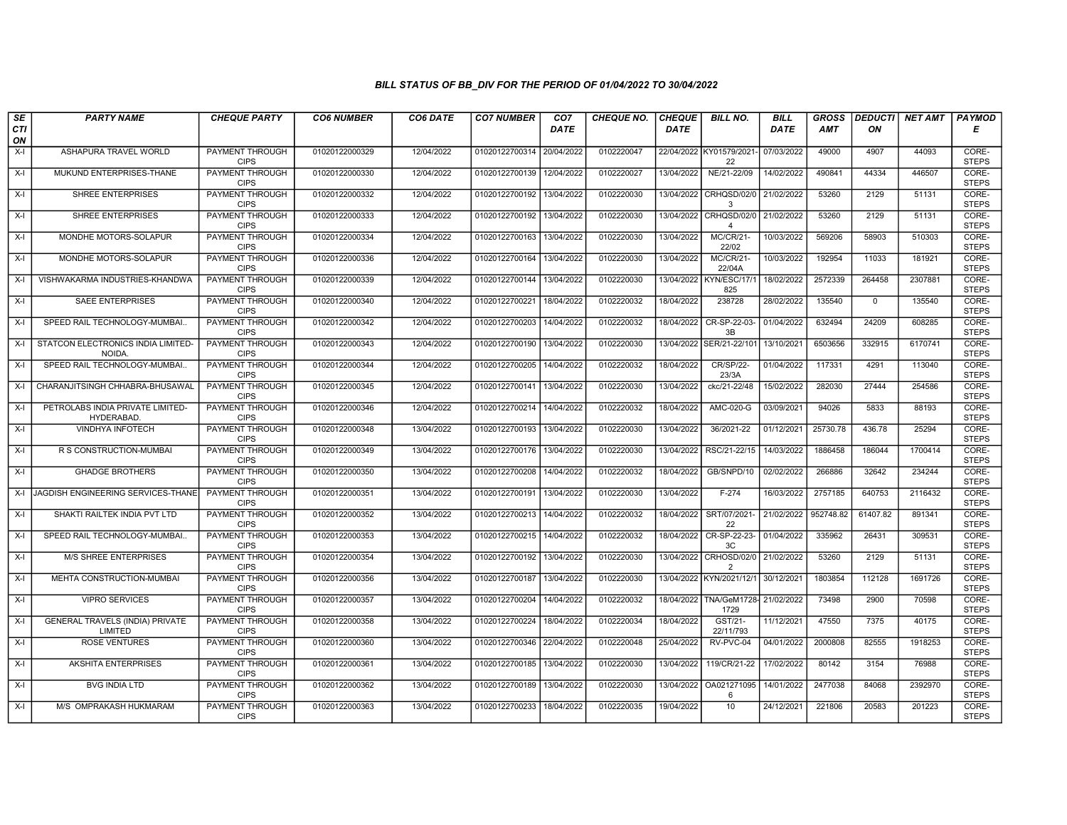| SE               | <b>PARTY NAME</b>                                  | <b>CHEQUE PARTY</b>                   | <b>CO6 NUMBER</b> | CO6 DATE   | <b>CO7 NUMBER</b>         | CO <sub>7</sub> | <b>CHEQUE NO.</b> | <b>CHEQUE</b> | <b>BILL NO.</b>                        | <b>BILL</b> | <b>GROSS</b> |             | DEDUCTI NET AMT | <b>PAYMOD</b>         |
|------------------|----------------------------------------------------|---------------------------------------|-------------------|------------|---------------------------|-----------------|-------------------|---------------|----------------------------------------|-------------|--------------|-------------|-----------------|-----------------------|
| <b>CTI</b><br>ON |                                                    |                                       |                   |            |                           | <b>DATE</b>     |                   | <b>DATE</b>   |                                        | <b>DATE</b> | AMT          | ON          |                 | Е                     |
| $X-I$            | ASHAPURA TRAVEL WORLD                              | PAYMENT THROUGH<br><b>CIPS</b>        | 01020122000329    | 12/04/2022 | 01020122700314            | 20/04/2022      | 0102220047        |               | 22/04/2022 KY01579/2021-<br>22         | 07/03/2022  | 49000        | 4907        | 44093           | CORE-<br><b>STEPS</b> |
| X-I              | MUKUND ENTERPRISES-THANE                           | <b>PAYMENT THROUGH</b><br><b>CIPS</b> | 01020122000330    | 12/04/2022 | 01020122700139            | 12/04/2022      | 0102220027        | 13/04/2022    | NE/21-22/09                            | 14/02/2022  | 490841       | 44334       | 446507          | CORE-<br><b>STEPS</b> |
| X-I              | SHREE ENTERPRISES                                  | PAYMENT THROUGH<br><b>CIPS</b>        | 01020122000332    | 12/04/2022 | 01020122700192            | 13/04/2022      | 0102220030        | 13/04/2022    | CRHQSD/02/0<br>3                       | 21/02/2022  | 53260        | 2129        | 51131           | CORE-<br><b>STEPS</b> |
| X-I              | SHREE ENTERPRISES                                  | PAYMENT THROUGH<br><b>CIPS</b>        | 01020122000333    | 12/04/2022 | 01020122700192            | 13/04/2022      | 0102220030        | 13/04/2022    | CRHQSD/02/0<br>$\overline{\mathbf{4}}$ | 21/02/2022  | 53260        | 2129        | 51131           | CORE-<br><b>STEPS</b> |
| X-I              | MONDHE MOTORS-SOLAPUR                              | <b>PAYMENT THROUGH</b><br><b>CIPS</b> | 01020122000334    | 12/04/2022 | 01020122700163            | 13/04/2022      | 0102220030        | 13/04/2022    | <b>MC/CR/21-</b><br>22/02              | 10/03/2022  | 569206       | 58903       | 510303          | CORE-<br><b>STEPS</b> |
| X-I              | MONDHE MOTORS-SOLAPUR                              | <b>PAYMENT THROUGH</b><br><b>CIPS</b> | 01020122000336    | 12/04/2022 | 01020122700164 13/04/2022 |                 | 0102220030        | 13/04/2022    | <b>MC/CR/21-</b><br>22/04A             | 10/03/2022  | 192954       | 11033       | 181921          | CORE-<br><b>STEPS</b> |
| X-I              | VISHWAKARMA INDUSTRIES-KHANDWA                     | PAYMENT THROUGH<br><b>CIPS</b>        | 01020122000339    | 12/04/2022 | 01020122700144            | 13/04/2022      | 0102220030        | 13/04/2022    | KYN/ESC/17/1<br>825                    | 18/02/2022  | 2572339      | 264458      | 2307881         | CORE-<br><b>STEPS</b> |
| X-I              | <b>SAEE ENTERPRISES</b>                            | PAYMENT THROUGH<br><b>CIPS</b>        | 01020122000340    | 12/04/2022 | 01020122700221            | 18/04/2022      | 0102220032        | 18/04/2022    | 238728                                 | 28/02/2022  | 135540       | $\mathbf 0$ | 135540          | CORE-<br><b>STEPS</b> |
| X-I              | SPEED RAIL TECHNOLOGY-MUMBAI.                      | PAYMENT THROUGH<br><b>CIPS</b>        | 01020122000342    | 12/04/2022 | 01020122700203            | 14/04/2022      | 0102220032        | 18/04/2022    | CR-SP-22-03-<br>3B                     | 01/04/2022  | 632494       | 24209       | 608285          | CORE-<br><b>STEPS</b> |
| X-I              | STATCON ELECTRONICS INDIA LIMITED-<br><b>NOIDA</b> | <b>PAYMENT THROUGH</b><br><b>CIPS</b> | 01020122000343    | 12/04/2022 | 01020122700190            | 13/04/2022      | 0102220030        | 13/04/2022    | SER/21-22/101                          | 13/10/2021  | 6503656      | 332915      | 6170741         | CORE-<br><b>STEPS</b> |
| $X-I$            | SPEED RAIL TECHNOLOGY-MUMBAI.                      | PAYMENT THROUGH<br><b>CIPS</b>        | 01020122000344    | 12/04/2022 | 01020122700205            | 14/04/2022      | 0102220032        | 18/04/2022    | <b>CR/SP/22-</b><br>23/3A              | 01/04/2022  | 117331       | 4291        | 113040          | CORE-<br><b>STEPS</b> |
| X-I              | CHARANJITSINGH CHHABRA-BHUSAWAL                    | PAYMENT THROUGH<br><b>CIPS</b>        | 01020122000345    | 12/04/2022 | 01020122700141 13/04/2022 |                 | 0102220030        | 13/04/2022    | ckc/21-22/48                           | 15/02/2022  | 282030       | 27444       | 254586          | CORE-<br><b>STEPS</b> |
| X-I              | PETROLABS INDIA PRIVATE LIMITED-<br>HYDERABAD.     | <b>PAYMENT THROUGH</b><br><b>CIPS</b> | 01020122000346    | 12/04/2022 | 01020122700214            | 14/04/2022      | 0102220032        | 18/04/2022    | AMC-020-G                              | 03/09/2021  | 94026        | 5833        | 88193           | CORE-<br><b>STEPS</b> |
| X-I              | <b>VINDHYA INFOTECH</b>                            | <b>PAYMENT THROUGH</b><br><b>CIPS</b> | 01020122000348    | 13/04/2022 | 01020122700193            | 13/04/2022      | 0102220030        | 13/04/2022    | 36/2021-22                             | 01/12/2021  | 25730.78     | 436.78      | 25294           | CORE-<br><b>STEPS</b> |
| $X-I$            | R S CONSTRUCTION-MUMBAI                            | PAYMENT THROUGH<br><b>CIPS</b>        | 01020122000349    | 13/04/2022 | 01020122700176            | 13/04/2022      | 0102220030        | 13/04/2022    | RSC/21-22/15                           | 14/03/2022  | 1886458      | 186044      | 1700414         | CORE-<br><b>STEPS</b> |
| X-I              | <b>GHADGE BROTHERS</b>                             | PAYMENT THROUGH<br><b>CIPS</b>        | 01020122000350    | 13/04/2022 | 01020122700208            | 14/04/2022      | 0102220032        | 18/04/2022    | GB/SNPD/10                             | 02/02/2022  | 266886       | 32642       | 234244          | CORE-<br><b>STEPS</b> |
| X-I              | JAGDISH ENGINEERING SERVICES-THANE                 | <b>PAYMENT THROUGH</b><br><b>CIPS</b> | 01020122000351    | 13/04/2022 | 01020122700191 13/04/2022 |                 | 0102220030        | 13/04/2022    | $F-274$                                | 16/03/2022  | 2757185      | 640753      | 2116432         | CORE-<br><b>STEPS</b> |
| X-I              | SHAKTI RAILTEK INDIA PVT LTD                       | <b>PAYMENT THROUGH</b><br><b>CIPS</b> | 01020122000352    | 13/04/2022 | 01020122700213            | 14/04/2022      | 0102220032        | 18/04/2022    | SRT/07/2021<br>22                      | 21/02/2022  | 952748.82    | 61407.82    | 891341          | CORE-<br><b>STEPS</b> |
| $X-I$            | SPEED RAIL TECHNOLOGY-MUMBAI.                      | PAYMENT THROUGH<br><b>CIPS</b>        | 01020122000353    | 13/04/2022 | 01020122700215            | 14/04/2022      | 0102220032        | 18/04/2022    | CR-SP-22-23-<br>3C                     | 01/04/2022  | 335962       | 26431       | 309531          | CORE-<br><b>STEPS</b> |
| $X-I$            | <b>M/S SHREE ENTERPRISES</b>                       | PAYMENT THROUGH<br><b>CIPS</b>        | 01020122000354    | 13/04/2022 | 01020122700192            | 13/04/2022      | 0102220030        | 13/04/2022    | CRHOSD/02/0<br>$\overline{2}$          | 21/02/2022  | 53260        | 2129        | 51131           | CORE-<br><b>STEPS</b> |
| $X-I$            | MEHTA CONSTRUCTION-MUMBAI                          | PAYMENT THROUGH<br><b>CIPS</b>        | 01020122000356    | 13/04/2022 | 01020122700187            | 13/04/2022      | 0102220030        |               | 13/04/2022 KYN/2021/12/1               | 30/12/2021  | 1803854      | 112128      | 1691726         | CORE-<br><b>STEPS</b> |
| X-I              | <b>VIPRO SERVICES</b>                              | <b>PAYMENT THROUGH</b><br><b>CIPS</b> | 01020122000357    | 13/04/2022 | 01020122700204            | 14/04/2022      | 0102220032        | 18/04/2022    | TNA/GeM1728- 21/02/2022<br>1729        |             | 73498        | 2900        | 70598           | CORE-<br><b>STEPS</b> |
| X-I              | GENERAL TRAVELS (INDIA) PRIVATE<br>LIMITED         | PAYMENT THROUGH<br><b>CIPS</b>        | 01020122000358    | 13/04/2022 | 01020122700224            | 18/04/2022      | 0102220034        | 18/04/2022    | GST/21-<br>22/11/793                   | 11/12/2021  | 47550        | 7375        | 40175           | CORE-<br><b>STEPS</b> |
| $X-I$            | <b>ROSE VENTURES</b>                               | PAYMENT THROUGH<br><b>CIPS</b>        | 01020122000360    | 13/04/2022 | 01020122700346            | 22/04/2022      | 0102220048        | 25/04/2022    | RV-PVC-04                              | 04/01/2022  | 2000808      | 82555       | 1918253         | CORE-<br><b>STEPS</b> |
| X-I              | <b>AKSHITA ENTERPRISES</b>                         | PAYMENT THROUGH<br><b>CIPS</b>        | 01020122000361    | 13/04/2022 | 01020122700185            | 13/04/2022      | 0102220030        | 13/04/2022    | 119/CR/21-22                           | 17/02/2022  | 80142        | 3154        | 76988           | CORE-<br><b>STEPS</b> |
| X-I              | <b>BVG INDIA LTD</b>                               | PAYMENT THROUGH<br><b>CIPS</b>        | 01020122000362    | 13/04/2022 | 01020122700189            | 13/04/2022      | 0102220030        | 13/04/2022    | OA021271095<br>6                       | 14/01/2022  | 2477038      | 84068       | 2392970         | CORE-<br><b>STEPS</b> |
| X-I              | M/S OMPRAKASH HUKMARAM                             | <b>PAYMENT THROUGH</b><br><b>CIPS</b> | 01020122000363    | 13/04/2022 | 01020122700233            | 18/04/2022      | 0102220035        | 19/04/2022    | 10                                     | 24/12/2021  | 221806       | 20583       | 201223          | CORE-<br><b>STEPS</b> |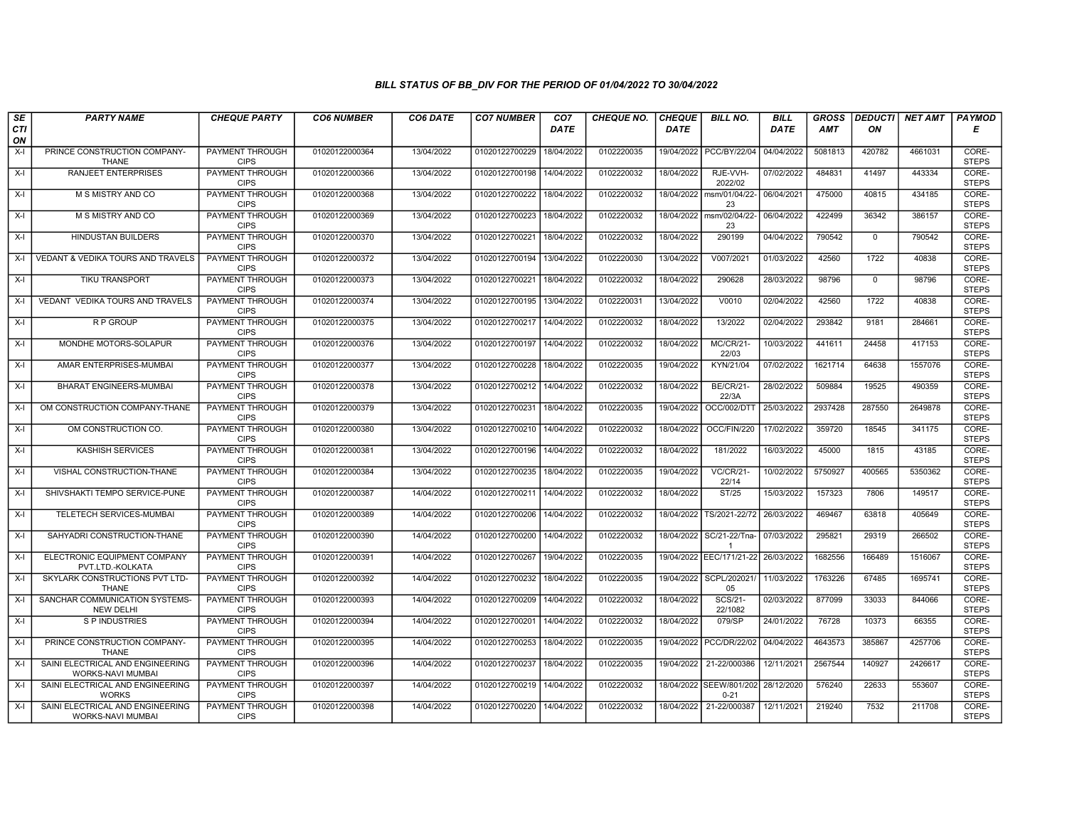| SE        | <b>PARTY NAME</b>                                            | <b>CHEQUE PARTY</b>                   | <b>CO6 NUMBER</b> | CO6 DATE   | <b>CO7 NUMBER</b>         | CO <sub>7</sub> | <b>CHEQUE NO.</b> | <b>CHEQUE</b> | <b>BILL NO.</b>                                | <b>BILL</b> | <b>GROSS</b> | <b>DEDUCTI</b> | NET AMT | <b>PAYMOD</b>         |
|-----------|--------------------------------------------------------------|---------------------------------------|-------------------|------------|---------------------------|-----------------|-------------------|---------------|------------------------------------------------|-------------|--------------|----------------|---------|-----------------------|
| CTI<br>ON |                                                              |                                       |                   |            |                           | <b>DATE</b>     |                   | <b>DATE</b>   |                                                | <b>DATE</b> | AMT          | ON             |         | Е                     |
| $X-I$     | PRINCE CONSTRUCTION COMPANY-<br><b>THANE</b>                 | <b>PAYMENT THROUGH</b><br><b>CIPS</b> | 01020122000364    | 13/04/2022 | 01020122700229            | 18/04/2022      | 0102220035        |               | 19/04/2022 PCC/BY/22/04                        | 04/04/2022  | 5081813      | 420782         | 4661031 | CORE-<br><b>STEPS</b> |
| $X-I$     | <b>RANJEET ENTERPRISES</b>                                   | <b>PAYMENT THROUGH</b><br><b>CIPS</b> | 01020122000366    | 13/04/2022 | 01020122700198            | 14/04/2022      | 0102220032        | 18/04/2022    | RJE-VVH-<br>2022/02                            | 07/02/2022  | 484831       | 41497          | 443334  | CORE-<br><b>STEPS</b> |
| X-I       | M S MISTRY AND CO                                            | PAYMENT THROUGH<br><b>CIPS</b>        | 01020122000368    | 13/04/2022 | 01020122700222            | 18/04/2022      | 0102220032        | 18/04/2022    | msm/01/04/22-<br>23                            | 06/04/2021  | 475000       | 40815          | 434185  | CORE-<br><b>STEPS</b> |
| $X-I$     | M S MISTRY AND CO                                            | <b>PAYMENT THROUGH</b><br><b>CIPS</b> | 01020122000369    | 13/04/2022 | 01020122700223            | 18/04/2022      | 0102220032        | 18/04/2022    | msm/02/04/22-<br>23                            | 06/04/2022  | 422499       | 36342          | 386157  | CORE-<br><b>STEPS</b> |
| $X-I$     | <b>HINDUSTAN BUILDERS</b>                                    | <b>PAYMENT THROUGH</b><br><b>CIPS</b> | 01020122000370    | 13/04/2022 | 01020122700221            | 18/04/2022      | 0102220032        | 18/04/2022    | 290199                                         | 04/04/2022  | 790542       | 0              | 790542  | CORE-<br><b>STEPS</b> |
| $X-I$     | VEDANT & VEDIKA TOURS AND TRAVELS                            | <b>PAYMENT THROUGH</b><br><b>CIPS</b> | 01020122000372    | 13/04/2022 | 01020122700194 13/04/2022 |                 | 0102220030        | 13/04/2022    | V007/2021                                      | 01/03/2022  | 42560        | 1722           | 40838   | CORE-<br><b>STEPS</b> |
| X-I       | TIKU TRANSPORT                                               | PAYMENT THROUGH<br><b>CIPS</b>        | 01020122000373    | 13/04/2022 | 01020122700221            | 18/04/2022      | 0102220032        | 18/04/2022    | 290628                                         | 28/03/2022  | 98796        | $\mathbf 0$    | 98796   | CORE-<br><b>STEPS</b> |
| $X-I$     | <b>VEDANT VEDIKA TOURS AND TRAVELS</b>                       | <b>PAYMENT THROUGH</b><br><b>CIPS</b> | 01020122000374    | 13/04/2022 | 01020122700195 13/04/2022 |                 | 0102220031        | 13/04/2022    | V0010                                          | 02/04/2022  | 42560        | 1722           | 40838   | CORE-<br><b>STEPS</b> |
| X-I       | R P GROUP                                                    | PAYMENT THROUGH<br><b>CIPS</b>        | 01020122000375    | 13/04/2022 | 01020122700217            | 14/04/2022      | 0102220032        | 18/04/2022    | 13/2022                                        | 02/04/2022  | 293842       | 9181           | 284661  | CORE-<br><b>STEPS</b> |
| $X-I$     | MONDHE MOTORS-SOLAPUR                                        | <b>PAYMENT THROUGH</b><br><b>CIPS</b> | 01020122000376    | 13/04/2022 | 01020122700197            | 14/04/2022      | 0102220032        | 18/04/2022    | <b>MC/CR/21-</b><br>22/03                      | 10/03/2022  | 441611       | 24458          | 417153  | CORE-<br><b>STEPS</b> |
| X-I       | AMAR ENTERPRISES-MUMBAI                                      | PAYMENT THROUGH<br><b>CIPS</b>        | 01020122000377    | 13/04/2022 | 01020122700228            | 18/04/2022      | 0102220035        | 19/04/2022    | KYN/21/04                                      | 07/02/2022  | 1621714      | 64638          | 1557076 | CORE-<br><b>STEPS</b> |
| $X-I$     | <b>BHARAT ENGINEERS-MUMBAI</b>                               | PAYMENT THROUGH<br><b>CIPS</b>        | 01020122000378    | 13/04/2022 | 01020122700212            | 14/04/2022      | 0102220032        | 18/04/2022    | <b>BE/CR/21-</b><br>22/3A                      | 28/02/2022  | 509884       | 19525          | 490359  | CORE-<br><b>STEPS</b> |
| $X-I$     | OM CONSTRUCTION COMPANY-THANE                                | <b>PAYMENT THROUGH</b><br><b>CIPS</b> | 01020122000379    | 13/04/2022 | 01020122700231            | 18/04/2022      | 0102220035        | 19/04/2022    | OCC/002/DTT                                    | 25/03/2022  | 2937428      | 287550         | 2649878 | CORE-<br><b>STEPS</b> |
| $X-I$     | OM CONSTRUCTION CO.                                          | <b>PAYMENT THROUGH</b><br><b>CIPS</b> | 01020122000380    | 13/04/2022 | 01020122700210            | 14/04/2022      | 0102220032        | 18/04/2022    | OCC/FIN/220                                    | 17/02/2022  | 359720       | 18545          | 341175  | CORE-<br><b>STEPS</b> |
| $X-I$     | <b>KASHISH SERVICES</b>                                      | <b>PAYMENT THROUGH</b><br><b>CIPS</b> | 01020122000381    | 13/04/2022 | 01020122700196            | 14/04/2022      | 0102220032        | 18/04/2022    | 181/2022                                       | 16/03/2022  | 45000        | 1815           | 43185   | CORE-<br><b>STEPS</b> |
| $X-I$     | VISHAL CONSTRUCTION-THANE                                    | <b>PAYMENT THROUGH</b><br><b>CIPS</b> | 01020122000384    | 13/04/2022 | 01020122700235            | 18/04/2022      | 0102220035        | 19/04/2022    | <b>VC/CR/21-</b><br>22/14                      | 10/02/2022  | 5750927      | 400565         | 5350362 | CORE-<br><b>STEPS</b> |
| X-I       | SHIVSHAKTI TEMPO SERVICE-PUNE                                | PAYMENT THROUGH<br><b>CIPS</b>        | 01020122000387    | 14/04/2022 | 01020122700211            | 14/04/2022      | 0102220032        | 18/04/2022    | ST/25                                          | 15/03/2022  | 157323       | 7806           | 149517  | CORE-<br><b>STEPS</b> |
| $X-I$     | <b>TELETECH SERVICES-MUMBAI</b>                              | PAYMENT THROUGH<br><b>CIPS</b>        | 01020122000389    | 14/04/2022 | 01020122700206            | 14/04/2022      | 0102220032        | 18/04/2022    | TS/2021-22/72                                  | 26/03/2022  | 469467       | 63818          | 405649  | CORE-<br><b>STEPS</b> |
| X-I       | SAHYADRI CONSTRUCTION-THANE                                  | <b>PAYMENT THROUGH</b><br><b>CIPS</b> | 01020122000390    | 14/04/2022 | 01020122700200            | 14/04/2022      | 0102220032        |               | 18/04/2022 SC/21-22/Tna-                       | 07/03/2022  | 295821       | 29319          | 266502  | CORE-<br><b>STEPS</b> |
| $X-I$     | ELECTRONIC EQUIPMENT COMPANY<br>PVT.LTD.-KOLKATA             | PAYMENT THROUGH<br><b>CIPS</b>        | 01020122000391    | 14/04/2022 | 01020122700267            | 19/04/2022      | 0102220035        |               | 19/04/2022 EEC/171/21-22                       | 26/03/2022  | 1682556      | 166489         | 1516067 | CORE-<br><b>STEPS</b> |
| X-I       | SKYLARK CONSTRUCTIONS PVT LTD-<br><b>THANE</b>               | <b>PAYMENT THROUGH</b><br><b>CIPS</b> | 01020122000392    | 14/04/2022 | 01020122700232            | 18/04/2022      | 0102220035        |               | 19/04/2022 SCPL/202021/<br>05                  | 11/03/2022  | 1763226      | 67485          | 1695741 | CORE-<br><b>STEPS</b> |
| $X-I$     | SANCHAR COMMUNICATION SYSTEMS-<br><b>NEW DELHI</b>           | <b>PAYMENT THROUGH</b><br><b>CIPS</b> | 01020122000393    | 14/04/2022 | 01020122700209            | 14/04/2022      | 0102220032        | 18/04/2022    | <b>SCS/21-</b><br>22/1082                      | 02/03/2022  | 877099       | 33033          | 844066  | CORE-<br><b>STEPS</b> |
| $X-I$     | S P INDUSTRIES                                               | PAYMENT THROUGH<br><b>CIPS</b>        | 01020122000394    | 14/04/2022 | 01020122700201            | 14/04/2022      | 0102220032        | 18/04/2022    | 079/SP                                         | 24/01/2022  | 76728        | 10373          | 66355   | CORE-<br><b>STEPS</b> |
| $X-I$     | PRINCE CONSTRUCTION COMPANY-<br><b>THANE</b>                 | PAYMENT THROUGH<br><b>CIPS</b>        | 01020122000395    | 14/04/2022 | 01020122700253            | 18/04/2022      | 0102220035        |               | 19/04/2022 PCC/DR/22/02                        | 04/04/2022  | 4643573      | 385867         | 4257706 | CORE-<br><b>STEPS</b> |
| $X-I$     | SAINI ELECTRICAL AND ENGINEERING<br>WORKS-NAVI MUMBAI        | <b>PAYMENT THROUGH</b><br><b>CIPS</b> | 01020122000396    | 14/04/2022 | 01020122700237            | 18/04/2022      | 0102220035        | 19/04/2022    | 21-22/000386                                   | 12/11/2021  | 2567544      | 140927         | 2426617 | CORE-<br><b>STEPS</b> |
| $X-I$     | SAINI ELECTRICAL AND ENGINEERING<br><b>WORKS</b>             | <b>PAYMENT THROUGH</b><br><b>CIPS</b> | 01020122000397    | 14/04/2022 | 01020122700219            | 14/04/2022      | 0102220032        |               | 18/04/2022 SEEW/801/202 28/12/2020<br>$0 - 21$ |             | 576240       | 22633          | 553607  | CORE-<br><b>STEPS</b> |
| $X-I$     | SAINI ELECTRICAL AND ENGINEERING<br><b>WORKS-NAVI MUMBAI</b> | PAYMENT THROUGH<br><b>CIPS</b>        | 01020122000398    | 14/04/2022 | 01020122700220            | 14/04/2022      | 0102220032        | 18/04/2022    | 21-22/000387                                   | 12/11/2021  | 219240       | 7532           | 211708  | CORE-<br><b>STEPS</b> |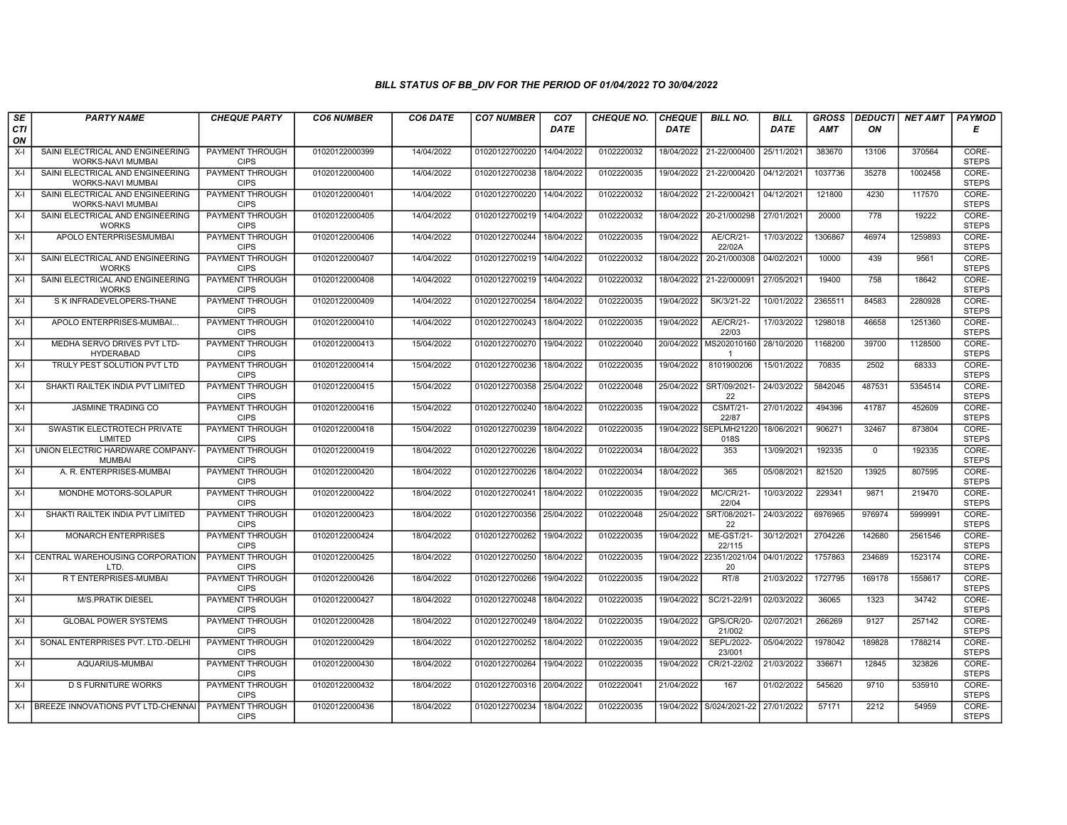| SE        | <b>PARTY NAME</b>                                            | <b>CHEQUE PARTY</b>                   | <b>CO6 NUMBER</b> | CO6 DATE   | <b>CO7 NUMBER</b>         | CO <sub>7</sub> | <b>CHEQUE NO.</b> | <b>CHEQUE</b> | <b>BILL NO.</b>             | <b>BILL</b> | <b>GROSS</b> | <b>DEDUCTI</b> | NET AMT | <b>PAYMOD</b>         |
|-----------|--------------------------------------------------------------|---------------------------------------|-------------------|------------|---------------------------|-----------------|-------------------|---------------|-----------------------------|-------------|--------------|----------------|---------|-----------------------|
| CTI<br>ON |                                                              |                                       |                   |            |                           | <b>DATE</b>     |                   | <b>DATE</b>   |                             | <b>DATE</b> | AMT          | ON             |         | Е                     |
| $X-I$     | SAINI ELECTRICAL AND ENGINEERING<br><b>WORKS-NAVI MUMBAI</b> | <b>PAYMENT THROUGH</b><br><b>CIPS</b> | 01020122000399    | 14/04/2022 | 01020122700220            | 14/04/2022      | 0102220032        |               | 18/04/2022 21-22/000400     | 25/11/2021  | 383670       | 13106          | 370564  | CORE-<br><b>STEPS</b> |
| $X-I$     | SAINI ELECTRICAL AND ENGINEERING<br><b>WORKS-NAVI MUMBAI</b> | <b>PAYMENT THROUGH</b><br><b>CIPS</b> | 01020122000400    | 14/04/2022 | 01020122700238            | 18/04/2022      | 0102220035        | 19/04/2022    | 21-22/000420                | 04/12/2021  | 1037736      | 35278          | 1002458 | CORE-<br><b>STEPS</b> |
| $X-I$     | SAINI ELECTRICAL AND ENGINEERING<br>WORKS-NAVI MUMBAI        | <b>PAYMENT THROUGH</b><br><b>CIPS</b> | 01020122000401    | 14/04/2022 | 01020122700220            | 14/04/2022      | 0102220032        | 18/04/2022    | 21-22/000421                | 04/12/2021  | 121800       | 4230           | 117570  | CORE-<br><b>STEPS</b> |
| $X-I$     | SAINI ELECTRICAL AND ENGINEERING<br><b>WORKS</b>             | <b>PAYMENT THROUGH</b><br><b>CIPS</b> | 01020122000405    | 14/04/2022 | 01020122700219            | 14/04/2022      | 0102220032        | 18/04/2022    | 20-21/000298                | 27/01/2021  | 20000        | 778            | 19222   | CORE-<br><b>STEPS</b> |
| $X-I$     | APOLO ENTERPRISESMUMBAI                                      | <b>PAYMENT THROUGH</b><br><b>CIPS</b> | 01020122000406    | 14/04/2022 | 01020122700244            | 18/04/2022      | 0102220035        | 19/04/2022    | AE/CR/21-<br>22/02A         | 17/03/2022  | 1306867      | 46974          | 1259893 | CORE-<br><b>STEPS</b> |
| X-I       | SAINI ELECTRICAL AND ENGINEERING<br><b>WORKS</b>             | <b>PAYMENT THROUGH</b><br><b>CIPS</b> | 01020122000407    | 14/04/2022 | 01020122700219            | 14/04/2022      | 0102220032        | 18/04/2022    | 20-21/000308                | 04/02/2021  | 10000        | 439            | 9561    | CORE-<br><b>STEPS</b> |
| $X-I$     | SAINI ELECTRICAL AND ENGINEERING<br><b>WORKS</b>             | PAYMENT THROUGH<br><b>CIPS</b>        | 01020122000408    | 14/04/2022 | 01020122700219            | 14/04/2022      | 0102220032        | 18/04/2022    | 21-22/000091                | 27/05/2021  | 19400        | 758            | 18642   | CORE-<br><b>STEPS</b> |
| $X-I$     | S K INFRADEVELOPERS-THANE                                    | <b>PAYMENT THROUGH</b><br><b>CIPS</b> | 01020122000409    | 14/04/2022 | 01020122700254            | 18/04/2022      | 0102220035        | 19/04/2022    | SK/3/21-22                  | 10/01/2022  | 2365511      | 84583          | 2280928 | CORE-<br><b>STEPS</b> |
| $X-I$     | APOLO ENTERPRISES-MUMBAI                                     | PAYMENT THROUGH<br><b>CIPS</b>        | 01020122000410    | 14/04/2022 | 01020122700243            | 18/04/2022      | 0102220035        | 19/04/2022    | AE/CR/21-<br>22/03          | 17/03/2022  | 1298018      | 46658          | 1251360 | CORE-<br><b>STEPS</b> |
| $X-I$     | MEDHA SERVO DRIVES PVT LTD-<br><b>HYDERABAD</b>              | <b>PAYMENT THROUGH</b><br><b>CIPS</b> | 01020122000413    | 15/04/2022 | 01020122700270            | 19/04/2022      | 0102220040        | 20/04/2022    | MS202010160<br>-1           | 28/10/2020  | 1168200      | 39700          | 1128500 | CORE-<br><b>STEPS</b> |
| $X-I$     | TRULY PEST SOLUTION PVT LTD                                  | PAYMENT THROUGH<br><b>CIPS</b>        | 01020122000414    | 15/04/2022 | 01020122700236            | 18/04/2022      | 0102220035        | 19/04/2022    | 8101900206                  | 15/01/2022  | 70835        | 2502           | 68333   | CORE-<br><b>STEPS</b> |
| $X-I$     | SHAKTI RAILTEK INDIA PVT LIMITED                             | <b>PAYMENT THROUGH</b><br><b>CIPS</b> | 01020122000415    | 15/04/2022 | 01020122700358            | 25/04/2022      | 0102220048        | 25/04/2022    | SRT/09/2021<br>22           | 24/03/2022  | 5842045      | 487531         | 5354514 | CORE-<br><b>STEPS</b> |
| $X-I$     | JASMINE TRADING CO                                           | <b>PAYMENT THROUGH</b><br><b>CIPS</b> | 01020122000416    | 15/04/2022 | 01020122700240            | 18/04/2022      | 0102220035        | 19/04/2022    | <b>CSMT/21-</b><br>22/87    | 27/01/2022  | 494396       | 41787          | 452609  | CORE-<br><b>STEPS</b> |
| $X-I$     | SWASTIK ELECTROTECH PRIVATE<br>LIMITED                       | <b>PAYMENT THROUGH</b><br><b>CIPS</b> | 01020122000418    | 15/04/2022 | 01020122700239            | 18/04/2022      | 0102220035        | 19/04/2022    | <b>SEPLMH21220</b><br>018S  | 18/06/2021  | 906271       | 32467          | 873804  | CORE-<br><b>STEPS</b> |
|           | X-I JUNION ELECTRIC HARDWARE COMPANY-<br><b>MUMBAI</b>       | <b>PAYMENT THROUGH</b><br><b>CIPS</b> | 01020122000419    | 18/04/2022 | 01020122700226            | 18/04/2022      | 0102220034        | 18/04/2022    | 353                         | 13/09/2021  | 192335       | $\mathbf 0$    | 192335  | CORE-<br><b>STEPS</b> |
| $X-I$     | A. R. ENTERPRISES-MUMBAI                                     | PAYMENT THROUGH<br><b>CIPS</b>        | 01020122000420    | 18/04/2022 | 01020122700226            | 18/04/2022      | 0102220034        | 18/04/2022    | 365                         | 05/08/2021  | 821520       | 13925          | 807595  | CORE-<br><b>STEPS</b> |
| $X-I$     | MONDHE MOTORS-SOLAPUR                                        | PAYMENT THROUGH<br><b>CIPS</b>        | 01020122000422    | 18/04/2022 | 01020122700241            | 18/04/2022      | 0102220035        | 19/04/2022    | MC/CR/21<br>22/04           | 10/03/2022  | 229341       | 9871           | 219470  | CORE-<br><b>STEPS</b> |
| $X-I$     | SHAKTI RAILTEK INDIA PVT LIMITED                             | <b>PAYMENT THROUGH</b><br><b>CIPS</b> | 01020122000423    | 18/04/2022 | 01020122700356            | 25/04/2022      | 0102220048        | 25/04/2022    | SRT/08/2021<br>22           | 24/03/2022  | 6976965      | 976974         | 5999991 | CORE-<br><b>STEPS</b> |
| $X-I$     | <b>MONARCH ENTERPRISES</b>                                   | PAYMENT THROUGH<br><b>CIPS</b>        | 01020122000424    | 18/04/2022 | 01020122700262            | 19/04/2022      | 0102220035        | 19/04/2022    | <b>ME-GST/21-</b><br>22/115 | 30/12/2021  | 2704226      | 142680         | 2561546 | CORE-<br><b>STEPS</b> |
|           | X-I CENTRAL WAREHOUSING CORPORATION<br>LTD.                  | PAYMENT THROUGH<br><b>CIPS</b>        | 01020122000425    | 18/04/2022 | 01020122700250            | 18/04/2022      | 0102220035        | 19/04/2022    | 22351/2021/04<br>20         | 04/01/2022  | 1757863      | 234689         | 1523174 | CORE-<br><b>STEPS</b> |
| $X-I$     | R T ENTERPRISES-MUMBAI                                       | PAYMENT THROUGH<br><b>CIPS</b>        | 01020122000426    | 18/04/2022 | 01020122700266            | 19/04/2022      | 0102220035        | 19/04/2022    | RT/8                        | 21/03/2022  | 1727795      | 169178         | 1558617 | CORE-<br><b>STEPS</b> |
| $X-I$     | <b>M/S.PRATIK DIESEL</b>                                     | <b>PAYMENT THROUGH</b><br><b>CIPS</b> | 01020122000427    | 18/04/2022 | 01020122700248 18/04/2022 |                 | 0102220035        | 19/04/2022    | SC/21-22/91                 | 02/03/2022  | 36065        | 1323           | 34742   | CORE-<br><b>STEPS</b> |
| $X-I$     | <b>GLOBAL POWER SYSTEMS</b>                                  | PAYMENT THROUGH<br><b>CIPS</b>        | 01020122000428    | 18/04/2022 | 01020122700249            | 18/04/2022      | 0102220035        | 19/04/2022    | <b>GPS/CR/20-</b><br>21/002 | 02/07/2021  | 266269       | 9127           | 257142  | CORE-<br><b>STEPS</b> |
| $X-I$     | SONAL ENTERPRISES PVT. LTD.-DELHI                            | <b>PAYMENT THROUGH</b><br><b>CIPS</b> | 01020122000429    | 18/04/2022 | 01020122700252            | 18/04/2022      | 0102220035        | 19/04/2022    | SEPL/2022-<br>23/001        | 05/04/2022  | 1978042      | 189828         | 1788214 | CORE-<br><b>STEPS</b> |
| $X-I$     | AQUARIUS-MUMBAI                                              | PAYMENT THROUGH<br><b>CIPS</b>        | 01020122000430    | 18/04/2022 | 01020122700264            | 19/04/2022      | 0102220035        | 19/04/2022    | CR/21-22/02                 | 21/03/2022  | 336671       | 12845          | 323826  | CORE-<br><b>STEPS</b> |
| $X-I$     | <b>D S FURNITURE WORKS</b>                                   | <b>PAYMENT THROUGH</b><br><b>CIPS</b> | 01020122000432    | 18/04/2022 | 01020122700316 20/04/2022 |                 | 0102220041        | 21/04/2022    | 167                         | 01/02/2022  | 545620       | 9710           | 535910  | CORE-<br><b>STEPS</b> |
|           | X-I BREEZE INNOVATIONS PVT LTD-CHENNAI                       | PAYMENT THROUGH<br><b>CIPS</b>        | 01020122000436    | 18/04/2022 | 01020122700234            | 18/04/2022      | 0102220035        |               | 19/04/2022 S/024/2021-22    | 27/01/2022  | 57171        | 2212           | 54959   | CORE-<br><b>STEPS</b> |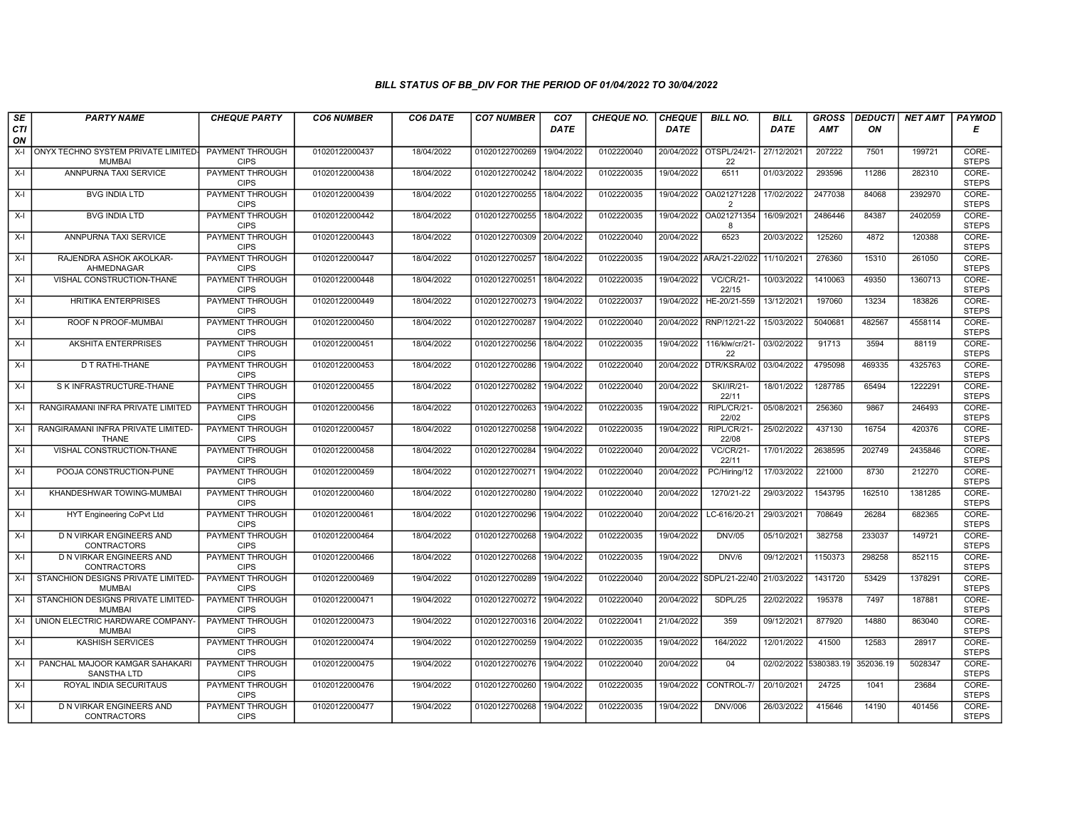| SE        | <b>PARTY NAME</b>                                    | <b>CHEQUE PARTY</b>                   | <b>CO6 NUMBER</b> | CO6 DATE   | <b>CO7 NUMBER</b>         | CO <sub>7</sub> | <b>CHEQUE NO.</b> | <b>CHEQUE</b> | <b>BILL NO.</b>               | <b>BILL</b> | <b>GROSS</b>          | <b>DEDUCTI</b> | NET AMT | <b>PAYMOD</b>         |
|-----------|------------------------------------------------------|---------------------------------------|-------------------|------------|---------------------------|-----------------|-------------------|---------------|-------------------------------|-------------|-----------------------|----------------|---------|-----------------------|
| CTI<br>ON |                                                      |                                       |                   |            |                           | <b>DATE</b>     |                   | <b>DATE</b>   |                               | DATE        | <b>AMT</b>            | ON             |         | Е                     |
| $X-I$     | ONYX TECHNO SYSTEM PRIVATE LIMITED-<br><b>MUMBAI</b> | <b>PAYMENT THROUGH</b><br><b>CIPS</b> | 01020122000437    | 18/04/2022 | 01020122700269            | 19/04/2022      | 0102220040        |               | 20/04/2022 OTSPL/24/21-<br>22 | 27/12/2021  | 207222                | 7501           | 199721  | CORE-<br><b>STEPS</b> |
| $X-I$     | ANNPURNA TAXI SERVICE                                | <b>PAYMENT THROUGH</b><br><b>CIPS</b> | 01020122000438    | 18/04/2022 | 01020122700242            | 18/04/2022      | 0102220035        | 19/04/2022    | 6511                          | 01/03/2022  | 293596                | 11286          | 282310  | CORE-<br><b>STEPS</b> |
| $X-I$     | <b>BVG INDIA LTD</b>                                 | PAYMENT THROUGH<br><b>CIPS</b>        | 01020122000439    | 18/04/2022 | 01020122700255            | 18/04/2022      | 0102220035        | 19/04/2022    | OA021271228<br>$\overline{2}$ | 17/02/2022  | 2477038               | 84068          | 2392970 | CORE-<br><b>STEPS</b> |
| $X-I$     | <b>BVG INDIA LTD</b>                                 | PAYMENT THROUGH<br><b>CIPS</b>        | 01020122000442    | 18/04/2022 | 01020122700255            | 18/04/2022      | 0102220035        | 19/04/2022    | OA021271354<br>8              | 16/09/2021  | 2486446               | 84387          | 2402059 | CORE-<br><b>STEPS</b> |
| $X-I$     | ANNPURNA TAXI SERVICE                                | <b>PAYMENT THROUGH</b><br><b>CIPS</b> | 01020122000443    | 18/04/2022 | 01020122700309            | 20/04/2022      | 0102220040        | 20/04/2022    | 6523                          | 20/03/2022  | 125260                | 4872           | 120388  | CORE-<br><b>STEPS</b> |
| $X-I$     | RAJENDRA ASHOK AKOLKAR-<br>AHMEDNAGAR                | <b>PAYMENT THROUGH</b><br><b>CIPS</b> | 01020122000447    | 18/04/2022 | 01020122700257            | 18/04/2022      | 0102220035        |               | 19/04/2022 ARA/21-22/022      | 11/10/2021  | 276360                | 15310          | 261050  | CORE-<br><b>STEPS</b> |
| $X-I$     | VISHAL CONSTRUCTION-THANE                            | PAYMENT THROUGH<br><b>CIPS</b>        | 01020122000448    | 18/04/2022 | 01020122700251            | 18/04/2022      | 0102220035        | 19/04/2022    | <b>VC/CR/21-</b><br>22/15     | 10/03/2022  | 1410063               | 49350          | 1360713 | CORE-<br><b>STEPS</b> |
| $X-I$     | <b>HRITIKA ENTERPRISES</b>                           | <b>PAYMENT THROUGH</b><br><b>CIPS</b> | 01020122000449    | 18/04/2022 | 01020122700273            | 19/04/2022      | 0102220037        | 19/04/2022    | HE-20/21-559                  | 13/12/2021  | 197060                | 13234          | 183826  | CORE-<br><b>STEPS</b> |
| $X-I$     | ROOF N PROOF-MUMBAI                                  | <b>PAYMENT THROUGH</b><br><b>CIPS</b> | 01020122000450    | 18/04/2022 | 01020122700287            | 19/04/2022      | 0102220040        | 20/04/2022    | RNP/12/21-22                  | 15/03/2022  | 5040681               | 482567         | 4558114 | CORE-<br><b>STEPS</b> |
| $X-I$     | <b>AKSHITA ENTERPRISES</b>                           | <b>PAYMENT THROUGH</b><br><b>CIPS</b> | 01020122000451    | 18/04/2022 | 01020122700256            | 18/04/2022      | 0102220035        | 19/04/2022    | 116/klw/cr/21-<br>22          | 03/02/2022  | 91713                 | 3594           | 88119   | CORE-<br><b>STEPS</b> |
| $X-I$     | D T RATHI-THANE                                      | PAYMENT THROUGH<br><b>CIPS</b>        | 01020122000453    | 18/04/2022 | 01020122700286            | 19/04/2022      | 0102220040        | 20/04/2022    | DTR/KSRA/02                   | 03/04/2022  | 4795098               | 469335         | 4325763 | CORE-<br><b>STEPS</b> |
| $X-I$     | S K INFRASTRUCTURE-THANE                             | PAYMENT THROUGH<br><b>CIPS</b>        | 01020122000455    | 18/04/2022 | 01020122700282            | 19/04/2022      | 0102220040        | 20/04/2022    | <b>SKI/IR/21-</b><br>22/11    | 18/01/2022  | 1287785               | 65494          | 1222291 | CORE-<br><b>STEPS</b> |
| $X-I$     | RANGIRAMANI INFRA PRIVATE LIMITED                    | <b>PAYMENT THROUGH</b><br><b>CIPS</b> | 01020122000456    | 18/04/2022 | 01020122700263            | 19/04/2022      | 0102220035        | 19/04/2022    | RIPL/CR/21-<br>22/02          | 05/08/2021  | 256360                | 9867           | 246493  | CORE-<br><b>STEPS</b> |
| $X-I$     | RANGIRAMANI INFRA PRIVATE LIMITED-<br><b>THANE</b>   | <b>PAYMENT THROUGH</b><br><b>CIPS</b> | 01020122000457    | 18/04/2022 | 01020122700258            | 19/04/2022      | 0102220035        | 19/04/2022    | RIPL/CR/21-<br>22/08          | 25/02/2022  | 437130                | 16754          | 420376  | CORE-<br><b>STEPS</b> |
| $X-I$     | VISHAL CONSTRUCTION-THANE                            | <b>PAYMENT THROUGH</b><br><b>CIPS</b> | 01020122000458    | 18/04/2022 | 01020122700284            | 19/04/2022      | 0102220040        | 20/04/2022    | <b>VC/CR/21-</b><br>22/11     | 17/01/2022  | 2638595               | 202749         | 2435846 | CORE-<br><b>STEPS</b> |
| $X-I$     | POOJA CONSTRUCTION-PUNE                              | PAYMENT THROUGH<br><b>CIPS</b>        | 01020122000459    | 18/04/2022 | 01020122700271            | 19/04/2022      | 0102220040        | 20/04/2022    | PC/Hiring/12                  | 17/03/2022  | 221000                | 8730           | 212270  | CORE-<br><b>STEPS</b> |
| $X-I$     | KHANDESHWAR TOWING-MUMBAI                            | <b>PAYMENT THROUGH</b><br><b>CIPS</b> | 01020122000460    | 18/04/2022 | 01020122700280            | 19/04/2022      | 0102220040        | 20/04/2022    | 1270/21-22                    | 29/03/2022  | 1543795               | 162510         | 1381285 | CORE-<br><b>STEPS</b> |
| $X-I$     | HYT Engineering CoPvt Ltd                            | PAYMENT THROUGH<br><b>CIPS</b>        | 01020122000461    | 18/04/2022 | 01020122700296            | 19/04/2022      | 0102220040        | 20/04/2022    | LC-616/20-21                  | 29/03/2021  | 708649                | 26284          | 682365  | CORE-<br><b>STEPS</b> |
| $X-I$     | D N VIRKAR ENGINEERS AND<br><b>CONTRACTORS</b>       | <b>PAYMENT THROUGH</b><br><b>CIPS</b> | 01020122000464    | 18/04/2022 | 01020122700268            | 19/04/2022      | 0102220035        | 19/04/2022    | <b>DNV/05</b>                 | 05/10/2021  | 382758                | 233037         | 149721  | CORE-<br><b>STEPS</b> |
| $X-I$     | D N VIRKAR ENGINEERS AND<br><b>CONTRACTORS</b>       | PAYMENT THROUGH<br><b>CIPS</b>        | 01020122000466    | 18/04/2022 | 01020122700268            | 19/04/2022      | 0102220035        | 19/04/2022    | DNV/6                         | 09/12/2021  | 1150373               | 298258         | 852115  | CORE-<br><b>STEPS</b> |
| $X-I$     | STANCHION DESIGNS PRIVATE LIMITED-<br><b>MUMBAI</b>  | <b>PAYMENT THROUGH</b><br><b>CIPS</b> | 01020122000469    | 19/04/2022 | 01020122700289            | 19/04/2022      | 0102220040        | 20/04/2022    | SDPL/21-22/40                 | 21/03/2022  | 1431720               | 53429          | 1378291 | CORE-<br><b>STEPS</b> |
| $X-I$     | STANCHION DESIGNS PRIVATE LIMITED-<br><b>MUMBAI</b>  | <b>PAYMENT THROUGH</b><br><b>CIPS</b> | 01020122000471    | 19/04/2022 | 01020122700272            | 19/04/2022      | 0102220040        | 20/04/2022    | SDPL/25                       | 22/02/2022  | 195378                | 7497           | 187881  | CORE-<br><b>STEPS</b> |
| $X-I$     | UNION ELECTRIC HARDWARE COMPANY-<br><b>MUMBAI</b>    | PAYMENT THROUGH<br><b>CIPS</b>        | 01020122000473    | 19/04/2022 | 01020122700316 20/04/2022 |                 | 0102220041        | 21/04/2022    | 359                           | 09/12/2021  | 877920                | 14880          | 863040  | CORE-<br><b>STEPS</b> |
| $X-I$     | <b>KASHISH SERVICES</b>                              | PAYMENT THROUGH<br><b>CIPS</b>        | 01020122000474    | 19/04/2022 | 01020122700259            | 19/04/2022      | 0102220035        | 19/04/2022    | 164/2022                      | 12/01/2022  | 41500                 | 12583          | 28917   | CORE-<br><b>STEPS</b> |
| $X-I$     | PANCHAL MAJOOR KAMGAR SAHAKARI<br>SANSTHA LTD        | <b>PAYMENT THROUGH</b><br><b>CIPS</b> | 01020122000475    | 19/04/2022 | 01020122700276            | 19/04/2022      | 0102220040        | 20/04/2022    | 04                            |             | 02/02/2022 5380383.19 | 352036.19      | 5028347 | CORE-<br><b>STEPS</b> |
| $X-I$     | ROYAL INDIA SECURITAUS                               | <b>PAYMENT THROUGH</b><br><b>CIPS</b> | 01020122000476    | 19/04/2022 | 01020122700260            | 19/04/2022      | 0102220035        | 19/04/2022    | CONTROL-7/                    | 20/10/2021  | 24725                 | 1041           | 23684   | CORE-<br><b>STEPS</b> |
| $X-I$     | D N VIRKAR ENGINEERS AND<br>CONTRACTORS              | <b>PAYMENT THROUGH</b><br><b>CIPS</b> | 01020122000477    | 19/04/2022 | 01020122700268            | 19/04/2022      | 0102220035        | 19/04/2022    | <b>DNV/006</b>                | 26/03/2022  | 415646                | 14190          | 401456  | CORE-<br><b>STEPS</b> |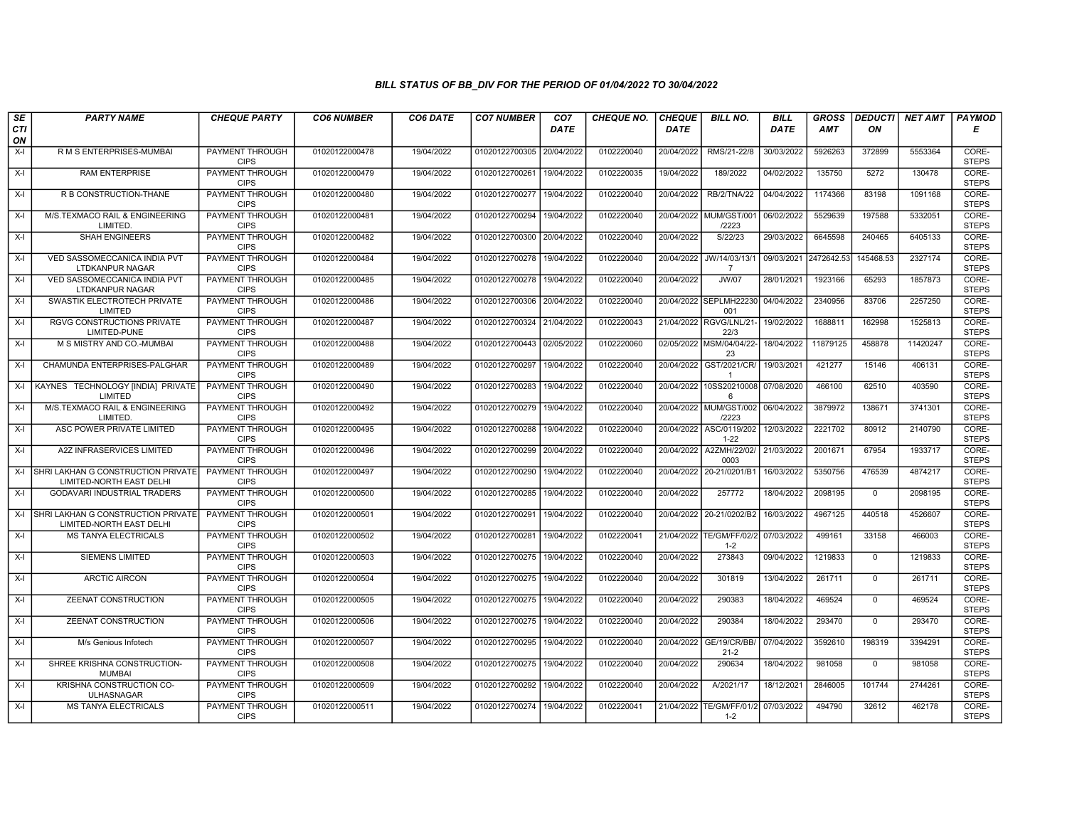| SE        | <b>PARTY NAME</b>                                                          | <b>CHEQUE PARTY</b>                   | <b>CO6 NUMBER</b> | CO6 DATE   | <b>CO7 NUMBER</b>         | CO <sub>7</sub> | <b>CHEQUE NO.</b> | <b>CHEQUE</b> | <b>BILL NO.</b>                            | <b>BILL</b> | <b>GROSS</b>          | <b>DEDUCTI</b> | NET AMT  | <b>PAYMOD</b>         |
|-----------|----------------------------------------------------------------------------|---------------------------------------|-------------------|------------|---------------------------|-----------------|-------------------|---------------|--------------------------------------------|-------------|-----------------------|----------------|----------|-----------------------|
| CTI<br>ON |                                                                            |                                       |                   |            |                           | <b>DATE</b>     |                   | <b>DATE</b>   |                                            | DATE        | AMT                   | ON             |          | Е                     |
| $X-I$     | R M S ENTERPRISES-MUMBAI                                                   | <b>PAYMENT THROUGH</b><br><b>CIPS</b> | 01020122000478    | 19/04/2022 | 01020122700305 20/04/2022 |                 | 0102220040        | 20/04/2022    | RMS/21-22/8                                | 30/03/2022  | 5926263               | 372899         | 5553364  | CORE-<br><b>STEPS</b> |
| $X-I$     | <b>RAM ENTERPRISE</b>                                                      | <b>PAYMENT THROUGH</b><br><b>CIPS</b> | 01020122000479    | 19/04/2022 | 01020122700261            | 19/04/2022      | 0102220035        | 19/04/2022    | 189/2022                                   | 04/02/2022  | 135750                | 5272           | 130478   | CORE-<br><b>STEPS</b> |
| $X-I$     | R B CONSTRUCTION-THANE                                                     | <b>PAYMENT THROUGH</b><br><b>CIPS</b> | 01020122000480    | 19/04/2022 | 01020122700277            | 19/04/2022      | 0102220040        | 20/04/2022    | <b>RB/2/TNA/22</b>                         | 04/04/2022  | 1174366               | 83198          | 1091168  | CORE-<br><b>STEPS</b> |
| $X-I$     | M/S.TEXMACO RAIL & ENGINEERING<br>LIMITED.                                 | PAYMENT THROUGH<br><b>CIPS</b>        | 01020122000481    | 19/04/2022 | 01020122700294 19/04/2022 |                 | 0102220040        | 20/04/2022    | MUM/GST/001<br>/2223                       | 06/02/2022  | 5529639               | 197588         | 5332051  | CORE-<br><b>STEPS</b> |
| $X-I$     | <b>SHAH ENGINEERS</b>                                                      | <b>PAYMENT THROUGH</b><br><b>CIPS</b> | 01020122000482    | 19/04/2022 | 01020122700300 20/04/2022 |                 | 0102220040        | 20/04/2022    | S/22/23                                    | 29/03/2022  | 6645598               | 240465         | 6405133  | CORE-<br><b>STEPS</b> |
| $X-I$     | VED SASSOMECCANICA INDIA PVT<br>LTDKANPUR NAGAR                            | <b>PAYMENT THROUGH</b><br><b>CIPS</b> | 01020122000484    | 19/04/2022 | 01020122700278 19/04/2022 |                 | 0102220040        |               | 20/04/2022 JW/14/03/13/1<br>$\overline{7}$ |             | 09/03/2021 2472642.53 | 145468.53      | 2327174  | CORE-<br><b>STEPS</b> |
| $X-I$     | VED SASSOMECCANICA INDIA PVT<br><b>LTDKANPUR NAGAR</b>                     | PAYMENT THROUGH<br><b>CIPS</b>        | 01020122000485    | 19/04/2022 | 01020122700278            | 19/04/2022      | 0102220040        | 20/04/2022    | <b>JW/07</b>                               | 28/01/2021  | 1923166               | 65293          | 1857873  | CORE-<br><b>STEPS</b> |
| $X-I$     | SWASTIK ELECTROTECH PRIVATE<br>LIMITED                                     | <b>PAYMENT THROUGH</b><br><b>CIPS</b> | 01020122000486    | 19/04/2022 | 01020122700306 20/04/2022 |                 | 0102220040        |               | 20/04/2022 SEPLMH22230<br>001              | 04/04/2022  | 2340956               | 83706          | 2257250  | CORE-<br><b>STEPS</b> |
| $X-I$     | <b>RGVG CONSTRUCTIONS PRIVATE</b><br>LIMITED-PUNE                          | <b>PAYMENT THROUGH</b><br><b>CIPS</b> | 01020122000487    | 19/04/2022 | 01020122700324 21/04/2022 |                 | 0102220043        | 21/04/2022    | RGVG/LNL/21<br>22/3                        | 19/02/2022  | 1688811               | 162998         | 1525813  | CORE-<br><b>STEPS</b> |
| $X-I$     | M S MISTRY AND CO.-MUMBAI                                                  | <b>PAYMENT THROUGH</b><br><b>CIPS</b> | 01020122000488    | 19/04/2022 | 01020122700443 02/05/2022 |                 | 0102220060        |               | 02/05/2022 MSM/04/04/22-<br>23             | 18/04/2022  | 11879125              | 458878         | 11420247 | CORE-<br><b>STEPS</b> |
| $X-I$     | CHAMUNDA ENTERPRISES-PALGHAR                                               | PAYMENT THROUGH<br><b>CIPS</b>        | 01020122000489    | 19/04/2022 | 01020122700297            | 19/04/2022      | 0102220040        | 20/04/2022    | GST/2021/CR/<br>$\overline{1}$             | 19/03/2021  | 421277                | 15146          | 406131   | CORE-<br><b>STEPS</b> |
| $X-I$     | KAYNES TECHNOLOGY [INDIA] PRIVATE<br>LIMITED                               | PAYMENT THROUGH<br><b>CIPS</b>        | 01020122000490    | 19/04/2022 | 01020122700283            | 19/04/2022      | 0102220040        | 20/04/2022    | 10SS20210008<br>6                          | 07/08/2020  | 466100                | 62510          | 403590   | CORE-<br><b>STEPS</b> |
| $X-I$     | M/S.TEXMACO RAIL & ENGINEERING<br>LIMITED                                  | <b>PAYMENT THROUGH</b><br><b>CIPS</b> | 01020122000492    | 19/04/2022 | 01020122700279 19/04/2022 |                 | 0102220040        | 20/04/2022    | MUM/GST/002<br>/2223                       | 06/04/2022  | 3879972               | 138671         | 3741301  | CORE-<br><b>STEPS</b> |
| $X-I$     | ASC POWER PRIVATE LIMITED                                                  | <b>PAYMENT THROUGH</b><br><b>CIPS</b> | 01020122000495    | 19/04/2022 | 01020122700288            | 19/04/2022      | 0102220040        | 20/04/2022    | ASC/0119/202<br>$1 - 22$                   | 12/03/2022  | 2221702               | 80912          | 2140790  | CORE-<br><b>STEPS</b> |
| $X-I$     | A2Z INFRASERVICES LIMITED                                                  | PAYMENT THROUGH<br><b>CIPS</b>        | 01020122000496    | 19/04/2022 | 01020122700299            | 20/04/2022      | 0102220040        | 20/04/2022    | A2ZMH/22/02/<br>0003                       | 21/03/2022  | 2001671               | 67954          | 1933717  | CORE-<br><b>STEPS</b> |
|           | X-I SHRI LAKHAN G CONSTRUCTION PRIVATE<br>LIMITED-NORTH EAST DELHI         | PAYMENT THROUGH<br><b>CIPS</b>        | 01020122000497    | 19/04/2022 | 01020122700290            | 19/04/2022      | 0102220040        |               | 20/04/2022 20-21/0201/B1                   | 16/03/2022  | 5350756               | 476539         | 4874217  | CORE-<br><b>STEPS</b> |
| $X-I$     | <b>GODAVARI INDUSTRIAL TRADERS</b>                                         | <b>PAYMENT THROUGH</b><br><b>CIPS</b> | 01020122000500    | 19/04/2022 | 01020122700285            | 19/04/2022      | 0102220040        | 20/04/2022    | 257772                                     | 18/04/2022  | 2098195               | $\overline{0}$ | 2098195  | CORE-<br><b>STEPS</b> |
|           | X-I ISHRI LAKHAN G CONSTRUCTION PRIVATE<br><b>LIMITED-NORTH EAST DELHI</b> | <b>PAYMENT THROUGH</b><br><b>CIPS</b> | 01020122000501    | 19/04/2022 | 01020122700291            | 19/04/2022      | 0102220040        | 20/04/2022    | 20-21/0202/B2                              | 16/03/2022  | 4967125               | 440518         | 4526607  | CORE-<br><b>STEPS</b> |
| $X-I$     | MS TANYA ELECTRICALS                                                       | <b>PAYMENT THROUGH</b><br><b>CIPS</b> | 01020122000502    | 19/04/2022 | 01020122700281            | 19/04/2022      | 0102220041        |               | 21/04/2022 TE/GM/FF/02/2<br>$1 - 2$        | 07/03/2022  | 499161                | 33158          | 466003   | CORE-<br><b>STEPS</b> |
| $X-I$     | <b>SIEMENS LIMITED</b>                                                     | <b>PAYMENT THROUGH</b><br><b>CIPS</b> | 01020122000503    | 19/04/2022 | 01020122700275            | 19/04/2022      | 0102220040        | 20/04/2022    | 273843                                     | 09/04/2022  | 1219833               | $\Omega$       | 1219833  | CORE-<br><b>STEPS</b> |
| $X-I$     | <b>ARCTIC AIRCON</b>                                                       | PAYMENT THROUGH<br><b>CIPS</b>        | 01020122000504    | 19/04/2022 | 01020122700275            | 19/04/2022      | 0102220040        | 20/04/2022    | 301819                                     | 13/04/2022  | 261711                | $\mathbf 0$    | 261711   | CORE-<br><b>STEPS</b> |
| $X-I$     | <b>ZEENAT CONSTRUCTION</b>                                                 | <b>PAYMENT THROUGH</b><br><b>CIPS</b> | 01020122000505    | 19/04/2022 | 01020122700275            | 19/04/2022      | 0102220040        | 20/04/2022    | 290383                                     | 18/04/2022  | 469524                | $\Omega$       | 469524   | CORE-<br><b>STEPS</b> |
| $X-I$     | ZEENAT CONSTRUCTION                                                        | PAYMENT THROUGH<br><b>CIPS</b>        | 01020122000506    | 19/04/2022 | 01020122700275            | 19/04/2022      | 0102220040        | 20/04/2022    | 290384                                     | 18/04/2022  | 293470                | $\Omega$       | 293470   | CORE-<br><b>STEPS</b> |
| $X-I$     | M/s Genious Infotech                                                       | <b>PAYMENT THROUGH</b><br><b>CIPS</b> | 01020122000507    | 19/04/2022 | 01020122700295            | 19/04/2022      | 0102220040        | 20/04/2022    | GE/19/CR/BB/<br>$21 - 2$                   | 07/04/2022  | 3592610               | 198319         | 3394291  | CORE-<br><b>STEPS</b> |
| $X-I$     | SHREE KRISHNA CONSTRUCTION-<br><b>MUMBAI</b>                               | PAYMENT THROUGH<br><b>CIPS</b>        | 01020122000508    | 19/04/2022 | 01020122700275            | 19/04/2022      | 0102220040        | 20/04/2022    | 290634                                     | 18/04/2022  | 981058                | $\Omega$       | 981058   | CORE-<br><b>STEPS</b> |
| $X-I$     | KRISHNA CONSTRUCTION CO-<br><b>ULHASNAGAR</b>                              | <b>PAYMENT THROUGH</b><br><b>CIPS</b> | 01020122000509    | 19/04/2022 | 01020122700292            | 19/04/2022      | 0102220040        | 20/04/2022    | A/2021/17                                  | 18/12/2021  | 2846005               | 101744         | 2744261  | CORE-<br><b>STEPS</b> |
| $X-I$     | <b>MS TANYA ELECTRICALS</b>                                                | <b>PAYMENT THROUGH</b><br><b>CIPS</b> | 01020122000511    | 19/04/2022 | 01020122700274 19/04/2022 |                 | 0102220041        | 21/04/2022    | TE/GM/FF/01/2<br>$1 - 2$                   | 07/03/2022  | 494790                | 32612          | 462178   | CORE-<br><b>STEPS</b> |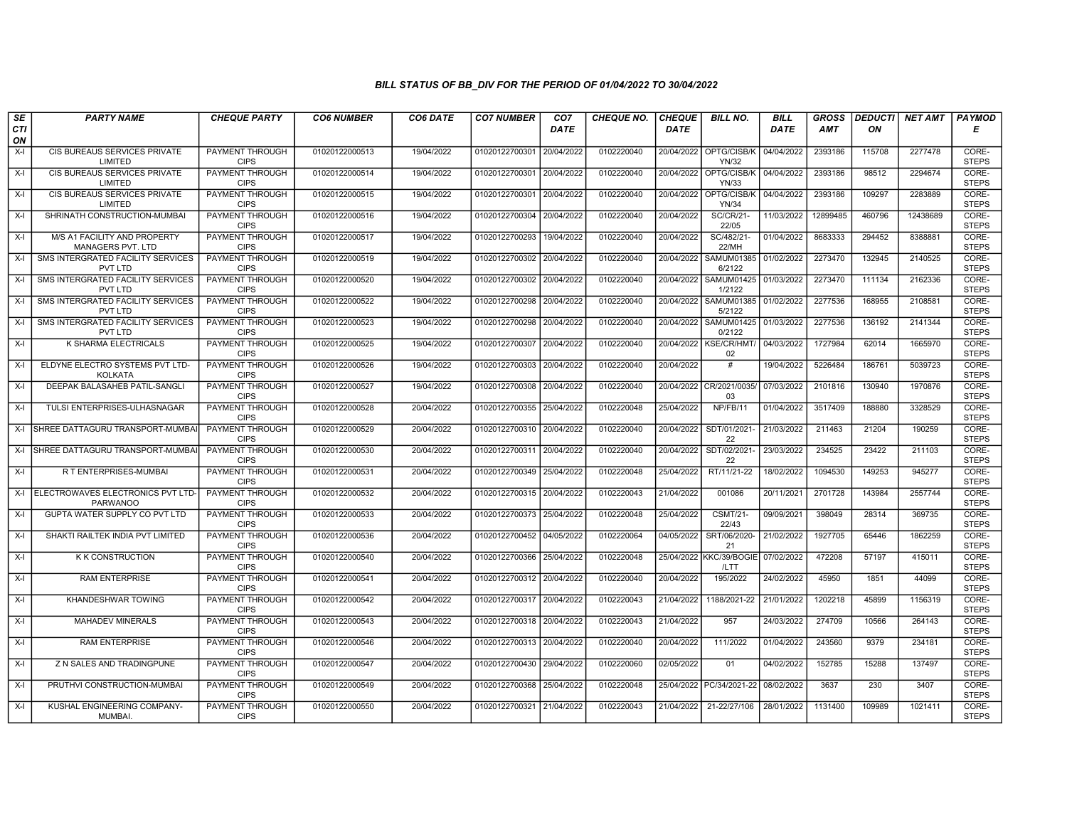| SE        | <b>PARTY NAME</b>                                       | <b>CHEQUE PARTY</b>                   | <b>CO6 NUMBER</b> | CO6 DATE   | <b>CO7 NUMBER</b>         | CO <sub>7</sub> | <b>CHEQUE NO.</b> | <b>CHEQUE</b> | <b>BILL NO.</b>                          | <b>BILL</b> | <b>GROSS</b> | <b>DEDUCTI</b> | NET AMT  | <b>PAYMOD</b>         |
|-----------|---------------------------------------------------------|---------------------------------------|-------------------|------------|---------------------------|-----------------|-------------------|---------------|------------------------------------------|-------------|--------------|----------------|----------|-----------------------|
| CTI<br>ON |                                                         |                                       |                   |            |                           | <b>DATE</b>     |                   | <b>DATE</b>   |                                          | <b>DATE</b> | <b>AMT</b>   | ON             |          | Е                     |
| $X-I$     | CIS BUREAUS SERVICES PRIVATE<br>LIMITED                 | <b>PAYMENT THROUGH</b><br><b>CIPS</b> | 01020122000513    | 19/04/2022 | 01020122700301 20/04/2022 |                 | 0102220040        |               | 20/04/2022 OPTG/CISB/K<br><b>YN/32</b>   | 04/04/2022  | 2393186      | 115708         | 2277478  | CORE-<br><b>STEPS</b> |
| $X-I$     | CIS BUREAUS SERVICES PRIVATE<br>LIMITED                 | <b>PAYMENT THROUGH</b><br><b>CIPS</b> | 01020122000514    | 19/04/2022 | 01020122700301 20/04/2022 |                 | 0102220040        | 20/04/2022    | OPTG/CISB/K   04/04/2022<br><b>YN/33</b> |             | 2393186      | 98512          | 2294674  | CORE-<br><b>STEPS</b> |
| X-I       | CIS BUREAUS SERVICES PRIVATE<br>LIMITED                 | PAYMENT THROUGH<br><b>CIPS</b>        | 01020122000515    | 19/04/2022 | 01020122700301            | 20/04/2022      | 0102220040        | 20/04/2022    | OPTG/CISB/K<br><b>YN/34</b>              | 04/04/2022  | 2393186      | 109297         | 2283889  | CORE-<br><b>STEPS</b> |
| X-I       | SHRINATH CONSTRUCTION-MUMBAI                            | <b>PAYMENT THROUGH</b><br><b>CIPS</b> | 01020122000516    | 19/04/2022 | 01020122700304 20/04/2022 |                 | 0102220040        | 20/04/2022    | <b>SC/CR/21-</b><br>22/05                | 11/03/2022  | 12899485     | 460796         | 12438689 | CORE-<br><b>STEPS</b> |
| X-I       | M/S A1 FACILITY AND PROPERTY<br>MANAGERS PVT. LTD       | <b>PAYMENT THROUGH</b><br><b>CIPS</b> | 01020122000517    | 19/04/2022 | 01020122700293            | 19/04/2022      | 0102220040        | 20/04/2022    | SC/482/21-<br>22/MH                      | 01/04/2022  | 8683333      | 294452         | 8388881  | CORE-<br><b>STEPS</b> |
| $X-I$     | SMS INTERGRATED FACILITY SERVICES<br>PVT LTD            | <b>PAYMENT THROUGH</b><br><b>CIPS</b> | 01020122000519    | 19/04/2022 | 01020122700302 20/04/2022 |                 | 0102220040        | 20/04/2022    | SAMUM01385 01/02/2022<br>6/2122          |             | 2273470      | 132945         | 2140525  | CORE-<br><b>STEPS</b> |
| X-I       | SMS INTERGRATED FACILITY SERVICES<br><b>PVT LTD</b>     | PAYMENT THROUGH<br><b>CIPS</b>        | 01020122000520    | 19/04/2022 | 01020122700302 20/04/2022 |                 | 0102220040        | 20/04/2022    | SAMUM01425   01/03/2022<br>1/2122        |             | 2273470      | 111134         | 2162336  | CORE-<br><b>STEPS</b> |
| $X-I$     | SMS INTERGRATED FACILITY SERVICES<br>PVT LTD            | PAYMENT THROUGH<br><b>CIPS</b>        | 01020122000522    | 19/04/2022 | 01020122700298 20/04/2022 |                 | 0102220040        | 20/04/2022    | SAMUM01385<br>5/2122                     | 01/02/2022  | 2277536      | 168955         | 2108581  | CORE-<br><b>STEPS</b> |
| X-I       | SMS INTERGRATED FACILITY SERVICES<br><b>PVT LTD</b>     | PAYMENT THROUGH<br><b>CIPS</b>        | 01020122000523    | 19/04/2022 | 01020122700298 20/04/2022 |                 | 0102220040        | 20/04/2022    | SAMUM01425   01/03/2022<br>0/2122        |             | 2277536      | 136192         | 2141344  | CORE-<br><b>STEPS</b> |
| $X-I$     | K SHARMA ELECTRICALS                                    | <b>PAYMENT THROUGH</b><br><b>CIPS</b> | 01020122000525    | 19/04/2022 | 01020122700307 20/04/2022 |                 | 0102220040        |               | 20/04/2022 KSE/CR/HMT/ 04/03/2022<br>02  |             | 1727984      | 62014          | 1665970  | CORE-<br><b>STEPS</b> |
| X-I       | ELDYNE ELECTRO SYSTEMS PVT LTD-<br>KOLKATA              | PAYMENT THROUGH<br><b>CIPS</b>        | 01020122000526    | 19/04/2022 | 01020122700303 20/04/2022 |                 | 0102220040        | 20/04/2022    | #                                        | 19/04/2022  | 5226484      | 186761         | 5039723  | CORE-<br><b>STEPS</b> |
| $X-I$     | DEEPAK BALASAHEB PATIL-SANGLI                           | PAYMENT THROUGH<br><b>CIPS</b>        | 01020122000527    | 19/04/2022 | 01020122700308 20/04/2022 |                 | 0102220040        |               | 20/04/2022 CR/2021/0035/<br>03           | 07/03/2022  | 2101816      | 130940         | 1970876  | CORE-<br><b>STEPS</b> |
| X-I       | TULSI ENTERPRISES-ULHASNAGAR                            | PAYMENT THROUGH<br><b>CIPS</b>        | 01020122000528    | 20/04/2022 | 01020122700355 25/04/2022 |                 | 0102220048        | 25/04/2022    | NP/FB/11                                 | 01/04/2022  | 3517409      | 188880         | 3328529  | CORE-<br><b>STEPS</b> |
|           | X-I SHREE DATTAGURU TRANSPORT-MUMBA                     | <b>PAYMENT THROUGH</b><br><b>CIPS</b> | 01020122000529    | 20/04/2022 | 01020122700310 20/04/2022 |                 | 0102220040        | 20/04/2022    | SDT/01/2021-<br>22                       | 21/03/2022  | 211463       | 21204          | 190259   | CORE-<br><b>STEPS</b> |
|           | X-I SHREE DATTAGURU TRANSPORT-MUMBA                     | <b>PAYMENT THROUGH</b><br><b>CIPS</b> | 01020122000530    | 20/04/2022 | 01020122700311 20/04/2022 |                 | 0102220040        | 20/04/2022    | SDT/02/2021-<br>22                       | 23/03/2022  | 234525       | 23422          | 211103   | CORE-<br><b>STEPS</b> |
| X-I       | R T ENTERPRISES-MUMBAI                                  | PAYMENT THROUGH<br><b>CIPS</b>        | 01020122000531    | 20/04/2022 | 01020122700349 25/04/2022 |                 | 0102220048        | 25/04/2022    | RT/11/21-22                              | 18/02/2022  | 1094530      | 149253         | 945277   | CORE-<br><b>STEPS</b> |
|           | X-I ELECTROWAVES ELECTRONICS PVT LTD<br><b>PARWANOO</b> | PAYMENT THROUGH<br><b>CIPS</b>        | 01020122000532    | 20/04/2022 | 01020122700315 20/04/2022 |                 | 0102220043        | 21/04/2022    | 001086                                   | 20/11/2021  | 2701728      | 143984         | 2557744  | CORE-<br><b>STEPS</b> |
| $X-I$     | <b>GUPTA WATER SUPPLY CO PVT LTD</b>                    | <b>PAYMENT THROUGH</b><br><b>CIPS</b> | 01020122000533    | 20/04/2022 | 01020122700373 25/04/2022 |                 | 0102220048        | 25/04/2022    | <b>CSMT/21-</b><br>22/43                 | 09/09/2021  | 398049       | 28314          | 369735   | CORE-<br><b>STEPS</b> |
| X-I       | SHAKTI RAILTEK INDIA PVT LIMITED                        | PAYMENT THROUGH<br><b>CIPS</b>        | 01020122000536    | 20/04/2022 | 01020122700452 04/05/2022 |                 | 0102220064        | 04/05/2022    | SRT/06/2020-<br>21                       | 21/02/2022  | 1927705      | 65446          | 1862259  | CORE-<br><b>STEPS</b> |
| $X-I$     | <b>K K CONSTRUCTION</b>                                 | PAYMENT THROUGH<br><b>CIPS</b>        | 01020122000540    | 20/04/2022 | 01020122700366 25/04/2022 |                 | 0102220048        |               | 25/04/2022 KKC/39/BOGIE<br>/LTT          | 07/02/2022  | 472208       | 57197          | 415011   | CORE-<br><b>STEPS</b> |
| $X-I$     | <b>RAM ENTERPRISE</b>                                   | PAYMENT THROUGH<br><b>CIPS</b>        | 01020122000541    | 20/04/2022 | 01020122700312 20/04/2022 |                 | 0102220040        | 20/04/2022    | 195/2022                                 | 24/02/2022  | 45950        | 1851           | 44099    | CORE-<br><b>STEPS</b> |
| X-I       | <b>KHANDESHWAR TOWING</b>                               | PAYMENT THROUGH<br><b>CIPS</b>        | 01020122000542    | 20/04/2022 | 01020122700317 20/04/2022 |                 | 0102220043        | 21/04/2022    | 1188/2021-22                             | 21/01/2022  | 1202218      | 45899          | 1156319  | CORE-<br><b>STEPS</b> |
| $X-I$     | MAHADEV MINERALS                                        | PAYMENT THROUGH<br><b>CIPS</b>        | 01020122000543    | 20/04/2022 | 01020122700318 20/04/2022 |                 | 0102220043        | 21/04/2022    | 957                                      | 24/03/2022  | 274709       | 10566          | 264143   | CORE-<br><b>STEPS</b> |
| $X-I$     | <b>RAM ENTERPRISE</b>                                   | PAYMENT THROUGH<br><b>CIPS</b>        | 01020122000546    | 20/04/2022 | 01020122700313 20/04/2022 |                 | 0102220040        | 20/04/2022    | 111/2022                                 | 01/04/2022  | 243560       | 9379           | 234181   | CORE-<br><b>STEPS</b> |
| X-I       | Z N SALES AND TRADINGPUNE                               | <b>PAYMENT THROUGH</b><br><b>CIPS</b> | 01020122000547    | 20/04/2022 | 01020122700430 29/04/2022 |                 | 0102220060        | 02/05/2022    | 01                                       | 04/02/2022  | 152785       | 15288          | 137497   | CORE-<br><b>STEPS</b> |
| $X-I$     | PRUTHVI CONSTRUCTION-MUMBAI                             | <b>PAYMENT THROUGH</b><br><b>CIPS</b> | 01020122000549    | 20/04/2022 | 01020122700368 25/04/2022 |                 | 0102220048        |               | 25/04/2022 PC/34/2021-22 08/02/2022      |             | 3637         | 230            | 3407     | CORE-<br><b>STEPS</b> |
| X-I       | KUSHAL ENGINEERING COMPANY-<br>MUMBAI.                  | PAYMENT THROUGH<br><b>CIPS</b>        | 01020122000550    | 20/04/2022 | 01020122700321 21/04/2022 |                 | 0102220043        | 21/04/2022    | 21-22/27/106                             | 28/01/2022  | 1131400      | 109989         | 1021411  | CORE-<br><b>STEPS</b> |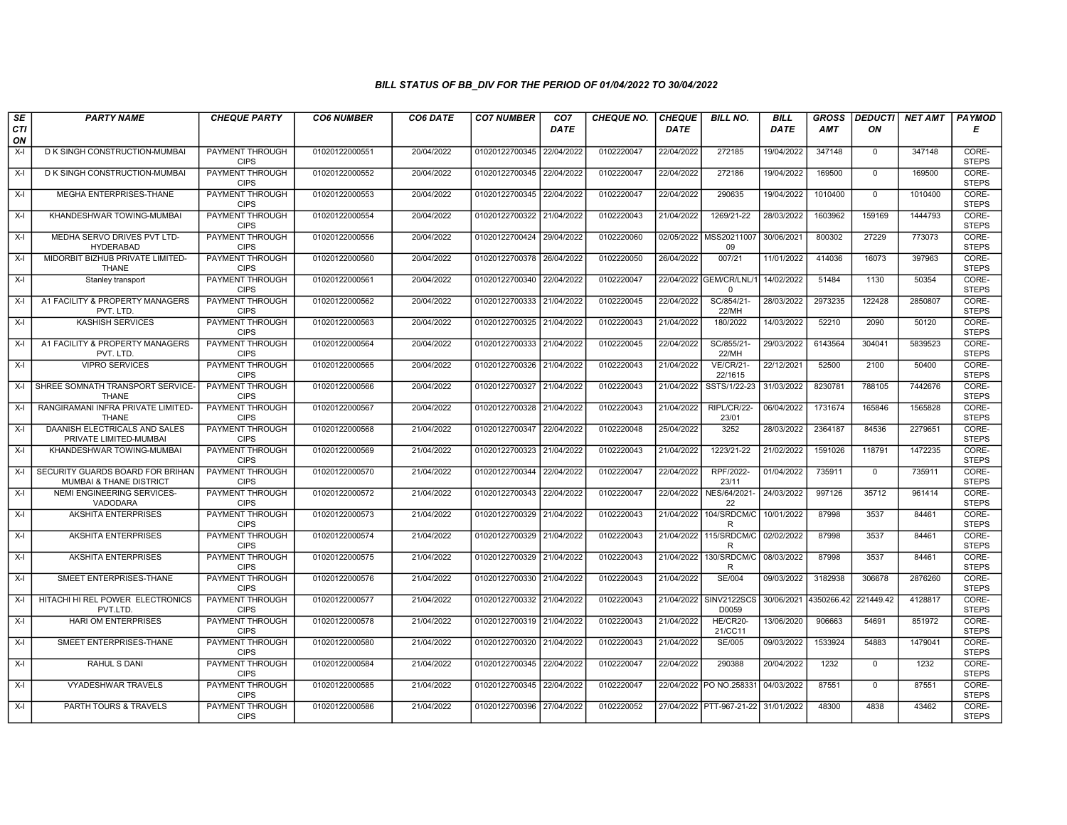| SE        | <b>PARTY NAME</b>                                           | <b>CHEQUE PARTY</b>                   | <b>CO6 NUMBER</b> | CO6 DATE   | <b>CO7 NUMBER</b>         | CO <sub>7</sub> | <b>CHEQUE NO.</b> | <b>CHEQUE</b> | <b>BILL NO.</b>                        | <b>BILL</b>           | <b>GROSS</b> | <b>DEDUCTI</b> | NET AMT | <b>PAYMOD</b>         |
|-----------|-------------------------------------------------------------|---------------------------------------|-------------------|------------|---------------------------|-----------------|-------------------|---------------|----------------------------------------|-----------------------|--------------|----------------|---------|-----------------------|
| CTI<br>ON |                                                             |                                       |                   |            |                           | <b>DATE</b>     |                   | <b>DATE</b>   |                                        | <b>DATE</b>           | AMT          | ON             |         | Е                     |
| $X-I$     | D K SINGH CONSTRUCTION-MUMBAI                               | <b>PAYMENT THROUGH</b><br><b>CIPS</b> | 01020122000551    | 20/04/2022 | 01020122700345 22/04/2022 |                 | 0102220047        | 22/04/2022    | 272185                                 | 19/04/2022            | 347148       | $\mathbf 0$    | 347148  | CORE-<br><b>STEPS</b> |
| $X-I$     | D K SINGH CONSTRUCTION-MUMBAI                               | <b>PAYMENT THROUGH</b><br><b>CIPS</b> | 01020122000552    | 20/04/2022 | 01020122700345 22/04/2022 |                 | 0102220047        | 22/04/2022    | 272186                                 | 19/04/2022            | 169500       | $\mathbf 0$    | 169500  | CORE-<br><b>STEPS</b> |
| $X-I$     | MEGHA ENTERPRISES-THANE                                     | PAYMENT THROUGH<br><b>CIPS</b>        | 01020122000553    | 20/04/2022 | 01020122700345 22/04/2022 |                 | 0102220047        | 22/04/2022    | 290635                                 | 19/04/2022            | 1010400      | $\mathbf 0$    | 1010400 | CORE-<br><b>STEPS</b> |
| $X-I$     | KHANDESHWAR TOWING-MUMBAI                                   | <b>PAYMENT THROUGH</b><br><b>CIPS</b> | 01020122000554    | 20/04/2022 | 01020122700322            | 21/04/2022      | 0102220043        | 21/04/2022    | 1269/21-22                             | 28/03/2022            | 1603962      | 159169         | 1444793 | CORE-<br><b>STEPS</b> |
| $X-I$     | MEDHA SERVO DRIVES PVT LTD-<br><b>HYDERABAD</b>             | <b>PAYMENT THROUGH</b><br><b>CIPS</b> | 01020122000556    | 20/04/2022 | 01020122700424            | 29/04/2022      | 0102220060        |               | 02/05/2022 MSS20211007<br>09           | 30/06/2021            | 800302       | 27229          | 773073  | CORE-<br><b>STEPS</b> |
| X-I       | MIDORBIT BIZHUB PRIVATE LIMITED-<br><b>THANE</b>            | <b>PAYMENT THROUGH</b><br><b>CIPS</b> | 01020122000560    | 20/04/2022 | 01020122700378 26/04/2022 |                 | 0102220050        | 26/04/2022    | 007/21                                 | 11/01/2022            | 414036       | 16073          | 397963  | CORE-<br><b>STEPS</b> |
| $X-I$     | Stanley transport                                           | PAYMENT THROUGH<br><b>CIPS</b>        | 01020122000561    | 20/04/2022 | 01020122700340            | 22/04/2022      | 0102220047        |               | 22/04/2022 GEM/CR/LNL/1<br>$\mathbf 0$ | 14/02/2022            | 51484        | 1130           | 50354   | CORE-<br><b>STEPS</b> |
| $X-I$     | A1 FACILITY & PROPERTY MANAGERS<br>PVT. LTD.                | <b>PAYMENT THROUGH</b><br><b>CIPS</b> | 01020122000562    | 20/04/2022 | 01020122700333 21/04/2022 |                 | 0102220045        | 22/04/2022    | SC/854/21-<br>22/MH                    | 28/03/2022            | 2973235      | 122428         | 2850807 | CORE-<br><b>STEPS</b> |
| $X-I$     | <b>KASHISH SERVICES</b>                                     | <b>PAYMENT THROUGH</b><br><b>CIPS</b> | 01020122000563    | 20/04/2022 | 01020122700325 21/04/2022 |                 | 0102220043        | 21/04/2022    | 180/2022                               | 14/03/2022            | 52210        | 2090           | 50120   | CORE-<br><b>STEPS</b> |
| $X-I$     | A1 FACILITY & PROPERTY MANAGERS<br>PVT. LTD.                | <b>PAYMENT THROUGH</b><br><b>CIPS</b> | 01020122000564    | 20/04/2022 | 01020122700333 21/04/2022 |                 | 0102220045        | 22/04/2022    | SC/855/21-<br>22/MH                    | 29/03/2022            | 6143564      | 304041         | 5839523 | CORE-<br><b>STEPS</b> |
| $X-I$     | <b>VIPRO SERVICES</b>                                       | PAYMENT THROUGH<br><b>CIPS</b>        | 01020122000565    | 20/04/2022 | 01020122700326            | 21/04/2022      | 0102220043        | 21/04/2022    | <b>VE/CR/21-</b><br>22/1615            | 22/12/2021            | 52500        | 2100           | 50400   | CORE-<br><b>STEPS</b> |
|           | X-I SHREE SOMNATH TRANSPORT SERVICE-<br><b>THANE</b>        | <b>PAYMENT THROUGH</b><br><b>CIPS</b> | 01020122000566    | 20/04/2022 | 01020122700327            | 21/04/2022      | 0102220043        | 21/04/2022    | SSTS/1/22-23                           | 31/03/2022            | 8230781      | 788105         | 7442676 | CORE-<br><b>STEPS</b> |
| $X-I$     | RANGIRAMANI INFRA PRIVATE LIMITED-<br><b>THANE</b>          | <b>PAYMENT THROUGH</b><br><b>CIPS</b> | 01020122000567    | 20/04/2022 | 01020122700328 21/04/2022 |                 | 0102220043        | 21/04/2022    | RIPL/CR/22-<br>23/01                   | 06/04/2022            | 1731674      | 165846         | 1565828 | CORE-<br><b>STEPS</b> |
| $X-I$     | DAANISH ELECTRICALS AND SALES<br>PRIVATE LIMITED-MUMBAI     | <b>PAYMENT THROUGH</b><br><b>CIPS</b> | 01020122000568    | 21/04/2022 | 01020122700347            | 22/04/2022      | 0102220048        | 25/04/2022    | 3252                                   | 28/03/2022            | 2364187      | 84536          | 2279651 | CORE-<br><b>STEPS</b> |
| $X-I$     | KHANDESHWAR TOWING-MUMBAI                                   | PAYMENT THROUGH<br><b>CIPS</b>        | 01020122000569    | 21/04/2022 | 01020122700323 21/04/2022 |                 | 0102220043        | 21/04/2022    | 1223/21-22                             | 21/02/2022            | 1591026      | 118791         | 1472235 | CORE-<br><b>STEPS</b> |
| $X-I$     | SECURITY GUARDS BOARD FOR BRIHAN<br>MUMBAI & THANE DISTRICT | <b>PAYMENT THROUGH</b><br><b>CIPS</b> | 01020122000570    | 21/04/2022 | 01020122700344            | 22/04/2022      | 0102220047        | 22/04/2022    | RPF/2022-<br>23/11                     | 01/04/2022            | 735911       | $\Omega$       | 735911  | CORE-<br><b>STEPS</b> |
| $X-I$     | NEMI ENGINEERING SERVICES-<br>VADODARA                      | <b>PAYMENT THROUGH</b><br><b>CIPS</b> | 01020122000572    | 21/04/2022 | 01020122700343            | 22/04/2022      | 0102220047        | 22/04/2022    | NES/64/2021-<br>22                     | 24/03/2022            | 997126       | 35712          | 961414  | CORE-<br><b>STEPS</b> |
| $X-I$     | <b>AKSHITA ENTERPRISES</b>                                  | <b>PAYMENT THROUGH</b><br><b>CIPS</b> | 01020122000573    | 21/04/2022 | 01020122700329            | 21/04/2022      | 0102220043        | 21/04/2022    | 104/SRDCM/C<br>R                       | 10/01/2022            | 87998        | 3537           | 84461   | CORE-<br><b>STEPS</b> |
| X-I       | <b>AKSHITA ENTERPRISES</b>                                  | PAYMENT THROUGH<br><b>CIPS</b>        | 01020122000574    | 21/04/2022 | 01020122700329 21/04/2022 |                 | 0102220043        |               | 21/04/2022 115/SRDCM/C<br>$\mathsf{R}$ | 02/02/2022            | 87998        | 3537           | 84461   | CORE-<br><b>STEPS</b> |
| $X-I$     | <b>AKSHITA ENTERPRISES</b>                                  | <b>PAYMENT THROUGH</b><br><b>CIPS</b> | 01020122000575    | 21/04/2022 | 01020122700329            | 21/04/2022      | 0102220043        | 21/04/2022    | 130/SRDCM/C<br>R                       | 08/03/2022            | 87998        | 3537           | 84461   | CORE-<br><b>STEPS</b> |
| $X-I$     | SMEET ENTERPRISES-THANE                                     | <b>PAYMENT THROUGH</b><br><b>CIPS</b> | 01020122000576    | 21/04/2022 | 01020122700330            | 21/04/2022      | 0102220043        | 21/04/2022    | <b>SE/004</b>                          | 09/03/2022            | 3182938      | 306678         | 2876260 | CORE-<br><b>STEPS</b> |
| X-I       | HITACHI HI REL POWER ELECTRONICS<br>PVT.LTD.                | <b>PAYMENT THROUGH</b><br><b>CIPS</b> | 01020122000577    | 21/04/2022 | 01020122700332 21/04/2022 |                 | 0102220043        |               | 21/04/2022 SINV2122SCS<br>D0059        | 30/06/2021 4350266.42 |              | 221449.42      | 4128817 | CORE-<br><b>STEPS</b> |
| $X-I$     | HARI OM ENTERPRISES                                         | <b>PAYMENT THROUGH</b><br><b>CIPS</b> | 01020122000578    | 21/04/2022 | 01020122700319            | 21/04/2022      | 0102220043        | 21/04/2022    | HE/CR20-<br>21/CC11                    | 13/06/2020            | 906663       | 54691          | 851972  | CORE-<br><b>STEPS</b> |
| $X-I$     | SMEET ENTERPRISES-THANE                                     | PAYMENT THROUGH<br><b>CIPS</b>        | 01020122000580    | 21/04/2022 | 01020122700320 21/04/2022 |                 | 0102220043        | 21/04/2022    | SE/005                                 | 09/03/2022            | 1533924      | 54883          | 1479041 | CORE-<br><b>STEPS</b> |
| $X-I$     | <b>RAHUL S DANI</b>                                         | PAYMENT THROUGH<br><b>CIPS</b>        | 01020122000584    | 21/04/2022 | 01020122700345            | 22/04/2022      | 0102220047        | 22/04/2022    | 290388                                 | 20/04/2022            | 1232         | $\Omega$       | 1232    | CORE-<br><b>STEPS</b> |
| $X-I$     | <b>VYADESHWAR TRAVELS</b>                                   | <b>PAYMENT THROUGH</b><br><b>CIPS</b> | 01020122000585    | 21/04/2022 | 01020122700345 22/04/2022 |                 | 0102220047        |               | 22/04/2022 PO NO.258331                | 04/03/2022            | 87551        | $\mathbf 0$    | 87551   | CORE-<br><b>STEPS</b> |
| $X-I$     | PARTH TOURS & TRAVELS                                       | <b>PAYMENT THROUGH</b><br><b>CIPS</b> | 01020122000586    | 21/04/2022 | 01020122700396 27/04/2022 |                 | 0102220052        |               | 27/04/2022 PTT-967-21-22               | 31/01/2022            | 48300        | 4838           | 43462   | CORE-<br><b>STEPS</b> |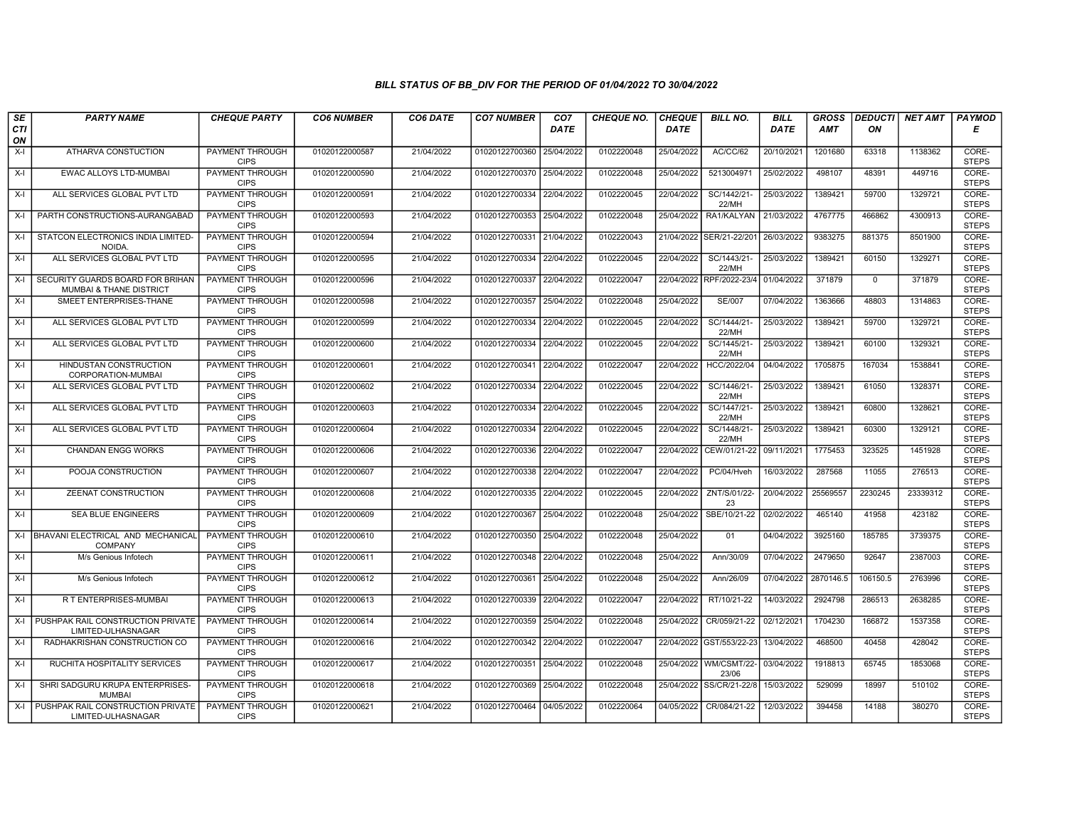| SE        | <b>PARTY NAME</b>                                                      | <b>CHEQUE PARTY</b>                   | <b>CO6 NUMBER</b> | CO6 DATE   | <b>CO7 NUMBER</b>         | CO <sub>7</sub> | <b>CHEQUE NO.</b> | <b>CHEQUE</b> | <b>BILL NO.</b>                 | <b>BILL</b> | <b>GROSS</b> |             | <b>DEDUCTI NET AMT</b> | <b>PAYMOD</b>         |
|-----------|------------------------------------------------------------------------|---------------------------------------|-------------------|------------|---------------------------|-----------------|-------------------|---------------|---------------------------------|-------------|--------------|-------------|------------------------|-----------------------|
| CTI<br>ON |                                                                        |                                       |                   |            |                           | <b>DATE</b>     |                   | <b>DATE</b>   |                                 | <b>DATE</b> | <b>AMT</b>   | ON          |                        | Е                     |
| $X-I$     | ATHARVA CONSTUCTION                                                    | <b>PAYMENT THROUGH</b><br><b>CIPS</b> | 01020122000587    | 21/04/2022 | 01020122700360            | 25/04/2022      | 0102220048        | 25/04/2022    | AC/CC/62                        | 20/10/2021  | 1201680      | 63318       | 1138362                | CORE-<br><b>STEPS</b> |
| X-I       | <b>EWAC ALLOYS LTD-MUMBAI</b>                                          | <b>PAYMENT THROUGH</b><br><b>CIPS</b> | 01020122000590    | 21/04/2022 | 01020122700370 25/04/2022 |                 | 0102220048        | 25/04/2022    | 5213004971                      | 25/02/2022  | 498107       | 48391       | 449716                 | CORE-<br><b>STEPS</b> |
| $X-I$     | ALL SERVICES GLOBAL PVT LTD                                            | PAYMENT THROUGH<br><b>CIPS</b>        | 01020122000591    | 21/04/2022 | 01020122700334            | 22/04/2022      | 0102220045        | 22/04/2022    | SC/1442/21-<br>22/MH            | 25/03/2022  | 1389421      | 59700       | 1329721                | CORE-<br><b>STEPS</b> |
| X-I       | PARTH CONSTRUCTIONS-AURANGABAD                                         | PAYMENT THROUGH<br><b>CIPS</b>        | 01020122000593    | 21/04/2022 | 01020122700353            | 25/04/2022      | 0102220048        | 25/04/2022    | RA1/KALYAN                      | 21/03/2022  | 4767775      | 466862      | 4300913                | CORE-<br><b>STEPS</b> |
| X-I       | STATCON ELECTRONICS INDIA LIMITED-<br><b>NOIDA</b>                     | <b>PAYMENT THROUGH</b><br><b>CIPS</b> | 01020122000594    | 21/04/2022 | 01020122700331            | 21/04/2022      | 0102220043        | 21/04/2022    | SER/21-22/201                   | 26/03/2022  | 9383275      | 881375      | 8501900                | CORE-<br><b>STEPS</b> |
| X-I       | ALL SERVICES GLOBAL PVT LTD                                            | <b>PAYMENT THROUGH</b><br><b>CIPS</b> | 01020122000595    | 21/04/2022 | 01020122700334 22/04/2022 |                 | 0102220045        | 22/04/2022    | SC/1443/21-<br>22/MH            | 25/03/2022  | 1389421      | 60150       | 1329271                | CORE-<br><b>STEPS</b> |
| X-I       | SECURITY GUARDS BOARD FOR BRIHAN<br><b>MUMBAI &amp; THANE DISTRICT</b> | PAYMENT THROUGH<br><b>CIPS</b>        | 01020122000596    | 21/04/2022 | 01020122700337            | 22/04/2022      | 0102220047        |               | 22/04/2022 RPF/2022-23/4        | 01/04/2022  | 371879       | $\mathbf 0$ | 371879                 | CORE-<br><b>STEPS</b> |
| X-I       | SMEET ENTERPRISES-THANE                                                | <b>PAYMENT THROUGH</b><br><b>CIPS</b> | 01020122000598    | 21/04/2022 | 01020122700357            | 25/04/2022      | 0102220048        | 25/04/2022    | <b>SE/007</b>                   | 07/04/2022  | 1363666      | 48803       | 1314863                | CORE-<br><b>STEPS</b> |
| X-I       | ALL SERVICES GLOBAL PVT LTD                                            | <b>PAYMENT THROUGH</b><br><b>CIPS</b> | 01020122000599    | 21/04/2022 | 01020122700334            | 22/04/2022      | 0102220045        | 22/04/2022    | SC/1444/21-<br>22/MH            | 25/03/2022  | 1389421      | 59700       | 1329721                | CORE-<br><b>STEPS</b> |
| $X-I$     | ALL SERVICES GLOBAL PVT LTD                                            | <b>PAYMENT THROUGH</b><br><b>CIPS</b> | 01020122000600    | 21/04/2022 | 01020122700334            | 22/04/2022      | 0102220045        | 22/04/2022    | SC/1445/21-<br>22/MH            | 25/03/2022  | 1389421      | 60100       | 1329321                | CORE-<br><b>STEPS</b> |
| X-I       | HINDUSTAN CONSTRUCTION<br>CORPORATION-MUMBAI                           | PAYMENT THROUGH<br><b>CIPS</b>        | 01020122000601    | 21/04/2022 | 01020122700341 22/04/2022 |                 | 0102220047        | 22/04/2022    | HCC/2022/04                     | 04/04/2022  | 1705875      | 167034      | 1538841                | CORE-<br><b>STEPS</b> |
| $X-I$     | ALL SERVICES GLOBAL PVT LTD                                            | <b>PAYMENT THROUGH</b><br><b>CIPS</b> | 01020122000602    | 21/04/2022 | 01020122700334            | 22/04/2022      | 0102220045        | 22/04/2022    | SC/1446/21-<br>22/MH            | 25/03/2022  | 1389421      | 61050       | 1328371                | CORE-<br><b>STEPS</b> |
| X-I       | ALL SERVICES GLOBAL PVT LTD                                            | PAYMENT THROUGH<br><b>CIPS</b>        | 01020122000603    | 21/04/2022 | 01020122700334 22/04/2022 |                 | 0102220045        | 22/04/2022    | SC/1447/21-<br>22/MH            | 25/03/2022  | 1389421      | 60800       | 1328621                | CORE-<br><b>STEPS</b> |
| X-I       | ALL SERVICES GLOBAL PVT LTD                                            | <b>PAYMENT THROUGH</b><br><b>CIPS</b> | 01020122000604    | 21/04/2022 | 01020122700334            | 22/04/2022      | 0102220045        | 22/04/2022    | SC/1448/21-<br>22/MH            | 25/03/2022  | 1389421      | 60300       | 1329121                | CORE-<br><b>STEPS</b> |
| X-I       | <b>CHANDAN ENGG WORKS</b>                                              | PAYMENT THROUGH<br><b>CIPS</b>        | 01020122000606    | 21/04/2022 | 01020122700336            | 22/04/2022      | 0102220047        | 22/04/2022    | CEW/01/21-22                    | 09/11/2021  | 1775453      | 323525      | 1451928                | CORE-<br><b>STEPS</b> |
| X-I       | POOJA CONSTRUCTION                                                     | PAYMENT THROUGH<br><b>CIPS</b>        | 01020122000607    | 21/04/2022 | 01020122700338            | 22/04/2022      | 0102220047        | 22/04/2022    | PC/04/Hveh                      | 16/03/2022  | 287568       | 11055       | 276513                 | CORE-<br><b>STEPS</b> |
| X-I       | ZEENAT CONSTRUCTION                                                    | PAYMENT THROUGH<br><b>CIPS</b>        | 01020122000608    | 21/04/2022 | 01020122700335            | 22/04/2022      | 0102220045        | 22/04/2022    | ZNT/S/01/22-<br>23              | 20/04/2022  | 25569557     | 2230245     | 23339312               | CORE-<br><b>STEPS</b> |
| X-I       | <b>SEA BLUE ENGINEERS</b>                                              | <b>PAYMENT THROUGH</b><br><b>CIPS</b> | 01020122000609    | 21/04/2022 | 01020122700367            | 25/04/2022      | 0102220048        | 25/04/2022    | SBE/10/21-22                    | 02/02/2022  | 465140       | 41958       | 423182                 | CORE-<br><b>STEPS</b> |
|           | X-I BHAVANI ELECTRICAL AND MECHANICAL<br><b>COMPANY</b>                | PAYMENT THROUGH<br><b>CIPS</b>        | 01020122000610    | 21/04/2022 | 01020122700350 25/04/2022 |                 | 0102220048        | 25/04/2022    | 01                              | 04/04/2022  | 3925160      | 185785      | 3739375                | CORE-<br><b>STEPS</b> |
| X-I       | M/s Genious Infotech                                                   | <b>PAYMENT THROUGH</b><br><b>CIPS</b> | 01020122000611    | 21/04/2022 | 01020122700348            | 22/04/2022      | 0102220048        | 25/04/2022    | Ann/30/09                       | 07/04/2022  | 2479650      | 92647       | 2387003                | CORE-<br><b>STEPS</b> |
| X-I       | M/s Genious Infotech                                                   | <b>PAYMENT THROUGH</b><br><b>CIPS</b> | 01020122000612    | 21/04/2022 | 01020122700361 25/04/2022 |                 | 0102220048        | 25/04/2022    | Ann/26/09                       | 07/04/2022  | 2870146.5    | 106150.5    | 2763996                | CORE-<br><b>STEPS</b> |
| X-I       | R T ENTERPRISES-MUMBAI                                                 | PAYMENT THROUGH<br><b>CIPS</b>        | 01020122000613    | 21/04/2022 | 01020122700339 22/04/2022 |                 | 0102220047        | 22/04/2022    | RT/10/21-22                     | 14/03/2022  | 2924798      | 286513      | 2638285                | CORE-<br><b>STEPS</b> |
| $X-I$     | PUSHPAK RAIL CONSTRUCTION PRIVATE<br>LIMITED-ULHASNAGAR                | PAYMENT THROUGH<br><b>CIPS</b>        | 01020122000614    | 21/04/2022 | 01020122700359            | 25/04/2022      | 0102220048        | 25/04/2022    | CR/059/21-22                    | 02/12/2021  | 1704230      | 166872      | 1537358                | CORE-<br><b>STEPS</b> |
| X-I       | RADHAKRISHAN CONSTRUCTION CO                                           | PAYMENT THROUGH<br><b>CIPS</b>        | 01020122000616    | 21/04/2022 | 01020122700342 22/04/2022 |                 | 0102220047        |               | 22/04/2022 GST/553/22-23        | 13/04/2022  | 468500       | 40458       | 428042                 | CORE-<br><b>STEPS</b> |
| X-I       | RUCHITA HOSPITALITY SERVICES                                           | PAYMENT THROUGH<br><b>CIPS</b>        | 01020122000617    | 21/04/2022 | 01020122700351 25/04/2022 |                 | 0102220048        |               | 25/04/2022 WM/CSMT/22-<br>23/06 | 03/04/2022  | 1918813      | 65745       | 1853068                | CORE-<br><b>STEPS</b> |
| X-I       | SHRI SADGURU KRUPA ENTERPRISES-<br><b>MUMBAI</b>                       | <b>PAYMENT THROUGH</b><br><b>CIPS</b> | 01020122000618    | 21/04/2022 | 01020122700369            | 25/04/2022      | 0102220048        |               | 25/04/2022 SS/CR/21-22/8        | 15/03/2022  | 529099       | 18997       | 510102                 | CORE-<br><b>STEPS</b> |
| X-I       | PUSHPAK RAIL CONSTRUCTION PRIVATE<br>LIMITED-ULHASNAGAR                | <b>PAYMENT THROUGH</b><br><b>CIPS</b> | 01020122000621    | 21/04/2022 | 01020122700464 04/05/2022 |                 | 0102220064        | 04/05/2022    | CR/084/21-22                    | 12/03/2022  | 394458       | 14188       | 380270                 | CORE-<br><b>STEPS</b> |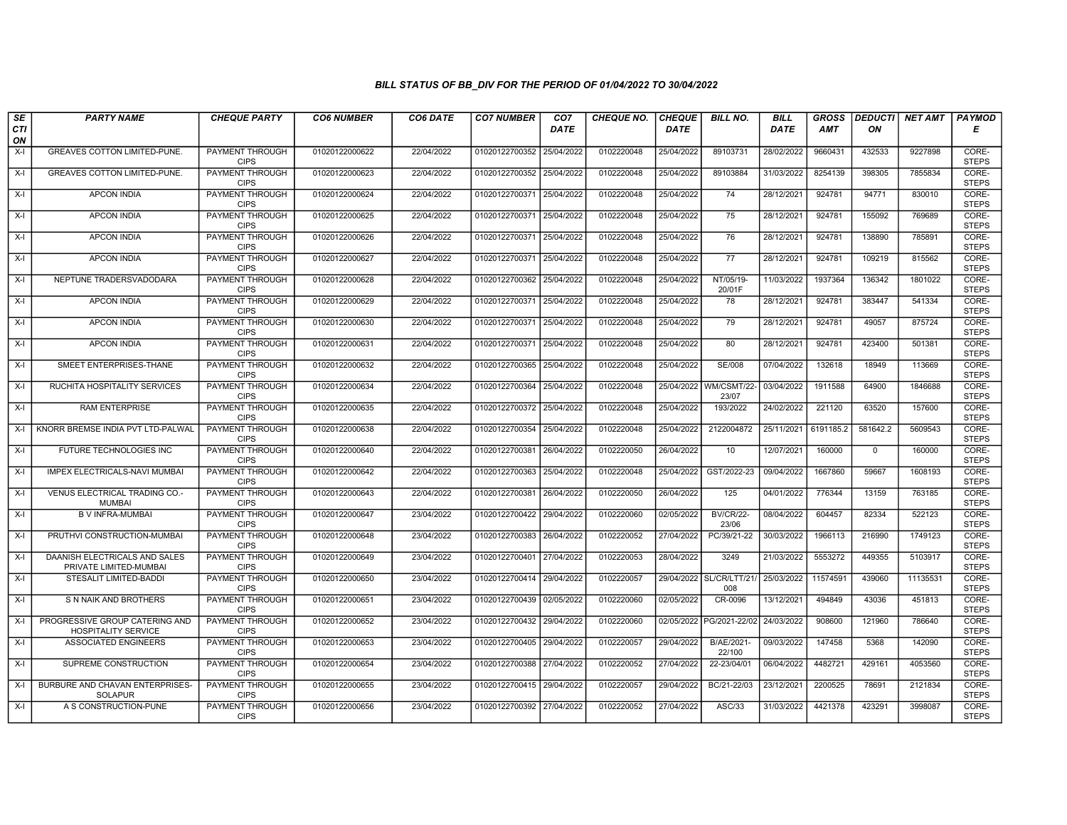| SE        | <b>PARTY NAME</b>                                            | <b>CHEQUE PARTY</b>                   | <b>CO6 NUMBER</b> | CO6 DATE   | <b>CO7 NUMBER</b>         | CO <sub>7</sub> | <b>CHEQUE NO.</b> | <b>CHEQUE</b> | <b>BILL NO.</b>                 | <b>BILL</b> | <b>GROSS</b> |          | <b>DEDUCTI NET AMT</b> | <b>PAYMOD</b>         |
|-----------|--------------------------------------------------------------|---------------------------------------|-------------------|------------|---------------------------|-----------------|-------------------|---------------|---------------------------------|-------------|--------------|----------|------------------------|-----------------------|
| CTI<br>ON |                                                              |                                       |                   |            |                           | <b>DATE</b>     |                   | <b>DATE</b>   |                                 | <b>DATE</b> | <b>AMT</b>   | ON       |                        | Е                     |
| $X-I$     | GREAVES COTTON LIMITED-PUNE.                                 | <b>PAYMENT THROUGH</b><br><b>CIPS</b> | 01020122000622    | 22/04/2022 | 01020122700352            | 25/04/2022      | 0102220048        | 25/04/2022    | 89103731                        | 28/02/2022  | 9660431      | 432533   | 9227898                | CORE-<br><b>STEPS</b> |
| $X-I$     | <b>GREAVES COTTON LIMITED-PUNE.</b>                          | <b>PAYMENT THROUGH</b><br><b>CIPS</b> | 01020122000623    | 22/04/2022 | 01020122700352 25/04/2022 |                 | 0102220048        | 25/04/2022    | 89103884                        | 31/03/2022  | 8254139      | 398305   | 7855834                | CORE-<br><b>STEPS</b> |
| $X-I$     | <b>APCON INDIA</b>                                           | PAYMENT THROUGH<br><b>CIPS</b>        | 01020122000624    | 22/04/2022 | 01020122700371 25/04/2022 |                 | 0102220048        | 25/04/2022    | 74                              | 28/12/2021  | 924781       | 94771    | 830010                 | CORE-<br><b>STEPS</b> |
| $X-I$     | <b>APCON INDIA</b>                                           | PAYMENT THROUGH<br><b>CIPS</b>        | 01020122000625    | 22/04/2022 | 01020122700371 25/04/2022 |                 | 0102220048        | 25/04/2022    | 75                              | 28/12/2021  | 924781       | 155092   | 769689                 | CORE-<br><b>STEPS</b> |
| X-I       | <b>APCON INDIA</b>                                           | <b>PAYMENT THROUGH</b><br><b>CIPS</b> | 01020122000626    | 22/04/2022 | 01020122700371 25/04/2022 |                 | 0102220048        | 25/04/2022    | 76                              | 28/12/2021  | 924781       | 138890   | 785891                 | CORE-<br><b>STEPS</b> |
| $X-I$     | <b>APCON INDIA</b>                                           | <b>PAYMENT THROUGH</b><br><b>CIPS</b> | 01020122000627    | 22/04/2022 | 01020122700371 25/04/2022 |                 | 0102220048        | 25/04/2022    | 77                              | 28/12/2021  | 924781       | 109219   | 815562                 | CORE-<br><b>STEPS</b> |
| $X-I$     | NEPTUNE TRADERSVADODARA                                      | PAYMENT THROUGH<br><b>CIPS</b>        | 01020122000628    | 22/04/2022 | 01020122700362            | 25/04/2022      | 0102220048        | 25/04/2022    | NT/05/19-<br>20/01F             | 11/03/2022  | 1937364      | 136342   | 1801022                | CORE-<br><b>STEPS</b> |
| $X-I$     | <b>APCON INDIA</b>                                           | <b>PAYMENT THROUGH</b><br><b>CIPS</b> | 01020122000629    | 22/04/2022 | 01020122700371 25/04/2022 |                 | 0102220048        | 25/04/2022    | 78                              | 28/12/2021  | 924781       | 383447   | 541334                 | CORE-<br><b>STEPS</b> |
| $X-I$     | <b>APCON INDIA</b>                                           | <b>PAYMENT THROUGH</b><br><b>CIPS</b> | 01020122000630    | 22/04/2022 | 01020122700371 25/04/2022 |                 | 0102220048        | 25/04/2022    | 79                              | 28/12/2021  | 924781       | 49057    | 875724                 | CORE-<br><b>STEPS</b> |
| $X-I$     | <b>APCON INDIA</b>                                           | <b>PAYMENT THROUGH</b><br><b>CIPS</b> | 01020122000631    | 22/04/2022 | 01020122700371 25/04/2022 |                 | 0102220048        | 25/04/2022    | 80                              | 28/12/2021  | 924781       | 423400   | 501381                 | CORE-<br><b>STEPS</b> |
| $X-I$     | SMEET ENTERPRISES-THANE                                      | PAYMENT THROUGH<br><b>CIPS</b>        | 01020122000632    | 22/04/2022 | 01020122700365            | 25/04/2022      | 0102220048        | 25/04/2022    | SE/008                          | 07/04/2022  | 132618       | 18949    | 113669                 | CORE-<br><b>STEPS</b> |
| $X-I$     | RUCHITA HOSPITALITY SERVICES                                 | PAYMENT THROUGH<br><b>CIPS</b>        | 01020122000634    | 22/04/2022 | 01020122700364 25/04/2022 |                 | 0102220048        | 25/04/2022    | WM/CSMT/22<br>23/07             | 03/04/2022  | 1911588      | 64900    | 1846688                | CORE-<br><b>STEPS</b> |
| $X-I$     | <b>RAM ENTERPRISE</b>                                        | PAYMENT THROUGH<br><b>CIPS</b>        | 01020122000635    | 22/04/2022 | 01020122700372 25/04/2022 |                 | 0102220048        | 25/04/2022    | 193/2022                        | 24/02/2022  | 221120       | 63520    | 157600                 | CORE-<br><b>STEPS</b> |
| $X-I$     | KNORR BREMSE INDIA PVT LTD-PALWAL                            | <b>PAYMENT THROUGH</b><br><b>CIPS</b> | 01020122000638    | 22/04/2022 | 01020122700354 25/04/2022 |                 | 0102220048        | 25/04/2022    | 2122004872                      | 25/11/2021  | 6191185.2    | 581642.2 | 5609543                | CORE-<br><b>STEPS</b> |
| $X-I$     | FUTURE TECHNOLOGIES INC                                      | PAYMENT THROUGH<br><b>CIPS</b>        | 01020122000640    | 22/04/2022 | 01020122700381 26/04/2022 |                 | 0102220050        | 26/04/2022    | 10                              | 12/07/2021  | 160000       | $\Omega$ | 160000                 | CORE-<br><b>STEPS</b> |
| $X-I$     | IMPEX ELECTRICALS-NAVI MUMBAI                                | PAYMENT THROUGH<br><b>CIPS</b>        | 01020122000642    | 22/04/2022 | 01020122700363 25/04/2022 |                 | 0102220048        | 25/04/2022    | GST/2022-23                     | 09/04/2022  | 1667860      | 59667    | 1608193                | CORE-<br><b>STEPS</b> |
| $X-I$     | VENUS ELECTRICAL TRADING CO.-<br><b>MUMBAI</b>               | <b>PAYMENT THROUGH</b><br><b>CIPS</b> | 01020122000643    | 22/04/2022 | 01020122700381            | 26/04/2022      | 0102220050        | 26/04/2022    | 125                             | 04/01/2022  | 776344       | 13159    | 763185                 | CORE-<br><b>STEPS</b> |
| $X-I$     | <b>B V INFRA-MUMBAI</b>                                      | <b>PAYMENT THROUGH</b><br><b>CIPS</b> | 01020122000647    | 23/04/2022 | 01020122700422            | 29/04/2022      | 0102220060        | 02/05/2022    | <b>BV/CR/22-</b><br>23/06       | 08/04/2022  | 604457       | 82334    | 522123                 | CORE-<br><b>STEPS</b> |
| $X-I$     | PRUTHVI CONSTRUCTION-MUMBAI                                  | PAYMENT THROUGH<br><b>CIPS</b>        | 01020122000648    | 23/04/2022 | 01020122700383 26/04/2022 |                 | 0102220052        | 27/04/2022    | PC/39/21-22                     | 30/03/2022  | 1966113      | 216990   | 1749123                | CORE-<br><b>STEPS</b> |
| $X-I$     | DAANISH ELECTRICALS AND SALES<br>PRIVATE LIMITED-MUMBAI      | PAYMENT THROUGH<br><b>CIPS</b>        | 01020122000649    | 23/04/2022 | 01020122700401 27/04/2022 |                 | 0102220053        | 28/04/2022    | 3249                            | 21/03/2022  | 5553272      | 449355   | 5103917                | CORE-<br><b>STEPS</b> |
| $X-I$     | STESALIT LIMITED-BADDI                                       | PAYMENT THROUGH<br><b>CIPS</b>        | 01020122000650    | 23/04/2022 | 01020122700414 29/04/2022 |                 | 0102220057        |               | 29/04/2022 SL/CR/LTT/21/<br>008 | 25/03/2022  | 11574591     | 439060   | 11135531               | CORE-<br><b>STEPS</b> |
| $X-I$     | S N NAIK AND BROTHERS                                        | <b>PAYMENT THROUGH</b><br><b>CIPS</b> | 01020122000651    | 23/04/2022 | 01020122700439 02/05/2022 |                 | 0102220060        | 02/05/2022    | CR-0096                         | 13/12/2021  | 494849       | 43036    | 451813                 | CORE-<br><b>STEPS</b> |
| $X-I$     | PROGRESSIVE GROUP CATERING AND<br><b>HOSPITALITY SERVICE</b> | PAYMENT THROUGH<br><b>CIPS</b>        | 01020122000652    | 23/04/2022 | 01020122700432            | 29/04/2022      | 0102220060        | 02/05/2022    | PG/2021-22/02                   | 24/03/2022  | 908600       | 121960   | 786640                 | CORE-<br><b>STEPS</b> |
| $X-I$     | <b>ASSOCIATED ENGINEERS</b>                                  | <b>PAYMENT THROUGH</b><br><b>CIPS</b> | 01020122000653    | 23/04/2022 | 01020122700405            | 29/04/2022      | 0102220057        | 29/04/2022    | B/AE/2021-<br>22/100            | 09/03/2022  | 147458       | 5368     | 142090                 | CORE-<br><b>STEPS</b> |
| $X-I$     | SUPREME CONSTRUCTION                                         | PAYMENT THROUGH<br><b>CIPS</b>        | 01020122000654    | 23/04/2022 | 01020122700388            | 27/04/2022      | 0102220052        | 27/04/2022    | 22-23/04/01                     | 06/04/2022  | 4482721      | 429161   | 4053560                | CORE-<br><b>STEPS</b> |
| $X-I$     | BURBURE AND CHAVAN ENTERPRISES-<br><b>SOLAPUR</b>            | <b>PAYMENT THROUGH</b><br><b>CIPS</b> | 01020122000655    | 23/04/2022 | 01020122700415 29/04/2022 |                 | 0102220057        | 29/04/2022    | BC/21-22/03                     | 23/12/2021  | 2200525      | 78691    | 2121834                | CORE-<br><b>STEPS</b> |
| $X-I$     | A S CONSTRUCTION-PUNE                                        | PAYMENT THROUGH<br><b>CIPS</b>        | 01020122000656    | 23/04/2022 | 01020122700392 27/04/2022 |                 | 0102220052        | 27/04/2022    | ASC/33                          | 31/03/2022  | 4421378      | 423291   | 3998087                | CORE-<br><b>STEPS</b> |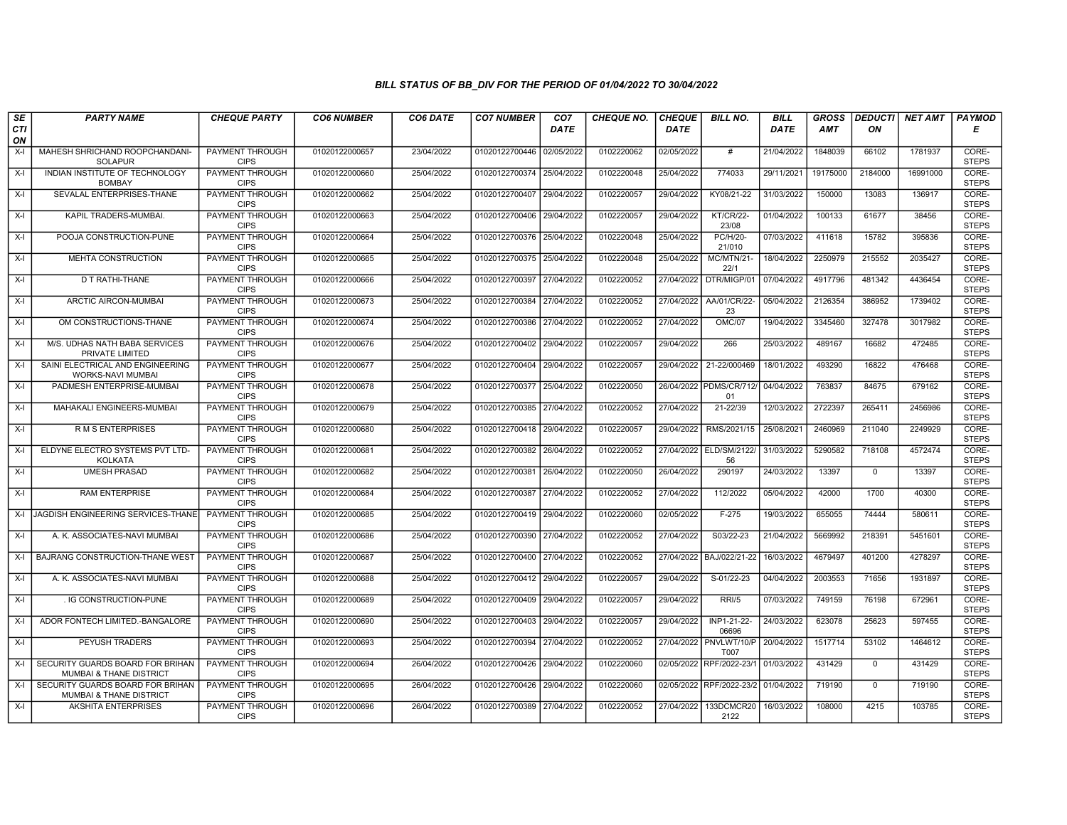| SE        | <b>PARTY NAME</b>                                                      | <b>CHEQUE PARTY</b>                   | <b>CO6 NUMBER</b> | CO6 DATE   | <b>CO7 NUMBER</b>         | CO <sub>7</sub> | <b>CHEQUE NO.</b> | <b>CHEQUE</b> | <b>BILL NO.</b>                       | <b>BILL</b> | <b>GROSS</b> | <b>DEDUCTI</b> | NET AMT  | <b>PAYMOD</b>         |
|-----------|------------------------------------------------------------------------|---------------------------------------|-------------------|------------|---------------------------|-----------------|-------------------|---------------|---------------------------------------|-------------|--------------|----------------|----------|-----------------------|
| CTI<br>ON |                                                                        |                                       |                   |            |                           | <b>DATE</b>     |                   | <b>DATE</b>   |                                       | <b>DATE</b> | AMT          | ON             |          | Е                     |
| $X-I$     | MAHESH SHRICHAND ROOPCHANDANI-<br><b>SOLAPUR</b>                       | <b>PAYMENT THROUGH</b><br><b>CIPS</b> | 01020122000657    | 23/04/2022 | 01020122700446 02/05/2022 |                 | 0102220062        | 02/05/2022    | #                                     | 21/04/2022  | 1848039      | 66102          | 1781937  | CORE-<br><b>STEPS</b> |
| $X-I$     | INDIAN INSTITUTE OF TECHNOLOGY<br><b>BOMBAY</b>                        | <b>PAYMENT THROUGH</b><br><b>CIPS</b> | 01020122000660    | 25/04/2022 | 01020122700374 25/04/2022 |                 | 0102220048        | 25/04/2022    | 774033                                | 29/11/2021  | 19175000     | 2184000        | 16991000 | CORE-<br><b>STEPS</b> |
| $X-I$     | SEVALAL ENTERPRISES-THANE                                              | <b>PAYMENT THROUGH</b><br><b>CIPS</b> | 01020122000662    | 25/04/2022 | 01020122700407            | 29/04/2022      | 0102220057        | 29/04/2022    | KY08/21-22                            | 31/03/2022  | 150000       | 13083          | 136917   | CORE-<br><b>STEPS</b> |
| $X-I$     | KAPIL TRADERS-MUMBAI.                                                  | <b>PAYMENT THROUGH</b><br><b>CIPS</b> | 01020122000663    | 25/04/2022 | 01020122700406            | 29/04/2022      | 0102220057        | 29/04/2022    | <b>KT/CR/22-</b><br>23/08             | 01/04/2022  | 100133       | 61677          | 38456    | CORE-<br><b>STEPS</b> |
| $X-I$     | POOJA CONSTRUCTION-PUNE                                                | <b>PAYMENT THROUGH</b><br><b>CIPS</b> | 01020122000664    | 25/04/2022 | 01020122700376            | 25/04/2022      | 0102220048        | 25/04/2022    | <b>PC/H/20-</b><br>21/010             | 07/03/2022  | 411618       | 15782          | 395836   | CORE-<br><b>STEPS</b> |
| $X-I$     | <b>MEHTA CONSTRUCTION</b>                                              | <b>PAYMENT THROUGH</b><br><b>CIPS</b> | 01020122000665    | 25/04/2022 | 01020122700375 25/04/2022 |                 | 0102220048        | 25/04/2022    | MC/MTN/21-<br>22/1                    | 18/04/2022  | 2250979      | 215552         | 2035427  | CORE-<br><b>STEPS</b> |
| $X-I$     | D T RATHI-THANE                                                        | PAYMENT THROUGH<br><b>CIPS</b>        | 01020122000666    | 25/04/2022 | 01020122700397            | 27/04/2022      | 0102220052        | 27/04/2022    | DTR/MIGP/01                           | 07/04/2022  | 4917796      | 481342         | 4436454  | CORE-<br><b>STEPS</b> |
| $X-I$     | ARCTIC AIRCON-MUMBAI                                                   | PAYMENT THROUGH<br><b>CIPS</b>        | 01020122000673    | 25/04/2022 | 01020122700384            | 27/04/2022      | 0102220052        | 27/04/2022    | AA/01/CR/22-<br>23                    | 05/04/2022  | 2126354      | 386952         | 1739402  | CORE-<br><b>STEPS</b> |
| $X-I$     | OM CONSTRUCTIONS-THANE                                                 | PAYMENT THROUGH<br><b>CIPS</b>        | 01020122000674    | 25/04/2022 | 01020122700386 27/04/2022 |                 | 0102220052        | 27/04/2022    | <b>OMC/07</b>                         | 19/04/2022  | 3345460      | 327478         | 3017982  | CORE-<br><b>STEPS</b> |
| $X-I$     | M/S. UDHAS NATH BABA SERVICES<br>PRIVATE LIMITED                       | <b>PAYMENT THROUGH</b><br><b>CIPS</b> | 01020122000676    | 25/04/2022 | 01020122700402 29/04/2022 |                 | 0102220057        | 29/04/2022    | 266                                   | 25/03/2022  | 489167       | 16682          | 472485   | CORE-<br><b>STEPS</b> |
| $X-I$     | SAINI ELECTRICAL AND ENGINEERING<br><b>WORKS-NAVI MUMBAI</b>           | PAYMENT THROUGH<br><b>CIPS</b>        | 01020122000677    | 25/04/2022 | 01020122700404            | 29/04/2022      | 0102220057        | 29/04/2022    | 21-22/000469                          | 18/01/2022  | 493290       | 16822          | 476468   | CORE-<br><b>STEPS</b> |
| $X-I$     | PADMESH ENTERPRISE-MUMBAI                                              | PAYMENT THROUGH<br><b>CIPS</b>        | 01020122000678    | 25/04/2022 | 01020122700377            | 25/04/2022      | 0102220050        |               | 26/04/2022 PDMS/CR/712/<br>01         | 04/04/2022  | 763837       | 84675          | 679162   | CORE-<br><b>STEPS</b> |
| $X-I$     | MAHAKALI ENGINEERS-MUMBAI                                              | <b>PAYMENT THROUGH</b><br><b>CIPS</b> | 01020122000679    | 25/04/2022 | 01020122700385 27/04/2022 |                 | 0102220052        | 27/04/2022    | 21-22/39                              | 12/03/2022  | 2722397      | 265411         | 2456986  | CORE-<br><b>STEPS</b> |
| $X-I$     | R M S ENTERPRISES                                                      | <b>PAYMENT THROUGH</b><br><b>CIPS</b> | 01020122000680    | 25/04/2022 | 01020122700418            | 29/04/2022      | 0102220057        | 29/04/2022    | RMS/2021/15                           | 25/08/2021  | 2460969      | 211040         | 2249929  | CORE-<br><b>STEPS</b> |
| $X-I$     | ELDYNE ELECTRO SYSTEMS PVT LTD-<br><b>KOLKATA</b>                      | <b>PAYMENT THROUGH</b><br><b>CIPS</b> | 01020122000681    | 25/04/2022 | 01020122700382            | 26/04/2022      | 0102220052        |               | 27/04/2022   ELD/SM/2122/<br>56       | 31/03/2022  | 5290582      | 718108         | 4572474  | CORE-<br><b>STEPS</b> |
| $X-I$     | <b>UMESH PRASAD</b>                                                    | <b>PAYMENT THROUGH</b><br><b>CIPS</b> | 01020122000682    | 25/04/2022 | 01020122700381            | 26/04/2022      | 0102220050        | 26/04/2022    | 290197                                | 24/03/2022  | 13397        | $\mathbf 0$    | 13397    | CORE-<br><b>STEPS</b> |
| $X-I$     | <b>RAM ENTERPRISE</b>                                                  | PAYMENT THROUGH<br><b>CIPS</b>        | 01020122000684    | 25/04/2022 | 01020122700387            | 27/04/2022      | 0102220052        | 27/04/2022    | 112/2022                              | 05/04/2022  | 42000        | 1700           | 40300    | CORE-<br><b>STEPS</b> |
|           | X-I JAGDISH ENGINEERING SERVICES-THANE                                 | <b>PAYMENT THROUGH</b><br><b>CIPS</b> | 01020122000685    | 25/04/2022 | 01020122700419            | 29/04/2022      | 0102220060        | 02/05/2022    | $F-275$                               | 19/03/2022  | 655055       | 74444          | 580611   | CORE-<br><b>STEPS</b> |
| X-I       | A. K. ASSOCIATES-NAVI MUMBAI                                           | PAYMENT THROUGH<br><b>CIPS</b>        | 01020122000686    | 25/04/2022 | 01020122700390 27/04/2022 |                 | 0102220052        | 27/04/2022    | S03/22-23                             | 21/04/2022  | 5669992      | 218391         | 5451601  | CORE-<br><b>STEPS</b> |
| $X-I$     | BAJRANG CONSTRUCTION-THANE WEST                                        | PAYMENT THROUGH<br><b>CIPS</b>        | 01020122000687    | 25/04/2022 | 01020122700400            | 27/04/2022      | 0102220052        | 27/04/2022    | BAJ/022/21-22                         | 16/03/2022  | 4679497      | 401200         | 4278297  | CORE-<br><b>STEPS</b> |
| $X-I$     | A. K. ASSOCIATES-NAVI MUMBAI                                           | <b>PAYMENT THROUGH</b><br><b>CIPS</b> | 01020122000688    | 25/04/2022 | 01020122700412            | 29/04/2022      | 0102220057        | 29/04/2022    | S-01/22-23                            | 04/04/2022  | 2003553      | 71656          | 1931897  | CORE-<br><b>STEPS</b> |
| X-I       | . IG CONSTRUCTION-PUNE                                                 | <b>PAYMENT THROUGH</b><br><b>CIPS</b> | 01020122000689    | 25/04/2022 | 01020122700409 29/04/2022 |                 | 0102220057        | 29/04/2022    | RRI/5                                 | 07/03/2022  | 749159       | 76198          | 672961   | CORE-<br><b>STEPS</b> |
| $X-I$     | ADOR FONTECH LIMITED.-BANGALORE                                        | PAYMENT THROUGH<br><b>CIPS</b>        | 01020122000690    | 25/04/2022 | 01020122700403            | 29/04/2022      | 0102220057        | 29/04/2022    | INP1-21-22-<br>06696                  | 24/03/2022  | 623078       | 25623          | 597455   | CORE-<br><b>STEPS</b> |
| $X-I$     | PEYUSH TRADERS                                                         | <b>PAYMENT THROUGH</b><br><b>CIPS</b> | 01020122000693    | 25/04/2022 | 01020122700394            | 27/04/2022      | 0102220052        |               | 27/04/2022 PNVLWT/10/P<br><b>T007</b> | 20/04/2022  | 1517714      | 53102          | 1464612  | CORE-<br><b>STEPS</b> |
| $X-I$     | SECURITY GUARDS BOARD FOR BRIHAN<br>MUMBAI & THANE DISTRICT            | PAYMENT THROUGH<br><b>CIPS</b>        | 01020122000694    | 26/04/2022 | 01020122700426            | 29/04/2022      | 0102220060        |               | 02/05/2022 RPF/2022-23/1              | 01/03/2022  | 431429       | $\Omega$       | 431429   | CORE-<br><b>STEPS</b> |
| $X-I$     | SECURITY GUARDS BOARD FOR BRIHAN<br><b>MUMBAI &amp; THANE DISTRICT</b> | <b>PAYMENT THROUGH</b><br><b>CIPS</b> | 01020122000695    | 26/04/2022 | 01020122700426            | 29/04/2022      | 0102220060        |               | 02/05/2022 RPF/2022-23/2              | 01/04/2022  | 719190       | $\mathbf 0$    | 719190   | CORE-<br><b>STEPS</b> |
| $X-I$     | <b>AKSHITA ENTERPRISES</b>                                             | PAYMENT THROUGH<br><b>CIPS</b>        | 01020122000696    | 26/04/2022 | 01020122700389 27/04/2022 |                 | 0102220052        | 27/04/2022    | 133DCMCR20<br>2122                    | 16/03/2022  | 108000       | 4215           | 103785   | CORE-<br><b>STEPS</b> |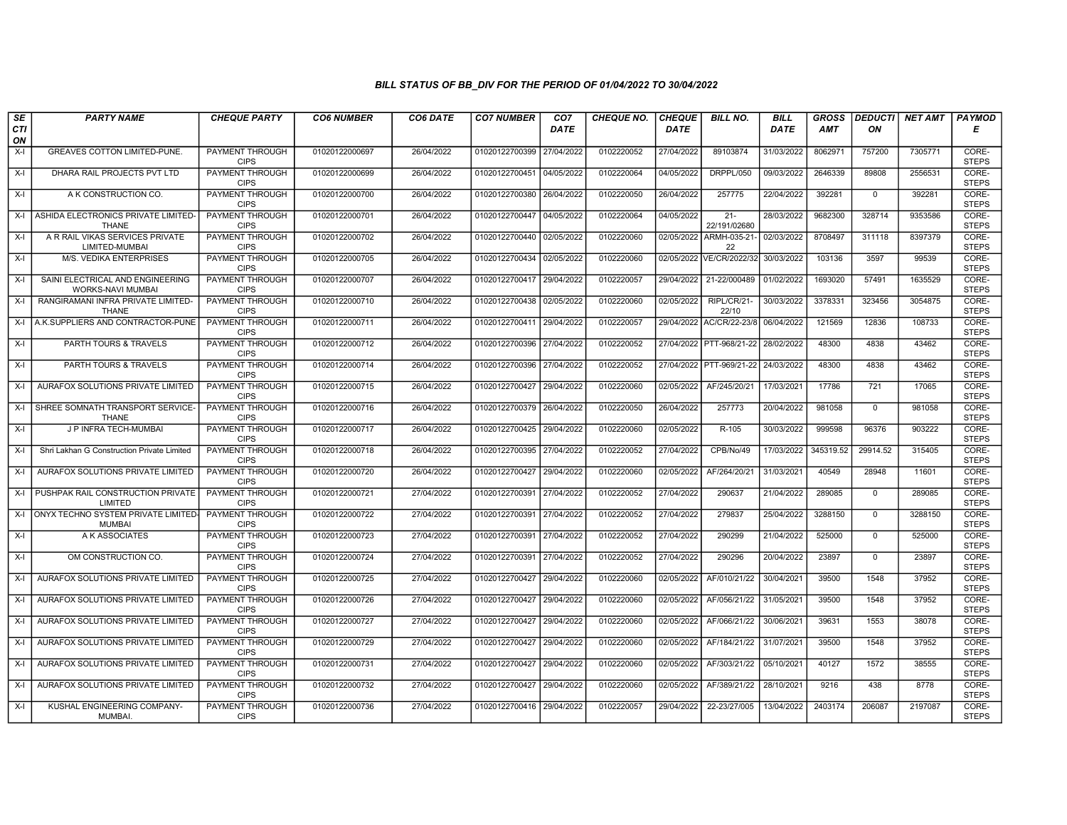| SE        | <b>PARTY NAME</b>                                            | <b>CHEQUE PARTY</b>                   | <b>CO6 NUMBER</b> | CO6 DATE   | <b>CO7 NUMBER</b>         | CO <sub>7</sub> | <b>CHEQUE NO.</b> | <b>CHEQUE</b> | <b>BILL NO.</b>          | <b>BILL</b> | <b>GROSS</b> |              | <b>DEDUCTI NET AMT</b> | <b>PAYMOD</b>         |
|-----------|--------------------------------------------------------------|---------------------------------------|-------------------|------------|---------------------------|-----------------|-------------------|---------------|--------------------------|-------------|--------------|--------------|------------------------|-----------------------|
| CTI<br>ON |                                                              |                                       |                   |            |                           | <b>DATE</b>     |                   | <b>DATE</b>   |                          | <b>DATE</b> | <b>AMT</b>   | ON           |                        | Е                     |
| $X-I$     | GREAVES COTTON LIMITED-PUNE.                                 | <b>PAYMENT THROUGH</b><br><b>CIPS</b> | 01020122000697    | 26/04/2022 | 01020122700399            | 27/04/2022      | 0102220052        | 27/04/2022    | 89103874                 | 31/03/2022  | 8062971      | 757200       | 7305771                | CORE-<br><b>STEPS</b> |
| $X-I$     | DHARA RAIL PROJECTS PVT LTD                                  | <b>PAYMENT THROUGH</b><br><b>CIPS</b> | 01020122000699    | 26/04/2022 | 01020122700451 04/05/2022 |                 | 0102220064        | 04/05/2022    | <b>DRPPL/050</b>         | 09/03/2022  | 2646339      | 89808        | 2556531                | CORE-<br><b>STEPS</b> |
| $X-I$     | A K CONSTRUCTION CO.                                         | PAYMENT THROUGH<br><b>CIPS</b>        | 01020122000700    | 26/04/2022 | 01020122700380 26/04/2022 |                 | 0102220050        | 26/04/2022    | 257775                   | 22/04/2022  | 392281       | $\mathbf 0$  | 392281                 | CORE-<br><b>STEPS</b> |
| $X-I$     | ASHIDA ELECTRONICS PRIVATE LIMITED<br><b>THANE</b>           | PAYMENT THROUGH<br><b>CIPS</b>        | 01020122000701    | 26/04/2022 | 01020122700447            | 04/05/2022      | 0102220064        | 04/05/2022    | $21 -$<br>22/191/02680   | 28/03/2022  | 9682300      | 328714       | 9353586                | CORE-<br><b>STEPS</b> |
| $X-I$     | A R RAIL VIKAS SERVICES PRIVATE<br>LIMITED-MUMBAI            | <b>PAYMENT THROUGH</b><br><b>CIPS</b> | 01020122000702    | 26/04/2022 | 01020122700440 02/05/2022 |                 | 0102220060        | 02/05/2022    | ARMH-035-21-<br>22       | 02/03/2022  | 8708497      | 311118       | 8397379                | CORE-<br><b>STEPS</b> |
| $X-I$     | <b>M/S. VEDIKA ENTERPRISES</b>                               | <b>PAYMENT THROUGH</b><br><b>CIPS</b> | 01020122000705    | 26/04/2022 | 01020122700434 02/05/2022 |                 | 0102220060        |               | 02/05/2022 VE/CR/2022/32 | 30/03/2022  | 103136       | 3597         | 99539                  | CORE-<br><b>STEPS</b> |
| $X-I$     | SAINI ELECTRICAL AND ENGINEERING<br><b>WORKS-NAVI MUMBAI</b> | PAYMENT THROUGH<br><b>CIPS</b>        | 01020122000707    | 26/04/2022 | 01020122700417            | 29/04/2022      | 0102220057        | 29/04/2022    | 21-22/000489             | 01/02/2022  | 1693020      | 57491        | 1635529                | CORE-<br><b>STEPS</b> |
| $X-I$     | RANGIRAMANI INFRA PRIVATE LIMITED-<br><b>THANE</b>           | <b>PAYMENT THROUGH</b><br><b>CIPS</b> | 01020122000710    | 26/04/2022 | 01020122700438 02/05/2022 |                 | 0102220060        | 02/05/2022    | RIPL/CR/21-<br>22/10     | 30/03/2022  | 3378331      | 323456       | 3054875                | CORE-<br><b>STEPS</b> |
| $X-I$     | A.K.SUPPLIERS AND CONTRACTOR-PUNE                            | <b>PAYMENT THROUGH</b><br><b>CIPS</b> | 01020122000711    | 26/04/2022 | 01020122700411 29/04/2022 |                 | 0102220057        |               | 29/04/2022 AC/CR/22-23/8 | 06/04/2022  | 121569       | 12836        | 108733                 | CORE-<br><b>STEPS</b> |
| $X-I$     | PARTH TOURS & TRAVELS                                        | <b>PAYMENT THROUGH</b><br><b>CIPS</b> | 01020122000712    | 26/04/2022 | 01020122700396 27/04/2022 |                 | 0102220052        |               | 27/04/2022 PTT-968/21-22 | 28/02/2022  | 48300        | 4838         | 43462                  | CORE-<br><b>STEPS</b> |
| $X-I$     | PARTH TOURS & TRAVELS                                        | PAYMENT THROUGH<br><b>CIPS</b>        | 01020122000714    | 26/04/2022 | 01020122700396            | 27/04/2022      | 0102220052        |               | 27/04/2022 PTT-969/21-22 | 24/03/2022  | 48300        | 4838         | 43462                  | CORE-<br><b>STEPS</b> |
| X-I       | AURAFOX SOLUTIONS PRIVATE LIMITED                            | PAYMENT THROUGH<br><b>CIPS</b>        | 01020122000715    | 26/04/2022 | 01020122700427            | 29/04/2022      | 0102220060        | 02/05/2022    | AF/245/20/21             | 17/03/2021  | 17786        | 721          | 17065                  | CORE-<br><b>STEPS</b> |
| $X-I$     | SHREE SOMNATH TRANSPORT SERVICE-<br>THANE                    | <b>PAYMENT THROUGH</b><br><b>CIPS</b> | 01020122000716    | 26/04/2022 | 01020122700379 26/04/2022 |                 | 0102220050        | 26/04/2022    | 257773                   | 20/04/2022  | 981058       | $\Omega$     | 981058                 | CORE-<br><b>STEPS</b> |
| $X-I$     | J P INFRA TECH-MUMBAI                                        | <b>PAYMENT THROUGH</b><br><b>CIPS</b> | 01020122000717    | 26/04/2022 | 01020122700425 29/04/2022 |                 | 0102220060        | 02/05/2022    | $R-105$                  | 30/03/2022  | 999598       | 96376        | 903222                 | CORE-<br><b>STEPS</b> |
| $X-I$     | Shri Lakhan G Construction Private Limited                   | PAYMENT THROUGH<br><b>CIPS</b>        | 01020122000718    | 26/04/2022 | 01020122700395 27/04/2022 |                 | 0102220052        | 27/04/2022    | CPB/No/49                | 17/03/2022  | 345319.52    | 29914.52     | 315405                 | CORE-<br><b>STEPS</b> |
| X-I       | AURAFOX SOLUTIONS PRIVATE LIMITED                            | PAYMENT THROUGH<br><b>CIPS</b>        | 01020122000720    | 26/04/2022 | 01020122700427            | 29/04/2022      | 0102220060        | 02/05/2022    | AF/264/20/21             | 31/03/2021  | 40549        | 28948        | 11601                  | CORE-<br><b>STEPS</b> |
| $X-I$     | PUSHPAK RAIL CONSTRUCTION PRIVATE<br>LIMITED                 | PAYMENT THROUGH<br><b>CIPS</b>        | 01020122000721    | 27/04/2022 | 01020122700391            | 27/04/2022      | 0102220052        | 27/04/2022    | 290637                   | 21/04/2022  | 289085       | $\mathbf 0$  | 289085                 | CORE-<br><b>STEPS</b> |
| $X-I$     | ONYX TECHNO SYSTEM PRIVATE LIMITED<br><b>MUMBAI</b>          | <b>PAYMENT THROUGH</b><br><b>CIPS</b> | 01020122000722    | 27/04/2022 | 01020122700391            | 27/04/2022      | 0102220052        | 27/04/2022    | 279837                   | 25/04/2022  | 3288150      | $\mathbf 0$  | 3288150                | CORE-<br><b>STEPS</b> |
| $X-I$     | A K ASSOCIATES                                               | <b>PAYMENT THROUGH</b><br><b>CIPS</b> | 01020122000723    | 27/04/2022 | 01020122700391            | 27/04/2022      | 0102220052        | 27/04/2022    | 290299                   | 21/04/2022  | 525000       | $\mathbf{0}$ | 525000                 | CORE-<br><b>STEPS</b> |
| $X-I$     | OM CONSTRUCTION CO.                                          | PAYMENT THROUGH<br><b>CIPS</b>        | 01020122000724    | 27/04/2022 | 01020122700391 27/04/2022 |                 | 0102220052        | 27/04/2022    | 290296                   | 20/04/2022  | 23897        | $\mathbf 0$  | 23897                  | CORE-<br><b>STEPS</b> |
| $X-I$     | AURAFOX SOLUTIONS PRIVATE LIMITED                            | PAYMENT THROUGH<br><b>CIPS</b>        | 01020122000725    | 27/04/2022 | 01020122700427            | 29/04/2022      | 0102220060        | 02/05/2022    | AF/010/21/22             | 30/04/2021  | 39500        | 1548         | 37952                  | CORE-<br><b>STEPS</b> |
| $X-I$     | AURAFOX SOLUTIONS PRIVATE LIMITED                            | PAYMENT THROUGH<br><b>CIPS</b>        | 01020122000726    | 27/04/2022 | 01020122700427 29/04/2022 |                 | 0102220060        | 02/05/2022    | AF/056/21/22             | 31/05/2021  | 39500        | 1548         | 37952                  | CORE-<br><b>STEPS</b> |
| $X-I$     | AURAFOX SOLUTIONS PRIVATE LIMITED                            | PAYMENT THROUGH<br><b>CIPS</b>        | 01020122000727    | 27/04/2022 | 01020122700427            | 29/04/2022      | 0102220060        | 02/05/2022    | AF/066/21/22             | 30/06/2021  | 39631        | 1553         | 38078                  | CORE-<br><b>STEPS</b> |
| $X-I$     | AURAFOX SOLUTIONS PRIVATE LIMITED                            | <b>PAYMENT THROUGH</b><br><b>CIPS</b> | 01020122000729    | 27/04/2022 | 01020122700427            | 29/04/2022      | 0102220060        | 02/05/2022    | AF/184/21/22             | 31/07/2021  | 39500        | 1548         | 37952                  | CORE-<br><b>STEPS</b> |
| $X-I$     | AURAFOX SOLUTIONS PRIVATE LIMITED                            | PAYMENT THROUGH<br><b>CIPS</b>        | 01020122000731    | 27/04/2022 | 01020122700427            | 29/04/2022      | 0102220060        | 02/05/2022    | AF/303/21/22             | 05/10/2021  | 40127        | 1572         | 38555                  | CORE-<br><b>STEPS</b> |
| $X-I$     | AURAFOX SOLUTIONS PRIVATE LIMITED                            | <b>PAYMENT THROUGH</b><br><b>CIPS</b> | 01020122000732    | 27/04/2022 | 01020122700427            | 29/04/2022      | 0102220060        | 02/05/2022    | AF/389/21/22             | 28/10/2021  | 9216         | 438          | 8778                   | CORE-<br><b>STEPS</b> |
| $X-I$     | KUSHAL ENGINEERING COMPANY-<br>MUMBAI.                       | PAYMENT THROUGH<br><b>CIPS</b>        | 01020122000736    | 27/04/2022 | 01020122700416 29/04/2022 |                 | 0102220057        | 29/04/2022    | 22-23/27/005             | 13/04/2022  | 2403174      | 206087       | 2197087                | CORE-<br><b>STEPS</b> |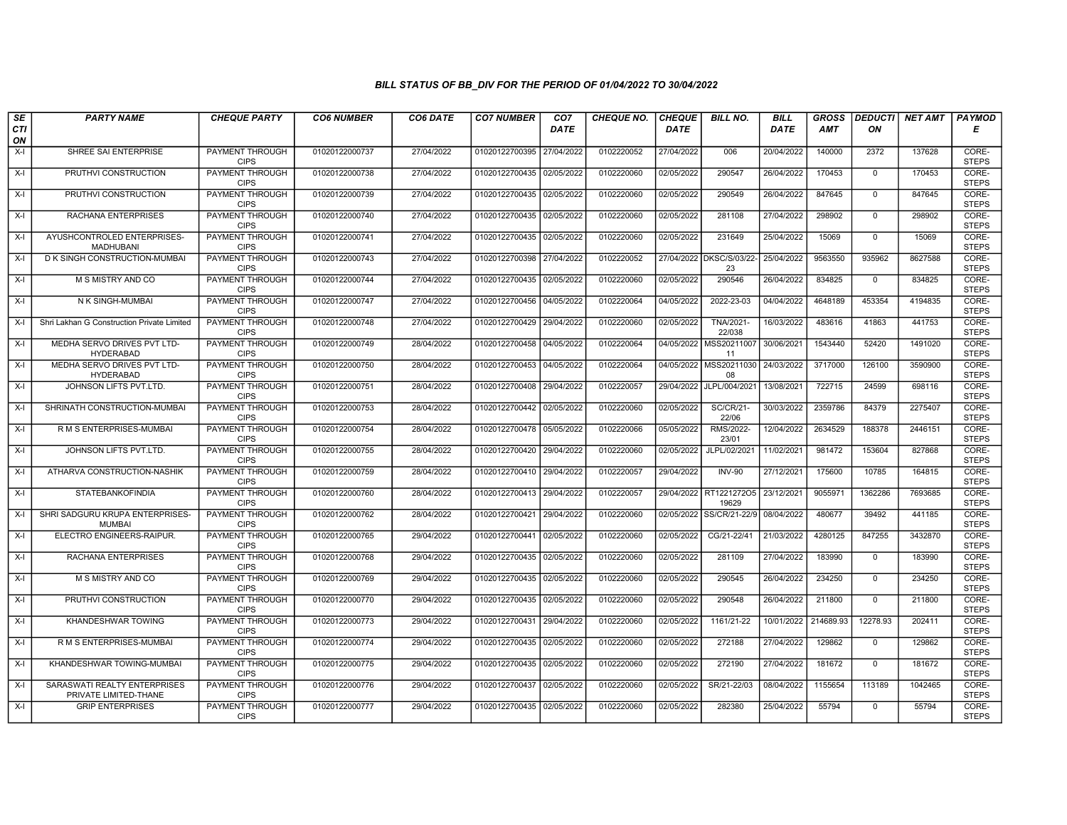| SE               | <b>PARTY NAME</b>                                     | <b>CHEQUE PARTY</b>                   | <b>CO6 NUMBER</b> | CO6 DATE   | <b>CO7 NUMBER</b>         | CO <sub>7</sub> | <b>CHEQUE NO.</b> | <b>CHEQUE</b> | <b>BILL NO.</b>                 | <b>BILL</b> | <b>GROSS</b> |              | DEDUCTI NET AMT | <b>PAYMOD</b>         |
|------------------|-------------------------------------------------------|---------------------------------------|-------------------|------------|---------------------------|-----------------|-------------------|---------------|---------------------------------|-------------|--------------|--------------|-----------------|-----------------------|
| <b>CTI</b><br>ON |                                                       |                                       |                   |            |                           | <b>DATE</b>     |                   | <b>DATE</b>   |                                 | <b>DATE</b> | AMT          | ON           |                 | Е                     |
| $X-I$            | SHREE SAI ENTERPRISE                                  | PAYMENT THROUGH<br><b>CIPS</b>        | 01020122000737    | 27/04/2022 | 01020122700395 27/04/2022 |                 | 0102220052        | 27/04/2022    | 006                             | 20/04/2022  | 140000       | 2372         | 137628          | CORE-<br><b>STEPS</b> |
| X-I              | PRUTHVI CONSTRUCTION                                  | PAYMENT THROUGH<br><b>CIPS</b>        | 01020122000738    | 27/04/2022 | 01020122700435 02/05/2022 |                 | 0102220060        | 02/05/2022    | 290547                          | 26/04/2022  | 170453       | $\mathbf 0$  | 170453          | CORE-<br><b>STEPS</b> |
| X-I              | PRUTHVI CONSTRUCTION                                  | <b>PAYMENT THROUGH</b><br><b>CIPS</b> | 01020122000739    | 27/04/2022 | 01020122700435 02/05/2022 |                 | 0102220060        | 02/05/2022    | 290549                          | 26/04/2022  | 847645       | $\mathbf 0$  | 847645          | CORE-<br><b>STEPS</b> |
| X-I              | RACHANA ENTERPRISES                                   | PAYMENT THROUGH<br><b>CIPS</b>        | 01020122000740    | 27/04/2022 | 01020122700435 02/05/2022 |                 | 0102220060        | 02/05/2022    | 281108                          | 27/04/2022  | 298902       | $\Omega$     | 298902          | CORE-<br><b>STEPS</b> |
| X-I              | AYUSHCONTROLED ENTERPRISES-<br>MADHUBANI              | <b>PAYMENT THROUGH</b><br><b>CIPS</b> | 01020122000741    | 27/04/2022 | 01020122700435 02/05/2022 |                 | 0102220060        | 02/05/2022    | 231649                          | 25/04/2022  | 15069        | $\mathbf 0$  | 15069           | CORE-<br><b>STEPS</b> |
| X-I              | D K SINGH CONSTRUCTION-MUMBAI                         | <b>PAYMENT THROUGH</b><br><b>CIPS</b> | 01020122000743    | 27/04/2022 | 01020122700398 27/04/2022 |                 | 0102220052        |               | 27/04/2022 DKSC/S/03/22-<br>23  | 25/04/2022  | 9563550      | 935962       | 8627588         | CORE-<br><b>STEPS</b> |
| $X-I$            | M S MISTRY AND CO                                     | PAYMENT THROUGH<br><b>CIPS</b>        | 01020122000744    | 27/04/2022 | 01020122700435 02/05/2022 |                 | 0102220060        | 02/05/2022    | 290546                          | 26/04/2022  | 834825       | $\mathbf 0$  | 834825          | CORE-<br><b>STEPS</b> |
| X-I              | N K SINGH-MUMBAI                                      | <b>PAYMENT THROUGH</b><br><b>CIPS</b> | 01020122000747    | 27/04/2022 | 01020122700456 04/05/2022 |                 | 0102220064        | 04/05/2022    | 2022-23-03                      | 04/04/2022  | 4648189      | 453354       | 4194835         | CORE-<br><b>STEPS</b> |
| X-I              | Shri Lakhan G Construction Private Limited            | <b>PAYMENT THROUGH</b><br><b>CIPS</b> | 01020122000748    | 27/04/2022 | 01020122700429 29/04/2022 |                 | 0102220060        | 02/05/2022    | <b>TNA/2021-</b><br>22/038      | 16/03/2022  | 483616       | 41863        | 441753          | CORE-<br><b>STEPS</b> |
| $X-I$            | MEDHA SERVO DRIVES PVT LTD-<br><b>HYDERABAD</b>       | <b>PAYMENT THROUGH</b><br><b>CIPS</b> | 01020122000749    | 28/04/2022 | 01020122700458            | 04/05/2022      | 0102220064        | 04/05/2022    | MSS20211007<br>11               | 30/06/2021  | 1543440      | 52420        | 1491020         | CORE-<br><b>STEPS</b> |
| $X-I$            | MEDHA SERVO DRIVES PVT LTD-<br><b>HYDERABAD</b>       | PAYMENT THROUGH<br><b>CIPS</b>        | 01020122000750    | 28/04/2022 | 01020122700453 04/05/2022 |                 | 0102220064        | 04/05/2022    | MSS20211030<br>08               | 24/03/2022  | 3717000      | 126100       | 3590900         | CORE-<br><b>STEPS</b> |
| $X-I$            | JOHNSON LIFTS PVT.LTD.                                | PAYMENT THROUGH<br><b>CIPS</b>        | 01020122000751    | 28/04/2022 | 01020122700408            | 29/04/2022      | 0102220057        | 29/04/2022    | JLPL/004/2021                   | 13/08/2021  | 722715       | 24599        | 698116          | CORE-<br><b>STEPS</b> |
| X-I              | SHRINATH CONSTRUCTION-MUMBAI                          | <b>PAYMENT THROUGH</b><br><b>CIPS</b> | 01020122000753    | 28/04/2022 | 01020122700442 02/05/2022 |                 | 0102220060        | 02/05/2022    | <b>SC/CR/21-</b><br>22/06       | 30/03/2022  | 2359786      | 84379        | 2275407         | CORE-<br><b>STEPS</b> |
| $X-I$            | R M S ENTERPRISES-MUMBAI                              | PAYMENT THROUGH<br><b>CIPS</b>        | 01020122000754    | 28/04/2022 | 01020122700478 05/05/2022 |                 | 0102220066        | 05/05/2022    | RMS/2022-<br>23/01              | 12/04/2022  | 2634529      | 188378       | 2446151         | CORE-<br><b>STEPS</b> |
| $X-I$            | JOHNSON LIFTS PVT.LTD.                                | PAYMENT THROUGH<br><b>CIPS</b>        | 01020122000755    | 28/04/2022 | 01020122700420            | 29/04/2022      | 0102220060        | 02/05/2022    | JLPL/02/2021                    | 11/02/2021  | 981472       | 153604       | 827868          | CORE-<br><b>STEPS</b> |
| X-I              | ATHARVA CONSTRUCTION-NASHIK                           | PAYMENT THROUGH<br><b>CIPS</b>        | 01020122000759    | 28/04/2022 | 01020122700410 29/04/2022 |                 | 0102220057        | 29/04/2022    | <b>INV-90</b>                   | 27/12/2021  | 175600       | 10785        | 164815          | CORE-<br><b>STEPS</b> |
| $X-I$            | <b>STATEBANKOFINDIA</b>                               | PAYMENT THROUGH<br><b>CIPS</b>        | 01020122000760    | 28/04/2022 | 01020122700413 29/04/2022 |                 | 0102220057        |               | 29/04/2022 RT1221272O5<br>19629 | 23/12/2021  | 9055971      | 1362286      | 7693685         | CORE-<br><b>STEPS</b> |
| X-I              | SHRI SADGURU KRUPA ENTERPRISES-<br><b>MUMBAI</b>      | <b>PAYMENT THROUGH</b><br><b>CIPS</b> | 01020122000762    | 28/04/2022 | 01020122700421 29/04/2022 |                 | 0102220060        | 02/05/2022    | SS/CR/21-22/9                   | 08/04/2022  | 480677       | 39492        | 441185          | CORE-<br><b>STEPS</b> |
| $X-I$            | ELECTRO ENGINEERS-RAIPUR.                             | PAYMENT THROUGH<br><b>CIPS</b>        | 01020122000765    | 29/04/2022 | 01020122700441 02/05/2022 |                 | 0102220060        | 02/05/2022    | CG/21-22/41                     | 21/03/2022  | 4280125      | 847255       | 3432870         | CORE-<br><b>STEPS</b> |
| $X-I$            | RACHANA ENTERPRISES                                   | <b>PAYMENT THROUGH</b><br><b>CIPS</b> | 01020122000768    | 29/04/2022 | 01020122700435 02/05/2022 |                 | 0102220060        | 02/05/2022    | 281109                          | 27/04/2022  | 183990       | $\mathbf 0$  | 183990          | CORE-<br><b>STEPS</b> |
| X-I              | M S MISTRY AND CO                                     | PAYMENT THROUGH<br><b>CIPS</b>        | 01020122000769    | 29/04/2022 | 01020122700435 02/05/2022 |                 | 0102220060        | 02/05/2022    | 290545                          | 26/04/2022  | 234250       | $\mathbf 0$  | 234250          | CORE-<br><b>STEPS</b> |
| X-I              | PRUTHVI CONSTRUCTION                                  | <b>PAYMENT THROUGH</b><br><b>CIPS</b> | 01020122000770    | 29/04/2022 | 01020122700435 02/05/2022 |                 | 0102220060        | 02/05/2022    | 290548                          | 26/04/2022  | 211800       | $\mathbf{0}$ | 211800          | CORE-<br><b>STEPS</b> |
| X-I              | KHANDESHWAR TOWING                                    | PAYMENT THROUGH<br><b>CIPS</b>        | 01020122000773    | 29/04/2022 | 01020122700431 29/04/2022 |                 | 0102220060        | 02/05/2022    | 1161/21-22                      | 10/01/2022  | 214689.93    | 12278.93     | 202411          | CORE-<br><b>STEPS</b> |
| $X-I$            | R M S ENTERPRISES-MUMBAI                              | PAYMENT THROUGH<br><b>CIPS</b>        | 01020122000774    | 29/04/2022 | 01020122700435            | 02/05/2022      | 0102220060        | 02/05/2022    | 272188                          | 27/04/2022  | 129862       | $\mathbf 0$  | 129862          | CORE-<br><b>STEPS</b> |
| X-I              | KHANDESHWAR TOWING-MUMBAI                             | PAYMENT THROUGH<br><b>CIPS</b>        | 01020122000775    | 29/04/2022 | 01020122700435 02/05/2022 |                 | 0102220060        | 02/05/2022    | 272190                          | 27/04/2022  | 181672       | $\mathbf 0$  | 181672          | CORE-<br><b>STEPS</b> |
| $X-I$            | SARASWATI REALTY ENTERPRISES<br>PRIVATE LIMITED-THANE | <b>PAYMENT THROUGH</b><br><b>CIPS</b> | 01020122000776    | 29/04/2022 | 01020122700437 02/05/2022 |                 | 0102220060        | 02/05/2022    | SR/21-22/03                     | 08/04/2022  | 1155654      | 113189       | 1042465         | CORE-<br><b>STEPS</b> |
| X-I              | <b>GRIP ENTERPRISES</b>                               | <b>PAYMENT THROUGH</b><br><b>CIPS</b> | 01020122000777    | 29/04/2022 | 01020122700435 02/05/2022 |                 | 0102220060        | 02/05/2022    | 282380                          | 25/04/2022  | 55794        | $\mathbf{0}$ | 55794           | CORE-<br><b>STEPS</b> |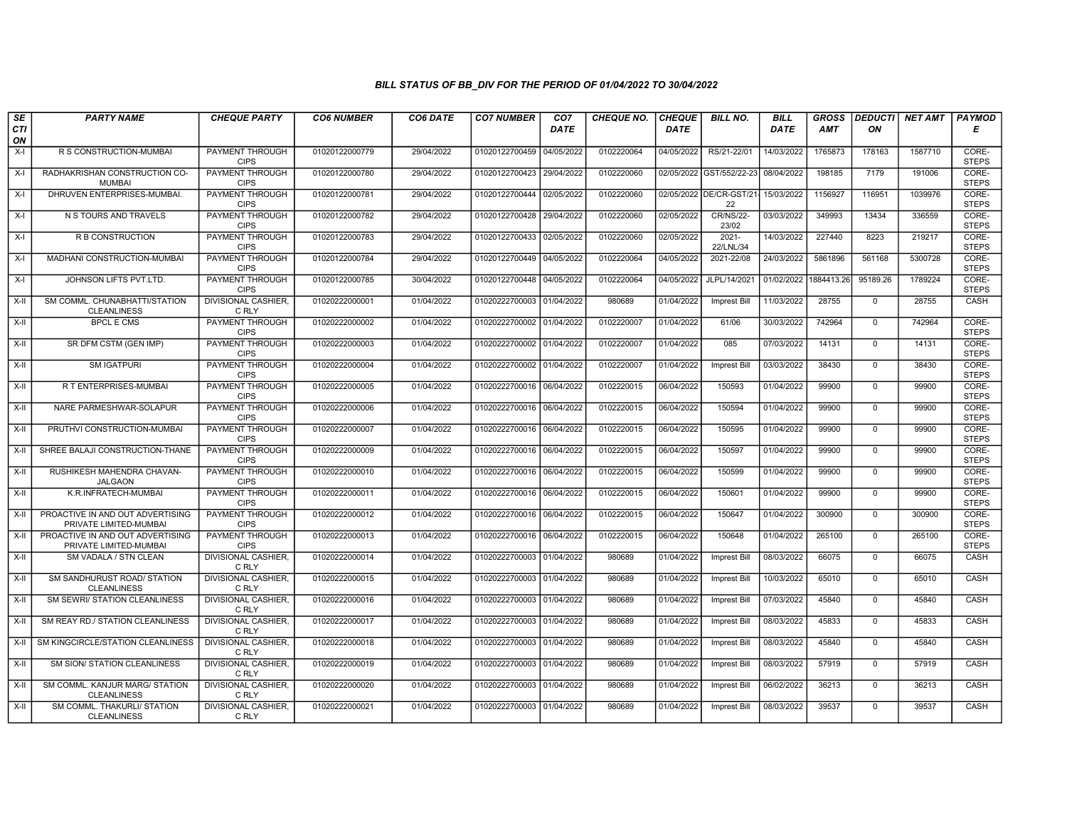| SE        | <b>PARTY NAME</b>                                          | <b>CHEQUE PARTY</b>                   | <b>CO6 NUMBER</b> | CO6 DATE   | <b>CO7 NUMBER</b>         | CO <sub>7</sub> | <b>CHEQUE NO.</b> | <b>CHEQUE</b> | <b>BILL NO.</b>               | <b>BILL</b> | <b>GROSS</b> |              | DEDUCTI NET AMT | <b>PAYMOD</b>         |
|-----------|------------------------------------------------------------|---------------------------------------|-------------------|------------|---------------------------|-----------------|-------------------|---------------|-------------------------------|-------------|--------------|--------------|-----------------|-----------------------|
| CTI<br>ON |                                                            |                                       |                   |            |                           | <b>DATE</b>     |                   | <b>DATE</b>   |                               | <b>DATE</b> | <b>AMT</b>   | ON           |                 | Е                     |
| $X-I$     | R S CONSTRUCTION-MUMBAI                                    | <b>PAYMENT THROUGH</b><br><b>CIPS</b> | 01020122000779    | 29/04/2022 | 01020122700459 04/05/2022 |                 | 0102220064        | 04/05/2022    | RS/21-22/01                   | 14/03/2022  | 1765873      | 178163       | 1587710         | CORE-<br><b>STEPS</b> |
| $X-I$     | RADHAKRISHAN CONSTRUCTION CO-<br><b>MUMBAI</b>             | <b>PAYMENT THROUGH</b><br><b>CIPS</b> | 01020122000780    | 29/04/2022 | 01020122700423 29/04/2022 |                 | 0102220060        |               | 02/05/2022 GST/552/22-23      | 08/04/2022  | 198185       | 7179         | 191006          | CORE-<br><b>STEPS</b> |
| $X-I$     | DHRUVEN ENTERPRISES-MUMBAI                                 | <b>PAYMENT THROUGH</b><br><b>CIPS</b> | 01020122000781    | 29/04/2022 | 01020122700444 02/05/2022 |                 | 0102220060        |               | 02/05/2022 DE/CR-GST/21<br>22 | 15/03/2022  | 1156927      | 116951       | 1039976         | CORE-<br><b>STEPS</b> |
| X-I       | N S TOURS AND TRAVELS                                      | PAYMENT THROUGH<br><b>CIPS</b>        | 01020122000782    | 29/04/2022 | 01020122700428            | 29/04/2022      | 0102220060        | 02/05/2022    | <b>CR/NS/22-</b><br>23/02     | 03/03/2022  | 349993       | 13434        | 336559          | CORE-<br><b>STEPS</b> |
| $X-I$     | <b>R B CONSTRUCTION</b>                                    | <b>PAYMENT THROUGH</b><br><b>CIPS</b> | 01020122000783    | 29/04/2022 | 01020122700433 02/05/2022 |                 | 0102220060        | 02/05/2022    | $2021 -$<br>22/LNL/34         | 14/03/2022  | 227440       | 8223         | 219217          | CORE-<br><b>STEPS</b> |
| X-I       | MADHANI CONSTRUCTION-MUMBAI                                | PAYMENT THROUGH<br><b>CIPS</b>        | 01020122000784    | 29/04/2022 | 01020122700449 04/05/2022 |                 | 0102220064        | 04/05/2022    | 2021-22/08                    | 24/03/2022  | 5861896      | 561168       | 5300728         | CORE-<br><b>STEPS</b> |
| $X-I$     | JOHNSON LIFTS PVT.LTD.                                     | PAYMENT THROUGH<br><b>CIPS</b>        | 01020122000785    | 30/04/2022 | 01020122700448 04/05/2022 |                 | 0102220064        | 04/05/2022    | JLPL/14/2021                  | 01/02/2022  | 1884413.26   | 95189.26     | 1789224         | CORE-<br><b>STEPS</b> |
| X-II      | SM COMML. CHUNABHATTI/STATION<br><b>CLEANLINESS</b>        | <b>DIVISIONAL CASHIER.</b><br>C RLY   | 01020222000001    | 01/04/2022 | 01020222700003 01/04/2022 |                 | 980689            | 01/04/2022    | Imprest Bill                  | 11/03/2022  | 28755        | $\mathbf 0$  | 28755           | CASH                  |
| X-II      | <b>BPCL E CMS</b>                                          | PAYMENT THROUGH<br><b>CIPS</b>        | 01020222000002    | 01/04/2022 | 01020222700002 01/04/2022 |                 | 0102220007        | 01/04/2022    | 61/06                         | 30/03/2022  | 742964       | $\Omega$     | 742964          | CORE-<br><b>STEPS</b> |
| $X-H$     | SR DFM CSTM (GEN IMP)                                      | <b>PAYMENT THROUGH</b><br><b>CIPS</b> | 01020222000003    | 01/04/2022 | 01020222700002 01/04/2022 |                 | 0102220007        | 01/04/2022    | 085                           | 07/03/2022  | 14131        | $\mathbf 0$  | 14131           | CORE-<br><b>STEPS</b> |
| X-II      | <b>SM IGATPURI</b>                                         | PAYMENT THROUGH<br><b>CIPS</b>        | 01020222000004    | 01/04/2022 | 01020222700002 01/04/2022 |                 | 0102220007        | 01/04/2022    | <b>Imprest Bill</b>           | 03/03/2022  | 38430        | $\mathbf{0}$ | 38430           | CORE-<br><b>STEPS</b> |
| X-II      | R T ENTERPRISES-MUMBAI                                     | PAYMENT THROUGH<br><b>CIPS</b>        | 01020222000005    | 01/04/2022 | 01020222700016 06/04/2022 |                 | 0102220015        | 06/04/2022    | 150593                        | 01/04/2022  | 99900        | $\mathbf{0}$ | 99900           | CORE-<br><b>STEPS</b> |
| X-II      | NARE PARMESHWAR-SOLAPUR                                    | <b>PAYMENT THROUGH</b><br><b>CIPS</b> | 01020222000006    | 01/04/2022 | 01020222700016 06/04/2022 |                 | 0102220015        | 06/04/2022    | 150594                        | 01/04/2022  | 99900        | $\mathbf 0$  | 99900           | CORE-<br><b>STEPS</b> |
| X-II      | PRUTHVI CONSTRUCTION-MUMBAI                                | PAYMENT THROUGH<br><b>CIPS</b>        | 01020222000007    | 01/04/2022 | 01020222700016 06/04/2022 |                 | 0102220015        | 06/04/2022    | 150595                        | 01/04/2022  | 99900        | $\mathbf 0$  | 99900           | CORE-<br><b>STEPS</b> |
| X-II      | SHREE BALAJI CONSTRUCTION-THANE                            | <b>PAYMENT THROUGH</b><br><b>CIPS</b> | 01020222000009    | 01/04/2022 | 01020222700016 06/04/2022 |                 | 0102220015        | 06/04/2022    | 150597                        | 01/04/2022  | 99900        | $\Omega$     | 99900           | CORE-<br><b>STEPS</b> |
| X-II      | RUSHIKESH MAHENDRA CHAVAN-<br><b>JALGAON</b>               | PAYMENT THROUGH<br><b>CIPS</b>        | 01020222000010    | 01/04/2022 | 01020222700016 06/04/2022 |                 | 0102220015        | 06/04/2022    | 150599                        | 01/04/2022  | 99900        | $\mathbf 0$  | 99900           | CORE-<br><b>STEPS</b> |
| $X-II$    | K.R.INFRATECH-MUMBAI                                       | <b>PAYMENT THROUGH</b><br><b>CIPS</b> | 01020222000011    | 01/04/2022 | 01020222700016 06/04/2022 |                 | 0102220015        | 06/04/2022    | 150601                        | 01/04/2022  | 99900        | $\mathbf 0$  | 99900           | CORE-<br><b>STEPS</b> |
| X-II      | PROACTIVE IN AND OUT ADVERTISING<br>PRIVATE LIMITED-MUMBAI | PAYMENT THROUGH<br><b>CIPS</b>        | 01020222000012    | 01/04/2022 | 01020222700016 06/04/2022 |                 | 0102220015        | 06/04/2022    | 150647                        | 01/04/2022  | 300900       | $\mathbf 0$  | 300900          | CORE-<br><b>STEPS</b> |
| $X-H$     | PROACTIVE IN AND OUT ADVERTISING<br>PRIVATE LIMITED-MUMBAI | PAYMENT THROUGH<br><b>CIPS</b>        | 01020222000013    | 01/04/2022 | 01020222700016 06/04/2022 |                 | 0102220015        | 06/04/2022    | 150648                        | 01/04/2022  | 265100       | $\mathbf 0$  | 265100          | CORE-<br><b>STEPS</b> |
| X-II      | SM VADALA / STN CLEAN                                      | DIVISIONAL CASHIER,<br>C RLY          | 01020222000014    | 01/04/2022 | 01020222700003 01/04/2022 |                 | 980689            | 01/04/2022    | <b>Imprest Bill</b>           | 08/03/2022  | 66075        | 0            | 66075           | CASH                  |
| X-II      | SM SANDHURUST ROAD/ STATION<br><b>CLEANLINESS</b>          | <b>DIVISIONAL CASHIER.</b><br>C RLY   | 01020222000015    | 01/04/2022 | 01020222700003 01/04/2022 |                 | 980689            | 01/04/2022    | <b>Imprest Bill</b>           | 10/03/2022  | 65010        | $\mathbf 0$  | 65010           | CASH                  |
| X-II      | <b>SM SEWRI/ STATION CLEANLINESS</b>                       | DIVISIONAL CASHIER,<br>C RLY          | 01020222000016    | 01/04/2022 | 01020222700003 01/04/2022 |                 | 980689            | 01/04/2022    | <b>Imprest Bill</b>           | 07/03/2022  | 45840        | $\mathbf 0$  | 45840           | CASH                  |
| X-II      | SM REAY RD./ STATION CLEANLINESS                           | DIVISIONAL CASHIER.<br>C RLY          | 01020222000017    | 01/04/2022 | 01020222700003 01/04/2022 |                 | 980689            | 01/04/2022    | Imprest Bill                  | 08/03/2022  | 45833        | $\mathbf 0$  | 45833           | CASH                  |
| X-II      | SM KINGCIRCLE/STATION CLEANLINESS                          | DIVISIONAL CASHIER,<br>C RLY          | 01020222000018    | 01/04/2022 | 01020222700003 01/04/2022 |                 | 980689            | 01/04/2022    | <b>Imprest Bill</b>           | 08/03/2022  | 45840        | $\mathbf 0$  | 45840           | CASH                  |
| $X-II$    | <b>SM SION/ STATION CLEANLINESS</b>                        | <b>DIVISIONAL CASHIER.</b><br>C RLY   | 01020222000019    | 01/04/2022 | 01020222700003 01/04/2022 |                 | 980689            | 01/04/2022    | <b>Imprest Bill</b>           | 08/03/2022  | 57919        | $\mathbf 0$  | 57919           | CASH                  |
| X-II      | SM COMML. KANJUR MARG/ STATION<br><b>CLEANLINESS</b>       | <b>DIVISIONAL CASHIER.</b><br>C RLY   | 01020222000020    | 01/04/2022 | 01020222700003 01/04/2022 |                 | 980689            | 01/04/2022    | <b>Imprest Bill</b>           | 06/02/2022  | 36213        | $\mathbf 0$  | 36213           | CASH                  |
| X-II      | SM COMML. THAKURLI/ STATION<br><b>CLEANLINESS</b>          | DIVISIONAL CASHIER,<br>C RLY          | 01020222000021    | 01/04/2022 | 01020222700003 01/04/2022 |                 | 980689            | 01/04/2022    | <b>Imprest Bill</b>           | 08/03/2022  | 39537        | $\mathbf 0$  | 39537           | CASH                  |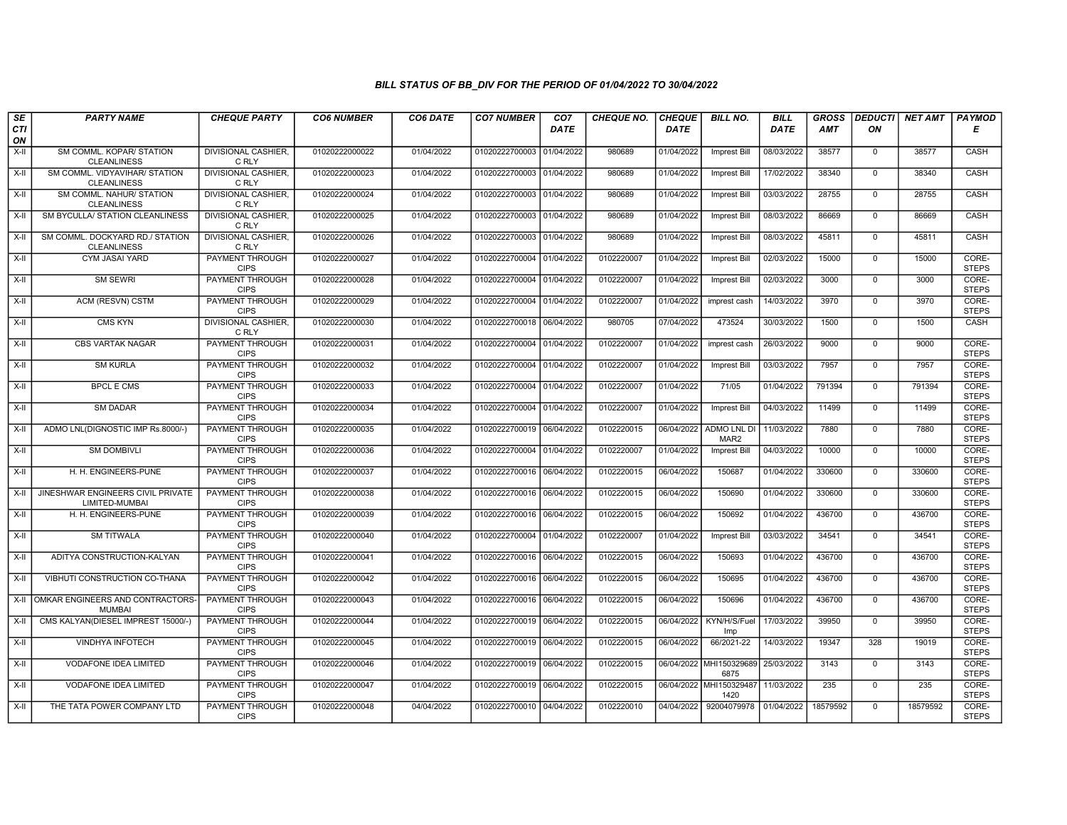| SE<br>CTI<br>ON | <b>PARTY NAME</b>                                     | <b>CHEQUE PARTY</b>                               | <b>CO6 NUMBER</b>                | CO6 DATE                 | <b>CO7 NUMBER</b>                                      | CO <sub>7</sub><br><b>DATE</b> | <b>CHEQUE NO.</b>        | <b>CHEQUE</b><br><b>DATE</b> | <b>BILL NO.</b>                        | <b>BILL</b><br><b>DATE</b> | <b>GROSS</b><br><b>AMT</b> | <b>DEDUCTI</b><br>ON    | NET AMT       | <b>PAYMOD</b><br>Е             |
|-----------------|-------------------------------------------------------|---------------------------------------------------|----------------------------------|--------------------------|--------------------------------------------------------|--------------------------------|--------------------------|------------------------------|----------------------------------------|----------------------------|----------------------------|-------------------------|---------------|--------------------------------|
| $X-H$           | SM COMML. KOPAR/ STATION<br><b>CLEANLINESS</b>        | <b>DIVISIONAL CASHIER.</b><br>C RLY               | 01020222000022                   | 01/04/2022               | 01020222700003 01/04/2022                              |                                | 980689                   | 01/04/2022                   | <b>Imprest Bill</b>                    | 08/03/2022                 | 38577                      | $\mathbf 0$             | 38577         | CASH                           |
| X-II            | SM COMML. VIDYAVIHAR/ STATION<br><b>CLEANLINESS</b>   | <b>DIVISIONAL CASHIER.</b><br>C RLY               | 01020222000023                   | 01/04/2022               | 01020222700003 01/04/2022                              |                                | 980689                   | 01/04/2022                   | <b>Imprest Bill</b>                    | 17/02/2022                 | 38340                      | $\mathbf 0$             | 38340         | CASH                           |
| X-II            | SM COMML. NAHUR/ STATION<br><b>CLEANLINESS</b>        | DIVISIONAL CASHIER.<br>C RLY                      | 01020222000024                   | 01/04/2022               | 01020222700003 01/04/2022                              |                                | 980689                   | 01/04/2022                   | Imprest Bill                           | 03/03/2022                 | 28755                      | $\mathbf 0$             | 28755         | CASH                           |
| X-II            | SM BYCULLA/ STATION CLEANLINESS                       | DIVISIONAL CASHIER.<br>C RLY                      | 01020222000025                   | 01/04/2022               | 01020222700003 01/04/2022                              |                                | 980689                   | 01/04/2022                   | <b>Imprest Bill</b>                    | 08/03/2022                 | 86669                      | $\mathbf 0$             | 86669         | CASH                           |
| X-II            | SM COMML. DOCKYARD RD./ STATION<br><b>CLEANLINESS</b> | <b>DIVISIONAL CASHIER.</b><br>C RLY               | 01020222000026                   | 01/04/2022               | 01020222700003 01/04/2022                              |                                | 980689                   | 01/04/2022                   | <b>Imprest Bill</b>                    | 08/03/2022                 | 45811                      | $\mathbf{0}$            | 45811         | CASH                           |
| X-II            | <b>CYM JASAI YARD</b>                                 | <b>PAYMENT THROUGH</b><br><b>CIPS</b>             | 01020222000027                   | 01/04/2022               | 01020222700004 01/04/2022                              |                                | 0102220007               | 01/04/2022                   | <b>Imprest Bill</b>                    | 02/03/2022                 | 15000                      | $\Omega$                | 15000         | CORE-<br><b>STEPS</b>          |
| X-II            | <b>SM SEWRI</b>                                       | PAYMENT THROUGH<br><b>CIPS</b>                    | 01020222000028                   | 01/04/2022               | 01020222700004 01/04/2022                              |                                | 0102220007               | 01/04/2022                   | <b>Imprest Bill</b>                    | 02/03/2022                 | 3000                       | $\mathbf 0$             | 3000          | CORE-<br><b>STEPS</b>          |
| $X-H$           | ACM (RESVN) CSTM                                      | <b>PAYMENT THROUGH</b><br><b>CIPS</b>             | 01020222000029                   | 01/04/2022               | 01020222700004 01/04/2022                              |                                | 0102220007               | 01/04/2022                   | imprest cash                           | 14/03/2022                 | 3970                       | $\mathbf 0$             | 3970          | CORE-<br><b>STEPS</b>          |
| X-II            | CMS KYN                                               | DIVISIONAL CASHIER.<br>C RLY                      | 01020222000030                   | 01/04/2022               | 01020222700018 06/04/2022                              |                                | 980705                   | 07/04/2022                   | 473524                                 | 30/03/2022                 | 1500                       | $\mathbf 0$             | 1500          | <b>CASH</b>                    |
| X-II            | <b>CBS VARTAK NAGAR</b>                               | <b>PAYMENT THROUGH</b><br><b>CIPS</b>             | 01020222000031                   | 01/04/2022               | 01020222700004 01/04/2022                              |                                | 0102220007               | 01/04/2022                   | imprest cash                           | 26/03/2022                 | 9000                       | $\mathbf 0$             | 9000          | CORE-<br><b>STEPS</b>          |
| X-II            | <b>SM KURLA</b>                                       | PAYMENT THROUGH<br><b>CIPS</b>                    | 01020222000032                   | 01/04/2022               | 01020222700004 01/04/2022                              |                                | 0102220007               | 01/04/2022                   | <b>Imprest Bill</b>                    | 03/03/2022                 | 7957                       | $\mathbf 0$             | 7957          | CORE-<br><b>STEPS</b>          |
| X-II            | <b>BPCL E CMS</b><br><b>SM DADAR</b>                  | PAYMENT THROUGH<br><b>CIPS</b><br>PAYMENT THROUGH | 01020222000033<br>01020222000034 | 01/04/2022<br>01/04/2022 | 01020222700004 01/04/2022                              |                                | 0102220007<br>0102220007 | 01/04/2022                   | 71/05                                  | 01/04/2022                 | 791394                     | $\Omega$<br>$\mathbf 0$ | 791394        | CORE-<br><b>STEPS</b><br>CORE- |
| X-II<br>X-II    | ADMO LNL(DIGNOSTIC IMP Rs.8000/-)                     | <b>CIPS</b><br><b>PAYMENT THROUGH</b>             | 01020222000035                   | 01/04/2022               | 01020222700004 01/04/2022<br>01020222700019 06/04/2022 |                                | 0102220015               | 01/04/2022                   | Imprest Bill<br>06/04/2022 ADMO LNL DI | 04/03/2022<br>11/03/2022   | 11499<br>7880              | $\mathbf{0}$            | 11499<br>7880 | <b>STEPS</b><br>CORE-          |
|                 | <b>SM DOMBIVLI</b>                                    | <b>CIPS</b><br>PAYMENT THROUGH                    | 01020222000036                   | 01/04/2022               | 01020222700004 01/04/2022                              |                                | 0102220007               | 01/04/2022                   | MAR <sub>2</sub>                       | 04/03/2022                 | 10000                      | $\mathbf 0$             | 10000         | <b>STEPS</b><br>CORE-          |
| X-II<br>$X-H$   | H. H. ENGINEERS-PUNE                                  | <b>CIPS</b><br>PAYMENT THROUGH                    | 01020222000037                   | 01/04/2022               | 01020222700016 06/04/2022                              |                                | 0102220015               | 06/04/2022                   | <b>Imprest Bill</b><br>150687          | 01/04/2022                 | 330600                     | $\overline{0}$          | 330600        | <b>STEPS</b><br>CORE-          |
| X-II            | JINESHWAR ENGINEERS CIVIL PRIVATE                     | <b>CIPS</b><br>PAYMENT THROUGH                    | 01020222000038                   | 01/04/2022               | 01020222700016 06/04/2022                              |                                | 0102220015               | 06/04/2022                   | 150690                                 | 01/04/2022                 | 330600                     | $\mathbf 0$             | 330600        | <b>STEPS</b><br>CORE-          |
| $X-H$           | LIMITED-MUMBAI<br>H. H. ENGINEERS-PUNE                | <b>CIPS</b><br><b>PAYMENT THROUGH</b>             | 01020222000039                   | 01/04/2022               | 01020222700016 06/04/2022                              |                                | 0102220015               | 06/04/2022                   | 150692                                 | 01/04/2022                 | 436700                     | $\mathbf 0$             | 436700        | <b>STEPS</b><br>CORE-          |
| X-II            | <b>SM TITWALA</b>                                     | <b>CIPS</b><br>PAYMENT THROUGH                    | 01020222000040                   | 01/04/2022               | 01020222700004 01/04/2022                              |                                | 0102220007               | 01/04/2022                   | <b>Imprest Bill</b>                    | 03/03/2022                 | 34541                      | $\mathbf 0$             | 34541         | <b>STEPS</b><br>CORE-          |
| X-II            | ADITYA CONSTRUCTION-KALYAN                            | <b>CIPS</b><br>PAYMENT THROUGH                    | 01020222000041                   | 01/04/2022               | 01020222700016 06/04/2022                              |                                | 0102220015               | 06/04/2022                   | 150693                                 | 01/04/2022                 | 436700                     | $\mathsf 0$             | 436700        | <b>STEPS</b><br>CORE-          |
| X-II            | <b>VIBHUTI CONSTRUCTION CO-THANA</b>                  | <b>CIPS</b><br><b>PAYMENT THROUGH</b>             | 01020222000042                   | 01/04/2022               | 01020222700016 06/04/2022                              |                                | 0102220015               | 06/04/2022                   | 150695                                 | 01/04/2022                 | 436700                     | $\mathbf 0$             | 436700        | <b>STEPS</b><br>CORE-          |
|                 | X-II OMKAR ENGINEERS AND CONTRACTORS-                 | <b>CIPS</b><br><b>PAYMENT THROUGH</b>             | 01020222000043                   | 01/04/2022               | 01020222700016 06/04/2022                              |                                | 0102220015               | 06/04/2022                   | 150696                                 | 01/04/2022                 | 436700                     | $\overline{0}$          | 436700        | <b>STEPS</b><br>CORE-          |
| $X-II$          | <b>MUMBAI</b><br>CMS KALYAN(DIESEL IMPREST 15000/-)   | <b>CIPS</b><br><b>PAYMENT THROUGH</b>             | 01020222000044                   | 01/04/2022               | 01020222700019 06/04/2022                              |                                | 0102220015               | 06/04/2022                   | KYN/H/S/Fuel                           | 17/03/2022                 | 39950                      | $\mathbf 0$             | 39950         | <b>STEPS</b><br>CORE-          |
| X-II            | VINDHYA INFOTECH                                      | <b>CIPS</b><br>PAYMENT THROUGH                    | 01020222000045                   | 01/04/2022               | 01020222700019 06/04/2022                              |                                | 0102220015               | 06/04/2022                   | Imp<br>66/2021-22                      | 14/03/2022                 | 19347                      | 328                     | 19019         | <b>STEPS</b><br>CORE-          |
| X-II            | VODAFONE IDEA LIMITED                                 | <b>CIPS</b><br>PAYMENT THROUGH                    | 01020222000046                   | 01/04/2022               | 01020222700019 06/04/2022                              |                                | 0102220015               |                              | 06/04/2022 MHI150329689                | 25/03/2022                 | 3143                       | $\mathbf 0$             | 3143          | <b>STEPS</b><br>CORE-          |
| X-II            | <b>VODAFONE IDEA LIMITED</b>                          | <b>CIPS</b><br><b>PAYMENT THROUGH</b>             | 01020222000047                   | 01/04/2022               | 01020222700019 06/04/2022                              |                                | 0102220015               |                              | 6875<br>06/04/2022 MHI150329487        | 11/03/2022                 | 235                        | $\mathbf 0$             | 235           | <b>STEPS</b><br>CORE-          |
| X-II            | THE TATA POWER COMPANY LTD                            | <b>CIPS</b><br><b>PAYMENT THROUGH</b>             | 01020222000048                   | 04/04/2022               | 01020222700010 04/04/2022                              |                                | 0102220010               | 04/04/2022                   | 1420<br>92004079978 01/04/2022         |                            | 18579592                   | $\mathbf 0$             | 18579592      | <b>STEPS</b><br>CORE-          |
|                 |                                                       | <b>CIPS</b>                                       |                                  |                          |                                                        |                                |                          |                              |                                        |                            |                            |                         |               | <b>STEPS</b>                   |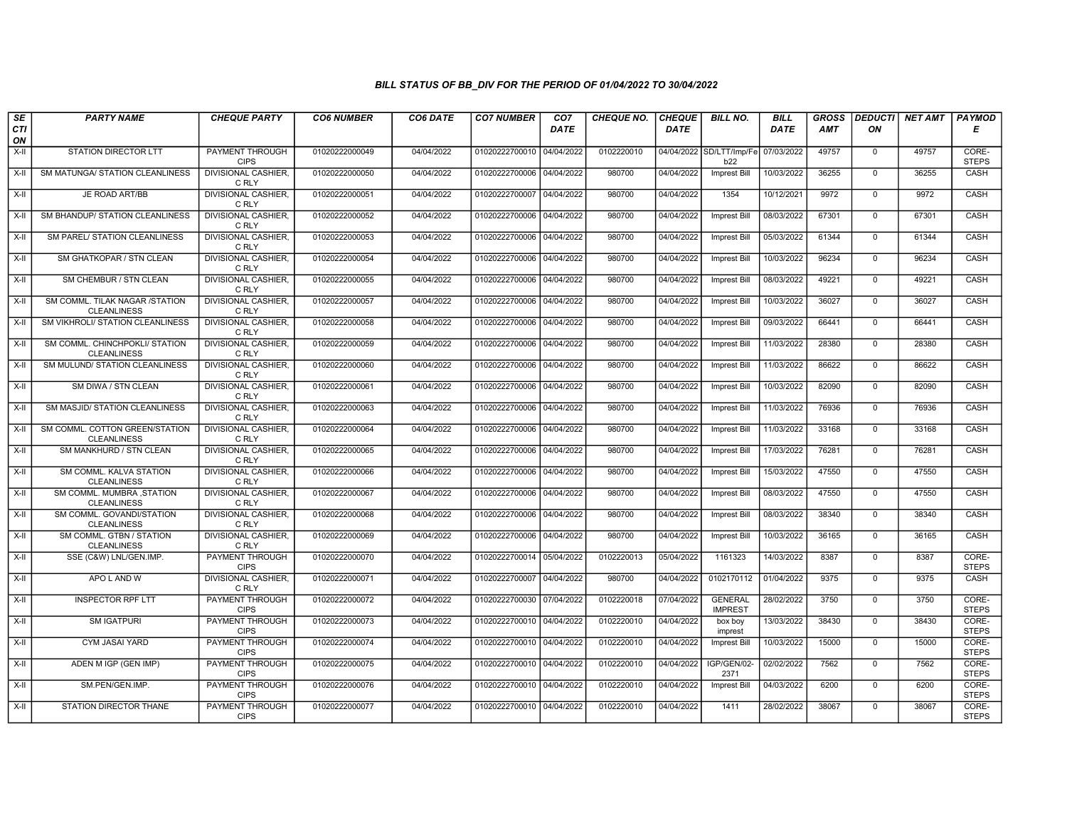| SE        | <b>PARTY NAME</b>                                    | <b>CHEQUE PARTY</b>                   | <b>CO6 NUMBER</b> | CO6 DATE   | <b>CO7 NUMBER</b>         | CO <sub>7</sub> | <b>CHEQUE NO.</b> | <b>CHEQUE</b> | <b>BILL NO.</b>                  | <b>BILL</b> | <b>GROSS</b> | <b>DEDUCTI</b> | <b>NET AMT</b> | PAYMOD                |
|-----------|------------------------------------------------------|---------------------------------------|-------------------|------------|---------------------------|-----------------|-------------------|---------------|----------------------------------|-------------|--------------|----------------|----------------|-----------------------|
| CTI<br>ON |                                                      |                                       |                   |            |                           | <b>DATE</b>     |                   | <b>DATE</b>   |                                  | <b>DATE</b> | <b>AMT</b>   | ON             |                | Е                     |
| $X-H$     | <b>STATION DIRECTOR LTT</b>                          | <b>PAYMENT THROUGH</b><br><b>CIPS</b> | 01020222000049    | 04/04/2022 | 01020222700010            | 04/04/2022      | 0102220010        |               | 04/04/2022 SD/LTT/Imp/Fe<br>b22  | 07/03/2022  | 49757        | 0              | 49757          | CORE-<br><b>STEPS</b> |
| $X-H$     | SM MATUNGA/ STATION CLEANLINESS                      | <b>DIVISIONAL CASHIER.</b><br>C RLY   | 01020222000050    | 04/04/2022 | 01020222700006 04/04/2022 |                 | 980700            | 04/04/2022    | <b>Imprest Bill</b>              | 10/03/2022  | 36255        | $\mathbf 0$    | 36255          | CASH                  |
| X-II      | JE ROAD ART/BB                                       | DIVISIONAL CASHIER.<br>C RLY          | 01020222000051    | 04/04/2022 | 01020222700007            | 04/04/2022      | 980700            | 04/04/2022    | 1354                             | 10/12/2021  | 9972         | $\mathbf 0$    | 9972           | CASH                  |
| X-II      | SM BHANDUP/ STATION CLEANLINESS                      | <b>DIVISIONAL CASHIER.</b><br>C RLY   | 01020222000052    | 04/04/2022 | 01020222700006            | 04/04/2022      | 980700            | 04/04/2022    | <b>Imprest Bill</b>              | 08/03/2022  | 67301        | $\mathbf 0$    | 67301          | CASH                  |
| $X-H$     | <b>SM PAREL/ STATION CLEANLINESS</b>                 | <b>DIVISIONAL CASHIER.</b><br>C RLY   | 01020222000053    | 04/04/2022 | 01020222700006 04/04/2022 |                 | 980700            | 04/04/2022    | Imprest Bill                     | 05/03/2022  | 61344        | $\mathbf 0$    | 61344          | CASH                  |
| $X-H$     | SM GHATKOPAR / STN CLEAN                             | <b>DIVISIONAL CASHIER.</b><br>C RLY   | 01020222000054    | 04/04/2022 | 01020222700006 04/04/2022 |                 | 980700            | 04/04/2022    | <b>Imprest Bill</b>              | 10/03/2022  | 96234        | $\mathbf 0$    | 96234          | CASH                  |
| X-II      | SM CHEMBUR / STN CLEAN                               | <b>DIVISIONAL CASHIER.</b><br>C RLY   | 01020222000055    | 04/04/2022 | 01020222700006 04/04/2022 |                 | 980700            | 04/04/2022    | Imprest Bill                     | 08/03/2022  | 49221        | $\mathbf 0$    | 49221          | CASH                  |
| $X-H$     | SM COMML. TILAK NAGAR /STATION<br><b>CLEANLINESS</b> | DIVISIONAL CASHIER.<br>C RLY          | 01020222000057    | 04/04/2022 | 01020222700006 04/04/2022 |                 | 980700            | 04/04/2022    | Imprest Bill                     | 10/03/2022  | 36027        | $\overline{0}$ | 36027          | CASH                  |
| X-II      | SM VIKHROLI/ STATION CLEANLINESS                     | <b>DIVISIONAL CASHIER.</b><br>C RLY   | 01020222000058    | 04/04/2022 | 01020222700006 04/04/2022 |                 | 980700            | 04/04/2022    | <b>Imprest Bill</b>              | 09/03/2022  | 66441        | $\mathbf 0$    | 66441          | CASH                  |
| $X-H$     | SM COMML. CHINCHPOKLI/ STATION<br><b>CLEANLINESS</b> | <b>DIVISIONAL CASHIER.</b><br>C RLY   | 01020222000059    | 04/04/2022 | 01020222700006 04/04/2022 |                 | 980700            | 04/04/2022    | <b>Imprest Bill</b>              | 11/03/2022  | 28380        | $\overline{0}$ | 28380          | CASH                  |
| X-II      | SM MULUND/ STATION CLEANLINESS                       | <b>DIVISIONAL CASHIER.</b><br>C RLY   | 01020222000060    | 04/04/2022 | 01020222700006            | 04/04/2022      | 980700            | 04/04/2022    | Imprest Bill                     | 11/03/2022  | 86622        | $\mathbf 0$    | 86622          | CASH                  |
| X-II      | SM DIWA / STN CLEAN                                  | DIVISIONAL CASHIER.<br>C RLY          | 01020222000061    | 04/04/2022 | 01020222700006 04/04/2022 |                 | 980700            | 04/04/2022    | Imprest Bill                     | 10/03/2022  | 82090        | $\mathbf{0}$   | 82090          | CASH                  |
| $X-H$     | SM MASJID/ STATION CLEANLINESS                       | <b>DIVISIONAL CASHIER</b><br>C RLY    | 01020222000063    | 04/04/2022 | 01020222700006 04/04/2022 |                 | 980700            | 04/04/2022    | <b>Imprest Bill</b>              | 11/03/2022  | 76936        | $\overline{0}$ | 76936          | CASH                  |
| X-II      | SM COMML. COTTON GREEN/STATION<br><b>CLEANLINESS</b> | <b>DIVISIONAL CASHIER.</b><br>C RLY   | 01020222000064    | 04/04/2022 | 01020222700006 04/04/2022 |                 | 980700            | 04/04/2022    | <b>Imprest Bill</b>              | 11/03/2022  | 33168        | $\mathbf 0$    | 33168          | CASH                  |
| X-II      | SM MANKHURD / STN CLEAN                              | <b>DIVISIONAL CASHIER.</b><br>C RLY   | 01020222000065    | 04/04/2022 | 01020222700006 04/04/2022 |                 | 980700            | 04/04/2022    | <b>Imprest Bill</b>              | 17/03/2022  | 76281        | $\Omega$       | 76281          | CASH                  |
| $X-II$    | SM COMML. KALVA STATION<br><b>CLEANLINESS</b>        | DIVISIONAL CASHIER.<br>C RLY          | 01020222000066    | 04/04/2022 | 01020222700006            | 04/04/2022      | 980700            | 04/04/2022    | Imprest Bill                     | 15/03/2022  | 47550        | $\mathbf 0$    | 47550          | CASH                  |
| X-II      | SM COMML. MUMBRA, STATION<br><b>CLEANLINESS</b>      | DIVISIONAL CASHIER.<br>C RLY          | 01020222000067    | 04/04/2022 | 01020222700006 04/04/2022 |                 | 980700            | 04/04/2022    | Imprest Bill                     | 08/03/2022  | 47550        | $\mathbf 0$    | 47550          | CASH                  |
| $X-H$     | SM COMML. GOVANDI/STATION<br><b>CLEANLINESS</b>      | <b>DIVISIONAL CASHIER</b><br>C RLY    | 01020222000068    | 04/04/2022 | 01020222700006 04/04/2022 |                 | 980700            | 04/04/2022    | Imprest Bill                     | 08/03/2022  | 38340        | $\mathbf 0$    | 38340          | CASH                  |
| $X-H$     | SM COMML. GTBN / STATION<br><b>CLEANLINESS</b>       | <b>DIVISIONAL CASHIER,</b><br>C RLY   | 01020222000069    | 04/04/2022 | 01020222700006            | 04/04/2022      | 980700            | 04/04/2022    | <b>Imprest Bill</b>              | 10/03/2022  | 36165        | $\mathbf 0$    | 36165          | CASH                  |
| X-II      | SSE (C&W) LNL/GEN.IMP.                               | <b>PAYMENT THROUGH</b><br><b>CIPS</b> | 01020222000070    | 04/04/2022 | 01020222700014            | 05/04/2022      | 0102220013        | 05/04/2022    | 1161323                          | 14/03/2022  | 8387         | $\mathbf 0$    | 8387           | CORE-<br><b>STEPS</b> |
| X-II      | APO L AND W                                          | <b>DIVISIONAL CASHIER.</b><br>C RLY   | 01020222000071    | 04/04/2022 | 01020222700007            | 04/04/2022      | 980700            | 04/04/2022    | 0102170112                       | 01/04/2022  | 9375         | $\mathbf 0$    | 9375           | CASH                  |
| $X-H$     | <b>INSPECTOR RPF LTT</b>                             | <b>PAYMENT THROUGH</b><br><b>CIPS</b> | 01020222000072    | 04/04/2022 | 01020222700030 07/04/2022 |                 | 0102220018        | 07/04/2022    | <b>GENERAL</b><br><b>IMPREST</b> | 28/02/2022  | 3750         | $\Omega$       | 3750           | CORE-<br><b>STEPS</b> |
| X-II      | <b>SM IGATPURI</b>                                   | PAYMENT THROUGH<br><b>CIPS</b>        | 01020222000073    | 04/04/2022 | 01020222700010            | 04/04/2022      | 0102220010        | 04/04/2022    | box boy<br>imprest               | 13/03/2022  | 38430        | $\mathbf 0$    | 38430          | CORE-<br><b>STEPS</b> |
| X-II      | <b>CYM JASAI YARD</b>                                | <b>PAYMENT THROUGH</b><br><b>CIPS</b> | 01020222000074    | 04/04/2022 | 01020222700010            | 04/04/2022      | 0102220010        | 04/04/2022    | Imprest Bill                     | 10/03/2022  | 15000        | $\mathbf{0}$   | 15000          | CORE-<br><b>STEPS</b> |
| X-II      | ADEN M IGP (GEN IMP)                                 | <b>PAYMENT THROUGH</b><br><b>CIPS</b> | 01020222000075    | 04/04/2022 | 01020222700010            | 04/04/2022      | 0102220010        | 04/04/2022    | IGP/GEN/02-<br>2371              | 02/02/2022  | 7562         | $\Omega$       | 7562           | CORE-<br><b>STEPS</b> |
| $X-H$     | SM.PEN/GEN.IMP.                                      | <b>PAYMENT THROUGH</b><br><b>CIPS</b> | 01020222000076    | 04/04/2022 | 01020222700010 04/04/2022 |                 | 0102220010        | 04/04/2022    | Imprest Bill                     | 04/03/2022  | 6200         | $\mathbf 0$    | 6200           | CORE-<br><b>STEPS</b> |
| X-II      | STATION DIRECTOR THANE                               | <b>PAYMENT THROUGH</b><br><b>CIPS</b> | 01020222000077    | 04/04/2022 | 01020222700010 04/04/2022 |                 | 0102220010        | 04/04/2022    | 1411                             | 28/02/2022  | 38067        | $\mathbf 0$    | 38067          | CORE-<br><b>STEPS</b> |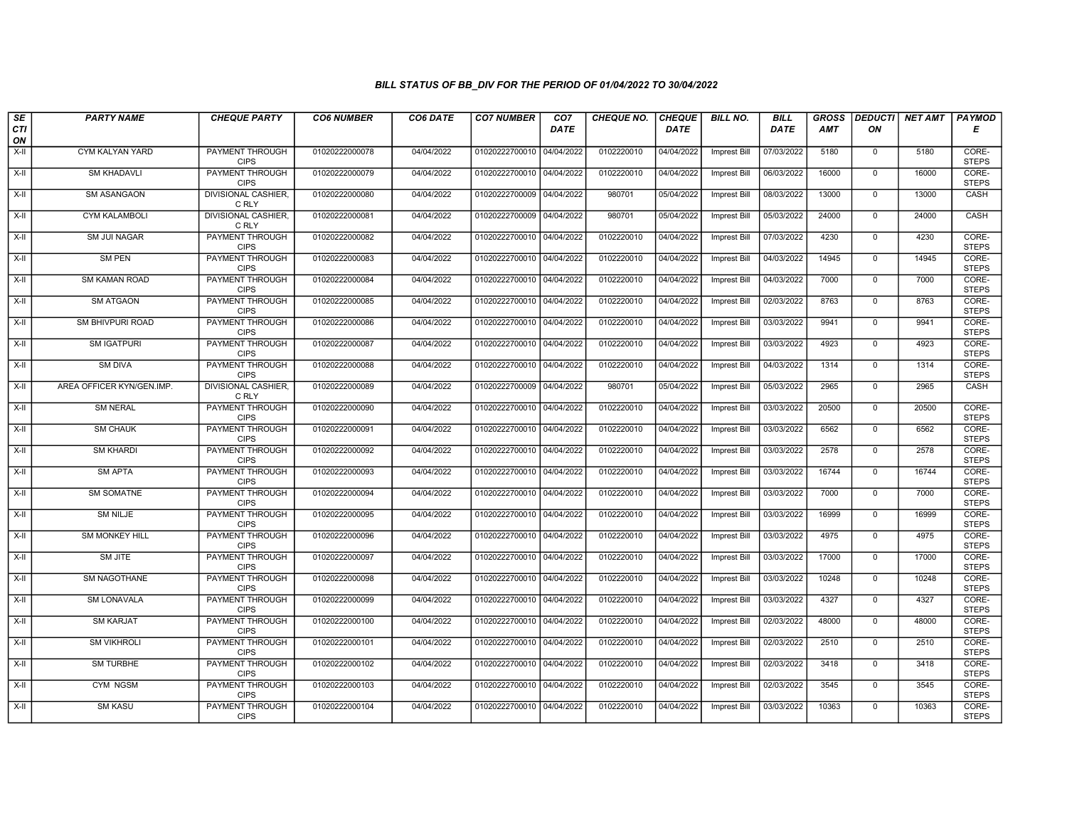| SE        | <b>PARTY NAME</b>         | <b>CHEQUE PARTY</b>                   | <b>CO6 NUMBER</b> | CO6 DATE   | <b>CO7 NUMBER</b>         | CO <sub>7</sub> | <b>CHEQUE NO.</b> | <b>CHEQUE</b> | <b>BILL NO.</b>     | <b>BILL</b> | <b>GROSS</b> |                | DEDUCTI NET AMT | <b>PAYMOD</b>         |
|-----------|---------------------------|---------------------------------------|-------------------|------------|---------------------------|-----------------|-------------------|---------------|---------------------|-------------|--------------|----------------|-----------------|-----------------------|
| CTI<br>ON |                           |                                       |                   |            |                           | <b>DATE</b>     |                   | <b>DATE</b>   |                     | <b>DATE</b> | AMT          | ON             |                 | Е                     |
| X-II      | CYM KALYAN YARD           | PAYMENT THROUGH<br><b>CIPS</b>        | 01020222000078    | 04/04/2022 | 01020222700010 04/04/2022 |                 | 0102220010        | 04/04/2022    | <b>Imprest Bill</b> | 07/03/2022  | 5180         | $\mathbf 0$    | 5180            | CORE-<br><b>STEPS</b> |
| $X-H$     | <b>SM KHADAVLI</b>        | <b>PAYMENT THROUGH</b><br><b>CIPS</b> | 01020222000079    | 04/04/2022 | 01020222700010 04/04/2022 |                 | 0102220010        | 04/04/2022    | <b>Imprest Bill</b> | 06/03/2022  | 16000        | $\mathbf 0$    | 16000           | CORE-<br><b>STEPS</b> |
| X-II      | SM ASANGAON               | <b>DIVISIONAL CASHIER.</b><br>C RLY   | 01020222000080    | 04/04/2022 | 01020222700009 04/04/2022 |                 | 980701            | 05/04/2022    | <b>Imprest Bill</b> | 08/03/2022  | 13000        | $\mathbf 0$    | 13000           | CASH                  |
| $X-H$     | <b>CYM KALAMBOLI</b>      | DIVISIONAL CASHIER,<br>C RLY          | 01020222000081    | 04/04/2022 | 01020222700009 04/04/2022 |                 | 980701            | 05/04/2022    | Imprest Bill        | 05/03/2022  | 24000        | $\overline{0}$ | 24000           | CASH                  |
| $X-H$     | <b>SM JUI NAGAR</b>       | <b>PAYMENT THROUGH</b><br><b>CIPS</b> | 01020222000082    | 04/04/2022 | 01020222700010 04/04/2022 |                 | 0102220010        | 04/04/2022    | Imprest Bill        | 07/03/2022  | 4230         | $\mathbf{0}$   | 4230            | CORE-<br><b>STEPS</b> |
| $X-H$     | <b>SM PEN</b>             | <b>PAYMENT THROUGH</b><br><b>CIPS</b> | 01020222000083    | 04/04/2022 | 01020222700010 04/04/2022 |                 | 0102220010        | 04/04/2022    | Imprest Bill        | 04/03/2022  | 14945        | $\mathbf{0}$   | 14945           | CORE-<br><b>STEPS</b> |
| X-II      | SM KAMAN ROAD             | PAYMENT THROUGH<br><b>CIPS</b>        | 01020222000084    | 04/04/2022 | 01020222700010 04/04/2022 |                 | 0102220010        | 04/04/2022    | <b>Imprest Bill</b> | 04/03/2022  | 7000         | $\mathbf 0$    | 7000            | CORE-<br><b>STEPS</b> |
| X-II      | <b>SM ATGAON</b>          | <b>PAYMENT THROUGH</b><br><b>CIPS</b> | 01020222000085    | 04/04/2022 | 01020222700010 04/04/2022 |                 | 0102220010        | 04/04/2022    | <b>Imprest Bill</b> | 02/03/2022  | 8763         | 0              | 8763            | CORE-<br><b>STEPS</b> |
| $X-H$     | <b>SM BHIVPURI ROAD</b>   | <b>PAYMENT THROUGH</b><br><b>CIPS</b> | 01020222000086    | 04/04/2022 | 01020222700010 04/04/2022 |                 | 0102220010        | 04/04/2022    | <b>Imprest Bill</b> | 03/03/2022  | 9941         | $\overline{0}$ | 9941            | CORE-<br><b>STEPS</b> |
| $X-H$     | <b>SM IGATPURI</b>        | <b>PAYMENT THROUGH</b><br><b>CIPS</b> | 01020222000087    | 04/04/2022 | 01020222700010 04/04/2022 |                 | 0102220010        | 04/04/2022    | Imprest Bill        | 03/03/2022  | 4923         | $\mathbf 0$    | 4923            | CORE-<br><b>STEPS</b> |
| X-II      | <b>SM DIVA</b>            | PAYMENT THROUGH<br><b>CIPS</b>        | 01020222000088    | 04/04/2022 | 01020222700010 04/04/2022 |                 | 0102220010        | 04/04/2022    | Imprest Bill        | 04/03/2022  | 1314         | $\mathbf 0$    | 1314            | CORE-<br><b>STEPS</b> |
| $X-II$    | AREA OFFICER KYN/GEN.IMP. | DIVISIONAL CASHIER.<br>C RLY          | 01020222000089    | 04/04/2022 | 01020222700009 04/04/2022 |                 | 980701            | 05/04/2022    | <b>Imprest Bill</b> | 05/03/2022  | 2965         | $\mathbf 0$    | 2965            | CASH                  |
| X-II      | <b>SM NERAL</b>           | <b>PAYMENT THROUGH</b><br><b>CIPS</b> | 01020222000090    | 04/04/2022 | 01020222700010 04/04/2022 |                 | 0102220010        | 04/04/2022    | <b>Imprest Bill</b> | 03/03/2022  | 20500        | $\mathbf 0$    | 20500           | CORE-<br><b>STEPS</b> |
| $X-H$     | <b>SM CHAUK</b>           | <b>PAYMENT THROUGH</b><br><b>CIPS</b> | 01020222000091    | 04/04/2022 | 01020222700010 04/04/2022 |                 | 0102220010        | 04/04/2022    | <b>Imprest Bill</b> | 03/03/2022  | 6562         | $\overline{0}$ | 6562            | CORE-<br><b>STEPS</b> |
| $X-II$    | <b>SM KHARDI</b>          | <b>PAYMENT THROUGH</b><br><b>CIPS</b> | 01020222000092    | 04/04/2022 | 01020222700010 04/04/2022 |                 | 0102220010        | 04/04/2022    | Imprest Bill        | 03/03/2022  | 2578         | $\mathbf 0$    | 2578            | CORE-<br><b>STEPS</b> |
| X-II      | <b>SM APTA</b>            | <b>PAYMENT THROUGH</b><br><b>CIPS</b> | 01020222000093    | 04/04/2022 | 01020222700010 04/04/2022 |                 | 0102220010        | 04/04/2022    | Imprest Bill        | 03/03/2022  | 16744        | $\overline{0}$ | 16744           | CORE-<br><b>STEPS</b> |
| X-II      | <b>SM SOMATNE</b>         | <b>PAYMENT THROUGH</b><br><b>CIPS</b> | 01020222000094    | 04/04/2022 | 01020222700010 04/04/2022 |                 | 0102220010        | 04/04/2022    | <b>Imprest Bill</b> | 03/03/2022  | 7000         | $\mathbf{0}$   | 7000            | CORE-<br><b>STEPS</b> |
| X-II      | <b>SM NILJE</b>           | <b>PAYMENT THROUGH</b><br><b>CIPS</b> | 01020222000095    | 04/04/2022 | 01020222700010 04/04/2022 |                 | 0102220010        | 04/04/2022    | <b>Imprest Bill</b> | 03/03/2022  | 16999        | $\mathbf 0$    | 16999           | CORE-<br><b>STEPS</b> |
| X-II      | SM MONKEY HILL            | PAYMENT THROUGH<br><b>CIPS</b>        | 01020222000096    | 04/04/2022 | 01020222700010 04/04/2022 |                 | 0102220010        | 04/04/2022    | <b>Imprest Bill</b> | 03/03/2022  | 4975         | $\mathbf 0$    | 4975            | CORE-<br><b>STEPS</b> |
| X-II      | SM JITE                   | <b>PAYMENT THROUGH</b><br><b>CIPS</b> | 01020222000097    | 04/04/2022 | 01020222700010 04/04/2022 |                 | 0102220010        | 04/04/2022    | <b>Imprest Bill</b> | 03/03/2022  | 17000        | $\mathbf{0}$   | 17000           | CORE-<br><b>STEPS</b> |
| $X-H$     | SM NAGOTHANE              | <b>PAYMENT THROUGH</b><br><b>CIPS</b> | 01020222000098    | 04/04/2022 | 01020222700010 04/04/2022 |                 | 0102220010        | 04/04/2022    | Imprest Bill        | 03/03/2022  | 10248        | $\overline{0}$ | 10248           | CORE-<br><b>STEPS</b> |
| $X-H$     | <b>SM LONAVALA</b>        | <b>PAYMENT THROUGH</b><br><b>CIPS</b> | 01020222000099    | 04/04/2022 | 01020222700010 04/04/2022 |                 | 0102220010        | 04/04/2022    | <b>Imprest Bill</b> | 03/03/2022  | 4327         | $\mathbf{0}$   | 4327            | CORE-<br><b>STEPS</b> |
| X-II      | <b>SM KARJAT</b>          | PAYMENT THROUGH<br><b>CIPS</b>        | 01020222000100    | 04/04/2022 | 01020222700010 04/04/2022 |                 | 0102220010        | 04/04/2022    | <b>Imprest Bill</b> | 02/03/2022  | 48000        | 0              | 48000           | CORE-<br><b>STEPS</b> |
| X-II      | <b>SM VIKHROLI</b>        | PAYMENT THROUGH<br><b>CIPS</b>        | 01020222000101    | 04/04/2022 | 01020222700010 04/04/2022 |                 | 0102220010        | 04/04/2022    | <b>Imprest Bill</b> | 02/03/2022  | 2510         | $\overline{0}$ | 2510            | CORE-<br><b>STEPS</b> |
| $X-II$    | <b>SM TURBHE</b>          | <b>PAYMENT THROUGH</b><br><b>CIPS</b> | 01020222000102    | 04/04/2022 | 01020222700010 04/04/2022 |                 | 0102220010        | 04/04/2022    | <b>Imprest Bill</b> | 02/03/2022  | 3418         | $\mathbf{0}$   | 3418            | CORE-<br><b>STEPS</b> |
| $X-H$     | CYM NGSM                  | <b>PAYMENT THROUGH</b><br><b>CIPS</b> | 01020222000103    | 04/04/2022 | 01020222700010 04/04/2022 |                 | 0102220010        | 04/04/2022    | <b>Imprest Bill</b> | 02/03/2022  | 3545         | $\Omega$       | 3545            | CORE-<br><b>STEPS</b> |
| X-II      | <b>SM KASU</b>            | <b>PAYMENT THROUGH</b><br><b>CIPS</b> | 01020222000104    | 04/04/2022 | 01020222700010 04/04/2022 |                 | 0102220010        | 04/04/2022    | Imprest Bill        | 03/03/2022  | 10363        | $\mathbf 0$    | 10363           | CORE-<br><b>STEPS</b> |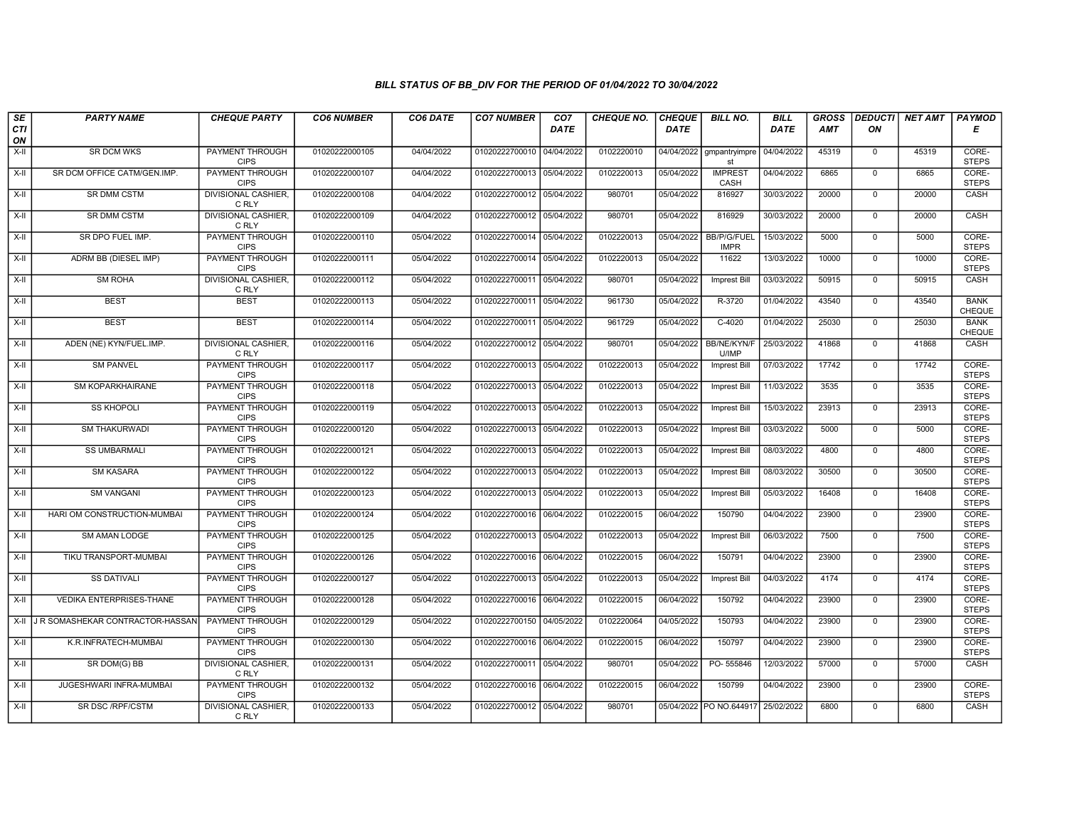| SE        | <b>PARTY NAME</b>                     | <b>CHEQUE PARTY</b>                   | <b>CO6 NUMBER</b> | CO6 DATE   | <b>CO7 NUMBER</b>         | CO <sub>7</sub> | <b>CHEQUE NO.</b> | <b>CHEQUE</b> | <b>BILL NO.</b>                   | <b>BILL</b> | <b>GROSS</b> |                | DEDUCTI NET AMT | <b>PAYMOD</b>         |
|-----------|---------------------------------------|---------------------------------------|-------------------|------------|---------------------------|-----------------|-------------------|---------------|-----------------------------------|-------------|--------------|----------------|-----------------|-----------------------|
| CTI<br>ON |                                       |                                       |                   |            |                           | <b>DATE</b>     |                   | <b>DATE</b>   |                                   | <b>DATE</b> | AMT          | ON             |                 | Е                     |
| $X-H$     | <b>SR DCM WKS</b>                     | <b>PAYMENT THROUGH</b><br><b>CIPS</b> | 01020222000105    | 04/04/2022 | 01020222700010 04/04/2022 |                 | 0102220010        | 04/04/2022    | gmpantryimpre<br>st               | 04/04/2022  | 45319        | $\mathbf 0$    | 45319           | CORE-<br><b>STEPS</b> |
| X-II      | SR DCM OFFICE CATM/GEN.IMP.           | <b>PAYMENT THROUGH</b><br><b>CIPS</b> | 01020222000107    | 04/04/2022 | 01020222700013 05/04/2022 |                 | 0102220013        | 05/04/2022    | <b>IMPREST</b><br>CASH            | 04/04/2022  | 6865         | $\mathbf{0}$   | 6865            | CORE-<br><b>STEPS</b> |
| X-II      | <b>SR DMM CSTM</b>                    | DIVISIONAL CASHIER<br>C RLY           | 01020222000108    | 04/04/2022 | 01020222700012 05/04/2022 |                 | 980701            | 05/04/2022    | 816927                            | 30/03/2022  | 20000        | $\mathbf 0$    | 20000           | CASH                  |
| X-II      | <b>SR DMM CSTM</b>                    | DIVISIONAL CASHIER,<br>C RLY          | 01020222000109    | 04/04/2022 | 01020222700012 05/04/2022 |                 | 980701            | 05/04/2022    | 816929                            | 30/03/2022  | 20000        | $\mathbf 0$    | 20000           | <b>CASH</b>           |
| $X-H$     | SR DPO FUEL IMP.                      | <b>PAYMENT THROUGH</b><br><b>CIPS</b> | 01020222000110    | 05/04/2022 | 01020222700014 05/04/2022 |                 | 0102220013        | 05/04/2022    | <b>BB/P/G/FUEL</b><br><b>IMPR</b> | 15/03/2022  | 5000         | $\mathbf 0$    | 5000            | CORE-<br><b>STEPS</b> |
| X-II      | ADRM BB (DIESEL IMP)                  | <b>PAYMENT THROUGH</b><br><b>CIPS</b> | 01020222000111    | 05/04/2022 | 01020222700014 05/04/2022 |                 | 0102220013        | 05/04/2022    | 11622                             | 13/03/2022  | 10000        | $\mathbf 0$    | 10000           | CORE-<br><b>STEPS</b> |
| X-II      | SM ROHA                               | DIVISIONAL CASHIER,<br>C RLY          | 01020222000112    | 05/04/2022 | 01020222700011 05/04/2022 |                 | 980701            | 05/04/2022    | Imprest Bill                      | 03/03/2022  | 50915        | $\mathbf 0$    | 50915           | CASH                  |
| X-II      | <b>BEST</b>                           | <b>BEST</b>                           | 01020222000113    | 05/04/2022 | 01020222700011 05/04/2022 |                 | 961730            | 05/04/2022    | R-3720                            | 01/04/2022  | 43540        | $\mathbf 0$    | 43540           | <b>BANK</b><br>CHEQUE |
| X-II      | <b>BEST</b>                           | <b>BEST</b>                           | 01020222000114    | 05/04/2022 | 01020222700011 05/04/2022 |                 | 961729            | 05/04/2022    | $C-4020$                          | 01/04/2022  | 25030        | $\mathbf 0$    | 25030           | <b>BANK</b><br>CHEQUE |
| $X-H$     | ADEN (NE) KYN/FUEL.IMP.               | <b>DIVISIONAL CASHIER,</b><br>C RLY   | 01020222000116    | 05/04/2022 | 01020222700012 05/04/2022 |                 | 980701            | 05/04/2022    | <b>BB/NE/KYN/F</b><br>U/IMP       | 25/03/2022  | 41868        | $\overline{0}$ | 41868           | CASH                  |
| X-II      | <b>SM PANVEL</b>                      | PAYMENT THROUGH<br><b>CIPS</b>        | 01020222000117    | 05/04/2022 | 01020222700013 05/04/2022 |                 | 0102220013        | 05/04/2022    | Imprest Bill                      | 07/03/2022  | 17742        | $\mathbf 0$    | 17742           | CORE-<br><b>STEPS</b> |
| $X-II$    | SM KOPARKHAIRANE                      | <b>PAYMENT THROUGH</b><br><b>CIPS</b> | 01020222000118    | 05/04/2022 | 01020222700013 05/04/2022 |                 | 0102220013        | 05/04/2022    | <b>Imprest Bill</b>               | 11/03/2022  | 3535         | $\overline{0}$ | 3535            | CORE-<br><b>STEPS</b> |
| X-II      | <b>SS KHOPOLI</b>                     | PAYMENT THROUGH<br><b>CIPS</b>        | 01020222000119    | 05/04/2022 | 01020222700013 05/04/2022 |                 | 0102220013        | 05/04/2022    | Imprest Bill                      | 15/03/2022  | 23913        | $\mathbf 0$    | 23913           | CORE-<br><b>STEPS</b> |
| $X-H$     | <b>SM THAKURWADI</b>                  | <b>PAYMENT THROUGH</b><br><b>CIPS</b> | 01020222000120    | 05/04/2022 | 01020222700013 05/04/2022 |                 | 0102220013        | 05/04/2022    | Imprest Bill                      | 03/03/2022  | 5000         | $\mathbf{0}$   | 5000            | CORE-<br><b>STEPS</b> |
| X-II      | <b>SS UMBARMALI</b>                   | PAYMENT THROUGH<br><b>CIPS</b>        | 01020222000121    | 05/04/2022 | 01020222700013 05/04/2022 |                 | 0102220013        | 05/04/2022    | Imprest Bill                      | 08/03/2022  | 4800         | $\mathbf 0$    | 4800            | CORE-<br><b>STEPS</b> |
| $X-II$    | <b>SM KASARA</b>                      | <b>PAYMENT THROUGH</b><br><b>CIPS</b> | 01020222000122    | 05/04/2022 | 01020222700013 05/04/2022 |                 | 0102220013        | 05/04/2022    | Imprest Bill                      | 08/03/2022  | 30500        | $\overline{0}$ | 30500           | CORE-<br><b>STEPS</b> |
| X-II      | <b>SM VANGANI</b>                     | <b>PAYMENT THROUGH</b><br><b>CIPS</b> | 01020222000123    | 05/04/2022 | 01020222700013 05/04/2022 |                 | 0102220013        | 05/04/2022    | <b>Imprest Bill</b>               | 05/03/2022  | 16408        | $\mathbf{0}$   | 16408           | CORE-<br><b>STEPS</b> |
| $X-H$     | HARI OM CONSTRUCTION-MUMBAI           | <b>PAYMENT THROUGH</b><br><b>CIPS</b> | 01020222000124    | 05/04/2022 | 01020222700016 06/04/2022 |                 | 0102220015        | 06/04/2022    | 150790                            | 04/04/2022  | 23900        | $\overline{0}$ | 23900           | CORE-<br><b>STEPS</b> |
| X-II      | SM AMAN LODGE                         | <b>PAYMENT THROUGH</b><br><b>CIPS</b> | 01020222000125    | 05/04/2022 | 01020222700013 05/04/2022 |                 | 0102220013        | 05/04/2022    | Imprest Bill                      | 06/03/2022  | 7500         | $\mathbf{0}$   | 7500            | CORE-<br><b>STEPS</b> |
| X-II      | TIKU TRANSPORT-MUMBAI                 | PAYMENT THROUGH<br><b>CIPS</b>        | 01020222000126    | 05/04/2022 | 01020222700016 06/04/2022 |                 | 0102220015        | 06/04/2022    | 150791                            | 04/04/2022  | 23900        | $\mathbf 0$    | 23900           | CORE-<br><b>STEPS</b> |
| X-II      | <b>SS DATIVALI</b>                    | <b>PAYMENT THROUGH</b><br><b>CIPS</b> | 01020222000127    | 05/04/2022 | 01020222700013 05/04/2022 |                 | 0102220013        | 05/04/2022    | Imprest Bill                      | 04/03/2022  | 4174         | $\mathbf{0}$   | 4174            | CORE-<br><b>STEPS</b> |
| X-II      | <b>VEDIKA ENTERPRISES-THANE</b>       | <b>PAYMENT THROUGH</b><br><b>CIPS</b> | 01020222000128    | 05/04/2022 | 01020222700016 06/04/2022 |                 | 0102220015        | 06/04/2022    | 150792                            | 04/04/2022  | 23900        | $\mathbf 0$    | 23900           | CORE-<br><b>STEPS</b> |
|           | X-II J R SOMASHEKAR CONTRACTOR-HASSAN | <b>PAYMENT THROUGH</b><br><b>CIPS</b> | 01020222000129    | 05/04/2022 | 01020222700150 04/05/2022 |                 | 0102220064        | 04/05/2022    | 150793                            | 04/04/2022  | 23900        | $\mathbf 0$    | 23900           | CORE-<br><b>STEPS</b> |
| $X-II$    | K.R.INFRATECH-MUMBAI                  | PAYMENT THROUGH<br><b>CIPS</b>        | 01020222000130    | 05/04/2022 | 01020222700016 06/04/2022 |                 | 0102220015        | 06/04/2022    | 150797                            | 04/04/2022  | 23900        | $\mathsf 0$    | 23900           | CORE-<br><b>STEPS</b> |
| $X-H$     | SR DOM(G) BB                          | <b>DIVISIONAL CASHIER,</b><br>C RLY   | 01020222000131    | 05/04/2022 | 01020222700011 05/04/2022 |                 | 980701            | 05/04/2022    | PO-555846                         | 12/03/2022  | 57000        | $\mathbf 0$    | 57000           | CASH                  |
| $X-H$     | JUGESHWARI INFRA-MUMBAI               | <b>PAYMENT THROUGH</b><br><b>CIPS</b> | 01020222000132    | 05/04/2022 | 01020222700016 06/04/2022 |                 | 0102220015        | 06/04/2022    | 150799                            | 04/04/2022  | 23900        | $\mathbf 0$    | 23900           | CORE-<br><b>STEPS</b> |
| X-II      | SR DSC / RPF/CSTM                     | DIVISIONAL CASHIER,<br>C RLY          | 01020222000133    | 05/04/2022 | 01020222700012 05/04/2022 |                 | 980701            |               | 05/04/2022   PO NO.644917         | 25/02/2022  | 6800         | $\mathbf 0$    | 6800            | CASH                  |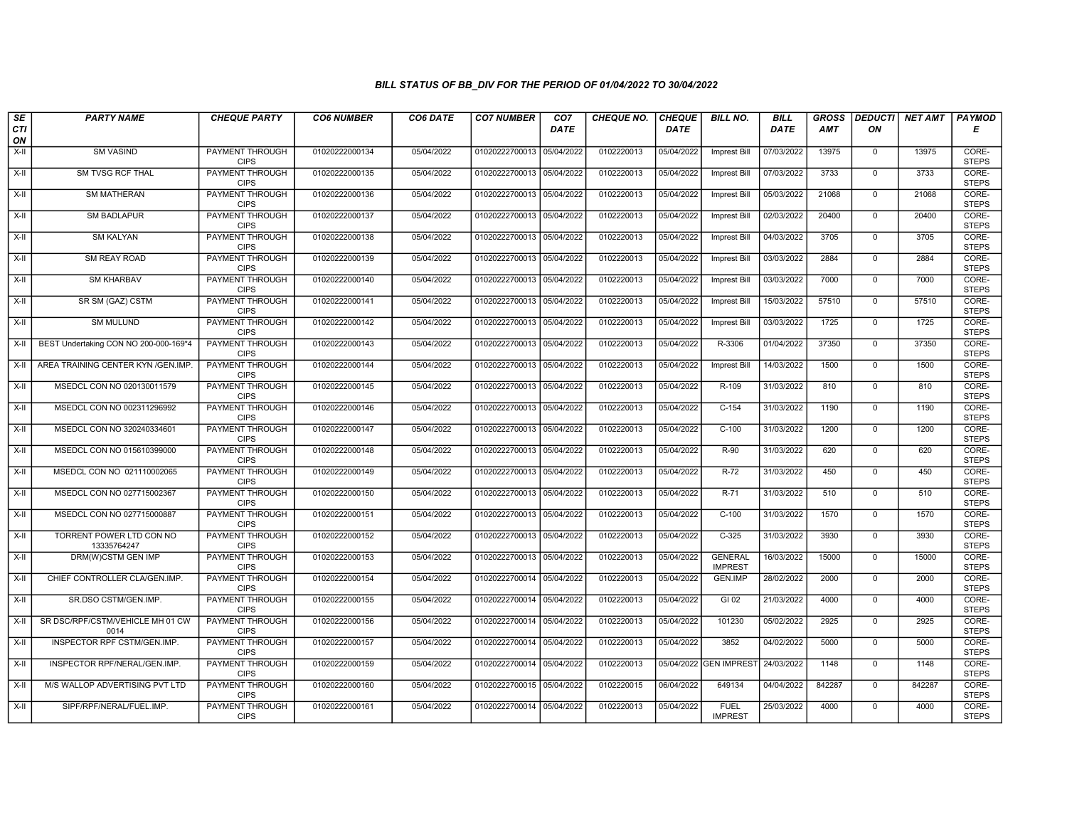| SE        | <b>PARTY NAME</b>                        | <b>CHEQUE PARTY</b>                   | <b>CO6 NUMBER</b> | CO6 DATE   | <b>CO7 NUMBER</b>         | CO <sub>7</sub> | <b>CHEQUE NO.</b> | <b>CHEQUE</b> | <b>BILL NO.</b>                  | BILL        | <b>GROSS</b> | <b>DEDUCTI</b> | NET AMT | <b>PAYMOD</b>         |
|-----------|------------------------------------------|---------------------------------------|-------------------|------------|---------------------------|-----------------|-------------------|---------------|----------------------------------|-------------|--------------|----------------|---------|-----------------------|
| CTI<br>ON |                                          |                                       |                   |            |                           | <b>DATE</b>     |                   | <b>DATE</b>   |                                  | <b>DATE</b> | <b>AMT</b>   | ΟN             |         | Е                     |
| $X-H$     | <b>SM VASIND</b>                         | PAYMENT THROUGH<br><b>CIPS</b>        | 01020222000134    | 05/04/2022 | 01020222700013 05/04/2022 |                 | 0102220013        | 05/04/2022    | <b>Imprest Bill</b>              | 07/03/2022  | 13975        | $\mathbf 0$    | 13975   | CORE-<br><b>STEPS</b> |
| $X-H$     | <b>SM TVSG RCF THAL</b>                  | <b>PAYMENT THROUGH</b><br><b>CIPS</b> | 01020222000135    | 05/04/2022 | 01020222700013 05/04/2022 |                 | 0102220013        | 05/04/2022    | Imprest Bill                     | 07/03/2022  | 3733         | $\mathbf 0$    | 3733    | CORE-<br><b>STEPS</b> |
| X-II      | SM MATHERAN                              | PAYMENT THROUGH<br><b>CIPS</b>        | 01020222000136    | 05/04/2022 | 01020222700013 05/04/2022 |                 | 0102220013        | 05/04/2022    | Imprest Bill                     | 05/03/2022  | 21068        | $\mathbf 0$    | 21068   | CORE-<br><b>STEPS</b> |
| $X-H$     | <b>SM BADLAPUR</b>                       | PAYMENT THROUGH<br><b>CIPS</b>        | 01020222000137    | 05/04/2022 | 01020222700013            | 05/04/2022      | 0102220013        | 05/04/2022    | <b>Imprest Bill</b>              | 02/03/2022  | 20400        | $\overline{0}$ | 20400   | CORE-<br><b>STEPS</b> |
| $X-H$     | <b>SM KALYAN</b>                         | <b>PAYMENT THROUGH</b><br><b>CIPS</b> | 01020222000138    | 05/04/2022 | 01020222700013 05/04/2022 |                 | 0102220013        | 05/04/2022    | <b>Imprest Bill</b>              | 04/03/2022  | 3705         | $\mathbf 0$    | 3705    | CORE-<br><b>STEPS</b> |
| $X-H$     | <b>SM REAY ROAD</b>                      | <b>PAYMENT THROUGH</b><br><b>CIPS</b> | 01020222000139    | 05/04/2022 | 01020222700013 05/04/2022 |                 | 0102220013        | 05/04/2022    | Imprest Bill                     | 03/03/2022  | 2884         | $\mathbf 0$    | 2884    | CORE-<br><b>STEPS</b> |
| X-II      | <b>SM KHARBAV</b>                        | PAYMENT THROUGH<br><b>CIPS</b>        | 01020222000140    | 05/04/2022 | 01020222700013            | 05/04/2022      | 0102220013        | 05/04/2022    | <b>Imprest Bill</b>              | 03/03/2022  | 7000         | $\mathbf 0$    | 7000    | CORE-<br><b>STEPS</b> |
| X-II      | SR SM (GAZ) CSTM                         | PAYMENT THROUGH<br><b>CIPS</b>        | 01020222000141    | 05/04/2022 | 01020222700013 05/04/2022 |                 | 0102220013        | 05/04/2022    | Imprest Bill                     | 15/03/2022  | 57510        | $\mathbf 0$    | 57510   | CORE-<br><b>STEPS</b> |
| $X-H$     | <b>SM MULUND</b>                         | <b>PAYMENT THROUGH</b><br><b>CIPS</b> | 01020222000142    | 05/04/2022 | 01020222700013 05/04/2022 |                 | 0102220013        | 05/04/2022    | Imprest Bill                     | 03/03/2022  | 1725         | $\overline{0}$ | 1725    | CORE-<br><b>STEPS</b> |
| X-II      | BEST Undertaking CON NO 200-000-169*4    | <b>PAYMENT THROUGH</b><br><b>CIPS</b> | 01020222000143    | 05/04/2022 | 01020222700013 05/04/2022 |                 | 0102220013        | 05/04/2022    | R-3306                           | 01/04/2022  | 37350        | $\overline{0}$ | 37350   | CORE-<br><b>STEPS</b> |
| X-II      | AREA TRAINING CENTER KYN /GEN.IMP.       | <b>PAYMENT THROUGH</b><br><b>CIPS</b> | 01020222000144    | 05/04/2022 | 01020222700013 05/04/2022 |                 | 0102220013        | 05/04/2022    | Imprest Bill                     | 14/03/2022  | 1500         | $\mathbf 0$    | 1500    | CORE-<br><b>STEPS</b> |
| $X-II$    | MSEDCL CON NO 020130011579               | PAYMENT THROUGH<br><b>CIPS</b>        | 01020222000145    | 05/04/2022 | 01020222700013 05/04/2022 |                 | 0102220013        | 05/04/2022    | R-109                            | 31/03/2022  | 810          | $\mathbf 0$    | 810     | CORE-<br><b>STEPS</b> |
| X-II      | MSEDCL CON NO 002311296992               | PAYMENT THROUGH<br><b>CIPS</b>        | 01020222000146    | 05/04/2022 | 01020222700013 05/04/2022 |                 | 0102220013        | 05/04/2022    | $C-154$                          | 31/03/2022  | 1190         | $\mathbf 0$    | 1190    | CORE-<br><b>STEPS</b> |
| $X-H$     | MSEDCL CON NO 320240334601               | <b>PAYMENT THROUGH</b><br><b>CIPS</b> | 01020222000147    | 05/04/2022 | 01020222700013            | 05/04/2022      | 0102220013        | 05/04/2022    | $C-100$                          | 31/03/2022  | 1200         | $\overline{0}$ | 1200    | CORE-<br><b>STEPS</b> |
| $X-H$     | MSEDCL CON NO 015610399000               | <b>PAYMENT THROUGH</b><br><b>CIPS</b> | 01020222000148    | 05/04/2022 | 01020222700013 05/04/2022 |                 | 0102220013        | 05/04/2022    | R-90                             | 31/03/2022  | 620          | $\mathbf 0$    | 620     | CORE-<br><b>STEPS</b> |
| X-II      | MSEDCL CON NO 021110002065               | PAYMENT THROUGH<br><b>CIPS</b>        | 01020222000149    | 05/04/2022 | 01020222700013 05/04/2022 |                 | 0102220013        | 05/04/2022    | R-72                             | 31/03/2022  | 450          | $\overline{0}$ | 450     | CORE-<br><b>STEPS</b> |
| $X-II$    | MSEDCL CON NO 027715002367               | <b>PAYMENT THROUGH</b><br><b>CIPS</b> | 01020222000150    | 05/04/2022 | 01020222700013 05/04/2022 |                 | 0102220013        | 05/04/2022    | $R-71$                           | 31/03/2022  | 510          | $\mathbf{0}$   | 510     | CORE-<br><b>STEPS</b> |
| X-II      | MSEDCL CON NO 027715000887               | <b>PAYMENT THROUGH</b><br><b>CIPS</b> | 01020222000151    | 05/04/2022 | 01020222700013 05/04/2022 |                 | 0102220013        | 05/04/2022    | $C-100$                          | 31/03/2022  | 1570         | $\mathbf 0$    | 1570    | CORE-<br><b>STEPS</b> |
| X-II      | TORRENT POWER LTD CON NO<br>13335764247  | PAYMENT THROUGH<br><b>CIPS</b>        | 01020222000152    | 05/04/2022 | 01020222700013            | 05/04/2022      | 0102220013        | 05/04/2022    | $C-325$                          | 31/03/2022  | 3930         | $\mathbf 0$    | 3930    | CORE-<br><b>STEPS</b> |
| X-II      | DRM(W)CSTM GEN IMP                       | <b>PAYMENT THROUGH</b><br><b>CIPS</b> | 01020222000153    | 05/04/2022 | 01020222700013 05/04/2022 |                 | 0102220013        | 05/04/2022    | <b>GENERAL</b><br><b>IMPREST</b> | 16/03/2022  | 15000        | $\overline{0}$ | 15000   | CORE-<br><b>STEPS</b> |
| $X-H$     | CHIEF CONTROLLER CLA/GEN.IMP.            | PAYMENT THROUGH<br><b>CIPS</b>        | 01020222000154    | 05/04/2022 | 01020222700014            | 05/04/2022      | 0102220013        | 05/04/2022    | <b>GEN.IMP</b>                   | 28/02/2022  | 2000         | $\overline{0}$ | 2000    | CORE-<br><b>STEPS</b> |
| $X-H$     | SR.DSO CSTM/GEN.IMP.                     | <b>PAYMENT THROUGH</b><br><b>CIPS</b> | 01020222000155    | 05/04/2022 | 01020222700014 05/04/2022 |                 | 0102220013        | 05/04/2022    | $GI$ 02                          | 21/03/2022  | 4000         | $\mathbf{0}$   | 4000    | CORE-<br><b>STEPS</b> |
| X-II      | SR DSC/RPF/CSTM/VEHICLE MH 01 CW<br>0014 | PAYMENT THROUGH<br><b>CIPS</b>        | 01020222000156    | 05/04/2022 | 01020222700014            | 05/04/2022      | 0102220013        | 05/04/2022    | 101230                           | 05/02/2022  | 2925         | $\mathbf 0$    | 2925    | CORE-<br><b>STEPS</b> |
| X-II      | INSPECTOR RPF CSTM/GEN.IMP.              | PAYMENT THROUGH<br><b>CIPS</b>        | 01020222000157    | 05/04/2022 | 01020222700014            | 05/04/2022      | 0102220013        | 05/04/2022    | 3852                             | 04/02/2022  | 5000         | $\mathbf{0}$   | 5000    | CORE-<br><b>STEPS</b> |
| $X-II$    | INSPECTOR RPF/NERAL/GEN.IMP.             | <b>PAYMENT THROUGH</b><br><b>CIPS</b> | 01020222000159    | 05/04/2022 | 01020222700014            | 05/04/2022      | 0102220013        |               | 05/04/2022 GEN IMPREST           | 24/03/2022  | 1148         | $\mathbf 0$    | 1148    | CORE-<br><b>STEPS</b> |
| $X-H$     | M/S WALLOP ADVERTISING PVT LTD           | <b>PAYMENT THROUGH</b><br><b>CIPS</b> | 01020222000160    | 05/04/2022 | 01020222700015 05/04/2022 |                 | 0102220015        | 06/04/2022    | 649134                           | 04/04/2022  | 842287       | $\overline{0}$ | 842287  | CORE-<br><b>STEPS</b> |
| X-II      | SIPF/RPF/NERAL/FUEL.IMP.                 | <b>PAYMENT THROUGH</b><br><b>CIPS</b> | 01020222000161    | 05/04/2022 | 01020222700014 05/04/2022 |                 | 0102220013        | 05/04/2022    | <b>FUEL</b><br><b>IMPREST</b>    | 25/03/2022  | 4000         | $\mathbf{0}$   | 4000    | CORE-<br><b>STEPS</b> |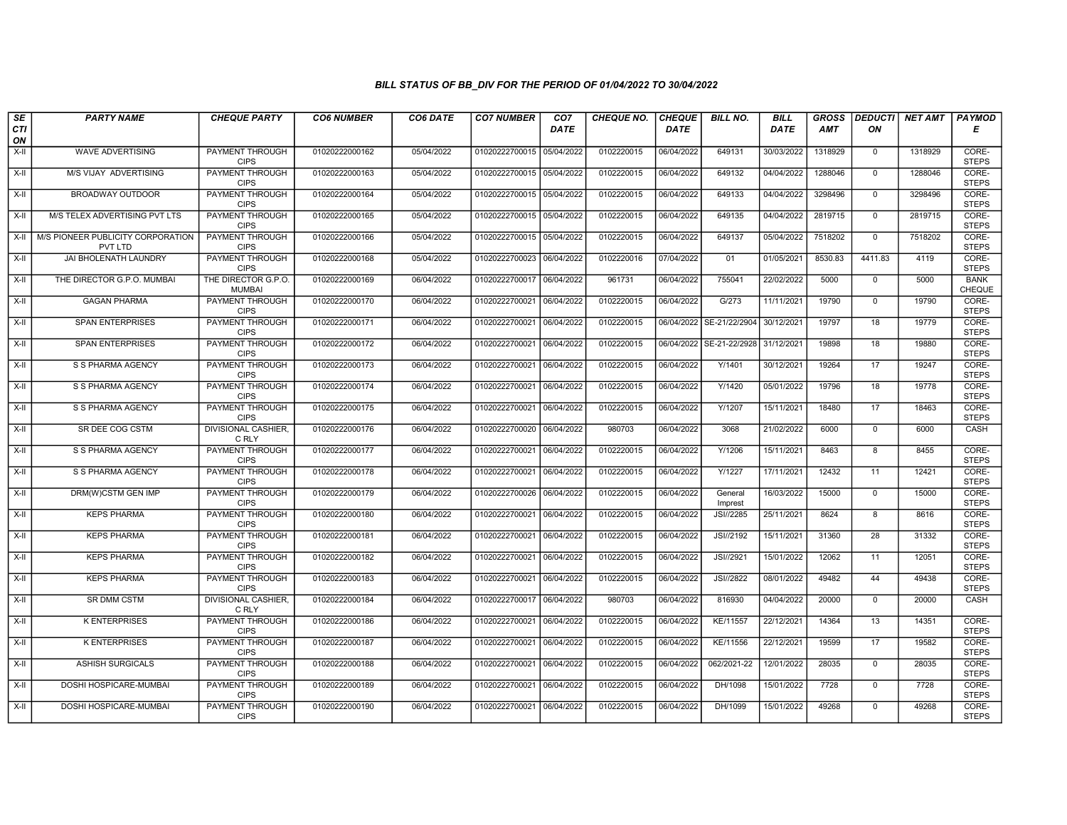| SE                 | <b>PARTY NAME</b>                            | <b>CHEQUE PARTY</b>                   | <b>CO6 NUMBER</b> | CO6 DATE   | <b>CO7 NUMBER</b>         | CO <sub>7</sub> | <b>CHEQUE NO.</b> | <b>CHEQUE</b> | <b>BILL NO.</b>    | <b>BILL</b> | <b>GROSS</b> |                | DEDUCTI NET AMT | <b>PAYMOD</b>         |
|--------------------|----------------------------------------------|---------------------------------------|-------------------|------------|---------------------------|-----------------|-------------------|---------------|--------------------|-------------|--------------|----------------|-----------------|-----------------------|
| <b>CTI</b><br>ON   |                                              |                                       |                   |            |                           | <b>DATE</b>     |                   | <b>DATE</b>   |                    | <b>DATE</b> | <b>AMT</b>   | ON             |                 | Е                     |
| $X-H$              | WAVE ADVERTISING                             | PAYMENT THROUGH<br><b>CIPS</b>        | 01020222000162    | 05/04/2022 | 01020222700015 05/04/2022 |                 | 0102220015        | 06/04/2022    | 649131             | 30/03/2022  | 1318929      | $^{\circ}$     | 1318929         | CORE-<br><b>STEPS</b> |
| $X-H$              | <b>M/S VIJAY ADVERTISING</b>                 | PAYMENT THROUGH<br><b>CIPS</b>        | 01020222000163    | 05/04/2022 | 01020222700015 05/04/2022 |                 | 0102220015        | 06/04/2022    | 649132             | 04/04/2022  | 1288046      | $\mathbf 0$    | 1288046         | CORE-<br><b>STEPS</b> |
| X-II               | BROADWAY OUTDOOR                             | PAYMENT THROUGH<br><b>CIPS</b>        | 01020222000164    | 05/04/2022 | 01020222700015 05/04/2022 |                 | 0102220015        | 06/04/2022    | 649133             | 04/04/2022  | 3298496      | $\mathbf 0$    | 3298496         | CORE-<br><b>STEPS</b> |
| $X-H$              | M/S TELEX ADVERTISING PVT LTS                | PAYMENT THROUGH<br><b>CIPS</b>        | 01020222000165    | 05/04/2022 | 01020222700015 05/04/2022 |                 | 0102220015        | 06/04/2022    | 649135             | 04/04/2022  | 2819715      | $\overline{0}$ | 2819715         | CORE-<br><b>STEPS</b> |
| $X-H$              | M/S PIONEER PUBLICITY CORPORATION<br>PVT LTD | <b>PAYMENT THROUGH</b><br><b>CIPS</b> | 01020222000166    | 05/04/2022 | 01020222700015 05/04/2022 |                 | 0102220015        | 06/04/2022    | 649137             | 05/04/2022  | 7518202      | $\mathbf{0}$   | 7518202         | CORE-<br><b>STEPS</b> |
| $X-H$              | <b>JAI BHOLENATH LAUNDRY</b>                 | <b>PAYMENT THROUGH</b><br><b>CIPS</b> | 01020222000168    | 05/04/2022 | 01020222700023 06/04/2022 |                 | 0102220016        | 07/04/2022    | 01                 | 01/05/2021  | 8530.83      | 4411.83        | 4119            | CORE-<br><b>STEPS</b> |
| X-II               | THE DIRECTOR G.P.O. MUMBAI                   | THE DIRECTOR G.P.O.<br><b>MUMBAI</b>  | 01020222000169    | 06/04/2022 | 01020222700017 06/04/2022 |                 | 961731            | 06/04/2022    | 755041             | 22/02/2022  | 5000         | $\mathbf{0}$   | 5000            | <b>BANK</b><br>CHEQUE |
| $\overline{X}$ -II | <b>GAGAN PHARMA</b>                          | PAYMENT THROUGH<br><b>CIPS</b>        | 01020222000170    | 06/04/2022 | 01020222700021 06/04/2022 |                 | 0102220015        | 06/04/2022    | G/273              | 11/11/2021  | 19790        | $\mathbf 0$    | 19790           | CORE-<br><b>STEPS</b> |
| X-II               | <b>SPAN ENTERPRISES</b>                      | PAYMENT THROUGH<br><b>CIPS</b>        | 01020222000171    | 06/04/2022 | 01020222700021 06/04/2022 |                 | 0102220015        | 06/04/2022    | SE-21/22/2904      | 30/12/2021  | 19797        | 18             | 19779           | CORE-<br><b>STEPS</b> |
| $X-H$              | <b>SPAN ENTERPRISES</b>                      | <b>PAYMENT THROUGH</b><br><b>CIPS</b> | 01020222000172    | 06/04/2022 | 01020222700021 06/04/2022 |                 | 0102220015        | 06/04/2022    | SE-21-22/2928      | 31/12/2021  | 19898        | 18             | 19880           | CORE-<br><b>STEPS</b> |
| X-II               | S S PHARMA AGENCY                            | PAYMENT THROUGH<br><b>CIPS</b>        | 01020222000173    | 06/04/2022 | 01020222700021 06/04/2022 |                 | 0102220015        | 06/04/2022    | Y/1401             | 30/12/2021  | 19264        | 17             | 19247           | CORE-<br><b>STEPS</b> |
| $X-II$             | S S PHARMA AGENCY                            | PAYMENT THROUGH<br><b>CIPS</b>        | 01020222000174    | 06/04/2022 | 01020222700021 06/04/2022 |                 | 0102220015        | 06/04/2022    | Y/1420             | 05/01/2022  | 19796        | 18             | 19778           | CORE-<br><b>STEPS</b> |
| $X-H$              | S S PHARMA AGENCY                            | <b>PAYMENT THROUGH</b><br><b>CIPS</b> | 01020222000175    | 06/04/2022 | 01020222700021 06/04/2022 |                 | 0102220015        | 06/04/2022    | Y/1207             | 15/11/2021  | 18480        | 17             | 18463           | CORE-<br><b>STEPS</b> |
| X-II               | SR DEE COG CSTM                              | <b>DIVISIONAL CASHIER,</b><br>C RLY   | 01020222000176    | 06/04/2022 | 01020222700020 06/04/2022 |                 | 980703            | 06/04/2022    | 3068               | 21/02/2022  | 6000         | $\mathbf 0$    | 6000            | CASH                  |
| X-II               | S S PHARMA AGENCY                            | PAYMENT THROUGH<br><b>CIPS</b>        | 01020222000177    | 06/04/2022 | 01020222700021 06/04/2022 |                 | 0102220015        | 06/04/2022    | Y/1206             | 15/11/2021  | 8463         | 8              | 8455            | CORE-<br><b>STEPS</b> |
| X-II               | S S PHARMA AGENCY                            | PAYMENT THROUGH<br><b>CIPS</b>        | 01020222000178    | 06/04/2022 | 01020222700021 06/04/2022 |                 | 0102220015        | 06/04/2022    | Y/1227             | 17/11/2021  | 12432        | 11             | 12421           | CORE-<br><b>STEPS</b> |
| $X-H$              | DRM(W)CSTM GEN IMP                           | PAYMENT THROUGH<br><b>CIPS</b>        | 01020222000179    | 06/04/2022 | 01020222700026 06/04/2022 |                 | 0102220015        | 06/04/2022    | General<br>Imprest | 16/03/2022  | 15000        | $\mathbf{0}$   | 15000           | CORE-<br><b>STEPS</b> |
| $X-H$              | <b>KEPS PHARMA</b>                           | <b>PAYMENT THROUGH</b><br><b>CIPS</b> | 01020222000180    | 06/04/2022 | 01020222700021 06/04/2022 |                 | 0102220015        | 06/04/2022    | JSI//2285          | 25/11/2021  | 8624         | 8              | 8616            | CORE-<br><b>STEPS</b> |
| X-II               | <b>KEPS PHARMA</b>                           | PAYMENT THROUGH<br><b>CIPS</b>        | 01020222000181    | 06/04/2022 | 01020222700021 06/04/2022 |                 | 0102220015        | 06/04/2022    | JSI//2192          | 15/11/2021  | 31360        | 28             | 31332           | CORE-<br><b>STEPS</b> |
| $X-H$              | <b>KEPS PHARMA</b>                           | PAYMENT THROUGH<br><b>CIPS</b>        | 01020222000182    | 06/04/2022 | 01020222700021 06/04/2022 |                 | 0102220015        | 06/04/2022    | JSI//2921          | 15/01/2022  | 12062        | 11             | 12051           | CORE-<br><b>STEPS</b> |
| $X-H$              | <b>KEPS PHARMA</b>                           | PAYMENT THROUGH<br><b>CIPS</b>        | 01020222000183    | 06/04/2022 | 01020222700021 06/04/2022 |                 | 0102220015        | 06/04/2022    | <b>JSI//2822</b>   | 08/01/2022  | 49482        | 44             | 49438           | CORE-<br><b>STEPS</b> |
| $X-H$              | <b>SR DMM CSTM</b>                           | <b>DIVISIONAL CASHIER,</b><br>C RLY   | 01020222000184    | 06/04/2022 | 01020222700017 06/04/2022 |                 | 980703            | 06/04/2022    | 816930             | 04/04/2022  | 20000        | $\mathbf{0}$   | 20000           | CASH                  |
| X-II               | <b>K ENTERPRISES</b>                         | PAYMENT THROUGH<br><b>CIPS</b>        | 01020222000186    | 06/04/2022 | 01020222700021 06/04/2022 |                 | 0102220015        | 06/04/2022    | KE/11557           | 22/12/2021  | 14364        | 13             | 14351           | CORE-<br><b>STEPS</b> |
| $X-H$              | <b>K ENTERPRISES</b>                         | PAYMENT THROUGH<br><b>CIPS</b>        | 01020222000187    | 06/04/2022 | 01020222700021            | 06/04/2022      | 0102220015        | 06/04/2022    | KE/11556           | 22/12/2021  | 19599        | 17             | 19582           | CORE-<br><b>STEPS</b> |
| $X-H$              | <b>ASHISH SURGICALS</b>                      | PAYMENT THROUGH<br><b>CIPS</b>        | 01020222000188    | 06/04/2022 | 01020222700021 06/04/2022 |                 | 0102220015        | 06/04/2022    | 062/2021-22        | 12/01/2022  | 28035        | $\mathbf{0}$   | 28035           | CORE-<br><b>STEPS</b> |
| $X-H$              | DOSHI HOSPICARE-MUMBAI                       | <b>PAYMENT THROUGH</b><br><b>CIPS</b> | 01020222000189    | 06/04/2022 | 01020222700021 06/04/2022 |                 | 0102220015        | 06/04/2022    | DH/1098            | 15/01/2022  | 7728         | $\overline{0}$ | 7728            | CORE-<br><b>STEPS</b> |
| $X-H$              | DOSHI HOSPICARE-MUMBAI                       | <b>PAYMENT THROUGH</b><br><b>CIPS</b> | 01020222000190    | 06/04/2022 | 01020222700021 06/04/2022 |                 | 0102220015        | 06/04/2022    | DH/1099            | 15/01/2022  | 49268        | $\mathbf{0}$   | 49268           | CORE-<br><b>STEPS</b> |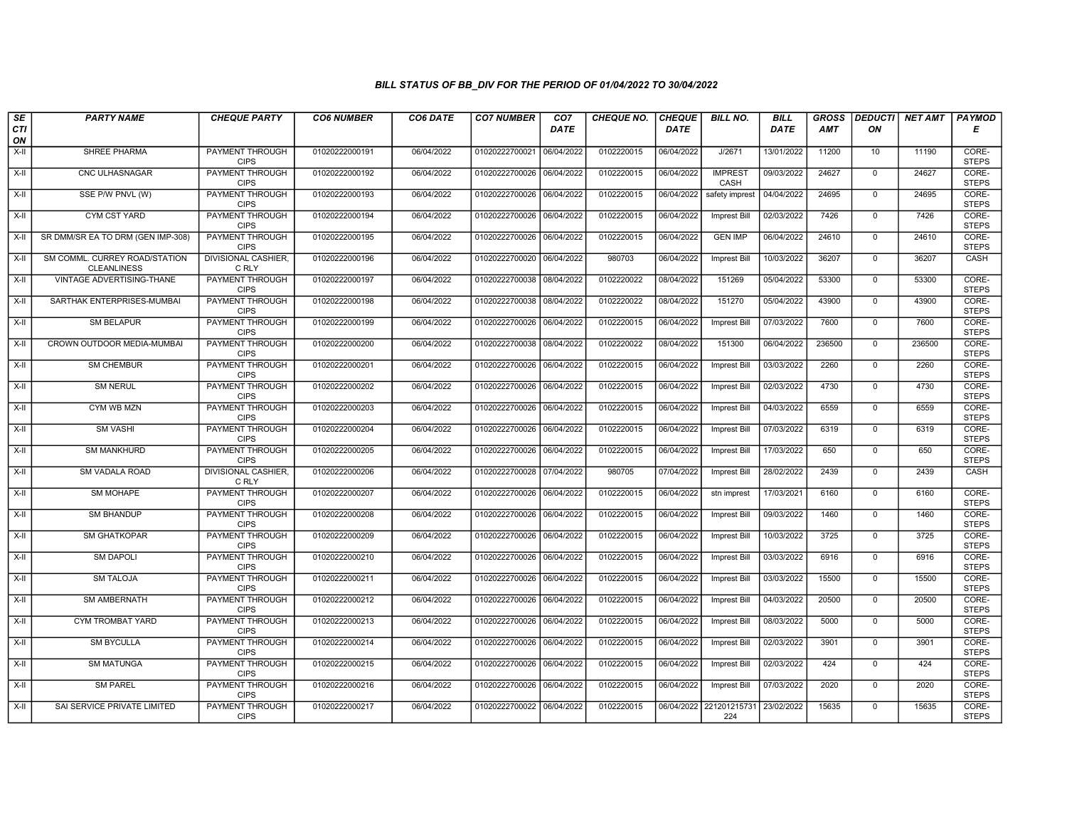| SE        | <b>PARTY NAME</b>                                   | <b>CHEQUE PARTY</b>                   | <b>CO6 NUMBER</b> | CO6 DATE   | <b>CO7 NUMBER</b>         | CO <sub>7</sub> | <b>CHEQUE NO.</b> | <b>CHEQUE</b> | <b>BILL NO.</b>        | <b>BILL</b> | <b>GROSS</b> | <b>DEDUCTI</b> | NET AMT | <b>PAYMOD</b>         |
|-----------|-----------------------------------------------------|---------------------------------------|-------------------|------------|---------------------------|-----------------|-------------------|---------------|------------------------|-------------|--------------|----------------|---------|-----------------------|
| CTI<br>ON |                                                     |                                       |                   |            |                           | <b>DATE</b>     |                   | <b>DATE</b>   |                        | DATE        | <b>AMT</b>   | ON             |         | Е                     |
| $X-H$     | <b>SHREE PHARMA</b>                                 | <b>PAYMENT THROUGH</b><br><b>CIPS</b> | 01020222000191    | 06/04/2022 | 01020222700021 06/04/2022 |                 | 0102220015        | 06/04/2022    | J/2671                 | 13/01/2022  | 11200        | 10             | 11190   | CORE-<br><b>STEPS</b> |
| X-II      | <b>CNC ULHASNAGAR</b>                               | <b>PAYMENT THROUGH</b><br><b>CIPS</b> | 01020222000192    | 06/04/2022 | 01020222700026 06/04/2022 |                 | 0102220015        | 06/04/2022    | <b>IMPREST</b><br>CASH | 09/03/2022  | 24627        | $\mathbf{0}$   | 24627   | CORE-<br><b>STEPS</b> |
| X-II      | SSE P/W PNVL (W)                                    | PAYMENT THROUGH<br><b>CIPS</b>        | 01020222000193    | 06/04/2022 | 01020222700026 06/04/2022 |                 | 0102220015        | 06/04/2022    | safety imprest         | 04/04/2022  | 24695        | $\mathbf 0$    | 24695   | CORE-<br><b>STEPS</b> |
| $X-II$    | <b>CYM CST YARD</b>                                 | PAYMENT THROUGH<br><b>CIPS</b>        | 01020222000194    | 06/04/2022 | 01020222700026 06/04/2022 |                 | 0102220015        | 06/04/2022    | Imprest Bill           | 02/03/2022  | 7426         | $\overline{0}$ | 7426    | CORE-<br><b>STEPS</b> |
| $X-H$     | SR DMM/SR EA TO DRM (GEN IMP-308)                   | <b>PAYMENT THROUGH</b><br><b>CIPS</b> | 01020222000195    | 06/04/2022 | 01020222700026 06/04/2022 |                 | 0102220015        | 06/04/2022    | <b>GEN IMP</b>         | 06/04/2022  | 24610        | $\mathbf 0$    | 24610   | CORE-<br><b>STEPS</b> |
| X-II      | SM COMML. CURREY ROAD/STATION<br><b>CLEANLINESS</b> | <b>DIVISIONAL CASHIER,</b><br>C RLY   | 01020222000196    | 06/04/2022 | 01020222700020 06/04/2022 |                 | 980703            | 06/04/2022    | <b>Imprest Bill</b>    | 10/03/2022  | 36207        | $\Omega$       | 36207   | CASH                  |
| X-II      | VINTAGE ADVERTISING-THANE                           | PAYMENT THROUGH<br><b>CIPS</b>        | 01020222000197    | 06/04/2022 | 01020222700038 08/04/2022 |                 | 0102220022        | 08/04/2022    | 151269                 | 05/04/2022  | 53300        | $\mathbf{0}$   | 53300   | CORE-<br><b>STEPS</b> |
| X-II      | SARTHAK ENTERPRISES-MUMBAI                          | <b>PAYMENT THROUGH</b><br><b>CIPS</b> | 01020222000198    | 06/04/2022 | 01020222700038 08/04/2022 |                 | 0102220022        | 08/04/2022    | 151270                 | 05/04/2022  | 43900        | $\mathbf 0$    | 43900   | CORE-<br><b>STEPS</b> |
| $X-H$     | <b>SM BELAPUR</b>                                   | PAYMENT THROUGH<br><b>CIPS</b>        | 01020222000199    | 06/04/2022 | 01020222700026 06/04/2022 |                 | 0102220015        | 06/04/2022    | Imprest Bill           | 07/03/2022  | 7600         | $\mathbf 0$    | 7600    | CORE-<br><b>STEPS</b> |
| $X-H$     | CROWN OUTDOOR MEDIA-MUMBAI                          | <b>PAYMENT THROUGH</b><br><b>CIPS</b> | 01020222000200    | 06/04/2022 | 01020222700038 08/04/2022 |                 | 0102220022        | 08/04/2022    | 151300                 | 06/04/2022  | 236500       | $\overline{0}$ | 236500  | CORE-<br><b>STEPS</b> |
| X-II      | SM CHEMBUR                                          | PAYMENT THROUGH<br><b>CIPS</b>        | 01020222000201    | 06/04/2022 | 01020222700026 06/04/2022 |                 | 0102220015        | 06/04/2022    | Imprest Bill           | 03/03/2022  | 2260         | $\mathbf{0}$   | 2260    | CORE-<br><b>STEPS</b> |
| X-II      | <b>SM NERUL</b>                                     | PAYMENT THROUGH<br><b>CIPS</b>        | 01020222000202    | 06/04/2022 | 01020222700026 06/04/2022 |                 | 0102220015        | 06/04/2022    | Imprest Bill           | 02/03/2022  | 4730         | $\mathbf{0}$   | 4730    | CORE-<br><b>STEPS</b> |
| X-II      | <b>CYM WB MZN</b>                                   | <b>PAYMENT THROUGH</b><br><b>CIPS</b> | 01020222000203    | 06/04/2022 | 01020222700026 06/04/2022 |                 | 0102220015        | 06/04/2022    | Imprest Bill           | 04/03/2022  | 6559         | $\mathbf 0$    | 6559    | CORE-<br><b>STEPS</b> |
| X-II      | <b>SM VASHI</b>                                     | <b>PAYMENT THROUGH</b><br><b>CIPS</b> | 01020222000204    | 06/04/2022 | 01020222700026 06/04/2022 |                 | 0102220015        | 06/04/2022    | Imprest Bill           | 07/03/2022  | 6319         | $\mathbf 0$    | 6319    | CORE-<br><b>STEPS</b> |
| $X-II$    | <b>SM MANKHURD</b>                                  | PAYMENT THROUGH<br><b>CIPS</b>        | 01020222000205    | 06/04/2022 | 01020222700026 06/04/2022 |                 | 0102220015        | 06/04/2022    | Imprest Bill           | 17/03/2022  | 650          | $\Omega$       | 650     | CORE-<br><b>STEPS</b> |
| X-II      | SM VADALA ROAD                                      | <b>DIVISIONAL CASHIER,</b><br>C RLY   | 01020222000206    | 06/04/2022 | 01020222700028 07/04/2022 |                 | 980705            | 07/04/2022    | <b>Imprest Bill</b>    | 28/02/2022  | 2439         | $\mathbf 0$    | 2439    | CASH                  |
| $X-H$     | <b>SM MOHAPE</b>                                    | <b>PAYMENT THROUGH</b><br><b>CIPS</b> | 01020222000207    | 06/04/2022 | 01020222700026 06/04/2022 |                 | 0102220015        | 06/04/2022    | stn imprest            | 17/03/2021  | 6160         | $\overline{0}$ | 6160    | CORE-<br><b>STEPS</b> |
| X-II      | <b>SM BHANDUP</b>                                   | <b>PAYMENT THROUGH</b><br><b>CIPS</b> | 01020222000208    | 06/04/2022 | 01020222700026 06/04/2022 |                 | 0102220015        | 06/04/2022    | Imprest Bill           | 09/03/2022  | 1460         | $\mathbf 0$    | 1460    | CORE-<br><b>STEPS</b> |
| $X-H$     | SM GHATKOPAR                                        | PAYMENT THROUGH<br><b>CIPS</b>        | 01020222000209    | 06/04/2022 | 01020222700026 06/04/2022 |                 | 0102220015        | 06/04/2022    | Imprest Bill           | 10/03/2022  | 3725         | $\mathbf 0$    | 3725    | CORE-<br><b>STEPS</b> |
| X-II      | <b>SM DAPOLI</b>                                    | PAYMENT THROUGH<br><b>CIPS</b>        | 01020222000210    | 06/04/2022 | 01020222700026 06/04/2022 |                 | 0102220015        | 06/04/2022    | Imprest Bill           | 03/03/2022  | 6916         | $\mathbf 0$    | 6916    | CORE-<br><b>STEPS</b> |
| X-II      | <b>SM TALOJA</b>                                    | PAYMENT THROUGH<br><b>CIPS</b>        | 01020222000211    | 06/04/2022 | 01020222700026 06/04/2022 |                 | 0102220015        | 06/04/2022    | Imprest Bill           | 03/03/2022  | 15500        | $\mathbf{0}$   | 15500   | CORE-<br><b>STEPS</b> |
| $X-H$     | SM AMBERNATH                                        | <b>PAYMENT THROUGH</b><br><b>CIPS</b> | 01020222000212    | 06/04/2022 | 01020222700026 06/04/2022 |                 | 0102220015        | 06/04/2022    | <b>Imprest Bill</b>    | 04/03/2022  | 20500        | $\mathbf{0}$   | 20500   | CORE-<br><b>STEPS</b> |
| X-II      | CYM TROMBAT YARD                                    | PAYMENT THROUGH<br><b>CIPS</b>        | 01020222000213    | 06/04/2022 | 01020222700026 06/04/2022 |                 | 0102220015        | 06/04/2022    | Imprest Bill           | 08/03/2022  | 5000         | $\mathbf 0$    | 5000    | CORE-<br><b>STEPS</b> |
| X-II      | <b>SM BYCULLA</b>                                   | <b>PAYMENT THROUGH</b><br><b>CIPS</b> | 01020222000214    | 06/04/2022 | 01020222700026 06/04/2022 |                 | 0102220015        | 06/04/2022    | <b>Imprest Bill</b>    | 02/03/2022  | 3901         | $\mathbf 0$    | 3901    | CORE-<br><b>STEPS</b> |
| $X-II$    | <b>SM MATUNGA</b>                                   | PAYMENT THROUGH<br><b>CIPS</b>        | 01020222000215    | 06/04/2022 | 01020222700026 06/04/2022 |                 | 0102220015        | 06/04/2022    | Imprest Bill           | 02/03/2022  | 424          | $\mathbf 0$    | 424     | CORE-<br><b>STEPS</b> |
| X-II      | <b>SM PAREL</b>                                     | <b>PAYMENT THROUGH</b><br><b>CIPS</b> | 01020222000216    | 06/04/2022 | 01020222700026 06/04/2022 |                 | 0102220015        | 06/04/2022    | Imprest Bill           | 07/03/2022  | 2020         | $\mathbf 0$    | 2020    | CORE-<br><b>STEPS</b> |
| X-II      | SAI SERVICE PRIVATE LIMITED                         | PAYMENT THROUGH<br><b>CIPS</b>        | 01020222000217    | 06/04/2022 | 01020222700022 06/04/2022 |                 | 0102220015        | 06/04/2022    | 221201215731<br>224    | 23/02/2022  | 15635        | $\mathbf 0$    | 15635   | CORE-<br><b>STEPS</b> |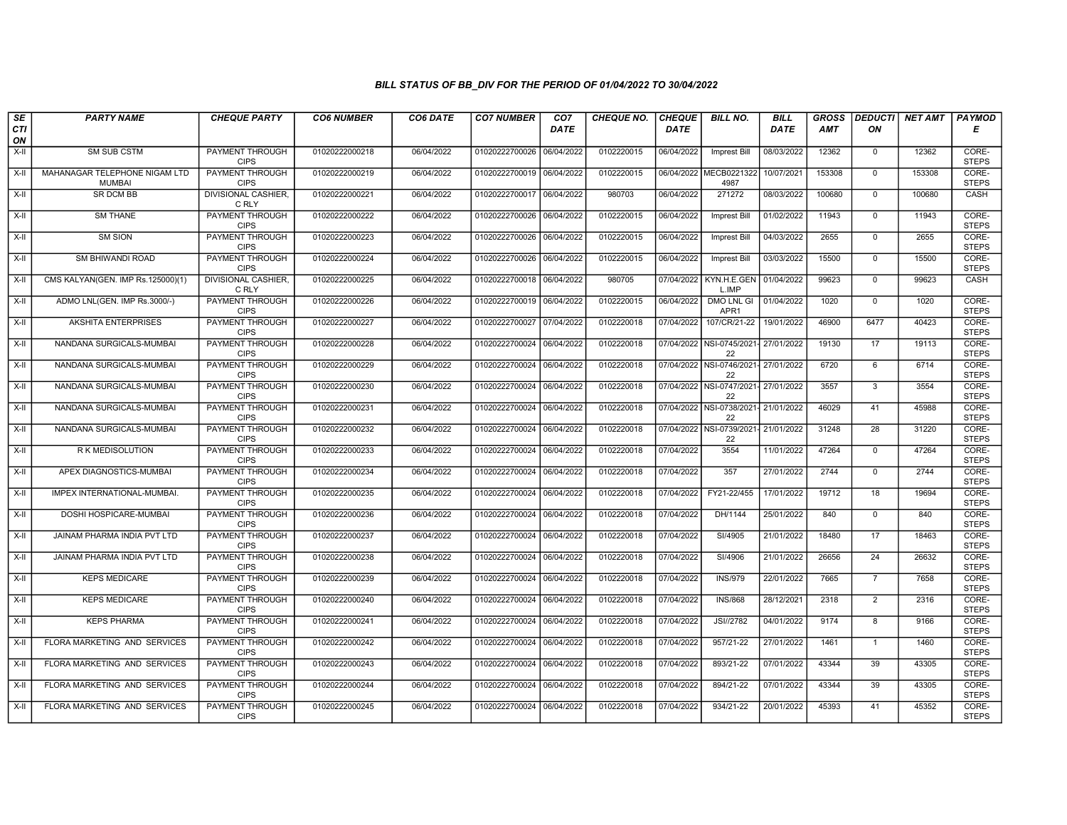| SE        | <b>PARTY NAME</b>                              | <b>CHEQUE PARTY</b>                   | <b>CO6 NUMBER</b> | CO6 DATE   | <b>CO7 NUMBER</b>         | CO <sub>7</sub> | <b>CHEQUE NO.</b> | <b>CHEQUE</b> | <b>BILL NO.</b>                            | <b>BILL</b> | <b>GROSS</b> | <b>DEDUCTI</b>  | NET AMT | <b>PAYMOD</b>         |
|-----------|------------------------------------------------|---------------------------------------|-------------------|------------|---------------------------|-----------------|-------------------|---------------|--------------------------------------------|-------------|--------------|-----------------|---------|-----------------------|
| CTI<br>ON |                                                |                                       |                   |            |                           | <b>DATE</b>     |                   | <b>DATE</b>   |                                            | <b>DATE</b> | <b>AMT</b>   | ON              |         | Е                     |
| $X-H$     | <b>SM SUB CSTM</b>                             | <b>PAYMENT THROUGH</b><br><b>CIPS</b> | 01020222000218    | 06/04/2022 | 01020222700026 06/04/2022 |                 | 0102220015        | 06/04/2022    | Imprest Bill                               | 08/03/2022  | 12362        | $\mathbf{0}$    | 12362   | CORE-<br><b>STEPS</b> |
| X-II      | MAHANAGAR TELEPHONE NIGAM LTD<br><b>MUMBAI</b> | <b>PAYMENT THROUGH</b><br><b>CIPS</b> | 01020222000219    | 06/04/2022 | 01020222700019 06/04/2022 |                 | 0102220015        |               | 06/04/2022 MECB0221322<br>4987             | 10/07/2021  | 153308       | $\mathbf 0$     | 153308  | CORE-<br><b>STEPS</b> |
| X-II      | SR DCM BB                                      | <b>DIVISIONAL CASHIER</b><br>C RLY    | 01020222000221    | 06/04/2022 | 01020222700017 06/04/2022 |                 | 980703            | 06/04/2022    | 271272                                     | 08/03/2022  | 100680       | $\mathbf 0$     | 100680  | CASH                  |
| $X-II$    | <b>SM THANE</b>                                | PAYMENT THROUGH<br><b>CIPS</b>        | 01020222000222    | 06/04/2022 | 01020222700026 06/04/2022 |                 | 0102220015        | 06/04/2022    | <b>Imprest Bill</b>                        | 01/02/2022  | 11943        | $\overline{0}$  | 11943   | CORE-<br><b>STEPS</b> |
| $X-H$     | <b>SM SION</b>                                 | <b>PAYMENT THROUGH</b><br><b>CIPS</b> | 01020222000223    | 06/04/2022 | 01020222700026 06/04/2022 |                 | 0102220015        | 06/04/2022    | <b>Imprest Bill</b>                        | 04/03/2022  | 2655         | $\mathbf 0$     | 2655    | CORE-<br><b>STEPS</b> |
| $X-H$     | <b>SM BHIWANDI ROAD</b>                        | <b>PAYMENT THROUGH</b><br><b>CIPS</b> | 01020222000224    | 06/04/2022 | 01020222700026 06/04/2022 |                 | 0102220015        | 06/04/2022    | Imprest Bill                               | 03/03/2022  | 15500        | $\Omega$        | 15500   | CORE-<br><b>STEPS</b> |
| X-II      | CMS KALYAN(GEN. IMP Rs.125000)(1)              | DIVISIONAL CASHIER.<br>C RLY          | 01020222000225    | 06/04/2022 | 01020222700018 06/04/2022 |                 | 980705            | 07/04/2022    | KYN.H.E.GEN<br>L.IMP                       | 01/04/2022  | 99623        | $\mathbf{0}$    | 99623   | CASH                  |
| $X-H$     | ADMO LNL(GEN. IMP Rs.3000/-)                   | <b>PAYMENT THROUGH</b><br><b>CIPS</b> | 01020222000226    | 06/04/2022 | 01020222700019 06/04/2022 |                 | 0102220015        | 06/04/2022    | <b>DMO LNL GI</b><br>APR <sub>1</sub>      | 01/04/2022  | 1020         | $\mathbf 0$     | 1020    | CORE-<br><b>STEPS</b> |
| X-II      | AKSHITA ENTERPRISES                            | <b>PAYMENT THROUGH</b><br><b>CIPS</b> | 01020222000227    | 06/04/2022 | 01020222700027            | 07/04/2022      | 0102220018        | 07/04/2022    | 107/CR/21-22                               | 19/01/2022  | 46900        | 6477            | 40423   | CORE-<br><b>STEPS</b> |
| $X-H$     | NANDANA SURGICALS-MUMBAI                       | <b>PAYMENT THROUGH</b><br><b>CIPS</b> | 01020222000228    | 06/04/2022 | 01020222700024 06/04/2022 |                 | 0102220018        |               | 07/04/2022 NSI-0745/2021- 27/01/2022<br>22 |             | 19130        | 17              | 19113   | CORE-<br><b>STEPS</b> |
| X-II      | NANDANA SURGICALS-MUMBAI                       | PAYMENT THROUGH<br><b>CIPS</b>        | 01020222000229    | 06/04/2022 | 01020222700024 06/04/2022 |                 | 0102220018        | 07/04/2022    | NSI-0746/2021-<br>22                       | 27/01/2022  | 6720         | 6               | 6714    | CORE-<br><b>STEPS</b> |
| X-II      | NANDANA SURGICALS-MUMBAI                       | PAYMENT THROUGH<br><b>CIPS</b>        | 01020222000230    | 06/04/2022 | 01020222700024 06/04/2022 |                 | 0102220018        |               | 07/04/2022 NSI-0747/2021- 27/01/2022<br>22 |             | 3557         | $\mathbf{3}$    | 3554    | CORE-<br><b>STEPS</b> |
| X-II      | NANDANA SURGICALS-MUMBAI                       | <b>PAYMENT THROUGH</b><br><b>CIPS</b> | 01020222000231    | 06/04/2022 | 01020222700024 06/04/2022 |                 | 0102220018        |               | 07/04/2022 NSI-0738/2021-<br>22            | 21/01/2022  | 46029        | 41              | 45988   | CORE-<br><b>STEPS</b> |
| X-II      | NANDANA SURGICALS-MUMBAI                       | <b>PAYMENT THROUGH</b><br><b>CIPS</b> | 01020222000232    | 06/04/2022 | 01020222700024 06/04/2022 |                 | 0102220018        | 07/04/2022    | NSI-0739/2021- 21/01/2022<br>22            |             | 31248        | $\overline{28}$ | 31220   | CORE-<br><b>STEPS</b> |
| $X-H$     | R K MEDISOLUTION                               | PAYMENT THROUGH<br><b>CIPS</b>        | 01020222000233    | 06/04/2022 | 01020222700024 06/04/2022 |                 | 0102220018        | 07/04/2022    | 3554                                       | 11/01/2022  | 47264        | $\Omega$        | 47264   | CORE-<br><b>STEPS</b> |
| X-II      | APEX DIAGNOSTICS-MUMBAI                        | PAYMENT THROUGH<br><b>CIPS</b>        | 01020222000234    | 06/04/2022 | 01020222700024 06/04/2022 |                 | 0102220018        | 07/04/2022    | 357                                        | 27/01/2022  | 2744         | $\Omega$        | 2744    | CORE-<br><b>STEPS</b> |
| $X-H$     | IMPEX INTERNATIONAL-MUMBAI.                    | <b>PAYMENT THROUGH</b><br><b>CIPS</b> | 01020222000235    | 06/04/2022 | 01020222700024 06/04/2022 |                 | 0102220018        | 07/04/2022    | FY21-22/455                                | 17/01/2022  | 19712        | 18              | 19694   | CORE-<br><b>STEPS</b> |
| X-II      | DOSHI HOSPICARE-MUMBAI                         | <b>PAYMENT THROUGH</b><br><b>CIPS</b> | 01020222000236    | 06/04/2022 | 01020222700024 06/04/2022 |                 | 0102220018        | 07/04/2022    | DH/1144                                    | 25/01/2022  | 840          | $\mathbf 0$     | 840     | CORE-<br><b>STEPS</b> |
| X-II      | JAINAM PHARMA INDIA PVT LTD                    | PAYMENT THROUGH<br><b>CIPS</b>        | 01020222000237    | 06/04/2022 | 01020222700024 06/04/2022 |                 | 0102220018        | 07/04/2022    | SI/4905                                    | 21/01/2022  | 18480        | 17              | 18463   | CORE-<br><b>STEPS</b> |
| X-II      | JAINAM PHARMA INDIA PVT LTD                    | <b>PAYMENT THROUGH</b><br><b>CIPS</b> | 01020222000238    | 06/04/2022 | 01020222700024 06/04/2022 |                 | 0102220018        | 07/04/2022    | SI/4906                                    | 21/01/2022  | 26656        | 24              | 26632   | CORE-<br><b>STEPS</b> |
| X-II      | <b>KEPS MEDICARE</b>                           | PAYMENT THROUGH<br><b>CIPS</b>        | 01020222000239    | 06/04/2022 | 01020222700024 06/04/2022 |                 | 0102220018        | 07/04/2022    | <b>INS/979</b>                             | 22/01/2022  | 7665         | $\overline{7}$  | 7658    | CORE-<br><b>STEPS</b> |
| X-II      | <b>KEPS MEDICARE</b>                           | <b>PAYMENT THROUGH</b><br><b>CIPS</b> | 01020222000240    | 06/04/2022 | 01020222700024 06/04/2022 |                 | 0102220018        | 07/04/2022    | <b>INS/868</b>                             | 28/12/2021  | 2318         | $\overline{2}$  | 2316    | CORE-<br><b>STEPS</b> |
| X-II      | <b>KEPS PHARMA</b>                             | PAYMENT THROUGH<br><b>CIPS</b>        | 01020222000241    | 06/04/2022 | 01020222700024 06/04/2022 |                 | 0102220018        | 07/04/2022    | JSI//2782                                  | 04/01/2022  | 9174         | 8               | 9166    | CORE-<br><b>STEPS</b> |
| X-II      | FLORA MARKETING AND SERVICES                   | <b>PAYMENT THROUGH</b><br><b>CIPS</b> | 01020222000242    | 06/04/2022 | 01020222700024 06/04/2022 |                 | 0102220018        | 07/04/2022    | 957/21-22                                  | 27/01/2022  | 1461         | $\mathbf{1}$    | 1460    | CORE-<br><b>STEPS</b> |
| X-II      | FLORA MARKETING AND SERVICES                   | PAYMENT THROUGH<br><b>CIPS</b>        | 01020222000243    | 06/04/2022 | 01020222700024 06/04/2022 |                 | 0102220018        | 07/04/2022    | 893/21-22                                  | 07/01/2022  | 43344        | 39              | 43305   | CORE-<br><b>STEPS</b> |
| X-II      | FLORA MARKETING AND SERVICES                   | PAYMENT THROUGH<br><b>CIPS</b>        | 01020222000244    | 06/04/2022 | 01020222700024 06/04/2022 |                 | 0102220018        | 07/04/2022    | 894/21-22                                  | 07/01/2022  | 43344        | 39              | 43305   | CORE-<br><b>STEPS</b> |
| X-II      | FLORA MARKETING AND SERVICES                   | <b>PAYMENT THROUGH</b><br><b>CIPS</b> | 01020222000245    | 06/04/2022 | 01020222700024 06/04/2022 |                 | 0102220018        | 07/04/2022    | 934/21-22                                  | 20/01/2022  | 45393        | 41              | 45352   | CORE-<br><b>STEPS</b> |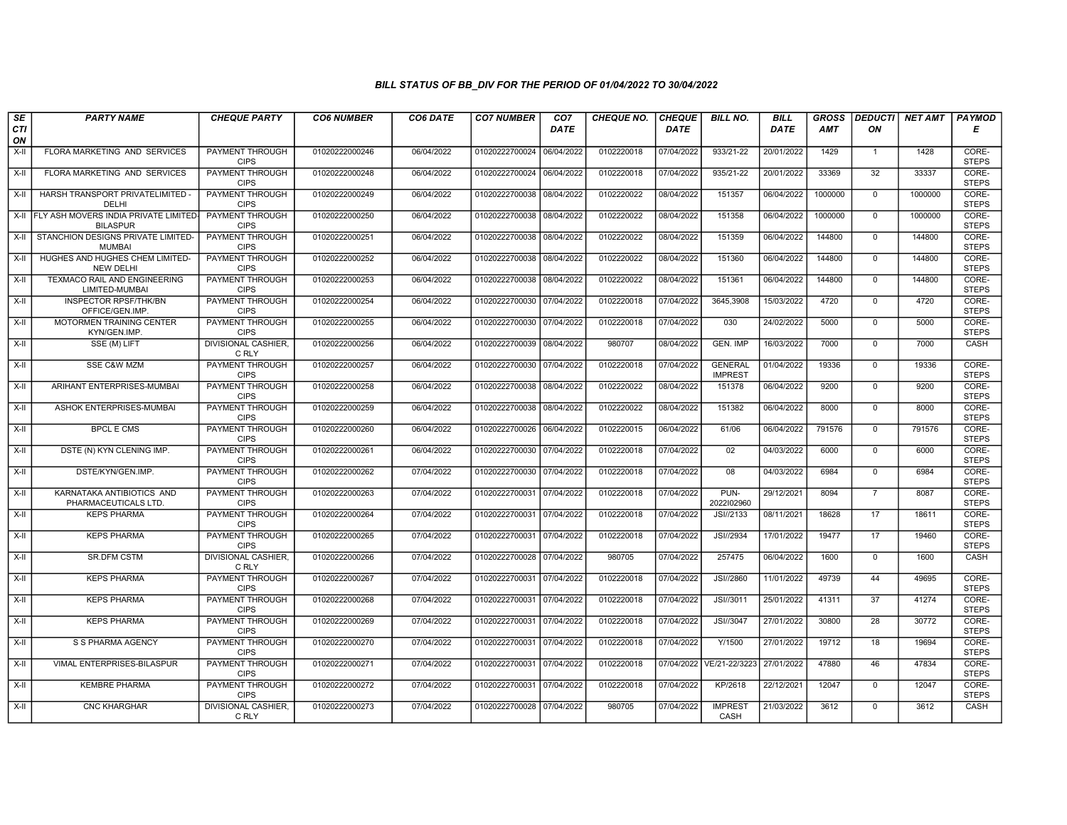| SE        | <b>PARTY NAME</b>                                       | <b>CHEQUE PARTY</b>                   | <b>CO6 NUMBER</b> | CO6 DATE   | <b>CO7 NUMBER</b>         | CO <sub>7</sub> | <b>CHEQUE NO.</b> | <b>CHEQUE</b> | <b>BILL NO.</b>                  | <b>BILL</b> | <b>GROSS</b> |                 | <b>DEDUCTI NET AMT</b> | <b>PAYMOD</b>         |
|-----------|---------------------------------------------------------|---------------------------------------|-------------------|------------|---------------------------|-----------------|-------------------|---------------|----------------------------------|-------------|--------------|-----------------|------------------------|-----------------------|
| CTI<br>ON |                                                         |                                       |                   |            |                           | <b>DATE</b>     |                   | <b>DATE</b>   |                                  | <b>DATE</b> | <b>AMT</b>   | ON              |                        | Е                     |
| $X-H$     | FLORA MARKETING AND SERVICES                            | <b>PAYMENT THROUGH</b><br><b>CIPS</b> | 01020222000246    | 06/04/2022 | 01020222700024            | 06/04/2022      | 0102220018        | 07/04/2022    | 933/21-22                        | 20/01/2022  | 1429         | $\mathbf{1}$    | 1428                   | CORE-<br><b>STEPS</b> |
| X-II      | FLORA MARKETING AND SERVICES                            | <b>PAYMENT THROUGH</b><br><b>CIPS</b> | 01020222000248    | 06/04/2022 | 01020222700024 06/04/2022 |                 | 0102220018        | 07/04/2022    | 935/21-22                        | 20/01/2022  | 33369        | 32              | 33337                  | CORE-<br><b>STEPS</b> |
| X-II      | HARSH TRANSPORT PRIVATELIMITED -<br>DELHI               | PAYMENT THROUGH<br><b>CIPS</b>        | 01020222000249    | 06/04/2022 | 01020222700038 08/04/2022 |                 | 0102220022        | 08/04/2022    | 151357                           | 06/04/2022  | 1000000      | $\mathbf 0$     | 1000000                | CORE-<br><b>STEPS</b> |
| $X-H$     | FLY ASH MOVERS INDIA PRIVATE LIMITED<br><b>BILASPUR</b> | PAYMENT THROUGH<br><b>CIPS</b>        | 01020222000250    | 06/04/2022 | 01020222700038            | 08/04/2022      | 0102220022        | 08/04/2022    | 151358                           | 06/04/2022  | 1000000      | $\overline{0}$  | 1000000                | CORE-<br><b>STEPS</b> |
| $X-H$     | STANCHION DESIGNS PRIVATE LIMITED-<br><b>MUMBAI</b>     | <b>PAYMENT THROUGH</b><br><b>CIPS</b> | 01020222000251    | 06/04/2022 | 01020222700038 08/04/2022 |                 | 0102220022        | 08/04/2022    | 151359                           | 06/04/2022  | 144800       | $\mathbf{0}$    | 144800                 | CORE-<br><b>STEPS</b> |
| $X-H$     | HUGHES AND HUGHES CHEM LIMITED-<br><b>NEW DELHI</b>     | <b>PAYMENT THROUGH</b><br><b>CIPS</b> | 01020222000252    | 06/04/2022 | 01020222700038 08/04/2022 |                 | 0102220022        | 08/04/2022    | 151360                           | 06/04/2022  | 144800       | $\Omega$        | 144800                 | CORE-<br><b>STEPS</b> |
| X-II      | TEXMACO RAIL AND ENGINEERING<br>LIMITED-MUMBAI          | PAYMENT THROUGH<br><b>CIPS</b>        | 01020222000253    | 06/04/2022 | 01020222700038            | 08/04/2022      | 0102220022        | 08/04/2022    | 151361                           | 06/04/2022  | 144800       | $\mathbf 0$     | 144800                 | CORE-<br><b>STEPS</b> |
| X-II      | <b>INSPECTOR RPSF/THK/BN</b><br>OFFICE/GEN.IMP.         | <b>PAYMENT THROUGH</b><br><b>CIPS</b> | 01020222000254    | 06/04/2022 | 01020222700030 07/04/2022 |                 | 0102220018        | 07/04/2022    | 3645,3908                        | 15/03/2022  | 4720         | $\mathbf{0}$    | 4720                   | CORE-<br><b>STEPS</b> |
| $X-H$     | MOTORMEN TRAINING CENTER<br>KYN/GEN.IMP                 | <b>PAYMENT THROUGH</b><br><b>CIPS</b> | 01020222000255    | 06/04/2022 | 01020222700030 07/04/2022 |                 | 0102220018        | 07/04/2022    | 030                              | 24/02/2022  | 5000         | $\mathbf 0$     | 5000                   | CORE-<br><b>STEPS</b> |
| $X-H$     | SSE (M) LIFT                                            | <b>DIVISIONAL CASHIER</b><br>C RLY    | 01020222000256    | 06/04/2022 | 01020222700039 08/04/2022 |                 | 980707            | 08/04/2022    | GEN. IMP                         | 16/03/2022  | 7000         | $\overline{0}$  | 7000                   | CASH                  |
| X-II      | <b>SSE C&amp;W MZM</b>                                  | PAYMENT THROUGH<br><b>CIPS</b>        | 01020222000257    | 06/04/2022 | 01020222700030            | 07/04/2022      | 0102220018        | 07/04/2022    | <b>GENERAL</b><br><b>IMPREST</b> | 01/04/2022  | 19336        | $\Omega$        | 19336                  | CORE-<br><b>STEPS</b> |
| X-II      | ARIHANT ENTERPRISES-MUMBAI                              | PAYMENT THROUGH<br><b>CIPS</b>        | 01020222000258    | 06/04/2022 | 01020222700038            | 08/04/2022      | 0102220022        | 08/04/2022    | 151378                           | 06/04/2022  | 9200         | $\mathbf{0}$    | 9200                   | CORE-<br><b>STEPS</b> |
| $X-H$     | ASHOK ENTERPRISES-MUMBAI                                | <b>PAYMENT THROUGH</b><br><b>CIPS</b> | 01020222000259    | 06/04/2022 | 01020222700038 08/04/2022 |                 | 0102220022        | 08/04/2022    | 151382                           | 06/04/2022  | 8000         | $\Omega$        | 8000                   | CORE-<br><b>STEPS</b> |
| X-II      | <b>BPCL E CMS</b>                                       | <b>PAYMENT THROUGH</b><br><b>CIPS</b> | 01020222000260    | 06/04/2022 | 01020222700026            | 06/04/2022      | 0102220015        | 06/04/2022    | 61/06                            | 06/04/2022  | 791576       | $\mathbf{0}$    | 791576                 | CORE-<br><b>STEPS</b> |
| $X-H$     | DSTE (N) KYN CLENING IMP.                               | <b>PAYMENT THROUGH</b><br><b>CIPS</b> | 01020222000261    | 06/04/2022 | 01020222700030 07/04/2022 |                 | 0102220018        | 07/04/2022    | 02                               | 04/03/2022  | 6000         | $\Omega$        | 6000                   | CORE-<br><b>STEPS</b> |
| X-II      | DSTE/KYN/GEN.IMP.                                       | PAYMENT THROUGH<br><b>CIPS</b>        | 01020222000262    | 07/04/2022 | 01020222700030            | 07/04/2022      | 0102220018        | 07/04/2022    | 08                               | 04/03/2022  | 6984         | $\mathbf 0$     | 6984                   | CORE-<br><b>STEPS</b> |
| $X-H$     | KARNATAKA ANTIBIOTICS AND<br>PHARMACEUTICALS LTD.       | <b>PAYMENT THROUGH</b><br><b>CIPS</b> | 01020222000263    | 07/04/2022 | 01020222700031            | 07/04/2022      | 0102220018        | 07/04/2022    | PUN-<br>2022102960               | 29/12/2021  | 8094         | $\overline{7}$  | 8087                   | CORE-<br><b>STEPS</b> |
| X-II      | <b>KEPS PHARMA</b>                                      | <b>PAYMENT THROUGH</b><br><b>CIPS</b> | 01020222000264    | 07/04/2022 | 01020222700031 07/04/2022 |                 | 0102220018        | 07/04/2022    | JSI//2133                        | 08/11/2021  | 18628        | 17              | 18611                  | CORE-<br><b>STEPS</b> |
| X-II      | <b>KEPS PHARMA</b>                                      | PAYMENT THROUGH<br><b>CIPS</b>        | 01020222000265    | 07/04/2022 | 01020222700031            | 07/04/2022      | 0102220018        | 07/04/2022    | JSI//2934                        | 17/01/2022  | 19477        | 17              | 19460                  | CORE-<br><b>STEPS</b> |
| $X-H$     | <b>SR.DFM CSTM</b>                                      | <b>DIVISIONAL CASHIER.</b><br>C RLY   | 01020222000266    | 07/04/2022 | 01020222700028 07/04/2022 |                 | 980705            | 07/04/2022    | 257475                           | 06/04/2022  | 1600         | $\Omega$        | 1600                   | CASH                  |
| X-II      | <b>KEPS PHARMA</b>                                      | PAYMENT THROUGH<br><b>CIPS</b>        | 01020222000267    | 07/04/2022 | 01020222700031            | 07/04/2022      | 0102220018        | 07/04/2022    | JSI//2860                        | 11/01/2022  | 49739        | 44              | 49695                  | CORE-<br><b>STEPS</b> |
| $X-H$     | <b>KEPS PHARMA</b>                                      | <b>PAYMENT THROUGH</b><br><b>CIPS</b> | 01020222000268    | 07/04/2022 | 01020222700031            | 07/04/2022      | 0102220018        | 07/04/2022    | JSI//3011                        | 25/01/2022  | 41311        | $\overline{37}$ | 41274                  | CORE-<br><b>STEPS</b> |
| X-II      | <b>KEPS PHARMA</b>                                      | PAYMENT THROUGH<br><b>CIPS</b>        | 01020222000269    | 07/04/2022 | 01020222700031            | 07/04/2022      | 0102220018        | 07/04/2022    | JSI//3047                        | 27/01/2022  | 30800        | 28              | 30772                  | CORE-<br><b>STEPS</b> |
| $X-II$    | S S PHARMA AGENCY                                       | PAYMENT THROUGH<br><b>CIPS</b>        | 01020222000270    | 07/04/2022 | 01020222700031            | 07/04/2022      | 0102220018        | 07/04/2022    | Y/1500                           | 27/01/2022  | 19712        | 18              | 19694                  | CORE-<br><b>STEPS</b> |
| $X-II$    | <b>VIMAL ENTERPRISES-BILASPUR</b>                       | PAYMENT THROUGH<br><b>CIPS</b>        | 01020222000271    | 07/04/2022 | 01020222700031            | 07/04/2022      | 0102220018        |               | 07/04/2022 VE/21-22/3223         | 27/01/2022  | 47880        | 46              | 47834                  | CORE-<br><b>STEPS</b> |
| X-II      | <b>KEMBRE PHARMA</b>                                    | <b>PAYMENT THROUGH</b><br><b>CIPS</b> | 01020222000272    | 07/04/2022 | 01020222700031 07/04/2022 |                 | 0102220018        | 07/04/2022    | KP/2618                          | 22/12/2021  | 12047        | $\mathbf 0$     | 12047                  | CORE-<br><b>STEPS</b> |
| X-II      | <b>CNC KHARGHAR</b>                                     | <b>DIVISIONAL CASHIER.</b><br>C RLY   | 01020222000273    | 07/04/2022 | 01020222700028 07/04/2022 |                 | 980705            | 07/04/2022    | <b>IMPREST</b><br>CASH           | 21/03/2022  | 3612         | $\mathbf 0$     | 3612                   | CASH                  |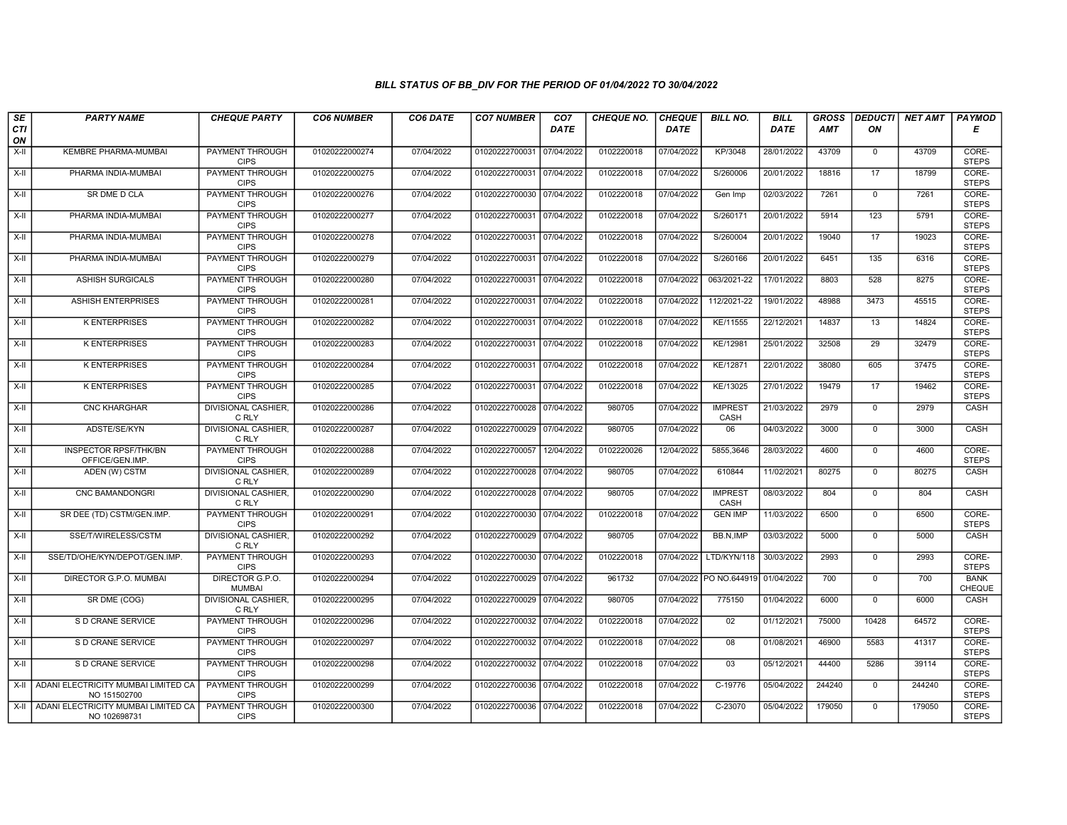| SE               | <b>PARTY NAME</b>                                          | <b>CHEQUE PARTY</b>                   | <b>CO6 NUMBER</b> | CO6 DATE   | <b>CO7 NUMBER</b>         | CO <sub>7</sub> | <b>CHEQUE NO.</b> | <b>CHEQUE</b> | <b>BILL NO.</b>         | <b>BILL</b> | <b>GROSS</b> |                 | <b>DEDUCTI NET AMT</b> | <b>PAYMOD</b>         |
|------------------|------------------------------------------------------------|---------------------------------------|-------------------|------------|---------------------------|-----------------|-------------------|---------------|-------------------------|-------------|--------------|-----------------|------------------------|-----------------------|
| <b>CTI</b><br>ON |                                                            |                                       |                   |            |                           | <b>DATE</b>     |                   | <b>DATE</b>   |                         | <b>DATE</b> | <b>AMT</b>   | ON              |                        | Е                     |
| X-II             | KEMBRE PHARMA-MUMBAI                                       | PAYMENT THROUGH<br><b>CIPS</b>        | 01020222000274    | 07/04/2022 | 01020222700031 07/04/2022 |                 | 0102220018        | 07/04/2022    | KP/3048                 | 28/01/2022  | 43709        | $\mathbf{0}$    | 43709                  | CORE-<br><b>STEPS</b> |
| $X-H$            | PHARMA INDIA-MUMBAI                                        | <b>PAYMENT THROUGH</b><br><b>CIPS</b> | 01020222000275    | 07/04/2022 | 01020222700031 07/04/2022 |                 | 0102220018        | 07/04/2022    | S/260006                | 20/01/2022  | 18816        | 17              | 18799                  | CORE-<br><b>STEPS</b> |
| $X-II$           | SR DME D CLA                                               | PAYMENT THROUGH<br><b>CIPS</b>        | 01020222000276    | 07/04/2022 | 01020222700030 07/04/2022 |                 | 0102220018        | 07/04/2022    | Gen Imp                 | 02/03/2022  | 7261         | $\mathbf 0$     | 7261                   | CORE-<br><b>STEPS</b> |
| $X-H$            | PHARMA INDIA-MUMBAI                                        | PAYMENT THROUGH<br><b>CIPS</b>        | 01020222000277    | 07/04/2022 | 01020222700031            | 07/04/2022      | 0102220018        | 07/04/2022    | S/260171                | 20/01/2022  | 5914         | 123             | 5791                   | CORE-<br><b>STEPS</b> |
| $X-H$            | PHARMA INDIA-MUMBAI                                        | <b>PAYMENT THROUGH</b><br><b>CIPS</b> | 01020222000278    | 07/04/2022 | 01020222700031 07/04/2022 |                 | 0102220018        | 07/04/2022    | S/260004                | 20/01/2022  | 19040        | $\overline{17}$ | 19023                  | CORE-<br><b>STEPS</b> |
| X-II             | PHARMA INDIA-MUMBAI                                        | <b>PAYMENT THROUGH</b><br><b>CIPS</b> | 01020222000279    | 07/04/2022 | 01020222700031 07/04/2022 |                 | 0102220018        | 07/04/2022    | S/260166                | 20/01/2022  | 6451         | 135             | 6316                   | CORE-<br><b>STEPS</b> |
| $X-II$           | <b>ASHISH SURGICALS</b>                                    | PAYMENT THROUGH<br><b>CIPS</b>        | 01020222000280    | 07/04/2022 | 01020222700031 07/04/2022 |                 | 0102220018        | 07/04/2022    | 063/2021-22             | 17/01/2022  | 8803         | 528             | 8275                   | CORE-<br><b>STEPS</b> |
| $X-II$           | <b>ASHISH ENTERPRISES</b>                                  | PAYMENT THROUGH<br><b>CIPS</b>        | 01020222000281    | 07/04/2022 | 01020222700031 07/04/2022 |                 | 0102220018        | 07/04/2022    | 112/2021-22             | 19/01/2022  | 48988        | 3473            | 45515                  | CORE-<br><b>STEPS</b> |
| X-II             | <b>K ENTERPRISES</b>                                       | <b>PAYMENT THROUGH</b><br><b>CIPS</b> | 01020222000282    | 07/04/2022 | 01020222700031            | 07/04/2022      | 0102220018        | 07/04/2022    | KE/11555                | 22/12/2021  | 14837        | 13              | 14824                  | CORE-<br><b>STEPS</b> |
| $X-H$            | <b>K ENTERPRISES</b>                                       | <b>PAYMENT THROUGH</b><br><b>CIPS</b> | 01020222000283    | 07/04/2022 | 01020222700031 07/04/2022 |                 | 0102220018        | 07/04/2022    | KE/12981                | 25/01/2022  | 32508        | $\overline{29}$ | 32479                  | CORE-<br><b>STEPS</b> |
| X-II             | <b>K ENTERPRISES</b>                                       | PAYMENT THROUGH<br><b>CIPS</b>        | 01020222000284    | 07/04/2022 | 01020222700031 07/04/2022 |                 | 0102220018        | 07/04/2022    | KE/12871                | 22/01/2022  | 38080        | 605             | 37475                  | CORE-<br><b>STEPS</b> |
| $X-II$           | <b>K ENTERPRISES</b>                                       | PAYMENT THROUGH<br><b>CIPS</b>        | 01020222000285    | 07/04/2022 | 01020222700031 07/04/2022 |                 | 0102220018        | 07/04/2022    | KE/13025                | 27/01/2022  | 19479        | 17              | 19462                  | CORE-<br><b>STEPS</b> |
| X-II             | <b>CNC KHARGHAR</b>                                        | <b>DIVISIONAL CASHIER.</b><br>C RLY   | 01020222000286    | 07/04/2022 | 01020222700028 07/04/2022 |                 | 980705            | 07/04/2022    | <b>IMPREST</b><br>CASH  | 21/03/2022  | 2979         | $\mathbf 0$     | 2979                   | CASH                  |
| X-II             | ADSTE/SE/KYN                                               | <b>DIVISIONAL CASHIER,</b><br>C RLY   | 01020222000287    | 07/04/2022 | 01020222700029 07/04/2022 |                 | 980705            | 07/04/2022    | 06                      | 04/03/2022  | 3000         | $\mathbf 0$     | 3000                   | CASH                  |
| $X-H$            | <b>INSPECTOR RPSF/THK/BN</b><br>OFFICE/GEN.IMP             | PAYMENT THROUGH<br><b>CIPS</b>        | 01020222000288    | 07/04/2022 | 01020222700057            | 12/04/2022      | 0102220026        | 12/04/2022    | 5855,3646               | 28/03/2022  | 4600         | $\mathbf 0$     | 4600                   | CORE-<br><b>STEPS</b> |
| X-II             | ADEN (W) CSTM                                              | <b>DIVISIONAL CASHIER,</b><br>C RLY   | 01020222000289    | 07/04/2022 | 01020222700028 07/04/2022 |                 | 980705            | 07/04/2022    | 610844                  | 11/02/2021  | 80275        | $\mathbf 0$     | 80275                  | CASH                  |
| X-II             | CNC BAMANDONGRI                                            | <b>DIVISIONAL CASHIER,</b><br>C RLY   | 01020222000290    | 07/04/2022 | 01020222700028 07/04/2022 |                 | 980705            | 07/04/2022    | <b>IMPREST</b><br>CASH  | 08/03/2022  | 804          | $\mathbf{0}$    | 804                    | CASH                  |
| X-II             | SR DEE (TD) CSTM/GEN.IMP.                                  | <b>PAYMENT THROUGH</b><br><b>CIPS</b> | 01020222000291    | 07/04/2022 | 01020222700030 07/04/2022 |                 | 0102220018        | 07/04/2022    | <b>GEN IMP</b>          | 11/03/2022  | 6500         | $\Omega$        | 6500                   | CORE-<br><b>STEPS</b> |
| X-II             | SSE/T/WIRELESS/CSTM                                        | <b>DIVISIONAL CASHIER</b><br>C RLY    | 01020222000292    | 07/04/2022 | 01020222700029 07/04/2022 |                 | 980705            | 07/04/2022    | BB.N.IMP                | 03/03/2022  | 5000         | $\mathbf 0$     | 5000                   | CASH                  |
| $X-I$            | SSE/TD/OHE/KYN/DEPOT/GEN.IMP.                              | <b>PAYMENT THROUGH</b><br><b>CIPS</b> | 01020222000293    | 07/04/2022 | 01020222700030            | 07/04/2022      | 0102220018        | 07/04/2022    | LTD/KYN/118             | 30/03/2022  | 2993         | $\mathbf{0}$    | 2993                   | CORE-<br><b>STEPS</b> |
| X-II             | DIRECTOR G.P.O. MUMBAI                                     | DIRECTOR G.P.O.<br><b>MUMBAI</b>      | 01020222000294    | 07/04/2022 | 01020222700029 07/04/2022 |                 | 961732            |               | 07/04/2022 PO NO.644919 | 01/04/2022  | 700          | $\Omega$        | 700                    | <b>BANK</b><br>CHEQUE |
| $X-I$            | SR DME (COG)                                               | <b>DIVISIONAL CASHIER,</b><br>C RLY   | 01020222000295    | 07/04/2022 | 01020222700029 07/04/2022 |                 | 980705            | 07/04/2022    | 775150                  | 01/04/2022  | 6000         | $\mathbf{0}$    | 6000                   | CASH                  |
| X-II             | S D CRANE SERVICE                                          | PAYMENT THROUGH<br><b>CIPS</b>        | 01020222000296    | 07/04/2022 | 01020222700032 07/04/2022 |                 | 0102220018        | 07/04/2022    | 02                      | 01/12/2021  | 75000        | 10428           | 64572                  | CORE-<br><b>STEPS</b> |
| X-II             | S D CRANE SERVICE                                          | PAYMENT THROUGH<br><b>CIPS</b>        | 01020222000297    | 07/04/2022 | 01020222700032            | 07/04/2022      | 0102220018        | 07/04/2022    | 08                      | 01/08/2021  | 46900        | 5583            | 41317                  | CORE-<br><b>STEPS</b> |
| $X-H$            | S D CRANE SERVICE                                          | PAYMENT THROUGH<br><b>CIPS</b>        | 01020222000298    | 07/04/2022 | 01020222700032 07/04/2022 |                 | 0102220018        | 07/04/2022    | 03                      | 05/12/2021  | 44400        | 5286            | 39114                  | CORE-<br><b>STEPS</b> |
| X-II             | ADANI ELECTRICITY MUMBAI LIMITED CA<br>NO 151502700        | <b>PAYMENT THROUGH</b><br><b>CIPS</b> | 01020222000299    | 07/04/2022 | 01020222700036 07/04/2022 |                 | 0102220018        | 07/04/2022    | C-19776                 | 05/04/2022  | 244240       | $\Omega$        | 244240                 | CORE-<br><b>STEPS</b> |
|                  | X-II   ADANI ELECTRICITY MUMBAI LIMITED CA<br>NO 102698731 | <b>PAYMENT THROUGH</b><br><b>CIPS</b> | 01020222000300    | 07/04/2022 | 01020222700036 07/04/2022 |                 | 0102220018        | 07/04/2022    | C-23070                 | 05/04/2022  | 179050       | $\mathbf{0}$    | 179050                 | CORE-<br><b>STEPS</b> |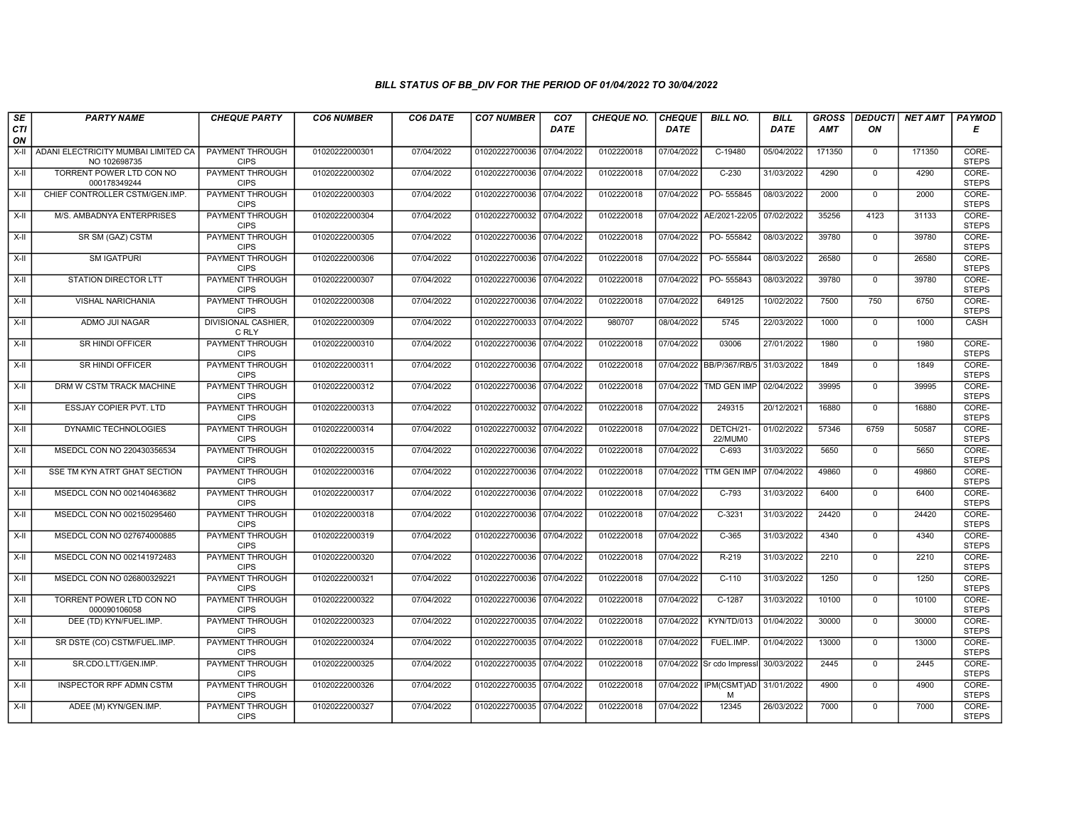| SE        | <b>PARTY NAME</b>                                   | <b>CHEQUE PARTY</b>                   | <b>CO6 NUMBER</b> | CO6 DATE   | <b>CO7 NUMBER</b>         | CO <sub>7</sub> | <b>CHEQUE NO.</b> | <b>CHEQUE</b> | <b>BILL NO.</b>             | <b>BILL</b> | <b>GROSS</b> | <b>DEDUCTI</b> | <b>NET AMT</b> | <b>PAYMOD</b>         |
|-----------|-----------------------------------------------------|---------------------------------------|-------------------|------------|---------------------------|-----------------|-------------------|---------------|-----------------------------|-------------|--------------|----------------|----------------|-----------------------|
| CTI<br>ON |                                                     |                                       |                   |            |                           | <b>DATE</b>     |                   | <b>DATE</b>   |                             | DATE        | <b>AMT</b>   | ON             |                | E                     |
| X-II      | ADANI ELECTRICITY MUMBAI LIMITED CA<br>NO 102698735 | <b>PAYMENT THROUGH</b><br><b>CIPS</b> | 01020222000301    | 07/04/2022 | 01020222700036 07/04/2022 |                 | 0102220018        | 07/04/2022    | $C-19480$                   | 05/04/2022  | 171350       | $^{\circ}$     | 171350         | CORE-<br><b>STEPS</b> |
| X-II      | TORRENT POWER LTD CON NO<br>000178349244            | <b>PAYMENT THROUGH</b><br><b>CIPS</b> | 01020222000302    | 07/04/2022 | 01020222700036 07/04/2022 |                 | 0102220018        | 07/04/2022    | $C-230$                     | 31/03/2022  | 4290         | $\mathbf 0$    | 4290           | CORE-<br><b>STEPS</b> |
| X-II      | CHIEF CONTROLLER CSTM/GEN.IMP.                      | PAYMENT THROUGH<br><b>CIPS</b>        | 01020222000303    | 07/04/2022 | 01020222700036 07/04/2022 |                 | 0102220018        | 07/04/2022    | PO-555845                   | 08/03/2022  | 2000         | $\mathbf 0$    | 2000           | CORE-<br><b>STEPS</b> |
| $X-II$    | M/S. AMBADNYA ENTERPRISES                           | PAYMENT THROUGH<br><b>CIPS</b>        | 01020222000304    | 07/04/2022 | 01020222700032 07/04/2022 |                 | 0102220018        | 07/04/2022    | AE/2021-22/05               | 07/02/2022  | 35256        | 4123           | 31133          | CORE-<br><b>STEPS</b> |
| $X-H$     | SR SM (GAZ) CSTM                                    | <b>PAYMENT THROUGH</b><br><b>CIPS</b> | 01020222000305    | 07/04/2022 | 01020222700036 07/04/2022 |                 | 0102220018        | 07/04/2022    | PO-555842                   | 08/03/2022  | 39780        | $\mathbf{0}$   | 39780          | CORE-<br><b>STEPS</b> |
| $X-H$     | <b>SM IGATPURI</b>                                  | <b>PAYMENT THROUGH</b><br><b>CIPS</b> | 01020222000306    | 07/04/2022 | 01020222700036 07/04/2022 |                 | 0102220018        | 07/04/2022    | PO-555844                   | 08/03/2022  | 26580        | $\mathbf{0}$   | 26580          | CORE-<br><b>STEPS</b> |
| X-II      | <b>STATION DIRECTOR LTT</b>                         | <b>PAYMENT THROUGH</b><br><b>CIPS</b> | 01020222000307    | 07/04/2022 | 01020222700036            | 07/04/2022      | 0102220018        | 07/04/2022    | PO-555843                   | 08/03/2022  | 39780        | $\mathbf 0$    | 39780          | CORE-<br><b>STEPS</b> |
| X-II      | <b>VISHAL NARICHANIA</b>                            | <b>PAYMENT THROUGH</b><br><b>CIPS</b> | 01020222000308    | 07/04/2022 | 01020222700036 07/04/2022 |                 | 0102220018        | 07/04/2022    | 649125                      | 10/02/2022  | 7500         | 750            | 6750           | CORE-<br><b>STEPS</b> |
| $X-H$     | ADMO JUI NAGAR                                      | <b>DIVISIONAL CASHIER.</b><br>C RLY   | 01020222000309    | 07/04/2022 | 01020222700033 07/04/2022 |                 | 980707            | 08/04/2022    | 5745                        | 22/03/2022  | 1000         | $\overline{0}$ | 1000           | CASH                  |
| $X-H$     | <b>SR HINDI OFFICER</b>                             | <b>PAYMENT THROUGH</b><br><b>CIPS</b> | 01020222000310    | 07/04/2022 | 01020222700036 07/04/2022 |                 | 0102220018        | 07/04/2022    | 03006                       | 27/01/2022  | 1980         | $\overline{0}$ | 1980           | CORE-<br><b>STEPS</b> |
| X-II      | SR HINDI OFFICER                                    | PAYMENT THROUGH<br><b>CIPS</b>        | 01020222000311    | 07/04/2022 | 01020222700036            | 07/04/2022      | 0102220018        |               | 07/04/2022 BB/P/367/RB/5    | 31/03/2022  | 1849         | $\mathbf 0$    | 1849           | CORE-<br><b>STEPS</b> |
| X-II      | DRM W CSTM TRACK MACHINE                            | PAYMENT THROUGH<br><b>CIPS</b>        | 01020222000312    | 07/04/2022 | 01020222700036 07/04/2022 |                 | 0102220018        | 07/04/2022    | TMD GEN IMP                 | 02/04/2022  | 39995        | $\mathbf{0}$   | 39995          | CORE-<br><b>STEPS</b> |
| X-II      | <b>ESSJAY COPIER PVT. LTD</b>                       | PAYMENT THROUGH<br><b>CIPS</b>        | 01020222000313    | 07/04/2022 | 01020222700032 07/04/2022 |                 | 0102220018        | 07/04/2022    | 249315                      | 20/12/2021  | 16880        | $\mathbf 0$    | 16880          | CORE-<br><b>STEPS</b> |
| $X-H$     | DYNAMIC TECHNOLOGIES                                | <b>PAYMENT THROUGH</b><br><b>CIPS</b> | 01020222000314    | 07/04/2022 | 01020222700032            | 07/04/2022      | 0102220018        | 07/04/2022    | DETCH/21<br>22/MUM0         | 01/02/2022  | 57346        | 6759           | 50587          | CORE-<br><b>STEPS</b> |
| $X-H$     | MSEDCL CON NO 220430356534                          | PAYMENT THROUGH<br><b>CIPS</b>        | 01020222000315    | 07/04/2022 | 01020222700036 07/04/2022 |                 | 0102220018        | 07/04/2022    | $C-693$                     | 31/03/2022  | 5650         | $\mathbf{0}$   | 5650           | CORE-<br><b>STEPS</b> |
| X-II      | SSE TM KYN ATRT GHAT SECTION                        | PAYMENT THROUGH<br><b>CIPS</b>        | 01020222000316    | 07/04/2022 | 01020222700036 07/04/2022 |                 | 0102220018        |               | 07/04/2022 TTM GEN IMF      | 07/04/2022  | 49860        | $\overline{0}$ | 49860          | CORE-<br><b>STEPS</b> |
| $X-H$     | MSEDCL CON NO 002140463682                          | PAYMENT THROUGH<br><b>CIPS</b>        | 01020222000317    | 07/04/2022 | 01020222700036 07/04/2022 |                 | 0102220018        | 07/04/2022    | $C-793$                     | 31/03/2022  | 6400         | $\overline{0}$ | 6400           | CORE-<br><b>STEPS</b> |
| X-II      | MSEDCL CON NO 002150295460                          | <b>PAYMENT THROUGH</b><br><b>CIPS</b> | 01020222000318    | 07/04/2022 | 01020222700036 07/04/2022 |                 | 0102220018        | 07/04/2022    | $C-3231$                    | 31/03/2022  | 24420        | $\mathbf 0$    | 24420          | CORE-<br><b>STEPS</b> |
| X-II      | MSEDCL CON NO 027674000885                          | PAYMENT THROUGH<br><b>CIPS</b>        | 01020222000319    | 07/04/2022 | 01020222700036 07/04/2022 |                 | 0102220018        | 07/04/2022    | $C-365$                     | 31/03/2022  | 4340         | $\Omega$       | 4340           | CORE-<br><b>STEPS</b> |
| $X-H$     | MSEDCL CON NO 002141972483                          | <b>PAYMENT THROUGH</b><br><b>CIPS</b> | 01020222000320    | 07/04/2022 | 01020222700036            | 07/04/2022      | 0102220018        | 07/04/2022    | $R-219$                     | 31/03/2022  | 2210         | $\overline{0}$ | 2210           | CORE-<br><b>STEPS</b> |
| $X-II$    | MSEDCL CON NO 026800329221                          | <b>PAYMENT THROUGH</b><br><b>CIPS</b> | 01020222000321    | 07/04/2022 | 01020222700036 07/04/2022 |                 | 0102220018        | 07/04/2022    | $C-110$                     | 31/03/2022  | 1250         | $\overline{0}$ | 1250           | CORE-<br><b>STEPS</b> |
| $X-H$     | TORRENT POWER LTD CON NO<br>000090106058            | <b>PAYMENT THROUGH</b><br><b>CIPS</b> | 01020222000322    | 07/04/2022 | 01020222700036 07/04/2022 |                 | 0102220018        | 07/04/2022    | $C-1287$                    | 31/03/2022  | 10100        | $\mathbf{0}$   | 10100          | CORE-<br><b>STEPS</b> |
| X-II      | DEE (TD) KYN/FUEL.IMP.                              | <b>PAYMENT THROUGH</b><br><b>CIPS</b> | 01020222000323    | 07/04/2022 | 01020222700035 07/04/2022 |                 | 0102220018        | 07/04/2022    | KYN/TD/013                  | 01/04/2022  | 30000        | $\mathbf 0$    | 30000          | CORE-<br><b>STEPS</b> |
| X-II      | SR DSTE (CO) CSTM/FUEL.IMP.                         | PAYMENT THROUGH<br><b>CIPS</b>        | 01020222000324    | 07/04/2022 | 01020222700035 07/04/2022 |                 | 0102220018        | 07/04/2022    | FUEL.IMP.                   | 01/04/2022  | 13000        | $\mathbf{0}$   | 13000          | CORE-<br><b>STEPS</b> |
| $X-H$     | SR.CDO.LTT/GEN.IMP.                                 | <b>PAYMENT THROUGH</b><br><b>CIPS</b> | 01020222000325    | 07/04/2022 | 01020222700035 07/04/2022 |                 | 0102220018        |               | 07/04/2022 Sr cdo Impressi  | 30/03/2022  | 2445         | $\mathbf{0}$   | 2445           | CORE-<br><b>STEPS</b> |
| $X-H$     | <b>INSPECTOR RPF ADMN CSTM</b>                      | <b>PAYMENT THROUGH</b><br><b>CIPS</b> | 01020222000326    | 07/04/2022 | 01020222700035 07/04/2022 |                 | 0102220018        |               | 07/04/2022 IPM(CSMT)AD<br>M | 31/01/2022  | 4900         | $\overline{0}$ | 4900           | CORE-<br><b>STEPS</b> |
| X-II      | ADEE (M) KYN/GEN.IMP.                               | <b>PAYMENT THROUGH</b><br><b>CIPS</b> | 01020222000327    | 07/04/2022 | 01020222700035 07/04/2022 |                 | 0102220018        | 07/04/2022    | 12345                       | 26/03/2022  | 7000         | $\mathbf{0}$   | 7000           | CORE-<br><b>STEPS</b> |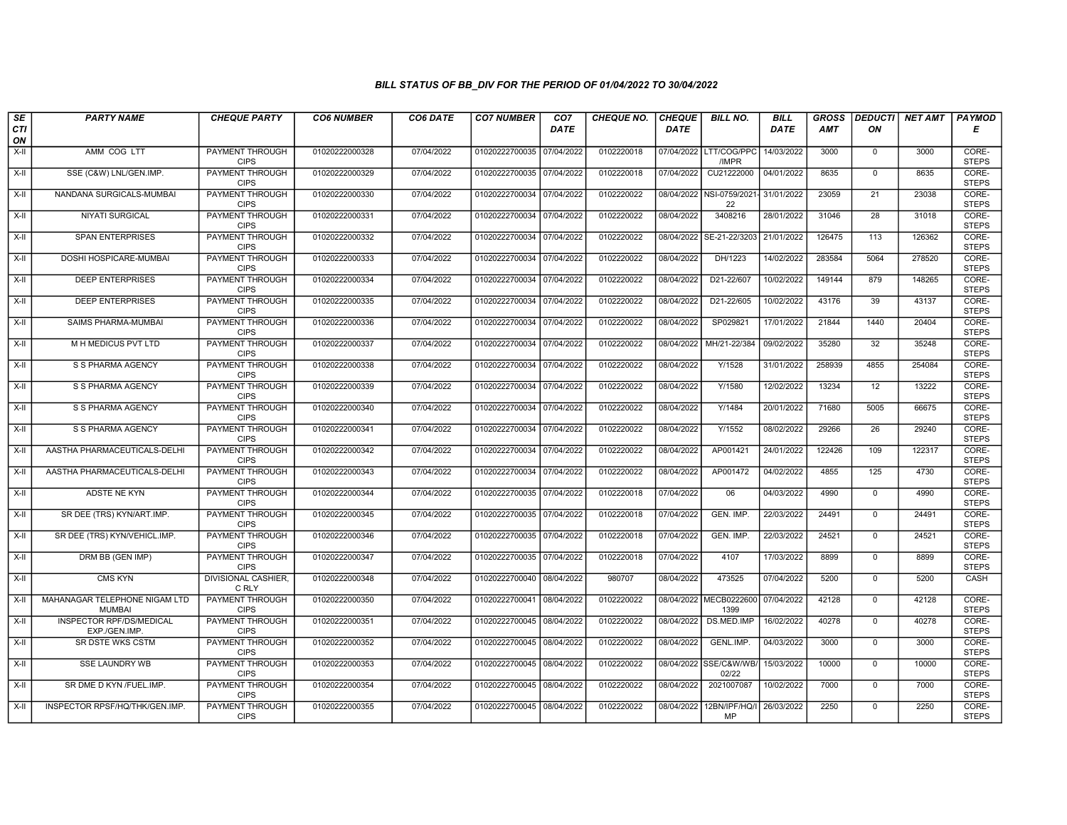| SE        | <b>PARTY NAME</b>                              | <b>CHEQUE PARTY</b>                   | <b>CO6 NUMBER</b> | CO6 DATE   | <b>CO7 NUMBER</b>         | CO <sub>7</sub> | <b>CHEQUE NO.</b> | <b>CHEQUE</b> | <b>BILL NO.</b>                 | <b>BILL</b> | <b>GROSS</b> |                 | <b>DEDUCTI</b> NET AMT | <b>PAYMOD</b>         |
|-----------|------------------------------------------------|---------------------------------------|-------------------|------------|---------------------------|-----------------|-------------------|---------------|---------------------------------|-------------|--------------|-----------------|------------------------|-----------------------|
| CTI<br>ON |                                                |                                       |                   |            |                           | <b>DATE</b>     |                   | <b>DATE</b>   |                                 | DATE        | <b>AMT</b>   | ON              |                        | Е                     |
| $X-H$     | AMM COG LTT                                    | <b>PAYMENT THROUGH</b><br><b>CIPS</b> | 01020222000328    | 07/04/2022 | 01020222700035 07/04/2022 |                 | 0102220018        |               | 07/04/2022 LTT/COG/PPC<br>/IMPR | 14/03/2022  | 3000         | $\mathbf 0$     | 3000                   | CORE-<br><b>STEPS</b> |
| X-II      | SSE (C&W) LNL/GEN.IMP.                         | <b>PAYMENT THROUGH</b><br><b>CIPS</b> | 01020222000329    | 07/04/2022 | 01020222700035 07/04/2022 |                 | 0102220018        | 07/04/2022    | CU21222000                      | 04/01/2022  | 8635         | $\mathbf 0$     | 8635                   | CORE-<br><b>STEPS</b> |
| $X-H$     | NANDANA SURGICALS-MUMBAI                       | <b>PAYMENT THROUGH</b><br><b>CIPS</b> | 01020222000330    | 07/04/2022 | 01020222700034 07/04/2022 |                 | 0102220022        |               | 08/04/2022 NSI-0759/2021<br>22  | 31/01/2022  | 23059        | 21              | 23038                  | CORE-<br><b>STEPS</b> |
| X-II      | <b>NIYATI SURGICAL</b>                         | PAYMENT THROUGH<br><b>CIPS</b>        | 01020222000331    | 07/04/2022 | 01020222700034 07/04/2022 |                 | 0102220022        | 08/04/2022    | 3408216                         | 28/01/2022  | 31046        | 28              | 31018                  | CORE-<br><b>STEPS</b> |
| $X-H$     | <b>SPAN ENTERPRISES</b>                        | <b>PAYMENT THROUGH</b><br><b>CIPS</b> | 01020222000332    | 07/04/2022 | 01020222700034 07/04/2022 |                 | 0102220022        | 08/04/2022    | SE-21-22/3203                   | 21/01/2022  | 126475       | 113             | 126362                 | CORE-<br><b>STEPS</b> |
| X-II      | DOSHI HOSPICARE-MUMBAI                         | <b>PAYMENT THROUGH</b><br><b>CIPS</b> | 01020222000333    | 07/04/2022 | 01020222700034 07/04/2022 |                 | 0102220022        | 08/04/2022    | DH/1223                         | 14/02/2022  | 283584       | 5064            | 278520                 | CORE-<br><b>STEPS</b> |
| X-II      | <b>DEEP ENTERPRISES</b>                        | PAYMENT THROUGH<br><b>CIPS</b>        | 01020222000334    | 07/04/2022 | 01020222700034 07/04/2022 |                 | 0102220022        | 08/04/2022    | D21-22/607                      | 10/02/2022  | 149144       | 879             | 148265                 | CORE-<br><b>STEPS</b> |
| X-II      | <b>DEEP ENTERPRISES</b>                        | <b>PAYMENT THROUGH</b><br><b>CIPS</b> | 01020222000335    | 07/04/2022 | 01020222700034 07/04/2022 |                 | 0102220022        | 08/04/2022    | D21-22/605                      | 10/02/2022  | 43176        | 39              | 43137                  | CORE-<br><b>STEPS</b> |
| X-II      | SAIMS PHARMA-MUMBAI                            | <b>PAYMENT THROUGH</b><br><b>CIPS</b> | 01020222000336    | 07/04/2022 | 01020222700034 07/04/2022 |                 | 0102220022        | 08/04/2022    | SP029821                        | 17/01/2022  | 21844        | 1440            | 20404                  | CORE-<br><b>STEPS</b> |
| $X-H$     | M H MEDICUS PVT LTD                            | <b>PAYMENT THROUGH</b><br><b>CIPS</b> | 01020222000337    | 07/04/2022 | 01020222700034 07/04/2022 |                 | 0102220022        | 08/04/2022    | MH/21-22/384                    | 09/02/2022  | 35280        | $\overline{32}$ | 35248                  | CORE-<br><b>STEPS</b> |
| X-II      | S S PHARMA AGENCY                              | PAYMENT THROUGH<br><b>CIPS</b>        | 01020222000338    | 07/04/2022 | 01020222700034 07/04/2022 |                 | 0102220022        | 08/04/2022    | Y/1528                          | 31/01/2022  | 258939       | 4855            | 254084                 | CORE-<br><b>STEPS</b> |
| $X-II$    | S S PHARMA AGENCY                              | <b>PAYMENT THROUGH</b><br><b>CIPS</b> | 01020222000339    | 07/04/2022 | 01020222700034 07/04/2022 |                 | 0102220022        | 08/04/2022    | Y/1580                          | 12/02/2022  | 13234        | 12              | 13222                  | CORE-<br><b>STEPS</b> |
| X-II      | S S PHARMA AGENCY                              | <b>PAYMENT THROUGH</b><br><b>CIPS</b> | 01020222000340    | 07/04/2022 | 01020222700034 07/04/2022 |                 | 0102220022        | 08/04/2022    | Y/1484                          | 20/01/2022  | 71680        | 5005            | 66675                  | CORE-<br><b>STEPS</b> |
| $X-H$     | S S PHARMA AGENCY                              | <b>PAYMENT THROUGH</b><br><b>CIPS</b> | 01020222000341    | 07/04/2022 | 01020222700034 07/04/2022 |                 | 0102220022        | 08/04/2022    | Y/1552                          | 08/02/2022  | 29266        | 26              | 29240                  | CORE-<br><b>STEPS</b> |
| X-II      | AASTHA PHARMACEUTICALS-DELHI                   | <b>PAYMENT THROUGH</b><br><b>CIPS</b> | 01020222000342    | 07/04/2022 | 01020222700034 07/04/2022 |                 | 0102220022        | 08/04/2022    | AP001421                        | 24/01/2022  | 122426       | 109             | 122317                 | CORE-<br><b>STEPS</b> |
| $X-II$    | AASTHA PHARMACEUTICALS-DELHI                   | <b>PAYMENT THROUGH</b><br><b>CIPS</b> | 01020222000343    | 07/04/2022 | 01020222700034 07/04/2022 |                 | 0102220022        | 08/04/2022    | AP001472                        | 04/02/2022  | 4855         | 125             | 4730                   | CORE-<br><b>STEPS</b> |
| X-II      | <b>ADSTE NE KYN</b>                            | <b>PAYMENT THROUGH</b><br><b>CIPS</b> | 01020222000344    | 07/04/2022 | 01020222700035 07/04/2022 |                 | 0102220018        | 07/04/2022    | 06                              | 04/03/2022  | 4990         | $\mathbf 0$     | 4990                   | CORE-<br><b>STEPS</b> |
| $X-H$     | SR DEE (TRS) KYN/ART.IMP.                      | <b>PAYMENT THROUGH</b><br><b>CIPS</b> | 01020222000345    | 07/04/2022 | 01020222700035 07/04/2022 |                 | 0102220018        | 07/04/2022    | GEN. IMP.                       | 22/03/2022  | 24491        | $\overline{0}$  | 24491                  | CORE-<br><b>STEPS</b> |
| X-II      | SR DEE (TRS) KYN/VEHICL.IMP.                   | PAYMENT THROUGH<br><b>CIPS</b>        | 01020222000346    | 07/04/2022 | 01020222700035 07/04/2022 |                 | 0102220018        | 07/04/2022    | GEN. IMP.                       | 22/03/2022  | 24521        | $\mathbf{0}$    | 24521                  | CORE-<br><b>STEPS</b> |
| X-II      | DRM BB (GEN IMP)                               | <b>PAYMENT THROUGH</b><br><b>CIPS</b> | 01020222000347    | 07/04/2022 | 01020222700035 07/04/2022 |                 | 0102220018        | 07/04/2022    | 4107                            | 17/03/2022  | 8899         | $\mathsf 0$     | 8899                   | CORE-<br><b>STEPS</b> |
| $X-II$    | <b>CMS KYN</b>                                 | <b>DIVISIONAL CASHIER,</b><br>C RLY   | 01020222000348    | 07/04/2022 | 01020222700040 08/04/2022 |                 | 980707            | 08/04/2022    | 473525                          | 07/04/2022  | 5200         | $\mathbf 0$     | 5200                   | CASH                  |
| X-II      | MAHANAGAR TELEPHONE NIGAM LTD<br><b>MUMBAI</b> | <b>PAYMENT THROUGH</b><br><b>CIPS</b> | 01020222000350    | 07/04/2022 | 01020222700041 08/04/2022 |                 | 0102220022        |               | 08/04/2022 MECB0222600<br>1399  | 07/04/2022  | 42128        | $\mathbf 0$     | 42128                  | CORE-<br><b>STEPS</b> |
| X-II      | INSPECTOR RPF/DS/MEDICAL<br>EXP./GEN.IMP       | <b>PAYMENT THROUGH</b><br><b>CIPS</b> | 01020222000351    | 07/04/2022 | 01020222700045 08/04/2022 |                 | 0102220022        | 08/04/2022    | DS.MED.IMP                      | 16/02/2022  | 40278        | $\mathbf 0$     | 40278                  | CORE-<br><b>STEPS</b> |
| X-II      | SR DSTE WKS CSTM                               | <b>PAYMENT THROUGH</b><br><b>CIPS</b> | 01020222000352    | 07/04/2022 | 01020222700045 08/04/2022 |                 | 0102220022        | 08/04/2022    | GENL.IMP.                       | 04/03/2022  | 3000         | $\mathbf{0}$    | 3000                   | CORE-<br><b>STEPS</b> |
| $X-H$     | <b>SSE LAUNDRY WB</b>                          | PAYMENT THROUGH<br><b>CIPS</b>        | 01020222000353    | 07/04/2022 | 01020222700045 08/04/2022 |                 | 0102220022        |               | 08/04/2022 SSE/C&W/WB/<br>02/22 | 15/03/2022  | 10000        | $\mathbf 0$     | 10000                  | CORE-<br><b>STEPS</b> |
| $X-H$     | SR DME D KYN /FUEL.IMP.                        | <b>PAYMENT THROUGH</b><br><b>CIPS</b> | 01020222000354    | 07/04/2022 | 01020222700045 08/04/2022 |                 | 0102220022        | 08/04/2022    | 2021007087                      | 10/02/2022  | 7000         | 0               | 7000                   | CORE-<br><b>STEPS</b> |
| X-II      | INSPECTOR RPSF/HQ/THK/GEN.IMP.                 | PAYMENT THROUGH<br><b>CIPS</b>        | 01020222000355    | 07/04/2022 | 01020222700045 08/04/2022 |                 | 0102220022        | 08/04/2022    | 12BN/IPF/HQ/I<br><b>MP</b>      | 26/03/2022  | 2250         | $\mathbf 0$     | 2250                   | CORE-<br><b>STEPS</b> |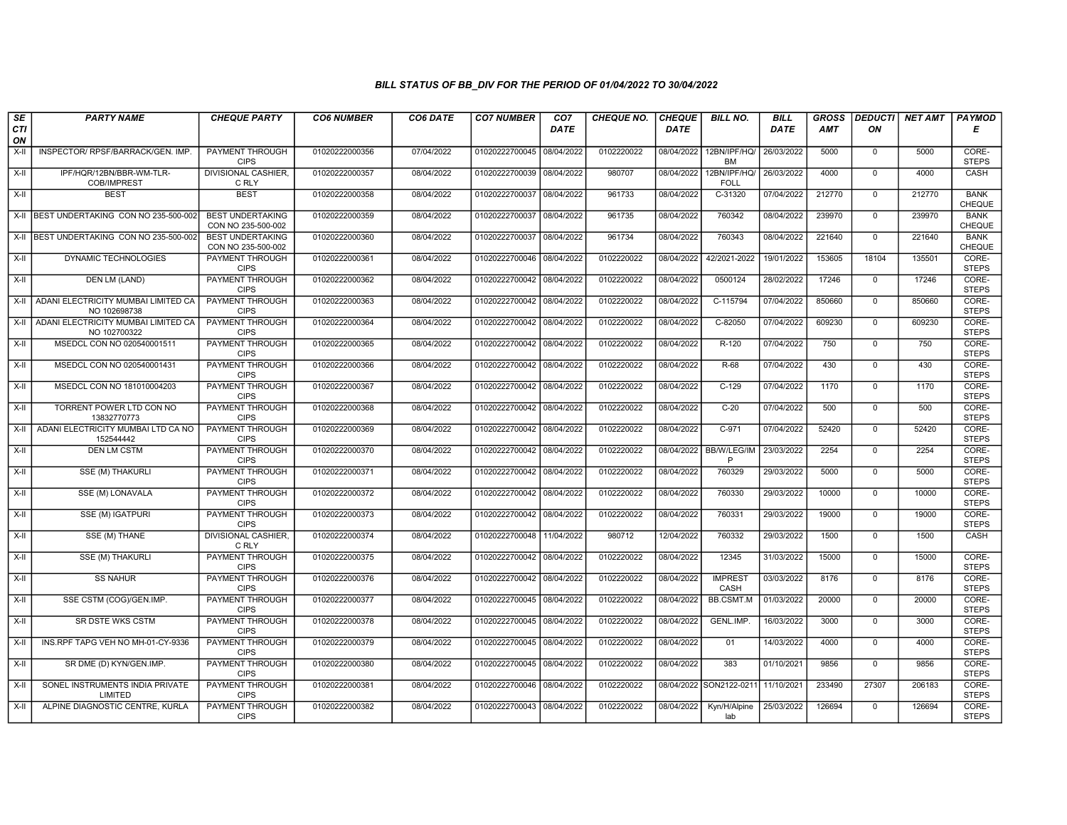| SE        | <b>PARTY NAME</b>                                        | <b>CHEQUE PARTY</b>                           | <b>CO6 NUMBER</b> | CO6 DATE   | <b>CO7 NUMBER</b>         | CO <sub>7</sub> | <b>CHEQUE NO.</b> | <b>CHEQUE</b> | <b>BILL NO.</b>             | <b>BILL</b> | <b>GROSS</b> | <b>DEDUCTI</b> | <b>NET AMT</b> | <b>PAYMOD</b>                |
|-----------|----------------------------------------------------------|-----------------------------------------------|-------------------|------------|---------------------------|-----------------|-------------------|---------------|-----------------------------|-------------|--------------|----------------|----------------|------------------------------|
| CTI<br>ON |                                                          |                                               |                   |            |                           | <b>DATE</b>     |                   | <b>DATE</b>   |                             | <b>DATE</b> | <b>AMT</b>   | ΟN             |                | Е                            |
| X-II      | INSPECTOR/ RPSF/BARRACK/GEN. IMP.                        | <b>PAYMENT THROUGH</b><br><b>CIPS</b>         | 01020222000356    | 07/04/2022 | 01020222700045 08/04/2022 |                 | 0102220022        | 08/04/2022    | 12BN/IPF/HQ/<br><b>BM</b>   | 26/03/2022  | 5000         | $\overline{0}$ | 5000           | CORE-<br><b>STEPS</b>        |
| X-II      | IPF/HQR/12BN/BBR-WM-TLR-<br>COB/IMPREST                  | <b>DIVISIONAL CASHIER.</b><br>C RLY           | 01020222000357    | 08/04/2022 | 01020222700039 08/04/2022 |                 | 980707            | 08/04/2022    | 12BN/IPF/HQ/<br><b>FOLL</b> | 26/03/2022  | 4000         | $\mathbf{0}$   | 4000           | CASH                         |
| X-II      | <b>BEST</b>                                              | <b>BEST</b>                                   | 01020222000358    | 08/04/2022 | 01020222700037            | 08/04/2022      | 961733            | 08/04/2022    | C-31320                     | 07/04/2022  | 212770       | $\mathbf 0$    | 212770         | <b>BANK</b><br><b>CHEQUE</b> |
|           | X-II BEST UNDERTAKING CON NO 235-500-002                 | <b>BEST UNDERTAKING</b><br>CON NO 235-500-002 | 01020222000359    | 08/04/2022 | 01020222700037            | 08/04/2022      | 961735            | 08/04/2022    | 760342                      | 08/04/2022  | 239970       | $\mathbf{0}$   | 239970         | <b>BANK</b><br>CHEQUE        |
|           | X-II BEST UNDERTAKING CON NO 235-500-002                 | <b>BEST UNDERTAKING</b><br>CON NO 235-500-002 | 01020222000360    | 08/04/2022 | 01020222700037            | 08/04/2022      | 961734            | 08/04/2022    | 760343                      | 08/04/2022  | 221640       | $\mathbf{0}$   | 221640         | <b>BANK</b><br><b>CHEQUE</b> |
| X-II      | DYNAMIC TECHNOLOGIES                                     | <b>PAYMENT THROUGH</b><br><b>CIPS</b>         | 01020222000361    | 08/04/2022 | 01020222700046 08/04/2022 |                 | 0102220022        | 08/04/2022    | 42/2021-2022                | 19/01/2022  | 153605       | 18104          | 135501         | CORE-<br><b>STEPS</b>        |
| X-II      | DEN LM (LAND)                                            | PAYMENT THROUGH<br><b>CIPS</b>                | 01020222000362    | 08/04/2022 | 01020222700042 08/04/2022 |                 | 0102220022        | 08/04/2022    | 0500124                     | 28/02/2022  | 17246        | $\mathbf{0}$   | 17246          | CORE-<br><b>STEPS</b>        |
|           | X-II ADANI ELECTRICITY MUMBAI LIMITED CA<br>NO 102698738 | PAYMENT THROUGH<br><b>CIPS</b>                | 01020222000363    | 08/04/2022 | 01020222700042 08/04/2022 |                 | 0102220022        | 08/04/2022    | C-115794                    | 07/04/2022  | 850660       | $\overline{0}$ | 850660         | CORE-<br><b>STEPS</b>        |
| $X-II$    | ADANI ELECTRICITY MUMBAI LIMITED CA<br>NO 102700322      | PAYMENT THROUGH<br><b>CIPS</b>                | 01020222000364    | 08/04/2022 | 01020222700042 08/04/2022 |                 | 0102220022        | 08/04/2022    | $C-82050$                   | 07/04/2022  | 609230       | $\mathbf{0}$   | 609230         | CORE-<br><b>STEPS</b>        |
| $X-H$     | MSEDCL CON NO 020540001511                               | <b>PAYMENT THROUGH</b><br><b>CIPS</b>         | 01020222000365    | 08/04/2022 | 01020222700042 08/04/2022 |                 | 0102220022        | 08/04/2022    | R-120                       | 07/04/2022  | 750          | $\overline{0}$ | 750            | CORE-<br><b>STEPS</b>        |
| X-II      | MSEDCL CON NO 020540001431                               | PAYMENT THROUGH<br><b>CIPS</b>                | 01020222000366    | 08/04/2022 | 01020222700042 08/04/2022 |                 | 0102220022        | 08/04/2022    | R-68                        | 07/04/2022  | 430          | $\mathbf{0}$   | 430            | CORE-<br><b>STEPS</b>        |
| X-II      | MSEDCL CON NO 181010004203                               | PAYMENT THROUGH<br><b>CIPS</b>                | 01020222000367    | 08/04/2022 | 01020222700042 08/04/2022 |                 | 0102220022        | 08/04/2022    | $C-129$                     | 07/04/2022  | 1170         | $\mathbf 0$    | 1170           | CORE-<br><b>STEPS</b>        |
| $X-H$     | TORRENT POWER LTD CON NO<br>13832770773                  | <b>PAYMENT THROUGH</b><br><b>CIPS</b>         | 01020222000368    | 08/04/2022 | 01020222700042 08/04/2022 |                 | 0102220022        | 08/04/2022    | $C-20$                      | 07/04/2022  | 500          | $\overline{0}$ | 500            | CORE-<br><b>STEPS</b>        |
| X-II      | ADANI ELECTRICITY MUMBAI LTD CA NO<br>152544442          | <b>PAYMENT THROUGH</b><br><b>CIPS</b>         | 01020222000369    | 08/04/2022 | 01020222700042 08/04/2022 |                 | 0102220022        | 08/04/2022    | $C-971$                     | 07/04/2022  | 52420        | $\mathbf{0}$   | 52420          | CORE-<br><b>STEPS</b>        |
| X-II      | <b>DEN LM CSTM</b>                                       | PAYMENT THROUGH<br><b>CIPS</b>                | 01020222000370    | 08/04/2022 | 01020222700042 08/04/2022 |                 | 0102220022        | 08/04/2022    | BB/W/LEG/IM<br>P            | 23/03/2022  | 2254         | $\Omega$       | 2254           | CORE-<br><b>STEPS</b>        |
| X-II      | SSE (M) THAKURLI                                         | PAYMENT THROUGH<br><b>CIPS</b>                | 01020222000371    | 08/04/2022 | 01020222700042 08/04/2022 |                 | 0102220022        | 08/04/2022    | 760329                      | 29/03/2022  | 5000         | $\mathbf{0}$   | 5000           | CORE-<br><b>STEPS</b>        |
| X-II      | SSE (M) LONAVALA                                         | PAYMENT THROUGH<br><b>CIPS</b>                | 01020222000372    | 08/04/2022 | 01020222700042            | 08/04/2022      | 0102220022        | 08/04/2022    | 760330                      | 29/03/2022  | 10000        | $\mathbf{0}$   | 10000          | CORE-<br><b>STEPS</b>        |
| X-II      | SSE (M) IGATPURI                                         | <b>PAYMENT THROUGH</b><br><b>CIPS</b>         | 01020222000373    | 08/04/2022 | 01020222700042            | 08/04/2022      | 0102220022        | 08/04/2022    | 760331                      | 29/03/2022  | 19000        | $\mathbf 0$    | 19000          | CORE-<br><b>STEPS</b>        |
| X-II      | SSE (M) THANE                                            | <b>DIVISIONAL CASHIER,</b><br>C RLY           | 01020222000374    | 08/04/2022 | 01020222700048 11/04/2022 |                 | 980712            | 12/04/2022    | 760332                      | 29/03/2022  | 1500         | $\mathbf{0}$   | 1500           | CASH                         |
| X-II      | SSE (M) THAKURLI                                         | PAYMENT THROUGH<br><b>CIPS</b>                | 01020222000375    | 08/04/2022 | 01020222700042 08/04/2022 |                 | 0102220022        | 08/04/2022    | 12345                       | 31/03/2022  | 15000        | $\overline{0}$ | 15000          | CORE-<br><b>STEPS</b>        |
| X-II      | <b>SS NAHUR</b>                                          | PAYMENT THROUGH<br><b>CIPS</b>                | 01020222000376    | 08/04/2022 | 01020222700042 08/04/2022 |                 | 0102220022        | 08/04/2022    | <b>IMPREST</b><br>CASH      | 03/03/2022  | 8176         | $\mathbf{0}$   | 8176           | CORE-<br><b>STEPS</b>        |
| X-II      | SSE CSTM (COG)/GEN.IMP.                                  | <b>PAYMENT THROUGH</b><br><b>CIPS</b>         | 01020222000377    | 08/04/2022 | 01020222700045 08/04/2022 |                 | 0102220022        | 08/04/2022    | <b>BB.CSMT.M</b>            | 01/03/2022  | 20000        | $\Omega$       | 20000          | CORE-<br><b>STEPS</b>        |
| X-II      | SR DSTE WKS CSTM                                         | PAYMENT THROUGH<br><b>CIPS</b>                | 01020222000378    | 08/04/2022 | 01020222700045            | 08/04/2022      | 0102220022        | 08/04/2022    | GENL.IMP.                   | 16/03/2022  | 3000         | $\mathbf 0$    | 3000           | CORE-<br><b>STEPS</b>        |
| $X-II$    | INS.RPF TAPG VEH NO MH-01-CY-9336                        | PAYMENT THROUGH<br><b>CIPS</b>                | 01020222000379    | 08/04/2022 | 01020222700045            | 08/04/2022      | 0102220022        | 08/04/2022    | 01                          | 14/03/2022  | 4000         | $\Omega$       | 4000           | CORE-<br><b>STEPS</b>        |
| X-II      | SR DME (D) KYN/GEN.IMP.                                  | PAYMENT THROUGH<br><b>CIPS</b>                | 01020222000380    | 08/04/2022 | 01020222700045 08/04/2022 |                 | 0102220022        | 08/04/2022    | 383                         | 01/10/2021  | 9856         | $\mathbf 0$    | 9856           | CORE-<br><b>STEPS</b>        |
| $X-H$     | SONEL INSTRUMENTS INDIA PRIVATE<br>LIMITED               | <b>PAYMENT THROUGH</b><br><b>CIPS</b>         | 01020222000381    | 08/04/2022 | 01020222700046 08/04/2022 |                 | 0102220022        |               | 08/04/2022 SON2122-0211     | 11/10/2021  | 233490       | 27307          | 206183         | CORE-<br><b>STEPS</b>        |
| X-II      | ALPINE DIAGNOSTIC CENTRE, KURLA                          | PAYMENT THROUGH<br><b>CIPS</b>                | 01020222000382    | 08/04/2022 | 01020222700043 08/04/2022 |                 | 0102220022        | 08/04/2022    | Kyn/H/Alpine<br>lab         | 25/03/2022  | 126694       | $\mathbf 0$    | 126694         | CORE-<br><b>STEPS</b>        |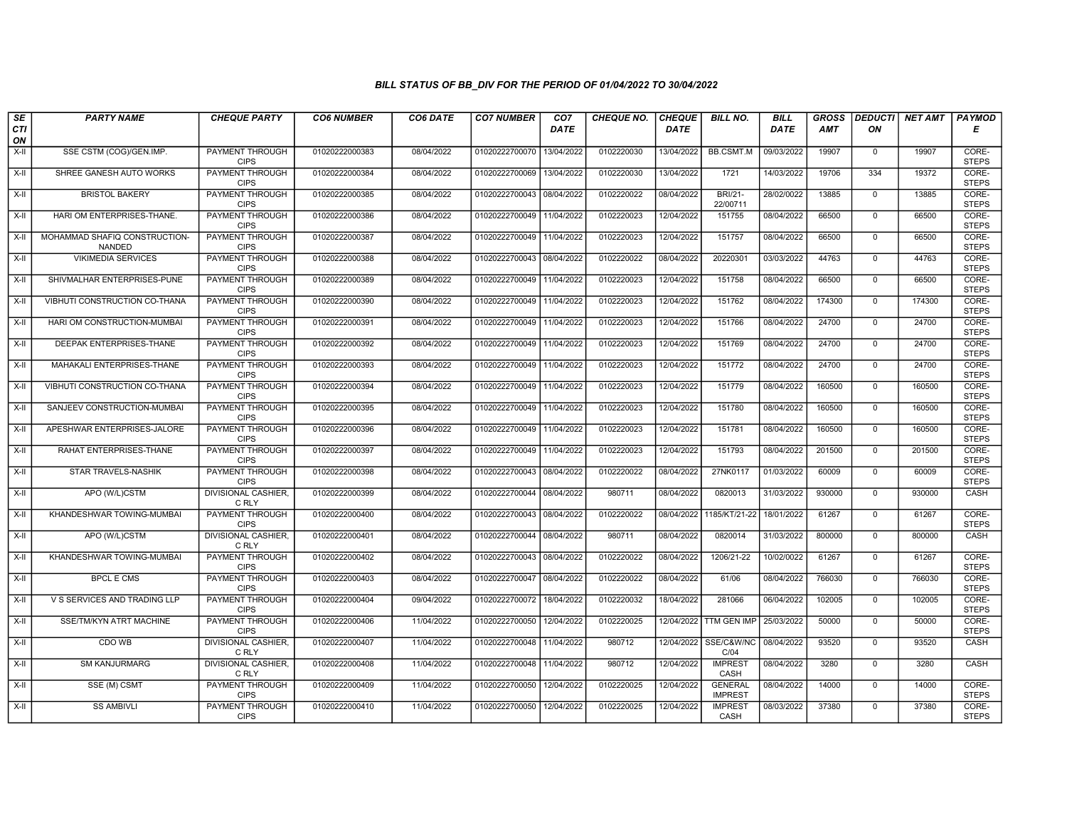| SE                 | <b>PARTY NAME</b>                       | <b>CHEQUE PARTY</b>                   | <b>CO6 NUMBER</b> | CO6 DATE   | <b>CO7 NUMBER</b>         | CO <sub>7</sub> | <b>CHEQUE NO.</b> | <b>CHEQUE</b> | <b>BILL NO.</b>                  | <b>BILL</b> | <b>GROSS</b> | <b>DEDUCTI</b> | NET AMT | <b>PAYMOD</b>         |
|--------------------|-----------------------------------------|---------------------------------------|-------------------|------------|---------------------------|-----------------|-------------------|---------------|----------------------------------|-------------|--------------|----------------|---------|-----------------------|
| <b>CTI</b><br>ON   |                                         |                                       |                   |            |                           | <b>DATE</b>     |                   | <b>DATE</b>   |                                  | DATE        | AMT          | ΟN             |         | Е                     |
| $X-H$              | SSE CSTM (COG)/GEN.IMP.                 | <b>PAYMENT THROUGH</b><br><b>CIPS</b> | 01020222000383    | 08/04/2022 | 01020222700070            | 13/04/2022      | 0102220030        | 13/04/2022    | <b>BB.CSMT.M</b>                 | 09/03/2022  | 19907        | $\mathbf{0}$   | 19907   | CORE-<br><b>STEPS</b> |
| X-II               | SHREE GANESH AUTO WORKS                 | <b>PAYMENT THROUGH</b><br><b>CIPS</b> | 01020222000384    | 08/04/2022 | 01020222700069            | 13/04/2022      | 0102220030        | 13/04/2022    | 1721                             | 14/03/2022  | 19706        | 334            | 19372   | CORE-<br><b>STEPS</b> |
| X-II               | <b>BRISTOL BAKERY</b>                   | PAYMENT THROUGH<br><b>CIPS</b>        | 01020222000385    | 08/04/2022 | 01020222700043            | 08/04/2022      | 0102220022        | 08/04/2022    | <b>BRI/21-</b><br>22/00711       | 28/02/0022  | 13885        | $\mathbf 0$    | 13885   | CORE-<br><b>STEPS</b> |
| $X-H$              | HARI OM ENTERPRISES-THANE.              | PAYMENT THROUGH<br><b>CIPS</b>        | 01020222000386    | 08/04/2022 | 01020222700049            | 11/04/2022      | 0102220023        | 12/04/2022    | 151755                           | 08/04/2022  | 66500        | $\overline{0}$ | 66500   | CORE-<br><b>STEPS</b> |
| $X-H$              | MOHAMMAD SHAFIQ CONSTRUCTION-<br>NANDED | <b>PAYMENT THROUGH</b><br><b>CIPS</b> | 01020222000387    | 08/04/2022 | 01020222700049            | 11/04/2022      | 0102220023        | 12/04/2022    | 151757                           | 08/04/2022  | 66500        | $\mathbf{0}$   | 66500   | CORE-<br><b>STEPS</b> |
| X-II               | <b>VIKIMEDIA SERVICES</b>               | <b>PAYMENT THROUGH</b><br><b>CIPS</b> | 01020222000388    | 08/04/2022 | 01020222700043 08/04/2022 |                 | 0102220022        | 08/04/2022    | 20220301                         | 03/03/2022  | 44763        | $\Omega$       | 44763   | CORE-<br><b>STEPS</b> |
| X-II               | SHIVMALHAR ENTERPRISES-PUNE             | PAYMENT THROUGH<br><b>CIPS</b>        | 01020222000389    | 08/04/2022 | 01020222700049            | 11/04/2022      | 0102220023        | 12/04/2022    | 151758                           | 08/04/2022  | 66500        | $\mathbf{0}$   | 66500   | CORE-<br><b>STEPS</b> |
| X-II               | VIBHUTI CONSTRUCTION CO-THANA           | <b>PAYMENT THROUGH</b><br><b>CIPS</b> | 01020222000390    | 08/04/2022 | 01020222700049            | 11/04/2022      | 0102220023        | 12/04/2022    | 151762                           | 08/04/2022  | 174300       | $\mathbf 0$    | 174300  | CORE-<br><b>STEPS</b> |
| X-II               | HARI OM CONSTRUCTION-MUMBAI             | PAYMENT THROUGH<br><b>CIPS</b>        | 01020222000391    | 08/04/2022 | 01020222700049            | 11/04/2022      | 0102220023        | 12/04/2022    | 151766                           | 08/04/2022  | 24700        | $\Omega$       | 24700   | CORE-<br><b>STEPS</b> |
| $X-H$              | DEEPAK ENTERPRISES-THANE                | <b>PAYMENT THROUGH</b><br><b>CIPS</b> | 01020222000392    | 08/04/2022 | 01020222700049            | 11/04/2022      | 0102220023        | 12/04/2022    | 151769                           | 08/04/2022  | 24700        | $\overline{0}$ | 24700   | CORE-<br><b>STEPS</b> |
| X-II               | MAHAKALI ENTERPRISES-THANE              | PAYMENT THROUGH<br><b>CIPS</b>        | 01020222000393    | 08/04/2022 | 01020222700049            | 11/04/2022      | 0102220023        | 12/04/2022    | 151772                           | 08/04/2022  | 24700        | $\Omega$       | 24700   | CORE-<br><b>STEPS</b> |
| X-II               | VIBHUTI CONSTRUCTION CO-THANA           | PAYMENT THROUGH<br><b>CIPS</b>        | 01020222000394    | 08/04/2022 | 01020222700049            | 11/04/2022      | 0102220023        | 12/04/2022    | 151779                           | 08/04/2022  | 160500       | $\mathbf{0}$   | 160500  | CORE-<br><b>STEPS</b> |
| X-II               | SANJEEV CONSTRUCTION-MUMBAI             | <b>PAYMENT THROUGH</b><br><b>CIPS</b> | 01020222000395    | 08/04/2022 | 01020222700049            | 11/04/2022      | 0102220023        | 12/04/2022    | 151780                           | 08/04/2022  | 160500       | $\Omega$       | 160500  | CORE-<br><b>STEPS</b> |
| X-II               | APESHWAR ENTERPRISES-JALORE             | <b>PAYMENT THROUGH</b><br><b>CIPS</b> | 01020222000396    | 08/04/2022 | 01020222700049            | 11/04/2022      | 0102220023        | 12/04/2022    | 151781                           | 08/04/2022  | 160500       | $\mathbf{0}$   | 160500  | CORE-<br><b>STEPS</b> |
| $X-II$             | RAHAT ENTERPRISES-THANE                 | PAYMENT THROUGH<br><b>CIPS</b>        | 01020222000397    | 08/04/2022 | 01020222700049            | 11/04/2022      | 0102220023        | 12/04/2022    | 151793                           | 08/04/2022  | 201500       | $\Omega$       | 201500  | CORE-<br><b>STEPS</b> |
| X-II               | STAR TRAVELS-NASHIK                     | PAYMENT THROUGH<br><b>CIPS</b>        | 01020222000398    | 08/04/2022 | 01020222700043 08/04/2022 |                 | 0102220022        | 08/04/2022    | 27NK0117                         | 01/03/2022  | 60009        | $\Omega$       | 60009   | CORE-<br><b>STEPS</b> |
| $X-H$              | APO (W/L)CSTM                           | <b>DIVISIONAL CASHIER,</b><br>C RLY   | 01020222000399    | 08/04/2022 | 01020222700044 08/04/2022 |                 | 980711            | 08/04/2022    | 0820013                          | 31/03/2022  | 930000       | $\overline{0}$ | 930000  | CASH                  |
| X-II               | KHANDESHWAR TOWING-MUMBAI               | <b>PAYMENT THROUGH</b><br><b>CIPS</b> | 01020222000400    | 08/04/2022 | 01020222700043 08/04/2022 |                 | 0102220022        | 08/04/2022    | 1185/KT/21-22                    | 18/01/2022  | 61267        | $\mathbf 0$    | 61267   | CORE-<br><b>STEPS</b> |
| X-II               | APO (W/L)CSTM                           | DIVISIONAL CASHIER,<br>C RLY          | 01020222000401    | 08/04/2022 | 01020222700044 08/04/2022 |                 | 980711            | 08/04/2022    | 0820014                          | 31/03/2022  | 800000       | $\mathbf 0$    | 800000  | CASH                  |
| $X-H$              | KHANDESHWAR TOWING-MUMBAI               | PAYMENT THROUGH<br><b>CIPS</b>        | 01020222000402    | 08/04/2022 | 01020222700043 08/04/2022 |                 | 0102220022        | 08/04/2022    | 1206/21-22                       | 10/02/0022  | 61267        | $\Omega$       | 61267   | CORE-<br><b>STEPS</b> |
| X-II               | <b>BPCL E CMS</b>                       | <b>PAYMENT THROUGH</b><br><b>CIPS</b> | 01020222000403    | 08/04/2022 | 01020222700047 08/04/2022 |                 | 0102220022        | 08/04/2022    | 61/06                            | 08/04/2022  | 766030       | $\mathbf{0}$   | 766030  | CORE-<br><b>STEPS</b> |
| $X-H$              | V S SERVICES AND TRADING LLP            | <b>PAYMENT THROUGH</b><br><b>CIPS</b> | 01020222000404    | 09/04/2022 | 01020222700072            | 18/04/2022      | 0102220032        | 18/04/2022    | 281066                           | 06/04/2022  | 102005       | $\Omega$       | 102005  | CORE-<br><b>STEPS</b> |
| X-II               | SSE/TM/KYN ATRT MACHINE                 | PAYMENT THROUGH<br><b>CIPS</b>        | 01020222000406    | 11/04/2022 | 01020222700050            | 12/04/2022      | 0102220025        | 12/04/2022    | TTM GEN IMP                      | 25/03/2022  | 50000        | $\mathbf 0$    | 50000   | CORE-<br><b>STEPS</b> |
| $X-H$              | CDO WB                                  | DIVISIONAL CASHIER,<br>C RLY          | 01020222000407    | 11/04/2022 | 01020222700048            | 11/04/2022      | 980712            | 12/04/2022    | SSE/C&W/NC<br>C/04               | 08/04/2022  | 93520        | $\mathbf 0$    | 93520   | CASH                  |
| $\overline{x}$ -II | <b>SM KANJURMARG</b>                    | DIVISIONAL CASHIER,<br>C RLY          | 01020222000408    | 11/04/2022 | 01020222700048            | 11/04/2022      | 980712            | 12/04/2022    | <b>IMPREST</b><br>CASH           | 08/04/2022  | 3280         | $\Omega$       | 3280    | CASH                  |
| $X-H$              | SSE (M) CSMT                            | <b>PAYMENT THROUGH</b><br><b>CIPS</b> | 01020222000409    | 11/04/2022 | 01020222700050            | 12/04/2022      | 0102220025        | 12/04/2022    | <b>GENERAL</b><br><b>IMPREST</b> | 08/04/2022  | 14000        | $\mathbf{0}$   | 14000   | CORE-<br><b>STEPS</b> |
| X-II               | <b>SS AMBIVLI</b>                       | <b>PAYMENT THROUGH</b><br><b>CIPS</b> | 01020222000410    | 11/04/2022 | 01020222700050            | 12/04/2022      | 0102220025        | 12/04/2022    | <b>IMPREST</b><br>CASH           | 08/03/2022  | 37380        | $\mathbf 0$    | 37380   | CORE-<br><b>STEPS</b> |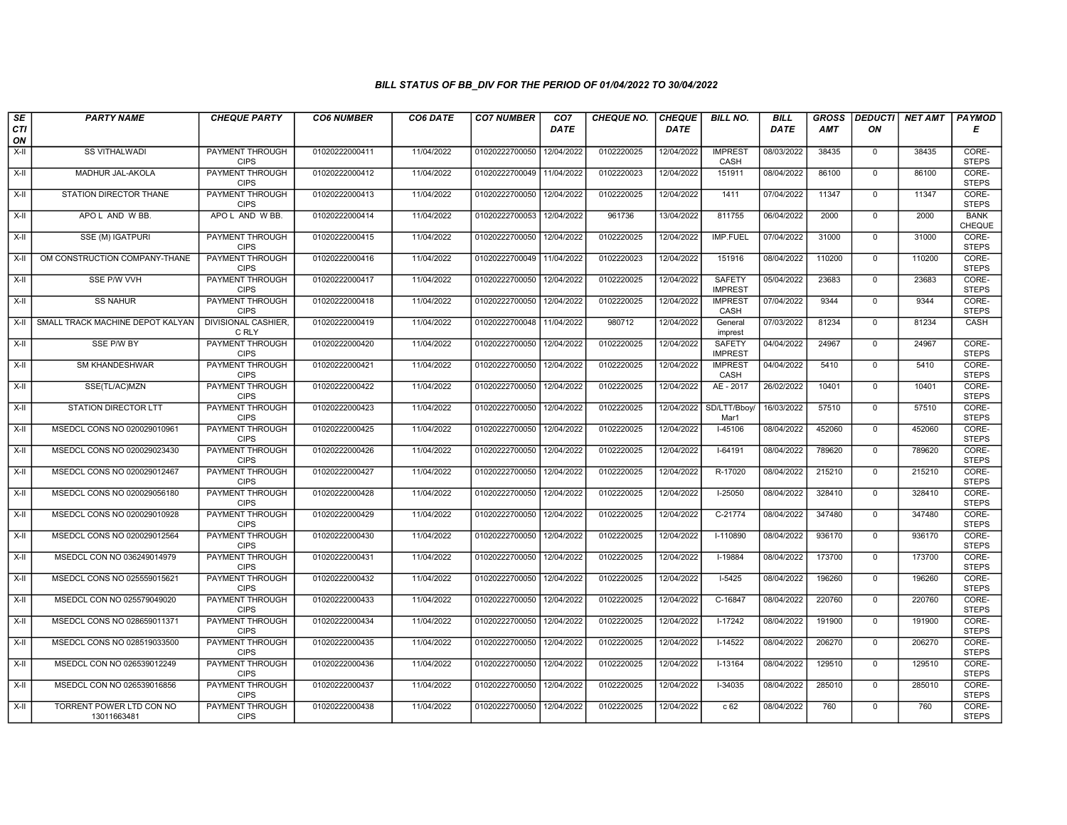| SE               | <b>PARTY NAME</b>                       | <b>CHEQUE PARTY</b>                   | <b>CO6 NUMBER</b> | CO6 DATE   | <b>CO7 NUMBER</b>         | CO <sub>7</sub> | <b>CHEQUE NO.</b> | <b>CHEQUE</b> | <b>BILL NO.</b>                 | <b>BILL</b> | <b>GROSS</b> |                | DEDUCTI NET AMT | <b>PAYMOD</b>         |
|------------------|-----------------------------------------|---------------------------------------|-------------------|------------|---------------------------|-----------------|-------------------|---------------|---------------------------------|-------------|--------------|----------------|-----------------|-----------------------|
| <b>CTI</b><br>ON |                                         |                                       |                   |            |                           | <b>DATE</b>     |                   | <b>DATE</b>   |                                 | <b>DATE</b> | AMT          | ON             |                 | Е                     |
| $X-H$            | <b>SS VITHALWADI</b>                    | PAYMENT THROUGH<br><b>CIPS</b>        | 01020222000411    | 11/04/2022 | 01020222700050            | 12/04/2022      | 0102220025        | 12/04/2022    | <b>IMPREST</b><br>CASH          | 08/03/2022  | 38435        | $^{\circ}$     | 38435           | CORE-<br><b>STEPS</b> |
| $X-II$           | MADHUR JAL-AKOLA                        | <b>PAYMENT THROUGH</b><br><b>CIPS</b> | 01020222000412    | 11/04/2022 | 01020222700049            | 11/04/2022      | 0102220023        | 12/04/2022    | 151911                          | 08/04/2022  | 86100        | $\mathbf 0$    | 86100           | CORE-<br><b>STEPS</b> |
| X-II             | STATION DIRECTOR THANE                  | PAYMENT THROUGH<br><b>CIPS</b>        | 01020222000413    | 11/04/2022 | 01020222700050            | 12/04/2022      | 0102220025        | 12/04/2022    | 1411                            | 07/04/2022  | 11347        | $\mathbf 0$    | 11347           | CORE-<br><b>STEPS</b> |
| $X-H$            | APOL AND W BB.                          | APOL AND WBB.                         | 01020222000414    | 11/04/2022 | 01020222700053            | 12/04/2022      | 961736            | 13/04/2022    | 811755                          | 06/04/2022  | 2000         | $\Omega$       | 2000            | <b>BANK</b><br>CHEQUE |
| $X-H$            | SSE (M) IGATPURI                        | <b>PAYMENT THROUGH</b><br><b>CIPS</b> | 01020222000415    | 11/04/2022 | 01020222700050            | 12/04/2022      | 0102220025        | 12/04/2022    | <b>IMP.FUEL</b>                 | 07/04/2022  | 31000        | $\mathbf{0}$   | 31000           | CORE-<br><b>STEPS</b> |
| $X-H$            | OM CONSTRUCTION COMPANY-THANE           | PAYMENT THROUGH<br><b>CIPS</b>        | 01020222000416    | 11/04/2022 | 01020222700049            | 11/04/2022      | 0102220023        | 12/04/2022    | 151916                          | 08/04/2022  | 110200       | $\mathbf{0}$   | 110200          | CORE-<br><b>STEPS</b> |
| $X-II$           | SSE P/W VVH                             | PAYMENT THROUGH<br><b>CIPS</b>        | 01020222000417    | 11/04/2022 | 01020222700050            | 12/04/2022      | 0102220025        | 12/04/2022    | SAFETY<br><b>IMPREST</b>        | 05/04/2022  | 23683        | $\mathbf 0$    | 23683           | CORE-<br><b>STEPS</b> |
| $X-II$           | <b>SS NAHUR</b>                         | <b>PAYMENT THROUGH</b><br><b>CIPS</b> | 01020222000418    | 11/04/2022 | 01020222700050            | 12/04/2022      | 0102220025        | 12/04/2022    | <b>IMPREST</b><br>CASH          | 07/04/2022  | 9344         | $^{\circ}$     | 9344            | CORE-<br><b>STEPS</b> |
|                  | X-II SMALL TRACK MACHINE DEPOT KALYAN   | <b>DIVISIONAL CASHIER,</b><br>C RLY   | 01020222000419    | 11/04/2022 | 01020222700048 11/04/2022 |                 | 980712            | 12/04/2022    | General<br>imprest              | 07/03/2022  | 81234        | $\overline{0}$ | 81234           | CASH                  |
| $X-H$            | SSE P/W BY                              | <b>PAYMENT THROUGH</b><br><b>CIPS</b> | 01020222000420    | 11/04/2022 | 01020222700050            | 12/04/2022      | 0102220025        | 12/04/2022    | <b>SAFETY</b><br><b>IMPREST</b> | 04/04/2022  | 24967        | $\mathbf{0}$   | 24967           | CORE-<br><b>STEPS</b> |
| X-II             | SM KHANDESHWAR                          | PAYMENT THROUGH<br><b>CIPS</b>        | 01020222000421    | 11/04/2022 | 01020222700050            | 12/04/2022      | 0102220025        | 12/04/2022    | <b>IMPREST</b><br>CASH          | 04/04/2022  | 5410         | $\mathbf{0}$   | 5410            | CORE-<br><b>STEPS</b> |
| $X-II$           | SSE(TL/AC)MZN                           | PAYMENT THROUGH<br><b>CIPS</b>        | 01020222000422    | 11/04/2022 | 01020222700050            | 12/04/2022      | 0102220025        | 12/04/2022    | AE - 2017                       | 26/02/2022  | 10401        | $\mathbf 0$    | 10401           | CORE-<br><b>STEPS</b> |
| X-II             | <b>STATION DIRECTOR LTT</b>             | <b>PAYMENT THROUGH</b><br><b>CIPS</b> | 01020222000423    | 11/04/2022 | 01020222700050            | 12/04/2022      | 0102220025        | 12/04/2022    | SD/LTT/Bboy/<br>Mar1            | 16/03/2022  | 57510        | $^{\circ}$     | 57510           | CORE-<br><b>STEPS</b> |
| X-II             | MSEDCL CONS NO 020029010961             | PAYMENT THROUGH<br><b>CIPS</b>        | 01020222000425    | 11/04/2022 | 01020222700050            | 12/04/2022      | 0102220025        | 12/04/2022    | $I-45106$                       | 08/04/2022  | 452060       | $\mathbf 0$    | 452060          | CORE-<br><b>STEPS</b> |
| X-II             | MSEDCL CONS NO 020029023430             | PAYMENT THROUGH<br><b>CIPS</b>        | 01020222000426    | 11/04/2022 | 01020222700050            | 12/04/2022      | 0102220025        | 12/04/2022    | I-64191                         | 08/04/2022  | 789620       | $\mathbf 0$    | 789620          | CORE-<br><b>STEPS</b> |
| X-II             | MSEDCL CONS NO 020029012467             | PAYMENT THROUGH<br><b>CIPS</b>        | 01020222000427    | 11/04/2022 | 01020222700050            | 12/04/2022      | 0102220025        | 12/04/2022    | R-17020                         | 08/04/2022  | 215210       | $\mathbf 0$    | 215210          | CORE-<br><b>STEPS</b> |
| X-II             | MSEDCL CONS NO 020029056180             | PAYMENT THROUGH<br><b>CIPS</b>        | 01020222000428    | 11/04/2022 | 01020222700050            | 12/04/2022      | 0102220025        | 12/04/2022    | $I-25050$                       | 08/04/2022  | 328410       | $\mathbf{0}$   | 328410          | CORE-<br><b>STEPS</b> |
| X-II             | MSEDCL CONS NO 020029010928             | <b>PAYMENT THROUGH</b><br><b>CIPS</b> | 01020222000429    | 11/04/2022 | 01020222700050            | 12/04/2022      | 0102220025        | 12/04/2022    | C-21774                         | 08/04/2022  | 347480       | $\mathbf 0$    | 347480          | CORE-<br><b>STEPS</b> |
| X-II             | MSEDCL CONS NO 020029012564             | PAYMENT THROUGH<br><b>CIPS</b>        | 01020222000430    | 11/04/2022 | 01020222700050            | 12/04/2022      | 0102220025        | 12/04/2022    | I-110890                        | 08/04/2022  | 936170       | $\mathbf 0$    | 936170          | CORE-<br><b>STEPS</b> |
| $X-H$            | MSEDCL CON NO 036249014979              | PAYMENT THROUGH<br><b>CIPS</b>        | 01020222000431    | 11/04/2022 | 01020222700050            | 12/04/2022      | 0102220025        | 12/04/2022    | $I-19884$                       | 08/04/2022  | 173700       | $\mathbf 0$    | 173700          | CORE-<br><b>STEPS</b> |
| $X-H$            | MSEDCL CONS NO 025559015621             | PAYMENT THROUGH<br><b>CIPS</b>        | 01020222000432    | 11/04/2022 | 01020222700050            | 12/04/2022      | 0102220025        | 12/04/2022    | $I-5425$                        | 08/04/2022  | 196260       | $\mathbf 0$    | 196260          | CORE-<br><b>STEPS</b> |
| X-II             | MSEDCL CON NO 025579049020              | <b>PAYMENT THROUGH</b><br><b>CIPS</b> | 01020222000433    | 11/04/2022 | 01020222700050            | 12/04/2022      | 0102220025        | 12/04/2022    | C-16847                         | 08/04/2022  | 220760       | $\mathbf{0}$   | 220760          | CORE-<br><b>STEPS</b> |
| X-II             | MSEDCL CONS NO 028659011371             | PAYMENT THROUGH<br><b>CIPS</b>        | 01020222000434    | 11/04/2022 | 01020222700050            | 12/04/2022      | 0102220025        | 12/04/2022    | $I-17242$                       | 08/04/2022  | 191900       | $\mathbf 0$    | 191900          | CORE-<br><b>STEPS</b> |
| $X-H$            | MSEDCL CONS NO 028519033500             | PAYMENT THROUGH<br><b>CIPS</b>        | 01020222000435    | 11/04/2022 | 01020222700050            | 12/04/2022      | 0102220025        | 12/04/2022    | $I-14522$                       | 08/04/2022  | 206270       | $\mathbf 0$    | 206270          | CORE-<br><b>STEPS</b> |
| $X-H$            | MSEDCL CON NO 026539012249              | PAYMENT THROUGH<br><b>CIPS</b>        | 01020222000436    | 11/04/2022 | 01020222700050            | 12/04/2022      | 0102220025        | 12/04/2022    | $I-13164$                       | 08/04/2022  | 129510       | $\mathbf 0$    | 129510          | CORE-<br><b>STEPS</b> |
| $X-H$            | MSEDCL CON NO 026539016856              | <b>PAYMENT THROUGH</b><br><b>CIPS</b> | 01020222000437    | 11/04/2022 | 01020222700050            | 12/04/2022      | 0102220025        | 12/04/2022    | $I-34035$                       | 08/04/2022  | 285010       | $\Omega$       | 285010          | CORE-<br><b>STEPS</b> |
| X-II             | TORRENT POWER LTD CON NO<br>13011663481 | <b>PAYMENT THROUGH</b><br><b>CIPS</b> | 01020222000438    | 11/04/2022 | 01020222700050            | 12/04/2022      | 0102220025        | 12/04/2022    | c 62                            | 08/04/2022  | 760          | $\mathbf{0}$   | 760             | CORE-<br><b>STEPS</b> |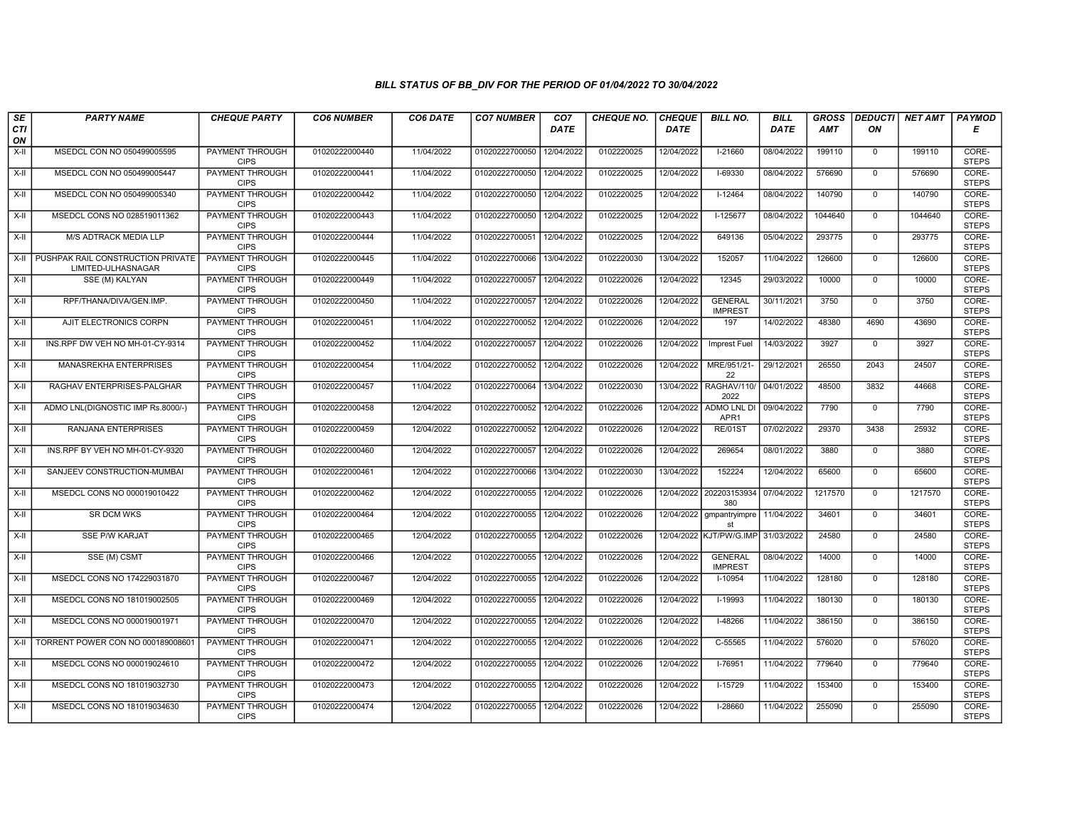| SE               | <b>PARTY NAME</b>                                            | <b>CHEQUE PARTY</b>                   | <b>CO6 NUMBER</b> | CO6 DATE   | <b>CO7 NUMBER</b> | CO <sub>7</sub> | <b>CHEQUE NO.</b> | <b>CHEQUE</b> | <b>BILL NO.</b>                  | <b>BILL</b> | <b>GROSS</b> | <b>DEDUCTI</b> | NET AMT | <b>PAYMOD</b>         |
|------------------|--------------------------------------------------------------|---------------------------------------|-------------------|------------|-------------------|-----------------|-------------------|---------------|----------------------------------|-------------|--------------|----------------|---------|-----------------------|
| <b>CTI</b><br>ON |                                                              |                                       |                   |            |                   | <b>DATE</b>     |                   | <b>DATE</b>   |                                  | DATE        | AMT          | ON             |         | Е                     |
| $X-H$            | MSEDCL CON NO 050499005595                                   | <b>PAYMENT THROUGH</b><br><b>CIPS</b> | 01020222000440    | 11/04/2022 | 01020222700050    | 12/04/2022      | 0102220025        | 12/04/2022    | $1-21660$                        | 08/04/2022  | 199110       | $\mathbf{0}$   | 199110  | CORE-<br><b>STEPS</b> |
| X-II             | MSEDCL CON NO 050499005447                                   | PAYMENT THROUGH<br><b>CIPS</b>        | 01020222000441    | 11/04/2022 | 01020222700050    | 12/04/2022      | 0102220025        | 12/04/2022    | $I-69330$                        | 08/04/2022  | 576690       | $\mathbf{0}$   | 576690  | CORE-<br><b>STEPS</b> |
| X-II             | MSEDCL CON NO 050499005340                                   | PAYMENT THROUGH<br><b>CIPS</b>        | 01020222000442    | 11/04/2022 | 01020222700050    | 12/04/2022      | 0102220025        | 12/04/2022    | $I-12464$                        | 08/04/2022  | 140790       | $\mathbf 0$    | 140790  | CORE-<br><b>STEPS</b> |
| $X-H$            | MSEDCL CONS NO 028519011362                                  | PAYMENT THROUGH<br><b>CIPS</b>        | 01020222000443    | 11/04/2022 | 01020222700050    | 12/04/2022      | 0102220025        | 12/04/2022    | $I-125677$                       | 08/04/2022  | 1044640      | $\overline{0}$ | 1044640 | CORE-<br><b>STEPS</b> |
| $X-H$            | M/S ADTRACK MEDIA LLP                                        | PAYMENT THROUGH<br><b>CIPS</b>        | 01020222000444    | 11/04/2022 | 01020222700051    | 12/04/2022      | 0102220025        | 12/04/2022    | 649136                           | 05/04/2022  | 293775       | $\mathbf{0}$   | 293775  | CORE-<br><b>STEPS</b> |
|                  | X-II PUSHPAK RAIL CONSTRUCTION PRIVATE<br>LIMITED-ULHASNAGAR | PAYMENT THROUGH<br><b>CIPS</b>        | 01020222000445    | 11/04/2022 | 01020222700066    | 13/04/2022      | 0102220030        | 13/04/2022    | 152057                           | 11/04/2022  | 126600       | $\Omega$       | 126600  | CORE-<br><b>STEPS</b> |
| $X-II$           | SSE (M) KALYAN                                               | PAYMENT THROUGH<br><b>CIPS</b>        | 01020222000449    | 11/04/2022 | 01020222700057    | 12/04/2022      | 0102220026        | 12/04/2022    | 12345                            | 29/03/2022  | 10000        | $\mathbf{0}$   | 10000   | CORE-<br><b>STEPS</b> |
| X-II             | RPF/THANA/DIVA/GEN.IMP.                                      | <b>PAYMENT THROUGH</b><br><b>CIPS</b> | 01020222000450    | 11/04/2022 | 01020222700057    | 12/04/2022      | 0102220026        | 12/04/2022    | <b>GENERAL</b><br><b>IMPREST</b> | 30/11/2021  | 3750         | $\mathbf 0$    | 3750    | CORE-<br><b>STEPS</b> |
| X-II             | AJIT ELECTRONICS CORPN                                       | <b>PAYMENT THROUGH</b><br><b>CIPS</b> | 01020222000451    | 11/04/2022 | 01020222700052    | 12/04/2022      | 0102220026        | 12/04/2022    | 197                              | 14/02/2022  | 48380        | 4690           | 43690   | CORE-<br><b>STEPS</b> |
| $X-H$            | INS.RPF DW VEH NO MH-01-CY-9314                              | <b>PAYMENT THROUGH</b><br><b>CIPS</b> | 01020222000452    | 11/04/2022 | 01020222700057    | 12/04/2022      | 0102220026        | 12/04/2022    | <b>Imprest Fuel</b>              | 14/03/2022  | 3927         | $\overline{0}$ | 3927    | CORE-<br><b>STEPS</b> |
| X-II             | MANASREKHA ENTERPRISES                                       | PAYMENT THROUGH<br><b>CIPS</b>        | 01020222000454    | 11/04/2022 | 01020222700052    | 12/04/2022      | 0102220026        | 12/04/2022    | MRE/951/21-<br>22                | 29/12/2021  | 26550        | 2043           | 24507   | CORE-<br><b>STEPS</b> |
| X-II             | RAGHAV ENTERPRISES-PALGHAR                                   | PAYMENT THROUGH<br><b>CIPS</b>        | 01020222000457    | 11/04/2022 | 01020222700064    | 13/04/2022      | 0102220030        |               | 13/04/2022 RAGHAV/110/<br>2022   | 04/01/2022  | 48500        | 3832           | 44668   | CORE-<br><b>STEPS</b> |
| X-II             | ADMO LNL(DIGNOSTIC IMP Rs.8000/-)                            | <b>PAYMENT THROUGH</b><br><b>CIPS</b> | 01020222000458    | 12/04/2022 | 01020222700052    | 12/04/2022      | 0102220026        | 12/04/2022    | <b>ADMO LNL DI</b><br>APR1       | 09/04/2022  | 7790         | $\Omega$       | 7790    | CORE-<br><b>STEPS</b> |
| X-II             | RANJANA ENTERPRISES                                          | <b>PAYMENT THROUGH</b><br><b>CIPS</b> | 01020222000459    | 12/04/2022 | 01020222700052    | 12/04/2022      | 0102220026        | 12/04/2022    | <b>RE/01ST</b>                   | 07/02/2022  | 29370        | 3438           | 25932   | CORE-<br><b>STEPS</b> |
| $X-II$           | INS.RPF BY VEH NO MH-01-CY-9320                              | PAYMENT THROUGH<br><b>CIPS</b>        | 01020222000460    | 12/04/2022 | 01020222700057    | 12/04/2022      | 0102220026        | 12/04/2022    | 269654                           | 08/01/2022  | 3880         | $\Omega$       | 3880    | CORE-<br><b>STEPS</b> |
| X-II             | SANJEEV CONSTRUCTION-MUMBAI                                  | <b>PAYMENT THROUGH</b><br><b>CIPS</b> | 01020222000461    | 12/04/2022 | 01020222700066    | 13/04/2022      | 0102220030        | 13/04/2022    | 152224                           | 12/04/2022  | 65600        | $\Omega$       | 65600   | CORE-<br><b>STEPS</b> |
| $X-H$            | MSEDCL CONS NO 000019010422                                  | <b>PAYMENT THROUGH</b><br><b>CIPS</b> | 01020222000462    | 12/04/2022 | 01020222700055    | 12/04/2022      | 0102220026        | 12/04/2022    | 202203153934<br>380              | 07/04/2022  | 1217570      | $\overline{0}$ | 1217570 | CORE-<br><b>STEPS</b> |
| $X-II$           | <b>SR DCM WKS</b>                                            | <b>PAYMENT THROUGH</b><br><b>CIPS</b> | 01020222000464    | 12/04/2022 | 01020222700055    | 12/04/2022      | 0102220026        |               | 12/04/2022 gmpantryimpre<br>st   | 11/04/2022  | 34601        | $\mathbf 0$    | 34601   | CORE-<br><b>STEPS</b> |
| X-II             | <b>SSE P/W KARJAT</b>                                        | PAYMENT THROUGH<br><b>CIPS</b>        | 01020222000465    | 12/04/2022 | 01020222700055    | 12/04/2022      | 0102220026        | 12/04/2022    | KJT/PW/G.IMP                     | 31/03/2022  | 24580        | $\mathbf{0}$   | 24580   | CORE-<br><b>STEPS</b> |
| $X-H$            | SSE (M) CSMT                                                 | <b>PAYMENT THROUGH</b><br><b>CIPS</b> | 01020222000466    | 12/04/2022 | 01020222700055    | 12/04/2022      | 0102220026        | 12/04/2022    | <b>GENERAL</b><br><b>IMPREST</b> | 08/04/2022  | 14000        | $\Omega$       | 14000   | CORE-<br><b>STEPS</b> |
| X-II             | MSEDCL CONS NO 174229031870                                  | PAYMENT THROUGH<br><b>CIPS</b>        | 01020222000467    | 12/04/2022 | 01020222700055    | 12/04/2022      | 0102220026        | 12/04/2022    | $I-10954$                        | 11/04/2022  | 128180       | $\mathbf{0}$   | 128180  | CORE-<br><b>STEPS</b> |
| $X-H$            | MSEDCL CONS NO 181019002505                                  | PAYMENT THROUGH<br><b>CIPS</b>        | 01020222000469    | 12/04/2022 | 01020222700055    | 12/04/2022      | 0102220026        | 12/04/2022    | $I-19993$                        | 11/04/2022  | 180130       | $\Omega$       | 180130  | CORE-<br><b>STEPS</b> |
| X-II             | MSEDCL CONS NO 000019001971                                  | PAYMENT THROUGH<br><b>CIPS</b>        | 01020222000470    | 12/04/2022 | 01020222700055    | 12/04/2022      | 0102220026        | 12/04/2022    | I-48266                          | 11/04/2022  | 386150       | $\mathbf 0$    | 386150  | CORE-<br><b>STEPS</b> |
| $X-II$           | TORRENT POWER CON NO 000189008601                            | PAYMENT THROUGH<br><b>CIPS</b>        | 01020222000471    | 12/04/2022 | 01020222700055    | 12/04/2022      | 0102220026        | 12/04/2022    | $C-55565$                        | 11/04/2022  | 576020       | $\mathbf{0}$   | 576020  | CORE-<br><b>STEPS</b> |
| $X-H$            | MSEDCL CONS NO 000019024610                                  | PAYMENT THROUGH<br><b>CIPS</b>        | 01020222000472    | 12/04/2022 | 01020222700055    | 12/04/2022      | 0102220026        | 12/04/2022    | $I-76951$                        | 11/04/2022  | 779640       | $\Omega$       | 779640  | CORE-<br><b>STEPS</b> |
| $X-H$            | MSEDCL CONS NO 181019032730                                  | <b>PAYMENT THROUGH</b><br><b>CIPS</b> | 01020222000473    | 12/04/2022 | 01020222700055    | 12/04/2022      | 0102220026        | 12/04/2022    | $I-15729$                        | 11/04/2022  | 153400       | $\mathbf{0}$   | 153400  | CORE-<br><b>STEPS</b> |
| X-II             | MSEDCL CONS NO 181019034630                                  | <b>PAYMENT THROUGH</b><br><b>CIPS</b> | 01020222000474    | 12/04/2022 | 01020222700055    | 12/04/2022      | 0102220026        | 12/04/2022    | $1 - 28660$                      | 11/04/2022  | 255090       | $\mathbf{0}$   | 255090  | CORE-<br><b>STEPS</b> |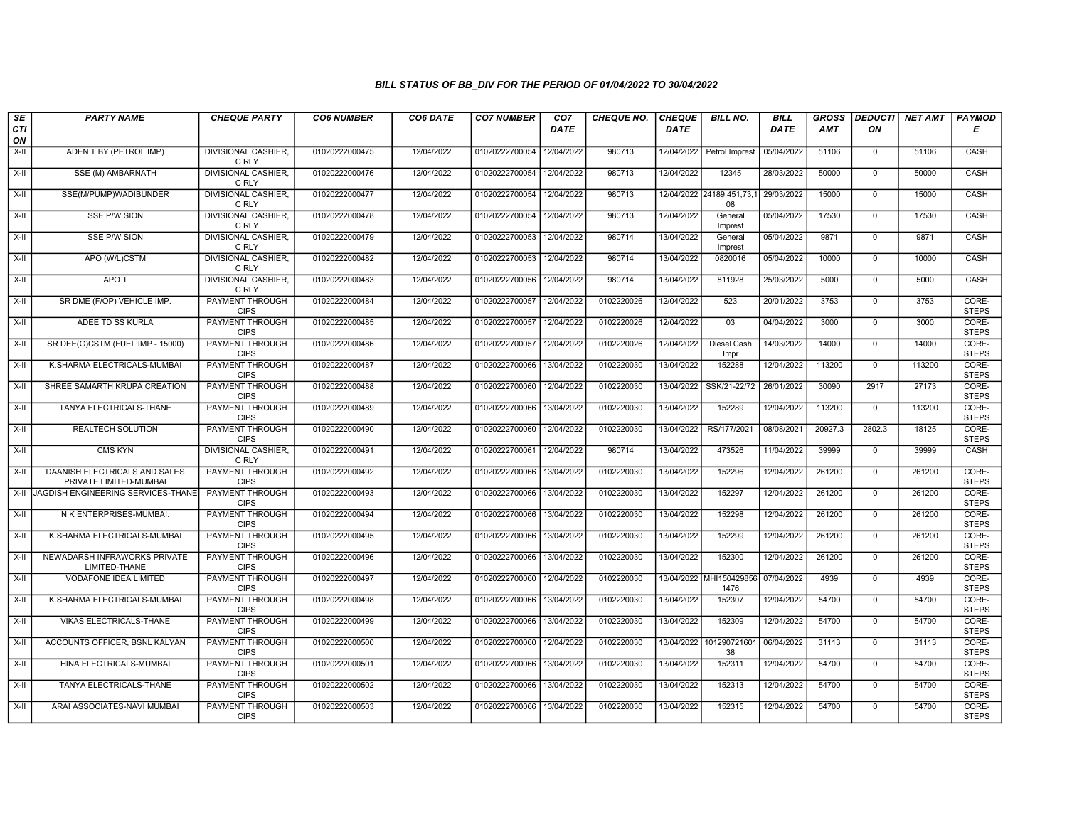| SE        | <b>PARTY NAME</b>                                       | <b>CHEQUE PARTY</b>                   | <b>CO6 NUMBER</b> | CO6 DATE   | <b>CO7 NUMBER</b>         | CO <sub>7</sub> | <b>CHEQUE NO.</b> | <b>CHEQUE</b> | <b>BILL NO.</b>                 | <b>BILL</b> | <b>GROSS</b> | <b>DEDUCTI</b> | NET AMT | <b>PAYMOD</b>         |
|-----------|---------------------------------------------------------|---------------------------------------|-------------------|------------|---------------------------|-----------------|-------------------|---------------|---------------------------------|-------------|--------------|----------------|---------|-----------------------|
| CTI<br>ON |                                                         |                                       |                   |            |                           | <b>DATE</b>     |                   | <b>DATE</b>   |                                 | DATE        | AMT          | ON             |         | E                     |
| $X-H$     | ADEN T BY (PETROL IMP)                                  | <b>DIVISIONAL CASHIER,</b><br>C RLY   | 01020222000475    | 12/04/2022 | 01020222700054            | 12/04/2022      | 980713            |               | 12/04/2022 Petrol Imprest       | 05/04/2022  | 51106        | $\mathbf{0}$   | 51106   | CASH                  |
| X-II      | SSE (M) AMBARNATH                                       | <b>DIVISIONAL CASHIER,</b><br>C RLY   | 01020222000476    | 12/04/2022 | 01020222700054 12/04/2022 |                 | 980713            | 12/04/2022    | 12345                           | 28/03/2022  | 50000        | $\mathbf 0$    | 50000   | CASH                  |
| $X-H$     | SSE(M/PUMP)WADIBUNDER                                   | <b>DIVISIONAL CASHIER.</b><br>C RLY   | 01020222000477    | 12/04/2022 | 01020222700054 12/04/2022 |                 | 980713            |               | 12/04/2022 24189,451,73,<br>08  | 29/03/2022  | 15000        | $\mathbf 0$    | 15000   | CASH                  |
| $X-II$    | <b>SSE P/W SION</b>                                     | DIVISIONAL CASHIER,<br>C RLY          | 01020222000478    | 12/04/2022 | 01020222700054 12/04/2022 |                 | 980713            | 12/04/2022    | General<br>Imprest              | 05/04/2022  | 17530        | $\overline{0}$ | 17530   | CASH                  |
| $X-H$     | <b>SSE P/W SION</b>                                     | <b>DIVISIONAL CASHIER.</b><br>C RLY   | 01020222000479    | 12/04/2022 | 01020222700053 12/04/2022 |                 | 980714            | 13/04/2022    | General<br>Imprest              | 05/04/2022  | 9871         | $\mathbf 0$    | 9871    | CASH                  |
| X-II      | APO (W/L)CSTM                                           | <b>DIVISIONAL CASHIER,</b><br>C RLY   | 01020222000482    | 12/04/2022 | 01020222700053 12/04/2022 |                 | 980714            | 13/04/2022    | 0820016                         | 05/04/2022  | 10000        | $\Omega$       | 10000   | <b>CASH</b>           |
| X-II      | APO T                                                   | DIVISIONAL CASHIER,<br>C RLY          | 01020222000483    | 12/04/2022 | 01020222700056            | 12/04/2022      | 980714            | 13/04/2022    | 811928                          | 25/03/2022  | 5000         | $\mathbf{0}$   | 5000    | CASH                  |
| X-II      | SR DME (F/OP) VEHICLE IMP.                              | PAYMENT THROUGH<br><b>CIPS</b>        | 01020222000484    | 12/04/2022 | 01020222700057            | 12/04/2022      | 0102220026        | 12/04/2022    | 523                             | 20/01/2022  | 3753         | $\mathbf 0$    | 3753    | CORE-<br><b>STEPS</b> |
| X-II      | ADEE TD SS KURLA                                        | <b>PAYMENT THROUGH</b><br><b>CIPS</b> | 01020222000485    | 12/04/2022 | 01020222700057            | 12/04/2022      | 0102220026        | 12/04/2022    | 03                              | 04/04/2022  | 3000         | $\mathbf 0$    | 3000    | CORE-<br><b>STEPS</b> |
| $X-H$     | SR DEE(G)CSTM (FUEL IMP - 15000)                        | PAYMENT THROUGH<br><b>CIPS</b>        | 01020222000486    | 12/04/2022 | 01020222700057            | 12/04/2022      | 0102220026        | 12/04/2022    | <b>Diesel Cash</b><br>Impr      | 14/03/2022  | 14000        | $\overline{0}$ | 14000   | CORE-<br><b>STEPS</b> |
| X-II      | K.SHARMA ELECTRICALS-MUMBAI                             | <b>PAYMENT THROUGH</b><br><b>CIPS</b> | 01020222000487    | 12/04/2022 | 01020222700066            | 13/04/2022      | 0102220030        | 13/04/2022    | 152288                          | 12/04/2022  | 113200       | $\mathbf{0}$   | 113200  | CORE-<br><b>STEPS</b> |
| $X-II$    | SHREE SAMARTH KRUPA CREATION                            | <b>PAYMENT THROUGH</b><br><b>CIPS</b> | 01020222000488    | 12/04/2022 | 01020222700060            | 12/04/2022      | 0102220030        | 13/04/2022    | SSK/21-22/72                    | 26/01/2022  | 30090        | 2917           | 27173   | CORE-<br><b>STEPS</b> |
| X-II      | TANYA ELECTRICALS-THANE                                 | <b>PAYMENT THROUGH</b><br><b>CIPS</b> | 01020222000489    | 12/04/2022 | 01020222700066 13/04/2022 |                 | 0102220030        | 13/04/2022    | 152289                          | 12/04/2022  | 113200       | $\mathbf 0$    | 113200  | CORE-<br><b>STEPS</b> |
| $X-H$     | <b>REALTECH SOLUTION</b>                                | <b>PAYMENT THROUGH</b><br><b>CIPS</b> | 01020222000490    | 12/04/2022 | 01020222700060            | 12/04/2022      | 0102220030        | 13/04/2022    | RS/177/2021                     | 08/08/2021  | 20927.3      | 2802.3         | 18125   | CORE-<br><b>STEPS</b> |
| $X-II$    | <b>CMS KYN</b>                                          | <b>DIVISIONAL CASHIER,</b><br>C RLY   | 01020222000491    | 12/04/2022 | 01020222700061            | 12/04/2022      | 980714            | 13/04/2022    | 473526                          | 11/04/2022  | 39999        | $\mathbf{0}$   | 39999   | CASH                  |
| $X-II$    | DAANISH ELECTRICALS AND SALES<br>PRIVATE LIMITED-MUMBAI | <b>PAYMENT THROUGH</b><br><b>CIPS</b> | 01020222000492    | 12/04/2022 | 01020222700066            | 13/04/2022      | 0102220030        | 13/04/2022    | 152296                          | 12/04/2022  | 261200       | $\Omega$       | 261200  | CORE-<br><b>STEPS</b> |
| X-II      | JAGDISH ENGINEERING SERVICES-THANE                      | <b>PAYMENT THROUGH</b><br><b>CIPS</b> | 01020222000493    | 12/04/2022 | 01020222700066            | 13/04/2022      | 0102220030        | 13/04/2022    | 152297                          | 12/04/2022  | 261200       | $\mathbf{0}$   | 261200  | CORE-<br><b>STEPS</b> |
| $X-H$     | N K ENTERPRISES-MUMBAL                                  | <b>PAYMENT THROUGH</b><br><b>CIPS</b> | 01020222000494    | 12/04/2022 | 01020222700066            | 13/04/2022      | 0102220030        | 13/04/2022    | 152298                          | 12/04/2022  | 261200       | $\overline{0}$ | 261200  | CORE-<br><b>STEPS</b> |
| X-II      | K.SHARMA ELECTRICALS-MUMBAI                             | <b>PAYMENT THROUGH</b><br><b>CIPS</b> | 01020222000495    | 12/04/2022 | 01020222700066            | 13/04/2022      | 0102220030        | 13/04/2022    | 152299                          | 12/04/2022  | 261200       | $\mathbf{0}$   | 261200  | CORE-<br><b>STEPS</b> |
| $X-H$     | NEWADARSH INFRAWORKS PRIVATE<br>LIMITED-THANE           | <b>PAYMENT THROUGH</b><br><b>CIPS</b> | 01020222000496    | 12/04/2022 | 01020222700066            | 13/04/2022      | 0102220030        | 13/04/2022    | 152300                          | 12/04/2022  | 261200       | $\Omega$       | 261200  | CORE-<br><b>STEPS</b> |
| X-II      | VODAFONE IDEA LIMITED                                   | <b>PAYMENT THROUGH</b><br><b>CIPS</b> | 01020222000497    | 12/04/2022 | 01020222700060            | 12/04/2022      | 0102220030        |               | 13/04/2022 MHI150429856<br>1476 | 07/04/2022  | 4939         | $\mathbf{0}$   | 4939    | CORE-<br><b>STEPS</b> |
| X-II      | K.SHARMA ELECTRICALS-MUMBAI                             | <b>PAYMENT THROUGH</b><br><b>CIPS</b> | 01020222000498    | 12/04/2022 | 01020222700066 13/04/2022 |                 | 0102220030        | 13/04/2022    | 152307                          | 12/04/2022  | 54700        | $\mathbf 0$    | 54700   | CORE-<br><b>STEPS</b> |
| X-II      | VIKAS ELECTRICALS-THANE                                 | <b>PAYMENT THROUGH</b><br><b>CIPS</b> | 01020222000499    | 12/04/2022 | 01020222700066            | 13/04/2022      | 0102220030        | 13/04/2022    | 152309                          | 12/04/2022  | 54700        | $\mathbf 0$    | 54700   | CORE-<br><b>STEPS</b> |
| X-II      | ACCOUNTS OFFICER, BSNL KALYAN                           | <b>PAYMENT THROUGH</b><br><b>CIPS</b> | 01020222000500    | 12/04/2022 | 01020222700060            | 12/04/2022      | 0102220030        | 13/04/2022    | 101290721601<br>38              | 06/04/2022  | 31113        | $\mathbf{0}$   | 31113   | CORE-<br><b>STEPS</b> |
| $X-II$    | HINA ELECTRICALS-MUMBAI                                 | <b>PAYMENT THROUGH</b><br><b>CIPS</b> | 01020222000501    | 12/04/2022 | 01020222700066            | 13/04/2022      | 0102220030        | 13/04/2022    | 152311                          | 12/04/2022  | 54700        | $\Omega$       | 54700   | CORE-<br><b>STEPS</b> |
| $X-H$     | TANYA ELECTRICALS-THANE                                 | <b>PAYMENT THROUGH</b><br><b>CIPS</b> | 01020222000502    | 12/04/2022 | 01020222700066 13/04/2022 |                 | 0102220030        | 13/04/2022    | 152313                          | 12/04/2022  | 54700        | $\mathbf 0$    | 54700   | CORE-<br><b>STEPS</b> |
| X-II      | ARAI ASSOCIATES-NAVI MUMBAI                             | <b>PAYMENT THROUGH</b><br><b>CIPS</b> | 01020222000503    | 12/04/2022 | 01020222700066 13/04/2022 |                 | 0102220030        | 13/04/2022    | 152315                          | 12/04/2022  | 54700        | $\mathbf 0$    | 54700   | CORE-<br><b>STEPS</b> |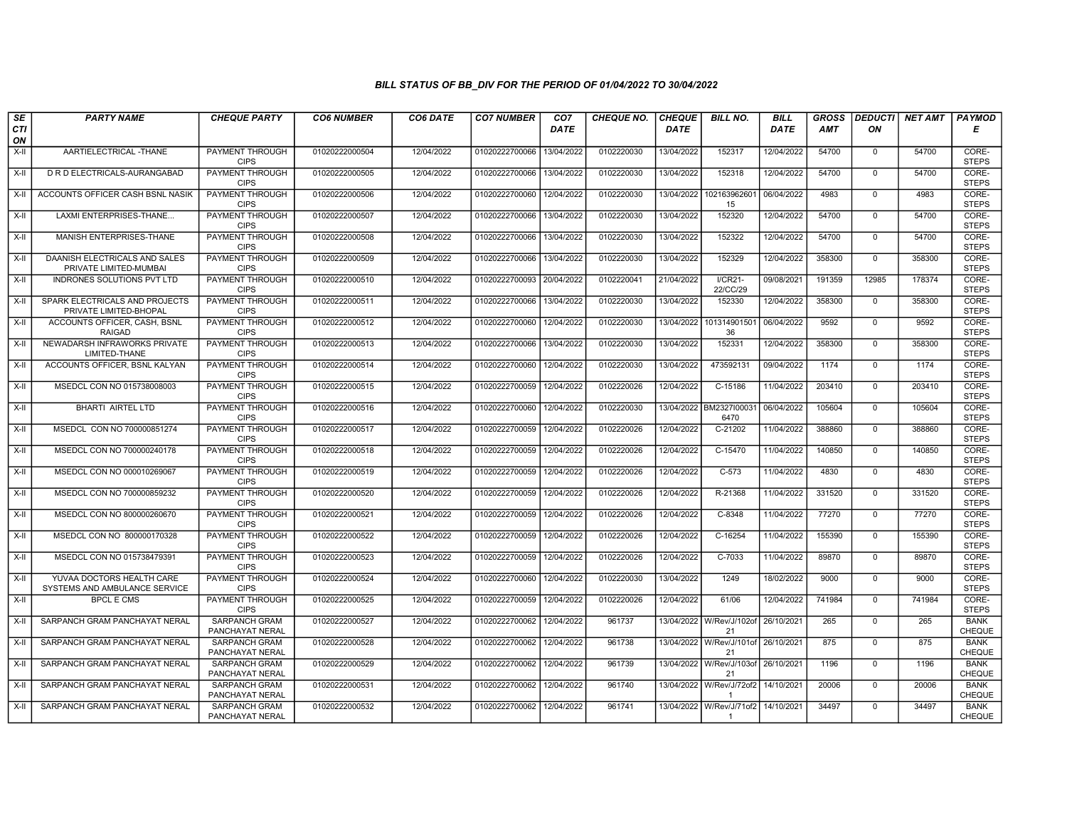| SE               | <b>PARTY NAME</b>                                          | <b>CHEQUE PARTY</b>                     | <b>CO6 NUMBER</b> | CO6 DATE   | <b>CO7 NUMBER</b>         | CO <sub>7</sub> | <b>CHEQUE NO.</b> | <b>CHEQUE</b> | <b>BILL NO.</b>                | <b>BILL</b> | <b>GROSS</b> |              | <b>DEDUCTI NET AMT</b> | <b>PAYMOD</b>                |
|------------------|------------------------------------------------------------|-----------------------------------------|-------------------|------------|---------------------------|-----------------|-------------------|---------------|--------------------------------|-------------|--------------|--------------|------------------------|------------------------------|
| <b>CTI</b><br>ON |                                                            |                                         |                   |            |                           | <b>DATE</b>     |                   | <b>DATE</b>   |                                | <b>DATE</b> | AMT          | ON           |                        | Е                            |
| $X-H$            | AARTIELECTRICAL -THANE                                     | <b>PAYMENT THROUGH</b><br><b>CIPS</b>   | 01020222000504    | 12/04/2022 | 01020222700066            | 13/04/2022      | 0102220030        | 13/04/2022    | 152317                         | 12/04/2022  | 54700        | $\mathbf{0}$ | 54700                  | CORE-<br><b>STEPS</b>        |
| X-II             | D R D ELECTRICALS-AURANGABAD                               | <b>PAYMENT THROUGH</b><br><b>CIPS</b>   | 01020222000505    | 12/04/2022 | 01020222700066            | 13/04/2022      | 0102220030        | 13/04/2022    | 152318                         | 12/04/2022  | 54700        | $\mathbf 0$  | 54700                  | CORE-<br><b>STEPS</b>        |
| $X-I$            | ACCOUNTS OFFICER CASH BSNL NASIK                           | PAYMENT THROUGH<br><b>CIPS</b>          | 01020222000506    | 12/04/2022 | 01020222700060            | 12/04/2022      | 0102220030        | 13/04/2022    | 102163962601<br>15             | 06/04/2022  | 4983         | $\mathbf 0$  | 4983                   | CORE-<br><b>STEPS</b>        |
| X-II             | LAXMI ENTERPRISES-THANE                                    | <b>PAYMENT THROUGH</b><br><b>CIPS</b>   | 01020222000507    | 12/04/2022 | 01020222700066            | 13/04/2022      | 0102220030        | 13/04/2022    | 152320                         | 12/04/2022  | 54700        | $\mathbf 0$  | 54700                  | CORE-<br><b>STEPS</b>        |
| $X-H$            | MANISH ENTERPRISES-THANE                                   | <b>PAYMENT THROUGH</b><br><b>CIPS</b>   | 01020222000508    | 12/04/2022 | 01020222700066            | 13/04/2022      | 0102220030        | 13/04/2022    | 152322                         | 12/04/2022  | 54700        | $\mathbf 0$  | 54700                  | CORE-<br><b>STEPS</b>        |
| X-II             | DAANISH ELECTRICALS AND SALES<br>PRIVATE LIMITED-MUMBAI    | <b>PAYMENT THROUGH</b><br><b>CIPS</b>   | 01020222000509    | 12/04/2022 | 01020222700066            | 13/04/2022      | 0102220030        | 13/04/2022    | 152329                         | 12/04/2022  | 358300       | $\Omega$     | 358300                 | CORE-<br><b>STEPS</b>        |
| X-II             | INDRONES SOLUTIONS PVT LTD                                 | PAYMENT THROUGH<br><b>CIPS</b>          | 01020222000510    | 12/04/2022 | 01020222700093            | 20/04/2022      | 0102220041        | 21/04/2022    | $I/CR21-$<br>22/CC/29          | 09/08/2021  | 191359       | 12985        | 178374                 | CORE-<br><b>STEPS</b>        |
| X-II             | SPARK ELECTRICALS AND PROJECTS<br>PRIVATE LIMITED-BHOPAL   | <b>PAYMENT THROUGH</b><br><b>CIPS</b>   | 01020222000511    | 12/04/2022 | 01020222700066            | 13/04/2022      | 0102220030        | 13/04/2022    | 152330                         | 12/04/2022  | 358300       | $\mathbf 0$  | 358300                 | CORE-<br><b>STEPS</b>        |
| X-II             | ACCOUNTS OFFICER, CASH, BSNL<br><b>RAIGAD</b>              | <b>PAYMENT THROUGH</b><br><b>CIPS</b>   | 01020222000512    | 12/04/2022 | 01020222700060            | 12/04/2022      | 0102220030        | 13/04/2022    | 101314901501<br>36             | 06/04/2022  | 9592         | $\mathbf 0$  | 9592                   | CORE-<br><b>STEPS</b>        |
| $X-H$            | NEWADARSH INFRAWORKS PRIVATE<br>LIMITED-THANE              | <b>PAYMENT THROUGH</b><br><b>CIPS</b>   | 01020222000513    | 12/04/2022 | 01020222700066            | 13/04/2022      | 0102220030        | 13/04/2022    | 152331                         | 12/04/2022  | 358300       | $\Omega$     | 358300                 | CORE-<br><b>STEPS</b>        |
| X-II             | ACCOUNTS OFFICER, BSNL KALYAN                              | PAYMENT THROUGH<br><b>CIPS</b>          | 01020222000514    | 12/04/2022 | 01020222700060            | 12/04/2022      | 0102220030        | 13/04/2022    | 473592131                      | 09/04/2022  | 1174         | $\mathbf 0$  | 1174                   | CORE-<br><b>STEPS</b>        |
| $X-H$            | MSEDCL CON NO 015738008003                                 | <b>PAYMENT THROUGH</b><br><b>CIPS</b>   | 01020222000515    | 12/04/2022 | 01020222700059            | 12/04/2022      | 0102220026        | 12/04/2022    | $C-15186$                      | 11/04/2022  | 203410       | $\Omega$     | 203410                 | CORE-<br><b>STEPS</b>        |
| X-II             | BHARTI AIRTEL LTD                                          | <b>PAYMENT THROUGH</b><br><b>CIPS</b>   | 01020222000516    | 12/04/2022 | 01020222700060            | 12/04/2022      | 0102220030        | 13/04/2022    | BM2327I00031<br>6470           | 06/04/2022  | 105604       | $\mathbf 0$  | 105604                 | CORE-<br><b>STEPS</b>        |
| X-II             | MSEDCL CON NO 700000851274                                 | <b>PAYMENT THROUGH</b><br><b>CIPS</b>   | 01020222000517    | 12/04/2022 | 01020222700059            | 12/04/2022      | 0102220026        | 12/04/2022    | $C-21202$                      | 11/04/2022  | 388860       | $\mathbf{0}$ | 388860                 | CORE-<br><b>STEPS</b>        |
| $X-H$            | MSEDCL CON NO 700000240178                                 | <b>PAYMENT THROUGH</b><br><b>CIPS</b>   | 01020222000518    | 12/04/2022 | 01020222700059            | 12/04/2022      | 0102220026        | 12/04/2022    | C-15470                        | 11/04/2022  | 140850       | $\mathbf 0$  | 140850                 | CORE-<br><b>STEPS</b>        |
| $X-H$            | MSEDCL CON NO 000010269067                                 | <b>PAYMENT THROUGH</b><br><b>CIPS</b>   | 01020222000519    | 12/04/2022 | 01020222700059            | 12/04/2022      | 0102220026        | 12/04/2022    | $C-573$                        | 11/04/2022  | 4830         | $\Omega$     | 4830                   | CORE-<br><b>STEPS</b>        |
| X-II             | MSEDCL CON NO 700000859232                                 | <b>PAYMENT THROUGH</b><br><b>CIPS</b>   | 01020222000520    | 12/04/2022 | 01020222700059            | 12/04/2022      | 0102220026        | 12/04/2022    | R-21368                        | 11/04/2022  | 331520       | $\mathbf{0}$ | 331520                 | CORE-<br><b>STEPS</b>        |
| $X-H$            | MSEDCL CON NO 800000260670                                 | <b>PAYMENT THROUGH</b><br><b>CIPS</b>   | 01020222000521    | 12/04/2022 | 01020222700059            | 12/04/2022      | 0102220026        | 12/04/2022    | $C-8348$                       | 11/04/2022  | 77270        | $\Omega$     | 77270                  | CORE-<br><b>STEPS</b>        |
| X-II             | MSEDCL CON NO 800000170328                                 | PAYMENT THROUGH<br><b>CIPS</b>          | 01020222000522    | 12/04/2022 | 01020222700059            | 12/04/2022      | 0102220026        | 12/04/2022    | C-16254                        | 11/04/2022  | 155390       | $\mathbf 0$  | 155390                 | CORE-<br><b>STEPS</b>        |
| $X-H$            | MSEDCL CON NO 015738479391                                 | PAYMENT THROUGH<br><b>CIPS</b>          | 01020222000523    | 12/04/2022 | 01020222700059            | 12/04/2022      | 0102220026        | 12/04/2022    | C-7033                         | 11/04/2022  | 89870        | $\Omega$     | 89870                  | CORE-<br><b>STEPS</b>        |
| $X-H$            | YUVAA DOCTORS HEALTH CARE<br>SYSTEMS AND AMBULANCE SERVICE | PAYMENT THROUGH<br><b>CIPS</b>          | 01020222000524    | 12/04/2022 | 01020222700060            | 12/04/2022      | 0102220030        | 13/04/2022    | 1249                           | 18/02/2022  | 9000         | $\mathbf 0$  | 9000                   | CORE-<br><b>STEPS</b>        |
| X-II             | <b>BPCL E CMS</b>                                          | <b>PAYMENT THROUGH</b><br><b>CIPS</b>   | 01020222000525    | 12/04/2022 | 01020222700059            | 12/04/2022      | 0102220026        | 12/04/2022    | 61/06                          | 12/04/2022  | 741984       | $\mathbf 0$  | 741984                 | CORE-<br><b>STEPS</b>        |
| X-II             | SARPANCH GRAM PANCHAYAT NERAL                              | SARPANCH GRAM<br>PANCHAYAT NERAL        | 01020222000527    | 12/04/2022 | 01020222700062            | 12/04/2022      | 961737            | 13/04/2022    | W/Rev/J/102of<br>21            | 26/10/2021  | 265          | $\mathbf 0$  | 265                    | <b>BANK</b><br><b>CHEQUE</b> |
| X-II             | SARPANCH GRAM PANCHAYAT NERAL                              | <b>SARPANCH GRAM</b><br>PANCHAYAT NERAL | 01020222000528    | 12/04/2022 | 01020222700062            | 12/04/2022      | 961738            |               | 13/04/2022 W/Rev/J/101of<br>21 | 26/10/2021  | 875          | $\mathbf{0}$ | 875                    | <b>BANK</b><br><b>CHEQUE</b> |
| X-II             | SARPANCH GRAM PANCHAYAT NERAL                              | SARPANCH GRAM<br>PANCHAYAT NERAL        | 01020222000529    | 12/04/2022 | 01020222700062            | 12/04/2022      | 961739            |               | 13/04/2022 W/Rev/J/103of<br>21 | 26/10/2021  | 1196         | $\Omega$     | 1196                   | <b>BANK</b><br><b>CHEQUE</b> |
| $X-H$            | SARPANCH GRAM PANCHAYAT NERAL                              | SARPANCH GRAM<br>PANCHAYAT NERAL        | 01020222000531    | 12/04/2022 | 01020222700062            | 12/04/2022      | 961740            |               | 13/04/2022 W/Rev/J/72of2       | 14/10/2021  | 20006        | $\mathbf 0$  | 20006                  | <b>BANK</b><br><b>CHEQUE</b> |
| X-II             | SARPANCH GRAM PANCHAYAT NERAL                              | SARPANCH GRAM<br>PANCHAYAT NERAL        | 01020222000532    | 12/04/2022 | 01020222700062 12/04/2022 |                 | 961741            | 13/04/2022    | W/Rev/J/71of2<br>-1            | 14/10/2021  | 34497        | $\mathbf 0$  | 34497                  | <b>BANK</b><br><b>CHEQUE</b> |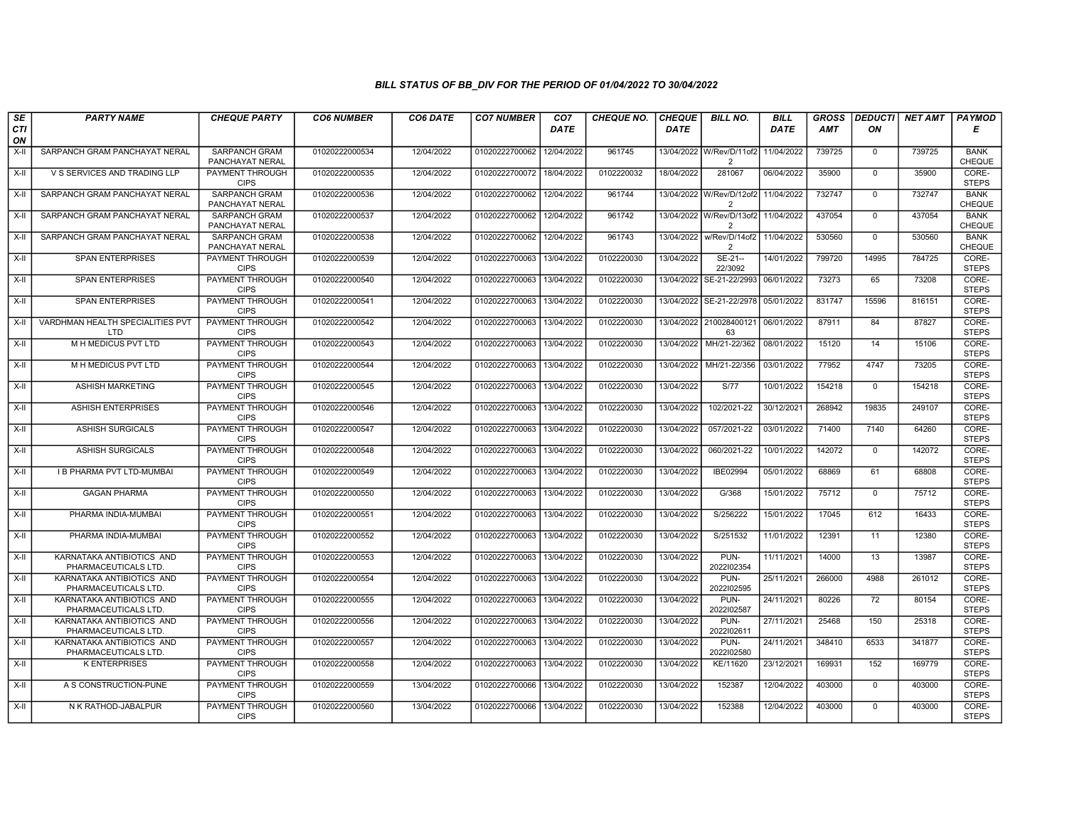| SE        | <b>PARTY NAME</b>                                 | <b>CHEQUE PARTY</b>                     | <b>CO6 NUMBER</b> | CO6 DATE   | <b>CO7 NUMBER</b>         | CO <sub>7</sub> | <b>CHEQUE NO.</b> | <b>CHEQUE</b> | <b>BILL NO.</b>                            | <b>BILL</b> | <b>GROSS</b> | <b>DEDUCTI</b> | NET AMT | <b>PAYMOD</b>                |
|-----------|---------------------------------------------------|-----------------------------------------|-------------------|------------|---------------------------|-----------------|-------------------|---------------|--------------------------------------------|-------------|--------------|----------------|---------|------------------------------|
| CTI<br>ON |                                                   |                                         |                   |            |                           | <b>DATE</b>     |                   | DATE          |                                            | <b>DATE</b> | AMT          | ON             |         | Е                            |
| $X-H$     | SARPANCH GRAM PANCHAYAT NERAL                     | <b>SARPANCH GRAM</b><br>PANCHAYAT NERAL | 01020222000534    | 12/04/2022 | 01020222700062            | 12/04/2022      | 961745            |               | 13/04/2022 W/Rev/D/11of2<br>$\overline{2}$ | 11/04/2022  | 739725       | $\mathbf 0$    | 739725  | <b>BANK</b><br><b>CHEQUE</b> |
| X-II      | V S SERVICES AND TRADING LLP                      | <b>PAYMENT THROUGH</b><br><b>CIPS</b>   | 01020222000535    | 12/04/2022 | 01020222700072            | 18/04/2022      | 0102220032        | 18/04/2022    | 281067                                     | 06/04/2022  | 35900        | $\mathbf 0$    | 35900   | CORE-<br><b>STEPS</b>        |
| X-II      | SARPANCH GRAM PANCHAYAT NERAL                     | SARPANCH GRAM<br>PANCHAYAT NERAL        | 01020222000536    | 12/04/2022 | 01020222700062            | 12/04/2022      | 961744            | 13/04/2022    | W/Rev/D/12of2<br>$\overline{2}$            | 11/04/2022  | 732747       | $\mathbf 0$    | 732747  | <b>BANK</b><br><b>CHEQUE</b> |
| X-II      | SARPANCH GRAM PANCHAYAT NERAL                     | <b>SARPANCH GRAM</b><br>PANCHAYAT NERAL | 01020222000537    | 12/04/2022 | 01020222700062            | 12/04/2022      | 961742            | 13/04/2022    | W/Rev/D/13of2<br>$\overline{2}$            | 11/04/2022  | 437054       | $\mathbf 0$    | 437054  | <b>BANK</b><br>CHEQUE        |
| $X-H$     | SARPANCH GRAM PANCHAYAT NERAL                     | <b>SARPANCH GRAM</b><br>PANCHAYAT NERAL | 01020222000538    | 12/04/2022 | 01020222700062            | 12/04/2022      | 961743            | 13/04/2022    | w/Rev/D/14of2<br>2                         | 11/04/2022  | 530560       | $\mathbf 0$    | 530560  | <b>BANK</b><br><b>CHEQUE</b> |
| X-II      | <b>SPAN ENTERPRISES</b>                           | PAYMENT THROUGH<br><b>CIPS</b>          | 01020222000539    | 12/04/2022 | 01020222700063            | 13/04/2022      | 0102220030        | 13/04/2022    | $SE-21-$<br>22/3092                        | 14/01/2022  | 799720       | 14995          | 784725  | CORE-<br><b>STEPS</b>        |
| X-II      | <b>SPAN ENTERPRISES</b>                           | PAYMENT THROUGH<br><b>CIPS</b>          | 01020222000540    | 12/04/2022 | 01020222700063            | 13/04/2022      | 0102220030        | 13/04/2022    | SE-21-22/2993                              | 06/01/2022  | 73273        | 65             | 73208   | CORE-<br><b>STEPS</b>        |
| X-II      | <b>SPAN ENTERPRISES</b>                           | PAYMENT THROUGH<br><b>CIPS</b>          | 01020222000541    | 12/04/2022 | 01020222700063            | 13/04/2022      | 0102220030        | 13/04/2022    | SE-21-22/2978                              | 05/01/2022  | 831747       | 15596          | 816151  | CORE-<br><b>STEPS</b>        |
| X-II      | VARDHMAN HEALTH SPECIALITIES PVT<br>LTD           | PAYMENT THROUGH<br><b>CIPS</b>          | 01020222000542    | 12/04/2022 | 01020222700063            | 13/04/2022      | 0102220030        | 13/04/2022    | 210028400121<br>63                         | 06/01/2022  | 87911        | 84             | 87827   | CORE-<br><b>STEPS</b>        |
| $X-H$     | M H MEDICUS PVT LTD                               | <b>PAYMENT THROUGH</b><br><b>CIPS</b>   | 01020222000543    | 12/04/2022 | 01020222700063            | 13/04/2022      | 0102220030        |               | 13/04/2022 MH/21-22/362                    | 08/01/2022  | 15120        | 14             | 15106   | CORE-<br><b>STEPS</b>        |
| X-II      | M H MEDICUS PVT LTD                               | PAYMENT THROUGH<br><b>CIPS</b>          | 01020222000544    | 12/04/2022 | 01020222700063            | 13/04/2022      | 0102220030        | 13/04/2022    | MH/21-22/356                               | 03/01/2022  | 77952        | 4747           | 73205   | CORE-<br><b>STEPS</b>        |
| $X-II$    | <b>ASHISH MARKETING</b>                           | <b>PAYMENT THROUGH</b><br><b>CIPS</b>   | 01020222000545    | 12/04/2022 | 01020222700063            | 13/04/2022      | 0102220030        | 13/04/2022    | S/77                                       | 10/01/2022  | 154218       | $\Omega$       | 154218  | CORE-<br><b>STEPS</b>        |
| X-II      | <b>ASHISH ENTERPRISES</b>                         | <b>PAYMENT THROUGH</b><br><b>CIPS</b>   | 01020222000546    | 12/04/2022 | 01020222700063            | 13/04/2022      | 0102220030        | 13/04/2022    | 102/2021-22                                | 30/12/2021  | 268942       | 19835          | 249107  | CORE-<br><b>STEPS</b>        |
| $X-H$     | <b>ASHISH SURGICALS</b>                           | <b>PAYMENT THROUGH</b><br><b>CIPS</b>   | 01020222000547    | 12/04/2022 | 01020222700063            | 13/04/2022      | 0102220030        | 13/04/2022    | 057/2021-22                                | 03/01/2022  | 71400        | 7140           | 64260   | CORE-<br><b>STEPS</b>        |
| X-II      | <b>ASHISH SURGICALS</b>                           | PAYMENT THROUGH<br><b>CIPS</b>          | 01020222000548    | 12/04/2022 | 01020222700063            | 13/04/2022      | 0102220030        | 13/04/2022    | 060/2021-22                                | 10/01/2022  | 142072       | $\mathbf 0$    | 142072  | CORE-<br><b>STEPS</b>        |
| $X-II$    | <b>I B PHARMA PVT LTD-MUMBAI</b>                  | <b>PAYMENT THROUGH</b><br><b>CIPS</b>   | 01020222000549    | 12/04/2022 | 01020222700063            | 13/04/2022      | 0102220030        | 13/04/2022    | IBE02994                                   | 05/01/2022  | 68869        | 61             | 68808   | CORE-<br><b>STEPS</b>        |
| X-II      | <b>GAGAN PHARMA</b>                               | <b>PAYMENT THROUGH</b><br><b>CIPS</b>   | 01020222000550    | 12/04/2022 | 01020222700063            | 13/04/2022      | 0102220030        | 13/04/2022    | G/368                                      | 15/01/2022  | 75712        | $\mathbf 0$    | 75712   | CORE-<br><b>STEPS</b>        |
| $X-H$     | PHARMA INDIA-MUMBAI                               | <b>PAYMENT THROUGH</b><br><b>CIPS</b>   | 01020222000551    | 12/04/2022 | 01020222700063            | 13/04/2022      | 0102220030        | 13/04/2022    | S/256222                                   | 15/01/2022  | 17045        | 612            | 16433   | CORE-<br><b>STEPS</b>        |
| X-II      | PHARMA INDIA-MUMBAI                               | PAYMENT THROUGH<br><b>CIPS</b>          | 01020222000552    | 12/04/2022 | 01020222700063            | 13/04/2022      | 0102220030        | 13/04/2022    | S/251532                                   | 11/01/2022  | 12391        | 11             | 12380   | CORE-<br><b>STEPS</b>        |
| $X-H$     | KARNATAKA ANTIBIOTICS AND<br>PHARMACEUTICALS LTD. | <b>PAYMENT THROUGH</b><br><b>CIPS</b>   | 01020222000553    | 12/04/2022 | 01020222700063            | 13/04/2022      | 0102220030        | 13/04/2022    | PUN-<br>2022102354                         | 11/11/2021  | 14000        | 13             | 13987   | CORE-<br><b>STEPS</b>        |
| X-II      | KARNATAKA ANTIBIOTICS AND<br>PHARMACEUTICALS LTD. | PAYMENT THROUGH<br><b>CIPS</b>          | 01020222000554    | 12/04/2022 | 01020222700063            | 13/04/2022      | 0102220030        | 13/04/2022    | PUN-<br>2022102595                         | 25/11/2021  | 266000       | 4988           | 261012  | CORE-<br><b>STEPS</b>        |
| X-II      | KARNATAKA ANTIBIOTICS AND<br>PHARMACEUTICALS LTD. | <b>PAYMENT THROUGH</b><br><b>CIPS</b>   | 01020222000555    | 12/04/2022 | 01020222700063            | 13/04/2022      | 0102220030        | 13/04/2022    | PUN-<br>2022102587                         | 24/11/2021  | 80226        | 72             | 80154   | CORE-<br><b>STEPS</b>        |
| X-II      | KARNATAKA ANTIBIOTICS AND<br>PHARMACEUTICALS LTD. | PAYMENT THROUGH<br><b>CIPS</b>          | 01020222000556    | 12/04/2022 | 01020222700063            | 13/04/2022      | 0102220030        | 13/04/2022    | PUN-<br>2022102611                         | 27/11/2021  | 25468        | 150            | 25318   | CORE-<br><b>STEPS</b>        |
| X-II      | KARNATAKA ANTIBIOTICS AND<br>PHARMACEUTICALS LTD. | PAYMENT THROUGH<br><b>CIPS</b>          | 01020222000557    | 12/04/2022 | 01020222700063            | 13/04/2022      | 0102220030        | 13/04/2022    | PUN-<br>2022102580                         | 24/11/2021  | 348410       | 6533           | 341877  | CORE-<br><b>STEPS</b>        |
| $X-H$     | <b>K ENTERPRISES</b>                              | PAYMENT THROUGH<br><b>CIPS</b>          | 01020222000558    | 12/04/2022 | 01020222700063            | 13/04/2022      | 0102220030        | 13/04/2022    | KE/11620                                   | 23/12/2021  | 169931       | 152            | 169779  | CORE-<br><b>STEPS</b>        |
| $X-H$     | A S CONSTRUCTION-PUNE                             | <b>PAYMENT THROUGH</b><br><b>CIPS</b>   | 01020222000559    | 13/04/2022 | 01020222700066            | 13/04/2022      | 0102220030        | 13/04/2022    | 152387                                     | 12/04/2022  | 403000       | $\mathbf 0$    | 403000  | CORE-<br><b>STEPS</b>        |
| X-II      | N K RATHOD-JABALPUR                               | <b>PAYMENT THROUGH</b><br><b>CIPS</b>   | 01020222000560    | 13/04/2022 | 01020222700066 13/04/2022 |                 | 0102220030        | 13/04/2022    | 152388                                     | 12/04/2022  | 403000       | $\mathbf 0$    | 403000  | CORE-<br><b>STEPS</b>        |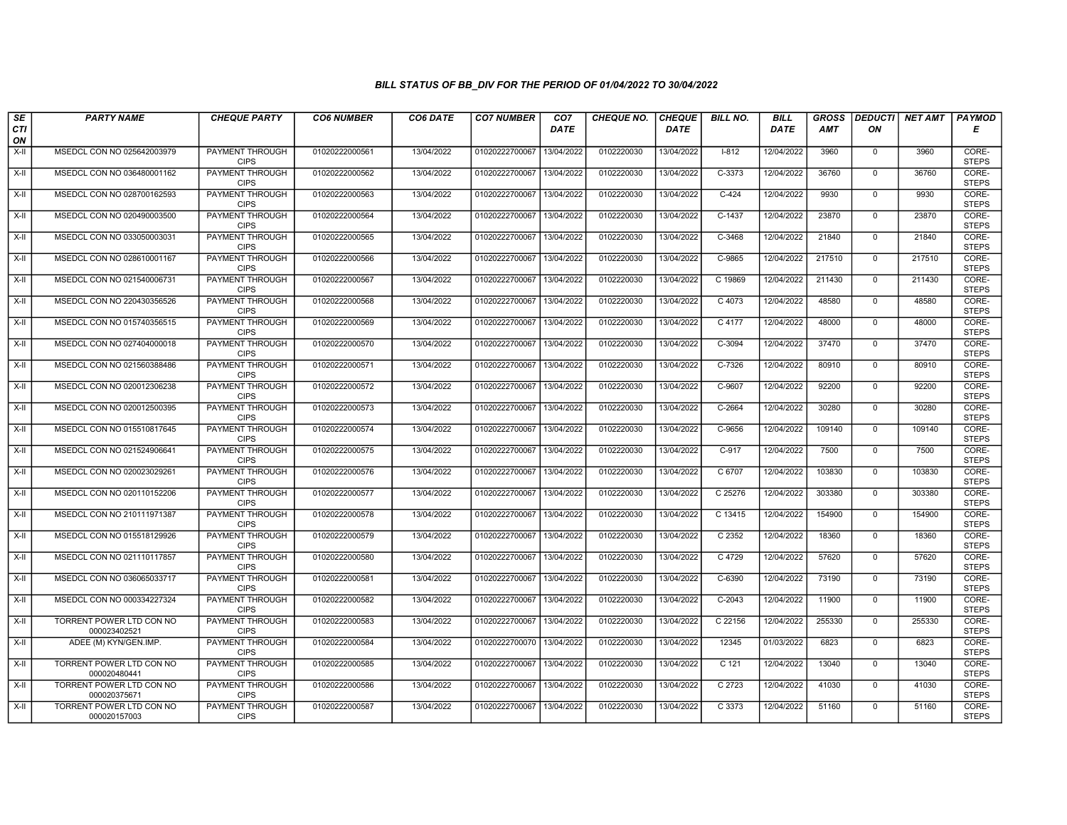| SE        | <b>PARTY NAME</b>                        | <b>CHEQUE PARTY</b>                   | <b>CO6 NUMBER</b> | CO6 DATE   | <b>CO7 NUMBER</b>         | CO <sub>7</sub> | <b>CHEQUE NO.</b> | <b>CHEQUE</b> | <b>BILL NO.</b>   | <b>BILL</b> | <b>GROSS</b> |              | <b>DEDUCTI NET AMT</b> | <b>PAYMOD</b>         |
|-----------|------------------------------------------|---------------------------------------|-------------------|------------|---------------------------|-----------------|-------------------|---------------|-------------------|-------------|--------------|--------------|------------------------|-----------------------|
| CTI<br>ON |                                          |                                       |                   |            |                           | <b>DATE</b>     |                   | <b>DATE</b>   |                   | <b>DATE</b> | AMT          | ON           |                        | Е                     |
| X-II      | MSEDCL CON NO 025642003979               | <b>PAYMENT THROUGH</b><br><b>CIPS</b> | 01020222000561    | 13/04/2022 | 01020222700067            | 13/04/2022      | 0102220030        | 13/04/2022    | $1 - 812$         | 12/04/2022  | 3960         | $\mathbf{0}$ | 3960                   | CORE-<br><b>STEPS</b> |
| X-II      | MSEDCL CON NO 036480001162               | PAYMENT THROUGH<br><b>CIPS</b>        | 01020222000562    | 13/04/2022 | 01020222700067            | 13/04/2022      | 0102220030        | 13/04/2022    | $C-3373$          | 12/04/2022  | 36760        | $\Omega$     | 36760                  | CORE-<br><b>STEPS</b> |
| X-II      | MSEDCL CON NO 028700162593               | PAYMENT THROUGH<br><b>CIPS</b>        | 01020222000563    | 13/04/2022 | 01020222700067            | 13/04/2022      | 0102220030        | 13/04/2022    | $C-424$           | 12/04/2022  | 9930         | $\mathbf 0$  | 9930                   | CORE-<br><b>STEPS</b> |
| $X-H$     | MSEDCL CON NO 020490003500               | PAYMENT THROUGH<br><b>CIPS</b>        | 01020222000564    | 13/04/2022 | 01020222700067            | 13/04/2022      | 0102220030        | 13/04/2022    | $C-1437$          | 12/04/2022  | 23870        | $\Omega$     | 23870                  | CORE-<br><b>STEPS</b> |
| X-II      | MSEDCL CON NO 033050003031               | <b>PAYMENT THROUGH</b><br><b>CIPS</b> | 01020222000565    | 13/04/2022 | 01020222700067            | 13/04/2022      | 0102220030        | 13/04/2022    | $C-3468$          | 12/04/2022  | 21840        | $\mathbf{0}$ | 21840                  | CORE-<br><b>STEPS</b> |
| X-II      | MSEDCL CON NO 028610001167               | <b>PAYMENT THROUGH</b><br><b>CIPS</b> | 01020222000566    | 13/04/2022 | 01020222700067 13/04/2022 |                 | 0102220030        | 13/04/2022    | C-9865            | 12/04/2022  | 217510       | $\mathbf 0$  | 217510                 | CORE-<br><b>STEPS</b> |
| $X-H$     | MSEDCL CON NO 021540006731               | PAYMENT THROUGH<br><b>CIPS</b>        | 01020222000567    | 13/04/2022 | 01020222700067            | 13/04/2022      | 0102220030        | 13/04/2022    | C 19869           | 12/04/2022  | 211430       | $\mathbf 0$  | 211430                 | CORE-<br><b>STEPS</b> |
| X-II      | MSEDCL CON NO 220430356526               | PAYMENT THROUGH<br><b>CIPS</b>        | 01020222000568    | 13/04/2022 | 01020222700067            | 13/04/2022      | 0102220030        | 13/04/2022    | C 4073            | 12/04/2022  | 48580        | $\mathbf 0$  | 48580                  | CORE-<br><b>STEPS</b> |
| $X-H$     | MSEDCL CON NO 015740356515               | PAYMENT THROUGH<br><b>CIPS</b>        | 01020222000569    | 13/04/2022 | 01020222700067            | 13/04/2022      | 0102220030        | 13/04/2022    | C 4177            | 12/04/2022  | 48000        | $\Omega$     | 48000                  | CORE-<br><b>STEPS</b> |
| X-II      | MSEDCL CON NO 027404000018               | <b>PAYMENT THROUGH</b><br><b>CIPS</b> | 01020222000570    | 13/04/2022 | 01020222700067            | 13/04/2022      | 0102220030        | 13/04/2022    | $C-3094$          | 12/04/2022  | 37470        | $\mathbf{0}$ | 37470                  | CORE-<br><b>STEPS</b> |
| X-II      | MSEDCL CON NO 021560388486               | PAYMENT THROUGH<br><b>CIPS</b>        | 01020222000571    | 13/04/2022 | 01020222700067            | 13/04/2022      | 0102220030        | 13/04/2022    | C-7326            | 12/04/2022  | 80910        | $\mathbf{0}$ | 80910                  | CORE-<br><b>STEPS</b> |
| X-II      | MSEDCL CON NO 020012306238               | PAYMENT THROUGH<br><b>CIPS</b>        | 01020222000572    | 13/04/2022 | 01020222700067            | 13/04/2022      | 0102220030        | 13/04/2022    | C-9607            | 12/04/2022  | 92200        | $\mathbf 0$  | 92200                  | CORE-<br><b>STEPS</b> |
| X-II      | MSEDCL CON NO 020012500395               | <b>PAYMENT THROUGH</b><br><b>CIPS</b> | 01020222000573    | 13/04/2022 | 01020222700067            | 13/04/2022      | 0102220030        | 13/04/2022    | C-2664            | 12/04/2022  | 30280        | $\mathbf 0$  | 30280                  | CORE-<br><b>STEPS</b> |
| $X-H$     | MSEDCL CON NO 015510817645               | PAYMENT THROUGH<br><b>CIPS</b>        | 01020222000574    | 13/04/2022 | 01020222700067            | 13/04/2022      | 0102220030        | 13/04/2022    | $C-9656$          | 12/04/2022  | 109140       | $\Omega$     | 109140                 | CORE-<br><b>STEPS</b> |
| X-II      | MSEDCL CON NO 021524906641               | PAYMENT THROUGH<br><b>CIPS</b>        | 01020222000575    | 13/04/2022 | 01020222700067            | 13/04/2022      | 0102220030        | 13/04/2022    | C-917             | 12/04/2022  | 7500         | $\mathbf 0$  | 7500                   | CORE-<br><b>STEPS</b> |
| X-II      | MSEDCL CON NO 020023029261               | <b>PAYMENT THROUGH</b><br><b>CIPS</b> | 01020222000576    | 13/04/2022 | 01020222700067            | 13/04/2022      | 0102220030        | 13/04/2022    | C 6707            | 12/04/2022  | 103830       | $\mathbf 0$  | 103830                 | CORE-<br><b>STEPS</b> |
| X-II      | MSEDCL CON NO 020110152206               | PAYMENT THROUGH<br><b>CIPS</b>        | 01020222000577    | 13/04/2022 | 01020222700067            | 13/04/2022      | 0102220030        | 13/04/2022    | C 25276           | 12/04/2022  | 303380       | $\mathbf{0}$ | 303380                 | CORE-<br><b>STEPS</b> |
| X-II      | MSEDCL CON NO 210111971387               | <b>PAYMENT THROUGH</b><br><b>CIPS</b> | 01020222000578    | 13/04/2022 | 01020222700067            | 13/04/2022      | 0102220030        | 13/04/2022    | C 13415           | 12/04/2022  | 154900       | $\mathbf 0$  | 154900                 | CORE-<br><b>STEPS</b> |
| X-II      | MSEDCL CON NO 015518129926               | PAYMENT THROUGH<br><b>CIPS</b>        | 01020222000579    | 13/04/2022 | 01020222700067            | 13/04/2022      | 0102220030        | 13/04/2022    | C 2352            | 12/04/2022  | 18360        | $\Omega$     | 18360                  | CORE-<br><b>STEPS</b> |
| X-II      | MSEDCL CON NO 021110117857               | <b>PAYMENT THROUGH</b><br><b>CIPS</b> | 01020222000580    | 13/04/2022 | 01020222700067            | 13/04/2022      | 0102220030        | 13/04/2022    | C 4729            | 12/04/2022  | 57620        | $\mathbf 0$  | 57620                  | CORE-<br><b>STEPS</b> |
| X-II      | MSEDCL CON NO 036065033717               | PAYMENT THROUGH<br><b>CIPS</b>        | 01020222000581    | 13/04/2022 | 01020222700067            | 13/04/2022      | 0102220030        | 13/04/2022    | $C-6390$          | 12/04/2022  | 73190        | $\mathbf 0$  | 73190                  | CORE-<br><b>STEPS</b> |
| X-II      | MSEDCL CON NO 000334227324               | <b>PAYMENT THROUGH</b><br><b>CIPS</b> | 01020222000582    | 13/04/2022 | 01020222700067            | 13/04/2022      | 0102220030        | 13/04/2022    | $C-2043$          | 12/04/2022  | 11900        | $\mathbf{0}$ | 11900                  | CORE-<br><b>STEPS</b> |
| X-II      | TORRENT POWER LTD CON NO<br>000023402521 | PAYMENT THROUGH<br><b>CIPS</b>        | 01020222000583    | 13/04/2022 | 01020222700067            | 13/04/2022      | 0102220030        | 13/04/2022    | C 22156           | 12/04/2022  | 255330       | $\mathbf 0$  | 255330                 | CORE-<br><b>STEPS</b> |
| X-II      | ADEE (M) KYN/GEN.IMP.                    | PAYMENT THROUGH<br><b>CIPS</b>        | 01020222000584    | 13/04/2022 | 01020222700070            | 13/04/2022      | 0102220030        | 13/04/2022    | 12345             | 01/03/2022  | 6823         | $\mathbf 0$  | 6823                   | CORE-<br><b>STEPS</b> |
| X-II      | TORRENT POWER LTD CON NO<br>000020480441 | <b>PAYMENT THROUGH</b><br><b>CIPS</b> | 01020222000585    | 13/04/2022 | 01020222700067            | 13/04/2022      | 0102220030        | 13/04/2022    | $C$ 121           | 12/04/2022  | 13040        | $\mathbf 0$  | 13040                  | CORE-<br><b>STEPS</b> |
| X-II      | TORRENT POWER LTD CON NO<br>000020375671 | <b>PAYMENT THROUGH</b><br><b>CIPS</b> | 01020222000586    | 13/04/2022 | 01020222700067            | 13/04/2022      | 0102220030        | 13/04/2022    | C <sub>2723</sub> | 12/04/2022  | 41030        | $\Omega$     | 41030                  | CORE-<br><b>STEPS</b> |
| X-II      | TORRENT POWER LTD CON NO<br>000020157003 | <b>PAYMENT THROUGH</b><br><b>CIPS</b> | 01020222000587    | 13/04/2022 | 01020222700067            | 13/04/2022      | 0102220030        | 13/04/2022    | C 3373            | 12/04/2022  | 51160        | $\mathbf{0}$ | 51160                  | CORE-<br><b>STEPS</b> |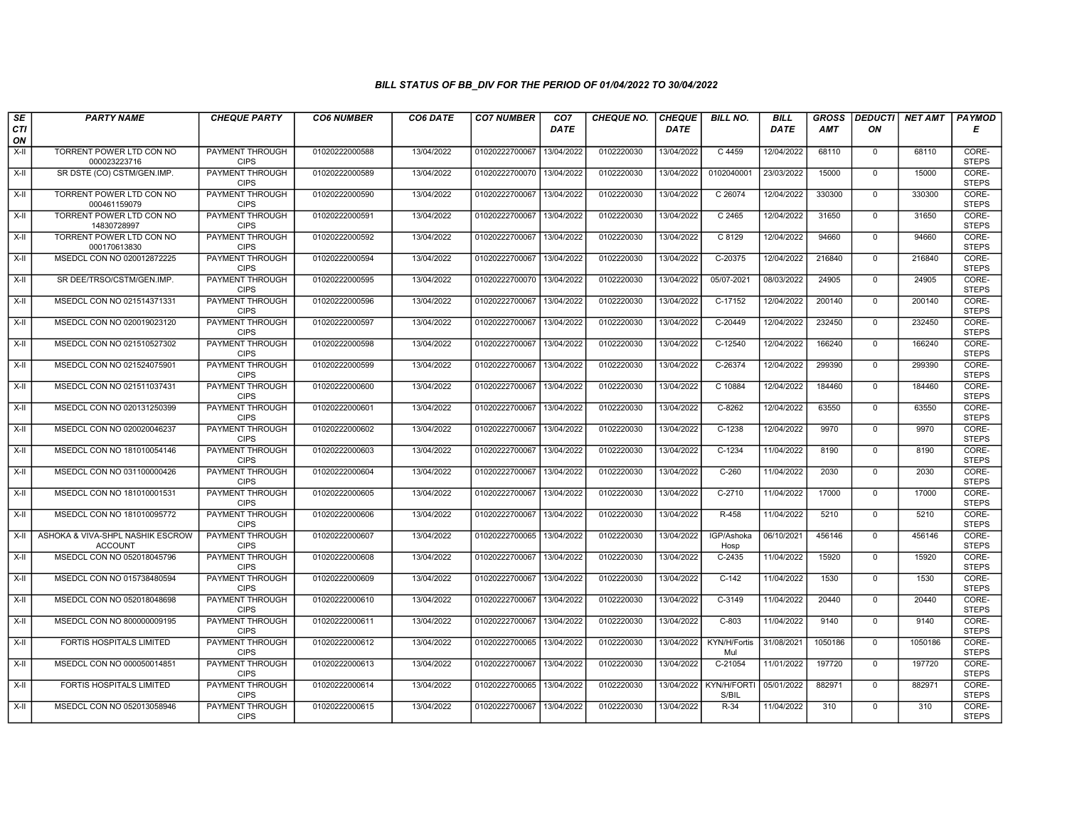| SE               | <b>PARTY NAME</b>                                  | <b>CHEQUE PARTY</b>                   | <b>CO6 NUMBER</b> | CO6 DATE   | <b>CO7 NUMBER</b>         | CO <sub>7</sub> | <b>CHEQUE NO.</b> | <b>CHEQUE</b> | <b>BILL NO.</b>      | <b>BILL</b> | <b>GROSS</b> |                | <b>DEDUCTI NET AMT</b> | <b>PAYMOD</b>         |
|------------------|----------------------------------------------------|---------------------------------------|-------------------|------------|---------------------------|-----------------|-------------------|---------------|----------------------|-------------|--------------|----------------|------------------------|-----------------------|
| <b>CTI</b><br>ON |                                                    |                                       |                   |            |                           | <b>DATE</b>     |                   | <b>DATE</b>   |                      | <b>DATE</b> | AMT          | ON             |                        | E                     |
| $X-H$            | TORRENT POWER LTD CON NO<br>000023223716           | <b>PAYMENT THROUGH</b><br><b>CIPS</b> | 01020222000588    | 13/04/2022 | 01020222700067            | 13/04/2022      | 0102220030        | 13/04/2022    | C 4459               | 12/04/2022  | 68110        | $\mathbf 0$    | 68110                  | CORE-<br><b>STEPS</b> |
| $X-H$            | SR DSTE (CO) CSTM/GEN.IMP.                         | PAYMENT THROUGH<br><b>CIPS</b>        | 01020222000589    | 13/04/2022 | 01020222700070            | 13/04/2022      | 0102220030        | 13/04/2022    | 0102040001           | 23/03/2022  | 15000        | $\Omega$       | 15000                  | CORE-<br><b>STEPS</b> |
| X-II             | TORRENT POWER LTD CON NO<br>000461159079           | <b>PAYMENT THROUGH</b><br><b>CIPS</b> | 01020222000590    | 13/04/2022 | 01020222700067            | 13/04/2022      | 0102220030        | 13/04/2022    | C 26074              | 12/04/2022  | 330300       | $\mathbf 0$    | 330300                 | CORE-<br><b>STEPS</b> |
| $X-H$            | TORRENT POWER LTD CON NO<br>14830728997            | PAYMENT THROUGH<br><b>CIPS</b>        | 01020222000591    | 13/04/2022 | 01020222700067            | 13/04/2022      | 0102220030        | 13/04/2022    | C 2465               | 12/04/2022  | 31650        | $\overline{0}$ | 31650                  | CORE-<br><b>STEPS</b> |
| $X-H$            | TORRENT POWER LTD CON NO<br>000170613830           | <b>PAYMENT THROUGH</b><br><b>CIPS</b> | 01020222000592    | 13/04/2022 | 01020222700067            | 13/04/2022      | 0102220030        | 13/04/2022    | $C$ 8129             | 12/04/2022  | 94660        | $\mathbf 0$    | 94660                  | CORE-<br><b>STEPS</b> |
| $X-H$            | MSEDCL CON NO 020012872225                         | <b>PAYMENT THROUGH</b><br><b>CIPS</b> | 01020222000594    | 13/04/2022 | 01020222700067 13/04/2022 |                 | 0102220030        | 13/04/2022    | C-20375              | 12/04/2022  | 216840       | $\mathbf 0$    | 216840                 | CORE-<br><b>STEPS</b> |
| X-II             | SR DEE/TRSO/CSTM/GEN.IMP.                          | PAYMENT THROUGH<br><b>CIPS</b>        | 01020222000595    | 13/04/2022 | 01020222700070            | 13/04/2022      | 0102220030        | 13/04/2022    | 05/07-2021           | 08/03/2022  | 24905        | $\mathbf 0$    | 24905                  | CORE-<br><b>STEPS</b> |
| $X-H$            | MSEDCL CON NO 021514371331                         | <b>PAYMENT THROUGH</b><br><b>CIPS</b> | 01020222000596    | 13/04/2022 | 01020222700067            | 13/04/2022      | 0102220030        | 13/04/2022    | C-17152              | 12/04/2022  | 200140       | $\mathbf 0$    | 200140                 | CORE-<br><b>STEPS</b> |
| $X-H$            | MSEDCL CON NO 020019023120                         | <b>PAYMENT THROUGH</b><br><b>CIPS</b> | 01020222000597    | 13/04/2022 | 01020222700067            | 13/04/2022      | 0102220030        | 13/04/2022    | C-20449              | 12/04/2022  | 232450       | $\overline{0}$ | 232450                 | CORE-<br><b>STEPS</b> |
| $X-H$            | MSEDCL CON NO 021510527302                         | <b>PAYMENT THROUGH</b><br><b>CIPS</b> | 01020222000598    | 13/04/2022 | 01020222700067            | 13/04/2022      | 0102220030        | 13/04/2022    | $C-12540$            | 12/04/2022  | 166240       | $\mathbf 0$    | 166240                 | CORE-<br><b>STEPS</b> |
| X-II             | MSEDCL CON NO 021524075901                         | PAYMENT THROUGH<br><b>CIPS</b>        | 01020222000599    | 13/04/2022 | 01020222700067            | 13/04/2022      | 0102220030        | 13/04/2022    | $C-26374$            | 12/04/2022  | 299390       | $\mathbf{0}$   | 299390                 | CORE-<br><b>STEPS</b> |
| $X-H$            | MSEDCL CON NO 021511037431                         | PAYMENT THROUGH<br><b>CIPS</b>        | 01020222000600    | 13/04/2022 | 01020222700067            | 13/04/2022      | 0102220030        | 13/04/2022    | C 10884              | 12/04/2022  | 184460       | $\Omega$       | 184460                 | CORE-<br><b>STEPS</b> |
| X-II             | MSEDCL CON NO 020131250399                         | PAYMENT THROUGH<br><b>CIPS</b>        | 01020222000601    | 13/04/2022 | 01020222700067            | 13/04/2022      | 0102220030        | 13/04/2022    | $C-8262$             | 12/04/2022  | 63550        | $\mathbf 0$    | 63550                  | CORE-<br><b>STEPS</b> |
| $X-H$            | MSEDCL CON NO 020020046237                         | <b>PAYMENT THROUGH</b><br><b>CIPS</b> | 01020222000602    | 13/04/2022 | 01020222700067            | 13/04/2022      | 0102220030        | 13/04/2022    | $C-1238$             | 12/04/2022  | 9970         | $\overline{0}$ | 9970                   | CORE-<br><b>STEPS</b> |
| X-II             | MSEDCL CON NO 181010054146                         | <b>PAYMENT THROUGH</b><br><b>CIPS</b> | 01020222000603    | 13/04/2022 | 01020222700067            | 13/04/2022      | 0102220030        | 13/04/2022    | $C-1234$             | 11/04/2022  | 8190         | $\mathbf 0$    | 8190                   | CORE-<br><b>STEPS</b> |
| X-II             | MSEDCL CON NO 031100000426                         | PAYMENT THROUGH<br><b>CIPS</b>        | 01020222000604    | 13/04/2022 | 01020222700067            | 13/04/2022      | 0102220030        | 13/04/2022    | $C-260$              | 11/04/2022  | 2030         | $\Omega$       | 2030                   | CORE-<br><b>STEPS</b> |
| $X-H$            | MSEDCL CON NO 181010001531                         | PAYMENT THROUGH<br><b>CIPS</b>        | 01020222000605    | 13/04/2022 | 01020222700067            | 13/04/2022      | 0102220030        | 13/04/2022    | $C-2710$             | 11/04/2022  | 17000        | $\mathbf{0}$   | 17000                  | CORE-<br><b>STEPS</b> |
| X-II             | MSEDCL CON NO 181010095772                         | <b>PAYMENT THROUGH</b><br><b>CIPS</b> | 01020222000606    | 13/04/2022 | 01020222700067            | 13/04/2022      | 0102220030        | 13/04/2022    | R-458                | 11/04/2022  | 5210         | $\mathbf 0$    | 5210                   | CORE-<br><b>STEPS</b> |
| X-II             | ASHOKA & VIVA-SHPL NASHIK ESCROW<br><b>ACCOUNT</b> | <b>PAYMENT THROUGH</b><br><b>CIPS</b> | 01020222000607    | 13/04/2022 | 01020222700065            | 13/04/2022      | 0102220030        | 13/04/2022    | IGP/Ashoka<br>Hosp   | 06/10/2021  | 456146       | $\Omega$       | 456146                 | CORE-<br><b>STEPS</b> |
| $X-II$           | MSEDCL CON NO 052018045796                         | PAYMENT THROUGH<br><b>CIPS</b>        | 01020222000608    | 13/04/2022 | 01020222700067            | 13/04/2022      | 0102220030        | 13/04/2022    | $C-2435$             | 11/04/2022  | 15920        | $\mathbf 0$    | 15920                  | CORE-<br><b>STEPS</b> |
| $X-H$            | MSEDCL CON NO 015738480594                         | <b>PAYMENT THROUGH</b><br><b>CIPS</b> | 01020222000609    | 13/04/2022 | 01020222700067            | 13/04/2022      | 0102220030        | 13/04/2022    | $C-142$              | 11/04/2022  | 1530         | $\overline{0}$ | 1530                   | CORE-<br><b>STEPS</b> |
| $X-H$            | MSEDCL CON NO 052018048698                         | <b>PAYMENT THROUGH</b><br><b>CIPS</b> | 01020222000610    | 13/04/2022 | 01020222700067            | 13/04/2022      | 0102220030        | 13/04/2022    | $C-3149$             | 11/04/2022  | 20440        | $\mathbf{0}$   | 20440                  | CORE-<br><b>STEPS</b> |
| X-II             | MSEDCL CON NO 800000009195                         | PAYMENT THROUGH<br><b>CIPS</b>        | 01020222000611    | 13/04/2022 | 01020222700067            | 13/04/2022      | 0102220030        | 13/04/2022    | $C-803$              | 11/04/2022  | 9140         | $\mathbf 0$    | 9140                   | CORE-<br><b>STEPS</b> |
| $X-H$            | FORTIS HOSPITALS LIMITED                           | PAYMENT THROUGH<br><b>CIPS</b>        | 01020222000612    | 13/04/2022 | 01020222700065            | 13/04/2022      | 0102220030        | 13/04/2022    | KYN/H/Fortis<br>Mul  | 31/08/2021  | 1050186      | $\mathbf{0}$   | 1050186                | CORE-<br><b>STEPS</b> |
| $X-H$            | MSEDCL CON NO 000050014851                         | PAYMENT THROUGH<br><b>CIPS</b>        | 01020222000613    | 13/04/2022 | 01020222700067            | 13/04/2022      | 0102220030        | 13/04/2022    | C-21054              | 11/01/2022  | 197720       | $\mathbf{0}$   | 197720                 | CORE-<br><b>STEPS</b> |
| $X-H$            | <b>FORTIS HOSPITALS LIMITED</b>                    | <b>PAYMENT THROUGH</b><br><b>CIPS</b> | 01020222000614    | 13/04/2022 | 01020222700065            | 13/04/2022      | 0102220030        | 13/04/2022    | KYN/H/FORTI<br>S/BIL | 05/01/2022  | 882971       | $\overline{0}$ | 882971                 | CORE-<br><b>STEPS</b> |
| X-II             | MSEDCL CON NO 052013058946                         | <b>PAYMENT THROUGH</b><br><b>CIPS</b> | 01020222000615    | 13/04/2022 | 01020222700067            | 13/04/2022      | 0102220030        | 13/04/2022    | $R-34$               | 11/04/2022  | 310          | $\mathbf{0}$   | 310                    | CORE-<br><b>STEPS</b> |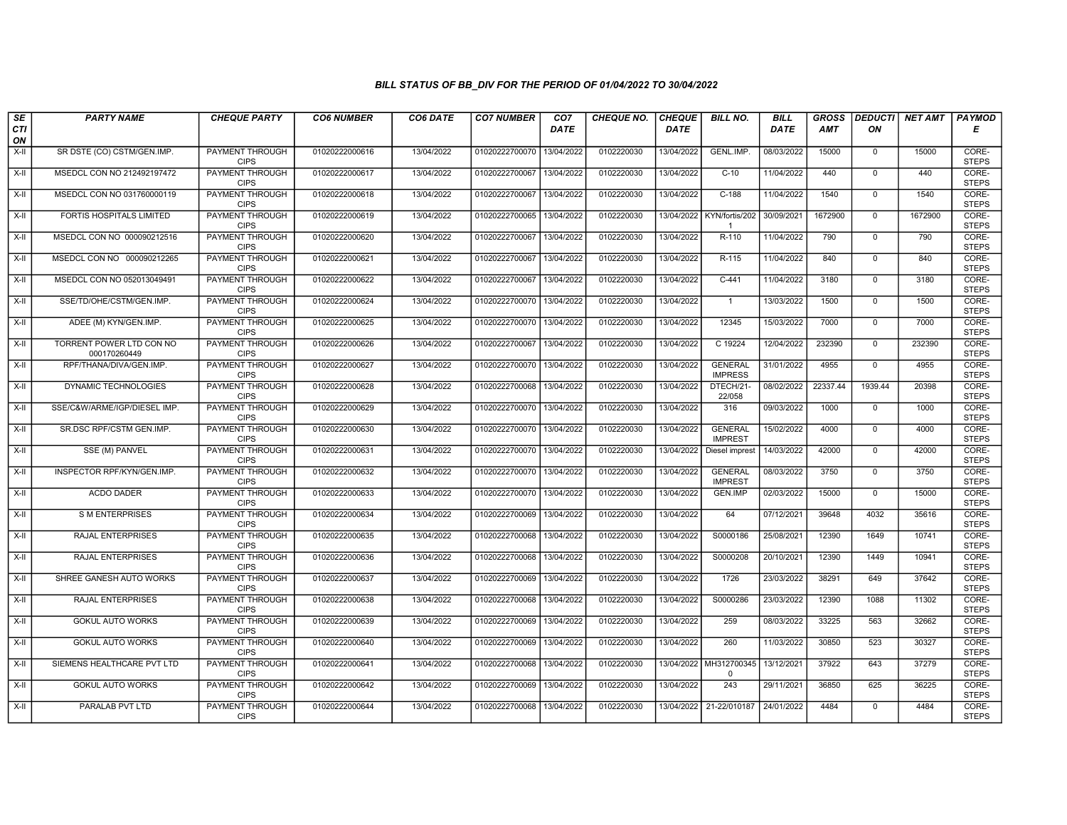| SE               | <b>PARTY NAME</b>                        | <b>CHEQUE PARTY</b>                   | <b>CO6 NUMBER</b> | CO6 DATE   | <b>CO7 NUMBER</b>         | CO <sub>7</sub> | <b>CHEQUE NO.</b> | <b>CHEQUE</b> | <b>BILL NO.</b>                  | <b>BILL</b> | <b>GROSS</b> | <b>DEDUCTI</b> | NET AMT | <b>PAYMOD</b>         |
|------------------|------------------------------------------|---------------------------------------|-------------------|------------|---------------------------|-----------------|-------------------|---------------|----------------------------------|-------------|--------------|----------------|---------|-----------------------|
| <b>CTI</b><br>ON |                                          |                                       |                   |            |                           | <b>DATE</b>     |                   | <b>DATE</b>   |                                  | DATE        | AMT          | ON             |         | Е                     |
| $X-H$            | SR DSTE (CO) CSTM/GEN.IMP.               | <b>PAYMENT THROUGH</b><br><b>CIPS</b> | 01020222000616    | 13/04/2022 | 01020222700070            | 13/04/2022      | 0102220030        | 13/04/2022    | GENL.IMP.                        | 08/03/2022  | 15000        | $\mathbf{0}$   | 15000   | CORE-<br><b>STEPS</b> |
| X-II             | MSEDCL CON NO 212492197472               | <b>PAYMENT THROUGH</b><br><b>CIPS</b> | 01020222000617    | 13/04/2022 | 01020222700067            | 13/04/2022      | 0102220030        | 13/04/2022    | $C-10$                           | 11/04/2022  | 440          | $\Omega$       | 440     | CORE-<br><b>STEPS</b> |
| $X-II$           | MSEDCL CON NO 031760000119               | PAYMENT THROUGH<br><b>CIPS</b>        | 01020222000618    | 13/04/2022 | 01020222700067            | 13/04/2022      | 0102220030        | 13/04/2022    | $C-188$                          | 11/04/2022  | 1540         | $\mathbf 0$    | 1540    | CORE-<br><b>STEPS</b> |
| X-II             | FORTIS HOSPITALS LIMITED                 | PAYMENT THROUGH<br><b>CIPS</b>        | 01020222000619    | 13/04/2022 | 01020222700065            | 13/04/2022      | 0102220030        | 13/04/2022    | KYN/fortis/202<br>$\mathbf{1}$   | 30/09/2021  | 1672900      | $\Omega$       | 1672900 | CORE-<br><b>STEPS</b> |
| $X-H$            | MSEDCL CON NO 000090212516               | <b>PAYMENT THROUGH</b><br><b>CIPS</b> | 01020222000620    | 13/04/2022 | 01020222700067            | 13/04/2022      | 0102220030        | 13/04/2022    | R-110                            | 11/04/2022  | 790          | 0              | 790     | CORE-<br><b>STEPS</b> |
| X-II             | MSEDCL CON NO 000090212265               | PAYMENT THROUGH<br><b>CIPS</b>        | 01020222000621    | 13/04/2022 | 01020222700067 13/04/2022 |                 | 0102220030        | 13/04/2022    | $R-115$                          | 11/04/2022  | 840          | $\Omega$       | 840     | CORE-<br><b>STEPS</b> |
| X-II             | MSEDCL CON NO 052013049491               | PAYMENT THROUGH<br><b>CIPS</b>        | 01020222000622    | 13/04/2022 | 01020222700067            | 13/04/2022      | 0102220030        | 13/04/2022    | $C-441$                          | 11/04/2022  | 3180         | $\mathbf{0}$   | 3180    | CORE-<br><b>STEPS</b> |
| X-II             | SSE/TD/OHE/CSTM/GEN.IMP.                 | <b>PAYMENT THROUGH</b><br><b>CIPS</b> | 01020222000624    | 13/04/2022 | 01020222700070            | 13/04/2022      | 0102220030        | 13/04/2022    | $\mathbf{1}$                     | 13/03/2022  | 1500         | $\mathbf 0$    | 1500    | CORE-<br><b>STEPS</b> |
| X-II             | ADEE (M) KYN/GEN.IMP.                    | <b>PAYMENT THROUGH</b><br><b>CIPS</b> | 01020222000625    | 13/04/2022 | 01020222700070            | 13/04/2022      | 0102220030        | 13/04/2022    | 12345                            | 15/03/2022  | 7000         | $\mathbf 0$    | 7000    | CORE-<br><b>STEPS</b> |
| $X-H$            | TORRENT POWER LTD CON NO<br>000170260449 | <b>PAYMENT THROUGH</b><br><b>CIPS</b> | 01020222000626    | 13/04/2022 | 01020222700067            | 13/04/2022      | 0102220030        | 13/04/2022    | C 19224                          | 12/04/2022  | 232390       | $\mathbf 0$    | 232390  | CORE-<br><b>STEPS</b> |
| X-II             | RPF/THANA/DIVA/GEN.IMP.                  | PAYMENT THROUGH<br><b>CIPS</b>        | 01020222000627    | 13/04/2022 | 01020222700070            | 13/04/2022      | 0102220030        | 13/04/2022    | <b>GENERAL</b><br><b>IMPRESS</b> | 31/01/2022  | 4955         | $\mathbf 0$    | 4955    | CORE-<br><b>STEPS</b> |
| $X-H$            | DYNAMIC TECHNOLOGIES                     | <b>PAYMENT THROUGH</b><br><b>CIPS</b> | 01020222000628    | 13/04/2022 | 01020222700068            | 13/04/2022      | 0102220030        | 13/04/2022    | DTECH/21-<br>22/058              | 08/02/2022  | 22337.44     | 1939.44        | 20398   | CORE-<br><b>STEPS</b> |
| X-II             | SSE/C&W/ARME/IGP/DIESEL IMP.             | <b>PAYMENT THROUGH</b><br><b>CIPS</b> | 01020222000629    | 13/04/2022 | 01020222700070            | 13/04/2022      | 0102220030        | 13/04/2022    | 316                              | 09/03/2022  | 1000         | $\mathbf 0$    | 1000    | CORE-<br><b>STEPS</b> |
| X-II             | SR.DSC RPF/CSTM GEN.IMP.                 | <b>PAYMENT THROUGH</b><br><b>CIPS</b> | 01020222000630    | 13/04/2022 | 01020222700070            | 13/04/2022      | 0102220030        | 13/04/2022    | <b>GENERAL</b><br><b>IMPREST</b> | 15/02/2022  | 4000         | $\mathbf{0}$   | 4000    | CORE-<br><b>STEPS</b> |
| $X-H$            | SSE (M) PANVEL                           | PAYMENT THROUGH<br><b>CIPS</b>        | 01020222000631    | 13/04/2022 | 01020222700070            | 13/04/2022      | 0102220030        | 13/04/2022    | Diesel imprest                   | 14/03/2022  | 42000        | $\mathbf 0$    | 42000   | CORE-<br><b>STEPS</b> |
| $X-H$            | INSPECTOR RPF/KYN/GEN.IMP.               | <b>PAYMENT THROUGH</b><br><b>CIPS</b> | 01020222000632    | 13/04/2022 | 01020222700070            | 13/04/2022      | 0102220030        | 13/04/2022    | <b>GENERAL</b><br><b>IMPREST</b> | 08/03/2022  | 3750         | $\Omega$       | 3750    | CORE-<br><b>STEPS</b> |
| $X-H$            | <b>ACDO DADER</b>                        | PAYMENT THROUGH<br><b>CIPS</b>        | 01020222000633    | 13/04/2022 | 01020222700070            | 13/04/2022      | 0102220030        | 13/04/2022    | <b>GEN.IMP</b>                   | 02/03/2022  | 15000        | $\mathbf{0}$   | 15000   | CORE-<br><b>STEPS</b> |
| $X-H$            | <b>SMENTERPRISES</b>                     | <b>PAYMENT THROUGH</b><br><b>CIPS</b> | 01020222000634    | 13/04/2022 | 01020222700069            | 13/04/2022      | 0102220030        | 13/04/2022    | 64                               | 07/12/2021  | 39648        | 4032           | 35616   | CORE-<br><b>STEPS</b> |
| X-II             | RAJAL ENTERPRISES                        | PAYMENT THROUGH<br><b>CIPS</b>        | 01020222000635    | 13/04/2022 | 01020222700068            | 13/04/2022      | 0102220030        | 13/04/2022    | S0000186                         | 25/08/2021  | 12390        | 1649           | 10741   | CORE-<br><b>STEPS</b> |
| $X-H$            | RAJAL ENTERPRISES                        | PAYMENT THROUGH<br><b>CIPS</b>        | 01020222000636    | 13/04/2022 | 01020222700068            | 13/04/2022      | 0102220030        | 13/04/2022    | S0000208                         | 20/10/2021  | 12390        | 1449           | 10941   | CORE-<br><b>STEPS</b> |
| $X-H$            | SHREE GANESH AUTO WORKS                  | PAYMENT THROUGH<br><b>CIPS</b>        | 01020222000637    | 13/04/2022 | 01020222700069            | 13/04/2022      | 0102220030        | 13/04/2022    | 1726                             | 23/03/2022  | 38291        | 649            | 37642   | CORE-<br><b>STEPS</b> |
| X-II             | <b>RAJAL ENTERPRISES</b>                 | <b>PAYMENT THROUGH</b><br><b>CIPS</b> | 01020222000638    | 13/04/2022 | 01020222700068            | 13/04/2022      | 0102220030        | 13/04/2022    | S0000286                         | 23/03/2022  | 12390        | 1088           | 11302   | CORE-<br><b>STEPS</b> |
| X-II             | <b>GOKUL AUTO WORKS</b>                  | PAYMENT THROUGH<br><b>CIPS</b>        | 01020222000639    | 13/04/2022 | 01020222700069            | 13/04/2022      | 0102220030        | 13/04/2022    | 259                              | 08/03/2022  | 33225        | 563            | 32662   | CORE-<br><b>STEPS</b> |
| $X-H$            | <b>GOKUL AUTO WORKS</b>                  | PAYMENT THROUGH<br><b>CIPS</b>        | 01020222000640    | 13/04/2022 | 01020222700069            | 13/04/2022      | 0102220030        | 13/04/2022    | 260                              | 11/03/2022  | 30850        | 523            | 30327   | CORE-<br><b>STEPS</b> |
| X-II             | SIEMENS HEALTHCARE PVT LTD               | PAYMENT THROUGH<br><b>CIPS</b>        | 01020222000641    | 13/04/2022 | 01020222700068            | 13/04/2022      | 0102220030        | 13/04/2022    | MH312700345<br>$\Omega$          | 13/12/2021  | 37922        | 643            | 37279   | CORE-<br><b>STEPS</b> |
| $X-H$            | <b>GOKUL AUTO WORKS</b>                  | <b>PAYMENT THROUGH</b><br><b>CIPS</b> | 01020222000642    | 13/04/2022 | 01020222700069            | 13/04/2022      | 0102220030        | 13/04/2022    | 243                              | 29/11/2021  | 36850        | 625            | 36225   | CORE-<br><b>STEPS</b> |
| X-II             | PARALAB PVT LTD                          | PAYMENT THROUGH<br><b>CIPS</b>        | 01020222000644    | 13/04/2022 | 01020222700068            | 13/04/2022      | 0102220030        | 13/04/2022    | 21-22/010187                     | 24/01/2022  | 4484         | $\mathbf{0}$   | 4484    | CORE-<br><b>STEPS</b> |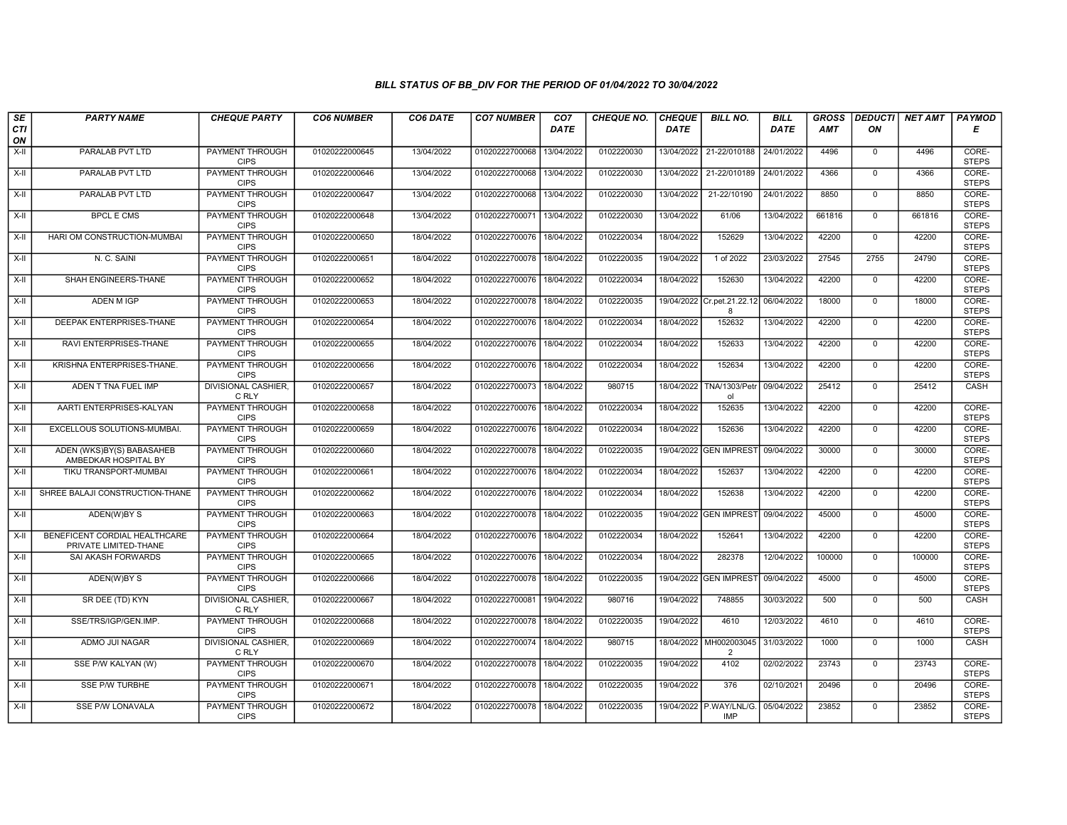| SE        | <b>PARTY NAME</b>                                      | <b>CHEQUE PARTY</b>                   | <b>CO6 NUMBER</b> | CO6 DATE   | <b>CO7 NUMBER</b>         | CO <sub>7</sub> | <b>CHEQUE NO.</b> | <b>CHEQUE</b> | <b>BILL NO.</b>                       | <b>BILL</b> | <b>GROSS</b> | <b>DEDUCTI</b> | NET AMT | <b>PAYMOD</b>         |
|-----------|--------------------------------------------------------|---------------------------------------|-------------------|------------|---------------------------|-----------------|-------------------|---------------|---------------------------------------|-------------|--------------|----------------|---------|-----------------------|
| CTI<br>ON |                                                        |                                       |                   |            |                           | <b>DATE</b>     |                   | <b>DATE</b>   |                                       | <b>DATE</b> | AMT          | ON             |         | Е                     |
| $X-H$     | PARALAB PVT LTD                                        | <b>PAYMENT THROUGH</b><br><b>CIPS</b> | 01020222000645    | 13/04/2022 | 01020222700068            | 13/04/2022      | 0102220030        | 13/04/2022    | 21-22/010188                          | 24/01/2022  | 4496         | $\mathbf 0$    | 4496    | CORE-<br><b>STEPS</b> |
| X-II      | PARALAB PVT LTD                                        | <b>PAYMENT THROUGH</b><br><b>CIPS</b> | 01020222000646    | 13/04/2022 | 01020222700068            | 13/04/2022      | 0102220030        | 13/04/2022    | 21-22/010189                          | 24/01/2022  | 4366         | $\mathbf{0}$   | 4366    | CORE-<br><b>STEPS</b> |
| X-II      | PARALAB PVT LTD                                        | PAYMENT THROUGH<br><b>CIPS</b>        | 01020222000647    | 13/04/2022 | 01020222700068            | 13/04/2022      | 0102220030        | 13/04/2022    | 21-22/10190                           | 24/01/2022  | 8850         | $\mathbf 0$    | 8850    | CORE-<br><b>STEPS</b> |
| $X-II$    | <b>BPCL E CMS</b>                                      | PAYMENT THROUGH<br><b>CIPS</b>        | 01020222000648    | 13/04/2022 | 01020222700071            | 13/04/2022      | 0102220030        | 13/04/2022    | 61/06                                 | 13/04/2022  | 661816       | $\Omega$       | 661816  | CORE-<br><b>STEPS</b> |
| $X-H$     | HARI OM CONSTRUCTION-MUMBAI                            | <b>PAYMENT THROUGH</b><br><b>CIPS</b> | 01020222000650    | 18/04/2022 | 01020222700076            | 18/04/2022      | 0102220034        | 18/04/2022    | 152629                                | 13/04/2022  | 42200        | $\mathbf 0$    | 42200   | CORE-<br><b>STEPS</b> |
| X-II      | N. C. SAINI                                            | <b>PAYMENT THROUGH</b><br><b>CIPS</b> | 01020222000651    | 18/04/2022 | 01020222700078            | 18/04/2022      | 0102220035        | 19/04/2022    | 1 of 2022                             | 23/03/2022  | 27545        | 2755           | 24790   | CORE-<br><b>STEPS</b> |
| X-II      | SHAH ENGINEERS-THANE                                   | PAYMENT THROUGH<br><b>CIPS</b>        | 01020222000652    | 18/04/2022 | 01020222700076            | 18/04/2022      | 0102220034        | 18/04/2022    | 152630                                | 13/04/2022  | 42200        | $\mathbf{0}$   | 42200   | CORE-<br><b>STEPS</b> |
| X-II      | <b>ADEN MIGP</b>                                       | <b>PAYMENT THROUGH</b><br><b>CIPS</b> | 01020222000653    | 18/04/2022 | 01020222700078            | 18/04/2022      | 0102220035        | 19/04/2022    | Cr.pet.21.22.12<br>8                  | 06/04/2022  | 18000        | $\Omega$       | 18000   | CORE-<br><b>STEPS</b> |
| X-II      | DEEPAK ENTERPRISES-THANE                               | PAYMENT THROUGH<br><b>CIPS</b>        | 01020222000654    | 18/04/2022 | 01020222700076            | 18/04/2022      | 0102220034        | 18/04/2022    | 152632                                | 13/04/2022  | 42200        | $\mathbf 0$    | 42200   | CORE-<br><b>STEPS</b> |
| $X-H$     | <b>RAVI ENTERPRISES-THANE</b>                          | <b>PAYMENT THROUGH</b><br><b>CIPS</b> | 01020222000655    | 18/04/2022 | 01020222700076            | 18/04/2022      | 0102220034        | 18/04/2022    | 152633                                | 13/04/2022  | 42200        | $\overline{0}$ | 42200   | CORE-<br><b>STEPS</b> |
| X-II      | KRISHNA ENTERPRISES-THANE.                             | PAYMENT THROUGH<br><b>CIPS</b>        | 01020222000656    | 18/04/2022 | 01020222700076            | 18/04/2022      | 0102220034        | 18/04/2022    | 152634                                | 13/04/2022  | 42200        | $\mathbf 0$    | 42200   | CORE-<br><b>STEPS</b> |
| $X-H$     | ADEN T TNA FUEL IMP                                    | <b>DIVISIONAL CASHIER.</b><br>C RLY   | 01020222000657    | 18/04/2022 | 01020222700073            | 18/04/2022      | 980715            | 18/04/2022    | TNA/1303/Petr<br>ol                   | 09/04/2022  | 25412        | $\Omega$       | 25412   | CASH                  |
| X-II      | AARTI ENTERPRISES-KALYAN                               | <b>PAYMENT THROUGH</b><br><b>CIPS</b> | 01020222000658    | 18/04/2022 | 01020222700076 18/04/2022 |                 | 0102220034        | 18/04/2022    | 152635                                | 13/04/2022  | 42200        | $\mathbf 0$    | 42200   | CORE-<br><b>STEPS</b> |
| $X-H$     | EXCELLOUS SOLUTIONS-MUMBAI.                            | <b>PAYMENT THROUGH</b><br><b>CIPS</b> | 01020222000659    | 18/04/2022 | 01020222700076            | 18/04/2022      | 0102220034        | 18/04/2022    | 152636                                | 13/04/2022  | 42200        | $\mathbf{0}$   | 42200   | CORE-<br><b>STEPS</b> |
| X-II      | ADEN (WKS)BY(S) BABASAHEB<br>AMBEDKAR HOSPITAL BY      | PAYMENT THROUGH<br><b>CIPS</b>        | 01020222000660    | 18/04/2022 | 01020222700078            | 18/04/2022      | 0102220035        |               | 19/04/2022 GEN IMPREST                | 09/04/2022  | 30000        | $\mathbf 0$    | 30000   | CORE-<br><b>STEPS</b> |
| $X-II$    | TIKU TRANSPORT-MUMBAI                                  | <b>PAYMENT THROUGH</b><br><b>CIPS</b> | 01020222000661    | 18/04/2022 | 01020222700076            | 18/04/2022      | 0102220034        | 18/04/2022    | 152637                                | 13/04/2022  | 42200        | $\Omega$       | 42200   | CORE-<br><b>STEPS</b> |
| X-II      | SHREE BALAJI CONSTRUCTION-THANE                        | <b>PAYMENT THROUGH</b><br><b>CIPS</b> | 01020222000662    | 18/04/2022 | 01020222700076            | 18/04/2022      | 0102220034        | 18/04/2022    | 152638                                | 13/04/2022  | 42200        | $\mathbf{0}$   | 42200   | CORE-<br><b>STEPS</b> |
| $X-H$     | ADEN(W)BY S                                            | <b>PAYMENT THROUGH</b><br><b>CIPS</b> | 01020222000663    | 18/04/2022 | 01020222700078            | 18/04/2022      | 0102220035        | 19/04/2022    | <b>GEN IMPREST</b>                    | 09/04/2022  | 45000        | $\overline{0}$ | 45000   | CORE-<br><b>STEPS</b> |
| X-II      | BENEFICENT CORDIAL HEALTHCARE<br>PRIVATE LIMITED-THANE | <b>PAYMENT THROUGH</b><br><b>CIPS</b> | 01020222000664    | 18/04/2022 | 01020222700076            | 18/04/2022      | 0102220034        | 18/04/2022    | 152641                                | 13/04/2022  | 42200        | $\mathbf 0$    | 42200   | CORE-<br><b>STEPS</b> |
| $X-H$     | SAI AKASH FORWARDS                                     | PAYMENT THROUGH<br><b>CIPS</b>        | 01020222000665    | 18/04/2022 | 01020222700076            | 18/04/2022      | 0102220034        | 18/04/2022    | 282378                                | 12/04/2022  | 100000       | $\Omega$       | 100000  | CORE-<br><b>STEPS</b> |
| X-II      | ADEN(W)BY S                                            | PAYMENT THROUGH<br><b>CIPS</b>        | 01020222000666    | 18/04/2022 | 01020222700078            | 18/04/2022      | 0102220035        | 19/04/2022    | <b>GEN IMPREST</b>                    | 09/04/2022  | 45000        | $\mathbf{0}$   | 45000   | CORE-<br><b>STEPS</b> |
| X-II      | SR DEE (TD) KYN                                        | <b>DIVISIONAL CASHIER,</b><br>C RLY   | 01020222000667    | 18/04/2022 | 01020222700081 19/04/2022 |                 | 980716            | 19/04/2022    | 748855                                | 30/03/2022  | 500          | $\mathbf 0$    | 500     | <b>CASH</b>           |
| X-II      | SSE/TRS/IGP/GEN.IMP.                                   | PAYMENT THROUGH<br><b>CIPS</b>        | 01020222000668    | 18/04/2022 | 01020222700078            | 18/04/2022      | 0102220035        | 19/04/2022    | 4610                                  | 12/03/2022  | 4610         | $\mathbf 0$    | 4610    | CORE-<br><b>STEPS</b> |
| X-II      | ADMO JUI NAGAR                                         | <b>DIVISIONAL CASHIER,</b><br>C RLY   | 01020222000669    | 18/04/2022 | 01020222700074            | 18/04/2022      | 980715            | 18/04/2022    | MH002003045<br>2                      | 31/03/2022  | 1000         | $\mathbf{0}$   | 1000    | CASH                  |
| $X-II$    | SSE P/W KALYAN (W)                                     | PAYMENT THROUGH<br><b>CIPS</b>        | 01020222000670    | 18/04/2022 | 01020222700078            | 18/04/2022      | 0102220035        | 19/04/2022    | 4102                                  | 02/02/2022  | 23743        | $\Omega$       | 23743   | CORE-<br><b>STEPS</b> |
| $X-H$     | <b>SSE P/W TURBHE</b>                                  | <b>PAYMENT THROUGH</b><br><b>CIPS</b> | 01020222000671    | 18/04/2022 | 01020222700078            | 18/04/2022      | 0102220035        | 19/04/2022    | 376                                   | 02/10/2021  | 20496        | $\mathbf 0$    | 20496   | CORE-<br><b>STEPS</b> |
| X-II      | <b>SSE P/W LONAVALA</b>                                | PAYMENT THROUGH<br><b>CIPS</b>        | 01020222000672    | 18/04/2022 | 01020222700078 18/04/2022 |                 | 0102220035        |               | 19/04/2022 P.WAY/LNL/G.<br><b>IMP</b> | 05/04/2022  | 23852        | $\Omega$       | 23852   | CORE-<br><b>STEPS</b> |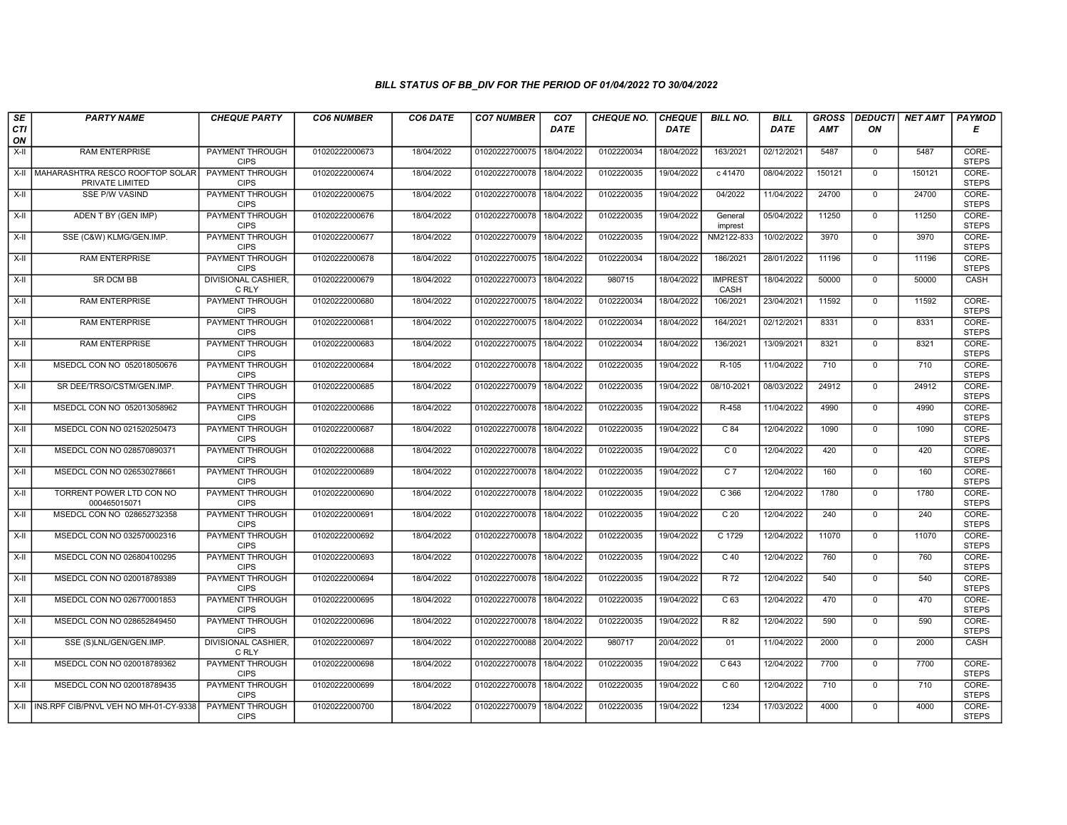| SE               | <b>PARTY NAME</b>                                         | <b>CHEQUE PARTY</b>                   | <b>CO6 NUMBER</b> | CO6 DATE   | <b>CO7 NUMBER</b> | CO <sub>7</sub> | <b>CHEQUE NO.</b> | <b>CHEQUE</b> | <b>BILL NO.</b>        | <b>BILL</b> | <b>GROSS</b> | <b>DEDUCTI</b> | NET AMT | <b>PAYMOD</b>         |
|------------------|-----------------------------------------------------------|---------------------------------------|-------------------|------------|-------------------|-----------------|-------------------|---------------|------------------------|-------------|--------------|----------------|---------|-----------------------|
| <b>CTI</b><br>ON |                                                           |                                       |                   |            |                   | <b>DATE</b>     |                   | <b>DATE</b>   |                        | <b>DATE</b> | AMT          | ON             |         | Е                     |
| $X-H$            | <b>RAM ENTERPRISE</b>                                     | <b>PAYMENT THROUGH</b><br><b>CIPS</b> | 01020222000673    | 18/04/2022 | 01020222700075    | 18/04/2022      | 0102220034        | 18/04/2022    | 163/2021               | 02/12/2021  | 5487         | $\mathbf{0}$   | 5487    | CORE-<br><b>STEPS</b> |
|                  | X-II   MAHARASHTRA RESCO ROOFTOP SOLAR<br>PRIVATE LIMITED | <b>PAYMENT THROUGH</b><br><b>CIPS</b> | 01020222000674    | 18/04/2022 | 01020222700078    | 18/04/2022      | 0102220035        | 19/04/2022    | c 41470                | 08/04/2022  | 150121       | $\mathbf 0$    | 150121  | CORE-<br><b>STEPS</b> |
| $X-II$           | SSE P/W VASIND                                            | PAYMENT THROUGH<br><b>CIPS</b>        | 01020222000675    | 18/04/2022 | 01020222700078    | 18/04/2022      | 0102220035        | 19/04/2022    | 04/2022                | 11/04/2022  | 24700        | $\mathbf 0$    | 24700   | CORE-<br><b>STEPS</b> |
| $X-H$            | ADEN T BY (GEN IMP)                                       | PAYMENT THROUGH<br><b>CIPS</b>        | 01020222000676    | 18/04/2022 | 01020222700078    | 18/04/2022      | 0102220035        | 19/04/2022    | General<br>imprest     | 05/04/2022  | 11250        | $\overline{0}$ | 11250   | CORE-<br><b>STEPS</b> |
| $X-H$            | SSE (C&W) KLMG/GEN.IMP.                                   | <b>PAYMENT THROUGH</b><br><b>CIPS</b> | 01020222000677    | 18/04/2022 | 01020222700079    | 18/04/2022      | 0102220035        | 19/04/2022    | NM2122-833             | 10/02/2022  | 3970         | $\mathbf 0$    | 3970    | CORE-<br><b>STEPS</b> |
| $X-H$            | <b>RAM ENTERPRISE</b>                                     | <b>PAYMENT THROUGH</b><br><b>CIPS</b> | 01020222000678    | 18/04/2022 | 01020222700075    | 18/04/2022      | 0102220034        | 18/04/2022    | 186/2021               | 28/01/2022  | 11196        | $\mathbf 0$    | 11196   | CORE-<br><b>STEPS</b> |
| $X-II$           | SR DCM BB                                                 | <b>DIVISIONAL CASHIER.</b><br>C RLY   | 01020222000679    | 18/04/2022 | 01020222700073    | 18/04/2022      | 980715            | 18/04/2022    | <b>IMPREST</b><br>CASH | 18/04/2022  | 50000        | $\mathbf{0}$   | 50000   | CASH                  |
| $X-II$           | <b>RAM ENTERPRISE</b>                                     | PAYMENT THROUGH<br><b>CIPS</b>        | 01020222000680    | 18/04/2022 | 01020222700075    | 18/04/2022      | 0102220034        | 18/04/2022    | 106/2021               | 23/04/2021  | 11592        | $\mathbf 0$    | 11592   | CORE-<br><b>STEPS</b> |
| $X-H$            | <b>RAM ENTERPRISE</b>                                     | PAYMENT THROUGH<br><b>CIPS</b>        | 01020222000681    | 18/04/2022 | 01020222700075    | 18/04/2022      | 0102220034        | 18/04/2022    | 164/2021               | 02/12/2021  | 8331         | $\overline{0}$ | 8331    | CORE-<br><b>STEPS</b> |
| $X-H$            | <b>RAM ENTERPRISE</b>                                     | <b>PAYMENT THROUGH</b><br><b>CIPS</b> | 01020222000683    | 18/04/2022 | 01020222700075    | 18/04/2022      | 0102220034        | 18/04/2022    | 136/2021               | 13/09/2021  | 8321         | $\mathbf{0}$   | 8321    | CORE-<br><b>STEPS</b> |
| X-II             | MSEDCL CON NO 052018050676                                | PAYMENT THROUGH<br><b>CIPS</b>        | 01020222000684    | 18/04/2022 | 01020222700078    | 18/04/2022      | 0102220035        | 19/04/2022    | R-105                  | 11/04/2022  | 710          | $\mathbf{0}$   | 710     | CORE-<br><b>STEPS</b> |
| $X-H$            | SR DEE/TRSO/CSTM/GEN.IMP.                                 | PAYMENT THROUGH<br><b>CIPS</b>        | 01020222000685    | 18/04/2022 | 01020222700079    | 18/04/2022      | 0102220035        | 19/04/2022    | 08/10-2021             | 08/03/2022  | 24912        | $\mathbf 0$    | 24912   | CORE-<br><b>STEPS</b> |
| X-II             | MSEDCL CON NO 052013058962                                | <b>PAYMENT THROUGH</b><br><b>CIPS</b> | 01020222000686    | 18/04/2022 | 01020222700078    | 18/04/2022      | 0102220035        | 19/04/2022    | R-458                  | 11/04/2022  | 4990         | $\mathbf 0$    | 4990    | CORE-<br><b>STEPS</b> |
| $X-H$            | MSEDCL CON NO 021520250473                                | PAYMENT THROUGH<br><b>CIPS</b>        | 01020222000687    | 18/04/2022 | 01020222700078    | 18/04/2022      | 0102220035        | 19/04/2022    | $C_84$                 | 12/04/2022  | 1090         | $\Omega$       | 1090    | CORE-<br><b>STEPS</b> |
| X-II             | MSEDCL CON NO 028570890371                                | PAYMENT THROUGH<br><b>CIPS</b>        | 01020222000688    | 18/04/2022 | 01020222700078    | 18/04/2022      | 0102220035        | 19/04/2022    | C <sub>0</sub>         | 12/04/2022  | 420          | $\mathbf 0$    | 420     | CORE-<br><b>STEPS</b> |
| X-II             | MSEDCL CON NO 026530278661                                | PAYMENT THROUGH<br><b>CIPS</b>        | 01020222000689    | 18/04/2022 | 01020222700078    | 18/04/2022      | 0102220035        | 19/04/2022    | C <sub>7</sub>         | 12/04/2022  | 160          | $\mathbf 0$    | 160     | CORE-<br><b>STEPS</b> |
| X-II             | TORRENT POWER LTD CON NO<br>000465015071                  | PAYMENT THROUGH<br><b>CIPS</b>        | 01020222000690    | 18/04/2022 | 01020222700078    | 18/04/2022      | 0102220035        | 19/04/2022    | $C$ 366                | 12/04/2022  | 1780         | $\mathbf{0}$   | 1780    | CORE-<br><b>STEPS</b> |
| X-II             | MSEDCL CON NO 028652732358                                | <b>PAYMENT THROUGH</b><br><b>CIPS</b> | 01020222000691    | 18/04/2022 | 01020222700078    | 18/04/2022      | 0102220035        | 19/04/2022    | C <sub>20</sub>        | 12/04/2022  | 240          | $\mathbf 0$    | 240     | CORE-<br><b>STEPS</b> |
| X-II             | MSEDCL CON NO 032570002316                                | PAYMENT THROUGH<br><b>CIPS</b>        | 01020222000692    | 18/04/2022 | 01020222700078    | 18/04/2022      | 0102220035        | 19/04/2022    | C 1729                 | 12/04/2022  | 11070        | $\mathbf 0$    | 11070   | CORE-<br><b>STEPS</b> |
| $X-II$           | MSEDCL CON NO 026804100295                                | PAYMENT THROUGH<br><b>CIPS</b>        | 01020222000693    | 18/04/2022 | 01020222700078    | 18/04/2022      | 0102220035        | 19/04/2022    | C <sub>40</sub>        | 12/04/2022  | 760          | $\mathbf 0$    | 760     | CORE-<br><b>STEPS</b> |
| $X-H$            | MSEDCL CON NO 020018789389                                | PAYMENT THROUGH<br><b>CIPS</b>        | 01020222000694    | 18/04/2022 | 01020222700078    | 18/04/2022      | 0102220035        | 19/04/2022    | R 72                   | 12/04/2022  | 540          | $\mathbf 0$    | 540     | CORE-<br><b>STEPS</b> |
| $X-H$            | MSEDCL CON NO 026770001853                                | PAYMENT THROUGH<br><b>CIPS</b>        | 01020222000695    | 18/04/2022 | 01020222700078    | 18/04/2022      | 0102220035        | 19/04/2022    | C <sub>63</sub>        | 12/04/2022  | 470          | $\mathbf{0}$   | 470     | CORE-<br><b>STEPS</b> |
| X-II             | MSEDCL CON NO 028652849450                                | PAYMENT THROUGH<br><b>CIPS</b>        | 01020222000696    | 18/04/2022 | 01020222700078    | 18/04/2022      | 0102220035        | 19/04/2022    | R 82                   | 12/04/2022  | 590          | 0              | 590     | CORE-<br><b>STEPS</b> |
| $X-H$            | SSE (S)LNL/GEN/GEN.IMP.                                   | DIVISIONAL CASHIER.<br>C RLY          | 01020222000697    | 18/04/2022 | 01020222700088    | 20/04/2022      | 980717            | 20/04/2022    | 01                     | 11/04/2022  | 2000         | $\mathbf 0$    | 2000    | CASH                  |
| $X-H$            | MSEDCL CON NO 020018789362                                | PAYMENT THROUGH<br><b>CIPS</b>        | 01020222000698    | 18/04/2022 | 01020222700078    | 18/04/2022      | 0102220035        | 19/04/2022    | C <sub>643</sub>       | 12/04/2022  | 7700         | $\mathbf 0$    | 7700    | CORE-<br><b>STEPS</b> |
| $X-H$            | MSEDCL CON NO 020018789435                                | <b>PAYMENT THROUGH</b><br><b>CIPS</b> | 01020222000699    | 18/04/2022 | 01020222700078    | 18/04/2022      | 0102220035        | 19/04/2022    | C <sub>60</sub>        | 12/04/2022  | 710          | $\Omega$       | 710     | CORE-<br><b>STEPS</b> |
|                  | X-II   INS.RPF CIB/PNVL VEH NO MH-01-CY-9338              | <b>PAYMENT THROUGH</b><br><b>CIPS</b> | 01020222000700    | 18/04/2022 | 01020222700079    | 18/04/2022      | 0102220035        | 19/04/2022    | 1234                   | 17/03/2022  | 4000         | $\mathbf{0}$   | 4000    | CORE-<br><b>STEPS</b> |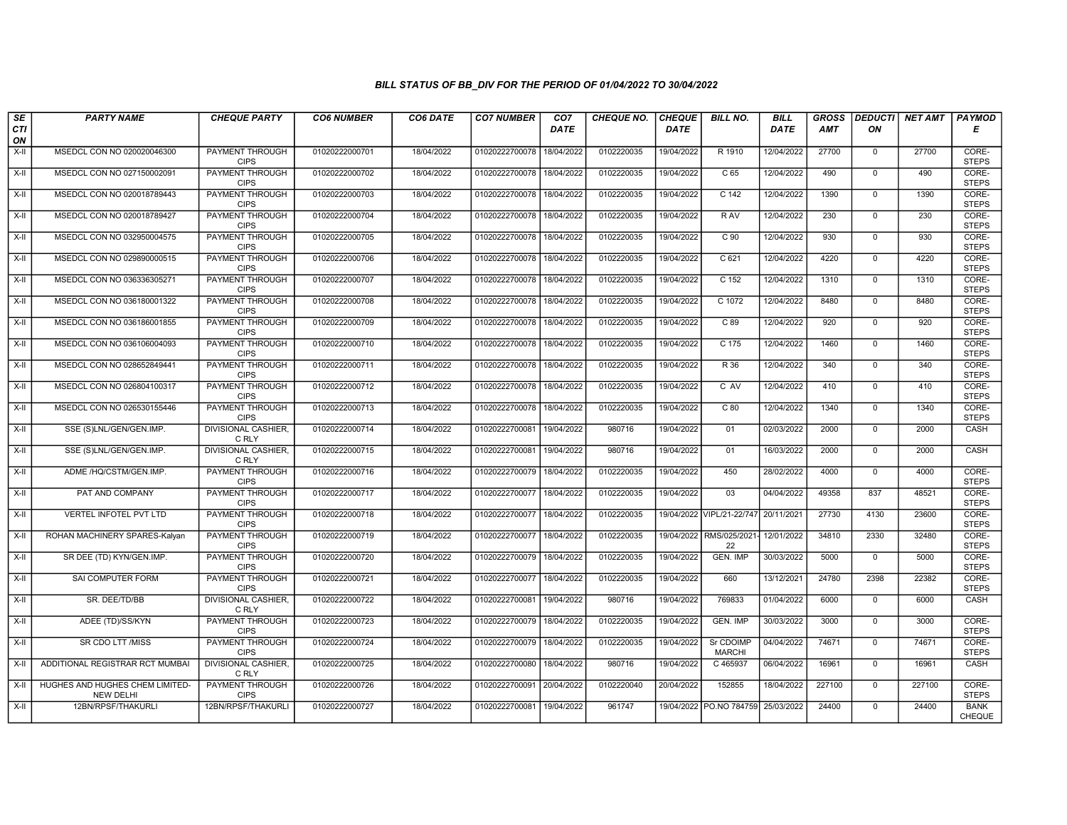| $\sqrt{SE}$<br>CTI | <b>PARTY NAME</b>                                   | <b>CHEQUE PARTY</b>                   | <b>CO6 NUMBER</b> | CO6 DATE   | <b>CO7 NUMBER</b>         | CO <sub>7</sub><br><b>DATE</b> | <b>CHEQUE NO.</b> | <b>CHEQUE</b><br><b>DATE</b> | <b>BILL NO.</b>               | <b>BILL</b><br><b>DATE</b> | <b>GROSS</b><br><b>AMT</b> | ON             | DEDUCTI NET AMT | <b>PAYMOD</b><br>Е    |
|--------------------|-----------------------------------------------------|---------------------------------------|-------------------|------------|---------------------------|--------------------------------|-------------------|------------------------------|-------------------------------|----------------------------|----------------------------|----------------|-----------------|-----------------------|
| ON                 |                                                     |                                       |                   |            |                           |                                |                   |                              |                               |                            |                            |                |                 |                       |
| $X-H$              | MSEDCL CON NO 020020046300                          | PAYMENT THROUGH<br><b>CIPS</b>        | 01020222000701    | 18/04/2022 | 01020222700078            | 18/04/2022                     | 0102220035        | 19/04/2022                   | R 1910                        | 12/04/2022                 | 27700                      | $\overline{0}$ | 27700           | CORE-<br><b>STEPS</b> |
| $X-H$              | MSEDCL CON NO 027150002091                          | PAYMENT THROUGH<br><b>CIPS</b>        | 01020222000702    | 18/04/2022 | 01020222700078            | 18/04/2022                     | 0102220035        | 19/04/2022                   | C <sub>65</sub>               | 12/04/2022                 | 490                        | $\Omega$       | 490             | CORE-<br><b>STEPS</b> |
| X-II               | MSEDCL CON NO 020018789443                          | PAYMENT THROUGH<br><b>CIPS</b>        | 01020222000703    | 18/04/2022 | 01020222700078            | 18/04/2022                     | 0102220035        | 19/04/2022                   | C <sub>142</sub>              | 12/04/2022                 | 1390                       | $\mathbf 0$    | 1390            | CORE-<br><b>STEPS</b> |
| X-II               | MSEDCL CON NO 020018789427                          | <b>PAYMENT THROUGH</b><br><b>CIPS</b> | 01020222000704    | 18/04/2022 | 01020222700078            | 18/04/2022                     | 0102220035        | 19/04/2022                   | R AV                          | 12/04/2022                 | 230                        | $\mathbf 0$    | 230             | CORE-<br><b>STEPS</b> |
| X-II               | MSEDCL CON NO 032950004575                          | <b>PAYMENT THROUGH</b><br><b>CIPS</b> | 01020222000705    | 18/04/2022 | 01020222700078            | 18/04/2022                     | 0102220035        | 19/04/2022                   | C <sub>90</sub>               | 12/04/2022                 | 930                        | $\mathbf 0$    | 930             | CORE-<br><b>STEPS</b> |
| X-II               | MSEDCL CON NO 029890000515                          | <b>PAYMENT THROUGH</b><br><b>CIPS</b> | 01020222000706    | 18/04/2022 | 01020222700078            | 18/04/2022                     | 0102220035        | 19/04/2022                   | C <sub>621</sub>              | 12/04/2022                 | 4220                       | $\overline{0}$ | 4220            | CORE-<br><b>STEPS</b> |
| X-II               | MSEDCL CON NO 036336305271                          | PAYMENT THROUGH<br><b>CIPS</b>        | 01020222000707    | 18/04/2022 | 01020222700078            | 18/04/2022                     | 0102220035        | 19/04/2022                   | C 152                         | 12/04/2022                 | 1310                       | $\mathbf 0$    | 1310            | CORE-<br><b>STEPS</b> |
| $X-H$              | MSEDCL CON NO 036180001322                          | PAYMENT THROUGH<br><b>CIPS</b>        | 01020222000708    | 18/04/2022 | 01020222700078            | 18/04/2022                     | 0102220035        | 19/04/2022                   | $C$ 1072                      | 12/04/2022                 | 8480                       | $\overline{0}$ | 8480            | CORE-<br><b>STEPS</b> |
| X-II               | MSEDCL CON NO 036186001855                          | <b>PAYMENT THROUGH</b><br><b>CIPS</b> | 01020222000709    | 18/04/2022 | 01020222700078            | 18/04/2022                     | 0102220035        | 19/04/2022                   | C89                           | 12/04/2022                 | 920                        | $\mathbf{0}$   | 920             | CORE-<br><b>STEPS</b> |
| $X-H$              | MSEDCL CON NO 036106004093                          | <b>PAYMENT THROUGH</b><br><b>CIPS</b> | 01020222000710    | 18/04/2022 | 01020222700078            | 18/04/2022                     | 0102220035        | 19/04/2022                   | $C$ 175                       | 12/04/2022                 | 1460                       | $\overline{0}$ | 1460            | CORE-<br><b>STEPS</b> |
| X-II               | MSEDCL CON NO 028652849441                          | PAYMENT THROUGH<br><b>CIPS</b>        | 01020222000711    | 18/04/2022 | 01020222700078            | 18/04/2022                     | 0102220035        | 19/04/2022                   | R 36                          | 12/04/2022                 | 340                        | $\mathbf 0$    | 340             | CORE-<br><b>STEPS</b> |
| X-II               | MSEDCL CON NO 026804100317                          | <b>PAYMENT THROUGH</b><br><b>CIPS</b> | 01020222000712    | 18/04/2022 | 01020222700078            | 18/04/2022                     | 0102220035        | 19/04/2022                   | C AV                          | 12/04/2022                 | 410                        | $\mathbf{0}$   | 410             | CORE-<br><b>STEPS</b> |
| $X-H$              | MSEDCL CON NO 026530155446                          | <b>PAYMENT THROUGH</b><br><b>CIPS</b> | 01020222000713    | 18/04/2022 | 01020222700078            | 18/04/2022                     | 0102220035        | 19/04/2022                   | C80                           | 12/04/2022                 | 1340                       | $\overline{0}$ | 1340            | CORE-<br><b>STEPS</b> |
| X-II               | SSE (S)LNL/GEN/GEN.IMP.                             | DIVISIONAL CASHIER,<br>C RLY          | 01020222000714    | 18/04/2022 | 01020222700081            | 19/04/2022                     | 980716            | 19/04/2022                   | 01                            | 02/03/2022                 | 2000                       | $\mathbf{0}$   | 2000            | CASH                  |
| X-II               | SSE (S)LNL/GEN/GEN.IMP.                             | DIVISIONAL CASHIER,<br>C RLY          | 01020222000715    | 18/04/2022 | 01020222700081            | 19/04/2022                     | 980716            | 19/04/2022                   | 01                            | 16/03/2022                 | 2000                       | $\Omega$       | 2000            | CASH                  |
| X-II               | ADME /HQ/CSTM/GEN.IMP.                              | PAYMENT THROUGH<br><b>CIPS</b>        | 01020222000716    | 18/04/2022 | 01020222700079            | 18/04/2022                     | 0102220035        | 19/04/2022                   | 450                           | 28/02/2022                 | 4000                       | $\mathbf{0}$   | 4000            | CORE-<br><b>STEPS</b> |
| X-II               | PAT AND COMPANY                                     | <b>PAYMENT THROUGH</b><br><b>CIPS</b> | 01020222000717    | 18/04/2022 | 01020222700077            | 18/04/2022                     | 0102220035        | 19/04/2022                   | 03                            | 04/04/2022                 | 49358                      | 837            | 48521           | CORE-<br><b>STEPS</b> |
| X-II               | <b>VERTEL INFOTEL PVT LTD</b>                       | <b>PAYMENT THROUGH</b><br><b>CIPS</b> | 01020222000718    | 18/04/2022 | 01020222700077            | 18/04/2022                     | 0102220035        |                              | 19/04/2022 VIPL/21-22/747     | 20/11/2021                 | 27730                      | 4130           | 23600           | CORE-<br><b>STEPS</b> |
| X-II               | ROHAN MACHINERY SPARES-Kalyan                       | <b>PAYMENT THROUGH</b><br><b>CIPS</b> | 01020222000719    | 18/04/2022 | 01020222700077            | 18/04/2022                     | 0102220035        |                              | 19/04/2022 RMS/025/2021<br>22 | 12/01/2022                 | 34810                      | 2330           | 32480           | CORE-<br><b>STEPS</b> |
| X-II               | SR DEE (TD) KYN/GEN.IMP.                            | PAYMENT THROUGH<br><b>CIPS</b>        | 01020222000720    | 18/04/2022 | 01020222700079            | 18/04/2022                     | 0102220035        | 19/04/2022                   | <b>GEN. IMP</b>               | 30/03/2022                 | 5000                       | $\Omega$       | 5000            | CORE-<br><b>STEPS</b> |
| X-II               | SAI COMPUTER FORM                                   | <b>PAYMENT THROUGH</b><br><b>CIPS</b> | 01020222000721    | 18/04/2022 | 01020222700077            | 18/04/2022                     | 0102220035        | 19/04/2022                   | 660                           | 13/12/2021                 | 24780                      | 2398           | 22382           | CORE-<br><b>STEPS</b> |
| X-II               | SR. DEE/TD/BB                                       | <b>DIVISIONAL CASHIER,</b><br>C RLY   | 01020222000722    | 18/04/2022 | 01020222700081            | 19/04/2022                     | 980716            | 19/04/2022                   | 769833                        | 01/04/2022                 | 6000                       | $\Omega$       | 6000            | CASH                  |
| X-II               | ADEE (TD)/SS/KYN                                    | PAYMENT THROUGH<br><b>CIPS</b>        | 01020222000723    | 18/04/2022 | 01020222700079            | 18/04/2022                     | 0102220035        | 19/04/2022                   | GEN. IMP                      | 30/03/2022                 | 3000                       | $\mathbf 0$    | 3000            | CORE-<br><b>STEPS</b> |
| X-II               | SR CDO LTT /MISS                                    | PAYMENT THROUGH<br><b>CIPS</b>        | 01020222000724    | 18/04/2022 | 01020222700079            | 18/04/2022                     | 0102220035        | 19/04/2022                   | Sr CDOIMP<br><b>MARCHI</b>    | 04/04/2022                 | 74671                      | $\Omega$       | 74671           | CORE-<br><b>STEPS</b> |
| X-II               | ADDITIONAL REGISTRAR RCT MUMBAI                     | <b>DIVISIONAL CASHIER,</b><br>C RLY   | 01020222000725    | 18/04/2022 | 01020222700080            | 18/04/2022                     | 980716            | 19/04/2022                   | C 465937                      | 06/04/2022                 | 16961                      | $\Omega$       | 16961           | CASH                  |
| X-II               | HUGHES AND HUGHES CHEM LIMITED-<br><b>NEW DELHI</b> | <b>PAYMENT THROUGH</b><br><b>CIPS</b> | 01020222000726    | 18/04/2022 | 01020222700091 20/04/2022 |                                | 0102220040        | 20/04/2022                   | 152855                        | 18/04/2022                 | 227100                     | $\mathbf 0$    | 227100          | CORE-<br><b>STEPS</b> |
| X-II               | 12BN/RPSF/THAKURLI                                  | 12BN/RPSF/THAKURLI                    | 01020222000727    | 18/04/2022 | 01020222700081            | 19/04/2022                     | 961747            |                              | 19/04/2022 PO.NO 784759       | 25/03/2022                 | 24400                      | $\mathbf 0$    | 24400           | <b>BANK</b><br>CHEQUE |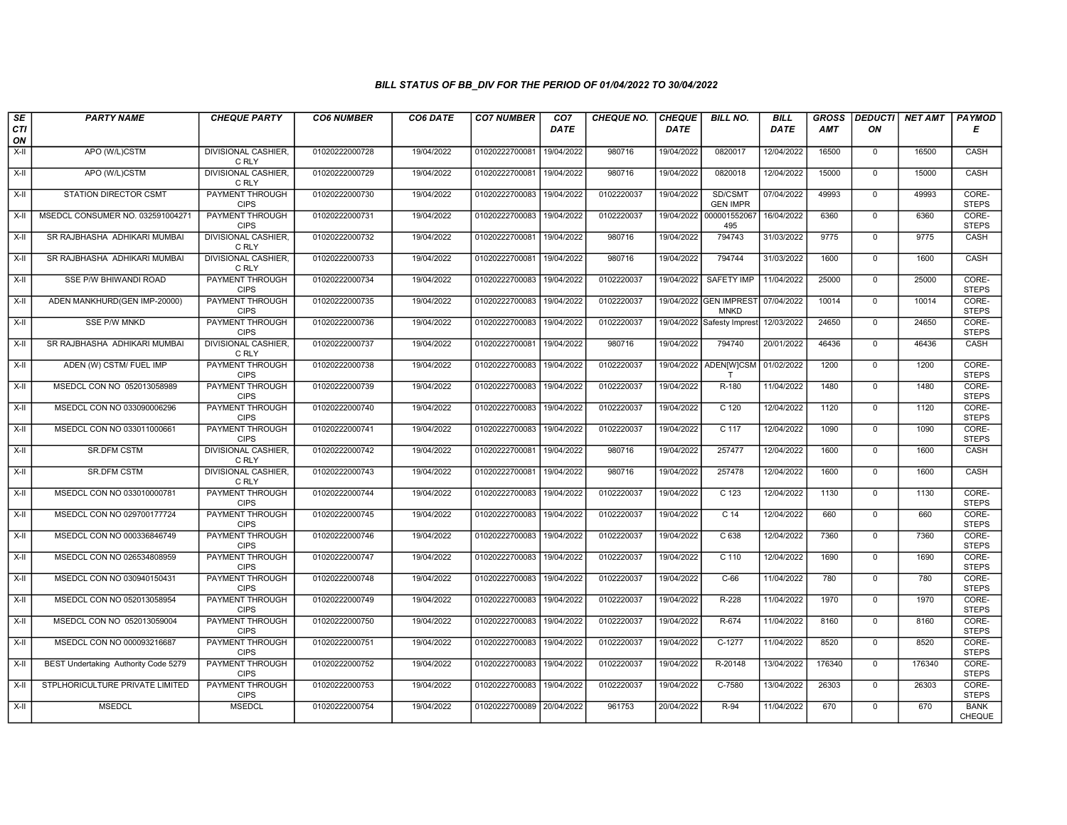| SE               | <b>PARTY NAME</b>                    | <b>CHEQUE PARTY</b>                   | <b>CO6 NUMBER</b> | CO6 DATE   | <b>CO7 NUMBER</b>         | CO <sub>7</sub> | <b>CHEQUE NO.</b> | <b>CHEQUE</b> | <b>BILL NO.</b>                       | <b>BILL</b> | <b>GROSS</b> | <b>DEDUCTI</b> | <b>NET AMT</b> | <b>PAYMOD</b>                |
|------------------|--------------------------------------|---------------------------------------|-------------------|------------|---------------------------|-----------------|-------------------|---------------|---------------------------------------|-------------|--------------|----------------|----------------|------------------------------|
| <b>CTI</b><br>ON |                                      |                                       |                   |            |                           | DATE            |                   | <b>DATE</b>   |                                       | DATE        | <b>AMT</b>   | ΟN             |                | Е                            |
| $X-H$            | APO (W/L)CSTM                        | <b>DIVISIONAL CASHIER,</b><br>C RLY   | 01020222000728    | 19/04/2022 | 01020222700081            | 19/04/2022      | 980716            | 19/04/2022    | 0820017                               | 12/04/2022  | 16500        | $\mathbf{0}$   | 16500          | CASH                         |
| X-II             | APO (W/L)CSTM                        | <b>DIVISIONAL CASHIER,</b><br>C RLY   | 01020222000729    | 19/04/2022 | 01020222700081            | 19/04/2022      | 980716            | 19/04/2022    | 0820018                               | 12/04/2022  | 15000        | $\mathbf 0$    | 15000          | CASH                         |
| X-II             | <b>STATION DIRECTOR CSMT</b>         | PAYMENT THROUGH<br><b>CIPS</b>        | 01020222000730    | 19/04/2022 | 01020222700083            | 19/04/2022      | 0102220037        | 19/04/2022    | SD/CSMT<br><b>GEN IMPR</b>            | 07/04/2022  | 49993        | $\mathbf 0$    | 49993          | CORE-<br><b>STEPS</b>        |
| X-II             | MSEDCL CONSUMER NO. 032591004271     | PAYMENT THROUGH<br><b>CIPS</b>        | 01020222000731    | 19/04/2022 | 01020222700083            | 19/04/2022      | 0102220037        | 19/04/2022    | 000001552067<br>495                   | 16/04/2022  | 6360         | $\overline{0}$ | 6360           | CORE-<br><b>STEPS</b>        |
| $X-H$            | SR RAJBHASHA ADHIKARI MUMBAI         | <b>DIVISIONAL CASHIER</b><br>C RLY    | 01020222000732    | 19/04/2022 | 01020222700081            | 19/04/2022      | 980716            | 19/04/2022    | 794743                                | 31/03/2022  | 9775         | $\overline{0}$ | 9775           | CASH                         |
| X-II             | SR RAJBHASHA ADHIKARI MUMBAI         | <b>DIVISIONAL CASHIER,</b><br>C RLY   | 01020222000733    | 19/04/2022 | 01020222700081            | 19/04/2022      | 980716            | 19/04/2022    | 794744                                | 31/03/2022  | 1600         | $\Omega$       | 1600           | CASH                         |
| X-II             | SSE P/W BHIWANDI ROAD                | PAYMENT THROUGH<br><b>CIPS</b>        | 01020222000734    | 19/04/2022 | 01020222700083            | 19/04/2022      | 0102220037        | 19/04/2022    | <b>SAFETY IMP</b>                     | 11/04/2022  | 25000        | $\mathbf{0}$   | 25000          | CORE-<br><b>STEPS</b>        |
| X-II             | ADEN MANKHURD(GEN IMP-20000)         | PAYMENT THROUGH<br><b>CIPS</b>        | 01020222000735    | 19/04/2022 | 01020222700083            | 19/04/2022      | 0102220037        |               | 19/04/2022 GEN IMPREST<br><b>MNKD</b> | 07/04/2022  | 10014        | $\overline{0}$ | 10014          | CORE-<br><b>STEPS</b>        |
| X-II             | <b>SSE P/W MNKD</b>                  | <b>PAYMENT THROUGH</b><br><b>CIPS</b> | 01020222000736    | 19/04/2022 | 01020222700083            | 19/04/2022      | 0102220037        |               | 19/04/2022 Safesty Imprest            | 12/03/2022  | 24650        | $\overline{0}$ | 24650          | CORE-<br><b>STEPS</b>        |
| $X-H$            | SR RAJBHASHA ADHIKARI MUMBAI         | <b>DIVISIONAL CASHIER</b><br>C RLY    | 01020222000737    | 19/04/2022 | 01020222700081            | 19/04/2022      | 980716            | 19/04/2022    | 794740                                | 20/01/2022  | 46436        | $\overline{0}$ | 46436          | CASH                         |
| X-II             | ADEN (W) CSTM/ FUEL IMP              | PAYMENT THROUGH<br><b>CIPS</b>        | 01020222000738    | 19/04/2022 | 01020222700083            | 19/04/2022      | 0102220037        |               | 19/04/2022 ADEN[W]CSM                 | 01/02/2022  | 1200         | $\mathbf 0$    | 1200           | CORE-<br><b>STEPS</b>        |
| X-II             | MSEDCL CON NO 052013058989           | <b>PAYMENT THROUGH</b><br><b>CIPS</b> | 01020222000739    | 19/04/2022 | 01020222700083            | 19/04/2022      | 0102220037        | 19/04/2022    | R-180                                 | 11/04/2022  | 1480         | $\overline{0}$ | 1480           | CORE-<br><b>STEPS</b>        |
| X-II             | MSEDCL CON NO 033090006296           | <b>PAYMENT THROUGH</b><br><b>CIPS</b> | 01020222000740    | 19/04/2022 | 01020222700083 19/04/2022 |                 | 0102220037        | 19/04/2022    | $C$ 120                               | 12/04/2022  | 1120         | $\mathbf 0$    | 1120           | CORE-<br><b>STEPS</b>        |
| X-II             | MSEDCL CON NO 033011000661           | <b>PAYMENT THROUGH</b><br><b>CIPS</b> | 01020222000741    | 19/04/2022 | 01020222700083            | 19/04/2022      | 0102220037        | 19/04/2022    | C 117                                 | 12/04/2022  | 1090         | $\mathbf 0$    | 1090           | CORE-<br><b>STEPS</b>        |
| $X-II$           | <b>SR.DFM CSTM</b>                   | <b>DIVISIONAL CASHIER,</b><br>C RLY   | 01020222000742    | 19/04/2022 | 01020222700081            | 19/04/2022      | 980716            | 19/04/2022    | 257477                                | 12/04/2022  | 1600         | $\Omega$       | 1600           | CASH                         |
| X-II             | <b>SR.DFM CSTM</b>                   | <b>DIVISIONAL CASHIER,</b><br>C RLY   | 01020222000743    | 19/04/2022 | 01020222700081            | 19/04/2022      | 980716            | 19/04/2022    | 257478                                | 12/04/2022  | 1600         | $\overline{0}$ | 1600           | CASH                         |
| $X-H$            | MSEDCL CON NO 033010000781           | <b>PAYMENT THROUGH</b><br><b>CIPS</b> | 01020222000744    | 19/04/2022 | 01020222700083            | 19/04/2022      | 0102220037        | 19/04/2022    | $\overline{C}$ 123                    | 12/04/2022  | 1130         | $\overline{0}$ | 1130           | CORE-<br><b>STEPS</b>        |
| X-II             | MSEDCL CON NO 029700177724           | <b>PAYMENT THROUGH</b><br><b>CIPS</b> | 01020222000745    | 19/04/2022 | 01020222700083 19/04/2022 |                 | 0102220037        | 19/04/2022    | C <sub>14</sub>                       | 12/04/2022  | 660          | $\mathbf{0}$   | 660            | CORE-<br><b>STEPS</b>        |
| X-II             | MSEDCL CON NO 000336846749           | PAYMENT THROUGH<br><b>CIPS</b>        | 01020222000746    | 19/04/2022 | 01020222700083            | 19/04/2022      | 0102220037        | 19/04/2022    | C <sub>638</sub>                      | 12/04/2022  | 7360         | $\mathbf 0$    | 7360           | CORE-<br><b>STEPS</b>        |
| $X-II$           | MSEDCL CON NO 026534808959           | PAYMENT THROUGH<br><b>CIPS</b>        | 01020222000747    | 19/04/2022 | 01020222700083            | 19/04/2022      | 0102220037        | 19/04/2022    | $C$ 110                               | 12/04/2022  | 1690         | $\mathbf{0}$   | 1690           | CORE-<br><b>STEPS</b>        |
| X-II             | MSEDCL CON NO 030940150431           | PAYMENT THROUGH<br><b>CIPS</b>        | 01020222000748    | 19/04/2022 | 01020222700083            | 19/04/2022      | 0102220037        | 19/04/2022    | $C-66$                                | 11/04/2022  | 780          | $\mathbf{0}$   | 780            | CORE-<br><b>STEPS</b>        |
| $X-H$            | MSEDCL CON NO 052013058954           | <b>PAYMENT THROUGH</b><br><b>CIPS</b> | 01020222000749    | 19/04/2022 | 01020222700083            | 19/04/2022      | 0102220037        | 19/04/2022    | R-228                                 | 11/04/2022  | 1970         | $\overline{0}$ | 1970           | CORE-<br><b>STEPS</b>        |
| X-II             | MSEDCL CON NO 052013059004           | <b>PAYMENT THROUGH</b><br><b>CIPS</b> | 01020222000750    | 19/04/2022 | 01020222700083            | 19/04/2022      | 0102220037        | 19/04/2022    | R-674                                 | 11/04/2022  | 8160         | $\mathbf 0$    | 8160           | CORE-<br><b>STEPS</b>        |
| $X-H$            | MSEDCL CON NO 000093216687           | PAYMENT THROUGH<br><b>CIPS</b>        | 01020222000751    | 19/04/2022 | 01020222700083            | 19/04/2022      | 0102220037        | 19/04/2022    | $C-1277$                              | 11/04/2022  | 8520         | $\mathbf{0}$   | 8520           | CORE-<br><b>STEPS</b>        |
| $X-H$            | BEST Undertaking Authority Code 5279 | <b>PAYMENT THROUGH</b><br><b>CIPS</b> | 01020222000752    | 19/04/2022 | 01020222700083            | 19/04/2022      | 0102220037        | 19/04/2022    | R-20148                               | 13/04/2022  | 176340       | $\mathbf 0$    | 176340         | CORE-<br><b>STEPS</b>        |
| $X-H$            | STPLHORICULTURE PRIVATE LIMITED      | <b>PAYMENT THROUGH</b><br><b>CIPS</b> | 01020222000753    | 19/04/2022 | 01020222700083            | 19/04/2022      | 0102220037        | 19/04/2022    | $C-7580$                              | 13/04/2022  | 26303        | $\overline{0}$ | 26303          | CORE-<br><b>STEPS</b>        |
| $X-H$            | <b>MSEDCL</b>                        | <b>MSEDCL</b>                         | 01020222000754    | 19/04/2022 | 01020222700089 20/04/2022 |                 | 961753            | 20/04/2022    | $R-94$                                | 11/04/2022  | 670          | $\mathbf 0$    | 670            | <b>BANK</b><br><b>CHEQUE</b> |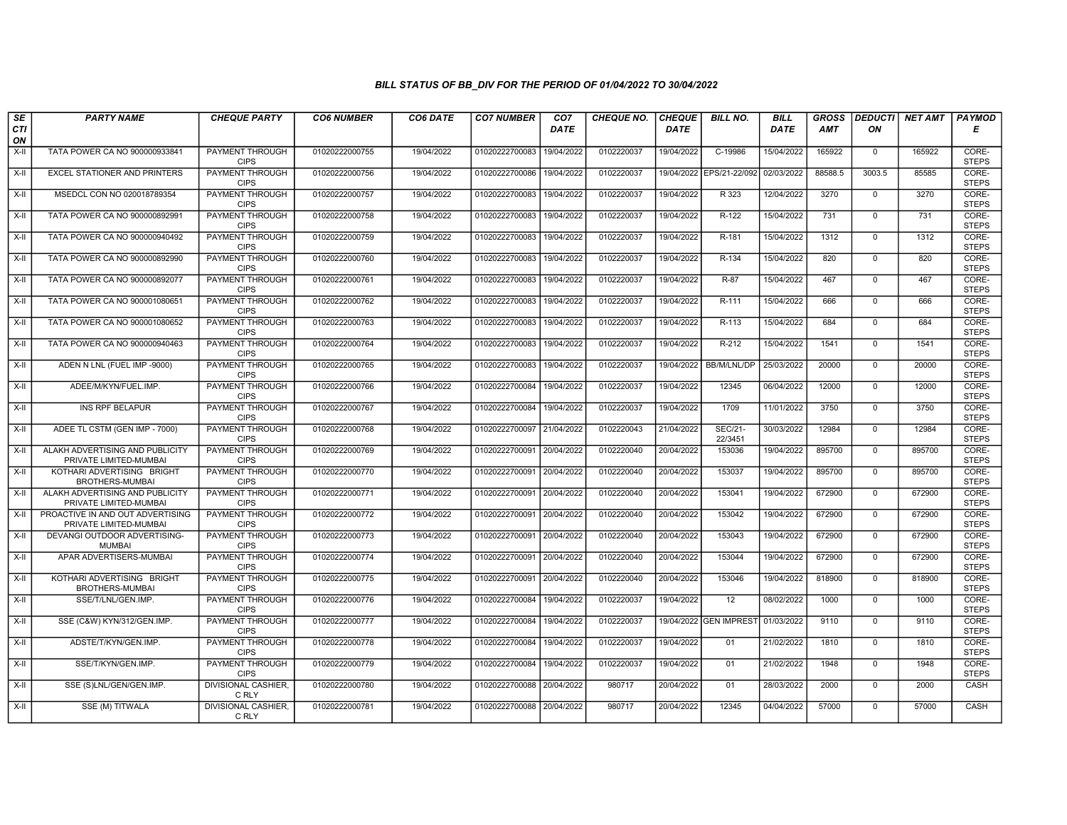| SE               | <b>PARTY NAME</b>                                          | <b>CHEQUE PARTY</b>                   | <b>CO6 NUMBER</b> | CO6 DATE   | <b>CO7 NUMBER</b>         | CO <sub>7</sub> | <b>CHEQUE NO.</b> | <b>CHEQUE</b> | <b>BILL NO.</b>           | <b>BILL</b> | <b>GROSS</b> |                | <b>DEDUCTI NET AMT</b> | <b>PAYMOD</b>         |
|------------------|------------------------------------------------------------|---------------------------------------|-------------------|------------|---------------------------|-----------------|-------------------|---------------|---------------------------|-------------|--------------|----------------|------------------------|-----------------------|
| <b>CTI</b><br>ON |                                                            |                                       |                   |            |                           | <b>DATE</b>     |                   | <b>DATE</b>   |                           | <b>DATE</b> | AMT          | ON             |                        | Е                     |
| $X-H$            | TATA POWER CA NO 900000933841                              | <b>PAYMENT THROUGH</b><br><b>CIPS</b> | 01020222000755    | 19/04/2022 | 01020222700083            | 19/04/2022      | 0102220037        | 19/04/2022    | C-19986                   | 15/04/2022  | 165922       | $\overline{0}$ | 165922                 | CORE-<br><b>STEPS</b> |
| $X-H$            | <b>EXCEL STATIONER AND PRINTERS</b>                        | PAYMENT THROUGH<br><b>CIPS</b>        | 01020222000756    | 19/04/2022 | 01020222700086            | 19/04/2022      | 0102220037        |               | 19/04/2022 EPS/21-22/092  | 02/03/2022  | 88588.5      | 3003.5         | 85585                  | CORE-<br><b>STEPS</b> |
| X-II             | MSEDCL CON NO 020018789354                                 | <b>PAYMENT THROUGH</b><br><b>CIPS</b> | 01020222000757    | 19/04/2022 | 01020222700083            | 19/04/2022      | 0102220037        | 19/04/2022    | R 323                     | 12/04/2022  | 3270         | $\mathbf 0$    | 3270                   | CORE-<br><b>STEPS</b> |
| X-II             | TATA POWER CA NO 900000892991                              | PAYMENT THROUGH<br><b>CIPS</b>        | 01020222000758    | 19/04/2022 | 01020222700083            | 19/04/2022      | 0102220037        | 19/04/2022    | R-122                     | 15/04/2022  | 731          | $\mathbf 0$    | 731                    | CORE-<br><b>STEPS</b> |
| $X-H$            | TATA POWER CA NO 900000940492                              | <b>PAYMENT THROUGH</b><br><b>CIPS</b> | 01020222000759    | 19/04/2022 | 01020222700083            | 19/04/2022      | 0102220037        | 19/04/2022    | R-181                     | 15/04/2022  | 1312         | $\mathbf 0$    | 1312                   | CORE-<br><b>STEPS</b> |
| $X-H$            | TATA POWER CA NO 900000892990                              | PAYMENT THROUGH<br><b>CIPS</b>        | 01020222000760    | 19/04/2022 | 01020222700083            | 19/04/2022      | 0102220037        | 19/04/2022    | $R-134$                   | 15/04/2022  | 820          | $\Omega$       | 820                    | CORE-<br><b>STEPS</b> |
| X-II             | TATA POWER CA NO 900000892077                              | PAYMENT THROUGH<br><b>CIPS</b>        | 01020222000761    | 19/04/2022 | 01020222700083            | 19/04/2022      | 0102220037        | 19/04/2022    | R-87                      | 15/04/2022  | 467          | $\mathbf 0$    | 467                    | CORE-<br><b>STEPS</b> |
| $X-H$            | TATA POWER CA NO 900001080651                              | <b>PAYMENT THROUGH</b><br><b>CIPS</b> | 01020222000762    | 19/04/2022 | 01020222700083            | 19/04/2022      | 0102220037        | 19/04/2022    | R-111                     | 15/04/2022  | 666          | $\overline{0}$ | 666                    | CORE-<br><b>STEPS</b> |
| X-II             | TATA POWER CA NO 900001080652                              | <b>PAYMENT THROUGH</b><br><b>CIPS</b> | 01020222000763    | 19/04/2022 | 01020222700083            | 19/04/2022      | 0102220037        | 19/04/2022    | R-113                     | 15/04/2022  | 684          | $\mathbf{0}$   | 684                    | CORE-<br><b>STEPS</b> |
| $X-H$            | TATA POWER CA NO 900000940463                              | <b>PAYMENT THROUGH</b><br><b>CIPS</b> | 01020222000764    | 19/04/2022 | 01020222700083            | 19/04/2022      | 0102220037        | 19/04/2022    | $R-212$                   | 15/04/2022  | 1541         | $\overline{0}$ | 1541                   | CORE-<br><b>STEPS</b> |
| X-II             | ADEN N LNL (FUEL IMP -9000)                                | PAYMENT THROUGH<br><b>CIPS</b>        | 01020222000765    | 19/04/2022 | 01020222700083            | 19/04/2022      | 0102220037        | 19/04/2022    | BB/M/LNL/DP               | 25/03/2022  | 20000        | $\mathbf 0$    | 20000                  | CORE-<br><b>STEPS</b> |
| X-II             | ADEE/M/KYN/FUEL.IMP.                                       | PAYMENT THROUGH<br><b>CIPS</b>        | 01020222000766    | 19/04/2022 | 01020222700084            | 19/04/2022      | 0102220037        | 19/04/2022    | 12345                     | 06/04/2022  | 12000        | $\mathbf 0$    | 12000                  | CORE-<br><b>STEPS</b> |
| $X-H$            | <b>INS RPF BELAPUR</b>                                     | <b>PAYMENT THROUGH</b><br><b>CIPS</b> | 01020222000767    | 19/04/2022 | 01020222700084            | 19/04/2022      | 0102220037        | 19/04/2022    | 1709                      | 11/01/2022  | 3750         | $\overline{0}$ | 3750                   | CORE-<br><b>STEPS</b> |
| X-II             | ADEE TL CSTM (GEN IMP - 7000)                              | <b>PAYMENT THROUGH</b><br><b>CIPS</b> | 01020222000768    | 19/04/2022 | 01020222700097            | 21/04/2022      | 0102220043        | 21/04/2022    | <b>SEC/21-</b><br>22/3451 | 30/03/2022  | 12984        | $\mathbf{0}$   | 12984                  | CORE-<br><b>STEPS</b> |
| X-II             | ALAKH ADVERTISING AND PUBLICITY<br>PRIVATE LIMITED-MUMBAI  | PAYMENT THROUGH<br><b>CIPS</b>        | 01020222000769    | 19/04/2022 | 01020222700091 20/04/2022 |                 | 0102220040        | 20/04/2022    | 153036                    | 19/04/2022  | 895700       | $\Omega$       | 895700                 | CORE-<br><b>STEPS</b> |
| X-II             | KOTHARI ADVERTISING BRIGHT<br>BROTHERS-MUMBAI              | PAYMENT THROUGH<br><b>CIPS</b>        | 01020222000770    | 19/04/2022 | 01020222700091 20/04/2022 |                 | 0102220040        | 20/04/2022    | 153037                    | 19/04/2022  | 895700       | $\mathbf{0}$   | 895700                 | CORE-<br><b>STEPS</b> |
| X-II             | ALAKH ADVERTISING AND PUBLICITY<br>PRIVATE LIMITED-MUMBAI  | <b>PAYMENT THROUGH</b><br><b>CIPS</b> | 01020222000771    | 19/04/2022 | 01020222700091 20/04/2022 |                 | 0102220040        | 20/04/2022    | 153041                    | 19/04/2022  | 672900       | $\mathbf 0$    | 672900                 | CORE-<br><b>STEPS</b> |
| X-II             | PROACTIVE IN AND OUT ADVERTISING<br>PRIVATE LIMITED-MUMBAI | <b>PAYMENT THROUGH</b><br><b>CIPS</b> | 01020222000772    | 19/04/2022 | 01020222700091 20/04/2022 |                 | 0102220040        | 20/04/2022    | 153042                    | 19/04/2022  | 672900       | $\mathbf 0$    | 672900                 | CORE-<br><b>STEPS</b> |
| X-II             | DEVANGI OUTDOOR ADVERTISING-<br>MUMBAI                     | <b>PAYMENT THROUGH</b><br><b>CIPS</b> | 01020222000773    | 19/04/2022 | 01020222700091            | 20/04/2022      | 0102220040        | 20/04/2022    | 153043                    | 19/04/2022  | 672900       | $\mathbf 0$    | 672900                 | CORE-<br><b>STEPS</b> |
| $X-H$            | APAR ADVERTISERS-MUMBAI                                    | PAYMENT THROUGH<br><b>CIPS</b>        | 01020222000774    | 19/04/2022 | 01020222700091 20/04/2022 |                 | 0102220040        | 20/04/2022    | 153044                    | 19/04/2022  | 672900       | $\Omega$       | 672900                 | CORE-<br><b>STEPS</b> |
| X-II             | KOTHARI ADVERTISING BRIGHT<br>BROTHERS-MUMBAI              | PAYMENT THROUGH<br><b>CIPS</b>        | 01020222000775    | 19/04/2022 | 01020222700091 20/04/2022 |                 | 0102220040        | 20/04/2022    | 153046                    | 19/04/2022  | 818900       | $\mathbf 0$    | 818900                 | CORE-<br><b>STEPS</b> |
| X-II             | SSE/T/LNL/GEN.IMP.                                         | PAYMENT THROUGH<br><b>CIPS</b>        | 01020222000776    | 19/04/2022 | 01020222700084 19/04/2022 |                 | 0102220037        | 19/04/2022    | 12                        | 08/02/2022  | 1000         | $\Omega$       | 1000                   | CORE-<br><b>STEPS</b> |
| X-II             | SSE (C&W) KYN/312/GEN.IMP.                                 | PAYMENT THROUGH<br><b>CIPS</b>        | 01020222000777    | 19/04/2022 | 01020222700084            | 19/04/2022      | 0102220037        |               | 19/04/2022 GEN IMPREST    | 01/03/2022  | 9110         | $\mathbf 0$    | 9110                   | CORE-<br><b>STEPS</b> |
| $X-H$            | ADSTE/T/KYN/GEN.IMP.                                       | PAYMENT THROUGH<br><b>CIPS</b>        | 01020222000778    | 19/04/2022 | 01020222700084            | 19/04/2022      | 0102220037        | 19/04/2022    | 01                        | 21/02/2022  | 1810         | $\Omega$       | 1810                   | CORE-<br><b>STEPS</b> |
| X-II             | SSE/T/KYN/GEN.IMP.                                         | PAYMENT THROUGH<br><b>CIPS</b>        | 01020222000779    | 19/04/2022 | 01020222700084            | 19/04/2022      | 0102220037        | 19/04/2022    | 01                        | 21/02/2022  | 1948         | $\Omega$       | 1948                   | CORE-<br><b>STEPS</b> |
| $X-H$            | SSE (S)LNL/GEN/GEN.IMP.                                    | <b>DIVISIONAL CASHIER,</b><br>C RLY   | 01020222000780    | 19/04/2022 | 01020222700088 20/04/2022 |                 | 980717            | 20/04/2022    | 01                        | 28/03/2022  | 2000         | $\mathbf 0$    | 2000                   | CASH                  |
| X-II             | SSE (M) TITWALA                                            | DIVISIONAL CASHIER.<br>C RLY          | 01020222000781    | 19/04/2022 | 01020222700088 20/04/2022 |                 | 980717            | 20/04/2022    | 12345                     | 04/04/2022  | 57000        | $\mathbf 0$    | 57000                  | CASH                  |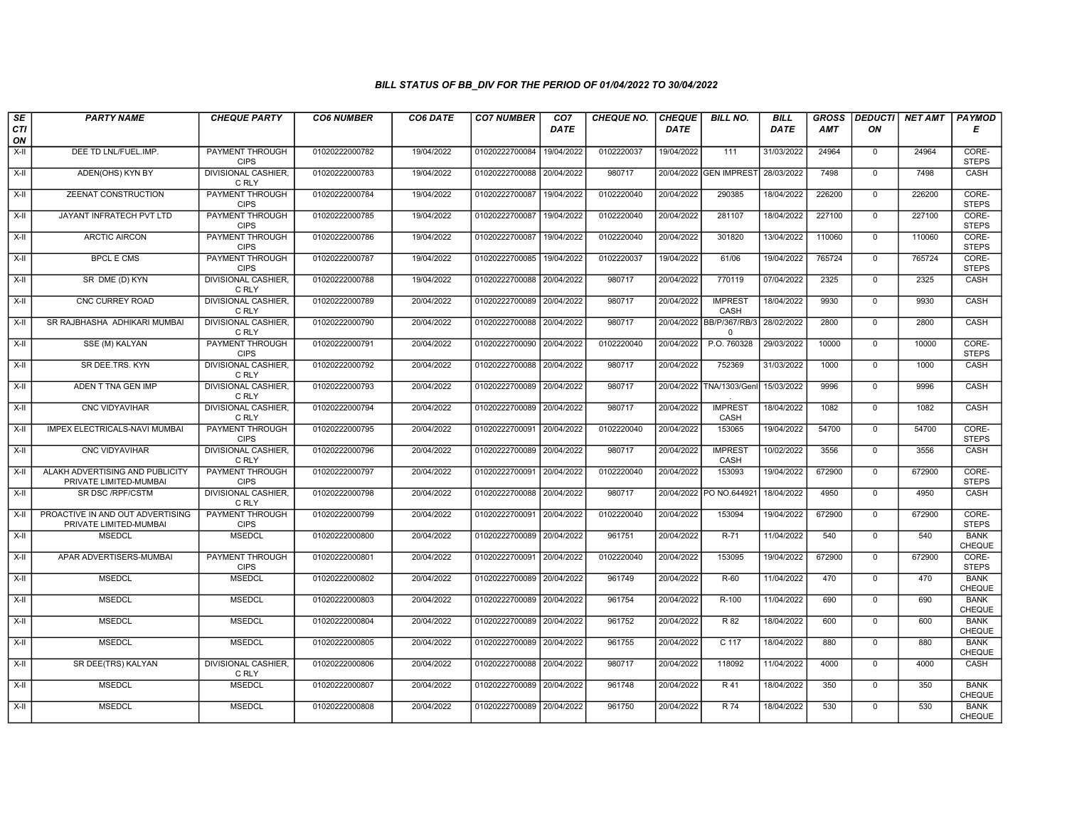| SE        | <b>PARTY NAME</b>                                          | <b>CHEQUE PARTY</b>                   | <b>CO6 NUMBER</b> | CO6 DATE   | <b>CO7 NUMBER</b>         | CO <sub>7</sub> | <b>CHEQUE NO.</b> | <b>CHEQUE</b> | <b>BILL NO.</b>                      | BILL        | <b>GROSS</b> | <b>DEDUCTI</b> | NET AMT | PAYMOD                       |
|-----------|------------------------------------------------------------|---------------------------------------|-------------------|------------|---------------------------|-----------------|-------------------|---------------|--------------------------------------|-------------|--------------|----------------|---------|------------------------------|
| CTI<br>ON |                                                            |                                       |                   |            |                           | <b>DATE</b>     |                   | DATE          |                                      | <b>DATE</b> | <b>AMT</b>   | ON             |         | Е                            |
| $X-H$     | DEE TD LNL/FUEL.IMP.                                       | <b>PAYMENT THROUGH</b><br><b>CIPS</b> | 01020222000782    | 19/04/2022 | 01020222700084            | 19/04/2022      | 0102220037        | 19/04/2022    | 111                                  | 31/03/2022  | 24964        | $\mathbf{0}$   | 24964   | CORE-<br><b>STEPS</b>        |
| $X-H$     | ADEN(OHS) KYN BY                                           | <b>DIVISIONAL CASHIER.</b><br>C RLY   | 01020222000783    | 19/04/2022 | 01020222700088 20/04/2022 |                 | 980717            |               | 20/04/2022 GEN IMPREST               | 28/03/2022  | 7498         | $\mathbf 0$    | 7498    | CASH                         |
| X-II      | ZEENAT CONSTRUCTION                                        | <b>PAYMENT THROUGH</b><br><b>CIPS</b> | 01020222000784    | 19/04/2022 | 01020222700087            | 19/04/2022      | 0102220040        | 20/04/2022    | 290385                               | 18/04/2022  | 226200       | $\mathbf 0$    | 226200  | CORE-<br><b>STEPS</b>        |
| $X-H$     | JAYANT INFRATECH PVT LTD                                   | PAYMENT THROUGH<br><b>CIPS</b>        | 01020222000785    | 19/04/2022 | 01020222700087            | 19/04/2022      | 0102220040        | 20/04/2022    | 281107                               | 18/04/2022  | 227100       | $\overline{0}$ | 227100  | CORE-<br><b>STEPS</b>        |
| $X-H$     | <b>ARCTIC AIRCON</b>                                       | <b>PAYMENT THROUGH</b><br><b>CIPS</b> | 01020222000786    | 19/04/2022 | 01020222700087            | 19/04/2022      | 0102220040        | 20/04/2022    | 301820                               | 13/04/2022  | 110060       | $\mathbf 0$    | 110060  | CORE-<br><b>STEPS</b>        |
| $X-H$     | <b>BPCL E CMS</b>                                          | <b>PAYMENT THROUGH</b><br><b>CIPS</b> | 01020222000787    | 19/04/2022 | 01020222700085 19/04/2022 |                 | 0102220037        | 19/04/2022    | 61/06                                | 19/04/2022  | 765724       | $\mathbf 0$    | 765724  | CORE-<br><b>STEPS</b>        |
| X-II      | SR DME (D) KYN                                             | <b>DIVISIONAL CASHIER.</b><br>C RLY   | 01020222000788    | 19/04/2022 | 01020222700088            | 20/04/2022      | 980717            | 20/04/2022    | 770119                               | 07/04/2022  | 2325         | $\mathbf 0$    | 2325    | CASH                         |
| X-II      | CNC CURREY ROAD                                            | <b>DIVISIONAL CASHIER.</b><br>C RLY   | 01020222000789    | 20/04/2022 | 01020222700089            | 20/04/2022      | 980717            | 20/04/2022    | <b>IMPREST</b><br>CASH               | 18/04/2022  | 9930         | $\mathbf 0$    | 9930    | CASH                         |
| $X-H$     | SR RAJBHASHA ADHIKARI MUMBAI                               | <b>DIVISIONAL CASHIER.</b><br>C RLY   | 01020222000790    | 20/04/2022 | 01020222700088 20/04/2022 |                 | 980717            |               | 20/04/2022 BB/P/367/RB/3<br>$\Omega$ | 28/02/2022  | 2800         | $\overline{0}$ | 2800    | CASH                         |
| $X-H$     | SSE (M) KALYAN                                             | <b>PAYMENT THROUGH</b><br><b>CIPS</b> | 01020222000791    | 20/04/2022 | 01020222700090            | 20/04/2022      | 0102220040        | 20/04/2022    | P.O. 760328                          | 29/03/2022  | 10000        | $\overline{0}$ | 10000   | CORE-<br><b>STEPS</b>        |
| $X-H$     | SR DEE.TRS. KYN                                            | DIVISIONAL CASHIER,<br>C RLY          | 01020222000792    | 20/04/2022 | 01020222700088 20/04/2022 |                 | 980717            | 20/04/2022    | 752369                               | 31/03/2022  | 1000         | $\mathbf{0}$   | 1000    | CASH                         |
| $X-II$    | ADEN T TNA GEN IMP                                         | <b>DIVISIONAL CASHIER.</b><br>C RLY   | 01020222000793    | 20/04/2022 | 01020222700089            | 20/04/2022      | 980717            | 20/04/2022    | TNA/1303/Gen                         | 15/03/2022  | 9996         | $\overline{0}$ | 9996    | CASH                         |
| X-II      | <b>CNC VIDYAVIHAR</b>                                      | <b>DIVISIONAL CASHIER.</b><br>C RLY   | 01020222000794    | 20/04/2022 | 01020222700089 20/04/2022 |                 | 980717            | 20/04/2022    | <b>IMPREST</b><br>CASH               | 18/04/2022  | 1082         | $\mathbf{0}$   | 1082    | CASH                         |
| $X-H$     | <b>IMPEX ELECTRICALS-NAVI MUMBAI</b>                       | <b>PAYMENT THROUGH</b><br><b>CIPS</b> | 01020222000795    | 20/04/2022 | 01020222700091            | 20/04/2022      | 0102220040        | 20/04/2022    | 153065                               | 19/04/2022  | 54700        | $\overline{0}$ | 54700   | CORE-<br><b>STEPS</b>        |
| $X-II$    | CNC VIDYAVIHAR                                             | <b>DIVISIONAL CASHIER.</b><br>C RLY   | 01020222000796    | 20/04/2022 | 01020222700089            | 20/04/2022      | 980717            | 20/04/2022    | <b>IMPREST</b><br>CASH               | 10/02/2022  | 3556         | $\mathbf 0$    | 3556    | CASH                         |
| $X-II$    | ALAKH ADVERTISING AND PUBLICITY<br>PRIVATE LIMITED-MUMBAI  | <b>PAYMENT THROUGH</b><br><b>CIPS</b> | 01020222000797    | 20/04/2022 | 01020222700091            | 20/04/2022      | 0102220040        | 20/04/2022    | 153093                               | 19/04/2022  | 672900       | $\overline{0}$ | 672900  | CORE-<br><b>STEPS</b>        |
| $X-H$     | SR DSC /RPF/CSTM                                           | DIVISIONAL CASHIER,<br>C RLY          | 01020222000798    | 20/04/2022 | 01020222700088            | 20/04/2022      | 980717            |               | 20/04/2022 PO NO.644921              | 18/04/2022  | 4950         | $\overline{0}$ | 4950    | CASH                         |
| X-II      | PROACTIVE IN AND OUT ADVERTISING<br>PRIVATE LIMITED-MUMBAI | <b>PAYMENT THROUGH</b><br><b>CIPS</b> | 01020222000799    | 20/04/2022 | 01020222700091            | 20/04/2022      | 0102220040        | 20/04/2022    | 153094                               | 19/04/2022  | 672900       | $\mathbf 0$    | 672900  | CORE-<br><b>STEPS</b>        |
| X-II      | <b>MSEDCL</b>                                              | <b>MSEDCL</b>                         | 01020222000800    | 20/04/2022 | 01020222700089            | 20/04/2022      | 961751            | 20/04/2022    | R-71                                 | 11/04/2022  | 540          | $\Omega$       | 540     | <b>BANK</b><br>CHEQUE        |
| $X-H$     | APAR ADVERTISERS-MUMBAI                                    | PAYMENT THROUGH<br><b>CIPS</b>        | 01020222000801    | 20/04/2022 | 01020222700091            | 20/04/2022      | 0102220040        | 20/04/2022    | 153095                               | 19/04/2022  | 672900       | $\overline{0}$ | 672900  | CORE-<br><b>STEPS</b>        |
| $X-II$    | <b>MSEDCL</b>                                              | <b>MSEDCL</b>                         | 01020222000802    | 20/04/2022 | 01020222700089 20/04/2022 |                 | 961749            | 20/04/2022    | $R-60$                               | 11/04/2022  | 470          | $\overline{0}$ | 470     | <b>BANK</b><br>CHEQUE        |
| $X-H$     | <b>MSEDCL</b>                                              | <b>MSEDCL</b>                         | 01020222000803    | 20/04/2022 | 01020222700089            | 20/04/2022      | 961754            | 20/04/2022    | $R-100$                              | 11/04/2022  | 690          | $\overline{0}$ | 690     | <b>BANK</b><br>CHEQUE        |
| X-II      | <b>MSEDCL</b>                                              | <b>MSEDCL</b>                         | 01020222000804    | 20/04/2022 | 01020222700089            | 20/04/2022      | 961752            | 20/04/2022    | R 82                                 | 18/04/2022  | 600          | $\mathbf 0$    | 600     | <b>BANK</b><br><b>CHEQUE</b> |
| X-II      | <b>MSEDCL</b>                                              | <b>MSEDCL</b>                         | 01020222000805    | 20/04/2022 | 01020222700089            | 20/04/2022      | 961755            | 20/04/2022    | C 117                                | 18/04/2022  | 880          | $\mathbf{0}$   | 880     | <b>BANK</b><br>CHEQUE        |
| $X-II$    | SR DEE(TRS) KALYAN                                         | <b>DIVISIONAL CASHIER.</b><br>C RLY   | 01020222000806    | 20/04/2022 | 01020222700088 20/04/2022 |                 | 980717            | 20/04/2022    | 118092                               | 11/04/2022  | 4000         | $\mathbf 0$    | 4000    | CASH                         |
| $X-H$     | <b>MSEDCL</b>                                              | <b>MSEDCL</b>                         | 01020222000807    | 20/04/2022 | 01020222700089 20/04/2022 |                 | 961748            | 20/04/2022    | R 41                                 | 18/04/2022  | 350          | $\overline{0}$ | 350     | <b>BANK</b><br>CHEQUE        |
| X-II      | <b>MSEDCL</b>                                              | <b>MSEDCL</b>                         | 01020222000808    | 20/04/2022 | 01020222700089 20/04/2022 |                 | 961750            | 20/04/2022    | <b>R74</b>                           | 18/04/2022  | 530          | $\overline{0}$ | 530     | <b>BANK</b><br>CHEQUE        |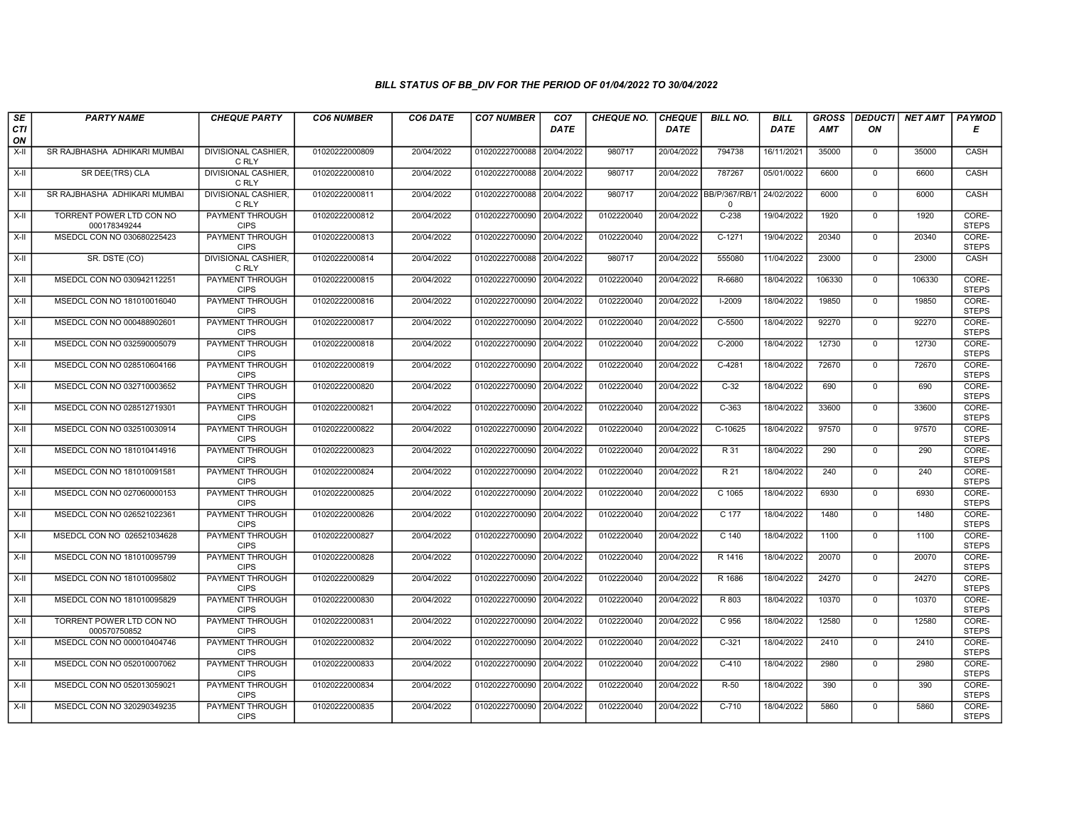| SE        | <b>PARTY NAME</b>                        | <b>CHEQUE PARTY</b>                   | <b>CO6 NUMBER</b> | CO6 DATE   | <b>CO7 NUMBER</b>         | CO <sub>7</sub> | CHEQUE NO. | <b>CHEQUE</b> | <b>BILL NO.</b>                     | <b>BILL</b> | <b>GROSS</b> | <b>DEDUCTI</b> | <b>NET AMT</b> | <b>PAYMOD</b>         |
|-----------|------------------------------------------|---------------------------------------|-------------------|------------|---------------------------|-----------------|------------|---------------|-------------------------------------|-------------|--------------|----------------|----------------|-----------------------|
| CTI<br>ON |                                          |                                       |                   |            |                           | <b>DATE</b>     |            | <b>DATE</b>   |                                     | <b>DATE</b> | <b>AMT</b>   | ON             |                | Е                     |
| $X-H$     | SR RAJBHASHA ADHIKARI MUMBAI             | <b>DIVISIONAL CASHIER,</b><br>C RLY   | 01020222000809    | 20/04/2022 | 01020222700088            | 20/04/2022      | 980717     | 20/04/2022    | 794738                              | 16/11/2021  | 35000        | $\mathbf{0}$   | 35000          | CASH                  |
| $X-H$     | SR DEE(TRS) CLA                          | <b>DIVISIONAL CASHIER.</b><br>C RLY   | 01020222000810    | 20/04/2022 | 01020222700088 20/04/2022 |                 | 980717     | 20/04/2022    | 787267                              | 05/01/0022  | 6600         | $\Omega$       | 6600           | CASH                  |
| X-II      | SR RAJBHASHA ADHIKARI MUMBAI             | DIVISIONAL CASHIER.<br>C RLY          | 01020222000811    | 20/04/2022 | 01020222700088            | 20/04/2022      | 980717     |               | 20/04/2022 BB/P/367/RB/<br>$\Omega$ | 24/02/2022  | 6000         | $\mathbf 0$    | 6000           | CASH                  |
| $X-II$    | TORRENT POWER LTD CON NO<br>000178349244 | PAYMENT THROUGH<br><b>CIPS</b>        | 01020222000812    | 20/04/2022 | 01020222700090            | 20/04/2022      | 0102220040 | 20/04/2022    | $C-238$                             | 19/04/2022  | 1920         | $\mathbf 0$    | 1920           | CORE-<br><b>STEPS</b> |
| $X-H$     | MSEDCL CON NO 030680225423               | <b>PAYMENT THROUGH</b><br><b>CIPS</b> | 01020222000813    | 20/04/2022 | 01020222700090 20/04/2022 |                 | 0102220040 | 20/04/2022    | $C-1271$                            | 19/04/2022  | 20340        | $\mathbf 0$    | 20340          | CORE-<br><b>STEPS</b> |
| $X-H$     | SR. DSTE (CO)                            | <b>DIVISIONAL CASHIER.</b><br>C RLY   | 01020222000814    | 20/04/2022 | 01020222700088 20/04/2022 |                 | 980717     | 20/04/2022    | 555080                              | 11/04/2022  | 23000        | $\Omega$       | 23000          | CASH                  |
| X-II      | MSEDCL CON NO 030942112251               | PAYMENT THROUGH<br><b>CIPS</b>        | 01020222000815    | 20/04/2022 | 01020222700090            | 20/04/2022      | 0102220040 | 20/04/2022    | R-6680                              | 18/04/2022  | 106330       | $\mathbf 0$    | 106330         | CORE-<br><b>STEPS</b> |
| $X-II$    | MSEDCL CON NO 181010016040               | <b>PAYMENT THROUGH</b><br><b>CIPS</b> | 01020222000816    | 20/04/2022 | 01020222700090            | 20/04/2022      | 0102220040 | 20/04/2022    | $I-2009$                            | 18/04/2022  | 19850        | $\overline{0}$ | 19850          | CORE-<br><b>STEPS</b> |
| $X-H$     | MSEDCL CON NO 000488902601               | <b>PAYMENT THROUGH</b><br><b>CIPS</b> | 01020222000817    | 20/04/2022 | 01020222700090            | 20/04/2022      | 0102220040 | 20/04/2022    | $C-5500$                            | 18/04/2022  | 92270        | $\mathbf 0$    | 92270          | CORE-<br><b>STEPS</b> |
| $X-H$     | MSEDCL CON NO 032590005079               | <b>PAYMENT THROUGH</b><br><b>CIPS</b> | 01020222000818    | 20/04/2022 | 01020222700090 20/04/2022 |                 | 0102220040 | 20/04/2022    | $C-2000$                            | 18/04/2022  | 12730        | $\overline{0}$ | 12730          | CORE-<br><b>STEPS</b> |
| X-II      | MSEDCL CON NO 028510604166               | PAYMENT THROUGH<br><b>CIPS</b>        | 01020222000819    | 20/04/2022 | 01020222700090            | 20/04/2022      | 0102220040 | 20/04/2022    | C-4281                              | 18/04/2022  | 72670        | $\mathbf 0$    | 72670          | CORE-<br><b>STEPS</b> |
| X-II      | MSEDCL CON NO 032710003652               | PAYMENT THROUGH<br><b>CIPS</b>        | 01020222000820    | 20/04/2022 | 01020222700090            | 20/04/2022      | 0102220040 | 20/04/2022    | $C-32$                              | 18/04/2022  | 690          | $\mathbf{0}$   | 690            | CORE-<br><b>STEPS</b> |
| $X-H$     | MSEDCL CON NO 028512719301               | <b>PAYMENT THROUGH</b><br><b>CIPS</b> | 01020222000821    | 20/04/2022 | 01020222700090            | 20/04/2022      | 0102220040 | 20/04/2022    | $C-363$                             | 18/04/2022  | 33600        | $\overline{0}$ | 33600          | CORE-<br><b>STEPS</b> |
| $X-H$     | MSEDCL CON NO 032510030914               | <b>PAYMENT THROUGH</b><br><b>CIPS</b> | 01020222000822    | 20/04/2022 | 01020222700090            | 20/04/2022      | 0102220040 | 20/04/2022    | $C-10625$                           | 18/04/2022  | 97570        | $\mathbf 0$    | 97570          | CORE-<br><b>STEPS</b> |
| X-II      | MSEDCL CON NO 181010414916               | PAYMENT THROUGH<br><b>CIPS</b>        | 01020222000823    | 20/04/2022 | 01020222700090            | 20/04/2022      | 0102220040 | 20/04/2022    | R 31                                | 18/04/2022  | 290          | $\Omega$       | 290            | CORE-<br><b>STEPS</b> |
| X-II      | MSEDCL CON NO 181010091581               | PAYMENT THROUGH<br><b>CIPS</b>        | 01020222000824    | 20/04/2022 | 01020222700090            | 20/04/2022      | 0102220040 | 20/04/2022    | R 21                                | 18/04/2022  | 240          | $\mathbf 0$    | 240            | CORE-<br><b>STEPS</b> |
| X-II      | MSEDCL CON NO 027060000153               | <b>PAYMENT THROUGH</b><br><b>CIPS</b> | 01020222000825    | 20/04/2022 | 01020222700090            | 20/04/2022      | 0102220040 | 20/04/2022    | C 1065                              | 18/04/2022  | 6930         | $\mathbf 0$    | 6930           | CORE-<br><b>STEPS</b> |
| $X-H$     | MSEDCL CON NO 026521022361               | <b>PAYMENT THROUGH</b><br><b>CIPS</b> | 01020222000826    | 20/04/2022 | 01020222700090            | 20/04/2022      | 0102220040 | 20/04/2022    | C 177                               | 18/04/2022  | 1480         | $\mathbf 0$    | 1480           | CORE-<br><b>STEPS</b> |
| $X-H$     | MSEDCL CON NO 026521034628               | <b>PAYMENT THROUGH</b><br><b>CIPS</b> | 01020222000827    | 20/04/2022 | 01020222700090            | 20/04/2022      | 0102220040 | 20/04/2022    | $C$ 140                             | 18/04/2022  | 1100         | $\mathbf 0$    | 1100           | CORE-<br><b>STEPS</b> |
| X-II      | MSEDCL CON NO 181010095799               | <b>PAYMENT THROUGH</b><br><b>CIPS</b> | 01020222000828    | 20/04/2022 | 01020222700090            | 20/04/2022      | 0102220040 | 20/04/2022    | R 1416                              | 18/04/2022  | 20070        | $\Omega$       | 20070          | CORE-<br><b>STEPS</b> |
| $X-II$    | MSEDCL CON NO 181010095802               | PAYMENT THROUGH<br><b>CIPS</b>        | 01020222000829    | 20/04/2022 | 01020222700090            | 20/04/2022      | 0102220040 | 20/04/2022    | R 1686                              | 18/04/2022  | 24270        | $\mathbf{0}$   | 24270          | CORE-<br><b>STEPS</b> |
| $X-H$     | MSEDCL CON NO 181010095829               | <b>PAYMENT THROUGH</b><br><b>CIPS</b> | 01020222000830    | 20/04/2022 | 01020222700090            | 20/04/2022      | 0102220040 | 20/04/2022    | R 803                               | 18/04/2022  | 10370        | $\Omega$       | 10370          | CORE-<br><b>STEPS</b> |
| X-II      | TORRENT POWER LTD CON NO<br>000570750852 | PAYMENT THROUGH<br><b>CIPS</b>        | 01020222000831    | 20/04/2022 | 01020222700090            | 20/04/2022      | 0102220040 | 20/04/2022    | C 956                               | 18/04/2022  | 12580        | $\mathbf 0$    | 12580          | CORE-<br><b>STEPS</b> |
| $X-H$     | MSEDCL CON NO 000010404746               | PAYMENT THROUGH<br><b>CIPS</b>        | 01020222000832    | 20/04/2022 | 01020222700090            | 20/04/2022      | 0102220040 | 20/04/2022    | $C-321$                             | 18/04/2022  | 2410         | $\mathbf{0}$   | 2410           | CORE-<br><b>STEPS</b> |
| $X-II$    | MSEDCL CON NO 052010007062               | PAYMENT THROUGH<br><b>CIPS</b>        | 01020222000833    | 20/04/2022 | 01020222700090            | 20/04/2022      | 0102220040 | 20/04/2022    | $C-410$                             | 18/04/2022  | 2980         | $\Omega$       | 2980           | CORE-<br><b>STEPS</b> |
| $X-H$     | MSEDCL CON NO 052013059021               | <b>PAYMENT THROUGH</b><br><b>CIPS</b> | 01020222000834    | 20/04/2022 | 01020222700090            | 20/04/2022      | 0102220040 | 20/04/2022    | $R-50$                              | 18/04/2022  | 390          | $\mathbf 0$    | 390            | CORE-<br><b>STEPS</b> |
| X-II      | MSEDCL CON NO 320290349235               | PAYMENT THROUGH<br><b>CIPS</b>        | 01020222000835    | 20/04/2022 | 01020222700090            | 20/04/2022      | 0102220040 | 20/04/2022    | $C-710$                             | 18/04/2022  | 5860         | $\mathbf 0$    | 5860           | CORE-<br><b>STEPS</b> |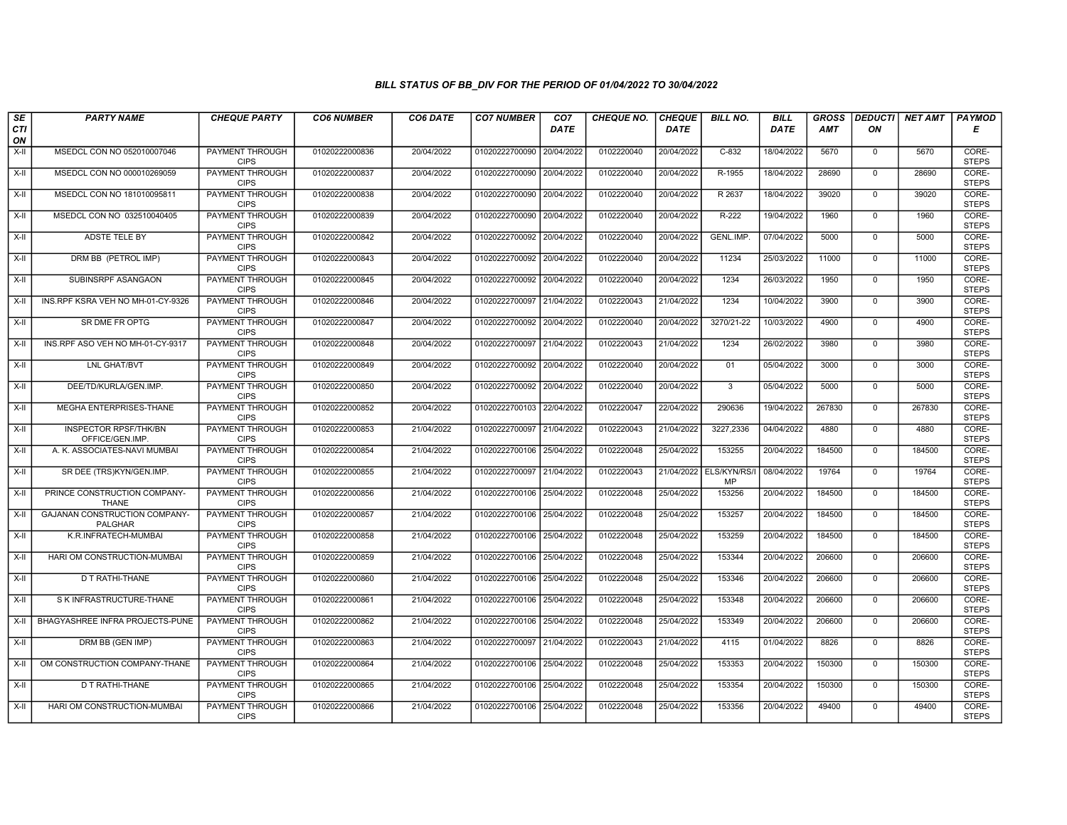| SE               | <b>PARTY NAME</b>                              | <b>CHEQUE PARTY</b>                   | <b>CO6 NUMBER</b> | CO6 DATE   | <b>CO7 NUMBER</b>         | CO <sub>7</sub> | <b>CHEQUE NO.</b> | <b>CHEQUE</b> | <b>BILL NO.</b>               | <b>BILL</b> | <b>GROSS</b> |              | <b>DEDUCTI NET AMT</b> | <b>PAYMOD</b>         |
|------------------|------------------------------------------------|---------------------------------------|-------------------|------------|---------------------------|-----------------|-------------------|---------------|-------------------------------|-------------|--------------|--------------|------------------------|-----------------------|
| <b>CTI</b><br>ON |                                                |                                       |                   |            |                           | <b>DATE</b>     |                   | <b>DATE</b>   |                               | <b>DATE</b> | AMT          | ON           |                        | Е                     |
| $X-H$            | MSEDCL CON NO 052010007046                     | PAYMENT THROUGH<br><b>CIPS</b>        | 01020222000836    | 20/04/2022 | 01020222700090            | 20/04/2022      | 0102220040        | 20/04/2022    | $C-832$                       | 18/04/2022  | 5670         | $^{\circ}$   | 5670                   | CORE-<br><b>STEPS</b> |
| X-II             | MSEDCL CON NO 000010269059                     | <b>PAYMENT THROUGH</b><br><b>CIPS</b> | 01020222000837    | 20/04/2022 | 01020222700090 20/04/2022 |                 | 0102220040        | 20/04/2022    | R-1955                        | 18/04/2022  | 28690        | $\mathbf 0$  | 28690                  | CORE-<br><b>STEPS</b> |
| X-II             | MSEDCL CON NO 181010095811                     | PAYMENT THROUGH<br><b>CIPS</b>        | 01020222000838    | 20/04/2022 | 01020222700090            | 20/04/2022      | 0102220040        | 20/04/2022    | R 2637                        | 18/04/2022  | 39020        | $\mathbf 0$  | 39020                  | CORE-<br><b>STEPS</b> |
| $X-H$            | MSEDCL CON NO 032510040405                     | PAYMENT THROUGH<br><b>CIPS</b>        | 01020222000839    | 20/04/2022 | 01020222700090 20/04/2022 |                 | 0102220040        | 20/04/2022    | R-222                         | 19/04/2022  | 1960         | $\Omega$     | 1960                   | CORE-<br><b>STEPS</b> |
| $X-H$            | ADSTE TELE BY                                  | <b>PAYMENT THROUGH</b><br><b>CIPS</b> | 01020222000842    | 20/04/2022 | 01020222700092            | 20/04/2022      | 0102220040        | 20/04/2022    | <b>GENL.IMP</b>               | 07/04/2022  | 5000         | $\mathbf 0$  | 5000                   | CORE-<br><b>STEPS</b> |
| X-II             | DRM BB (PETROL IMP)                            | <b>PAYMENT THROUGH</b><br><b>CIPS</b> | 01020222000843    | 20/04/2022 | 01020222700092 20/04/2022 |                 | 0102220040        | 20/04/2022    | 11234                         | 25/03/2022  | 11000        | $\mathbf{0}$ | 11000                  | CORE-<br><b>STEPS</b> |
| X-II             | SUBINSRPF ASANGAON                             | PAYMENT THROUGH<br><b>CIPS</b>        | 01020222000845    | 20/04/2022 | 01020222700092            | 20/04/2022      | 0102220040        | 20/04/2022    | 1234                          | 26/03/2022  | 1950         | $\mathbf 0$  | 1950                   | CORE-<br><b>STEPS</b> |
| X-II             | INS.RPF KSRA VEH NO MH-01-CY-9326              | PAYMENT THROUGH<br><b>CIPS</b>        | 01020222000846    | 20/04/2022 | 01020222700097            | 21/04/2022      | 0102220043        | 21/04/2022    | 1234                          | 10/04/2022  | 3900         | $\mathbf 0$  | 3900                   | CORE-<br><b>STEPS</b> |
| $X-H$            | SR DME FR OPTG                                 | <b>PAYMENT THROUGH</b><br><b>CIPS</b> | 01020222000847    | 20/04/2022 | 01020222700092 20/04/2022 |                 | 0102220040        | 20/04/2022    | 3270/21-22                    | 10/03/2022  | 4900         | $\Omega$     | 4900                   | CORE-<br><b>STEPS</b> |
| X-II             | INS.RPF ASO VEH NO MH-01-CY-9317               | <b>PAYMENT THROUGH</b><br><b>CIPS</b> | 01020222000848    | 20/04/2022 | 01020222700097            | 21/04/2022      | 0102220043        | 21/04/2022    | 1234                          | 26/02/2022  | 3980         | $\mathbf 0$  | 3980                   | CORE-<br><b>STEPS</b> |
| X-II             | LNL GHAT/BVT                                   | PAYMENT THROUGH<br><b>CIPS</b>        | 01020222000849    | 20/04/2022 | 01020222700092 20/04/2022 |                 | 0102220040        | 20/04/2022    | 01                            | 05/04/2022  | 3000         | $\mathbf{0}$ | 3000                   | CORE-<br><b>STEPS</b> |
| X-II             | DEE/TD/KURLA/GEN.IMP.                          | PAYMENT THROUGH<br><b>CIPS</b>        | 01020222000850    | 20/04/2022 | 01020222700092            | 20/04/2022      | 0102220040        | 20/04/2022    | $\overline{3}$                | 05/04/2022  | 5000         | $\mathbf 0$  | 5000                   | CORE-<br><b>STEPS</b> |
| X-II             | MEGHA ENTERPRISES-THANE                        | <b>PAYMENT THROUGH</b><br><b>CIPS</b> | 01020222000852    | 20/04/2022 | 01020222700103            | 22/04/2022      | 0102220047        | 22/04/2022    | 290636                        | 19/04/2022  | 267830       | $\mathbf 0$  | 267830                 | CORE-<br><b>STEPS</b> |
| X-II             | <b>INSPECTOR RPSF/THK/BN</b><br>OFFICE/GEN.IMP | <b>PAYMENT THROUGH</b><br><b>CIPS</b> | 01020222000853    | 21/04/2022 | 01020222700097 21/04/2022 |                 | 0102220043        | 21/04/2022    | 3227,2336                     | 04/04/2022  | 4880         | $\mathbf 0$  | 4880                   | CORE-<br><b>STEPS</b> |
| X-II             | A. K. ASSOCIATES-NAVI MUMBAI                   | PAYMENT THROUGH<br><b>CIPS</b>        | 01020222000854    | 21/04/2022 | 01020222700106            | 25/04/2022      | 0102220048        | 25/04/2022    | 153255                        | 20/04/2022  | 184500       | $\mathbf 0$  | 184500                 | CORE-<br><b>STEPS</b> |
| X-II             | SR DEE (TRS)KYN/GEN.IMP.                       | <b>PAYMENT THROUGH</b><br><b>CIPS</b> | 01020222000855    | 21/04/2022 | 01020222700097 21/04/2022 |                 | 0102220043        |               | 21/04/2022 ELS/KYN/RS/I<br>MP | 08/04/2022  | 19764        | $\mathbf{0}$ | 19764                  | CORE-<br><b>STEPS</b> |
| X-II             | PRINCE CONSTRUCTION COMPANY-<br><b>THANE</b>   | <b>PAYMENT THROUGH</b><br><b>CIPS</b> | 01020222000856    | 21/04/2022 | 01020222700106 25/04/2022 |                 | 0102220048        | 25/04/2022    | 153256                        | 20/04/2022  | 184500       | $\mathbf{0}$ | 184500                 | CORE-<br><b>STEPS</b> |
| X-II             | GAJANAN CONSTRUCTION COMPANY-<br>PALGHAR       | <b>PAYMENT THROUGH</b><br><b>CIPS</b> | 01020222000857    | 21/04/2022 | 01020222700106 25/04/2022 |                 | 0102220048        | 25/04/2022    | 153257                        | 20/04/2022  | 184500       | $\mathbf 0$  | 184500                 | CORE-<br><b>STEPS</b> |
| X-II             | K.R.INFRATECH-MUMBAI                           | PAYMENT THROUGH<br><b>CIPS</b>        | 01020222000858    | 21/04/2022 | 01020222700106            | 25/04/2022      | 0102220048        | 25/04/2022    | 153259                        | 20/04/2022  | 184500       | $\Omega$     | 184500                 | CORE-<br><b>STEPS</b> |
| X-II             | HARI OM CONSTRUCTION-MUMBAI                    | PAYMENT THROUGH<br><b>CIPS</b>        | 01020222000859    | 21/04/2022 | 01020222700106            | 25/04/2022      | 0102220048        | 25/04/2022    | 153344                        | 20/04/2022  | 206600       | $\mathbf 0$  | 206600                 | CORE-<br><b>STEPS</b> |
| X-II             | D T RATHI-THANE                                | PAYMENT THROUGH<br><b>CIPS</b>        | 01020222000860    | 21/04/2022 | 01020222700106 25/04/2022 |                 | 0102220048        | 25/04/2022    | 153346                        | 20/04/2022  | 206600       | $\mathbf 0$  | 206600                 | CORE-<br><b>STEPS</b> |
| X-II             | S K INFRASTRUCTURE-THANE                       | <b>PAYMENT THROUGH</b><br><b>CIPS</b> | 01020222000861    | 21/04/2022 | 01020222700106 25/04/2022 |                 | 0102220048        | 25/04/2022    | 153348                        | 20/04/2022  | 206600       | $\mathbf{0}$ | 206600                 | CORE-<br><b>STEPS</b> |
| X-II             | BHAGYASHREE INFRA PROJECTS-PUNE                | PAYMENT THROUGH<br><b>CIPS</b>        | 01020222000862    | 21/04/2022 | 01020222700106            | 25/04/2022      | 0102220048        | 25/04/2022    | 153349                        | 20/04/2022  | 206600       | $\mathbf 0$  | 206600                 | CORE-<br><b>STEPS</b> |
| X-II             | DRM BB (GEN IMP)                               | PAYMENT THROUGH<br><b>CIPS</b>        | 01020222000863    | 21/04/2022 | 01020222700097            | 21/04/2022      | 0102220043        | 21/04/2022    | 4115                          | 01/04/2022  | 8826         | $\mathbf 0$  | 8826                   | CORE-<br><b>STEPS</b> |
| $X-H$            | OM CONSTRUCTION COMPANY-THANE                  | <b>PAYMENT THROUGH</b><br><b>CIPS</b> | 01020222000864    | 21/04/2022 | 01020222700106            | 25/04/2022      | 0102220048        | 25/04/2022    | 153353                        | 20/04/2022  | 150300       | $\mathbf 0$  | 150300                 | CORE-<br><b>STEPS</b> |
| $X-II$           | D T RATHI-THANE                                | <b>PAYMENT THROUGH</b><br><b>CIPS</b> | 01020222000865    | 21/04/2022 | 01020222700106 25/04/2022 |                 | 0102220048        | 25/04/2022    | 153354                        | 20/04/2022  | 150300       | $\Omega$     | 150300                 | CORE-<br><b>STEPS</b> |
| X-II             | HARI OM CONSTRUCTION-MUMBAI                    | <b>PAYMENT THROUGH</b><br><b>CIPS</b> | 01020222000866    | 21/04/2022 | 01020222700106 25/04/2022 |                 | 0102220048        | 25/04/2022    | 153356                        | 20/04/2022  | 49400        | $\mathbf{0}$ | 49400                  | CORE-<br><b>STEPS</b> |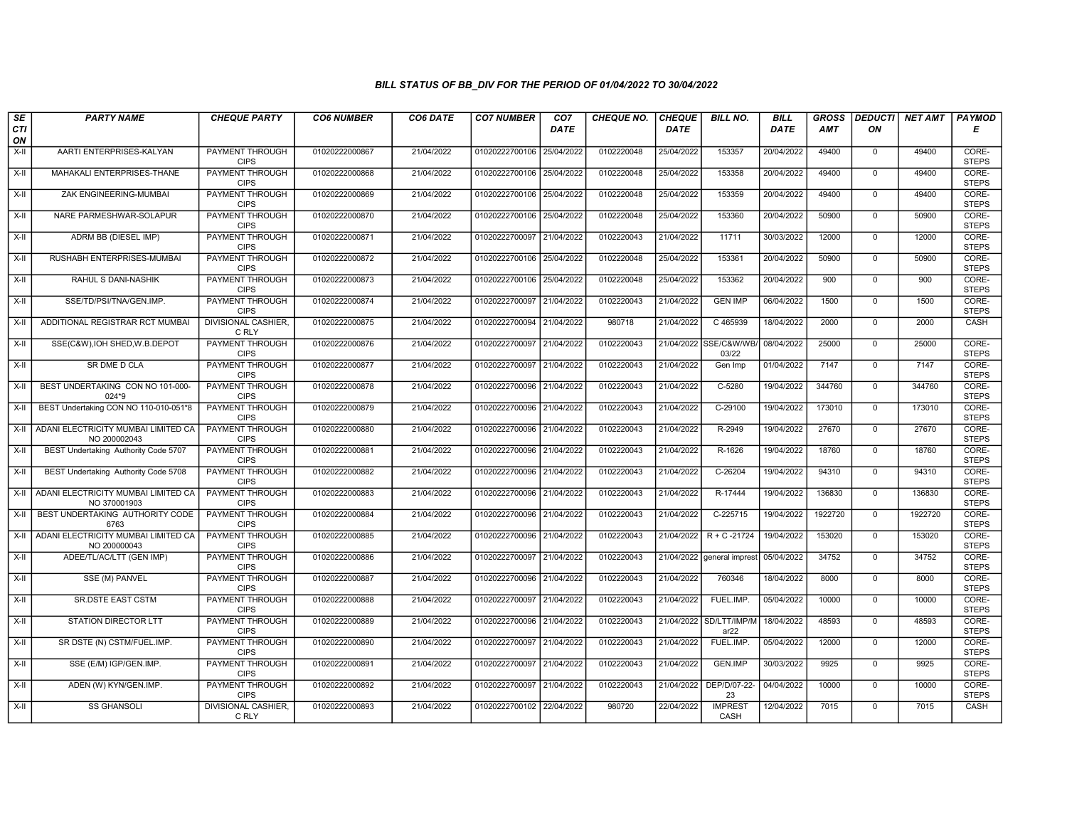| $s_E$            | <b>PARTY NAME</b>                                   | <b>CHEQUE PARTY</b>                   | <b>CO6 NUMBER</b> | CO6 DATE   | <b>CO7 NUMBER</b>         | CO <sub>7</sub> | <b>CHEQUE NO.</b> | <b>CHEQUE</b> | <b>BILL NO.</b>                 | <b>BILL</b> | <b>GROSS</b> |                | DEDUCTI NET AMT | <b>PAYMOD</b>         |
|------------------|-----------------------------------------------------|---------------------------------------|-------------------|------------|---------------------------|-----------------|-------------------|---------------|---------------------------------|-------------|--------------|----------------|-----------------|-----------------------|
| <b>CTI</b><br>ON |                                                     |                                       |                   |            |                           | <b>DATE</b>     |                   | <b>DATE</b>   |                                 | DATE        | AMT          | ON             |                 | Е                     |
| $X-H$            | AARTI ENTERPRISES-KALYAN                            | <b>PAYMENT THROUGH</b><br><b>CIPS</b> | 01020222000867    | 21/04/2022 | 01020222700106 25/04/2022 |                 | 0102220048        | 25/04/2022    | 153357                          | 20/04/2022  | 49400        | $\overline{0}$ | 49400           | CORE-<br><b>STEPS</b> |
| $X-H$            | MAHAKALI ENTERPRISES-THANE                          | <b>PAYMENT THROUGH</b><br><b>CIPS</b> | 01020222000868    | 21/04/2022 | 01020222700106 25/04/2022 |                 | 0102220048        | 25/04/2022    | 153358                          | 20/04/2022  | 49400        | $\Omega$       | 49400           | CORE-<br><b>STEPS</b> |
| X-II             | ZAK ENGINEERING-MUMBAI                              | PAYMENT THROUGH<br><b>CIPS</b>        | 01020222000869    | 21/04/2022 | 01020222700106 25/04/2022 |                 | 0102220048        | 25/04/2022    | 153359                          | 20/04/2022  | 49400        | $\mathbf 0$    | 49400           | CORE-<br><b>STEPS</b> |
| $X-H$            | NARE PARMESHWAR-SOLAPUR                             | <b>PAYMENT THROUGH</b><br><b>CIPS</b> | 01020222000870    | 21/04/2022 | 01020222700106 25/04/2022 |                 | 0102220048        | 25/04/2022    | 153360                          | 20/04/2022  | 50900        | $\mathbf 0$    | 50900           | CORE-<br><b>STEPS</b> |
| $X-H$            | ADRM BB (DIESEL IMP)                                | <b>PAYMENT THROUGH</b><br><b>CIPS</b> | 01020222000871    | 21/04/2022 | 01020222700097 21/04/2022 |                 | 0102220043        | 21/04/2022    | 11711                           | 30/03/2022  | 12000        | $\mathbf{0}$   | 12000           | CORE-<br><b>STEPS</b> |
| $X-H$            | RUSHABH ENTERPRISES-MUMBAI                          | <b>PAYMENT THROUGH</b><br><b>CIPS</b> | 01020222000872    | 21/04/2022 | 01020222700106 25/04/2022 |                 | 0102220048        | 25/04/2022    | 153361                          | 20/04/2022  | 50900        | $\overline{0}$ | 50900           | CORE-<br><b>STEPS</b> |
| X-II             | RAHUL S DANI-NASHIK                                 | PAYMENT THROUGH<br><b>CIPS</b>        | 01020222000873    | 21/04/2022 | 01020222700106 25/04/2022 |                 | 0102220048        | 25/04/2022    | 153362                          | 20/04/2022  | 900          | $\mathbf 0$    | 900             | CORE-<br><b>STEPS</b> |
| $X-H$            | SSE/TD/PSI/TNA/GEN.IMP.                             | PAYMENT THROUGH<br><b>CIPS</b>        | 01020222000874    | 21/04/2022 | 01020222700097 21/04/2022 |                 | 0102220043        | 21/04/2022    | <b>GEN IMP</b>                  | 06/04/2022  | 1500         | $\overline{0}$ | 1500            | CORE-<br><b>STEPS</b> |
| X-II             | ADDITIONAL REGISTRAR RCT MUMBAI                     | <b>DIVISIONAL CASHIER,</b><br>C RLY   | 01020222000875    | 21/04/2022 | 01020222700094 21/04/2022 |                 | 980718            | 21/04/2022    | C 465939                        | 18/04/2022  | 2000         | $\mathbf 0$    | 2000            | CASH                  |
| $X-H$            | SSE(C&W), IOH SHED, W.B. DEPOT                      | <b>PAYMENT THROUGH</b><br><b>CIPS</b> | 01020222000876    | 21/04/2022 | 01020222700097 21/04/2022 |                 | 0102220043        |               | 21/04/2022 SSE/C&W/WB/<br>03/22 | 08/04/2022  | 25000        | $\overline{0}$ | 25000           | CORE-<br><b>STEPS</b> |
| X-II             | SR DME D CLA                                        | PAYMENT THROUGH<br><b>CIPS</b>        | 01020222000877    | 21/04/2022 | 01020222700097            | 21/04/2022      | 0102220043        | 21/04/2022    | Gen Imp                         | 01/04/2022  | 7147         | $\mathbf 0$    | 7147            | CORE-<br><b>STEPS</b> |
| X-II             | BEST UNDERTAKING CON NO 101-000-<br>024*9           | PAYMENT THROUGH<br><b>CIPS</b>        | 01020222000878    | 21/04/2022 | 01020222700096 21/04/2022 |                 | 0102220043        | 21/04/2022    | C-5280                          | 19/04/2022  | 344760       | $\mathbf 0$    | 344760          | CORE-<br><b>STEPS</b> |
| $X-H$            | BEST Undertaking CON NO 110-010-051*8               | <b>PAYMENT THROUGH</b><br><b>CIPS</b> | 01020222000879    | 21/04/2022 | 01020222700096 21/04/2022 |                 | 0102220043        | 21/04/2022    | C-29100                         | 19/04/2022  | 173010       | $\overline{0}$ | 173010          | CORE-<br><b>STEPS</b> |
| X-II             | ADANI ELECTRICITY MUMBAI LIMITED CA<br>NO 200002043 | <b>PAYMENT THROUGH</b><br><b>CIPS</b> | 01020222000880    | 21/04/2022 | 01020222700096            | 21/04/2022      | 0102220043        | 21/04/2022    | R-2949                          | 19/04/2022  | 27670        | $\mathbf{0}$   | 27670           | CORE-<br><b>STEPS</b> |
| X-II             | BEST Undertaking Authority Code 5707                | PAYMENT THROUGH<br><b>CIPS</b>        | 01020222000881    | 21/04/2022 | 01020222700096 21/04/2022 |                 | 0102220043        | 21/04/2022    | R-1626                          | 19/04/2022  | 18760        | $\Omega$       | 18760           | CORE-<br><b>STEPS</b> |
| X-II             | BEST Undertaking Authority Code 5708                | <b>PAYMENT THROUGH</b><br><b>CIPS</b> | 01020222000882    | 21/04/2022 | 01020222700096 21/04/2022 |                 | 0102220043        | 21/04/2022    | $C-26204$                       | 19/04/2022  | 94310        | $\mathbf 0$    | 94310           | CORE-<br><b>STEPS</b> |
| X-II             | ADANI ELECTRICITY MUMBAI LIMITED CA<br>NO 370001903 | <b>PAYMENT THROUGH</b><br><b>CIPS</b> | 01020222000883    | 21/04/2022 | 01020222700096 21/04/2022 |                 | 0102220043        | 21/04/2022    | R-17444                         | 19/04/2022  | 136830       | $\overline{0}$ | 136830          | CORE-<br><b>STEPS</b> |
| X-II             | BEST UNDERTAKING AUTHORITY CODE<br>6763             | <b>PAYMENT THROUGH</b><br><b>CIPS</b> | 01020222000884    | 21/04/2022 | 01020222700096 21/04/2022 |                 | 0102220043        | 21/04/2022    | $C-225715$                      | 19/04/2022  | 1922720      | $\overline{0}$ | 1922720         | CORE-<br><b>STEPS</b> |
| X-II             | ADANI ELECTRICITY MUMBAI LIMITED CA<br>NO 200000043 | PAYMENT THROUGH<br><b>CIPS</b>        | 01020222000885    | 21/04/2022 | 01020222700096            | 21/04/2022      | 0102220043        | 21/04/2022    | $R + C - 21724$                 | 19/04/2022  | 153020       | $\mathbf 0$    | 153020          | CORE-<br><b>STEPS</b> |
| $X-H$            | ADEE/TL/AC/LTT (GEN IMP)                            | PAYMENT THROUGH<br><b>CIPS</b>        | 01020222000886    | 21/04/2022 | 01020222700097 21/04/2022 |                 | 0102220043        | 21/04/2022    | general imprest                 | 05/04/2022  | 34752        | $\Omega$       | 34752           | CORE-<br><b>STEPS</b> |
| $X-II$           | SSE (M) PANVEL                                      | <b>PAYMENT THROUGH</b><br><b>CIPS</b> | 01020222000887    | 21/04/2022 | 01020222700096 21/04/2022 |                 | 0102220043        | 21/04/2022    | 760346                          | 18/04/2022  | 8000         | $\mathbf 0$    | 8000            | CORE-<br><b>STEPS</b> |
| X-II             | <b>SR.DSTE EAST CSTM</b>                            | PAYMENT THROUGH<br><b>CIPS</b>        | 01020222000888    | 21/04/2022 | 01020222700097 21/04/2022 |                 | 0102220043        | 21/04/2022    | FUEL.IMP.                       | 05/04/2022  | 10000        | $\Omega$       | 10000           | CORE-<br><b>STEPS</b> |
| X-II             | STATION DIRECTOR LTT                                | PAYMENT THROUGH<br><b>CIPS</b>        | 01020222000889    | 21/04/2022 | 01020222700096            | 21/04/2022      | 0102220043        | 21/04/2022    | SD/LTT/IMP/M<br>ar22            | 18/04/2022  | 48593        | $\mathbf 0$    | 48593           | CORE-<br><b>STEPS</b> |
| $X-H$            | SR DSTE (N) CSTM/FUEL.IMP.                          | PAYMENT THROUGH<br><b>CIPS</b>        | 01020222000890    | 21/04/2022 | 01020222700097            | 21/04/2022      | 0102220043        | 21/04/2022    | FUEL.IMP.                       | 05/04/2022  | 12000        | $\Omega$       | 12000           | CORE-<br><b>STEPS</b> |
| X-II             | SSE (E/M) IGP/GEN.IMP.                              | PAYMENT THROUGH<br><b>CIPS</b>        | 01020222000891    | 21/04/2022 | 01020222700097            | 21/04/2022      | 0102220043        | 21/04/2022    | GEN.IMP                         | 30/03/2022  | 9925         | $\Omega$       | 9925            | CORE-<br><b>STEPS</b> |
| $X-H$            | ADEN (W) KYN/GEN.IMP.                               | <b>PAYMENT THROUGH</b><br><b>CIPS</b> | 01020222000892    | 21/04/2022 | 01020222700097 21/04/2022 |                 | 0102220043        | 21/04/2022    | DEP/D/07-22-<br>23              | 04/04/2022  | 10000        | $\overline{0}$ | 10000           | CORE-<br><b>STEPS</b> |
| X-II             | <b>SS GHANSOLI</b>                                  | <b>DIVISIONAL CASHIER,</b><br>C RLY   | 01020222000893    | 21/04/2022 | 01020222700102 22/04/2022 |                 | 980720            | 22/04/2022    | <b>IMPREST</b><br>CASH          | 12/04/2022  | 7015         | $\mathbf{0}$   | 7015            | CASH                  |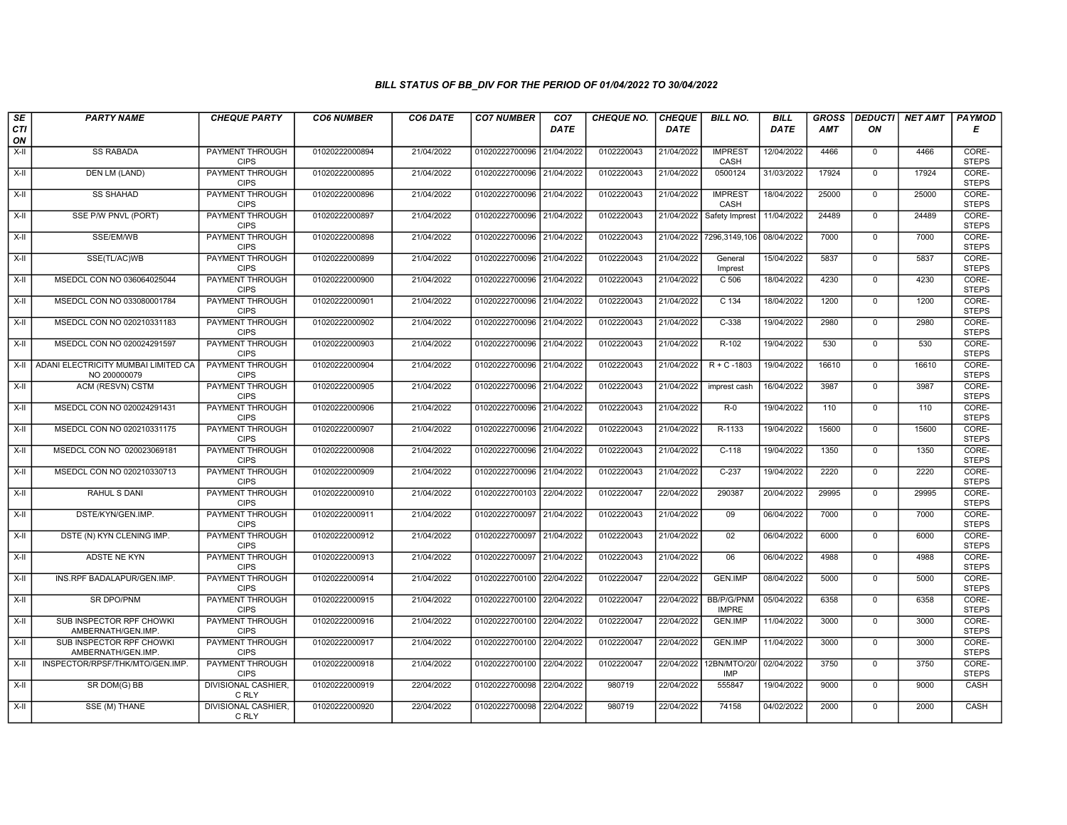| SE        | <b>PARTY NAME</b>                                   | <b>CHEQUE PARTY</b>                   | <b>CO6 NUMBER</b> | CO6 DATE   | <b>CO7 NUMBER</b>         | CO <sub>7</sub> | <b>CHEQUE NO.</b> | <b>CHEQUE</b> | <b>BILL NO.</b>                   | <b>BILL</b> | <b>GROSS</b> |                | DEDUCTI NET AMT | <b>PAYMOD</b>         |
|-----------|-----------------------------------------------------|---------------------------------------|-------------------|------------|---------------------------|-----------------|-------------------|---------------|-----------------------------------|-------------|--------------|----------------|-----------------|-----------------------|
| CTI<br>ON |                                                     |                                       |                   |            |                           | DATE            |                   | <b>DATE</b>   |                                   | DATE        | AMT          | ON             |                 | Е                     |
| $X-H$     | <b>SS RABADA</b>                                    | <b>PAYMENT THROUGH</b><br><b>CIPS</b> | 01020222000894    | 21/04/2022 | 01020222700096 21/04/2022 |                 | 0102220043        | 21/04/2022    | <b>IMPREST</b><br>CASH            | 12/04/2022  | 4466         | $\overline{0}$ | 4466            | CORE-<br><b>STEPS</b> |
| X-II      | DEN LM (LAND)                                       | <b>PAYMENT THROUGH</b><br><b>CIPS</b> | 01020222000895    | 21/04/2022 | 01020222700096 21/04/2022 |                 | 0102220043        | 21/04/2022    | 0500124                           | 31/03/2022  | 17924        | $\mathbf 0$    | 17924           | CORE-<br><b>STEPS</b> |
| $X-H$     | <b>SS SHAHAD</b>                                    | <b>PAYMENT THROUGH</b><br><b>CIPS</b> | 01020222000896    | 21/04/2022 | 01020222700096 21/04/2022 |                 | 0102220043        | 21/04/2022    | <b>IMPREST</b><br>CASH            | 18/04/2022  | 25000        | $\Omega$       | 25000           | CORE-<br><b>STEPS</b> |
| X-II      | SSE P/W PNVL (PORT)                                 | <b>PAYMENT THROUGH</b><br><b>CIPS</b> | 01020222000897    | 21/04/2022 | 01020222700096 21/04/2022 |                 | 0102220043        | 21/04/2022    | Safety Imprest                    | 11/04/2022  | 24489        | $\mathbf 0$    | 24489           | CORE-<br><b>STEPS</b> |
| $X-H$     | SSE/EM/WB                                           | PAYMENT THROUGH<br><b>CIPS</b>        | 01020222000898    | 21/04/2022 | 01020222700096 21/04/2022 |                 | 0102220043        | 21/04/2022    | 7296,3149,106                     | 08/04/2022  | 7000         | $\overline{0}$ | 7000            | CORE-<br><b>STEPS</b> |
| X-II      | SSE(TL/AC)WB                                        | <b>PAYMENT THROUGH</b><br><b>CIPS</b> | 01020222000899    | 21/04/2022 | 01020222700096 21/04/2022 |                 | 0102220043        | 21/04/2022    | General<br>Imprest                | 15/04/2022  | 5837         | $\mathbf{0}$   | 5837            | CORE-<br><b>STEPS</b> |
| X-II      | MSEDCL CON NO 036064025044                          | PAYMENT THROUGH<br><b>CIPS</b>        | 01020222000900    | 21/04/2022 | 01020222700096 21/04/2022 |                 | 0102220043        | 21/04/2022    | C 506                             | 18/04/2022  | 4230         | $\mathbf 0$    | 4230            | CORE-<br><b>STEPS</b> |
| $X-II$    | MSEDCL CON NO 033080001784                          | <b>PAYMENT THROUGH</b><br><b>CIPS</b> | 01020222000901    | 21/04/2022 | 01020222700096 21/04/2022 |                 | 0102220043        | 21/04/2022    | $C$ 134                           | 18/04/2022  | 1200         | $\overline{0}$ | 1200            | CORE-<br><b>STEPS</b> |
| $X-H$     | MSEDCL CON NO 020210331183                          | <b>PAYMENT THROUGH</b><br><b>CIPS</b> | 01020222000902    | 21/04/2022 | 01020222700096 21/04/2022 |                 | 0102220043        | 21/04/2022    | $C-338$                           | 19/04/2022  | 2980         | $\mathbf 0$    | 2980            | CORE-<br><b>STEPS</b> |
| $X-H$     | MSEDCL CON NO 020024291597                          | <b>PAYMENT THROUGH</b><br><b>CIPS</b> | 01020222000903    | 21/04/2022 | 01020222700096 21/04/2022 |                 | 0102220043        | 21/04/2022    | R-102                             | 19/04/2022  | 530          | $\overline{0}$ | 530             | CORE-<br><b>STEPS</b> |
| X-II      | ADANI ELECTRICITY MUMBAI LIMITED CA<br>NO 200000079 | PAYMENT THROUGH<br><b>CIPS</b>        | 01020222000904    | 21/04/2022 | 01020222700096 21/04/2022 |                 | 0102220043        | 21/04/2022    | $R + C - 1803$                    | 19/04/2022  | 16610        | $\mathbf 0$    | 16610           | CORE-<br><b>STEPS</b> |
| $X-II$    | ACM (RESVN) CSTM                                    | PAYMENT THROUGH<br><b>CIPS</b>        | 01020222000905    | 21/04/2022 | 01020222700096 21/04/2022 |                 | 0102220043        | 21/04/2022    | imprest cash                      | 16/04/2022  | 3987         | $\overline{0}$ | 3987            | CORE-<br><b>STEPS</b> |
| X-II      | MSEDCL CON NO 020024291431                          | <b>PAYMENT THROUGH</b><br><b>CIPS</b> | 01020222000906    | 21/04/2022 | 01020222700096 21/04/2022 |                 | 0102220043        | 21/04/2022    | $R-0$                             | 19/04/2022  | 110          | $\mathbf 0$    | 110             | CORE-<br><b>STEPS</b> |
| $X-H$     | MSEDCL CON NO 020210331175                          | <b>PAYMENT THROUGH</b><br><b>CIPS</b> | 01020222000907    | 21/04/2022 | 01020222700096 21/04/2022 |                 | 0102220043        | 21/04/2022    | R-1133                            | 19/04/2022  | 15600        | $\mathbf{0}$   | 15600           | CORE-<br><b>STEPS</b> |
| X-II      | MSEDCL CON NO 020023069181                          | PAYMENT THROUGH<br><b>CIPS</b>        | 01020222000908    | 21/04/2022 | 01020222700096 21/04/2022 |                 | 0102220043        | 21/04/2022    | $C-118$                           | 19/04/2022  | 1350         | $\mathbf{0}$   | 1350            | CORE-<br><b>STEPS</b> |
| $X-II$    | MSEDCL CON NO 020210330713                          | <b>PAYMENT THROUGH</b><br><b>CIPS</b> | 01020222000909    | 21/04/2022 | 01020222700096 21/04/2022 |                 | 0102220043        | 21/04/2022    | $C-237$                           | 19/04/2022  | 2220         | $\overline{0}$ | 2220            | CORE-<br><b>STEPS</b> |
| X-II      | <b>RAHUL S DANI</b>                                 | <b>PAYMENT THROUGH</b><br><b>CIPS</b> | 01020222000910    | 21/04/2022 | 01020222700103 22/04/2022 |                 | 0102220047        | 22/04/2022    | 290387                            | 20/04/2022  | 29995        | $\mathbf{0}$   | 29995           | CORE-<br><b>STEPS</b> |
| $X-H$     | DSTE/KYN/GEN.IMP.                                   | <b>PAYMENT THROUGH</b><br><b>CIPS</b> | 01020222000911    | 21/04/2022 | 01020222700097 21/04/2022 |                 | 0102220043        | 21/04/2022    | 09                                | 06/04/2022  | 7000         | $\mathbf 0$    | 7000            | CORE-<br><b>STEPS</b> |
| $X-H$     | DSTE (N) KYN CLENING IMP.                           | <b>PAYMENT THROUGH</b><br><b>CIPS</b> | 01020222000912    | 21/04/2022 | 01020222700097 21/04/2022 |                 | 0102220043        | 21/04/2022    | 02                                | 06/04/2022  | 6000         | $\mathbf 0$    | 6000            | CORE-<br><b>STEPS</b> |
| X-II      | ADSTE NE KYN                                        | <b>PAYMENT THROUGH</b><br><b>CIPS</b> | 01020222000913    | 21/04/2022 | 01020222700097 21/04/2022 |                 | 0102220043        | 21/04/2022    | 06                                | 06/04/2022  | 4988         | $\overline{0}$ | 4988            | CORE-<br><b>STEPS</b> |
| $X-H$     | INS.RPF BADALAPUR/GEN.IMP.                          | <b>PAYMENT THROUGH</b><br><b>CIPS</b> | 01020222000914    | 21/04/2022 | 01020222700100 22/04/2022 |                 | 0102220047        | 22/04/2022    | GEN.IMP                           | 08/04/2022  | 5000         | $\overline{0}$ | 5000            | CORE-<br><b>STEPS</b> |
| X-II      | <b>SR DPO/PNM</b>                                   | <b>PAYMENT THROUGH</b><br><b>CIPS</b> | 01020222000915    | 21/04/2022 | 01020222700100 22/04/2022 |                 | 0102220047        | 22/04/2022    | <b>BB/P/G/PNM</b><br><b>IMPRE</b> | 05/04/2022  | 6358         | $\Omega$       | 6358            | CORE-<br><b>STEPS</b> |
| $X-H$     | SUB INSPECTOR RPF CHOWKI<br>AMBERNATH/GEN.IMP       | <b>PAYMENT THROUGH</b><br><b>CIPS</b> | 01020222000916    | 21/04/2022 | 01020222700100            | 22/04/2022      | 0102220047        | 22/04/2022    | GEN.IMP                           | 11/04/2022  | 3000         | $\mathbf 0$    | 3000            | CORE-<br><b>STEPS</b> |
| X-II      | SUB INSPECTOR RPF CHOWKI<br>AMBERNATH/GEN.IMP       | PAYMENT THROUGH<br><b>CIPS</b>        | 01020222000917    | 21/04/2022 | 01020222700100 22/04/2022 |                 | 0102220047        | 22/04/2022    | GEN.IMP                           | 11/04/2022  | 3000         | $\mathbf{0}$   | 3000            | CORE-<br><b>STEPS</b> |
| $X-II$    | INSPECTOR/RPSF/THK/MTO/GEN.IMP.                     | <b>PAYMENT THROUGH</b><br><b>CIPS</b> | 01020222000918    | 21/04/2022 | 01020222700100 22/04/2022 |                 | 0102220047        | 22/04/2022    | 12BN/MTO/20/<br>IMP               | 02/04/2022  | 3750         | $\overline{0}$ | 3750            | CORE-<br><b>STEPS</b> |
| X-II      | SR DOM(G) BB                                        | <b>DIVISIONAL CASHIER.</b><br>C RLY   | 01020222000919    | 22/04/2022 | 01020222700098 22/04/2022 |                 | 980719            | 22/04/2022    | 555847                            | 19/04/2022  | 9000         | $\mathbf 0$    | 9000            | CASH                  |
| X-II      | SSE (M) THANE                                       | <b>DIVISIONAL CASHIER,</b><br>C RLY   | 01020222000920    | 22/04/2022 | 01020222700098 22/04/2022 |                 | 980719            | 22/04/2022    | 74158                             | 04/02/2022  | 2000         | $\mathbf 0$    | 2000            | CASH                  |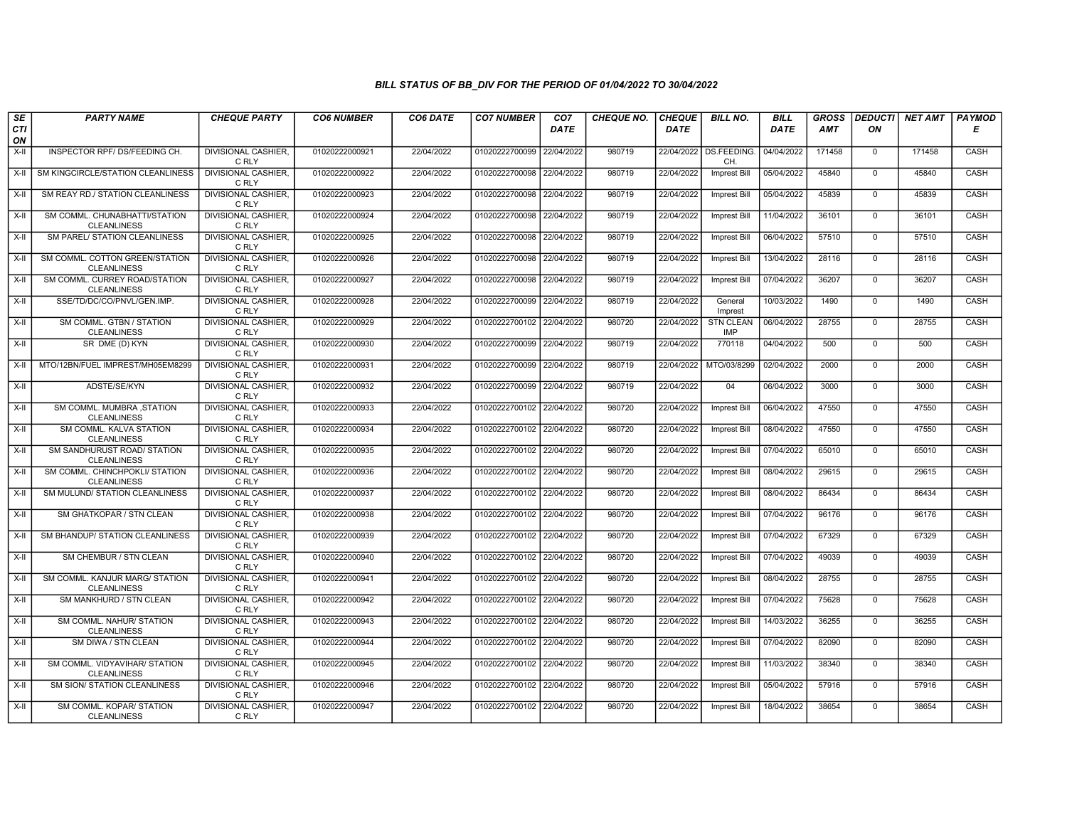| SE        | <b>PARTY NAME</b>                                        | <b>CHEQUE PARTY</b>                 | <b>CO6 NUMBER</b> | CO6 DATE   | <b>CO7 NUMBER</b>         | CO <sub>7</sub> | <b>CHEQUE NO.</b> | <b>CHEQUE</b> | <b>BILL NO.</b>                | <b>BILL</b> | <b>GROSS</b> | <b>DEDUCTI</b> | <b>NET AMT</b> | PAYMOD      |
|-----------|----------------------------------------------------------|-------------------------------------|-------------------|------------|---------------------------|-----------------|-------------------|---------------|--------------------------------|-------------|--------------|----------------|----------------|-------------|
| CTI<br>ON |                                                          |                                     |                   |            |                           | <b>DATE</b>     |                   | <b>DATE</b>   |                                | <b>DATE</b> | <b>AMT</b>   | ON             |                | Е           |
| $X-H$     | INSPECTOR RPF/DS/FEEDING CH.                             | <b>DIVISIONAL CASHIER,</b><br>C RLY | 01020222000921    | 22/04/2022 | 01020222700099            | 22/04/2022      | 980719            |               | 22/04/2022 DS.FEEDING.<br>CH.  | 04/04/2022  | 171458       | $\mathbf{0}$   | 171458         | CASH        |
| X-II      | SM KINGCIRCLE/STATION CLEANLINESS                        | <b>DIVISIONAL CASHIER,</b><br>C RLY | 01020222000922    | 22/04/2022 | 01020222700098 22/04/2022 |                 | 980719            | 22/04/2022    | Imprest Bill                   | 05/04/2022  | 45840        | $\mathbf 0$    | 45840          | CASH        |
| X-II      | SM REAY RD./ STATION CLEANLINESS                         | <b>DIVISIONAL CASHIER</b><br>C RLY  | 01020222000923    | 22/04/2022 | 01020222700098            | 22/04/2022      | 980719            | 22/04/2022    | <b>Imprest Bill</b>            | 05/04/2022  | 45839        | $\mathbf{0}$   | 45839          | CASH        |
| X-II      | SM COMML. CHUNABHATTI/STATION<br><b>CLEANLINESS</b>      | <b>DIVISIONAL CASHIER</b><br>C RLY  | 01020222000924    | 22/04/2022 | 01020222700098 22/04/2022 |                 | 980719            | 22/04/2022    | <b>Imprest Bill</b>            | 11/04/2022  | 36101        | $\mathbf 0$    | 36101          | CASH        |
| $X-H$     | SM PAREL/ STATION CLEANLINESS                            | <b>DIVISIONAL CASHIER,</b><br>C RLY | 01020222000925    | 22/04/2022 | 01020222700098 22/04/2022 |                 | 980719            | 22/04/2022    | <b>Imprest Bill</b>            | 06/04/2022  | 57510        | $\mathbf 0$    | 57510          | CASH        |
| X-II      | SM COMML, COTTON GREEN/STATION<br><b>CLEANLINESS</b>     | <b>DIVISIONAL CASHIER</b><br>C RLY  | 01020222000926    | 22/04/2022 | 01020222700098 22/04/2022 |                 | 980719            | 22/04/2022    | <b>Imprest Bill</b>            | 13/04/2022  | 28116        | $\Omega$       | 28116          | CASH        |
| X-II      | SM COMML. CURREY ROAD/STATION<br><b>CLEANLINESS</b>      | <b>DIVISIONAL CASHIER</b><br>C RLY  | 01020222000927    | 22/04/2022 | 01020222700098 22/04/2022 |                 | 980719            | 22/04/2022    | <b>Imprest Bill</b>            | 07/04/2022  | 36207        | $\mathbf{0}$   | 36207          | CASH        |
| $X-H$     | SSE/TD/DC/CO/PNVL/GEN.IMP.                               | <b>DIVISIONAL CASHIER,</b><br>C RLY | 01020222000928    | 22/04/2022 | 01020222700099            | 22/04/2022      | 980719            | 22/04/2022    | General<br>Imprest             | 10/03/2022  | 1490         | $\overline{0}$ | 1490           | CASH        |
| $X-H$     | SM COMML. GTBN / STATION<br><b>CLEANLINESS</b>           | <b>DIVISIONAL CASHIER,</b><br>C RLY | 01020222000929    | 22/04/2022 | 01020222700102 22/04/2022 |                 | 980720            | 22/04/2022    | <b>STN CLEAN</b><br><b>IMP</b> | 06/04/2022  | 28755        | $\mathbf 0$    | 28755          | <b>CASH</b> |
| $X-H$     | SR DME (D) KYN                                           | <b>DIVISIONAL CASHIER,</b><br>C RLY | 01020222000930    | 22/04/2022 | 01020222700099 22/04/2022 |                 | 980719            | 22/04/2022    | 770118                         | 04/04/2022  | 500          | $\mathbf{0}$   | 500            | CASH        |
| X-II      | MTO/12BN/FUEL IMPREST/MH05EM8299                         | <b>DIVISIONAL CASHIER,</b><br>C RLY | 01020222000931    | 22/04/2022 | 01020222700099            | 22/04/2022      | 980719            | 22/04/2022    | MTO/03/8299                    | 02/04/2022  | 2000         | $\mathbf 0$    | 2000           | CASH        |
| X-II      | ADSTE/SE/KYN                                             | DIVISIONAL CASHIER,<br>C RLY        | 01020222000932    | 22/04/2022 | 01020222700099            | 22/04/2022      | 980719            | 22/04/2022    | 04                             | 06/04/2022  | 3000         | $\mathbf{0}$   | 3000           | CASH        |
| $X-H$     | SM COMML, MUMBRA .STATION<br><b>CLEANLINESS</b>          | <b>DIVISIONAL CASHIER</b><br>C RLY  | 01020222000933    | 22/04/2022 | 01020222700102 22/04/2022 |                 | 980720            | 22/04/2022    | Imprest Bill                   | 06/04/2022  | 47550        | $\overline{0}$ | 47550          | CASH        |
| $X-H$     | SM COMML. KALVA STATION<br><b>CLEANLINESS</b>            | <b>DIVISIONAL CASHIER,</b><br>C RLY | 01020222000934    | 22/04/2022 | 01020222700102 22/04/2022 |                 | 980720            | 22/04/2022    | <b>Imprest Bill</b>            | 08/04/2022  | 47550        | $\mathbf 0$    | 47550          | CASH        |
| X-II      | <b>SM SANDHURUST ROAD/ STATION</b><br><b>CLEANLINESS</b> | <b>DIVISIONAL CASHIER</b><br>C RLY  | 01020222000935    | 22/04/2022 | 01020222700102 22/04/2022 |                 | 980720            | 22/04/2022    | <b>Imprest Bill</b>            | 07/04/2022  | 65010        | $\Omega$       | 65010          | CASH        |
| X-II      | SM COMML. CHINCHPOKLI/ STATION<br><b>CLEANLINESS</b>     | <b>DIVISIONAL CASHIER</b><br>C RLY  | 01020222000936    | 22/04/2022 | 01020222700102 22/04/2022 |                 | 980720            | 22/04/2022    | <b>Imprest Bill</b>            | 08/04/2022  | 29615        | $\mathbf 0$    | 29615          | CASH        |
| X-II      | SM MULUND/ STATION CLEANLINESS                           | DIVISIONAL CASHIER,<br>C RLY        | 01020222000937    | 22/04/2022 | 01020222700102 22/04/2022 |                 | 980720            | 22/04/2022    | Imprest Bill                   | 08/04/2022  | 86434        | $\mathbf{0}$   | 86434          | <b>CASH</b> |
| X-II      | SM GHATKOPAR / STN CLEAN                                 | <b>DIVISIONAL CASHIER</b><br>C RLY  | 01020222000938    | 22/04/2022 | 01020222700102            | 22/04/2022      | 980720            | 22/04/2022    | Imprest Bill                   | 07/04/2022  | 96176        | $\mathbf{0}$   | 96176          | CASH        |
| X-II      | SM BHANDUP/ STATION CLEANLINESS                          | <b>DIVISIONAL CASHIER,</b><br>C RLY | 01020222000939    | 22/04/2022 | 01020222700102 22/04/2022 |                 | 980720            | 22/04/2022    | Imprest Bill                   | 07/04/2022  | 67329        | $\mathbf 0$    | 67329          | CASH        |
| X-II      | SM CHEMBUR / STN CLEAN                                   | DIVISIONAL CASHIER,<br>C RLY        | 01020222000940    | 22/04/2022 | 01020222700102 22/04/2022 |                 | 980720            | 22/04/2022    | Imprest Bill                   | 07/04/2022  | 49039        | $\overline{0}$ | 49039          | CASH        |
| X-II      | SM COMML. KANJUR MARG/ STATION<br><b>CLEANLINESS</b>     | <b>DIVISIONAL CASHIER</b><br>C RLY  | 01020222000941    | 22/04/2022 | 01020222700102 22/04/2022 |                 | 980720            | 22/04/2022    | Imprest Bill                   | 08/04/2022  | 28755        | $\mathbf 0$    | 28755          | CASH        |
| $X-H$     | SM MANKHURD / STN CLEAN                                  | <b>DIVISIONAL CASHIER,</b><br>C RLY | 01020222000942    | 22/04/2022 | 01020222700102 22/04/2022 |                 | 980720            | 22/04/2022    | <b>Imprest Bill</b>            | 07/04/2022  | 75628        | $\mathbf 0$    | 75628          | CASH        |
| X-II      | SM COMML. NAHUR/ STATION<br><b>CLEANLINESS</b>           | <b>DIVISIONAL CASHIER</b><br>C RLY  | 01020222000943    | 22/04/2022 | 01020222700102 22/04/2022 |                 | 980720            | 22/04/2022    | Imprest Bill                   | 14/03/2022  | 36255        | $\mathbf 0$    | 36255          | CASH        |
| $X-H$     | SM DIWA / STN CLEAN                                      | <b>DIVISIONAL CASHIER,</b><br>C RLY | 01020222000944    | 22/04/2022 | 01020222700102 22/04/2022 |                 | 980720            | 22/04/2022    | Imprest Bill                   | 07/04/2022  | 82090        | $\mathbf{0}$   | 82090          | CASH        |
| X-II      | SM COMML. VIDYAVIHAR/ STATION<br><b>CLEANLINESS</b>      | <b>DIVISIONAL CASHIER</b><br>C RLY  | 01020222000945    | 22/04/2022 | 01020222700102 22/04/2022 |                 | 980720            | 22/04/2022    | Imprest Bill                   | 11/03/2022  | 38340        | $\Omega$       | 38340          | CASH        |
| $X-H$     | SM SION/ STATION CLEANLINESS                             | <b>DIVISIONAL CASHIER</b><br>C RLY  | 01020222000946    | 22/04/2022 | 01020222700102 22/04/2022 |                 | 980720            | 22/04/2022    | <b>Imprest Bill</b>            | 05/04/2022  | 57916        | 0              | 57916          | <b>CASH</b> |
| X-II      | SM COMML, KOPAR/ STATION<br><b>CLEANLINESS</b>           | DIVISIONAL CASHIER,<br>C RLY        | 01020222000947    | 22/04/2022 | 01020222700102 22/04/2022 |                 | 980720            | 22/04/2022    | <b>Imprest Bill</b>            | 18/04/2022  | 38654        | $\mathbf 0$    | 38654          | CASH        |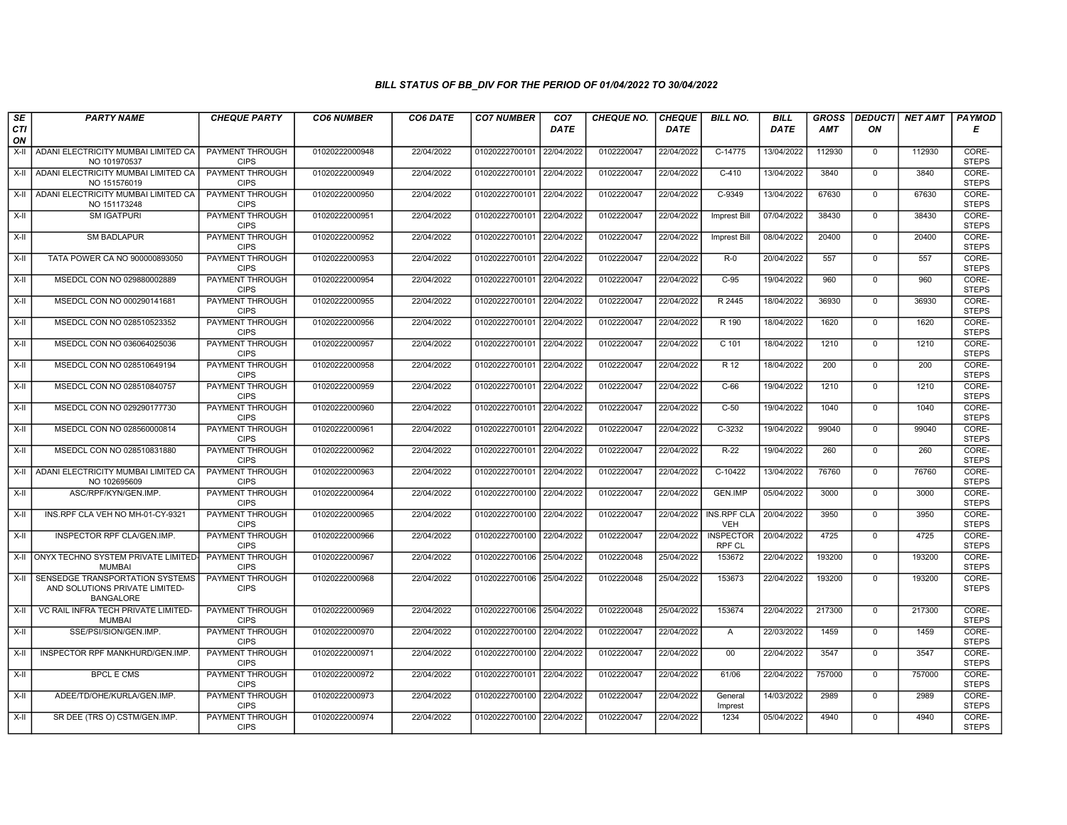| SE        | <b>PARTY NAME</b>                                                                     | <b>CHEQUE PARTY</b>                   | <b>CO6 NUMBER</b> | <b>CO6 DATE</b> | <b>CO7 NUMBER</b>         | CO <sub>7</sub> | <b>CHEQUE NO.</b> | <b>CHEQUE</b> | <b>BILL NO.</b>                  | <b>BILL</b> | <b>GROSS</b> |                | <b>DEDUCTI NET AMT</b> | <b>PAYMOD</b>         |
|-----------|---------------------------------------------------------------------------------------|---------------------------------------|-------------------|-----------------|---------------------------|-----------------|-------------------|---------------|----------------------------------|-------------|--------------|----------------|------------------------|-----------------------|
| CTI<br>ON |                                                                                       |                                       |                   |                 |                           | <b>DATE</b>     |                   | <b>DATE</b>   |                                  | DATE        | <b>AMT</b>   | ON             |                        | Е                     |
| X-II      | ADANI ELECTRICITY MUMBAI LIMITED CA<br>NO 101970537                                   | PAYMENT THROUGH<br><b>CIPS</b>        | 01020222000948    | 22/04/2022      | 01020222700101            | 22/04/2022      | 0102220047        | 22/04/2022    | $C-14775$                        | 13/04/2022  | 112930       | $\mathbf{0}$   | 112930                 | CORE-<br><b>STEPS</b> |
|           | X-II   ADANI ELECTRICITY MUMBAI LIMITED CA<br>NO 151576019                            | <b>PAYMENT THROUGH</b><br><b>CIPS</b> | 01020222000949    | 22/04/2022      | 01020222700101 22/04/2022 |                 | 0102220047        | 22/04/2022    | $C-410$                          | 13/04/2022  | 3840         | $\mathbf 0$    | 3840                   | CORE-<br><b>STEPS</b> |
| X-II      | ADANI ELECTRICITY MUMBAI LIMITED CA<br>NO 151173248                                   | PAYMENT THROUGH<br><b>CIPS</b>        | 01020222000950    | 22/04/2022      | 01020222700101            | 22/04/2022      | 0102220047        | 22/04/2022    | C-9349                           | 13/04/2022  | 67630        | $\mathbf 0$    | 67630                  | CORE-<br><b>STEPS</b> |
| X-II      | <b>SM IGATPURI</b>                                                                    | PAYMENT THROUGH<br><b>CIPS</b>        | 01020222000951    | 22/04/2022      | 01020222700101            | 22/04/2022      | 0102220047        | 22/04/2022    | Imprest Bill                     | 07/04/2022  | 38430        | $\mathbf{0}$   | 38430                  | CORE-<br><b>STEPS</b> |
| X-II      | <b>SM BADLAPUR</b>                                                                    | <b>PAYMENT THROUGH</b><br><b>CIPS</b> | 01020222000952    | 22/04/2022      | 01020222700101 22/04/2022 |                 | 0102220047        | 22/04/2022    | <b>Imprest Bill</b>              | 08/04/2022  | 20400        | $\mathbf 0$    | 20400                  | CORE-<br><b>STEPS</b> |
| X-II      | TATA POWER CA NO 900000893050                                                         | PAYMENT THROUGH<br><b>CIPS</b>        | 01020222000953    | 22/04/2022      | 01020222700101 22/04/2022 |                 | 0102220047        | 22/04/2022    | $R-0$                            | 20/04/2022  | 557          | $\mathbf{0}$   | 557                    | CORE-<br><b>STEPS</b> |
| X-II      | MSEDCL CON NO 029880002889                                                            | PAYMENT THROUGH<br><b>CIPS</b>        | 01020222000954    | 22/04/2022      | 01020222700101            | 22/04/2022      | 0102220047        | 22/04/2022    | $C-95$                           | 19/04/2022  | 960          | $\Omega$       | 960                    | CORE-<br><b>STEPS</b> |
| $X-II$    | MSEDCL CON NO 000290141681                                                            | PAYMENT THROUGH<br><b>CIPS</b>        | 01020222000955    | 22/04/2022      | 01020222700101            | 22/04/2022      | 0102220047        | 22/04/2022    | R 2445                           | 18/04/2022  | 36930        | $\mathsf{O}$   | 36930                  | CORE-<br><b>STEPS</b> |
| $X-II$    | MSEDCL CON NO 028510523352                                                            | <b>PAYMENT THROUGH</b><br><b>CIPS</b> | 01020222000956    | 22/04/2022      | 01020222700101            | 22/04/2022      | 0102220047        | 22/04/2022    | R 190                            | 18/04/2022  | 1620         | $\mathbf 0$    | 1620                   | CORE-<br><b>STEPS</b> |
| $X-H$     | MSEDCL CON NO 036064025036                                                            | PAYMENT THROUGH<br><b>CIPS</b>        | 01020222000957    | 22/04/2022      | 01020222700101            | 22/04/2022      | 0102220047        | 22/04/2022    | $C$ 101                          | 18/04/2022  | 1210         | $\Omega$       | 1210                   | CORE-<br><b>STEPS</b> |
| X-II      | MSEDCL CON NO 028510649194                                                            | PAYMENT THROUGH<br><b>CIPS</b>        | 01020222000958    | 22/04/2022      | 01020222700101            | 22/04/2022      | 0102220047        | 22/04/2022    | R 12                             | 18/04/2022  | 200          | $\mathbf 0$    | 200                    | CORE-<br><b>STEPS</b> |
| $X-II$    | MSEDCL CON NO 028510840757                                                            | PAYMENT THROUGH<br><b>CIPS</b>        | 01020222000959    | 22/04/2022      | 01020222700101            | 22/04/2022      | 0102220047        | 22/04/2022    | $C-66$                           | 19/04/2022  | 1210         | $\overline{0}$ | 1210                   | CORE-<br><b>STEPS</b> |
| X-II      | MSEDCL CON NO 029290177730                                                            | PAYMENT THROUGH<br><b>CIPS</b>        | 01020222000960    | 22/04/2022      | 01020222700101            | 22/04/2022      | 0102220047        | 22/04/2022    | $C-50$                           | 19/04/2022  | 1040         | $\Omega$       | 1040                   | CORE-<br><b>STEPS</b> |
| $X-H$     | MSEDCL CON NO 028560000814                                                            | <b>PAYMENT THROUGH</b><br><b>CIPS</b> | 01020222000961    | 22/04/2022      | 01020222700101            | 22/04/2022      | 0102220047        | 22/04/2022    | $C-3232$                         | 19/04/2022  | 99040        | $\mathbf 0$    | 99040                  | CORE-<br><b>STEPS</b> |
| X-II      | MSEDCL CON NO 028510831880                                                            | PAYMENT THROUGH<br><b>CIPS</b>        | 01020222000962    | 22/04/2022      | 01020222700101            | 22/04/2022      | 0102220047        | 22/04/2022    | $R-22$                           | 19/04/2022  | 260          | $\mathbf 0$    | 260                    | CORE-<br><b>STEPS</b> |
| $X-H$     | ADANI ELECTRICITY MUMBAI LIMITED CA<br>NO 102695609                                   | PAYMENT THROUGH<br><b>CIPS</b>        | 01020222000963    | 22/04/2022      | 01020222700101            | 22/04/2022      | 0102220047        | 22/04/2022    | C-10422                          | 13/04/2022  | 76760        | $\mathbf 0$    | 76760                  | CORE-<br><b>STEPS</b> |
| X-II      | ASC/RPF/KYN/GEN.IMP.                                                                  | <b>PAYMENT THROUGH</b><br><b>CIPS</b> | 01020222000964    | 22/04/2022      | 01020222700100 22/04/2022 |                 | 0102220047        | 22/04/2022    | <b>GEN.IMP</b>                   | 05/04/2022  | 3000         | $\mathbf 0$    | 3000                   | CORE-<br><b>STEPS</b> |
| $X-H$     | INS.RPF CLA VEH NO MH-01-CY-9321                                                      | <b>PAYMENT THROUGH</b><br><b>CIPS</b> | 01020222000965    | 22/04/2022      | 01020222700100 22/04/2022 |                 | 0102220047        | 22/04/2022    | <b>INS.RPF CLA</b><br><b>VEH</b> | 20/04/2022  | 3950         | $\mathbf 0$    | 3950                   | CORE-<br><b>STEPS</b> |
| X-II      | INSPECTOR RPF CLA/GEN.IMP.                                                            | PAYMENT THROUGH<br><b>CIPS</b>        | 01020222000966    | 22/04/2022      | 01020222700100            | 22/04/2022      | 0102220047        | 22/04/2022    | <b>INSPECTOR</b><br>RPF CL       | 20/04/2022  | 4725         | $\Omega$       | 4725                   | CORE-<br><b>STEPS</b> |
|           | X-II ONYX TECHNO SYSTEM PRIVATE LIMITED-<br><b>MUMBAI</b>                             | PAYMENT THROUGH<br><b>CIPS</b>        | 01020222000967    | 22/04/2022      | 01020222700106            | 25/04/2022      | 0102220048        | 25/04/2022    | 153672                           | 22/04/2022  | 193200       | $\mathbf 0$    | 193200                 | CORE-<br><b>STEPS</b> |
| X-II      | SENSEDGE TRANSPORTATION SYSTEMS<br>AND SOLUTIONS PRIVATE LIMITED-<br><b>BANGALORE</b> | <b>PAYMENT THROUGH</b><br><b>CIPS</b> | 01020222000968    | 22/04/2022      | 01020222700106 25/04/2022 |                 | 0102220048        | 25/04/2022    | 153673                           | 22/04/2022  | 193200       | $\mathbf 0$    | 193200                 | CORE-<br><b>STEPS</b> |
| X-II      | VC RAIL INFRA TECH PRIVATE LIMITED-<br><b>MUMBAI</b>                                  | PAYMENT THROUGH<br><b>CIPS</b>        | 01020222000969    | 22/04/2022      | 01020222700106 25/04/2022 |                 | 0102220048        | 25/04/2022    | 153674                           | 22/04/2022  | 217300       | $\mathbf{0}$   | 217300                 | CORE-<br><b>STEPS</b> |
| X-II      | SSE/PSI/SION/GEN.IMP.                                                                 | <b>PAYMENT THROUGH</b><br><b>CIPS</b> | 01020222000970    | 22/04/2022      | 01020222700100 22/04/2022 |                 | 0102220047        | 22/04/2022    | $\overline{A}$                   | 22/03/2022  | 1459         | $\Omega$       | 1459                   | CORE-<br><b>STEPS</b> |
| X-II      | INSPECTOR RPF MANKHURD/GEN.IMP.                                                       | <b>PAYMENT THROUGH</b><br><b>CIPS</b> | 01020222000971    | 22/04/2022      | 01020222700100            | 22/04/2022      | 0102220047        | 22/04/2022    | 00                               | 22/04/2022  | 3547         | $\mathbf 0$    | 3547                   | CORE-<br><b>STEPS</b> |
| X-II      | <b>BPCL E CMS</b>                                                                     | <b>PAYMENT THROUGH</b><br><b>CIPS</b> | 01020222000972    | 22/04/2022      | 01020222700101            | 22/04/2022      | 0102220047        | 22/04/2022    | 61/06                            | 22/04/2022  | 757000       | $\mathbf{0}$   | 757000                 | CORE-<br><b>STEPS</b> |
| X-II      | ADEE/TD/OHE/KURLA/GEN.IMP.                                                            | PAYMENT THROUGH<br><b>CIPS</b>        | 01020222000973    | 22/04/2022      | 01020222700100            | 22/04/2022      | 0102220047        | 22/04/2022    | General<br>Imprest               | 14/03/2022  | 2989         | $\mathbf 0$    | 2989                   | CORE-<br><b>STEPS</b> |
| X-II      | SR DEE (TRS O) CSTM/GEN.IMP.                                                          | PAYMENT THROUGH<br><b>CIPS</b>        | 01020222000974    | 22/04/2022      | 01020222700100 22/04/2022 |                 | 0102220047        | 22/04/2022    | 1234                             | 05/04/2022  | 4940         | $\mathbf 0$    | 4940                   | CORE-<br><b>STEPS</b> |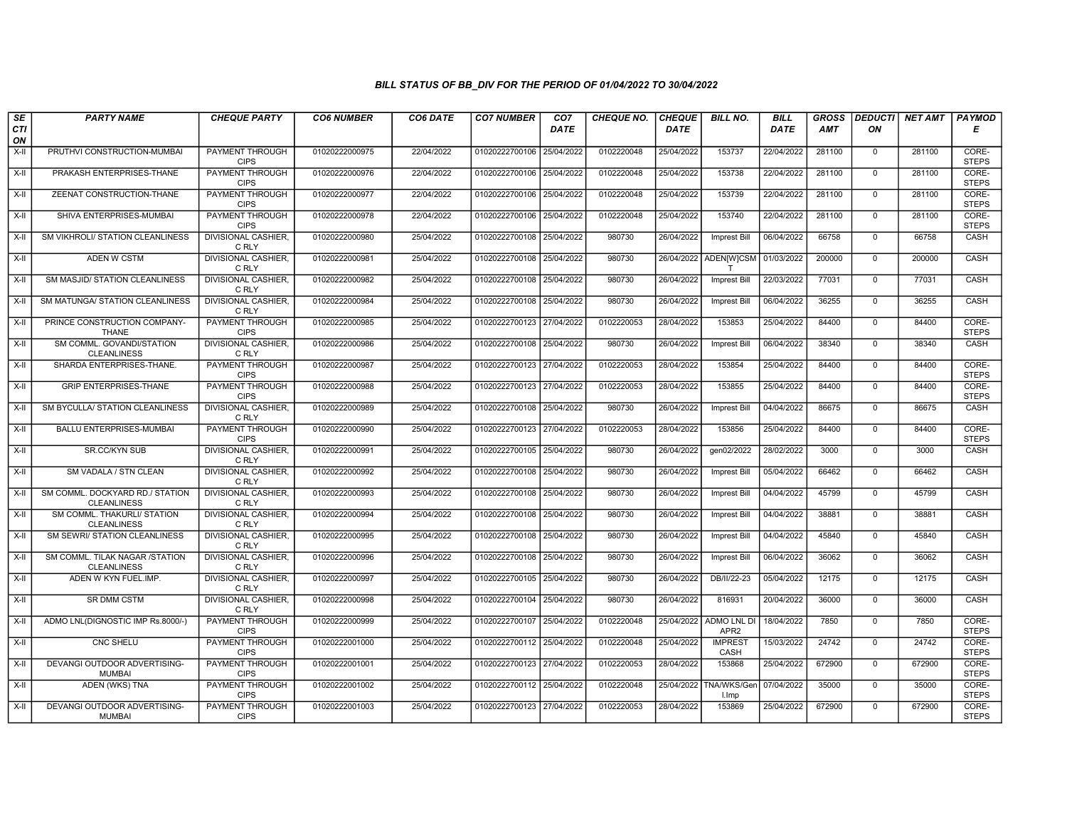| SE               | <b>PARTY NAME</b>                                     | <b>CHEQUE PARTY</b>                   | <b>CO6 NUMBER</b> | CO6 DATE   | <b>CO7 NUMBER</b>         | CO <sub>7</sub> | <b>CHEQUE NO.</b> | <b>CHEQUE</b> | <b>BILL NO.</b>                        | <b>BILL</b> | <b>GROSS</b> | <b>DEDUCTI</b> | NET AMT | <b>PAYMOD</b>         |
|------------------|-------------------------------------------------------|---------------------------------------|-------------------|------------|---------------------------|-----------------|-------------------|---------------|----------------------------------------|-------------|--------------|----------------|---------|-----------------------|
| <b>CTI</b><br>ON |                                                       |                                       |                   |            |                           | <b>DATE</b>     |                   | <b>DATE</b>   |                                        | DATE        | <b>AMT</b>   | ON             |         | Е                     |
| $X-H$            | PRUTHVI CONSTRUCTION-MUMBAI                           | <b>PAYMENT THROUGH</b><br><b>CIPS</b> | 01020222000975    | 22/04/2022 | 01020222700106            | 25/04/2022      | 0102220048        | 25/04/2022    | 153737                                 | 22/04/2022  | 281100       | $\mathbf{0}$   | 281100  | CORE-<br><b>STEPS</b> |
| X-II             | PRAKASH ENTERPRISES-THANE                             | <b>PAYMENT THROUGH</b><br><b>CIPS</b> | 01020222000976    | 22/04/2022 | 01020222700106            | 25/04/2022      | 0102220048        | 25/04/2022    | 153738                                 | 22/04/2022  | 281100       | $\mathbf{0}$   | 281100  | CORE-<br><b>STEPS</b> |
| X-II             | ZEENAT CONSTRUCTION-THANE                             | PAYMENT THROUGH<br><b>CIPS</b>        | 01020222000977    | 22/04/2022 | 01020222700106            | 25/04/2022      | 0102220048        | 25/04/2022    | 153739                                 | 22/04/2022  | 281100       | $\mathbf 0$    | 281100  | CORE-<br><b>STEPS</b> |
| $X-H$            | SHIVA ENTERPRISES-MUMBAI                              | PAYMENT THROUGH<br><b>CIPS</b>        | 01020222000978    | 22/04/2022 | 01020222700106            | 25/04/2022      | 0102220048        | 25/04/2022    | 153740                                 | 22/04/2022  | 281100       | $\overline{0}$ | 281100  | CORE-<br><b>STEPS</b> |
| X-II             | SM VIKHROLI/ STATION CLEANLINESS                      | <b>DIVISIONAL CASHIER</b><br>C RLY    | 01020222000980    | 25/04/2022 | 01020222700108            | 25/04/2022      | 980730            | 26/04/2022    | Imprest Bill                           | 06/04/2022  | 66758        | $\mathbf{0}$   | 66758   | CASH                  |
| $X-H$            | <b>ADEN W CSTM</b>                                    | <b>DIVISIONAL CASHIER,</b><br>C RLY   | 01020222000981    | 25/04/2022 | 01020222700108 25/04/2022 |                 | 980730            |               | 26/04/2022 ADEN[W]CSM                  | 01/03/2022  | 200000       | $\Omega$       | 200000  | CASH                  |
| X-II             | SM MASJID/ STATION CLEANLINESS                        | DIVISIONAL CASHIER,<br>C RLY          | 01020222000982    | 25/04/2022 | 01020222700108            | 25/04/2022      | 980730            | 26/04/2022    | Imprest Bill                           | 22/03/2022  | 77031        | $\mathbf{0}$   | 77031   | CASH                  |
| X-II             | SM MATUNGA/ STATION CLEANLINESS                       | <b>DIVISIONAL CASHIER</b><br>C RLY    | 01020222000984    | 25/04/2022 | 01020222700108            | 25/04/2022      | 980730            | 26/04/2022    | <b>Imprest Bill</b>                    | 06/04/2022  | 36255        | $\mathbf 0$    | 36255   | CASH                  |
| X-II             | PRINCE CONSTRUCTION COMPANY-<br><b>THANE</b>          | PAYMENT THROUGH<br><b>CIPS</b>        | 01020222000985    | 25/04/2022 | 01020222700123 27/04/2022 |                 | 0102220053        | 28/04/2022    | 153853                                 | 25/04/2022  | 84400        | $\Omega$       | 84400   | CORE-<br><b>STEPS</b> |
| $X-H$            | SM COMML. GOVANDI/STATION<br><b>CLEANLINESS</b>       | <b>DIVISIONAL CASHIER</b><br>C RLY    | 01020222000986    | 25/04/2022 | 01020222700108            | 25/04/2022      | 980730            | 26/04/2022    | <b>Imprest Bill</b>                    | 06/04/2022  | 38340        | $\overline{0}$ | 38340   | CASH                  |
| X-II             | SHARDA ENTERPRISES-THANE.                             | PAYMENT THROUGH<br><b>CIPS</b>        | 01020222000987    | 25/04/2022 | 01020222700123            | 27/04/2022      | 0102220053        | 28/04/2022    | 153854                                 | 25/04/2022  | 84400        | $\Omega$       | 84400   | CORE-<br><b>STEPS</b> |
| X-II             | <b>GRIP ENTERPRISES-THANE</b>                         | PAYMENT THROUGH<br><b>CIPS</b>        | 01020222000988    | 25/04/2022 | 01020222700123 27/04/2022 |                 | 0102220053        | 28/04/2022    | 153855                                 | 25/04/2022  | 84400        | $\mathbf{0}$   | 84400   | CORE-<br><b>STEPS</b> |
| X-II             | SM BYCULLA/ STATION CLEANLINESS                       | <b>DIVISIONAL CASHIER.</b><br>C RLY   | 01020222000989    | 25/04/2022 | 01020222700108 25/04/2022 |                 | 980730            | 26/04/2022    | <b>Imprest Bill</b>                    | 04/04/2022  | 86675        | $\Omega$       | 86675   | CASH                  |
| X-II             | BALLU ENTERPRISES-MUMBAI                              | <b>PAYMENT THROUGH</b><br><b>CIPS</b> | 01020222000990    | 25/04/2022 | 01020222700123            | 27/04/2022      | 0102220053        | 28/04/2022    | 153856                                 | 25/04/2022  | 84400        | $\mathbf{0}$   | 84400   | CORE-<br><b>STEPS</b> |
| $X-II$           | <b>SR.CC/KYN SUB</b>                                  | <b>DIVISIONAL CASHIER,</b><br>C RLY   | 01020222000991    | 25/04/2022 | 01020222700105            | 25/04/2022      | 980730            | 26/04/2022    | gen02/2022                             | 28/02/2022  | 3000         | $\Omega$       | 3000    | CASH                  |
| X-II             | SM VADALA / STN CLEAN                                 | DIVISIONAL CASHIER,<br>C RLY          | 01020222000992    | 25/04/2022 | 01020222700108 25/04/2022 |                 | 980730            | 26/04/2022    | <b>Imprest Bill</b>                    | 05/04/2022  | 66462        | $\Omega$       | 66462   | CASH                  |
| $X-H$            | SM COMML. DOCKYARD RD./ STATION<br><b>CLEANLINESS</b> | <b>DIVISIONAL CASHIER,</b><br>C RLY   | 01020222000993    | 25/04/2022 | 01020222700108 25/04/2022 |                 | 980730            | 26/04/2022    | Imprest Bill                           | 04/04/2022  | 45799        | $\mathbf{0}$   | 45799   | CASH                  |
| X-II             | SM COMML. THAKURLI/ STATION<br><b>CLEANLINESS</b>     | <b>DIVISIONAL CASHIER,</b><br>C RLY   | 01020222000994    | 25/04/2022 | 01020222700108 25/04/2022 |                 | 980730            | 26/04/2022    | Imprest Bill                           | 04/04/2022  | 38881        | $\mathbf 0$    | 38881   | CASH                  |
| X-II             | SM SEWRI/ STATION CLEANLINESS                         | <b>DIVISIONAL CASHIER,</b><br>C RLY   | 01020222000995    | 25/04/2022 | 01020222700108            | 25/04/2022      | 980730            | 26/04/2022    | Imprest Bill                           | 04/04/2022  | 45840        | $\mathbf{0}$   | 45840   | CASH                  |
| $X-H$            | SM COMML. TILAK NAGAR /STATION<br><b>CLEANLINESS</b>  | DIVISIONAL CASHIER,<br>C RLY          | 01020222000996    | 25/04/2022 | 01020222700108            | 25/04/2022      | 980730            | 26/04/2022    | <b>Imprest Bill</b>                    | 06/04/2022  | 36062        | $\Omega$       | 36062   | CASH                  |
| X-II             | ADEN W KYN FUEL.IMP.                                  | DIVISIONAL CASHIER,<br>C RLY          | 01020222000997    | 25/04/2022 | 01020222700105 25/04/2022 |                 | 980730            | 26/04/2022    | DB/II/22-23                            | 05/04/2022  | 12175        | $\mathbf{0}$   | 12175   | CASH                  |
| $X-H$            | <b>SR DMM CSTM</b>                                    | <b>DIVISIONAL CASHIER.</b><br>C RLY   | 01020222000998    | 25/04/2022 | 01020222700104 25/04/2022 |                 | 980730            | 26/04/2022    | 816931                                 | 20/04/2022  | 36000        | $\Omega$       | 36000   | CASH                  |
| X-II             | ADMO LNL(DIGNOSTIC IMP Rs.8000/-)                     | PAYMENT THROUGH<br><b>CIPS</b>        | 01020222000999    | 25/04/2022 | 01020222700107            | 25/04/2022      | 0102220048        | 25/04/2022    | <b>ADMO LNL DI</b><br>APR <sub>2</sub> | 18/04/2022  | 7850         | $\mathbf 0$    | 7850    | CORE-<br><b>STEPS</b> |
| $X-H$            | <b>CNC SHELU</b>                                      | PAYMENT THROUGH<br><b>CIPS</b>        | 01020222001000    | 25/04/2022 | 01020222700112 25/04/2022 |                 | 0102220048        | 25/04/2022    | <b>IMPREST</b><br>CASH                 | 15/03/2022  | 24742        | $\Omega$       | 24742   | CORE-<br><b>STEPS</b> |
| X-II             | DEVANGI OUTDOOR ADVERTISING-<br><b>MUMBAI</b>         | <b>PAYMENT THROUGH</b><br><b>CIPS</b> | 01020222001001    | 25/04/2022 | 01020222700123 27/04/2022 |                 | 0102220053        | 28/04/2022    | 153868                                 | 25/04/2022  | 672900       | $\Omega$       | 672900  | CORE-<br><b>STEPS</b> |
| X-II             | ADEN (WKS) TNA                                        | <b>PAYMENT THROUGH</b><br><b>CIPS</b> | 01020222001002    | 25/04/2022 | 01020222700112 25/04/2022 |                 | 0102220048        | 25/04/2022    | TNA/WKS/Gen<br>I.Imp                   | 07/04/2022  | 35000        | $\mathbf{0}$   | 35000   | CORE-<br><b>STEPS</b> |
| X-II             | DEVANGI OUTDOOR ADVERTISING-<br><b>MUMBAI</b>         | PAYMENT THROUGH<br><b>CIPS</b>        | 01020222001003    | 25/04/2022 | 01020222700123 27/04/2022 |                 | 0102220053        | 28/04/2022    | 153869                                 | 25/04/2022  | 672900       | $\mathbf{0}$   | 672900  | CORE-<br><b>STEPS</b> |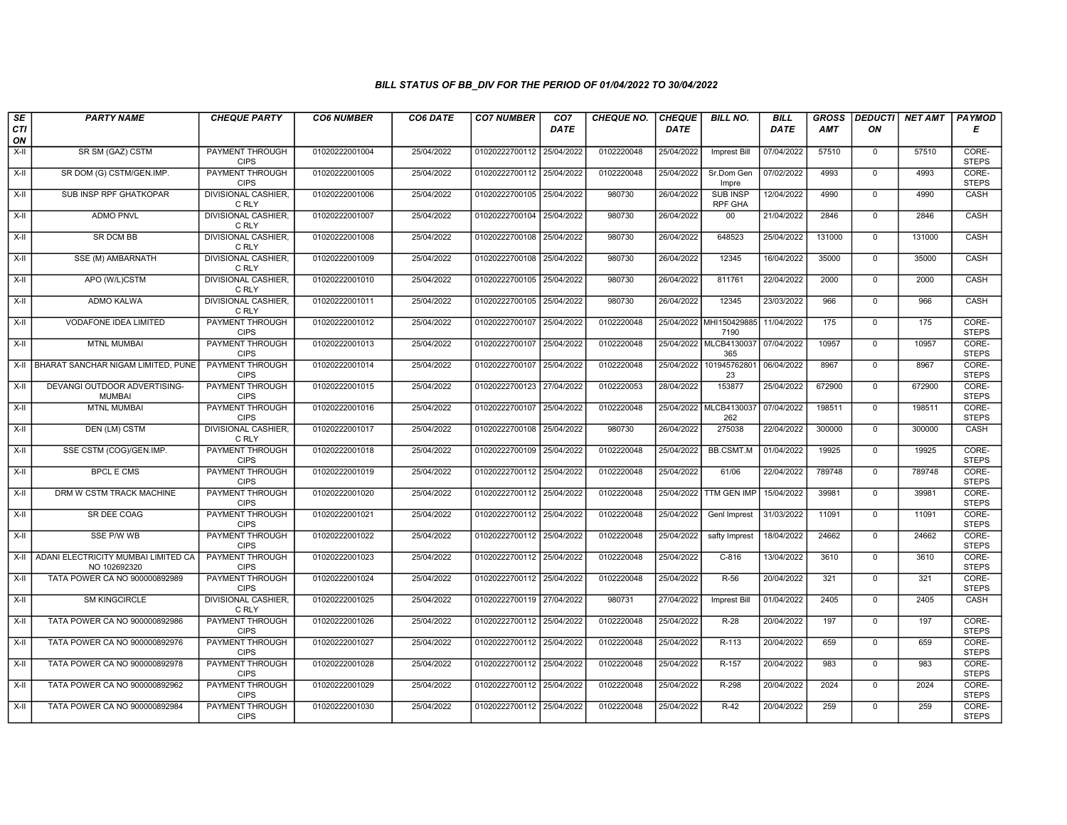| SE        | <b>PARTY NAME</b>                                   | <b>CHEQUE PARTY</b>                   | <b>CO6 NUMBER</b> | CO6 DATE   | <b>CO7 NUMBER</b>         | CO <sub>7</sub> | <b>CHEQUE NO.</b> | <b>CHEQUE</b> | <b>BILL NO.</b>                   | <b>BILL</b> | <b>GROSS</b> |                | <b>DEDUCTI</b> NET AMT | <b>PAYMOD</b>         |
|-----------|-----------------------------------------------------|---------------------------------------|-------------------|------------|---------------------------|-----------------|-------------------|---------------|-----------------------------------|-------------|--------------|----------------|------------------------|-----------------------|
| CTI<br>ON |                                                     |                                       |                   |            |                           | <b>DATE</b>     |                   | <b>DATE</b>   |                                   | DATE        | <b>AMT</b>   | ON             |                        | Е                     |
| $X-H$     | SR SM (GAZ) CSTM                                    | <b>PAYMENT THROUGH</b><br><b>CIPS</b> | 01020222001004    | 25/04/2022 | 01020222700112 25/04/2022 |                 | 0102220048        | 25/04/2022    | Imprest Bill                      | 07/04/2022  | 57510        | $\mathbf{0}$   | 57510                  | CORE-<br><b>STEPS</b> |
| X-II      | SR DOM (G) CSTM/GEN.IMP.                            | <b>PAYMENT THROUGH</b><br><b>CIPS</b> | 01020222001005    | 25/04/2022 | 01020222700112 25/04/2022 |                 | 0102220048        | 25/04/2022    | Sr.Dom Gen<br>Impre               | 07/02/2022  | 4993         | $\mathbf{0}$   | 4993                   | CORE-<br><b>STEPS</b> |
| X-II      | SUB INSP RPF GHATKOPAR                              | <b>DIVISIONAL CASHIER.</b><br>C RLY   | 01020222001006    | 25/04/2022 | 01020222700105 25/04/2022 |                 | 980730            | 26/04/2022    | <b>SUB INSP</b><br><b>RPF GHA</b> | 12/04/2022  | 4990         | $\mathbf 0$    | 4990                   | CASH                  |
| $X-II$    | <b>ADMO PNVL</b>                                    | DIVISIONAL CASHIER,<br>C RLY          | 01020222001007    | 25/04/2022 | 01020222700104 25/04/2022 |                 | 980730            | 26/04/2022    | 00                                | 21/04/2022  | 2846         | $\overline{0}$ | 2846                   | CASH                  |
| $X-H$     | <b>SR DCM BB</b>                                    | DIVISIONAL CASHIER,<br>C RLY          | 01020222001008    | 25/04/2022 | 01020222700108 25/04/2022 |                 | 980730            | 26/04/2022    | 648523                            | 25/04/2022  | 131000       | $\mathbf 0$    | 131000                 | CASH                  |
| X-II      | <b>SSE (M) AMBARNATH</b>                            | <b>DIVISIONAL CASHIER,</b><br>C RLY   | 01020222001009    | 25/04/2022 | 01020222700108 25/04/2022 |                 | 980730            | 26/04/2022    | 12345                             | 16/04/2022  | 35000        | $\Omega$       | 35000                  | CASH                  |
| X-II      | APO (W/L)CSTM                                       | DIVISIONAL CASHIER.<br>C RLY          | 01020222001010    | 25/04/2022 | 01020222700105 25/04/2022 |                 | 980730            | 26/04/2022    | 811761                            | 22/04/2022  | 2000         | $\mathbf{0}$   | 2000                   | CASH                  |
| X-II      | ADMO KALWA                                          | DIVISIONAL CASHIER<br>C RLY           | 01020222001011    | 25/04/2022 | 01020222700105 25/04/2022 |                 | 980730            | 26/04/2022    | 12345                             | 23/03/2022  | 966          | $\mathbf 0$    | 966                    | CASH                  |
| X-II      | <b>VODAFONE IDEA LIMITED</b>                        | <b>PAYMENT THROUGH</b><br><b>CIPS</b> | 01020222001012    | 25/04/2022 | 01020222700107 25/04/2022 |                 | 0102220048        |               | 25/04/2022 MHI150429885<br>7190   | 11/04/2022  | 175          | $\mathbf 0$    | 175                    | CORE-<br><b>STEPS</b> |
| $X-H$     | <b>MTNL MUMBAI</b>                                  | <b>PAYMENT THROUGH</b><br><b>CIPS</b> | 01020222001013    | 25/04/2022 | 01020222700107 25/04/2022 |                 | 0102220048        |               | 25/04/2022 MLCB4130037<br>365     | 07/04/2022  | 10957        | $\overline{0}$ | 10957                  | CORE-<br><b>STEPS</b> |
|           | X-II   BHARAT SANCHAR NIGAM LIMITED, PUNE           | PAYMENT THROUGH<br><b>CIPS</b>        | 01020222001014    | 25/04/2022 | 01020222700107 25/04/2022 |                 | 0102220048        | 25/04/2022    | 101945762801<br>23                | 06/04/2022  | 8967         | $\mathbf 0$    | 8967                   | CORE-<br><b>STEPS</b> |
| X-II      | DEVANGI OUTDOOR ADVERTISING-<br><b>MUMBAI</b>       | PAYMENT THROUGH<br><b>CIPS</b>        | 01020222001015    | 25/04/2022 | 01020222700123 27/04/2022 |                 | 0102220053        | 28/04/2022    | 153877                            | 25/04/2022  | 672900       | $\mathbf{0}$   | 672900                 | CORE-<br><b>STEPS</b> |
| X-II      | <b>MTNL MUMBAI</b>                                  | <b>PAYMENT THROUGH</b><br><b>CIPS</b> | 01020222001016    | 25/04/2022 | 01020222700107 25/04/2022 |                 | 0102220048        |               | 25/04/2022 MLCB4130037<br>262     | 07/04/2022  | 198511       | $\Omega$       | 198511                 | CORE-<br><b>STEPS</b> |
| X-II      | DEN (LM) CSTM                                       | DIVISIONAL CASHIER,<br>C RLY          | 01020222001017    | 25/04/2022 | 01020222700108 25/04/2022 |                 | 980730            | 26/04/2022    | 275038                            | 22/04/2022  | 300000       | $\mathbf 0$    | 300000                 | CASH                  |
| X-II      | SSE CSTM (COG)/GEN.IMP.                             | PAYMENT THROUGH<br><b>CIPS</b>        | 01020222001018    | 25/04/2022 | 01020222700109 25/04/2022 |                 | 0102220048        | 25/04/2022    | <b>BB.CSMT.M</b>                  | 01/04/2022  | 19925        | $\Omega$       | 19925                  | CORE-<br><b>STEPS</b> |
| X-II      | <b>BPCL E CMS</b>                                   | <b>PAYMENT THROUGH</b><br><b>CIPS</b> | 01020222001019    | 25/04/2022 | 01020222700112 25/04/2022 |                 | 0102220048        | 25/04/2022    | 61/06                             | 22/04/2022  | 789748       | $\Omega$       | 789748                 | CORE-<br><b>STEPS</b> |
| $X-H$     | DRM W CSTM TRACK MACHINE                            | <b>PAYMENT THROUGH</b><br><b>CIPS</b> | 01020222001020    | 25/04/2022 | 01020222700112 25/04/2022 |                 | 0102220048        | 25/04/2022    | <b>TTM GEN IMP</b>                | 15/04/2022  | 39981        | $\overline{0}$ | 39981                  | CORE-<br><b>STEPS</b> |
| X-II      | <b>SR DEE COAG</b>                                  | <b>PAYMENT THROUGH</b><br><b>CIPS</b> | 01020222001021    | 25/04/2022 | 01020222700112 25/04/2022 |                 | 0102220048        | 25/04/2022    | Genl Imprest                      | 31/03/2022  | 11091        | $\mathbf 0$    | 11091                  | CORE-<br><b>STEPS</b> |
| $X-H$     | SSE P/W WB                                          | <b>PAYMENT THROUGH</b><br><b>CIPS</b> | 01020222001022    | 25/04/2022 | 01020222700112 25/04/2022 |                 | 0102220048        | 25/04/2022    | safty Imprest                     | 18/04/2022  | 24662        | $\mathbf{0}$   | 24662                  | CORE-<br><b>STEPS</b> |
| X-II      | ADANI ELECTRICITY MUMBAI LIMITED CA<br>NO 102692320 | PAYMENT THROUGH<br><b>CIPS</b>        | 01020222001023    | 25/04/2022 | 01020222700112 25/04/2022 |                 | 0102220048        | 25/04/2022    | $C-816$                           | 13/04/2022  | 3610         | $\mathbf{0}$   | 3610                   | CORE-<br><b>STEPS</b> |
| X-II      | TATA POWER CA NO 900000892989                       | <b>PAYMENT THROUGH</b><br><b>CIPS</b> | 01020222001024    | 25/04/2022 | 01020222700112 25/04/2022 |                 | 0102220048        | 25/04/2022    | $R-56$                            | 20/04/2022  | 321          | $\mathbf 0$    | 321                    | CORE-<br><b>STEPS</b> |
| $X-H$     | <b>SM KINGCIRCLE</b>                                | <b>DIVISIONAL CASHIER,</b><br>C RLY   | 01020222001025    | 25/04/2022 | 01020222700119 27/04/2022 |                 | 980731            | 27/04/2022    | Imprest Bill                      | 01/04/2022  | 2405         | $\mathbf{0}$   | 2405                   | <b>CASH</b>           |
| X-II      | TATA POWER CA NO 900000892986                       | PAYMENT THROUGH<br><b>CIPS</b>        | 01020222001026    | 25/04/2022 | 01020222700112 25/04/2022 |                 | 0102220048        | 25/04/2022    | $R-28$                            | 20/04/2022  | 197          | $\mathbf 0$    | 197                    | CORE-<br><b>STEPS</b> |
| X-II      | TATA POWER CA NO 900000892976                       | <b>PAYMENT THROUGH</b><br><b>CIPS</b> | 01020222001027    | 25/04/2022 | 01020222700112 25/04/2022 |                 | 0102220048        | 25/04/2022    | $R-113$                           | 20/04/2022  | 659          | $\mathbf{0}$   | 659                    | CORE-<br><b>STEPS</b> |
| $X-II$    | TATA POWER CA NO 900000892978                       | <b>PAYMENT THROUGH</b><br><b>CIPS</b> | 01020222001028    | 25/04/2022 | 01020222700112 25/04/2022 |                 | 0102220048        | 25/04/2022    | R-157                             | 20/04/2022  | 983          | $\mathbf 0$    | 983                    | CORE-<br><b>STEPS</b> |
| $X-H$     | TATA POWER CA NO 900000892962                       | PAYMENT THROUGH<br><b>CIPS</b>        | 01020222001029    | 25/04/2022 | 01020222700112 25/04/2022 |                 | 0102220048        | 25/04/2022    | R-298                             | 20/04/2022  | 2024         | $\mathbf{0}$   | 2024                   | CORE-<br><b>STEPS</b> |
| X-II      | TATA POWER CA NO 900000892984                       | <b>PAYMENT THROUGH</b><br><b>CIPS</b> | 01020222001030    | 25/04/2022 | 01020222700112 25/04/2022 |                 | 0102220048        | 25/04/2022    | $R-42$                            | 20/04/2022  | 259          | $\mathbf 0$    | 259                    | CORE-<br><b>STEPS</b> |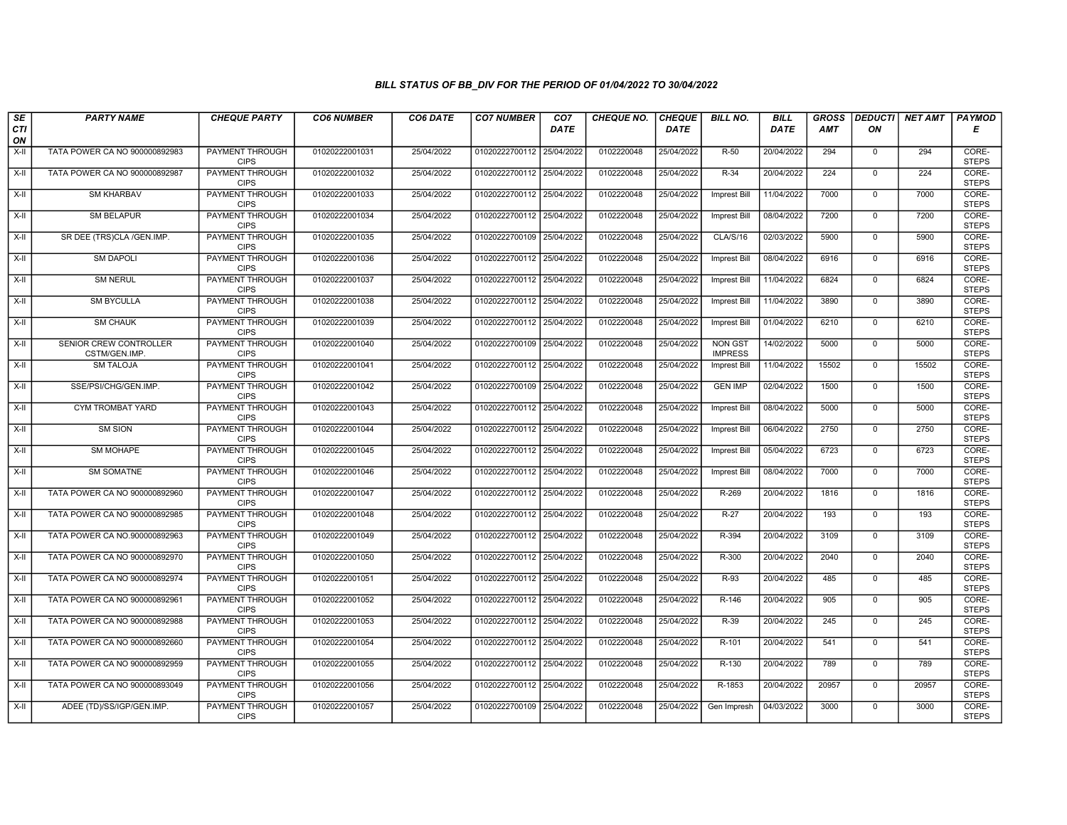| SE        | <b>PARTY NAME</b>                       | <b>CHEQUE PARTY</b>                   | <b>CO6 NUMBER</b> | CO6 DATE   | <b>CO7 NUMBER</b>         | CO <sub>7</sub> | <b>CHEQUE NO.</b> | <b>CHEQUE</b> | <b>BILL NO.</b>                  | <b>BILL</b> | <b>GROSS</b> |                | <b>DEDUCTI</b> NET AMT | <b>PAYMOD</b>         |
|-----------|-----------------------------------------|---------------------------------------|-------------------|------------|---------------------------|-----------------|-------------------|---------------|----------------------------------|-------------|--------------|----------------|------------------------|-----------------------|
| CTI<br>ON |                                         |                                       |                   |            |                           | <b>DATE</b>     |                   | <b>DATE</b>   |                                  | <b>DATE</b> | <b>AMT</b>   | ON             |                        | Е                     |
| $X-H$     | TATA POWER CA NO 900000892983           | <b>PAYMENT THROUGH</b><br><b>CIPS</b> | 01020222001031    | 25/04/2022 | 01020222700112 25/04/2022 |                 | 0102220048        | 25/04/2022    | $R-50$                           | 20/04/2022  | 294          | $\mathbf{0}$   | 294                    | CORE-<br><b>STEPS</b> |
| $X-H$     | TATA POWER CA NO 900000892987           | <b>PAYMENT THROUGH</b><br><b>CIPS</b> | 01020222001032    | 25/04/2022 | 01020222700112 25/04/2022 |                 | 0102220048        | 25/04/2022    | $R-34$                           | 20/04/2022  | 224          | $\mathbf 0$    | 224                    | CORE-<br><b>STEPS</b> |
| X-II      | <b>SM KHARBAV</b>                       | PAYMENT THROUGH<br><b>CIPS</b>        | 01020222001033    | 25/04/2022 | 01020222700112 25/04/2022 |                 | 0102220048        | 25/04/2022    | <b>Imprest Bill</b>              | 11/04/2022  | 7000         | $\mathbf 0$    | 7000                   | CORE-<br><b>STEPS</b> |
| X-II      | <b>SM BELAPUR</b>                       | <b>PAYMENT THROUGH</b><br><b>CIPS</b> | 01020222001034    | 25/04/2022 | 01020222700112 25/04/2022 |                 | 0102220048        | 25/04/2022    | <b>Imprest Bill</b>              | 08/04/2022  | 7200         | $\overline{0}$ | 7200                   | CORE-<br><b>STEPS</b> |
| $X-H$     | SR DEE (TRS)CLA /GEN.IMP.               | <b>PAYMENT THROUGH</b><br><b>CIPS</b> | 01020222001035    | 25/04/2022 | 01020222700109 25/04/2022 |                 | 0102220048        | 25/04/2022    | CLA/S/16                         | 02/03/2022  | 5900         | $\mathbf{0}$   | 5900                   | CORE-<br><b>STEPS</b> |
| X-II      | <b>SM DAPOLI</b>                        | <b>PAYMENT THROUGH</b><br><b>CIPS</b> | 01020222001036    | 25/04/2022 | 01020222700112 25/04/2022 |                 | 0102220048        | 25/04/2022    | <b>Imprest Bill</b>              | 08/04/2022  | 6916         | $\Omega$       | 6916                   | CORE-<br><b>STEPS</b> |
| X-II      | <b>SM NERUL</b>                         | PAYMENT THROUGH<br><b>CIPS</b>        | 01020222001037    | 25/04/2022 | 01020222700112 25/04/2022 |                 | 0102220048        | 25/04/2022    | <b>Imprest Bill</b>              | 11/04/2022  | 6824         | $\mathbf{0}$   | 6824                   | CORE-<br><b>STEPS</b> |
| X-II      | <b>SM BYCULLA</b>                       | <b>PAYMENT THROUGH</b><br><b>CIPS</b> | 01020222001038    | 25/04/2022 | 01020222700112 25/04/2022 |                 | 0102220048        | 25/04/2022    | Imprest Bill                     | 11/04/2022  | 3890         | $\mathbf 0$    | 3890                   | CORE-<br><b>STEPS</b> |
| X-II      | <b>SM CHAUK</b>                         | <b>PAYMENT THROUGH</b><br><b>CIPS</b> | 01020222001039    | 25/04/2022 | 01020222700112 25/04/2022 |                 | 0102220048        | 25/04/2022    | <b>Imprest Bill</b>              | 01/04/2022  | 6210         | $\mathbf 0$    | 6210                   | CORE-<br><b>STEPS</b> |
| $X-H$     | SENIOR CREW CONTROLLER<br>CSTM/GEN.IMP. | <b>PAYMENT THROUGH</b><br><b>CIPS</b> | 01020222001040    | 25/04/2022 | 01020222700109 25/04/2022 |                 | 0102220048        | 25/04/2022    | <b>NON GST</b><br><b>IMPRESS</b> | 14/02/2022  | 5000         | $\overline{0}$ | 5000                   | CORE-<br><b>STEPS</b> |
| X-II      | <b>SM TALOJA</b>                        | <b>PAYMENT THROUGH</b><br><b>CIPS</b> | 01020222001041    | 25/04/2022 | 01020222700112 25/04/2022 |                 | 0102220048        | 25/04/2022    | <b>Imprest Bill</b>              | 11/04/2022  | 15502        | $\mathbf{0}$   | 15502                  | CORE-<br><b>STEPS</b> |
| X-II      | SSE/PSI/CHG/GEN.IMP.                    | PAYMENT THROUGH<br><b>CIPS</b>        | 01020222001042    | 25/04/2022 | 01020222700109 25/04/2022 |                 | 0102220048        | 25/04/2022    | <b>GEN IMP</b>                   | 02/04/2022  | 1500         | $\mathbf{0}$   | 1500                   | CORE-<br><b>STEPS</b> |
| X-II      | <b>CYM TROMBAT YARD</b>                 | <b>PAYMENT THROUGH</b><br><b>CIPS</b> | 01020222001043    | 25/04/2022 | 01020222700112 25/04/2022 |                 | 0102220048        | 25/04/2022    | <b>Imprest Bill</b>              | 08/04/2022  | 5000         | $\Omega$       | 5000                   | CORE-<br><b>STEPS</b> |
| X-II      | <b>SM SION</b>                          | PAYMENT THROUGH<br><b>CIPS</b>        | 01020222001044    | 25/04/2022 | 01020222700112 25/04/2022 |                 | 0102220048        | 25/04/2022    | <b>Imprest Bill</b>              | 06/04/2022  | 2750         | $\mathbf 0$    | 2750                   | CORE-<br><b>STEPS</b> |
| X-II      | <b>SM MOHAPE</b>                        | <b>PAYMENT THROUGH</b><br><b>CIPS</b> | 01020222001045    | 25/04/2022 | 01020222700112 25/04/2022 |                 | 0102220048        | 25/04/2022    | <b>Imprest Bill</b>              | 05/04/2022  | 6723         | $\Omega$       | 6723                   | CORE-<br><b>STEPS</b> |
| X-II      | <b>SM SOMATNE</b>                       | PAYMENT THROUGH<br><b>CIPS</b>        | 01020222001046    | 25/04/2022 | 01020222700112 25/04/2022 |                 | 0102220048        | 25/04/2022    | <b>Imprest Bill</b>              | 08/04/2022  | 7000         | $\mathbf 0$    | 7000                   | CORE-<br><b>STEPS</b> |
| $X-H$     | TATA POWER CA NO 900000892960           | <b>PAYMENT THROUGH</b><br><b>CIPS</b> | 01020222001047    | 25/04/2022 | 01020222700112 25/04/2022 |                 | 0102220048        | 25/04/2022    | R-269                            | 20/04/2022  | 1816         | $\overline{0}$ | 1816                   | CORE-<br><b>STEPS</b> |
| X-II      | TATA POWER CA NO 900000892985           | <b>PAYMENT THROUGH</b><br><b>CIPS</b> | 01020222001048    | 25/04/2022 | 01020222700112 25/04/2022 |                 | 0102220048        | 25/04/2022    | $R-27$                           | 20/04/2022  | 193          | $\mathbf 0$    | 193                    | CORE-<br><b>STEPS</b> |
| X-II      | TATA POWER CA NO.900000892963           | PAYMENT THROUGH<br><b>CIPS</b>        | 01020222001049    | 25/04/2022 | 01020222700112 25/04/2022 |                 | 0102220048        | 25/04/2022    | R-394                            | 20/04/2022  | 3109         | $\mathbf{0}$   | 3109                   | CORE-<br><b>STEPS</b> |
| X-II      | TATA POWER CA NO 900000892970           | PAYMENT THROUGH<br><b>CIPS</b>        | 01020222001050    | 25/04/2022 | 01020222700112 25/04/2022 |                 | 0102220048        | 25/04/2022    | R-300                            | 20/04/2022  | 2040         | $\mathbf{0}$   | 2040                   | CORE-<br><b>STEPS</b> |
| X-II      | TATA POWER CA NO 900000892974           | <b>PAYMENT THROUGH</b><br><b>CIPS</b> | 01020222001051    | 25/04/2022 | 01020222700112 25/04/2022 |                 | 0102220048        | 25/04/2022    | R-93                             | 20/04/2022  | 485          | $\mathbf 0$    | 485                    | CORE-<br><b>STEPS</b> |
| $X-H$     | TATA POWER CA NO 900000892961           | <b>PAYMENT THROUGH</b><br><b>CIPS</b> | 01020222001052    | 25/04/2022 | 01020222700112 25/04/2022 |                 | 0102220048        | 25/04/2022    | $R-146$                          | 20/04/2022  | 905          | $\Omega$       | 905                    | CORE-<br><b>STEPS</b> |
| X-II      | TATA POWER CA NO 900000892988           | PAYMENT THROUGH<br><b>CIPS</b>        | 01020222001053    | 25/04/2022 | 01020222700112 25/04/2022 |                 | 0102220048        | 25/04/2022    | R-39                             | 20/04/2022  | 245          | $\mathbf 0$    | 245                    | CORE-<br><b>STEPS</b> |
| X-II      | TATA POWER CA NO 900000892660           | <b>PAYMENT THROUGH</b><br><b>CIPS</b> | 01020222001054    | 25/04/2022 | 01020222700112 25/04/2022 |                 | 0102220048        | 25/04/2022    | R-101                            | 20/04/2022  | 541          | $\mathbf{0}$   | 541                    | CORE-<br><b>STEPS</b> |
| $X-II$    | TATA POWER CA NO 900000892959           | <b>PAYMENT THROUGH</b><br><b>CIPS</b> | 01020222001055    | 25/04/2022 | 01020222700112 25/04/2022 |                 | 0102220048        | 25/04/2022    | R-130                            | 20/04/2022  | 789          | $\mathbf{0}$   | 789                    | CORE-<br><b>STEPS</b> |
| $X-H$     | TATA POWER CA NO 900000893049           | <b>PAYMENT THROUGH</b><br><b>CIPS</b> | 01020222001056    | 25/04/2022 | 01020222700112 25/04/2022 |                 | 0102220048        | 25/04/2022    | R-1853                           | 20/04/2022  | 20957        | $\mathbf 0$    | 20957                  | CORE-<br><b>STEPS</b> |
| X-II      | ADEE (TD)/SS/IGP/GEN.IMP.               | <b>PAYMENT THROUGH</b><br><b>CIPS</b> | 01020222001057    | 25/04/2022 | 01020222700109 25/04/2022 |                 | 0102220048        | 25/04/2022    | Gen Impresh                      | 04/03/2022  | 3000         | $\mathbf 0$    | 3000                   | CORE-<br><b>STEPS</b> |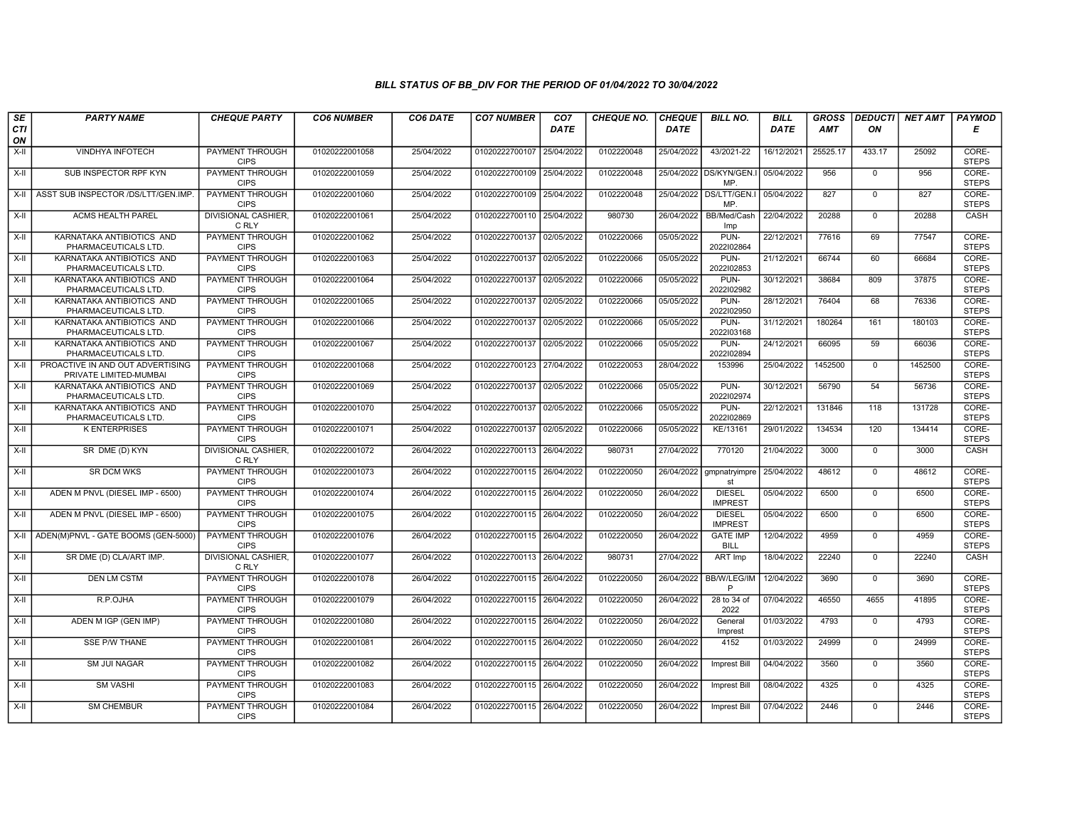| SE        | <b>PARTY NAME</b>                                          | <b>CHEQUE PARTY</b>                   | <b>CO6 NUMBER</b> | CO6 DATE   | <b>CO7 NUMBER</b>         | CO <sub>7</sub> | <b>CHEQUE NO.</b> | <b>CHEQUE</b> | <b>BILL NO.</b>                 | <b>BILL</b> | <b>GROSS</b> |                | <b>DEDUCTI NET AMT</b> | <b>PAYMOD</b>         |
|-----------|------------------------------------------------------------|---------------------------------------|-------------------|------------|---------------------------|-----------------|-------------------|---------------|---------------------------------|-------------|--------------|----------------|------------------------|-----------------------|
| CTI<br>ON |                                                            |                                       |                   |            |                           | <b>DATE</b>     |                   | <b>DATE</b>   |                                 | <b>DATE</b> | <b>AMT</b>   | ON             |                        | Е                     |
| $X-H$     | <b>VINDHYA INFOTECH</b>                                    | <b>PAYMENT THROUGH</b><br><b>CIPS</b> | 01020222001058    | 25/04/2022 | 01020222700107            | 25/04/2022      | 0102220048        | 25/04/2022    | 43/2021-22                      | 16/12/2021  | 25525.17     | 433.17         | 25092                  | CORE-<br><b>STEPS</b> |
| $X-H$     | SUB INSPECTOR RPF KYN                                      | <b>PAYMENT THROUGH</b><br><b>CIPS</b> | 01020222001059    | 25/04/2022 | 01020222700109 25/04/2022 |                 | 0102220048        |               | 25/04/2022 DS/KYN/GEN.I<br>MP   | 05/04/2022  | 956          | $\mathbf 0$    | 956                    | CORE-<br><b>STEPS</b> |
| $X-II$    | ASST SUB INSPECTOR /DS/LTT/GEN.IMP.                        | PAYMENT THROUGH<br><b>CIPS</b>        | 01020222001060    | 25/04/2022 | 01020222700109 25/04/2022 |                 | 0102220048        |               | 25/04/2022 DS/LTT/GEN.I<br>MP   | 05/04/2022  | 827          | $\Omega$       | 827                    | CORE-<br><b>STEPS</b> |
| X-II      | <b>ACMS HEALTH PAREL</b>                                   | DIVISIONAL CASHIER,<br>C RLY          | 01020222001061    | 25/04/2022 | 01020222700110 25/04/2022 |                 | 980730            | 26/04/2022    | BB/Med/Cash<br>Imp              | 22/04/2022  | 20288        | $\mathbf 0$    | 20288                  | CASH                  |
| $X-H$     | KARNATAKA ANTIBIOTICS AND<br>PHARMACEUTICALS LTD.          | <b>PAYMENT THROUGH</b><br><b>CIPS</b> | 01020222001062    | 25/04/2022 | 01020222700137            | 02/05/2022      | 0102220066        | 05/05/2022    | PUN-<br>2022102864              | 22/12/2021  | 77616        | 69             | 77547                  | CORE-<br><b>STEPS</b> |
| X-II      | KARNATAKA ANTIBIOTICS AND<br>PHARMACEUTICALS LTD.          | <b>PAYMENT THROUGH</b><br><b>CIPS</b> | 01020222001063    | 25/04/2022 | 01020222700137 02/05/2022 |                 | 0102220066        | 05/05/2022    | PUN-<br>2022102853              | 21/12/2021  | 66744        | 60             | 66684                  | CORE-<br><b>STEPS</b> |
| X-II      | KARNATAKA ANTIBIOTICS AND<br>PHARMACEUTICALS LTD.          | <b>PAYMENT THROUGH</b><br><b>CIPS</b> | 01020222001064    | 25/04/2022 | 01020222700137 02/05/2022 |                 | 0102220066        | 05/05/2022    | PUN-<br>2022102982              | 30/12/2021  | 38684        | 809            | 37875                  | CORE-<br><b>STEPS</b> |
| X-II      | KARNATAKA ANTIBIOTICS AND<br>PHARMACEUTICALS LTD.          | <b>PAYMENT THROUGH</b><br><b>CIPS</b> | 01020222001065    | 25/04/2022 | 01020222700137 02/05/2022 |                 | 0102220066        | 05/05/2022    | PUN-<br>2022102950              | 28/12/2021  | 76404        | 68             | 76336                  | CORE-<br><b>STEPS</b> |
| X-II      | KARNATAKA ANTIBIOTICS AND<br>PHARMACEUTICALS LTD.          | <b>PAYMENT THROUGH</b><br><b>CIPS</b> | 01020222001066    | 25/04/2022 | 01020222700137            | 02/05/2022      | 0102220066        | 05/05/2022    | PUN-<br>2022103168              | 31/12/2021  | 180264       | 161            | 180103                 | CORE-<br><b>STEPS</b> |
| $X-H$     | KARNATAKA ANTIBIOTICS AND<br>PHARMACEUTICALS LTD.          | <b>PAYMENT THROUGH</b><br><b>CIPS</b> | 01020222001067    | 25/04/2022 | 01020222700137 02/05/2022 |                 | 0102220066        | 05/05/2022    | PUN-<br>2022102894              | 24/12/2021  | 66095        | 59             | 66036                  | CORE-<br><b>STEPS</b> |
| X-II      | PROACTIVE IN AND OUT ADVERTISING<br>PRIVATE LIMITED-MUMBAI | PAYMENT THROUGH<br><b>CIPS</b>        | 01020222001068    | 25/04/2022 | 01020222700123 27/04/2022 |                 | 0102220053        | 28/04/2022    | 153996                          | 25/04/2022  | 1452500      | $\Omega$       | 1452500                | CORE-<br><b>STEPS</b> |
| X-II      | KARNATAKA ANTIBIOTICS AND<br>PHARMACEUTICALS LTD.          | PAYMENT THROUGH<br><b>CIPS</b>        | 01020222001069    | 25/04/2022 | 01020222700137 02/05/2022 |                 | 0102220066        | 05/05/2022    | PUN-<br>2022102974              | 30/12/2021  | 56790        | 54             | 56736                  | CORE-<br><b>STEPS</b> |
| X-II      | KARNATAKA ANTIBIOTICS AND<br>PHARMACEUTICALS LTD.          | <b>PAYMENT THROUGH</b><br><b>CIPS</b> | 01020222001070    | 25/04/2022 | 01020222700137 02/05/2022 |                 | 0102220066        | 05/05/2022    | PUN-<br>2022102869              | 22/12/2021  | 131846       | 118            | 131728                 | CORE-<br><b>STEPS</b> |
| X-II      | <b>K ENTERPRISES</b>                                       | <b>PAYMENT THROUGH</b><br><b>CIPS</b> | 01020222001071    | 25/04/2022 | 01020222700137            | 02/05/2022      | 0102220066        | 05/05/2022    | KE/13161                        | 29/01/2022  | 134534       | 120            | 134414                 | CORE-<br><b>STEPS</b> |
| $X-II$    | SR DME (D) KYN                                             | <b>DIVISIONAL CASHIER.</b><br>C RLY   | 01020222001072    | 26/04/2022 | 01020222700113 26/04/2022 |                 | 980731            | 27/04/2022    | 770120                          | 21/04/2022  | 3000         | $\Omega$       | 3000                   | CASH                  |
| X-II      | SR DCM WKS                                                 | PAYMENT THROUGH<br><b>CIPS</b>        | 01020222001073    | 26/04/2022 | 01020222700115 26/04/2022 |                 | 0102220050        | 26/04/2022    | gmpnatryimpre<br>st             | 25/04/2022  | 48612        | $\mathbf 0$    | 48612                  | CORE-<br><b>STEPS</b> |
| $X-H$     | ADEN M PNVL (DIESEL IMP - 6500)                            | <b>PAYMENT THROUGH</b><br><b>CIPS</b> | 01020222001074    | 26/04/2022 | 01020222700115 26/04/2022 |                 | 0102220050        | 26/04/2022    | <b>DIESEL</b><br><b>IMPREST</b> | 05/04/2022  | 6500         | $\overline{0}$ | 6500                   | CORE-<br><b>STEPS</b> |
| X-II      | ADEN M PNVL (DIESEL IMP - 6500)                            | <b>PAYMENT THROUGH</b><br><b>CIPS</b> | 01020222001075    | 26/04/2022 | 01020222700115 26/04/2022 |                 | 0102220050        | 26/04/2022    | <b>DIESEL</b><br><b>IMPREST</b> | 05/04/2022  | 6500         | $\mathbf 0$    | 6500                   | CORE-<br><b>STEPS</b> |
| $X-II$    | ADEN(M)PNVL - GATE BOOMS (GEN-5000)                        | PAYMENT THROUGH<br><b>CIPS</b>        | 01020222001076    | 26/04/2022 | 01020222700115 26/04/2022 |                 | 0102220050        | 26/04/2022    | <b>GATE IMP</b><br><b>BILL</b>  | 12/04/2022  | 4959         | $\Omega$       | 4959                   | CORE-<br><b>STEPS</b> |
| X-II      | SR DME (D) CLA/ART IMP.                                    | DIVISIONAL CASHIER,<br>C RLY          | 01020222001077    | 26/04/2022 | 01020222700113 26/04/2022 |                 | 980731            | 27/04/2022    | ART Imp                         | 18/04/2022  | 22240        | $\mathbf 0$    | 22240                  | CASH                  |
| $X-II$    | <b>DEN LM CSTM</b>                                         | <b>PAYMENT THROUGH</b><br><b>CIPS</b> | 01020222001078    | 26/04/2022 | 01020222700115 26/04/2022 |                 | 0102220050        | 26/04/2022    | <b>BB/W/LEG/IM</b><br>P         | 12/04/2022  | 3690         | $\overline{0}$ | 3690                   | CORE-<br><b>STEPS</b> |
| X-II      | R.P.OJHA                                                   | PAYMENT THROUGH<br><b>CIPS</b>        | 01020222001079    | 26/04/2022 | 01020222700115 26/04/2022 |                 | 0102220050        | 26/04/2022    | 28 to 34 of<br>2022             | 07/04/2022  | 46550        | 4655           | 41895                  | CORE-<br><b>STEPS</b> |
| X-II      | ADEN M IGP (GEN IMP)                                       | <b>PAYMENT THROUGH</b><br><b>CIPS</b> | 01020222001080    | 26/04/2022 | 01020222700115 26/04/2022 |                 | 0102220050        | 26/04/2022    | General<br>Imprest              | 01/03/2022  | 4793         | $\mathbf 0$    | 4793                   | CORE-<br><b>STEPS</b> |
| X-II      | <b>SSE P/W THANE</b>                                       | PAYMENT THROUGH<br><b>CIPS</b>        | 01020222001081    | 26/04/2022 | 01020222700115 26/04/2022 |                 | 0102220050        | 26/04/2022    | 4152                            | 01/03/2022  | 24999        | $\mathbf 0$    | 24999                  | CORE-<br><b>STEPS</b> |
| $X-II$    | <b>SM JUI NAGAR</b>                                        | <b>PAYMENT THROUGH</b><br><b>CIPS</b> | 01020222001082    | 26/04/2022 | 01020222700115 26/04/2022 |                 | 0102220050        | 26/04/2022    | <b>Imprest Bill</b>             | 04/04/2022  | 3560         | $\Omega$       | 3560                   | CORE-<br><b>STEPS</b> |
| X-II      | <b>SM VASHI</b>                                            | <b>PAYMENT THROUGH</b><br><b>CIPS</b> | 01020222001083    | 26/04/2022 | 01020222700115 26/04/2022 |                 | 0102220050        | 26/04/2022    | <b>Imprest Bill</b>             | 08/04/2022  | 4325         | $\mathbf 0$    | 4325                   | CORE-<br><b>STEPS</b> |
| X-II      | <b>SM CHEMBUR</b>                                          | <b>PAYMENT THROUGH</b><br><b>CIPS</b> | 01020222001084    | 26/04/2022 | 01020222700115 26/04/2022 |                 | 0102220050        | 26/04/2022    | Imprest Bill                    | 07/04/2022  | 2446         | $\Omega$       | 2446                   | CORE-<br><b>STEPS</b> |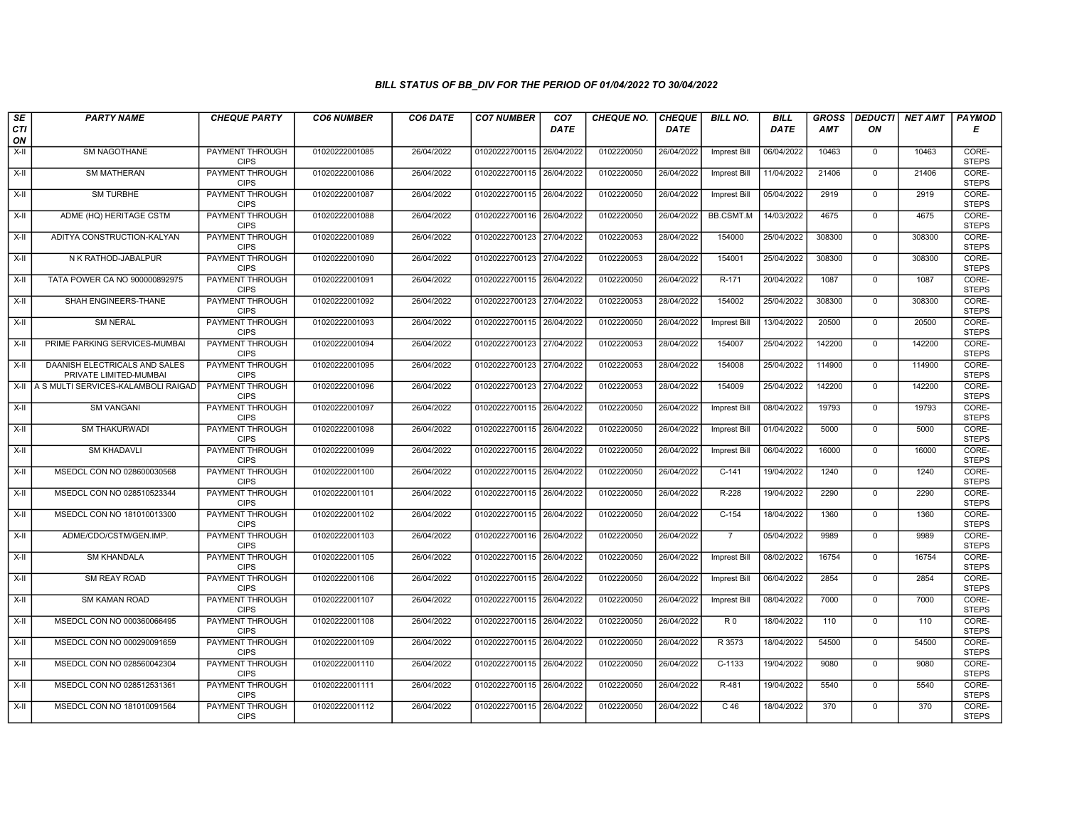| SE        | <b>PARTY NAME</b>                                       | <b>CHEQUE PARTY</b>                   | <b>CO6 NUMBER</b> | CO6 DATE   | <b>CO7 NUMBER</b>         | CO <sub>7</sub> | <b>CHEQUE NO.</b> | <b>CHEQUE</b> | <b>BILL NO.</b>     | <b>BILL</b> | <b>GROSS</b> |              | DEDUCTI NET AMT | <b>PAYMOD</b>         |
|-----------|---------------------------------------------------------|---------------------------------------|-------------------|------------|---------------------------|-----------------|-------------------|---------------|---------------------|-------------|--------------|--------------|-----------------|-----------------------|
| CTI<br>ON |                                                         |                                       |                   |            |                           | <b>DATE</b>     |                   | <b>DATE</b>   |                     | DATE        | <b>AMT</b>   | ON           |                 | Е                     |
| $X-H$     | <b>SM NAGOTHANE</b>                                     | <b>PAYMENT THROUGH</b><br><b>CIPS</b> | 01020222001085    | 26/04/2022 | 01020222700115 26/04/2022 |                 | 0102220050        | 26/04/2022    | <b>Imprest Bill</b> | 06/04/2022  | 10463        | $\mathsf{O}$ | 10463           | CORE-<br><b>STEPS</b> |
| X-II      | <b>SM MATHERAN</b>                                      | <b>PAYMENT THROUGH</b><br><b>CIPS</b> | 01020222001086    | 26/04/2022 | 01020222700115 26/04/2022 |                 | 0102220050        | 26/04/2022    | Imprest Bill        | 11/04/2022  | 21406        | $\mathbf 0$  | 21406           | CORE-<br><b>STEPS</b> |
| X-II      | <b>SM TURBHE</b>                                        | PAYMENT THROUGH<br><b>CIPS</b>        | 01020222001087    | 26/04/2022 | 01020222700115 26/04/2022 |                 | 0102220050        | 26/04/2022    | Imprest Bill        | 05/04/2022  | 2919         | $\Omega$     | 2919            | CORE-<br><b>STEPS</b> |
| X-II      | ADME (HQ) HERITAGE CSTM                                 | PAYMENT THROUGH<br><b>CIPS</b>        | 01020222001088    | 26/04/2022 | 01020222700116 26/04/2022 |                 | 0102220050        | 26/04/2022    | <b>BB.CSMT.M</b>    | 14/03/2022  | 4675         | $\mathbf 0$  | 4675            | CORE-<br><b>STEPS</b> |
| X-II      | ADITYA CONSTRUCTION-KALYAN                              | <b>PAYMENT THROUGH</b><br><b>CIPS</b> | 01020222001089    | 26/04/2022 | 01020222700123            | 27/04/2022      | 0102220053        | 28/04/2022    | 154000              | 25/04/2022  | 308300       | $\Omega$     | 308300          | CORE-<br><b>STEPS</b> |
| X-II      | N K RATHOD-JABALPUR                                     | <b>PAYMENT THROUGH</b><br><b>CIPS</b> | 01020222001090    | 26/04/2022 | 01020222700123 27/04/2022 |                 | 0102220053        | 28/04/2022    | 154001              | 25/04/2022  | 308300       | $\mathbf{0}$ | 308300          | CORE-<br><b>STEPS</b> |
| X-II      | TATA POWER CA NO 900000892975                           | PAYMENT THROUGH<br><b>CIPS</b>        | 01020222001091    | 26/04/2022 | 01020222700115            | 26/04/2022      | 0102220050        | 26/04/2022    | R-171               | 20/04/2022  | 1087         | $\mathbf 0$  | 1087            | CORE-<br><b>STEPS</b> |
| X-II      | SHAH ENGINEERS-THANE                                    | <b>PAYMENT THROUGH</b><br><b>CIPS</b> | 01020222001092    | 26/04/2022 | 01020222700123 27/04/2022 |                 | 0102220053        | 28/04/2022    | 154002              | 25/04/2022  | 308300       | $\mathbf 0$  | 308300          | CORE-<br><b>STEPS</b> |
| X-II      | <b>SM NERAL</b>                                         | <b>PAYMENT THROUGH</b><br><b>CIPS</b> | 01020222001093    | 26/04/2022 | 01020222700115 26/04/2022 |                 | 0102220050        | 26/04/2022    | <b>Imprest Bill</b> | 13/04/2022  | 20500        | $\Omega$     | 20500           | CORE-<br><b>STEPS</b> |
| X-II      | PRIME PARKING SERVICES-MUMBAI                           | <b>PAYMENT THROUGH</b><br><b>CIPS</b> | 01020222001094    | 26/04/2022 | 01020222700123            | 27/04/2022      | 0102220053        | 28/04/2022    | 154007              | 25/04/2022  | 142200       | $\mathbf 0$  | 142200          | CORE-<br><b>STEPS</b> |
| X-II      | DAANISH ELECTRICALS AND SALES<br>PRIVATE LIMITED-MUMBAI | PAYMENT THROUGH<br><b>CIPS</b>        | 01020222001095    | 26/04/2022 | 01020222700123 27/04/2022 |                 | 0102220053        | 28/04/2022    | 154008              | 25/04/2022  | 114900       | $\Omega$     | 114900          | CORE-<br><b>STEPS</b> |
|           | X-II A S MULTI SERVICES-KALAMBOLI RAIGAD                | <b>PAYMENT THROUGH</b><br><b>CIPS</b> | 01020222001096    | 26/04/2022 | 01020222700123 27/04/2022 |                 | 0102220053        | 28/04/2022    | 154009              | 25/04/2022  | 142200       | $\mathbf{0}$ | 142200          | CORE-<br><b>STEPS</b> |
| X-II      | <b>SM VANGANI</b>                                       | <b>PAYMENT THROUGH</b><br><b>CIPS</b> | 01020222001097    | 26/04/2022 | 01020222700115 26/04/2022 |                 | 0102220050        | 26/04/2022    | <b>Imprest Bill</b> | 08/04/2022  | 19793        | $\Omega$     | 19793           | CORE-<br><b>STEPS</b> |
| X-II      | SM THAKURWADI                                           | <b>PAYMENT THROUGH</b><br><b>CIPS</b> | 01020222001098    | 26/04/2022 | 01020222700115            | 26/04/2022      | 0102220050        | 26/04/2022    | Imprest Bill        | 01/04/2022  | 5000         | $\mathbf{0}$ | 5000            | CORE-<br><b>STEPS</b> |
| X-II      | <b>SM KHADAVLI</b>                                      | PAYMENT THROUGH<br><b>CIPS</b>        | 01020222001099    | 26/04/2022 | 01020222700115            | 26/04/2022      | 0102220050        | 26/04/2022    | <b>Imprest Bill</b> | 06/04/2022  | 16000        | $\Omega$     | 16000           | CORE-<br><b>STEPS</b> |
| X-II      | MSEDCL CON NO 028600030568                              | PAYMENT THROUGH<br><b>CIPS</b>        | 01020222001100    | 26/04/2022 | 01020222700115 26/04/2022 |                 | 0102220050        | 26/04/2022    | $C-141$             | 19/04/2022  | 1240         | $\mathbf 0$  | 1240            | CORE-<br><b>STEPS</b> |
| X-II      | MSEDCL CON NO 028510523344                              | <b>PAYMENT THROUGH</b><br><b>CIPS</b> | 01020222001101    | 26/04/2022 | 01020222700115 26/04/2022 |                 | 0102220050        | 26/04/2022    | $R-228$             | 19/04/2022  | 2290         | $\mathbf{0}$ | 2290            | CORE-<br><b>STEPS</b> |
| X-II      | MSEDCL CON NO 181010013300                              | <b>PAYMENT THROUGH</b><br><b>CIPS</b> | 01020222001102    | 26/04/2022 | 01020222700115 26/04/2022 |                 | 0102220050        | 26/04/2022    | $C-154$             | 18/04/2022  | 1360         | $\mathbf 0$  | 1360            | CORE-<br><b>STEPS</b> |
| X-II      | ADME/CDO/CSTM/GEN.IMP.                                  | PAYMENT THROUGH<br><b>CIPS</b>        | 01020222001103    | 26/04/2022 | 01020222700116            | 26/04/2022      | 0102220050        | 26/04/2022    | $\overline{7}$      | 05/04/2022  | 9989         | $\Omega$     | 9989            | CORE-<br><b>STEPS</b> |
| X-II      | <b>SM KHANDALA</b>                                      | PAYMENT THROUGH<br><b>CIPS</b>        | 01020222001105    | 26/04/2022 | 01020222700115 26/04/2022 |                 | 0102220050        | 26/04/2022    | <b>Imprest Bill</b> | 08/02/2022  | 16754        | $\mathbf{0}$ | 16754           | CORE-<br><b>STEPS</b> |
| X-II      | SM REAY ROAD                                            | <b>PAYMENT THROUGH</b><br><b>CIPS</b> | 01020222001106    | 26/04/2022 | 01020222700115 26/04/2022 |                 | 0102220050        | 26/04/2022    | Imprest Bill        | 06/04/2022  | 2854         | $\mathbf{0}$ | 2854            | CORE-<br><b>STEPS</b> |
| X-II      | <b>SM KAMAN ROAD</b>                                    | PAYMENT THROUGH<br><b>CIPS</b>        | 01020222001107    | 26/04/2022 | 01020222700115 26/04/2022 |                 | 0102220050        | 26/04/2022    | <b>Imprest Bill</b> | 08/04/2022  | 7000         | $\mathbf{0}$ | 7000            | CORE-<br><b>STEPS</b> |
| X-II      | MSEDCL CON NO 000360066495                              | PAYMENT THROUGH<br><b>CIPS</b>        | 01020222001108    | 26/04/2022 | 01020222700115            | 26/04/2022      | 0102220050        | 26/04/2022    | R <sub>0</sub>      | 18/04/2022  | 110          | $\mathbf 0$  | 110             | CORE-<br><b>STEPS</b> |
| X-II      | MSEDCL CON NO 000290091659                              | <b>PAYMENT THROUGH</b><br><b>CIPS</b> | 01020222001109    | 26/04/2022 | 01020222700115            | 26/04/2022      | 0102220050        | 26/04/2022    | R 3573              | 18/04/2022  | 54500        | $\mathbf{0}$ | 54500           | CORE-<br><b>STEPS</b> |
| X-II      | MSEDCL CON NO 028560042304                              | PAYMENT THROUGH<br><b>CIPS</b>        | 01020222001110    | 26/04/2022 | 01020222700115 26/04/2022 |                 | 0102220050        | 26/04/2022    | $C-1133$            | 19/04/2022  | 9080         | $\Omega$     | 9080            | CORE-<br><b>STEPS</b> |
| X-II      | MSEDCL CON NO 028512531361                              | <b>PAYMENT THROUGH</b><br><b>CIPS</b> | 01020222001111    | 26/04/2022 | 01020222700115 26/04/2022 |                 | 0102220050        | 26/04/2022    | R-481               | 19/04/2022  | 5540         | $\mathbf{0}$ | 5540            | CORE-<br><b>STEPS</b> |
| X-II      | MSEDCL CON NO 181010091564                              | <b>PAYMENT THROUGH</b><br><b>CIPS</b> | 01020222001112    | 26/04/2022 | 01020222700115 26/04/2022 |                 | 0102220050        | 26/04/2022    | $C$ 46              | 18/04/2022  | 370          | $\mathbf 0$  | 370             | CORE-<br><b>STEPS</b> |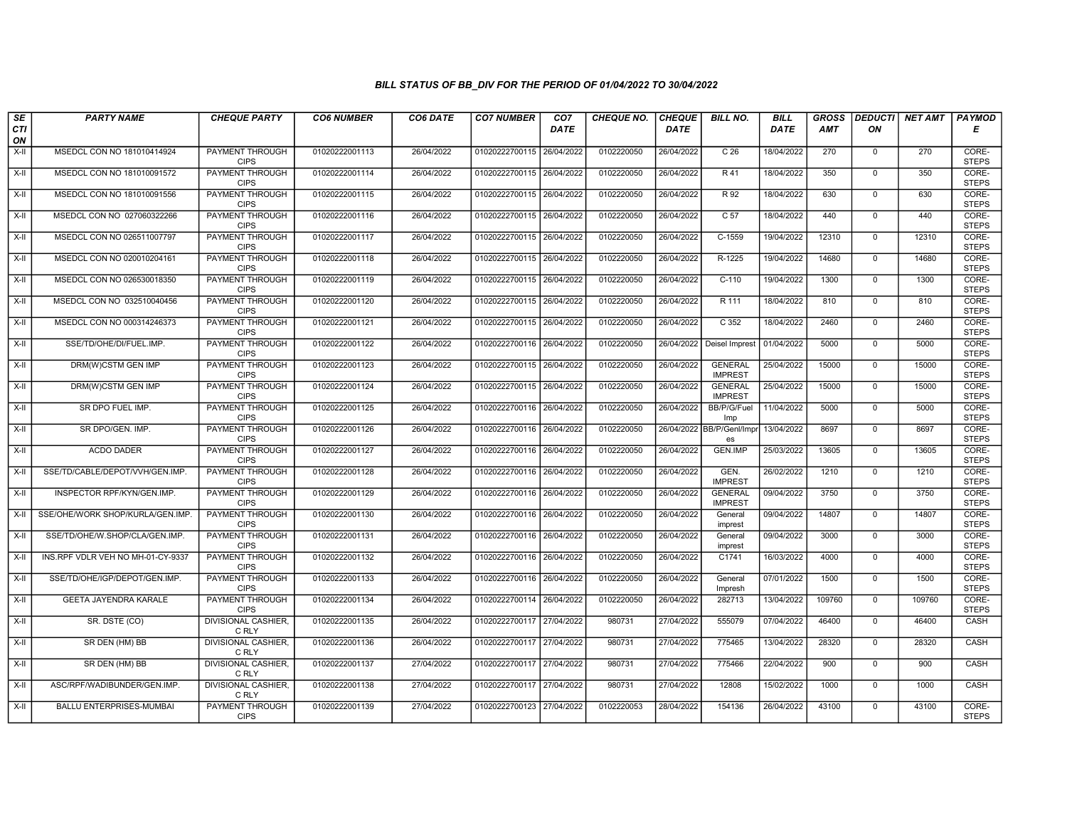| SE               | <b>PARTY NAME</b>                 | <b>CHEQUE PARTY</b>                   | <b>CO6 NUMBER</b> | CO6 DATE   | <b>CO7 NUMBER</b>         | CO <sub>7</sub> | <b>CHEQUE NO.</b> | <b>CHEQUE</b> | <b>BILL NO.</b>                  | <b>BILL</b> | <b>GROSS</b> | <b>DEDUCTI</b> | NET AMT | <b>PAYMOD</b>         |
|------------------|-----------------------------------|---------------------------------------|-------------------|------------|---------------------------|-----------------|-------------------|---------------|----------------------------------|-------------|--------------|----------------|---------|-----------------------|
| <b>CTI</b><br>ON |                                   |                                       |                   |            |                           | <b>DATE</b>     |                   | <b>DATE</b>   |                                  | DATE        | <b>AMT</b>   | ON             |         | Е                     |
| $X-H$            | MSEDCL CON NO 181010414924        | <b>PAYMENT THROUGH</b><br><b>CIPS</b> | 01020222001113    | 26/04/2022 | 01020222700115 26/04/2022 |                 | 0102220050        | 26/04/2022    | C <sub>26</sub>                  | 18/04/2022  | 270          | $\mathbf{0}$   | 270     | CORE-<br><b>STEPS</b> |
| X-II             | MSEDCL CON NO 181010091572        | PAYMENT THROUGH<br><b>CIPS</b>        | 01020222001114    | 26/04/2022 | 01020222700115            | 26/04/2022      | 0102220050        | 26/04/2022    | R <sub>41</sub>                  | 18/04/2022  | 350          | $\Omega$       | 350     | CORE-<br><b>STEPS</b> |
| X-II             | MSEDCL CON NO 181010091556        | PAYMENT THROUGH<br><b>CIPS</b>        | 01020222001115    | 26/04/2022 | 01020222700115            | 26/04/2022      | 0102220050        | 26/04/2022    | R 92                             | 18/04/2022  | 630          | $\mathbf 0$    | 630     | CORE-<br><b>STEPS</b> |
| $X-H$            | MSEDCL CON NO 027060322266        | PAYMENT THROUGH<br><b>CIPS</b>        | 01020222001116    | 26/04/2022 | 01020222700115 26/04/2022 |                 | 0102220050        | 26/04/2022    | C <sub>57</sub>                  | 18/04/2022  | 440          | $\overline{0}$ | 440     | CORE-<br><b>STEPS</b> |
| $X-H$            | MSEDCL CON NO 026511007797        | PAYMENT THROUGH<br><b>CIPS</b>        | 01020222001117    | 26/04/2022 | 01020222700115            | 26/04/2022      | 0102220050        | 26/04/2022    | $C-1559$                         | 19/04/2022  | 12310        | $\mathbf{0}$   | 12310   | CORE-<br><b>STEPS</b> |
| $X-H$            | MSEDCL CON NO 020010204161        | <b>PAYMENT THROUGH</b><br><b>CIPS</b> | 01020222001118    | 26/04/2022 | 01020222700115 26/04/2022 |                 | 0102220050        | 26/04/2022    | R-1225                           | 19/04/2022  | 14680        | $\Omega$       | 14680   | CORE-<br><b>STEPS</b> |
| X-II             | MSEDCL CON NO 026530018350        | PAYMENT THROUGH<br><b>CIPS</b>        | 01020222001119    | 26/04/2022 | 01020222700115            | 26/04/2022      | 0102220050        | 26/04/2022    | $C-110$                          | 19/04/2022  | 1300         | $\mathbf{0}$   | 1300    | CORE-<br><b>STEPS</b> |
| X-II             | MSEDCL CON NO 032510040456        | <b>PAYMENT THROUGH</b><br><b>CIPS</b> | 01020222001120    | 26/04/2022 | 01020222700115            | 26/04/2022      | 0102220050        | 26/04/2022    | R 111                            | 18/04/2022  | 810          | $\mathbf 0$    | 810     | CORE-<br><b>STEPS</b> |
| X-II             | MSEDCL CON NO 000314246373        | PAYMENT THROUGH<br><b>CIPS</b>        | 01020222001121    | 26/04/2022 | 01020222700115 26/04/2022 |                 | 0102220050        | 26/04/2022    | C <sub>352</sub>                 | 18/04/2022  | 2460         | $\Omega$       | 2460    | CORE-<br><b>STEPS</b> |
| $X-H$            | SSE/TD/OHE/DI/FUEL.IMP.           | <b>PAYMENT THROUGH</b><br><b>CIPS</b> | 01020222001122    | 26/04/2022 | 01020222700116            | 26/04/2022      | 0102220050        | 26/04/2022    | Deisel Imprest                   | 01/04/2022  | 5000         | $\overline{0}$ | 5000    | CORE-<br><b>STEPS</b> |
| X-II             | DRM(W)CSTM GEN IMP                | PAYMENT THROUGH<br><b>CIPS</b>        | 01020222001123    | 26/04/2022 | 01020222700115 26/04/2022 |                 | 0102220050        | 26/04/2022    | <b>GENERAL</b><br><b>IMPREST</b> | 25/04/2022  | 15000        | $\Omega$       | 15000   | CORE-<br><b>STEPS</b> |
| X-II             | DRM(W)CSTM GEN IMP                | PAYMENT THROUGH<br><b>CIPS</b>        | 01020222001124    | 26/04/2022 | 01020222700115 26/04/2022 |                 | 0102220050        | 26/04/2022    | <b>GENERAL</b><br><b>IMPREST</b> | 25/04/2022  | 15000        | $\mathbf{0}$   | 15000   | CORE-<br><b>STEPS</b> |
| X-II             | SR DPO FUEL IMP.                  | <b>PAYMENT THROUGH</b><br><b>CIPS</b> | 01020222001125    | 26/04/2022 | 01020222700116 26/04/2022 |                 | 0102220050        | 26/04/2022    | BB/P/G/Fuel<br>Imp               | 11/04/2022  | 5000         | $\Omega$       | 5000    | CORE-<br><b>STEPS</b> |
| X-II             | SR DPO/GEN. IMP.                  | <b>PAYMENT THROUGH</b><br><b>CIPS</b> | 01020222001126    | 26/04/2022 | 01020222700116            | 26/04/2022      | 0102220050        | 26/04/2022    | BB/P/Genl/Imp<br>es              | 13/04/2022  | 8697         | $\mathbf{0}$   | 8697    | CORE-<br><b>STEPS</b> |
| $X-II$           | <b>ACDO DADER</b>                 | PAYMENT THROUGH<br><b>CIPS</b>        | 01020222001127    | 26/04/2022 | 01020222700116            | 26/04/2022      | 0102220050        | 26/04/2022    | GEN.IMP                          | 25/03/2022  | 13605        | $\Omega$       | 13605   | CORE-<br><b>STEPS</b> |
| X-II             | SSE/TD/CABLE/DEPOT/VVH/GEN.IMP.   | PAYMENT THROUGH<br><b>CIPS</b>        | 01020222001128    | 26/04/2022 | 01020222700116 26/04/2022 |                 | 0102220050        | 26/04/2022    | GEN.<br><b>IMPREST</b>           | 26/02/2022  | 1210         | $\Omega$       | 1210    | CORE-<br><b>STEPS</b> |
| $X-H$            | INSPECTOR RPF/KYN/GEN.IMP.        | <b>PAYMENT THROUGH</b><br><b>CIPS</b> | 01020222001129    | 26/04/2022 | 01020222700116 26/04/2022 |                 | 0102220050        | 26/04/2022    | <b>GENERAL</b><br><b>IMPREST</b> | 09/04/2022  | 3750         | $\overline{0}$ | 3750    | CORE-<br><b>STEPS</b> |
| X-II             | SSE/OHE/WORK SHOP/KURLA/GEN.IMP.  | <b>PAYMENT THROUGH</b><br><b>CIPS</b> | 01020222001130    | 26/04/2022 | 01020222700116 26/04/2022 |                 | 0102220050        | 26/04/2022    | General<br>imprest               | 09/04/2022  | 14807        | $\mathbf 0$    | 14807   | CORE-<br><b>STEPS</b> |
| X-II             | SSE/TD/OHE/W.SHOP/CLA/GEN.IMP.    | PAYMENT THROUGH<br><b>CIPS</b>        | 01020222001131    | 26/04/2022 | 01020222700116            | 26/04/2022      | 0102220050        | 26/04/2022    | General<br>imprest               | 09/04/2022  | 3000         | $\mathbf 0$    | 3000    | CORE-<br><b>STEPS</b> |
| $X-H$            | INS.RPF VDLR VEH NO MH-01-CY-9337 | PAYMENT THROUGH<br><b>CIPS</b>        | 01020222001132    | 26/04/2022 | 01020222700116            | 26/04/2022      | 0102220050        | 26/04/2022    | C1741                            | 16/03/2022  | 4000         | $\Omega$       | 4000    | CORE-<br><b>STEPS</b> |
| X-II             | SSE/TD/OHE/IGP/DEPOT/GEN.IMP      | <b>PAYMENT THROUGH</b><br><b>CIPS</b> | 01020222001133    | 26/04/2022 | 01020222700116 26/04/2022 |                 | 0102220050        | 26/04/2022    | General<br>Impresh               | 07/01/2022  | 1500         | $\mathbf{0}$   | 1500    | CORE-<br><b>STEPS</b> |
| $X-H$            | <b>GEETA JAYENDRA KARALE</b>      | <b>PAYMENT THROUGH</b><br><b>CIPS</b> | 01020222001134    | 26/04/2022 | 01020222700114 26/04/2022 |                 | 0102220050        | 26/04/2022    | 282713                           | 13/04/2022  | 109760       | $\Omega$       | 109760  | CORE-<br><b>STEPS</b> |
| X-II             | SR. DSTE (CO)                     | <b>DIVISIONAL CASHIER</b><br>C RLY    | 01020222001135    | 26/04/2022 | 01020222700117 27/04/2022 |                 | 980731            | 27/04/2022    | 555079                           | 07/04/2022  | 46400        | $\mathbf 0$    | 46400   | CASH                  |
| $X-H$            | SR DEN (HM) BB                    | <b>DIVISIONAL CASHIER,</b><br>C RLY   | 01020222001136    | 26/04/2022 | 01020222700117 27/04/2022 |                 | 980731            | 27/04/2022    | 775465                           | 13/04/2022  | 28320        | $\mathbf{0}$   | 28320   | CASH                  |
| $X-H$            | SR DEN (HM) BB                    | <b>DIVISIONAL CASHIER,</b><br>C RLY   | 01020222001137    | 27/04/2022 | 01020222700117 27/04/2022 |                 | 980731            | 27/04/2022    | 775466                           | 22/04/2022  | 900          | $\Omega$       | 900     | CASH                  |
| $X-H$            | ASC/RPF/WADIBUNDER/GEN.IMP.       | <b>DIVISIONAL CASHIER,</b><br>C RLY   | 01020222001138    | 27/04/2022 | 01020222700117 27/04/2022 |                 | 980731            | 27/04/2022    | 12808                            | 15/02/2022  | 1000         | $\mathbf{0}$   | 1000    | CASH                  |
| $X-H$            | BALLU ENTERPRISES-MUMBAI          | PAYMENT THROUGH<br><b>CIPS</b>        | 01020222001139    | 27/04/2022 | 01020222700123 27/04/2022 |                 | 0102220053        | 28/04/2022    | 154136                           | 26/04/2022  | 43100        | $\mathbf{0}$   | 43100   | CORE-<br><b>STEPS</b> |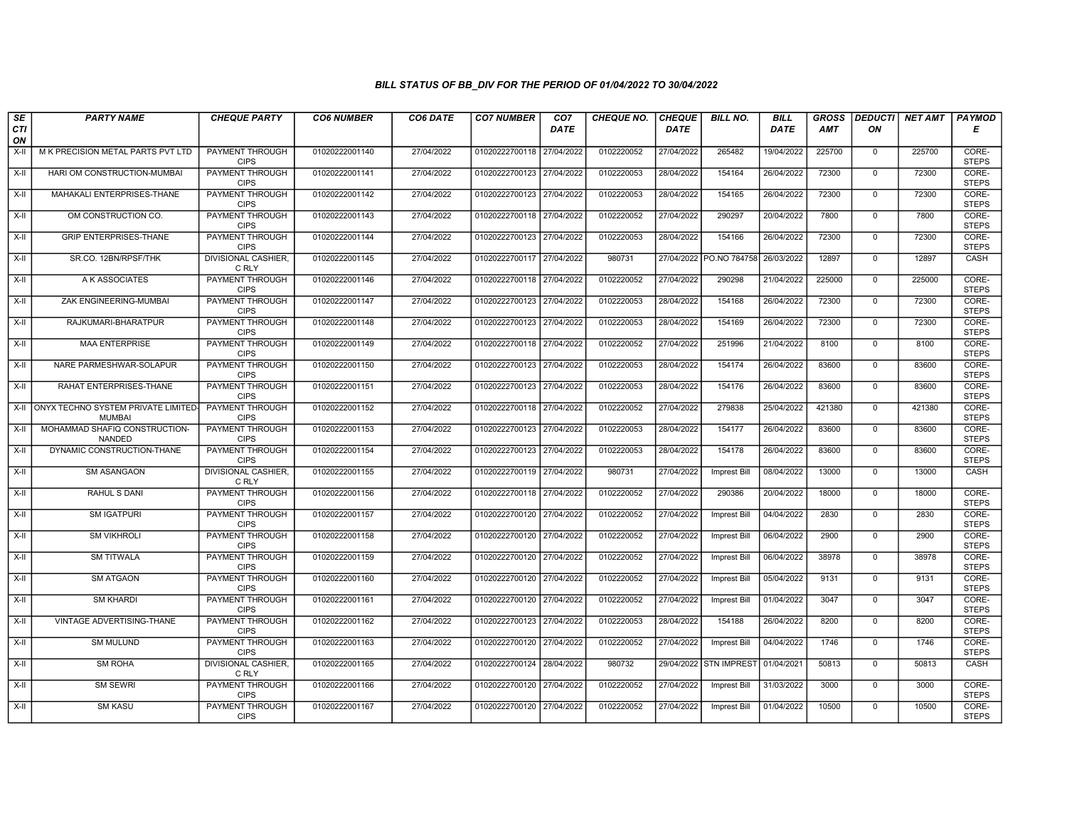| SE               | <b>PARTY NAME</b>                                         | <b>CHEQUE PARTY</b>                   | <b>CO6 NUMBER</b> | CO6 DATE   | <b>CO7 NUMBER</b>         | CO <sub>7</sub> | <b>CHEQUE NO.</b> | <b>CHEQUE</b> | <b>BILL NO.</b>         | <b>BILL</b> | <b>GROSS</b> |                | <b>DEDUCTI NET AMT</b> | <b>PAYMOD</b>         |
|------------------|-----------------------------------------------------------|---------------------------------------|-------------------|------------|---------------------------|-----------------|-------------------|---------------|-------------------------|-------------|--------------|----------------|------------------------|-----------------------|
| <b>CTI</b><br>ON |                                                           |                                       |                   |            |                           | <b>DATE</b>     |                   | <b>DATE</b>   |                         | <b>DATE</b> | <b>AMT</b>   | ON             |                        | Е                     |
| X-II             | M K PRECISION METAL PARTS PVT LTD                         | <b>PAYMENT THROUGH</b><br><b>CIPS</b> | 01020222001140    | 27/04/2022 | 01020222700118 27/04/2022 |                 | 0102220052        | 27/04/2022    | 265482                  | 19/04/2022  | 225700       | $\mathbf{0}$   | 225700                 | CORE-<br><b>STEPS</b> |
| $X-H$            | HARI OM CONSTRUCTION-MUMBAI                               | PAYMENT THROUGH<br><b>CIPS</b>        | 01020222001141    | 27/04/2022 | 01020222700123 27/04/2022 |                 | 0102220053        | 28/04/2022    | 154164                  | 26/04/2022  | 72300        | $\overline{0}$ | 72300                  | CORE-<br><b>STEPS</b> |
| X-II             | MAHAKALI ENTERPRISES-THANE                                | PAYMENT THROUGH<br><b>CIPS</b>        | 01020222001142    | 27/04/2022 | 01020222700123 27/04/2022 |                 | 0102220053        | 28/04/2022    | 154165                  | 26/04/2022  | 72300        | $\Omega$       | 72300                  | CORE-<br><b>STEPS</b> |
| $X-H$            | OM CONSTRUCTION CO.                                       | PAYMENT THROUGH<br><b>CIPS</b>        | 01020222001143    | 27/04/2022 | 01020222700118 27/04/2022 |                 | 0102220052        | 27/04/2022    | 290297                  | 20/04/2022  | 7800         | $\mathsf{O}$   | 7800                   | CORE-<br><b>STEPS</b> |
| $X-H$            | <b>GRIP ENTERPRISES-THANE</b>                             | <b>PAYMENT THROUGH</b><br><b>CIPS</b> | 01020222001144    | 27/04/2022 | 01020222700123 27/04/2022 |                 | 0102220053        | 28/04/2022    | 154166                  | 26/04/2022  | 72300        | $\mathbf{0}$   | 72300                  | CORE-<br><b>STEPS</b> |
| X-II             | SR.CO. 12BN/RPSF/THK                                      | <b>DIVISIONAL CASHIER,</b><br>C RLY   | 01020222001145    | 27/04/2022 | 01020222700117 27/04/2022 |                 | 980731            |               | 27/04/2022 PO.NO 784758 | 26/03/2022  | 12897        | $\overline{0}$ | 12897                  | <b>CASH</b>           |
| $X-II$           | A K ASSOCIATES                                            | PAYMENT THROUGH<br><b>CIPS</b>        | 01020222001146    | 27/04/2022 | 01020222700118 27/04/2022 |                 | 0102220052        | 27/04/2022    | 290298                  | 21/04/2022  | 225000       | $\mathbf{0}$   | 225000                 | CORE-<br><b>STEPS</b> |
| X-II             | ZAK ENGINEERING-MUMBAI                                    | PAYMENT THROUGH<br><b>CIPS</b>        | 01020222001147    | 27/04/2022 | 01020222700123 27/04/2022 |                 | 0102220053        | 28/04/2022    | 154168                  | 26/04/2022  | 72300        | $\mathbf 0$    | 72300                  | CORE-<br><b>STEPS</b> |
| X-II             | RAJKUMARI-BHARATPUR                                       | <b>PAYMENT THROUGH</b><br><b>CIPS</b> | 01020222001148    | 27/04/2022 | 01020222700123 27/04/2022 |                 | 0102220053        | 28/04/2022    | 154169                  | 26/04/2022  | 72300        | $\mathbf 0$    | 72300                  | CORE-<br><b>STEPS</b> |
| $X-H$            | <b>MAA ENTERPRISE</b>                                     | <b>PAYMENT THROUGH</b><br><b>CIPS</b> | 01020222001149    | 27/04/2022 | 01020222700118 27/04/2022 |                 | 0102220052        | 27/04/2022    | 251996                  | 21/04/2022  | 8100         | $\mathbf{0}$   | 8100                   | CORE-<br><b>STEPS</b> |
| X-II             | NARE PARMESHWAR-SOLAPUR                                   | PAYMENT THROUGH<br><b>CIPS</b>        | 01020222001150    | 27/04/2022 | 01020222700123            | 27/04/2022      | 0102220053        | 28/04/2022    | 154174                  | 26/04/2022  | 83600        | $\mathsf 0$    | 83600                  | CORE-<br><b>STEPS</b> |
| $X-H$            | RAHAT ENTERPRISES-THANE                                   | <b>PAYMENT THROUGH</b><br><b>CIPS</b> | 01020222001151    | 27/04/2022 | 01020222700123 27/04/2022 |                 | 0102220053        | 28/04/2022    | 154176                  | 26/04/2022  | 83600        | $\mathbf{0}$   | 83600                  | CORE-<br><b>STEPS</b> |
|                  | X-II ONYX TECHNO SYSTEM PRIVATE LIMITED-<br><b>MUMBAI</b> | <b>PAYMENT THROUGH</b><br><b>CIPS</b> | 01020222001152    | 27/04/2022 | 01020222700118 27/04/2022 |                 | 0102220052        | 27/04/2022    | 279838                  | 25/04/2022  | 421380       | $\mathbf 0$    | 421380                 | CORE-<br><b>STEPS</b> |
| X-II             | MOHAMMAD SHAFIQ CONSTRUCTION-<br>NANDED                   | <b>PAYMENT THROUGH</b><br><b>CIPS</b> | 01020222001153    | 27/04/2022 | 01020222700123 27/04/2022 |                 | 0102220053        | 28/04/2022    | 154177                  | 26/04/2022  | 83600        | $\mathbf 0$    | 83600                  | CORE-<br><b>STEPS</b> |
| $X-H$            | DYNAMIC CONSTRUCTION-THANE                                | PAYMENT THROUGH<br><b>CIPS</b>        | 01020222001154    | 27/04/2022 | 01020222700123 27/04/2022 |                 | 0102220053        | 28/04/2022    | 154178                  | 26/04/2022  | 83600        | $\mathbf 0$    | 83600                  | CORE-<br><b>STEPS</b> |
| X-II             | <b>SM ASANGAON</b>                                        | <b>DIVISIONAL CASHIER,</b><br>C RLY   | 01020222001155    | 27/04/2022 | 01020222700119 27/04/2022 |                 | 980731            | 27/04/2022    | <b>Imprest Bill</b>     | 08/04/2022  | 13000        | $\overline{0}$ | 13000                  | CASH                  |
| $X-H$            | <b>RAHUL S DANI</b>                                       | PAYMENT THROUGH<br><b>CIPS</b>        | 01020222001156    | 27/04/2022 | 01020222700118 27/04/2022 |                 | 0102220052        | 27/04/2022    | 290386                  | 20/04/2022  | 18000        | $\mathbf{0}$   | 18000                  | CORE-<br><b>STEPS</b> |
| X-II             | <b>SM IGATPURI</b>                                        | <b>PAYMENT THROUGH</b><br><b>CIPS</b> | 01020222001157    | 27/04/2022 | 01020222700120 27/04/2022 |                 | 0102220052        | 27/04/2022    | Imprest Bill            | 04/04/2022  | 2830         | $\mathbf 0$    | 2830                   | CORE-<br><b>STEPS</b> |
| X-II             | <b>SM VIKHROLI</b>                                        | <b>PAYMENT THROUGH</b><br><b>CIPS</b> | 01020222001158    | 27/04/2022 | 01020222700120 27/04/2022 |                 | 0102220052        | 27/04/2022    | Imprest Bill            | 06/04/2022  | 2900         | $\Omega$       | 2900                   | CORE-<br><b>STEPS</b> |
| $X-H$            | <b>SM TITWALA</b>                                         | PAYMENT THROUGH<br><b>CIPS</b>        | 01020222001159    | 27/04/2022 | 01020222700120 27/04/2022 |                 | 0102220052        | 27/04/2022    | <b>Imprest Bill</b>     | 06/04/2022  | 38978        | $\mathbf 0$    | 38978                  | CORE-<br><b>STEPS</b> |
| $X-H$            | <b>SM ATGAON</b>                                          | <b>PAYMENT THROUGH</b><br><b>CIPS</b> | 01020222001160    | 27/04/2022 | 01020222700120 27/04/2022 |                 | 0102220052        | 27/04/2022    | Imprest Bill            | 05/04/2022  | 9131         | $\mathsf{O}$   | 9131                   | CORE-<br><b>STEPS</b> |
| X-II             | <b>SM KHARDI</b>                                          | <b>PAYMENT THROUGH</b><br><b>CIPS</b> | 01020222001161    | 27/04/2022 | 01020222700120 27/04/2022 |                 | 0102220052        | 27/04/2022    | <b>Imprest Bill</b>     | 01/04/2022  | 3047         | $\mathbf 0$    | 3047                   | CORE-<br><b>STEPS</b> |
| X-II             | VINTAGE ADVERTISING-THANE                                 | PAYMENT THROUGH<br><b>CIPS</b>        | 01020222001162    | 27/04/2022 | 01020222700123 27/04/2022 |                 | 0102220053        | 28/04/2022    | 154188                  | 26/04/2022  | 8200         | $\mathbf 0$    | 8200                   | CORE-<br><b>STEPS</b> |
| $X-H$            | <b>SM MULUND</b>                                          | PAYMENT THROUGH<br><b>CIPS</b>        | 01020222001163    | 27/04/2022 | 01020222700120 27/04/2022 |                 | 0102220052        | 27/04/2022    | Imprest Bill            | 04/04/2022  | 1746         | $\mathbf{0}$   | 1746                   | CORE-<br><b>STEPS</b> |
| $X-H$            | <b>SM ROHA</b>                                            | DIVISIONAL CASHIER,<br>C RLY          | 01020222001165    | 27/04/2022 | 01020222700124 28/04/2022 |                 | 980732            |               | 29/04/2022 STN IMPREST  | 01/04/2021  | 50813        | $\mathbf 0$    | 50813                  | CASH                  |
| X-II             | <b>SM SEWRI</b>                                           | <b>PAYMENT THROUGH</b><br><b>CIPS</b> | 01020222001166    | 27/04/2022 | 01020222700120 27/04/2022 |                 | 0102220052        | 27/04/2022    | Imprest Bill            | 31/03/2022  | 3000         | $\Omega$       | 3000                   | CORE-<br><b>STEPS</b> |
| $X-H$            | <b>SM KASU</b>                                            | <b>PAYMENT THROUGH</b><br><b>CIPS</b> | 01020222001167    | 27/04/2022 | 01020222700120 27/04/2022 |                 | 0102220052        | 27/04/2022    | <b>Imprest Bill</b>     | 01/04/2022  | 10500        | $\mathbf{0}$   | 10500                  | CORE-<br><b>STEPS</b> |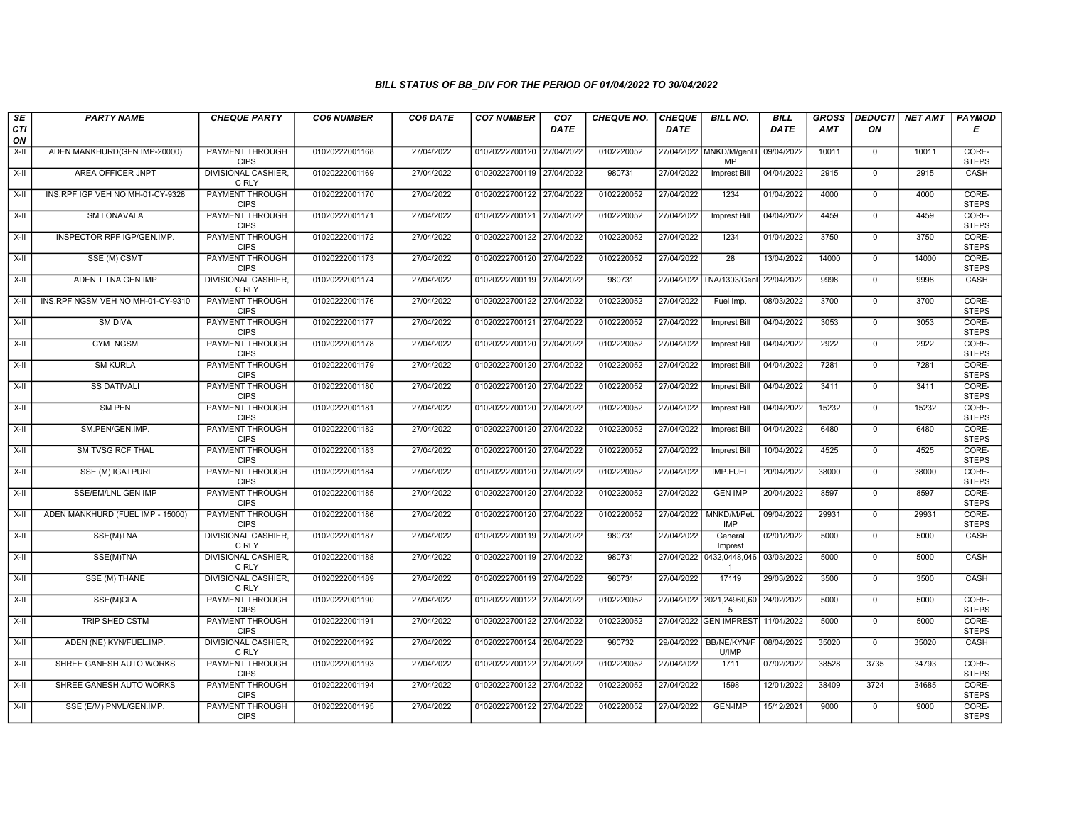| SE        | <b>PARTY NAME</b>                 | <b>CHEQUE PARTY</b>                   | <b>CO6 NUMBER</b> | CO6 DATE   | <b>CO7 NUMBER</b>         | CO <sub>7</sub> | <b>CHEQUE NO.</b> | <b>CHEQUE</b> | <b>BILL NO.</b>                            | <b>BILL</b> | <b>GROSS</b> | <b>DEDUCTI</b> | <b>NET AMT</b> | <b>PAYMOD</b>         |
|-----------|-----------------------------------|---------------------------------------|-------------------|------------|---------------------------|-----------------|-------------------|---------------|--------------------------------------------|-------------|--------------|----------------|----------------|-----------------------|
| CTI<br>ON |                                   |                                       |                   |            |                           | <b>DATE</b>     |                   | <b>DATE</b>   |                                            | <b>DATE</b> | AMT          | ON             |                | Е                     |
| $X-H$     | ADEN MANKHURD(GEN IMP-20000)      | <b>PAYMENT THROUGH</b><br><b>CIPS</b> | 01020222001168    | 27/04/2022 | 01020222700120            | 27/04/2022      | 0102220052        |               | 27/04/2022 MNKD/M/genl.<br><b>MP</b>       | 09/04/2022  | 10011        | $\overline{0}$ | 10011          | CORE-<br><b>STEPS</b> |
| $X-H$     | <b>AREA OFFICER JNPT</b>          | <b>DIVISIONAL CASHIER,</b><br>C RLY   | 01020222001169    | 27/04/2022 | 01020222700119 27/04/2022 |                 | 980731            | 27/04/2022    | <b>Imprest Bill</b>                        | 04/04/2022  | 2915         | $\overline{0}$ | 2915           | CASH                  |
| X-II      | INS.RPF IGP VEH NO MH-01-CY-9328  | PAYMENT THROUGH<br><b>CIPS</b>        | 01020222001170    | 27/04/2022 | 01020222700122            | 27/04/2022      | 0102220052        | 27/04/2022    | 1234                                       | 01/04/2022  | 4000         | $\mathbf{0}$   | 4000           | CORE-<br><b>STEPS</b> |
| $X-II$    | <b>SM LONAVALA</b>                | <b>PAYMENT THROUGH</b><br>CIPS        | 01020222001171    | 27/04/2022 | 01020222700121            | 27/04/2022      | 0102220052        | 27/04/2022    | Imprest Bill                               | 04/04/2022  | 4459         | $\overline{0}$ | 4459           | CORE-<br><b>STEPS</b> |
| $X-H$     | INSPECTOR RPF IGP/GEN.IMP.        | <b>PAYMENT THROUGH</b><br><b>CIPS</b> | 01020222001172    | 27/04/2022 | 01020222700122 27/04/2022 |                 | 0102220052        | 27/04/2022    | 1234                                       | 01/04/2022  | 3750         | $\overline{0}$ | 3750           | CORE-<br><b>STEPS</b> |
| $X-H$     | SSE (M) CSMT                      | <b>PAYMENT THROUGH</b><br><b>CIPS</b> | 01020222001173    | 27/04/2022 | 01020222700120 27/04/2022 |                 | 0102220052        | 27/04/2022    | 28                                         | 13/04/2022  | 14000        | $\overline{0}$ | 14000          | CORE-<br><b>STEPS</b> |
| X-II      | ADEN T TNA GEN IMP                | <b>DIVISIONAL CASHIER,</b><br>C RLY   | 01020222001174    | 27/04/2022 | 01020222700119 27/04/2022 |                 | 980731            |               | 27/04/2022 TNA/1303/Gen                    | 22/04/2022  | 9998         | $\mathbf{0}$   | 9998           | CASH                  |
| $X-H$     | INS.RPF NGSM VEH NO MH-01-CY-9310 | PAYMENT THROUGH<br><b>CIPS</b>        | 01020222001176    | 27/04/2022 | 01020222700122 27/04/2022 |                 | 0102220052        | 27/04/2022    | Fuel Imp.                                  | 08/03/2022  | 3700         | $\overline{0}$ | 3700           | CORE-<br><b>STEPS</b> |
| $X-H$     | <b>SM DIVA</b>                    | <b>PAYMENT THROUGH</b><br><b>CIPS</b> | 01020222001177    | 27/04/2022 | 01020222700121 27/04/2022 |                 | 0102220052        | 27/04/2022    | <b>Imprest Bill</b>                        | 04/04/2022  | 3053         | $\overline{0}$ | 3053           | CORE-<br><b>STEPS</b> |
| $X-H$     | CYM NGSM                          | <b>PAYMENT THROUGH</b><br><b>CIPS</b> | 01020222001178    | 27/04/2022 | 01020222700120 27/04/2022 |                 | 0102220052        | 27/04/2022    | <b>Imprest Bill</b>                        | 04/04/2022  | 2922         | $\overline{0}$ | 2922           | CORE-<br><b>STEPS</b> |
| X-II      | <b>SM KURLA</b>                   | PAYMENT THROUGH<br><b>CIPS</b>        | 01020222001179    | 27/04/2022 | 01020222700120            | 27/04/2022      | 0102220052        | 27/04/2022    | <b>Imprest Bill</b>                        | 04/04/2022  | 7281         | $\mathbf{0}$   | 7281           | CORE-<br><b>STEPS</b> |
| X-II      | <b>SS DATIVALI</b>                | <b>PAYMENT THROUGH</b><br><b>CIPS</b> | 01020222001180    | 27/04/2022 | 01020222700120 27/04/2022 |                 | 0102220052        | 27/04/2022    | <b>Imprest Bill</b>                        | 04/04/2022  | 3411         | $\mathbf{0}$   | 3411           | CORE-<br><b>STEPS</b> |
| $X-H$     | <b>SM PEN</b>                     | <b>PAYMENT THROUGH</b><br><b>CIPS</b> | 01020222001181    | 27/04/2022 | 01020222700120 27/04/2022 |                 | 0102220052        | 27/04/2022    | <b>Imprest Bill</b>                        | 04/04/2022  | 15232        | $\overline{0}$ | 15232          | CORE-<br><b>STEPS</b> |
| $X-H$     | SM.PEN/GEN.IMP.                   | <b>PAYMENT THROUGH</b><br><b>CIPS</b> | 01020222001182    | 27/04/2022 | 01020222700120 27/04/2022 |                 | 0102220052        | 27/04/2022    | <b>Imprest Bill</b>                        | 04/04/2022  | 6480         | $\overline{0}$ | 6480           | CORE-<br><b>STEPS</b> |
| X-II      | SM TVSG RCF THAL                  | PAYMENT THROUGH<br><b>CIPS</b>        | 01020222001183    | 27/04/2022 | 01020222700120 27/04/2022 |                 | 0102220052        | 27/04/2022    | Imprest Bill                               | 10/04/2022  | 4525         | $\Omega$       | 4525           | CORE-<br><b>STEPS</b> |
| X-II      | SSE (M) IGATPURI                  | <b>PAYMENT THROUGH</b><br><b>CIPS</b> | 01020222001184    | 27/04/2022 | 01020222700120 27/04/2022 |                 | 0102220052        | 27/04/2022    | IMP.FUEL                                   | 20/04/2022  | 38000        | $\overline{0}$ | 38000          | CORE-<br><b>STEPS</b> |
| $X-H$     | <b>SSE/EM/LNL GEN IMP</b>         | <b>PAYMENT THROUGH</b><br><b>CIPS</b> | 01020222001185    | 27/04/2022 | 01020222700120            | 27/04/2022      | 0102220052        | 27/04/2022    | <b>GEN IMP</b>                             | 20/04/2022  | 8597         | $\overline{0}$ | 8597           | CORE-<br><b>STEPS</b> |
| $X-H$     | ADEN MANKHURD (FUEL IMP - 15000)  | <b>PAYMENT THROUGH</b><br><b>CIPS</b> | 01020222001186    | 27/04/2022 | 01020222700120            | 27/04/2022      | 0102220052        | 27/04/2022    | MNKD/M/Pet<br><b>IMP</b>                   | 09/04/2022  | 29931        | $\overline{0}$ | 29931          | CORE-<br><b>STEPS</b> |
| $X-I$     | SSE(M)TNA                         | <b>DIVISIONAL CASHIER,</b><br>C RLY   | 01020222001187    | 27/04/2022 | 01020222700119 27/04/2022 |                 | 980731            | 27/04/2022    | General<br>Imprest                         | 02/01/2022  | 5000         | $\mathbf 0$    | 5000           | CASH                  |
| X-II      | SSE(M)TNA                         | <b>DIVISIONAL CASHIER,</b><br>C RLY   | 01020222001188    | 27/04/2022 | 01020222700119 27/04/2022 |                 | 980731            |               | 27/04/2022 0432,0448,046<br>$\overline{1}$ | 03/03/2022  | 5000         | $\overline{0}$ | 5000           | CASH                  |
| $X-H$     | SSE (M) THANE                     | DIVISIONAL CASHIER,<br>C RLY          | 01020222001189    | 27/04/2022 | 01020222700119 27/04/2022 |                 | 980731            | 27/04/2022    | 17119                                      | 29/03/2022  | 3500         | $\overline{0}$ | 3500           | CASH                  |
| X-II      | SSE(M)CLA                         | <b>PAYMENT THROUGH</b><br><b>CIPS</b> | 01020222001190    | 27/04/2022 | 01020222700122 27/04/2022 |                 | 0102220052        |               | 27/04/2022 2021,24960,60<br>5              | 24/02/2022  | 5000         | $\mathbf{0}$   | 5000           | CORE-<br><b>STEPS</b> |
| X-II      | TRIP SHED CSTM                    | PAYMENT THROUGH<br><b>CIPS</b>        | 01020222001191    | 27/04/2022 | 01020222700122 27/04/2022 |                 | 0102220052        |               | 27/04/2022 GEN IMPREST                     | 11/04/2022  | 5000         | $\mathbf 0$    | 5000           | CORE-<br><b>STEPS</b> |
| $X-H$     | ADEN (NE) KYN/FUEL.IMP.           | <b>DIVISIONAL CASHIER,</b><br>C RLY   | 01020222001192    | 27/04/2022 | 01020222700124            | 28/04/2022      | 980732            |               | 29/04/2022 BB/NE/KYN/F<br>U/IMP            | 08/04/2022  | 35020        | $\overline{0}$ | 35020          | CASH                  |
| $X-H$     | SHREE GANESH AUTO WORKS           | <b>PAYMENT THROUGH</b><br><b>CIPS</b> | 01020222001193    | 27/04/2022 | 01020222700122 27/04/2022 |                 | 0102220052        | 27/04/2022    | 1711                                       | 07/02/2022  | 38528        | 3735           | 34793          | CORE-<br><b>STEPS</b> |
| $X-H$     | SHREE GANESH AUTO WORKS           | <b>PAYMENT THROUGH</b><br><b>CIPS</b> | 01020222001194    | 27/04/2022 | 01020222700122 27/04/2022 |                 | 0102220052        | 27/04/2022    | 1598                                       | 12/01/2022  | 38409        | 3724           | 34685          | CORE-<br><b>STEPS</b> |
| X-II      | SSE (E/M) PNVL/GEN.IMP.           | <b>PAYMENT THROUGH</b><br><b>CIPS</b> | 01020222001195    | 27/04/2022 | 01020222700122            | 27/04/2022      | 0102220052        | 27/04/2022    | <b>GEN-IMP</b>                             | 15/12/2021  | 9000         | $\mathbf{0}$   | 9000           | CORE-<br><b>STEPS</b> |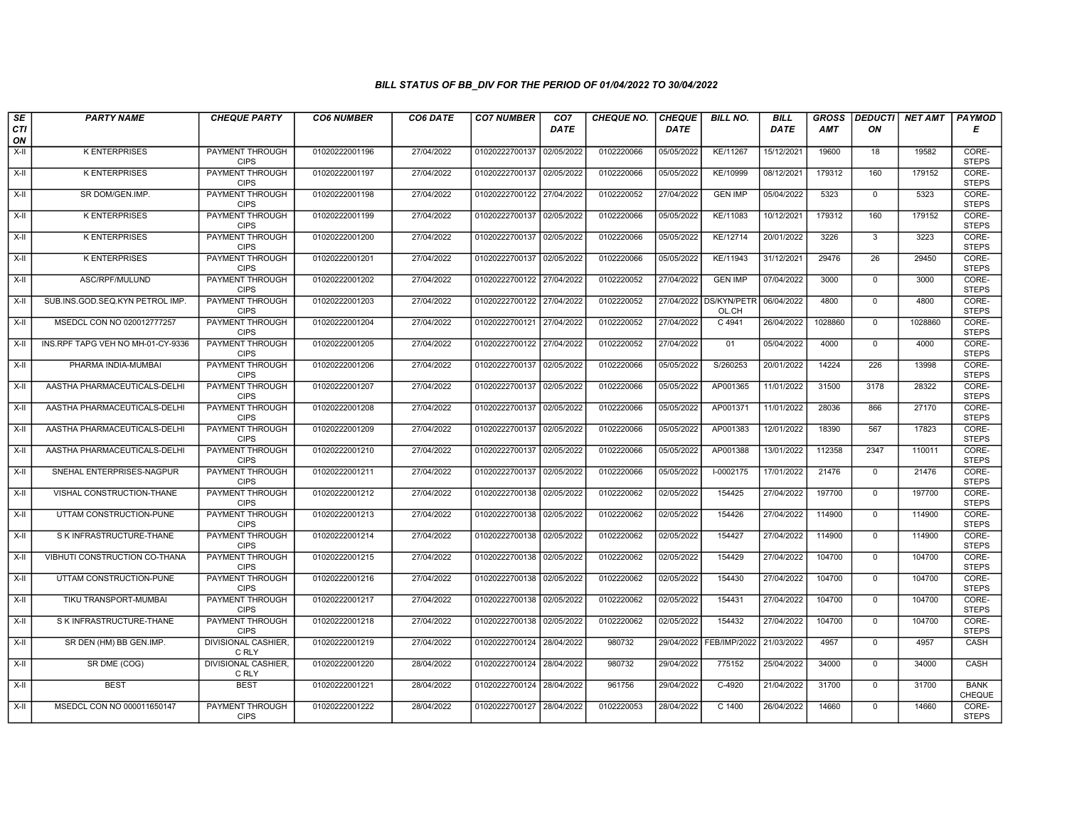| $\sqrt{SE}$ | <b>PARTY NAME</b>                 | <b>CHEQUE PARTY</b>                   | <b>CO6 NUMBER</b> | CO6 DATE   | <b>CO7 NUMBER</b>         | CO <sub>7</sub> | <b>CHEQUE NO.</b> | <b>CHEQUE</b> | <b>BILL NO.</b>             | <b>BILL</b> | <b>GROSS</b> |                 | DEDUCTI NET AMT | <b>PAYMOD</b>                |
|-------------|-----------------------------------|---------------------------------------|-------------------|------------|---------------------------|-----------------|-------------------|---------------|-----------------------------|-------------|--------------|-----------------|-----------------|------------------------------|
| CTI<br>ON   |                                   |                                       |                   |            |                           | <b>DATE</b>     |                   | <b>DATE</b>   |                             | <b>DATE</b> | <b>AMT</b>   | ON              |                 | Е                            |
| $X-H$       | <b>K ENTERPRISES</b>              | <b>PAYMENT THROUGH</b><br><b>CIPS</b> | 01020222001196    | 27/04/2022 | 01020222700137 02/05/2022 |                 | 0102220066        | 05/05/2022    | KE/11267                    | 15/12/2021  | 19600        | 18              | 19582           | CORE-<br><b>STEPS</b>        |
| X-II        | <b>K ENTERPRISES</b>              | <b>PAYMENT THROUGH</b><br><b>CIPS</b> | 01020222001197    | 27/04/2022 | 01020222700137 02/05/2022 |                 | 0102220066        | 05/05/2022    | KE/10999                    | 08/12/2021  | 179312       | 160             | 179152          | CORE-<br><b>STEPS</b>        |
| X-II        | SR DOM/GEN.IMP.                   | PAYMENT THROUGH<br><b>CIPS</b>        | 01020222001198    | 27/04/2022 | 01020222700122 27/04/2022 |                 | 0102220052        | 27/04/2022    | <b>GEN IMP</b>              | 05/04/2022  | 5323         | $\mathbf 0$     | 5323            | CORE-<br><b>STEPS</b>        |
| X-II        | <b>K ENTERPRISES</b>              | PAYMENT THROUGH<br><b>CIPS</b>        | 01020222001199    | 27/04/2022 | 01020222700137 02/05/2022 |                 | 0102220066        | 05/05/2022    | KE/11083                    | 10/12/2021  | 179312       | 160             | 179152          | CORE-<br><b>STEPS</b>        |
| X-II        | <b>K ENTERPRISES</b>              | <b>PAYMENT THROUGH</b><br><b>CIPS</b> | 01020222001200    | 27/04/2022 | 01020222700137 02/05/2022 |                 | 0102220066        | 05/05/2022    | KE/12714                    | 20/01/2022  | 3226         | $\overline{3}$  | 3223            | CORE-<br><b>STEPS</b>        |
| X-II        | <b>K ENTERPRISES</b>              | <b>PAYMENT THROUGH</b><br><b>CIPS</b> | 01020222001201    | 27/04/2022 | 01020222700137 02/05/2022 |                 | 0102220066        | 05/05/2022    | KE/11943                    | 31/12/2021  | 29476        | $\overline{26}$ | 29450           | CORE-<br><b>STEPS</b>        |
| X-II        | ASC/RPF/MULUND                    | PAYMENT THROUGH<br><b>CIPS</b>        | 01020222001202    | 27/04/2022 | 01020222700122 27/04/2022 |                 | 0102220052        | 27/04/2022    | <b>GEN IMP</b>              | 07/04/2022  | 3000         | $\mathbf 0$     | 3000            | CORE-<br><b>STEPS</b>        |
| X-II        | SUB.INS.GOD.SEQ.KYN PETROL IMP.   | <b>PAYMENT THROUGH</b><br><b>CIPS</b> | 01020222001203    | 27/04/2022 | 01020222700122 27/04/2022 |                 | 0102220052        | 27/04/2022    | <b>DS/KYN/PETR</b><br>OL.CH | 06/04/2022  | 4800         | $\overline{0}$  | 4800            | CORE-<br><b>STEPS</b>        |
| X-II        | MSEDCL CON NO 020012777257        | <b>PAYMENT THROUGH</b><br><b>CIPS</b> | 01020222001204    | 27/04/2022 | 01020222700121 27/04/2022 |                 | 0102220052        | 27/04/2022    | $C$ 4941                    | 26/04/2022  | 1028860      | $\mathbf{0}$    | 1028860         | CORE-<br><b>STEPS</b>        |
| X-II        | INS.RPF TAPG VEH NO MH-01-CY-9336 | <b>PAYMENT THROUGH</b><br><b>CIPS</b> | 01020222001205    | 27/04/2022 | 01020222700122 27/04/2022 |                 | 0102220052        | 27/04/2022    | 01                          | 05/04/2022  | 4000         | $\overline{0}$  | 4000            | CORE-<br><b>STEPS</b>        |
| X-II        | PHARMA INDIA-MUMBAI               | PAYMENT THROUGH<br><b>CIPS</b>        | 01020222001206    | 27/04/2022 | 01020222700137 02/05/2022 |                 | 0102220066        | 05/05/2022    | S/260253                    | 20/01/2022  | 14224        | 226             | 13998           | CORE-<br><b>STEPS</b>        |
| X-II        | AASTHA PHARMACEUTICALS-DELHI      | <b>PAYMENT THROUGH</b><br><b>CIPS</b> | 01020222001207    | 27/04/2022 | 01020222700137 02/05/2022 |                 | 0102220066        | 05/05/2022    | AP001365                    | 11/01/2022  | 31500        | 3178            | 28322           | CORE-<br><b>STEPS</b>        |
| $X-H$       | AASTHA PHARMACEUTICALS-DELHI      | <b>PAYMENT THROUGH</b><br><b>CIPS</b> | 01020222001208    | 27/04/2022 | 01020222700137 02/05/2022 |                 | 0102220066        | 05/05/2022    | AP001371                    | 11/01/2022  | 28036        | 866             | 27170           | CORE-<br><b>STEPS</b>        |
| X-II        | AASTHA PHARMACEUTICALS-DELHI      | <b>PAYMENT THROUGH</b><br><b>CIPS</b> | 01020222001209    | 27/04/2022 | 01020222700137 02/05/2022 |                 | 0102220066        | 05/05/2022    | AP001383                    | 12/01/2022  | 18390        | 567             | 17823           | CORE-<br><b>STEPS</b>        |
| X-II        | AASTHA PHARMACEUTICALS-DELHI      | PAYMENT THROUGH<br><b>CIPS</b>        | 01020222001210    | 27/04/2022 | 01020222700137 02/05/2022 |                 | 0102220066        | 05/05/2022    | AP001388                    | 13/01/2022  | 112358       | 2347            | 110011          | CORE-<br><b>STEPS</b>        |
| X-II        | SNEHAL ENTERPRISES-NAGPUR         | <b>PAYMENT THROUGH</b><br><b>CIPS</b> | 01020222001211    | 27/04/2022 | 01020222700137 02/05/2022 |                 | 0102220066        | 05/05/2022    | I-0002175                   | 17/01/2022  | 21476        | $\mathbf{0}$    | 21476           | CORE-<br><b>STEPS</b>        |
| X-II        | VISHAL CONSTRUCTION-THANE         | <b>PAYMENT THROUGH</b><br><b>CIPS</b> | 01020222001212    | 27/04/2022 | 01020222700138 02/05/2022 |                 | 0102220062        | 02/05/2022    | 154425                      | 27/04/2022  | 197700       | $\mathbf 0$     | 197700          | CORE-<br><b>STEPS</b>        |
| X-II        | UTTAM CONSTRUCTION-PUNE           | <b>PAYMENT THROUGH</b><br><b>CIPS</b> | 01020222001213    | 27/04/2022 | 01020222700138 02/05/2022 |                 | 0102220062        | 02/05/2022    | 154426                      | 27/04/2022  | 114900       | $\mathbf 0$     | 114900          | CORE-<br><b>STEPS</b>        |
| X-II        | S K INFRASTRUCTURE-THANE          | <b>PAYMENT THROUGH</b><br><b>CIPS</b> | 01020222001214    | 27/04/2022 | 01020222700138 02/05/2022 |                 | 0102220062        | 02/05/2022    | 154427                      | 27/04/2022  | 114900       | $\mathbf 0$     | 114900          | CORE-<br><b>STEPS</b>        |
| X-II        | VIBHUTI CONSTRUCTION CO-THANA     | PAYMENT THROUGH<br><b>CIPS</b>        | 01020222001215    | 27/04/2022 | 01020222700138 02/05/2022 |                 | 0102220062        | 02/05/2022    | 154429                      | 27/04/2022  | 104700       | $\Omega$        | 104700          | CORE-<br><b>STEPS</b>        |
| X-II        | UTTAM CONSTRUCTION-PUNE           | <b>PAYMENT THROUGH</b><br><b>CIPS</b> | 01020222001216    | 27/04/2022 | 01020222700138 02/05/2022 |                 | 0102220062        | 02/05/2022    | 154430                      | 27/04/2022  | 104700       | $\mathbf 0$     | 104700          | CORE-<br><b>STEPS</b>        |
| X-II        | TIKU TRANSPORT-MUMBAI             | <b>PAYMENT THROUGH</b><br><b>CIPS</b> | 01020222001217    | 27/04/2022 | 01020222700138 02/05/2022 |                 | 0102220062        | 02/05/2022    | 154431                      | 27/04/2022  | 104700       | $\Omega$        | 104700          | CORE-<br><b>STEPS</b>        |
| X-II        | S K INFRASTRUCTURE-THANE          | PAYMENT THROUGH<br><b>CIPS</b>        | 01020222001218    | 27/04/2022 | 01020222700138 02/05/2022 |                 | 0102220062        | 02/05/2022    | 154432                      | 27/04/2022  | 104700       | $\mathbf 0$     | 104700          | CORE-<br><b>STEPS</b>        |
| X-II        | SR DEN (HM) BB GEN.IMP.           | DIVISIONAL CASHIER,<br>C RLY          | 01020222001219    | 27/04/2022 | 01020222700124            | 28/04/2022      | 980732            | 29/04/2022    | <b>FEB/IMP/2022</b>         | 21/03/2022  | 4957         | $\Omega$        | 4957            | CASH                         |
| X-II        | SR DME (COG)                      | DIVISIONAL CASHIER,<br>C RLY          | 01020222001220    | 28/04/2022 | 01020222700124            | 28/04/2022      | 980732            | 29/04/2022    | 775152                      | 25/04/2022  | 34000        | $\Omega$        | 34000           | CASH                         |
| X-II        | <b>BEST</b>                       | <b>BEST</b>                           | 01020222001221    | 28/04/2022 | 01020222700124 28/04/2022 |                 | 961756            | 29/04/2022    | $C-4920$                    | 21/04/2022  | 31700        | $\mathsf{O}$    | 31700           | <b>BANK</b><br><b>CHEQUE</b> |
| X-II        | MSEDCL CON NO 000011650147        | <b>PAYMENT THROUGH</b><br><b>CIPS</b> | 01020222001222    | 28/04/2022 | 01020222700127 28/04/2022 |                 | 0102220053        | 28/04/2022    | $C$ 1400                    | 26/04/2022  | 14660        | $\mathbf 0$     | 14660           | CORE-<br><b>STEPS</b>        |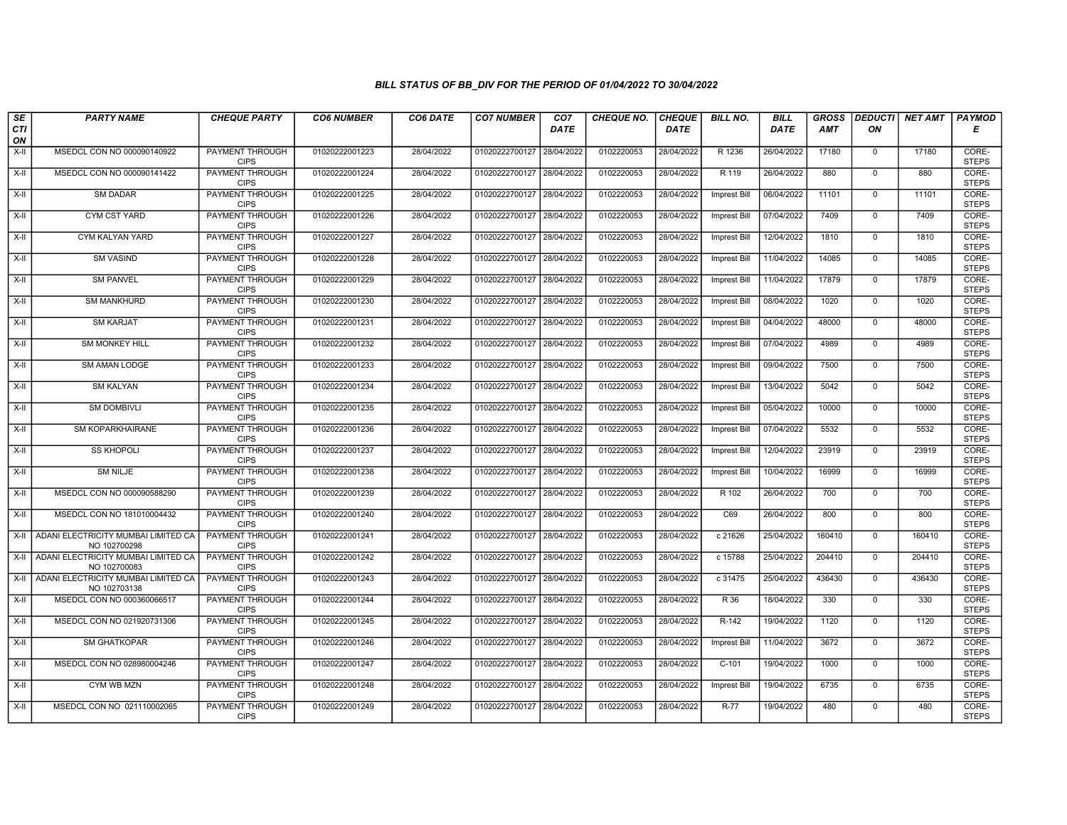| SE        | <b>PARTY NAME</b>                                   | <b>CHEQUE PARTY</b>                   | <b>CO6 NUMBER</b> | CO6 DATE   | <b>CO7 NUMBER</b>         | CO <sub>7</sub> | <b>CHEQUE NO.</b> | <b>CHEQUE</b> | <b>BILL NO.</b>     | <b>BILL</b> | <b>GROSS</b> | <b>DEDUCTI</b> | NET AMT | <b>PAYMOD</b>         |
|-----------|-----------------------------------------------------|---------------------------------------|-------------------|------------|---------------------------|-----------------|-------------------|---------------|---------------------|-------------|--------------|----------------|---------|-----------------------|
| CTI<br>ON |                                                     |                                       |                   |            |                           | <b>DATE</b>     |                   | <b>DATE</b>   |                     | DATE        | <b>AMT</b>   | ON             |         | Е                     |
| $X-H$     | MSEDCL CON NO 000090140922                          | <b>PAYMENT THROUGH</b><br><b>CIPS</b> | 01020222001223    | 28/04/2022 | 01020222700127 28/04/2022 |                 | 0102220053        | 28/04/2022    | R 1236              | 26/04/2022  | 17180        | $\mathbf 0$    | 17180   | CORE-<br><b>STEPS</b> |
| $X-H$     | MSEDCL CON NO 000090141422                          | <b>PAYMENT THROUGH</b><br><b>CIPS</b> | 01020222001224    | 28/04/2022 | 01020222700127 28/04/2022 |                 | 0102220053        | 28/04/2022    | R 119               | 26/04/2022  | 880          | $\Omega$       | 880     | CORE-<br><b>STEPS</b> |
| X-II      | SM DADAR                                            | PAYMENT THROUGH<br><b>CIPS</b>        | 01020222001225    | 28/04/2022 | 01020222700127 28/04/2022 |                 | 0102220053        | 28/04/2022    | <b>Imprest Bill</b> | 06/04/2022  | 11101        | $\mathbf 0$    | 11101   | CORE-<br><b>STEPS</b> |
| $X-II$    | <b>CYM CST YARD</b>                                 | <b>PAYMENT THROUGH</b><br><b>CIPS</b> | 01020222001226    | 28/04/2022 | 01020222700127 28/04/2022 |                 | 0102220053        | 28/04/2022    | <b>Imprest Bill</b> | 07/04/2022  | 7409         | $\overline{0}$ | 7409    | CORE-<br><b>STEPS</b> |
| $X-H$     | CYM KALYAN YARD                                     | <b>PAYMENT THROUGH</b><br><b>CIPS</b> | 01020222001227    | 28/04/2022 | 01020222700127 28/04/2022 |                 | 0102220053        | 28/04/2022    | <b>Imprest Bill</b> | 12/04/2022  | 1810         | $\mathbf 0$    | 1810    | CORE-<br><b>STEPS</b> |
| $X-H$     | <b>SM VASIND</b>                                    | <b>PAYMENT THROUGH</b><br><b>CIPS</b> | 01020222001228    | 28/04/2022 | 01020222700127 28/04/2022 |                 | 0102220053        | 28/04/2022    | Imprest Bill        | 11/04/2022  | 14085        | $\Omega$       | 14085   | CORE-<br><b>STEPS</b> |
| X-II      | <b>SM PANVEL</b>                                    | PAYMENT THROUGH<br><b>CIPS</b>        | 01020222001229    | 28/04/2022 | 01020222700127            | 28/04/2022      | 0102220053        | 28/04/2022    | <b>Imprest Bill</b> | 11/04/2022  | 17879        | $\mathbf{0}$   | 17879   | CORE-<br><b>STEPS</b> |
| $X-II$    | <b>SM MANKHURD</b>                                  | <b>PAYMENT THROUGH</b><br><b>CIPS</b> | 01020222001230    | 28/04/2022 | 01020222700127            | 28/04/2022      | 0102220053        | 28/04/2022    | <b>Imprest Bill</b> | 08/04/2022  | 1020         | $\mathbf 0$    | 1020    | CORE-<br><b>STEPS</b> |
| X-II      | <b>SM KARJAT</b>                                    | <b>PAYMENT THROUGH</b><br><b>CIPS</b> | 01020222001231    | 28/04/2022 | 01020222700127 28/04/2022 |                 | 0102220053        | 28/04/2022    | Imprest Bill        | 04/04/2022  | 48000        | $\mathbf 0$    | 48000   | CORE-<br><b>STEPS</b> |
| $X-H$     | <b>SM MONKEY HILL</b>                               | <b>PAYMENT THROUGH</b><br><b>CIPS</b> | 01020222001232    | 28/04/2022 | 01020222700127 28/04/2022 |                 | 0102220053        | 28/04/2022    | <b>Imprest Bill</b> | 07/04/2022  | 4989         | $\overline{0}$ | 4989    | CORE-<br><b>STEPS</b> |
| X-II      | SM AMAN LODGE                                       | PAYMENT THROUGH<br><b>CIPS</b>        | 01020222001233    | 28/04/2022 | 01020222700127 28/04/2022 |                 | 0102220053        | 28/04/2022    | Imprest Bill        | 09/04/2022  | 7500         | $\mathbf 0$    | 7500    | CORE-<br><b>STEPS</b> |
| $X-II$    | <b>SM KALYAN</b>                                    | PAYMENT THROUGH<br><b>CIPS</b>        | 01020222001234    | 28/04/2022 | 01020222700127 28/04/2022 |                 | 0102220053        | 28/04/2022    | <b>Imprest Bill</b> | 13/04/2022  | 5042         | $\mathbf{0}$   | 5042    | CORE-<br><b>STEPS</b> |
| X-II      | <b>SM DOMBIVLI</b>                                  | <b>PAYMENT THROUGH</b><br><b>CIPS</b> | 01020222001235    | 28/04/2022 | 01020222700127 28/04/2022 |                 | 0102220053        | 28/04/2022    | <b>Imprest Bill</b> | 05/04/2022  | 10000        | $\mathbf 0$    | 10000   | CORE-<br><b>STEPS</b> |
| X-II      | SM KOPARKHAIRANE                                    | <b>PAYMENT THROUGH</b><br><b>CIPS</b> | 01020222001236    | 28/04/2022 | 01020222700127 28/04/2022 |                 | 0102220053        | 28/04/2022    | <b>Imprest Bill</b> | 07/04/2022  | 5532         | $\mathbf 0$    | 5532    | CORE-<br><b>STEPS</b> |
| $X-H$     | <b>SS KHOPOLI</b>                                   | <b>PAYMENT THROUGH</b><br><b>CIPS</b> | 01020222001237    | 28/04/2022 | 01020222700127 28/04/2022 |                 | 0102220053        | 28/04/2022    | Imprest Bill        | 12/04/2022  | 23919        | $\Omega$       | 23919   | CORE-<br><b>STEPS</b> |
| X-II      | <b>SM NILJE</b>                                     | PAYMENT THROUGH<br><b>CIPS</b>        | 01020222001238    | 28/04/2022 | 01020222700127 28/04/2022 |                 | 0102220053        | 28/04/2022    | Imprest Bill        | 10/04/2022  | 16999        | $\Omega$       | 16999   | CORE-<br><b>STEPS</b> |
| $X-H$     | MSEDCL CON NO 000090588290                          | <b>PAYMENT THROUGH</b><br><b>CIPS</b> | 01020222001239    | 28/04/2022 | 01020222700127 28/04/2022 |                 | 0102220053        | 28/04/2022    | R 102               | 26/04/2022  | 700          | $\overline{0}$ | 700     | CORE-<br><b>STEPS</b> |
| X-II      | MSEDCL CON NO 181010004432                          | <b>PAYMENT THROUGH</b><br><b>CIPS</b> | 01020222001240    | 28/04/2022 | 01020222700127 28/04/2022 |                 | 0102220053        | 28/04/2022    | C69                 | 26/04/2022  | 800          | $\Omega$       | 800     | CORE-<br><b>STEPS</b> |
| X-II      | ADANI ELECTRICITY MUMBAI LIMITED CA<br>NO 102700298 | <b>PAYMENT THROUGH</b><br><b>CIPS</b> | 01020222001241    | 28/04/2022 | 01020222700127            | 28/04/2022      | 0102220053        | 28/04/2022    | c 21626             | 25/04/2022  | 160410       | $\mathbf{0}$   | 160410  | CORE-<br><b>STEPS</b> |
| X-II      | ADANI ELECTRICITY MUMBAI LIMITED CA<br>NO 102700083 | PAYMENT THROUGH<br><b>CIPS</b>        | 01020222001242    | 28/04/2022 | 01020222700127 28/04/2022 |                 | 0102220053        | 28/04/2022    | c 15788             | 25/04/2022  | 204410       | $\Omega$       | 204410  | CORE-<br><b>STEPS</b> |
| X-II      | ADANI ELECTRICITY MUMBAI LIMITED CA<br>NO 102703138 | PAYMENT THROUGH<br><b>CIPS</b>        | 01020222001243    | 28/04/2022 | 01020222700127 28/04/2022 |                 | 0102220053        | 28/04/2022    | c 31475             | 25/04/2022  | 436430       | $\mathbf 0$    | 436430  | CORE-<br><b>STEPS</b> |
| $X-H$     | MSEDCL CON NO 000360066517                          | <b>PAYMENT THROUGH</b><br><b>CIPS</b> | 01020222001244    | 28/04/2022 | 01020222700127 28/04/2022 |                 | 0102220053        | 28/04/2022    | R 36                | 18/04/2022  | 330          | $\Omega$       | 330     | CORE-<br><b>STEPS</b> |
| X-II      | MSEDCL CON NO 021920731306                          | PAYMENT THROUGH<br><b>CIPS</b>        | 01020222001245    | 28/04/2022 | 01020222700127 28/04/2022 |                 | 0102220053        | 28/04/2022    | R-142               | 19/04/2022  | 1120         | $\mathbf 0$    | 1120    | CORE-<br><b>STEPS</b> |
| $X-H$     | <b>SM GHATKOPAR</b>                                 | PAYMENT THROUGH<br><b>CIPS</b>        | 01020222001246    | 28/04/2022 | 01020222700127            | 28/04/2022      | 0102220053        | 28/04/2022    | <b>Imprest Bill</b> | 11/04/2022  | 3672         | $\mathbf 0$    | 3672    | CORE-<br><b>STEPS</b> |
| $X-II$    | MSEDCL CON NO 028980004246                          | <b>PAYMENT THROUGH</b><br><b>CIPS</b> | 01020222001247    | 28/04/2022 | 01020222700127 28/04/2022 |                 | 0102220053        | 28/04/2022    | $C-101$             | 19/04/2022  | 1000         | $\Omega$       | 1000    | CORE-<br><b>STEPS</b> |
| X-II      | CYM WB MZN                                          | <b>PAYMENT THROUGH</b><br><b>CIPS</b> | 01020222001248    | 28/04/2022 | 01020222700127 28/04/2022 |                 | 0102220053        | 28/04/2022    | Imprest Bill        | 19/04/2022  | 6735         | $\mathbf 0$    | 6735    | CORE-<br><b>STEPS</b> |
| X-II      | MSEDCL CON NO 021110002065                          | <b>PAYMENT THROUGH</b><br><b>CIPS</b> | 01020222001249    | 28/04/2022 | 01020222700127 28/04/2022 |                 | 0102220053        | 28/04/2022    | $R-77$              | 19/04/2022  | 480          | $\mathbf{0}$   | 480     | CORE-<br><b>STEPS</b> |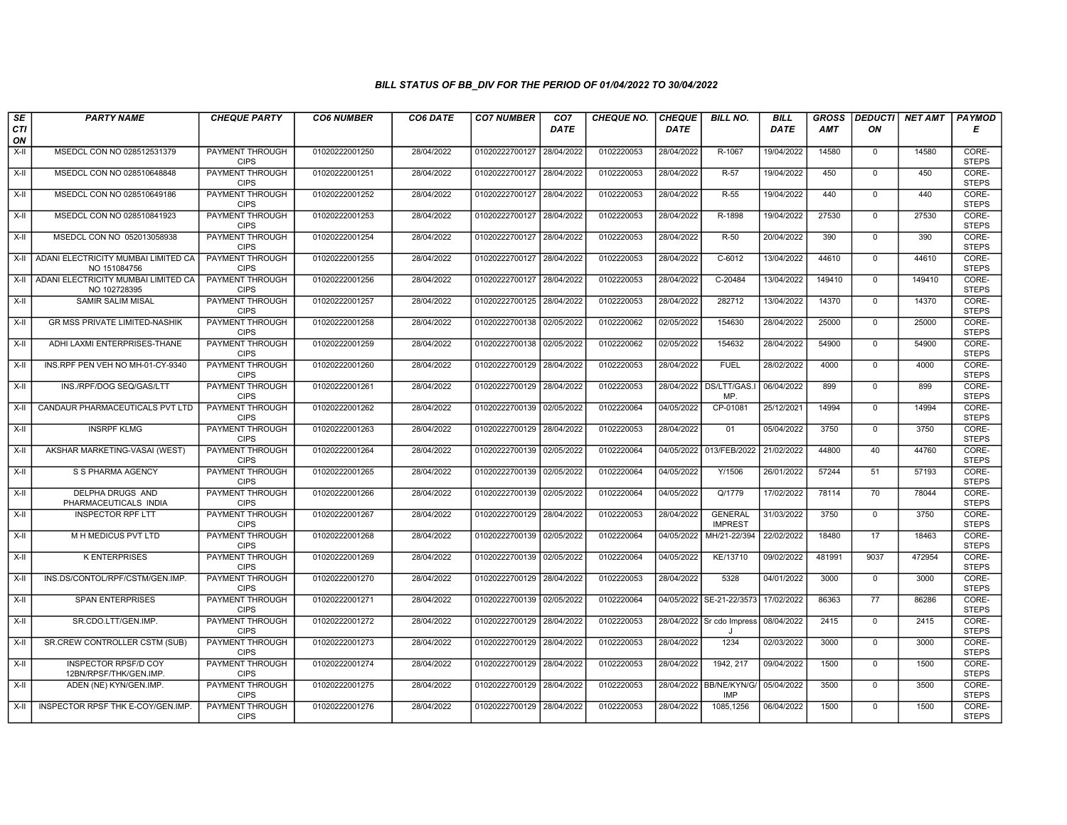| SE        | <b>PARTY NAME</b>                                     | <b>CHEQUE PARTY</b>                   | <b>CO6 NUMBER</b> | CO6 DATE   | <b>CO7 NUMBER</b>         | CO <sub>7</sub> | <b>CHEQUE NO.</b> | <b>CHEQUE</b> | <b>BILL NO.</b>                       | BILL        | <b>GROSS</b> | <b>DEDUCTI</b>  | NET AMT | <b>PAYMOD</b>         |
|-----------|-------------------------------------------------------|---------------------------------------|-------------------|------------|---------------------------|-----------------|-------------------|---------------|---------------------------------------|-------------|--------------|-----------------|---------|-----------------------|
| CTI<br>ON |                                                       |                                       |                   |            |                           | <b>DATE</b>     |                   | DATE          |                                       | <b>DATE</b> | <b>AMT</b>   | ON              |         | Е                     |
| $X-H$     | MSEDCL CON NO 028512531379                            | <b>PAYMENT THROUGH</b><br><b>CIPS</b> | 01020222001250    | 28/04/2022 | 01020222700127            | 28/04/2022      | 0102220053        | 28/04/2022    | R-1067                                | 19/04/2022  | 14580        | $\mathbf 0$     | 14580   | CORE-<br><b>STEPS</b> |
| X-II      | MSEDCL CON NO 028510648848                            | <b>PAYMENT THROUGH</b><br><b>CIPS</b> | 01020222001251    | 28/04/2022 | 01020222700127            | 28/04/2022      | 0102220053        | 28/04/2022    | R-57                                  | 19/04/2022  | 450          | $\mathbf 0$     | 450     | CORE-<br><b>STEPS</b> |
| X-II      | MSEDCL CON NO 028510649186                            | PAYMENT THROUGH<br><b>CIPS</b>        | 01020222001252    | 28/04/2022 | 01020222700127            | 28/04/2022      | 0102220053        | 28/04/2022    | $R-55$                                | 19/04/2022  | 440          | $\mathbf 0$     | 440     | CORE-<br><b>STEPS</b> |
| $X-II$    | MSEDCL CON NO 028510841923                            | PAYMENT THROUGH<br><b>CIPS</b>        | 01020222001253    | 28/04/2022 | 01020222700127            | 28/04/2022      | 0102220053        | 28/04/2022    | R-1898                                | 19/04/2022  | 27530        | $\Omega$        | 27530   | CORE-<br><b>STEPS</b> |
| $X-H$     | MSEDCL CON NO 052013058938                            | <b>PAYMENT THROUGH</b><br><b>CIPS</b> | 01020222001254    | 28/04/2022 | 01020222700127            | 28/04/2022      | 0102220053        | 28/04/2022    | $R-50$                                | 20/04/2022  | 390          | $\mathbf 0$     | 390     | CORE-<br><b>STEPS</b> |
| X-II      | ADANI ELECTRICITY MUMBAI LIMITED CA<br>NO 151084756   | <b>PAYMENT THROUGH</b><br><b>CIPS</b> | 01020222001255    | 28/04/2022 | 01020222700127 28/04/2022 |                 | 0102220053        | 28/04/2022    | $C-6012$                              | 13/04/2022  | 44610        | $\Omega$        | 44610   | CORE-<br><b>STEPS</b> |
| X-II      | ADANI ELECTRICITY MUMBAI LIMITED CA<br>NO 102728395   | PAYMENT THROUGH<br><b>CIPS</b>        | 01020222001256    | 28/04/2022 | 01020222700127            | 28/04/2022      | 0102220053        | 28/04/2022    | C-20484                               | 13/04/2022  | 149410       | $\mathbf 0$     | 149410  | CORE-<br><b>STEPS</b> |
| X-II      | <b>SAMIR SALIM MISAL</b>                              | <b>PAYMENT THROUGH</b><br><b>CIPS</b> | 01020222001257    | 28/04/2022 | 01020222700125            | 28/04/2022      | 0102220053        | 28/04/2022    | 282712                                | 13/04/2022  | 14370        | $\mathbf 0$     | 14370   | CORE-<br><b>STEPS</b> |
| X-II      | GR MSS PRIVATE LIMITED-NASHIK                         | <b>PAYMENT THROUGH</b><br><b>CIPS</b> | 01020222001258    | 28/04/2022 | 01020222700138            | 02/05/2022      | 0102220062        | 02/05/2022    | 154630                                | 28/04/2022  | 25000        | $\mathbf 0$     | 25000   | CORE-<br><b>STEPS</b> |
| $X-H$     | ADHI LAXMI ENTERPRISES-THANE                          | <b>PAYMENT THROUGH</b><br><b>CIPS</b> | 01020222001259    | 28/04/2022 | 01020222700138 02/05/2022 |                 | 0102220062        | 02/05/2022    | 154632                                | 28/04/2022  | 54900        | $\overline{0}$  | 54900   | CORE-<br><b>STEPS</b> |
| X-II      | INS.RPF PEN VEH NO MH-01-CY-9340                      | PAYMENT THROUGH<br><b>CIPS</b>        | 01020222001260    | 28/04/2022 | 01020222700129            | 28/04/2022      | 0102220053        | 28/04/2022    | <b>FUEL</b>                           | 28/02/2022  | 4000         | $\mathbf 0$     | 4000    | CORE-<br><b>STEPS</b> |
| $X-II$    | INS./RPF/DOG SEQ/GAS/LTT                              | <b>PAYMENT THROUGH</b><br><b>CIPS</b> | 01020222001261    | 28/04/2022 | 01020222700129            | 28/04/2022      | 0102220053        | 28/04/2022    | DS/LTT/GAS.<br>MP.                    | 06/04/2022  | 899          | $\Omega$        | 899     | CORE-<br><b>STEPS</b> |
| X-II      | CANDAUR PHARMACEUTICALS PVT LTD                       | <b>PAYMENT THROUGH</b><br><b>CIPS</b> | 01020222001262    | 28/04/2022 | 01020222700139 02/05/2022 |                 | 0102220064        | 04/05/2022    | CP-0108                               | 25/12/2021  | 14994        | $\mathbf 0$     | 14994   | CORE-<br><b>STEPS</b> |
| $X-H$     | <b>INSRPF KLMG</b>                                    | <b>PAYMENT THROUGH</b><br><b>CIPS</b> | 01020222001263    | 28/04/2022 | 01020222700129 28/04/2022 |                 | 0102220053        | 28/04/2022    | 01                                    | 05/04/2022  | 3750         | $\mathbf 0$     | 3750    | CORE-<br><b>STEPS</b> |
| X-II      | AKSHAR MARKETING-VASAI (WEST)                         | <b>PAYMENT THROUGH</b><br><b>CIPS</b> | 01020222001264    | 28/04/2022 | 01020222700139            | 02/05/2022      | 0102220064        |               | 04/05/2022 013/FEB/2022               | 21/02/2022  | 44800        | 40              | 44760   | CORE-<br><b>STEPS</b> |
| $X-II$    | S S PHARMA AGENCY                                     | <b>PAYMENT THROUGH</b><br><b>CIPS</b> | 01020222001265    | 28/04/2022 | 01020222700139            | 02/05/2022      | 0102220064        | 04/05/2022    | Y/1506                                | 26/01/2022  | 57244        | 51              | 57193   | CORE-<br><b>STEPS</b> |
| X-II      | DELPHA DRUGS AND<br>PHARMACEUTICALS INDIA             | <b>PAYMENT THROUGH</b><br><b>CIPS</b> | 01020222001266    | 28/04/2022 | 01020222700139            | 02/05/2022      | 0102220064        | 04/05/2022    | Q/1779                                | 17/02/2022  | 78114        | 70              | 78044   | CORE-<br><b>STEPS</b> |
| $X-H$     | <b>INSPECTOR RPF LTT</b>                              | <b>PAYMENT THROUGH</b><br><b>CIPS</b> | 01020222001267    | 28/04/2022 | 01020222700129            | 28/04/2022      | 0102220053        | 28/04/2022    | <b>GENERAL</b><br><b>IMPREST</b>      | 31/03/2022  | 3750         | $\overline{0}$  | 3750    | CORE-<br><b>STEPS</b> |
| X-II      | M H MEDICUS PVT LTD                                   | PAYMENT THROUGH<br><b>CIPS</b>        | 01020222001268    | 28/04/2022 | 01020222700139            | 02/05/2022      | 0102220064        |               | 04/05/2022 MH/21-22/394               | 22/02/2022  | 18480        | 17              | 18463   | CORE-<br><b>STEPS</b> |
| X-II      | <b>K ENTERPRISES</b>                                  | <b>PAYMENT THROUGH</b><br><b>CIPS</b> | 01020222001269    | 28/04/2022 | 01020222700139            | 02/05/2022      | 0102220064        | 04/05/2022    | KE/13710                              | 09/02/2022  | 481991       | 9037            | 472954  | CORE-<br><b>STEPS</b> |
| X-II      | INS.DS/CONTOL/RPF/CSTM/GEN.IMP.                       | <b>PAYMENT THROUGH</b><br><b>CIPS</b> | 01020222001270    | 28/04/2022 | 01020222700129            | 28/04/2022      | 0102220053        | 28/04/2022    | 5328                                  | 04/01/2022  | 3000         | $\mathbf{0}$    | 3000    | CORE-<br><b>STEPS</b> |
| X-II      | <b>SPAN ENTERPRISES</b>                               | <b>PAYMENT THROUGH</b><br><b>CIPS</b> | 01020222001271    | 28/04/2022 | 01020222700139            | 02/05/2022      | 0102220064        |               | 04/05/2022 SE-21-22/3573              | 17/02/2022  | 86363        | $\overline{77}$ | 86286   | CORE-<br><b>STEPS</b> |
| X-II      | SR.CDO.LTT/GEN.IMP.                                   | PAYMENT THROUGH<br><b>CIPS</b>        | 01020222001272    | 28/04/2022 | 01020222700129            | 28/04/2022      | 0102220053        |               | 28/04/2022 Sr cdo Impress<br>J.       | 08/04/2022  | 2415         | $\mathbf 0$     | 2415    | CORE-<br><b>STEPS</b> |
| X-II      | SR.CREW CONTROLLER CSTM (SUB)                         | PAYMENT THROUGH<br><b>CIPS</b>        | 01020222001273    | 28/04/2022 | 01020222700129            | 28/04/2022      | 0102220053        | 28/04/2022    | 1234                                  | 02/03/2022  | 3000         | $\mathbf{0}$    | 3000    | CORE-<br><b>STEPS</b> |
| $X-II$    | <b>INSPECTOR RPSF/D COY</b><br>12BN/RPSF/THK/GEN.IMP. | PAYMENT THROUGH<br><b>CIPS</b>        | 01020222001274    | 28/04/2022 | 01020222700129            | 28/04/2022      | 0102220053        | 28/04/2022    | 1942, 217                             | 09/04/2022  | 1500         | $\Omega$        | 1500    | CORE-<br><b>STEPS</b> |
| X-II      | ADEN (NE) KYN/GEN.IMP.                                | <b>PAYMENT THROUGH</b><br><b>CIPS</b> | 01020222001275    | 28/04/2022 | 01020222700129 28/04/2022 |                 | 0102220053        |               | 28/04/2022 BB/NE/KYN/G/<br><b>IMP</b> | 05/04/2022  | 3500         | $\mathbf 0$     | 3500    | CORE-<br><b>STEPS</b> |
| X-II      | INSPECTOR RPSF THK E-COY/GEN.IMP.                     | PAYMENT THROUGH<br><b>CIPS</b>        | 01020222001276    | 28/04/2022 | 01020222700129            | 28/04/2022      | 0102220053        | 28/04/2022    | 1085,1256                             | 06/04/2022  | 1500         | $\mathbf 0$     | 1500    | CORE-<br><b>STEPS</b> |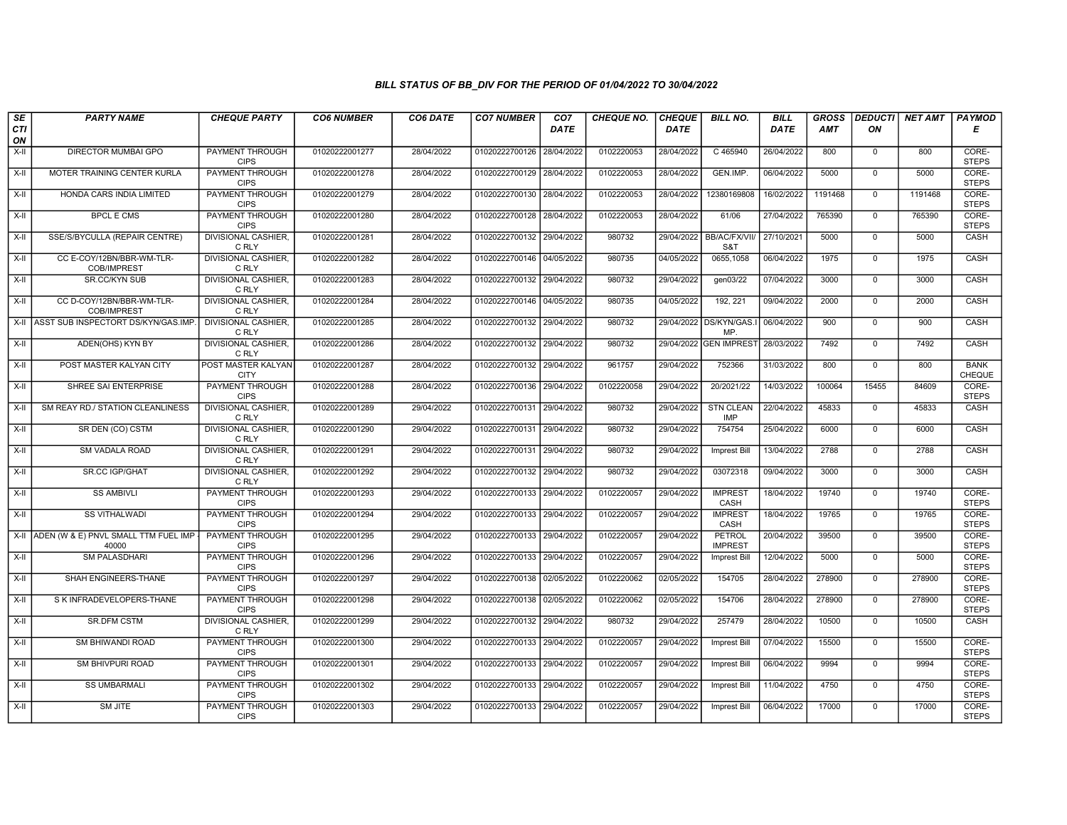| SE        | <b>PARTY NAME</b>                             | <b>CHEQUE PARTY</b>                   | <b>CO6 NUMBER</b> | CO6 DATE   | <b>CO7 NUMBER</b>         | CO <sub>7</sub> | <b>CHEQUE NO.</b> | <b>CHEQUE</b> | <b>BILL NO.</b>                | <b>BILL</b> | <b>GROSS</b> | <b>DEDUCTI</b> | NET AMT | <b>PAYMOD</b>                |
|-----------|-----------------------------------------------|---------------------------------------|-------------------|------------|---------------------------|-----------------|-------------------|---------------|--------------------------------|-------------|--------------|----------------|---------|------------------------------|
| CTI<br>ON |                                               |                                       |                   |            |                           | <b>DATE</b>     |                   | <b>DATE</b>   |                                | DATE        | <b>AMT</b>   | ON             |         | E                            |
| $X-H$     | <b>DIRECTOR MUMBAI GPO</b>                    | <b>PAYMENT THROUGH</b><br><b>CIPS</b> | 01020222001277    | 28/04/2022 | 01020222700126 28/04/2022 |                 | 0102220053        | 28/04/2022    | C 465940                       | 26/04/2022  | 800          | $\mathbf 0$    | 800     | CORE-<br><b>STEPS</b>        |
| X-II      | MOTER TRAINING CENTER KURLA                   | <b>PAYMENT THROUGH</b><br><b>CIPS</b> | 01020222001278    | 28/04/2022 | 01020222700129 28/04/2022 |                 | 0102220053        | 28/04/2022    | GEN.IMP.                       | 06/04/2022  | 5000         | $\Omega$       | 5000    | CORE-<br><b>STEPS</b>        |
| X-II      | HONDA CARS INDIA LIMITED                      | PAYMENT THROUGH<br><b>CIPS</b>        | 01020222001279    | 28/04/2022 | 01020222700130 28/04/2022 |                 | 0102220053        | 28/04/2022    | 12380169808                    | 16/02/2022  | 1191468      | $\mathbf 0$    | 1191468 | CORE-<br><b>STEPS</b>        |
| $X-II$    | <b>BPCL E CMS</b>                             | <b>PAYMENT THROUGH</b><br><b>CIPS</b> | 01020222001280    | 28/04/2022 | 01020222700128 28/04/2022 |                 | 0102220053        | 28/04/2022    | 61/06                          | 27/04/2022  | 765390       | $\overline{0}$ | 765390  | CORE-<br><b>STEPS</b>        |
| $X-H$     | SSE/S/BYCULLA (REPAIR CENTRE)                 | <b>DIVISIONAL CASHIER</b><br>C RLY    | 01020222001281    | 28/04/2022 | 01020222700132 29/04/2022 |                 | 980732            | 29/04/2022    | <b>BB/AC/FX/VII</b><br>S&T     | 27/10/2021  | 5000         | $\mathbf 0$    | 5000    | <b>CASH</b>                  |
| $X-H$     | CC E-COY/12BN/BBR-WM-TLR-<br>COB/IMPREST      | <b>DIVISIONAL CASHIER,</b><br>C RLY   | 01020222001282    | 28/04/2022 | 01020222700146 04/05/2022 |                 | 980735            | 04/05/2022    | 0655,1058                      | 06/04/2022  | 1975         | $\Omega$       | 1975    | CASH                         |
| X-II      | SR.CC/KYN SUB                                 | DIVISIONAL CASHIER.<br>C RLY          | 01020222001283    | 28/04/2022 | 01020222700132 29/04/2022 |                 | 980732            | 29/04/2022    | gen03/22                       | 07/04/2022  | 3000         | $\mathbf{0}$   | 3000    | CASH                         |
| $X-II$    | CC D-COY/12BN/BBR-WM-TLR-<br>COB/IMPREST      | <b>DIVISIONAL CASHIER.</b><br>C RLY   | 01020222001284    | 28/04/2022 | 01020222700146 04/05/2022 |                 | 980735            | 04/05/2022    | 192, 221                       | 09/04/2022  | 2000         | $\mathbf 0$    | 2000    | CASH                         |
| X-II      | ASST SUB INSPECTORT DS/KYN/GAS.IMP            | <b>DIVISIONAL CASHIER.</b><br>C RLY   | 01020222001285    | 28/04/2022 | 01020222700132 29/04/2022 |                 | 980732            | 29/04/2022    | DS/KYN/GAS.<br>MP.             | 06/04/2022  | 900          | $\mathbf 0$    | 900     | <b>CASH</b>                  |
| $X-H$     | ADEN(OHS) KYN BY                              | <b>DIVISIONAL CASHIER.</b><br>C RLY   | 01020222001286    | 28/04/2022 | 01020222700132 29/04/2022 |                 | 980732            |               | 29/04/2022 GEN IMPREST         | 28/03/2022  | 7492         | $\overline{0}$ | 7492    | CASH                         |
| X-II      | POST MASTER KALYAN CITY                       | POST MASTER KALYAN<br><b>CITY</b>     | 01020222001287    | 28/04/2022 | 01020222700132 29/04/2022 |                 | 961757            | 29/04/2022    | 752366                         | 31/03/2022  | 800          | $\Omega$       | 800     | <b>BANK</b><br><b>CHEQUE</b> |
| $X-II$    | SHREE SAI ENTERPRISE                          | PAYMENT THROUGH<br><b>CIPS</b>        | 01020222001288    | 28/04/2022 | 01020222700136 29/04/2022 |                 | 0102220058        | 29/04/2022    | 20/2021/22                     | 14/03/2022  | 100064       | 15455          | 84609   | CORE-<br><b>STEPS</b>        |
| $X-H$     | SM REAY RD./ STATION CLEANLINESS              | <b>DIVISIONAL CASHIER,</b><br>C RLY   | 01020222001289    | 29/04/2022 | 01020222700131 29/04/2022 |                 | 980732            | 29/04/2022    | <b>STN CLEAN</b><br><b>IMP</b> | 22/04/2022  | 45833        | $\mathbf 0$    | 45833   | CASH                         |
| X-II      | SR DEN (CO) CSTM                              | <b>DIVISIONAL CASHIER,</b><br>C RLY   | 01020222001290    | 29/04/2022 | 01020222700131 29/04/2022 |                 | 980732            | 29/04/2022    | 754754                         | 25/04/2022  | 6000         | $\mathbf 0$    | 6000    | CASH                         |
| $X-H$     | <b>SM VADALA ROAD</b>                         | <b>DIVISIONAL CASHIER.</b><br>C RLY   | 01020222001291    | 29/04/2022 | 01020222700131 29/04/2022 |                 | 980732            | 29/04/2022    | <b>Imprest Bill</b>            | 13/04/2022  | 2788         | $\Omega$       | 2788    | CASH                         |
| X-II      | <b>SR.CC IGP/GHAT</b>                         | <b>DIVISIONAL CASHIER,</b><br>C RLY   | 01020222001292    | 29/04/2022 | 01020222700132 29/04/2022 |                 | 980732            | 29/04/2022    | 03072318                       | 09/04/2022  | 3000         | $\Omega$       | 3000    | CASH                         |
| $X-H$     | <b>SS AMBIVLI</b>                             | <b>PAYMENT THROUGH</b><br><b>CIPS</b> | 01020222001293    | 29/04/2022 | 01020222700133 29/04/2022 |                 | 0102220057        | 29/04/2022    | <b>IMPREST</b><br>CASH         | 18/04/2022  | 19740        | $\overline{0}$ | 19740   | CORE-<br><b>STEPS</b>        |
| X-II      | <b>SS VITHALWADI</b>                          | <b>PAYMENT THROUGH</b><br><b>CIPS</b> | 01020222001294    | 29/04/2022 | 01020222700133 29/04/2022 |                 | 0102220057        | 29/04/2022    | <b>IMPREST</b><br>CASH         | 18/04/2022  | 19765        | $\Omega$       | 19765   | CORE-<br><b>STEPS</b>        |
| X-II      | ADEN (W & E) PNVL SMALL TTM FUEL IMP<br>40000 | <b>PAYMENT THROUGH</b><br><b>CIPS</b> | 01020222001295    | 29/04/2022 | 01020222700133 29/04/2022 |                 | 0102220057        | 29/04/2022    | PETROL<br><b>IMPREST</b>       | 20/04/2022  | 39500        | $\mathbf{0}$   | 39500   | CORE-<br><b>STEPS</b>        |
| X-II      | SM PALASDHARI                                 | <b>PAYMENT THROUGH</b><br><b>CIPS</b> | 01020222001296    | 29/04/2022 | 01020222700133 29/04/2022 |                 | 0102220057        | 29/04/2022    | <b>Imprest Bill</b>            | 12/04/2022  | 5000         | $\Omega$       | 5000    | CORE-<br><b>STEPS</b>        |
| X-II      | SHAH ENGINEERS-THANE                          | <b>PAYMENT THROUGH</b><br><b>CIPS</b> | 01020222001297    | 29/04/2022 | 01020222700138 02/05/2022 |                 | 0102220062        | 02/05/2022    | 154705                         | 28/04/2022  | 278900       | $\mathbf 0$    | 278900  | CORE-<br><b>STEPS</b>        |
| $X-H$     | S K INFRADEVELOPERS-THANE                     | <b>PAYMENT THROUGH</b><br><b>CIPS</b> | 01020222001298    | 29/04/2022 | 01020222700138 02/05/2022 |                 | 0102220062        | 02/05/2022    | 154706                         | 28/04/2022  | 278900       | $\Omega$       | 278900  | CORE-<br><b>STEPS</b>        |
| X-II      | SR.DFM CSTM                                   | <b>DIVISIONAL CASHIER.</b><br>C RLY   | 01020222001299    | 29/04/2022 | 01020222700132 29/04/2022 |                 | 980732            | 29/04/2022    | 257479                         | 28/04/2022  | 10500        | $\mathbf 0$    | 10500   | CASH                         |
| $X-II$    | SM BHIWANDI ROAD                              | PAYMENT THROUGH<br><b>CIPS</b>        | 01020222001300    | 29/04/2022 | 01020222700133 29/04/2022 |                 | 0102220057        | 29/04/2022    | <b>Imprest Bill</b>            | 07/04/2022  | 15500        | $\mathbf{0}$   | 15500   | CORE-<br><b>STEPS</b>        |
| $X-H$     | SM BHIVPURI ROAD                              | <b>PAYMENT THROUGH</b><br><b>CIPS</b> | 01020222001301    | 29/04/2022 | 01020222700133 29/04/2022 |                 | 0102220057        | 29/04/2022    | <b>Imprest Bill</b>            | 06/04/2022  | 9994         | $\Omega$       | 9994    | CORE-<br><b>STEPS</b>        |
| X-II      | <b>SS UMBARMALI</b>                           | <b>PAYMENT THROUGH</b><br><b>CIPS</b> | 01020222001302    | 29/04/2022 | 01020222700133 29/04/2022 |                 | 0102220057        | 29/04/2022    | Imprest Bill                   | 11/04/2022  | 4750         | $\mathbf{0}$   | 4750    | CORE-<br><b>STEPS</b>        |
| X-II      | <b>SM JITE</b>                                | <b>PAYMENT THROUGH</b><br><b>CIPS</b> | 01020222001303    | 29/04/2022 | 01020222700133 29/04/2022 |                 | 0102220057        | 29/04/2022    | <b>Imprest Bill</b>            | 06/04/2022  | 17000        | $\mathbf{0}$   | 17000   | CORE-<br><b>STEPS</b>        |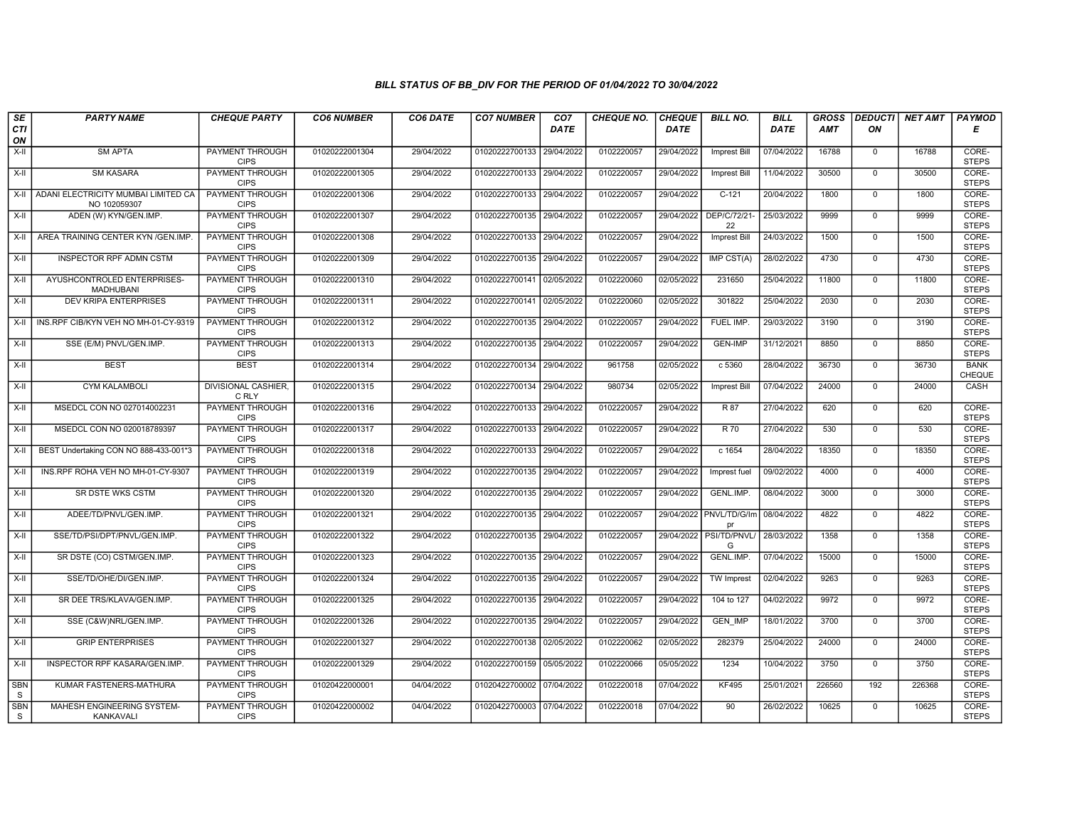| SE              | <b>PARTY NAME</b>                                   | <b>CHEQUE PARTY</b>                   | <b>CO6 NUMBER</b> | CO6 DATE   | <b>CO7 NUMBER</b>         | CO <sub>7</sub> | <b>CHEQUE NO.</b> | <b>CHEQUE</b> | <b>BILL NO.</b>               | <b>BILL</b> | <b>GROSS</b> |                | DEDUCTI NET AMT   PAYMOD |                              |
|-----------------|-----------------------------------------------------|---------------------------------------|-------------------|------------|---------------------------|-----------------|-------------------|---------------|-------------------------------|-------------|--------------|----------------|--------------------------|------------------------------|
| CTI<br>ON       |                                                     |                                       |                   |            |                           | <b>DATE</b>     |                   | <b>DATE</b>   |                               | DATE        | <b>AMT</b>   | ON             |                          | Е                            |
| $X-H$           | <b>SM APTA</b>                                      | <b>PAYMENT THROUGH</b><br><b>CIPS</b> | 01020222001304    | 29/04/2022 | 01020222700133 29/04/2022 |                 | 0102220057        | 29/04/2022    | <b>Imprest Bill</b>           | 07/04/2022  | 16788        | $\overline{0}$ | 16788                    | CORE-<br><b>STEPS</b>        |
| $X-H$           | <b>SM KASARA</b>                                    | <b>PAYMENT THROUGH</b><br><b>CIPS</b> | 01020222001305    | 29/04/2022 | 01020222700133 29/04/2022 |                 | 0102220057        | 29/04/2022    | <b>Imprest Bill</b>           | 11/04/2022  | 30500        | $\Omega$       | 30500                    | CORE-<br><b>STEPS</b>        |
| X-II            | ADANI ELECTRICITY MUMBAI LIMITED CA<br>NO 102059307 | PAYMENT THROUGH<br><b>CIPS</b>        | 01020222001306    | 29/04/2022 | 01020222700133 29/04/2022 |                 | 0102220057        | 29/04/2022    | $C-121$                       | 20/04/2022  | 1800         | $\mathbf{0}$   | 1800                     | CORE-<br><b>STEPS</b>        |
| X-II            | ADEN (W) KYN/GEN.IMP.                               | PAYMENT THROUGH<br><b>CIPS</b>        | 01020222001307    | 29/04/2022 | 01020222700135 29/04/2022 |                 | 0102220057        | 29/04/2022    | DEP/C/72/21<br>22             | 25/03/2022  | 9999         | $\mathbf{0}$   | 9999                     | CORE-<br><b>STEPS</b>        |
| X-II            | AREA TRAINING CENTER KYN / GEN. IMP.                | <b>PAYMENT THROUGH</b><br><b>CIPS</b> | 01020222001308    | 29/04/2022 | 01020222700133 29/04/2022 |                 | 0102220057        | 29/04/2022    | Imprest Bill                  | 24/03/2022  | 1500         | $\mathbf 0$    | 1500                     | CORE-<br><b>STEPS</b>        |
| $X-H$           | <b>INSPECTOR RPF ADMN CSTM</b>                      | <b>PAYMENT THROUGH</b><br><b>CIPS</b> | 01020222001309    | 29/04/2022 | 01020222700135 29/04/2022 |                 | 0102220057        | 29/04/2022    | IMP CST(A)                    | 28/02/2022  | 4730         | $\mathbf{0}$   | 4730                     | CORE-<br><b>STEPS</b>        |
| X-II            | AYUSHCONTROLED ENTERPRISES-<br>MADHUBANI            | PAYMENT THROUGH<br><b>CIPS</b>        | 01020222001310    | 29/04/2022 | 01020222700141            | 02/05/2022      | 0102220060        | 02/05/2022    | 231650                        | 25/04/2022  | 11800        | $\mathbf 0$    | 11800                    | CORE-<br><b>STEPS</b>        |
| $X-II$          | <b>DEV KRIPA ENTERPRISES</b>                        | <b>PAYMENT THROUGH</b><br><b>CIPS</b> | 01020222001311    | 29/04/2022 | 01020222700141            | 02/05/2022      | 0102220060        | 02/05/2022    | 301822                        | 25/04/2022  | 2030         | $\overline{0}$ | 2030                     | CORE-<br><b>STEPS</b>        |
| X-II            | INS.RPF CIB/KYN VEH NO MH-01-CY-9319                | <b>PAYMENT THROUGH</b><br><b>CIPS</b> | 01020222001312    | 29/04/2022 | 01020222700135 29/04/2022 |                 | 0102220057        | 29/04/2022    | FUEL IMP.                     | 29/03/2022  | 3190         | $\mathbf{0}$   | 3190                     | CORE-<br><b>STEPS</b>        |
| $X-H$           | SSE (E/M) PNVL/GEN.IMP.                             | PAYMENT THROUGH<br><b>CIPS</b>        | 01020222001313    | 29/04/2022 | 01020222700135 29/04/2022 |                 | 0102220057        | 29/04/2022    | <b>GEN-IMP</b>                | 31/12/2021  | 8850         | $\overline{0}$ | 8850                     | CORE-<br><b>STEPS</b>        |
| X-II            | <b>BEST</b>                                         | <b>BEST</b>                           | 01020222001314    | 29/04/2022 | 01020222700134            | 29/04/2022      | 961758            | 02/05/2022    | c 5360                        | 28/04/2022  | 36730        | $\mathbf{0}$   | 36730                    | <b>BANK</b><br><b>CHEQUE</b> |
| X-II            | <b>CYM KALAMBOLI</b>                                | <b>DIVISIONAL CASHIER</b><br>C RLY    | 01020222001315    | 29/04/2022 | 01020222700134 29/04/2022 |                 | 980734            | 02/05/2022    | Imprest Bill                  | 07/04/2022  | 24000        | $\mathbf 0$    | 24000                    | CASH                         |
| $X-H$           | MSEDCL CON NO 027014002231                          | <b>PAYMENT THROUGH</b><br><b>CIPS</b> | 01020222001316    | 29/04/2022 | 01020222700133 29/04/2022 |                 | 0102220057        | 29/04/2022    | R 87                          | 27/04/2022  | 620          | $\mathbf 0$    | 620                      | CORE-<br><b>STEPS</b>        |
| X-II            | MSEDCL CON NO 020018789397                          | PAYMENT THROUGH<br><b>CIPS</b>        | 01020222001317    | 29/04/2022 | 01020222700133            | 29/04/2022      | 0102220057        | 29/04/2022    | R 70                          | 27/04/2022  | 530          | $\mathbf{0}$   | 530                      | CORE-<br><b>STEPS</b>        |
| $X-H$           | BEST Undertaking CON NO 888-433-001*3               | PAYMENT THROUGH<br><b>CIPS</b>        | 01020222001318    | 29/04/2022 | 01020222700133            | 29/04/2022      | 0102220057        | 29/04/2022    | $c$ 1654                      | 28/04/2022  | 18350        | $\mathbf 0$    | 18350                    | CORE-<br><b>STEPS</b>        |
| X-II            | INS.RPF ROHA VEH NO MH-01-CY-9307                   | PAYMENT THROUGH<br><b>CIPS</b>        | 01020222001319    | 29/04/2022 | 01020222700135 29/04/2022 |                 | 0102220057        | 29/04/2022    | Imprest fuel                  | 09/02/2022  | 4000         | $\mathbf{0}$   | 4000                     | CORE-<br><b>STEPS</b>        |
| X-II            | SR DSTE WKS CSTM                                    | <b>PAYMENT THROUGH</b><br><b>CIPS</b> | 01020222001320    | 29/04/2022 | 01020222700135 29/04/2022 |                 | 0102220057        | 29/04/2022    | <b>GENL.IMP</b>               | 08/04/2022  | 3000         | $\overline{0}$ | 3000                     | CORE-<br><b>STEPS</b>        |
| X-II            | ADEE/TD/PNVL/GEN.IMP.                               | <b>PAYMENT THROUGH</b><br><b>CIPS</b> | 01020222001321    | 29/04/2022 | 01020222700135 29/04/2022 |                 | 0102220057        |               | 29/04/2022 PNVL/TD/G/Im<br>pr | 08/04/2022  | 4822         | $\mathbf 0$    | 4822                     | CORE-<br><b>STEPS</b>        |
| X-II            | SSE/TD/PSI/DPT/PNVL/GEN.IMP.                        | PAYMENT THROUGH<br><b>CIPS</b>        | 01020222001322    | 29/04/2022 | 01020222700135 29/04/2022 |                 | 0102220057        | 29/04/2022    | PSI/TD/PNVL<br>G              | 28/03/2022  | 1358         | $\mathbf{0}$   | 1358                     | CORE-<br><b>STEPS</b>        |
| $X-H$           | SR DSTE (CO) CSTM/GEN.IMP.                          | <b>PAYMENT THROUGH</b><br><b>CIPS</b> | 01020222001323    | 29/04/2022 | 01020222700135            | 29/04/2022      | 0102220057        | 29/04/2022    | <b>GENL.IMP</b>               | 07/04/2022  | 15000        | $\overline{0}$ | 15000                    | CORE-<br><b>STEPS</b>        |
| X-II            | SSE/TD/OHE/DI/GEN.IMP.                              | PAYMENT THROUGH<br><b>CIPS</b>        | 01020222001324    | 29/04/2022 | 01020222700135 29/04/2022 |                 | 0102220057        | 29/04/2022    | TW Imprest                    | 02/04/2022  | 9263         | $\mathbf{0}$   | 9263                     | CORE-<br><b>STEPS</b>        |
| $X-H$           | SR DEE TRS/KLAVA/GEN.IMP.                           | <b>PAYMENT THROUGH</b><br><b>CIPS</b> | 01020222001325    | 29/04/2022 | 01020222700135 29/04/2022 |                 | 0102220057        | 29/04/2022    | 104 to 127                    | 04/02/2022  | 9972         | $\mathbf{0}$   | 9972                     | CORE-<br><b>STEPS</b>        |
| X-II            | SSE (C&W)NRL/GEN.IMP.                               | PAYMENT THROUGH<br><b>CIPS</b>        | 01020222001326    | 29/04/2022 | 01020222700135 29/04/2022 |                 | 0102220057        | 29/04/2022    | <b>GEN IMP</b>                | 18/01/2022  | 3700         | $\mathbf 0$    | 3700                     | CORE-<br><b>STEPS</b>        |
| X-II            | <b>GRIP ENTERPRISES</b>                             | PAYMENT THROUGH<br><b>CIPS</b>        | 01020222001327    | 29/04/2022 | 01020222700138            | 02/05/2022      | 0102220062        | 02/05/2022    | 282379                        | 25/04/2022  | 24000        | $\mathbf 0$    | 24000                    | CORE-<br><b>STEPS</b>        |
| $X-H$           | INSPECTOR RPF KASARA/GEN.IMP.                       | <b>PAYMENT THROUGH</b><br><b>CIPS</b> | 01020222001329    | 29/04/2022 | 01020222700159 05/05/2022 |                 | 0102220066        | 05/05/2022    | 1234                          | 10/04/2022  | 3750         | $\mathbf{0}$   | 3750                     | CORE-<br><b>STEPS</b>        |
| <b>SBN</b><br>S | KUMAR FASTENERS-MATHURA                             | <b>PAYMENT THROUGH</b><br><b>CIPS</b> | 01020422000001    | 04/04/2022 | 01020422700002 07/04/2022 |                 | 0102220018        | 07/04/2022    | <b>KF495</b>                  | 25/01/2021  | 226560       | 192            | 226368                   | CORE-<br><b>STEPS</b>        |
| <b>SBN</b><br>S | MAHESH ENGINEERING SYSTEM-<br>KANKAVALI             | <b>PAYMENT THROUGH</b><br><b>CIPS</b> | 01020422000002    | 04/04/2022 | 01020422700003 07/04/2022 |                 | 0102220018        | 07/04/2022    | 90                            | 26/02/2022  | 10625        | $\mathbf{0}$   | 10625                    | CORE-<br><b>STEPS</b>        |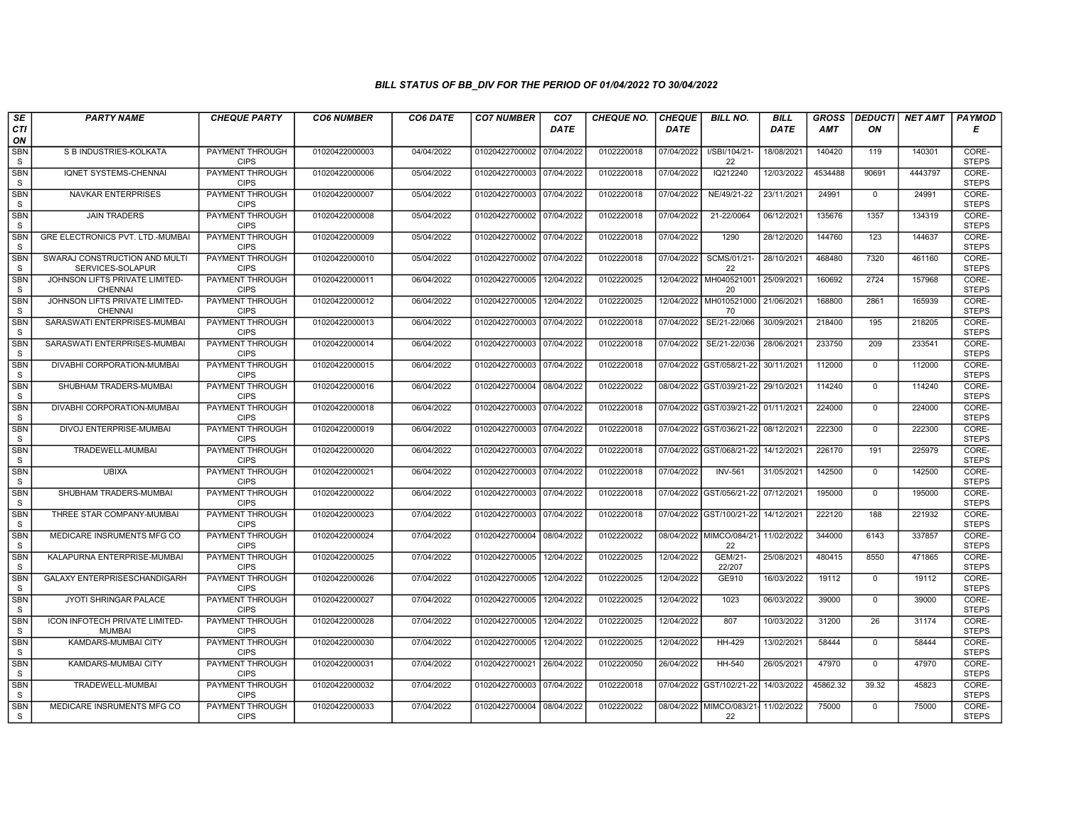| SE                        | <b>PARTY NAME</b>                                 | <b>CHEQUE PARTY</b>                   | <b>CO6 NUMBER</b> | CO6 DATE   | <b>CO7 NUMBER</b>         | CO <sub>7</sub> | <b>CHEQUE NO.</b> | <b>CHEQUE</b> | <b>BILL NO.</b>                     | <b>BILL</b> | <b>GROSS</b> |              | <b>DEDUCTI NET AMT</b> | <b>PAYMOD</b>         |
|---------------------------|---------------------------------------------------|---------------------------------------|-------------------|------------|---------------------------|-----------------|-------------------|---------------|-------------------------------------|-------------|--------------|--------------|------------------------|-----------------------|
| <b>CTI</b><br>ON          |                                                   |                                       |                   |            |                           | <b>DATE</b>     |                   | DATE          |                                     | <b>DATE</b> | AMT          | ON           |                        | Е                     |
| <b>SBN</b><br>S           | S B INDUSTRIES-KOLKATA                            | <b>PAYMENT THROUGH</b><br><b>CIPS</b> | 01020422000003    | 04/04/2022 | 01020422700002 07/04/2022 |                 | 0102220018        | 07/04/2022    | I/SBI/104/21-<br>22                 | 18/08/2021  | 140420       | 119          | 140301                 | CORE-<br><b>STEPS</b> |
| <b>SBN</b><br>S           | IQNET SYSTEMS-CHENNAI                             | <b>PAYMENT THROUGH</b><br><b>CIPS</b> | 01020422000006    | 05/04/2022 | 01020422700003 07/04/2022 |                 | 0102220018        | 07/04/2022    | IQ212240                            | 12/03/2022  | 4534488      | 90691        | 4443797                | CORE-<br><b>STEPS</b> |
| <b>SBN</b><br>S           | <b>NAVKAR ENTERPRISES</b>                         | <b>PAYMENT THROUGH</b><br><b>CIPS</b> | 01020422000007    | 05/04/2022 | 01020422700003 07/04/2022 |                 | 0102220018        | 07/04/2022    | NE/49/21-22                         | 23/11/2021  | 24991        | $\mathbf 0$  | 24991                  | CORE-<br><b>STEPS</b> |
| <b>SBN</b><br>S           | <b>JAIN TRADERS</b>                               | <b>PAYMENT THROUGH</b><br><b>CIPS</b> | 01020422000008    | 05/04/2022 | 01020422700002 07/04/2022 |                 | 0102220018        | 07/04/2022    | 21-22/0064                          | 06/12/2021  | 135676       | 1357         | 134319                 | CORE-<br><b>STEPS</b> |
| <b>SBN</b><br>S           | GRE ELECTRONICS PVT. LTD.-MUMBAI                  | <b>PAYMENT THROUGH</b><br><b>CIPS</b> | 01020422000009    | 05/04/2022 | 01020422700002 07/04/2022 |                 | 0102220018        | 07/04/2022    | 1290                                | 28/12/2020  | 144760       | 123          | 144637                 | CORE-<br><b>STEPS</b> |
| <b>SBN</b><br>S           | SWARAJ CONSTRUCTION AND MULTI<br>SERVICES-SOLAPUR | <b>PAYMENT THROUGH</b><br><b>CIPS</b> | 01020422000010    | 05/04/2022 | 01020422700002 07/04/2022 |                 | 0102220018        | 07/04/2022    | SCMS/01/21-<br>22                   | 28/10/2021  | 468480       | 7320         | 461160                 | CORE-<br><b>STEPS</b> |
| SBN<br>S                  | JOHNSON LIFTS PRIVATE LIMITED-<br><b>CHENNAI</b>  | PAYMENT THROUGH<br><b>CIPS</b>        | 01020422000011    | 06/04/2022 | 01020422700005            | 12/04/2022      | 0102220025        | 12/04/2022    | MH040521001<br>20                   | 25/09/2021  | 160692       | 2724         | 157968                 | CORE-<br><b>STEPS</b> |
| <b>SBN</b><br>S           | JOHNSON LIFTS PRIVATE LIMITED-<br><b>CHENNAI</b>  | <b>PAYMENT THROUGH</b><br><b>CIPS</b> | 01020422000012    | 06/04/2022 | 01020422700005            | 12/04/2022      | 0102220025        | 12/04/2022    | MH010521000<br>70                   | 21/06/2021  | 168800       | 2861         | 165939                 | CORE-<br><b>STEPS</b> |
| <b>SBN</b><br>S           | SARASWATI ENTERPRISES-MUMBAI                      | <b>PAYMENT THROUGH</b><br><b>CIPS</b> | 01020422000013    | 06/04/2022 | 01020422700003            | 07/04/2022      | 0102220018        | 07/04/2022    | SE/21-22/066                        | 30/09/2021  | 218400       | 195          | 218205                 | CORE-<br><b>STEPS</b> |
| <b>SBN</b><br>S           | SARASWATI ENTERPRISES-MUMBAI                      | <b>PAYMENT THROUGH</b><br><b>CIPS</b> | 01020422000014    | 06/04/2022 | 01020422700003            | 07/04/2022      | 0102220018        | 07/04/2022    | SE/21-22/036                        | 28/06/2021  | 233750       | 209          | 233541                 | CORE-<br><b>STEPS</b> |
| <b>SBN</b><br>S           | DIVABHI CORPORATION-MUMBAI                        | PAYMENT THROUGH<br><b>CIPS</b>        | 01020422000015    | 06/04/2022 | 01020422700003 07/04/2022 |                 | 0102220018        |               | 07/04/2022 GST/058/21-22            | 30/11/2021  | 112000       | $\mathbf{0}$ | 112000                 | CORE-<br><b>STEPS</b> |
| <b>SBN</b><br>S           | SHUBHAM TRADERS-MUMBAI                            | <b>PAYMENT THROUGH</b><br><b>CIPS</b> | 01020422000016    | 06/04/2022 | 01020422700004 08/04/2022 |                 | 0102220022        |               | 08/04/2022 GST/039/21-22            | 29/10/2021  | 114240       | $\Omega$     | 114240                 | CORE-<br><b>STEPS</b> |
| <b>SBN</b><br>S           | DIVABHI CORPORATION-MUMBAI                        | <b>PAYMENT THROUGH</b><br><b>CIPS</b> | 01020422000018    | 06/04/2022 | 01020422700003 07/04/2022 |                 | 0102220018        |               | 07/04/2022 GST/039/21-22 01/11/2021 |             | 224000       | $\mathbf 0$  | 224000                 | CORE-<br><b>STEPS</b> |
| <b>SBN</b><br>S           | DIVOJ ENTERPRISE-MUMBAI                           | <b>PAYMENT THROUGH</b><br><b>CIPS</b> | 01020422000019    | 06/04/2022 | 01020422700003 07/04/2022 |                 | 0102220018        |               | 07/04/2022 GST/036/21-22 08/12/2021 |             | 222300       | $\mathbf{0}$ | 222300                 | CORE-<br><b>STEPS</b> |
| <b>SBN</b><br>S           | TRADEWELL-MUMBAI                                  | <b>PAYMENT THROUGH</b><br><b>CIPS</b> | 01020422000020    | 06/04/2022 | 01020422700003            | 07/04/2022      | 0102220018        | 07/04/2022    | GST/068/21-22                       | 14/12/2021  | 226170       | 191          | 225979                 | CORE-<br><b>STEPS</b> |
| <b>SBN</b><br>$\mathbf S$ | <b>UBIXA</b>                                      | <b>PAYMENT THROUGH</b><br><b>CIPS</b> | 01020422000021    | 06/04/2022 | 01020422700003 07/04/2022 |                 | 0102220018        | 07/04/2022    | <b>INV-561</b>                      | 31/05/2021  | 142500       | $\Omega$     | 142500                 | CORE-<br><b>STEPS</b> |
| <b>SBN</b><br>S           | SHUBHAM TRADERS-MUMBAI                            | PAYMENT THROUGH<br><b>CIPS</b>        | 01020422000022    | 06/04/2022 | 01020422700003 07/04/2022 |                 | 0102220018        | 07/04/2022    | GST/056/21-22                       | 07/12/2021  | 195000       | $\mathbf{0}$ | 195000                 | CORE-<br><b>STEPS</b> |
| <b>SBN</b><br>S           | THREE STAR COMPANY-MUMBAI                         | <b>PAYMENT THROUGH</b><br><b>CIPS</b> | 01020422000023    | 07/04/2022 | 01020422700003 07/04/2022 |                 | 0102220018        |               | 07/04/2022 GST/100/21-22            | 14/12/2021  | 222120       | 188          | 221932                 | CORE-<br><b>STEPS</b> |
| <b>SBN</b><br>S           | MEDICARE INSRUMENTS MFG CO                        | PAYMENT THROUGH<br><b>CIPS</b>        | 01020422000024    | 07/04/2022 | 01020422700004            | 08/04/2022      | 0102220022        |               | 08/04/2022 MIMCO/084/21-<br>22      | 11/02/2022  | 344000       | 6143         | 337857                 | CORE-<br><b>STEPS</b> |
| <b>SBN</b><br>S           | KALAPURNA ENTERPRISE-MUMBAI                       | PAYMENT THROUGH<br><b>CIPS</b>        | 01020422000025    | 07/04/2022 | 01020422700005            | 12/04/2022      | 0102220025        | 12/04/2022    | GEM/21-<br>22/207                   | 25/08/2021  | 480415       | 8550         | 471865                 | CORE-<br><b>STEPS</b> |
| <b>SBN</b><br>S           | GALAXY ENTERPRISESCHANDIGARH                      | PAYMENT THROUGH<br><b>CIPS</b>        | 01020422000026    | 07/04/2022 | 01020422700005            | 12/04/2022      | 0102220025        | 12/04/2022    | GE910                               | 16/03/2022  | 19112        | $\mathbf{0}$ | 19112                  | CORE-<br><b>STEPS</b> |
| <b>SBN</b><br>S           | JYOTI SHRINGAR PALACE                             | PAYMENT THROUGH<br><b>CIPS</b>        | 01020422000027    | 07/04/2022 | 01020422700005            | 12/04/2022      | 0102220025        | 12/04/2022    | 1023                                | 06/03/2022  | 39000        | $\mathbf 0$  | 39000                  | CORE-<br><b>STEPS</b> |
| SBN<br>S                  | ICON INFOTECH PRIVATE LIMITED-<br><b>MUMBAI</b>   | PAYMENT THROUGH<br><b>CIPS</b>        | 01020422000028    | 07/04/2022 | 01020422700005            | 12/04/2022      | 0102220025        | 12/04/2022    | 807                                 | 10/03/2022  | 31200        | 26           | 31174                  | CORE-<br><b>STEPS</b> |
| <b>SBN</b><br>S           | KAMDARS-MUMBAI CITY                               | PAYMENT THROUGH<br><b>CIPS</b>        | 01020422000030    | 07/04/2022 | 01020422700005            | 12/04/2022      | 0102220025        | 12/04/2022    | <b>HH-429</b>                       | 13/02/2021  | 58444        | $\mathbf{0}$ | 58444                  | CORE-<br><b>STEPS</b> |
| <b>SBN</b><br>S           | KAMDARS-MUMBAI CITY                               | PAYMENT THROUGH<br><b>CIPS</b>        | 01020422000031    | 07/04/2022 | 01020422700021 26/04/2022 |                 | 0102220050        | 26/04/2022    | <b>HH-540</b>                       | 26/05/2021  | 47970        | $\Omega$     | 47970                  | CORE-<br><b>STEPS</b> |
| <b>SBN</b><br>S           | TRADEWELL-MUMBAI                                  | <b>PAYMENT THROUGH</b><br><b>CIPS</b> | 01020422000032    | 07/04/2022 | 01020422700003 07/04/2022 |                 | 0102220018        |               | 07/04/2022 GST/102/21-22            | 14/03/2022  | 45862.32     | 39.32        | 45823                  | CORE-<br><b>STEPS</b> |
| <b>SBN</b><br>S           | MEDICARE INSRUMENTS MFG CO                        | PAYMENT THROUGH<br><b>CIPS</b>        | 01020422000033    | 07/04/2022 | 01020422700004 08/04/2022 |                 | 0102220022        | 08/04/2022    | MIMCO/083/21-<br>22                 | 11/02/2022  | 75000        | $\mathbf{0}$ | 75000                  | CORE-<br><b>STEPS</b> |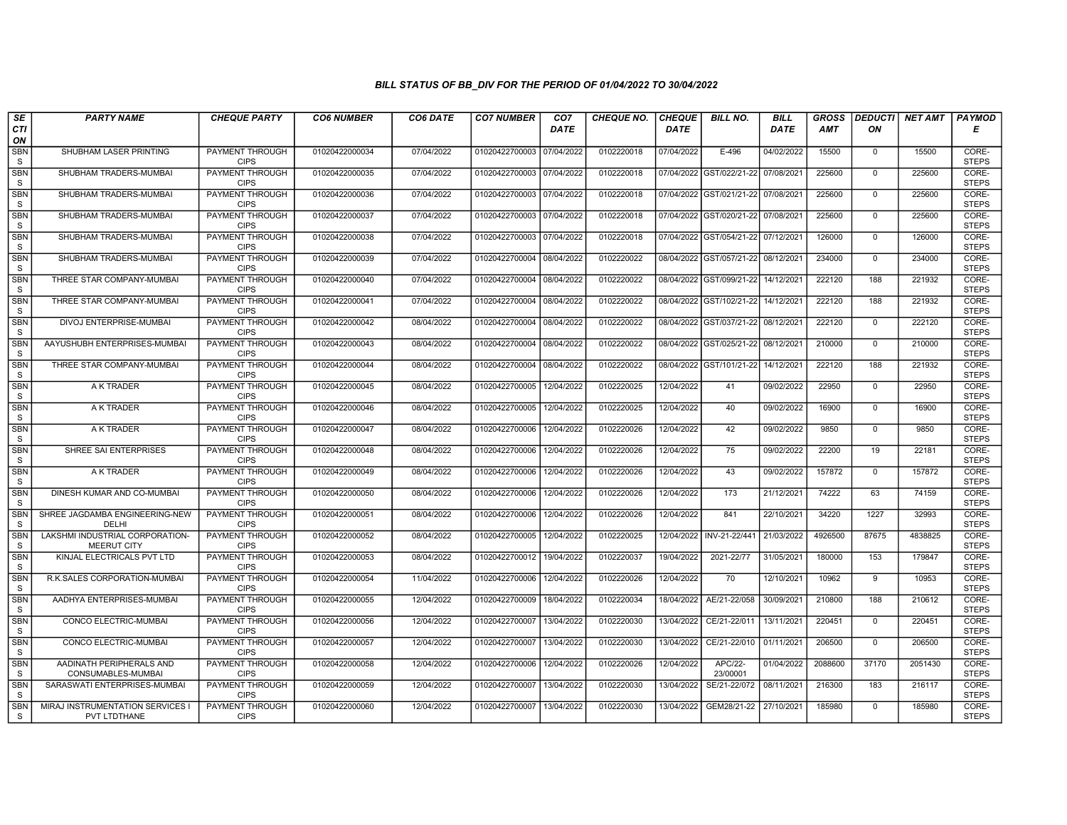| SE                        | <b>PARTY NAME</b>                                     | <b>CHEQUE PARTY</b>                   | <b>CO6 NUMBER</b> | CO6 DATE   | <b>CO7 NUMBER</b>         | CO <sub>7</sub> | <b>CHEQUE NO.</b> | <b>CHEQUE</b> | <b>BILL NO.</b>                     | <b>BILL</b> | <b>GROSS</b> | <b>DEDUCTI</b> | NET AMT | <b>PAYMOD</b>         |
|---------------------------|-------------------------------------------------------|---------------------------------------|-------------------|------------|---------------------------|-----------------|-------------------|---------------|-------------------------------------|-------------|--------------|----------------|---------|-----------------------|
| <b>CTI</b><br>ON          |                                                       |                                       |                   |            |                           | <b>DATE</b>     |                   | DATE          |                                     | <b>DATE</b> | AMT          | ON             |         | Е                     |
| <b>SBN</b><br>S           | SHUBHAM LASER PRINTING                                | PAYMENT THROUGH<br><b>CIPS</b>        | 01020422000034    | 07/04/2022 | 01020422700003 07/04/2022 |                 | 0102220018        | 07/04/2022    | $E-496$                             | 04/02/2022  | 15500        | $\mathbf{0}$   | 15500   | CORE-<br><b>STEPS</b> |
| <b>SBN</b><br>S           | SHUBHAM TRADERS-MUMBAI                                | <b>PAYMENT THROUGH</b><br><b>CIPS</b> | 01020422000035    | 07/04/2022 | 01020422700003 07/04/2022 |                 | 0102220018        |               | 07/04/2022 GST/022/21-22            | 07/08/2021  | 225600       | $\mathbf{0}$   | 225600  | CORE-<br><b>STEPS</b> |
| <b>SBN</b><br>$\mathbf S$ | SHUBHAM TRADERS-MUMBAI                                | PAYMENT THROUGH<br><b>CIPS</b>        | 01020422000036    | 07/04/2022 | 01020422700003 07/04/2022 |                 | 0102220018        |               | 07/04/2022 GST/021/21-22            | 07/08/2021  | 225600       | $\mathbf 0$    | 225600  | CORE-<br><b>STEPS</b> |
| <b>SBN</b><br>S           | SHUBHAM TRADERS-MUMBAI                                | <b>PAYMENT THROUGH</b><br><b>CIPS</b> | 01020422000037    | 07/04/2022 | 01020422700003 07/04/2022 |                 | 0102220018        | 07/04/2022    | GST/020/21-22                       | 07/08/2021  | 225600       | $\mathbf 0$    | 225600  | CORE-<br><b>STEPS</b> |
| <b>SBN</b><br>S           | SHUBHAM TRADERS-MUMBAI                                | <b>PAYMENT THROUGH</b><br><b>CIPS</b> | 01020422000038    | 07/04/2022 | 01020422700003 07/04/2022 |                 | 0102220018        |               | 07/04/2022 GST/054/21-22            | 07/12/2021  | 126000       | 0              | 126000  | CORE-<br><b>STEPS</b> |
| <b>SBN</b><br>S           | SHUBHAM TRADERS-MUMBAI                                | <b>PAYMENT THROUGH</b><br><b>CIPS</b> | 01020422000039    | 07/04/2022 | 01020422700004 08/04/2022 |                 | 0102220022        |               | 08/04/2022 GST/057/21-22 08/12/2021 |             | 234000       | $\Omega$       | 234000  | CORE-<br><b>STEPS</b> |
| SBN<br>S                  | THREE STAR COMPANY-MUMBAI                             | PAYMENT THROUGH<br><b>CIPS</b>        | 01020422000040    | 07/04/2022 | 01020422700004 08/04/2022 |                 | 0102220022        |               | 08/04/2022 GST/099/21-22            | 14/12/2021  | 222120       | 188            | 221932  | CORE-<br><b>STEPS</b> |
| <b>SBN</b><br>$\mathbf S$ | THREE STAR COMPANY-MUMBAI                             | PAYMENT THROUGH<br><b>CIPS</b>        | 01020422000041    | 07/04/2022 | 01020422700004 08/04/2022 |                 | 0102220022        |               | 08/04/2022 GST/102/21-22            | 14/12/2021  | 222120       | 188            | 221932  | CORE-<br><b>STEPS</b> |
| <b>SBN</b><br>S           | DIVOJ ENTERPRISE-MUMBAI                               | <b>PAYMENT THROUGH</b><br><b>CIPS</b> | 01020422000042    | 08/04/2022 | 01020422700004            | 08/04/2022      | 0102220022        |               | 08/04/2022 GST/037/21-22            | 08/12/2021  | 222120       | $\mathbf 0$    | 222120  | CORE-<br><b>STEPS</b> |
| <b>SBN</b><br>S           | AAYUSHUBH ENTERPRISES-MUMBAI                          | <b>PAYMENT THROUGH</b><br><b>CIPS</b> | 01020422000043    | 08/04/2022 | 01020422700004            | 08/04/2022      | 0102220022        |               | 08/04/2022 GST/025/21-22            | 08/12/2021  | 210000       | $\mathbf 0$    | 210000  | CORE-<br><b>STEPS</b> |
| <b>SBN</b><br>S           | THREE STAR COMPANY-MUMBAI                             | PAYMENT THROUGH<br><b>CIPS</b>        | 01020422000044    | 08/04/2022 | 01020422700004            | 08/04/2022      | 0102220022        |               | 08/04/2022 GST/101/21-22            | 14/12/2021  | 222120       | 188            | 221932  | CORE-<br><b>STEPS</b> |
| <b>SBN</b><br>S           | A K TRADER                                            | <b>PAYMENT THROUGH</b><br><b>CIPS</b> | 01020422000045    | 08/04/2022 | 01020422700005            | 12/04/2022      | 0102220025        | 12/04/2022    | 41                                  | 09/02/2022  | 22950        | $\Omega$       | 22950   | CORE-<br><b>STEPS</b> |
| <b>SBN</b><br>S           | A K TRADER                                            | PAYMENT THROUGH<br><b>CIPS</b>        | 01020422000046    | 08/04/2022 | 01020422700005            | 12/04/2022      | 0102220025        | 12/04/2022    | 40                                  | 09/02/2022  | 16900        | $\mathbf 0$    | 16900   | CORE-<br><b>STEPS</b> |
| <b>SBN</b><br>S           | A K TRADER                                            | <b>PAYMENT THROUGH</b><br><b>CIPS</b> | 01020422000047    | 08/04/2022 | 01020422700006            | 12/04/2022      | 0102220026        | 12/04/2022    | 42                                  | 09/02/2022  | 9850         | $\mathbf{0}$   | 9850    | CORE-<br><b>STEPS</b> |
| <b>SBN</b><br>S           | SHREE SAI ENTERPRISES                                 | PAYMENT THROUGH<br><b>CIPS</b>        | 01020422000048    | 08/04/2022 | 01020422700006            | 12/04/2022      | 0102220026        | 12/04/2022    | 75                                  | 09/02/2022  | 22200        | 19             | 22181   | CORE-<br><b>STEPS</b> |
| <b>SBN</b><br>S           | A K TRADER                                            | PAYMENT THROUGH<br><b>CIPS</b>        | 01020422000049    | 08/04/2022 | 01020422700006            | 12/04/2022      | 0102220026        | 12/04/2022    | 43                                  | 09/02/2022  | 157872       | $\mathbf{0}$   | 157872  | CORE-<br><b>STEPS</b> |
| <b>SBN</b><br>S           | DINESH KUMAR AND CO-MUMBAI                            | <b>PAYMENT THROUGH</b><br><b>CIPS</b> | 01020422000050    | 08/04/2022 | 01020422700006            | 12/04/2022      | 0102220026        | 12/04/2022    | 173                                 | 21/12/2021  | 74222        | 63             | 74159   | CORE-<br><b>STEPS</b> |
| <b>SBN</b><br>S           | SHREE JAGDAMBA ENGINEERING-NEW<br>DELHI               | <b>PAYMENT THROUGH</b><br><b>CIPS</b> | 01020422000051    | 08/04/2022 | 01020422700006            | 12/04/2022      | 0102220026        | 12/04/2022    | 841                                 | 22/10/2021  | 34220        | 1227           | 32993   | CORE-<br><b>STEPS</b> |
| <b>SBN</b><br>S           | LAKSHMI INDUSTRIAL CORPORATION-<br><b>MEERUT CITY</b> | PAYMENT THROUGH<br><b>CIPS</b>        | 01020422000052    | 08/04/2022 | 01020422700005            | 12/04/2022      | 0102220025        |               | 12/04/2022 INV-21-22/441            | 21/03/2022  | 4926500      | 87675          | 4838825 | CORE-<br><b>STEPS</b> |
| <b>SBN</b><br>S           | KINJAL ELECTRICALS PVT LTD                            | PAYMENT THROUGH<br><b>CIPS</b>        | 01020422000053    | 08/04/2022 | 01020422700012            | 19/04/2022      | 0102220037        | 19/04/2022    | 2021-22/77                          | 31/05/2021  | 180000       | 153            | 179847  | CORE-<br><b>STEPS</b> |
| <b>SBN</b><br>S           | R.K. SALES CORPORATION-MUMBAI                         | PAYMENT THROUGH<br><b>CIPS</b>        | 01020422000054    | 11/04/2022 | 01020422700006            | 12/04/2022      | 0102220026        | 12/04/2022    | 70                                  | 12/10/2021  | 10962        | 9              | 10953   | CORE-<br><b>STEPS</b> |
| <b>SBN</b><br>S           | AADHYA ENTERPRISES-MUMBAI                             | <b>PAYMENT THROUGH</b><br><b>CIPS</b> | 01020422000055    | 12/04/2022 | 01020422700009            | 18/04/2022      | 0102220034        | 18/04/2022    | AE/21-22/058                        | 30/09/2021  | 210800       | 188            | 210612  | CORE-<br><b>STEPS</b> |
| <b>SBN</b><br>S           | CONCO ELECTRIC-MUMBAI                                 | PAYMENT THROUGH<br><b>CIPS</b>        | 01020422000056    | 12/04/2022 | 01020422700007            | 13/04/2022      | 0102220030        | 13/04/2022    | CE/21-22/011                        | 13/11/2021  | 220451       | $\mathbf 0$    | 220451  | CORE-<br><b>STEPS</b> |
| <b>SBN</b><br>S           | CONCO ELECTRIC-MUMBAI                                 | PAYMENT THROUGH<br><b>CIPS</b>        | 01020422000057    | 12/04/2022 | 01020422700007            | 13/04/2022      | 0102220030        | 13/04/2022    | CE/21-22/010                        | 01/11/2021  | 206500       | $\mathbf{0}$   | 206500  | CORE-<br><b>STEPS</b> |
| <b>SBN</b><br>S           | AADINATH PERIPHERALS AND<br>CONSUMABLES-MUMBAI        | PAYMENT THROUGH<br><b>CIPS</b>        | 01020422000058    | 12/04/2022 | 01020422700006            | 12/04/2022      | 0102220026        | 12/04/2022    | APC/22-<br>23/00001                 | 01/04/2022  | 2088600      | 37170          | 2051430 | CORE-<br><b>STEPS</b> |
| <b>SBN</b><br>S           | SARASWATI ENTERPRISES-MUMBAI                          | <b>PAYMENT THROUGH</b><br><b>CIPS</b> | 01020422000059    | 12/04/2022 | 01020422700007            | 13/04/2022      | 0102220030        | 13/04/2022    | SE/21-22/072                        | 08/11/2021  | 216300       | 183            | 216117  | CORE-<br><b>STEPS</b> |
| <b>SBN</b><br>S           | MIRAJ INSTRUMENTATION SERVICES I<br>PVT LTDTHANE      | PAYMENT THROUGH<br><b>CIPS</b>        | 01020422000060    | 12/04/2022 | 01020422700007            | 13/04/2022      | 0102220030        | 13/04/2022    | GEM28/21-22                         | 27/10/2021  | 185980       | $\mathbf{0}$   | 185980  | CORE-<br><b>STEPS</b> |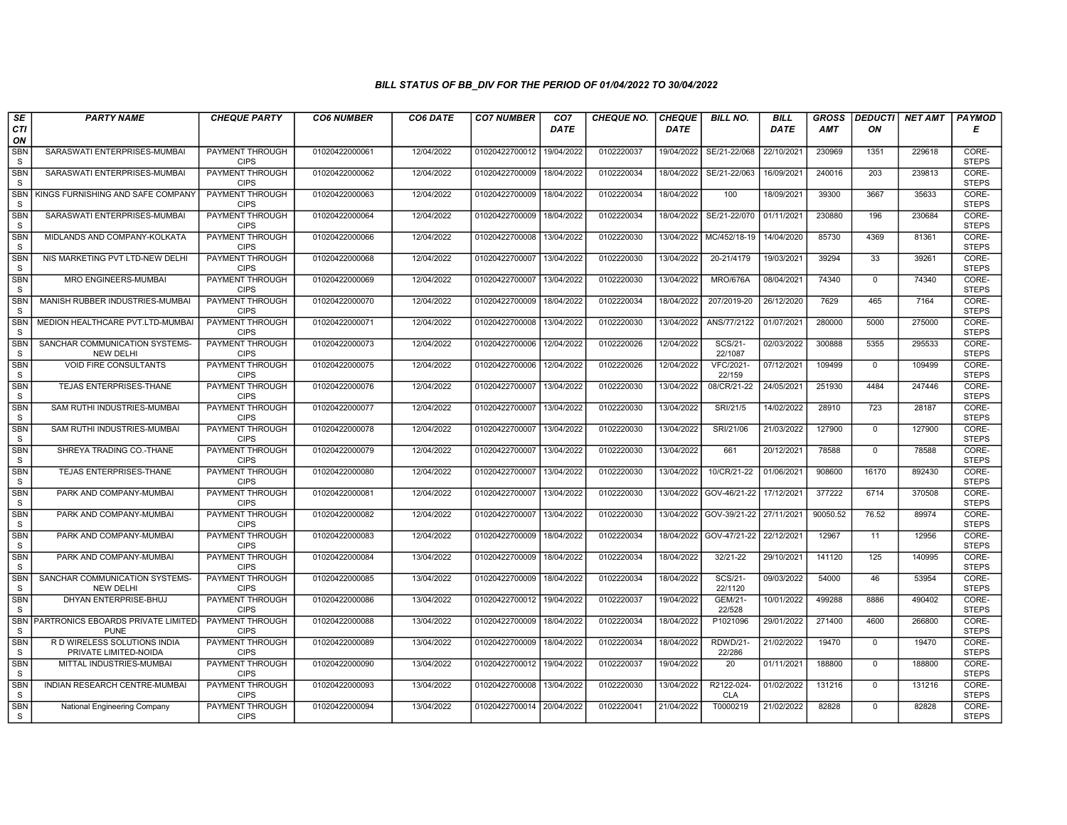| SE                         | <b>PARTY NAME</b>                                     | <b>CHEQUE PARTY</b>                   | <b>CO6 NUMBER</b> | CO6 DATE   | <b>CO7 NUMBER</b>         | CO <sub>7</sub> | <b>CHEQUE NO.</b> | <b>CHEQUE</b> | <b>BILL NO.</b>          | <b>BILL</b> | <b>GROSS</b> | <b>DEDUCTI</b> | NET AMT | <b>PAYMOD</b>         |
|----------------------------|-------------------------------------------------------|---------------------------------------|-------------------|------------|---------------------------|-----------------|-------------------|---------------|--------------------------|-------------|--------------|----------------|---------|-----------------------|
| CTI<br>ON                  |                                                       |                                       |                   |            |                           | <b>DATE</b>     |                   | DATE          |                          | <b>DATE</b> | AMT          | ON             |         | Е                     |
| <b>SBN</b><br>S            | SARASWATI ENTERPRISES-MUMBAI                          | <b>PAYMENT THROUGH</b><br><b>CIPS</b> | 01020422000061    | 12/04/2022 | 01020422700012            | 19/04/2022      | 0102220037        | 19/04/2022    | SE/21-22/068             | 22/10/2021  | 230969       | 1351           | 229618  | CORE-<br><b>STEPS</b> |
| SBN<br><sub>S</sub>        | SARASWATI ENTERPRISES-MUMBAI                          | <b>PAYMENT THROUGH</b><br><b>CIPS</b> | 01020422000062    | 12/04/2022 | 01020422700009            | 18/04/2022      | 0102220034        | 18/04/2022    | SE/21-22/063             | 16/09/2021  | 240016       | 203            | 239813  | CORE-<br><b>STEPS</b> |
| <b>SBN</b><br>S            | KINGS FURNISHING AND SAFE COMPANY                     | PAYMENT THROUGH<br><b>CIPS</b>        | 01020422000063    | 12/04/2022 | 01020422700009            | 18/04/2022      | 0102220034        | 18/04/2022    | 100                      | 18/09/2021  | 39300        | 3667           | 35633   | CORE-<br><b>STEPS</b> |
| <b>SBN</b><br>S            | SARASWATI ENTERPRISES-MUMBAI                          | PAYMENT THROUGH<br><b>CIPS</b>        | 01020422000064    | 12/04/2022 | 01020422700009            | 18/04/2022      | 0102220034        | 18/04/2022    | SE/21-22/070             | 01/11/2021  | 230880       | 196            | 230684  | CORE-<br><b>STEPS</b> |
| <b>SBN</b><br>S            | MIDLANDS AND COMPANY-KOLKATA                          | <b>PAYMENT THROUGH</b><br><b>CIPS</b> | 01020422000066    | 12/04/2022 | 01020422700008            | 13/04/2022      | 0102220030        | 13/04/2022    | MC/452/18-19             | 14/04/2020  | 85730        | 4369           | 81361   | CORE-<br><b>STEPS</b> |
| <b>SBN</b><br><sub>S</sub> | NIS MARKETING PVT LTD-NEW DELHI                       | <b>PAYMENT THROUGH</b><br><b>CIPS</b> | 01020422000068    | 12/04/2022 | 01020422700007 13/04/2022 |                 | 0102220030        | 13/04/2022    | 20-21/4179               | 19/03/2021  | 39294        | 33             | 39261   | CORE-<br><b>STEPS</b> |
| SBN<br>S                   | MRO ENGINEERS-MUMBAI                                  | PAYMENT THROUGH<br><b>CIPS</b>        | 01020422000069    | 12/04/2022 | 01020422700007            | 13/04/2022      | 0102220030        | 13/04/2022    | <b>MRO/676A</b>          | 08/04/2021  | 74340        | $\mathbf{0}$   | 74340   | CORE-<br><b>STEPS</b> |
| <b>SBN</b><br><sub>S</sub> | MANISH RUBBER INDUSTRIES-MUMBAI                       | <b>PAYMENT THROUGH</b><br><b>CIPS</b> | 01020422000070    | 12/04/2022 | 01020422700009            | 18/04/2022      | 0102220034        | 18/04/2022    | 207/2019-20              | 26/12/2020  | 7629         | 465            | 7164    | CORE-<br><b>STEPS</b> |
| SBN<br><sub>S</sub>        | MEDION HEALTHCARE PVT.LTD-MUMBAI                      | PAYMENT THROUGH<br><b>CIPS</b>        | 01020422000071    | 12/04/2022 | 01020422700008            | 13/04/2022      | 0102220030        | 13/04/2022    | ANS/77/2122              | 01/07/2021  | 280000       | 5000           | 275000  | CORE-<br><b>STEPS</b> |
| <b>SBN</b><br>S            | SANCHAR COMMUNICATION SYSTEMS-<br><b>NEW DELHI</b>    | <b>PAYMENT THROUGH</b><br><b>CIPS</b> | 01020422000073    | 12/04/2022 | 01020422700006            | 12/04/2022      | 0102220026        | 12/04/2022    | SCS/21-<br>22/1087       | 02/03/2022  | 300888       | 5355           | 295533  | CORE-<br><b>STEPS</b> |
| SBN<br><sub>S</sub>        | <b>VOID FIRE CONSULTANTS</b>                          | PAYMENT THROUGH<br><b>CIPS</b>        | 01020422000075    | 12/04/2022 | 01020422700006            | 12/04/2022      | 0102220026        | 12/04/2022    | VFC/2021-<br>22/159      | 07/12/2021  | 109499       | $\mathbf{0}$   | 109499  | CORE-<br><b>STEPS</b> |
| <b>SBN</b><br>S            | TEJAS ENTERPRISES-THANE                               | PAYMENT THROUGH<br><b>CIPS</b>        | 01020422000076    | 12/04/2022 | 01020422700007            | 13/04/2022      | 0102220030        | 13/04/2022    | 08/CR/21-22              | 24/05/2021  | 251930       | 4484           | 247446  | CORE-<br><b>STEPS</b> |
| <b>SBN</b><br>S            | SAM RUTHI INDUSTRIES-MUMBAI                           | <b>PAYMENT THROUGH</b><br><b>CIPS</b> | 01020422000077    | 12/04/2022 | 01020422700007            | 13/04/2022      | 0102220030        | 13/04/2022    | SRI/21/5                 | 14/02/2022  | 28910        | 723            | 28187   | CORE-<br><b>STEPS</b> |
| <b>SBN</b><br>S            | SAM RUTHI INDUSTRIES-MUMBAI                           | <b>PAYMENT THROUGH</b><br><b>CIPS</b> | 01020422000078    | 12/04/2022 | 01020422700007            | 13/04/2022      | 0102220030        | 13/04/2022    | SRI/21/06                | 21/03/2022  | 127900       | $\mathbf{0}$   | 127900  | CORE-<br><b>STEPS</b> |
| SBN<br>S                   | SHREYA TRADING CO.-THANE                              | PAYMENT THROUGH<br><b>CIPS</b>        | 01020422000079    | 12/04/2022 | 01020422700007            | 13/04/2022      | 0102220030        | 13/04/2022    | 661                      | 20/12/2021  | 78588        | $\Omega$       | 78588   | CORE-<br><b>STEPS</b> |
| <b>SBN</b><br>${\tt S}$    | TEJAS ENTERPRISES-THANE                               | <b>PAYMENT THROUGH</b><br><b>CIPS</b> | 01020422000080    | 12/04/2022 | 01020422700007            | 13/04/2022      | 0102220030        | 13/04/2022    | 10/CR/21-22              | 01/06/2021  | 908600       | 16170          | 892430  | CORE-<br><b>STEPS</b> |
| <b>SBN</b><br>S            | PARK AND COMPANY-MUMBAI                               | PAYMENT THROUGH<br><b>CIPS</b>        | 01020422000081    | 12/04/2022 | 01020422700007            | 13/04/2022      | 0102220030        | 13/04/2022    | GOV-46/21-22             | 17/12/2021  | 377222       | 6714           | 370508  | CORE-<br><b>STEPS</b> |
| <b>SBN</b><br>S            | PARK AND COMPANY-MUMBAI                               | <b>PAYMENT THROUGH</b><br><b>CIPS</b> | 01020422000082    | 12/04/2022 | 01020422700007            | 13/04/2022      | 0102220030        | 13/04/2022    | GOV-39/21-22             | 27/11/2021  | 90050.52     | 76.52          | 89974   | CORE-<br><b>STEPS</b> |
| <b>SBN</b><br>S            | PARK AND COMPANY-MUMBAI                               | PAYMENT THROUGH<br><b>CIPS</b>        | 01020422000083    | 12/04/2022 | 01020422700009            | 18/04/2022      | 0102220034        | 18/04/2022    | GOV-47/21-22             | 22/12/2021  | 12967        | 11             | 12956   | CORE-<br><b>STEPS</b> |
| <b>SBN</b><br>S            | PARK AND COMPANY-MUMBAI                               | PAYMENT THROUGH<br><b>CIPS</b>        | 01020422000084    | 13/04/2022 | 01020422700009            | 18/04/2022      | 0102220034        | 18/04/2022    | 32/21-22                 | 29/10/2021  | 141120       | 125            | 140995  | CORE-<br><b>STEPS</b> |
| <b>SBN</b><br><sub>S</sub> | SANCHAR COMMUNICATION SYSTEMS-<br><b>NEW DELHI</b>    | <b>PAYMENT THROUGH</b><br><b>CIPS</b> | 01020422000085    | 13/04/2022 | 01020422700009            | 18/04/2022      | 0102220034        | 18/04/2022    | SCS/21-<br>22/1120       | 09/03/2022  | 54000        | 46             | 53954   | CORE-<br><b>STEPS</b> |
| <b>SBN</b><br><sub>S</sub> | DHYAN ENTERPRISE-BHUJ                                 | <b>PAYMENT THROUGH</b><br><b>CIPS</b> | 01020422000086    | 13/04/2022 | 01020422700012            | 19/04/2022      | 0102220037        | 19/04/2022    | <b>GEM/21-</b><br>22/528 | 10/01/2022  | 499288       | 8886           | 490402  | CORE-<br><b>STEPS</b> |
| SBN<br>S                   | PARTRONICS EBOARDS PRIVATE LIMITED<br><b>PUNE</b>     | PAYMENT THROUGH<br><b>CIPS</b>        | 01020422000088    | 13/04/2022 | 01020422700009            | 18/04/2022      | 0102220034        | 18/04/2022    | P1021096                 | 29/01/2022  | 271400       | 4600           | 266800  | CORE-<br><b>STEPS</b> |
| <b>SBN</b><br>S            | R D WIRELESS SOLUTIONS INDIA<br>PRIVATE LIMITED-NOIDA | PAYMENT THROUGH<br><b>CIPS</b>        | 01020422000089    | 13/04/2022 | 01020422700009            | 18/04/2022      | 0102220034        | 18/04/2022    | RDWD/21-<br>22/286       | 21/02/2022  | 19470        | $\mathbf 0$    | 19470   | CORE-<br><b>STEPS</b> |
| <b>SBN</b><br>S            | MITTAL INDUSTRIES-MUMBAI                              | PAYMENT THROUGH<br><b>CIPS</b>        | 01020422000090    | 13/04/2022 | 01020422700012            | 19/04/2022      | 0102220037        | 19/04/2022    | 20                       | 01/11/2021  | 188800       | $\Omega$       | 188800  | CORE-<br><b>STEPS</b> |
| <b>SBN</b><br>S            | INDIAN RESEARCH CENTRE-MUMBAI                         | <b>PAYMENT THROUGH</b><br><b>CIPS</b> | 01020422000093    | 13/04/2022 | 01020422700008            | 13/04/2022      | 0102220030        | 13/04/2022    | R2122-024-<br><b>CLA</b> | 01/02/2022  | 131216       | $\mathbf 0$    | 131216  | CORE-<br><b>STEPS</b> |
| <b>SBN</b><br>S.           | National Engineering Company                          | PAYMENT THROUGH<br><b>CIPS</b>        | 01020422000094    | 13/04/2022 | 01020422700014 20/04/2022 |                 | 0102220041        | 21/04/2022    | T0000219                 | 21/02/2022  | 82828        | $\mathbf{0}$   | 82828   | CORE-<br><b>STEPS</b> |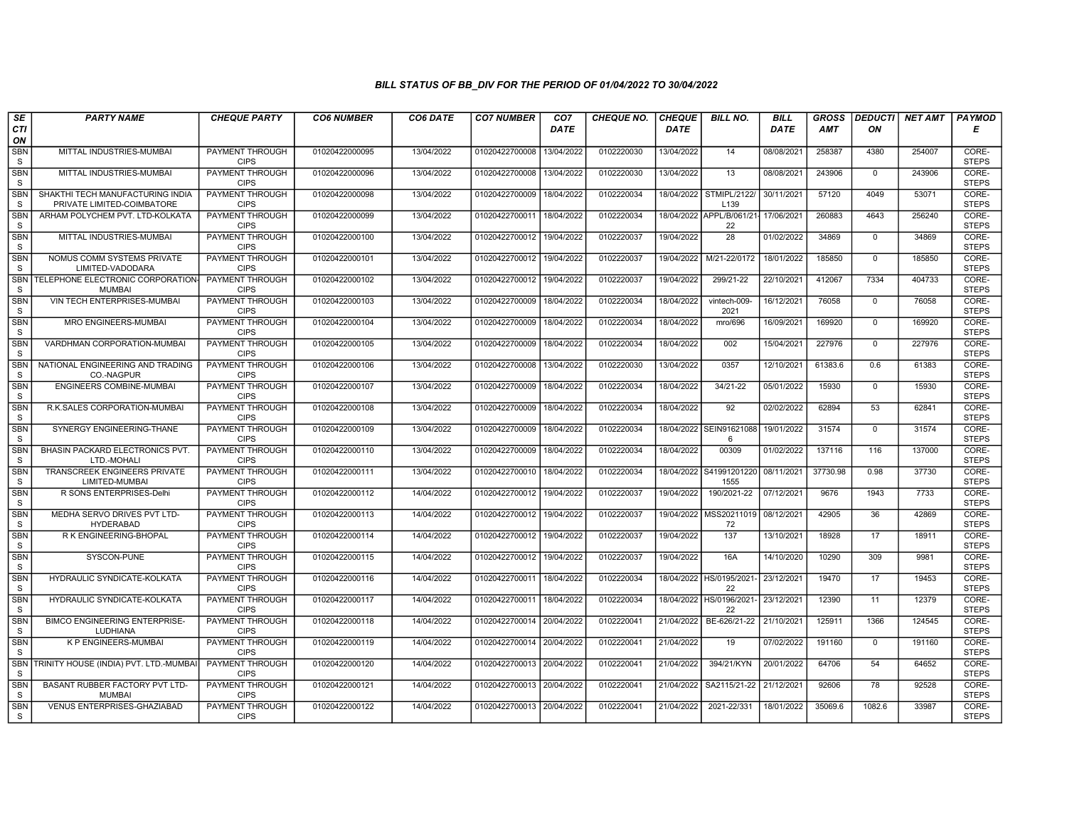| SE                      | <b>PARTY NAME</b>                                              | <b>CHEQUE PARTY</b>                   | <b>CO6 NUMBER</b> | CO6 DATE   | <b>CO7 NUMBER</b>         | CO <sub>7</sub> | <b>CHEQUE NO.</b> | <b>CHEQUE</b> | <b>BILL NO.</b>                  | <b>BILL</b> | <b>GROSS</b> | <b>DEDUCTI</b> | NET AMT | <b>PAYMOD</b>         |
|-------------------------|----------------------------------------------------------------|---------------------------------------|-------------------|------------|---------------------------|-----------------|-------------------|---------------|----------------------------------|-------------|--------------|----------------|---------|-----------------------|
| CTI<br>ON               |                                                                |                                       |                   |            |                           | <b>DATE</b>     |                   | <b>DATE</b>   |                                  | <b>DATE</b> | <b>AMT</b>   | ON             |         | Е                     |
| <b>SBN</b><br>S         | MITTAL INDUSTRIES-MUMBAI                                       | <b>PAYMENT THROUGH</b><br><b>CIPS</b> | 01020422000095    | 13/04/2022 | 01020422700008            | 13/04/2022      | 0102220030        | 13/04/2022    | 14                               | 08/08/2021  | 258387       | 4380           | 254007  | CORE-<br><b>STEPS</b> |
| <b>SBN</b><br>S         | MITTAL INDUSTRIES-MUMBAI                                       | <b>PAYMENT THROUGH</b><br><b>CIPS</b> | 01020422000096    | 13/04/2022 | 01020422700008            | 13/04/2022      | 0102220030        | 13/04/2022    | 13                               | 08/08/2021  | 243906       | $\mathbf{0}$   | 243906  | CORE-<br><b>STEPS</b> |
| <b>SBN</b><br>S         | SHAKTHI TECH MANUFACTURING INDIA<br>PRIVATE LIMITED-COIMBATORE | PAYMENT THROUGH<br><b>CIPS</b>        | 01020422000098    | 13/04/2022 | 01020422700009            | 18/04/2022      | 0102220034        | 18/04/2022    | STMIPL/2122/<br>L <sub>139</sub> | 30/11/2021  | 57120        | 4049           | 53071   | CORE-<br><b>STEPS</b> |
| <b>SBN</b><br>S         | ARHAM POLYCHEM PVT. LTD-KOLKATA                                | <b>PAYMENT THROUGH</b><br><b>CIPS</b> | 01020422000099    | 13/04/2022 | 0102042270001             | 18/04/2022      | 0102220034        |               | 18/04/2022 APPL/B/061/21<br>22   | 17/06/2021  | 260883       | 4643           | 256240  | CORE-<br><b>STEPS</b> |
| <b>SBN</b><br>S         | MITTAL INDUSTRIES-MUMBAI                                       | <b>PAYMENT THROUGH</b><br><b>CIPS</b> | 01020422000100    | 13/04/2022 | 01020422700012            | 19/04/2022      | 0102220037        | 19/04/2022    | $\overline{28}$                  | 01/02/2022  | 34869        | $\mathbf 0$    | 34869   | CORE-<br><b>STEPS</b> |
| <b>SBN</b><br>S         | NOMUS COMM SYSTEMS PRIVATE<br>LIMITED-VADODARA                 | <b>PAYMENT THROUGH</b><br><b>CIPS</b> | 01020422000101    | 13/04/2022 | 01020422700012            | 19/04/2022      | 0102220037        | 19/04/2022    | M/21-22/0172                     | 18/01/2022  | 185850       | $\mathbf{0}$   | 185850  | CORE-<br><b>STEPS</b> |
| <b>SBN</b><br>S         | TELEPHONE ELECTRONIC CORPORATION<br><b>MUMBAI</b>              | PAYMENT THROUGH<br><b>CIPS</b>        | 01020422000102    | 13/04/2022 | 01020422700012            | 19/04/2022      | 0102220037        | 19/04/2022    | 299/21-22                        | 22/10/2021  | 412067       | 7334           | 404733  | CORE-<br><b>STEPS</b> |
| <b>SBN</b><br>S         | VIN TECH ENTERPRISES-MUMBAI                                    | PAYMENT THROUGH<br><b>CIPS</b>        | 01020422000103    | 13/04/2022 | 01020422700009            | 18/04/2022      | 0102220034        | 18/04/2022    | vintech-009-<br>2021             | 16/12/2021  | 76058        | $\mathbf 0$    | 76058   | CORE-<br><b>STEPS</b> |
| SBN<br>S                | MRO ENGINEERS-MUMBAI                                           | PAYMENT THROUGH<br><b>CIPS</b>        | 01020422000104    | 13/04/2022 | 01020422700009            | 18/04/2022      | 0102220034        | 18/04/2022    | mro/696                          | 16/09/2021  | 169920       | $\mathbf 0$    | 169920  | CORE-<br><b>STEPS</b> |
| <b>SBN</b><br>${\tt S}$ | VARDHMAN CORPORATION-MUMBAI                                    | <b>PAYMENT THROUGH</b><br><b>CIPS</b> | 01020422000105    | 13/04/2022 | 01020422700009            | 18/04/2022      | 0102220034        | 18/04/2022    | 002                              | 15/04/2021  | 227976       | $\overline{0}$ | 227976  | CORE-<br><b>STEPS</b> |
| SBN<br>S                | NATIONAL ENGINEERING AND TRADING<br>CO.-NAGPUR                 | PAYMENT THROUGH<br><b>CIPS</b>        | 01020422000106    | 13/04/2022 | 01020422700008            | 13/04/2022      | 0102220030        | 13/04/2022    | 0357                             | 12/10/2021  | 61383.6      | 0.6            | 61383   | CORE-<br><b>STEPS</b> |
| <b>SBN</b><br>S         | <b>ENGINEERS COMBINE-MUMBAI</b>                                | <b>PAYMENT THROUGH</b><br><b>CIPS</b> | 01020422000107    | 13/04/2022 | 01020422700009            | 18/04/2022      | 0102220034        | 18/04/2022    | 34/21-22                         | 05/01/2022  | 15930        | $\mathbf{0}$   | 15930   | CORE-<br><b>STEPS</b> |
| <b>SBN</b><br>S         | R.K.SALES CORPORATION-MUMBAI                                   | <b>PAYMENT THROUGH</b><br><b>CIPS</b> | 01020422000108    | 13/04/2022 | 01020422700009            | 18/04/2022      | 0102220034        | 18/04/2022    | 92                               | 02/02/2022  | 62894        | 53             | 62841   | CORE-<br><b>STEPS</b> |
| <b>SBN</b><br>S         | SYNERGY ENGINEERING-THANE                                      | <b>PAYMENT THROUGH</b><br><b>CIPS</b> | 01020422000109    | 13/04/2022 | 01020422700009            | 18/04/2022      | 0102220034        |               | 18/04/2022 SEIN91621088<br>6     | 19/01/2022  | 31574        | $\mathbf{0}$   | 31574   | CORE-<br><b>STEPS</b> |
| <b>SBN</b><br>S         | BHASIN PACKARD ELECTRONICS PVT.<br>LTD.-MOHALI                 | PAYMENT THROUGH<br><b>CIPS</b>        | 01020422000110    | 13/04/2022 | 01020422700009            | 18/04/2022      | 0102220034        | 18/04/2022    | 00309                            | 01/02/2022  | 137116       | 116            | 137000  | CORE-<br><b>STEPS</b> |
| <b>SBN</b><br>S         | <b>TRANSCREEK ENGINEERS PRIVATE</b><br>LIMITED-MUMBAI          | PAYMENT THROUGH<br><b>CIPS</b>        | 01020422000111    | 13/04/2022 | 01020422700010            | 18/04/2022      | 0102220034        | 18/04/2022    | S41991201220<br>1555             | 08/11/2021  | 37730.98     | 0.98           | 37730   | CORE-<br><b>STEPS</b> |
| <b>SBN</b><br>S         | R SONS ENTERPRISES-Delhi                                       | <b>PAYMENT THROUGH</b><br><b>CIPS</b> | 01020422000112    | 14/04/2022 | 01020422700012            | 19/04/2022      | 0102220037        | 19/04/2022    | 190/2021-22                      | 07/12/2021  | 9676         | 1943           | 7733    | CORE-<br><b>STEPS</b> |
| <b>SBN</b><br>S         | MEDHA SERVO DRIVES PVT LTD-<br><b>HYDERABAD</b>                | <b>PAYMENT THROUGH</b><br><b>CIPS</b> | 01020422000113    | 14/04/2022 | 01020422700012            | 19/04/2022      | 0102220037        | 19/04/2022    | MSS20211019<br>72                | 08/12/2021  | 42905        | 36             | 42869   | CORE-<br><b>STEPS</b> |
| <b>SBN</b><br>S         | R K ENGINEERING-BHOPAL                                         | PAYMENT THROUGH<br><b>CIPS</b>        | 01020422000114    | 14/04/2022 | 01020422700012            | 19/04/2022      | 0102220037        | 19/04/2022    | 137                              | 13/10/2021  | 18928        | 17             | 18911   | CORE-<br><b>STEPS</b> |
| SBN<br>S                | SYSCON-PUNE                                                    | PAYMENT THROUGH<br><b>CIPS</b>        | 01020422000115    | 14/04/2022 | 01020422700012            | 19/04/2022      | 0102220037        | 19/04/2022    | 16A                              | 14/10/2020  | 10290        | 309            | 9981    | CORE-<br><b>STEPS</b> |
| <b>SBN</b><br>S         | HYDRAULIC SYNDICATE-KOLKATA                                    | PAYMENT THROUGH<br><b>CIPS</b>        | 01020422000116    | 14/04/2022 | 01020422700011            | 18/04/2022      | 0102220034        |               | 18/04/2022 HS/0195/2021-<br>22   | 23/12/2021  | 19470        | 17             | 19453   | CORE-<br><b>STEPS</b> |
| <b>SBN</b><br>S         | HYDRAULIC SYNDICATE-KOLKATA                                    | <b>PAYMENT THROUGH</b><br><b>CIPS</b> | 01020422000117    | 14/04/2022 | 01020422700011            | 18/04/2022      | 0102220034        |               | 18/04/2022 HS/0196/2021-<br>22   | 23/12/2021  | 12390        | 11             | 12379   | CORE-<br><b>STEPS</b> |
| <b>SBN</b><br>S         | <b>BIMCO ENGINEERING ENTERPRISE-</b><br>LUDHIANA               | PAYMENT THROUGH<br><b>CIPS</b>        | 01020422000118    | 14/04/2022 | 01020422700014            | 20/04/2022      | 0102220041        | 21/04/2022    | BE-626/21-22                     | 21/10/2021  | 125911       | 1366           | 124545  | CORE-<br><b>STEPS</b> |
| <b>SBN</b><br>S         | K P ENGINEERS-MUMBAI                                           | PAYMENT THROUGH<br><b>CIPS</b>        | 01020422000119    | 14/04/2022 | 01020422700014            | 20/04/2022      | 0102220041        | 21/04/2022    | 19                               | 07/02/2022  | 191160       | $\mathbf{0}$   | 191160  | CORE-<br><b>STEPS</b> |
| SBN<br>S                | TRINITY HOUSE (INDIA) PVT. LTD.-MUMBAI                         | PAYMENT THROUGH<br><b>CIPS</b>        | 01020422000120    | 14/04/2022 | 01020422700013            | 20/04/2022      | 0102220041        | 21/04/2022    | 394/21/KYN                       | 20/01/2022  | 64706        | 54             | 64652   | CORE-<br><b>STEPS</b> |
| <b>SBN</b><br>S         | BASANT RUBBER FACTORY PVT LTD-<br><b>MUMBAI</b>                | <b>PAYMENT THROUGH</b><br><b>CIPS</b> | 01020422000121    | 14/04/2022 | 01020422700013 20/04/2022 |                 | 0102220041        | 21/04/2022    | SA2115/21-22                     | 21/12/2021  | 92606        | 78             | 92528   | CORE-<br><b>STEPS</b> |
| <b>SBN</b><br>S         | VENUS ENTERPRISES-GHAZIABAD                                    | <b>PAYMENT THROUGH</b><br><b>CIPS</b> | 01020422000122    | 14/04/2022 | 01020422700013 20/04/2022 |                 | 0102220041        | 21/04/2022    | 2021-22/331                      | 18/01/2022  | 35069.6      | 1082.6         | 33987   | CORE-<br><b>STEPS</b> |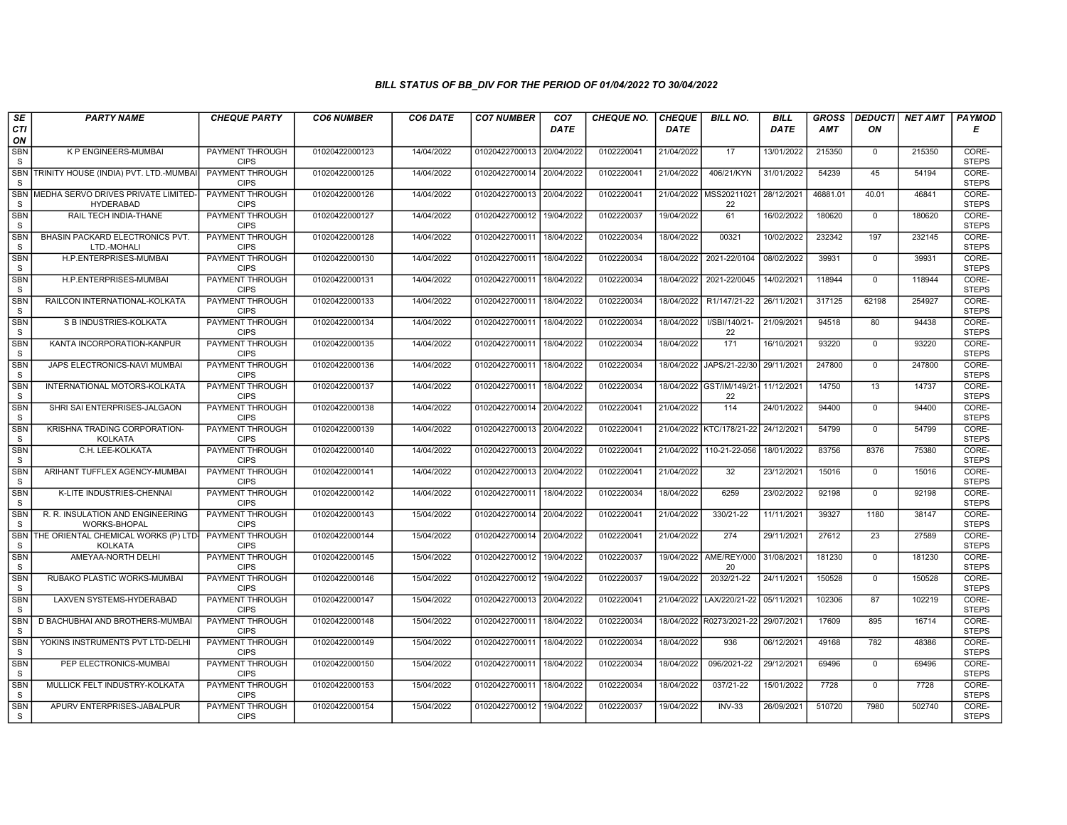| SE                         | <b>PARTY NAME</b>                                       | <b>CHEQUE PARTY</b>                   | <b>CO6 NUMBER</b> | CO6 DATE   | <b>CO7 NUMBER</b>         | CO <sub>7</sub> | <b>CHEQUE NO.</b> | <b>CHEQUE</b> | <b>BILL NO.</b>                | <b>BILL</b> | <b>GROSS</b> | <b>DEDUCTI</b> | NET AMT | <b>PAYMOD</b>         |
|----------------------------|---------------------------------------------------------|---------------------------------------|-------------------|------------|---------------------------|-----------------|-------------------|---------------|--------------------------------|-------------|--------------|----------------|---------|-----------------------|
| CTI<br>ON                  |                                                         |                                       |                   |            |                           | <b>DATE</b>     |                   | <b>DATE</b>   |                                | DATE        | <b>AMT</b>   | ON             |         | Е                     |
| <b>SBN</b><br>S            | <b>K P ENGINEERS-MUMBAI</b>                             | <b>PAYMENT THROUGH</b><br><b>CIPS</b> | 01020422000123    | 14/04/2022 | 01020422700013 20/04/2022 |                 | 0102220041        | 21/04/2022    | 17                             | 13/01/2022  | 215350       | $\mathsf{O}$   | 215350  | CORE-<br><b>STEPS</b> |
| <b>SBN</b><br>S            | TRINITY HOUSE (INDIA) PVT. LTD.-MUMBAI                  | <b>PAYMENT THROUGH</b><br><b>CIPS</b> | 01020422000125    | 14/04/2022 | 01020422700014 20/04/2022 |                 | 0102220041        | 21/04/2022    | 406/21/KYN                     | 31/01/2022  | 54239        | 45             | 54194   | CORE-<br><b>STEPS</b> |
| <b>SBN</b><br>S            | MEDHA SERVO DRIVES PRIVATE LIMITED-<br><b>HYDERABAD</b> | PAYMENT THROUGH<br><b>CIPS</b>        | 01020422000126    | 14/04/2022 | 01020422700013 20/04/2022 |                 | 0102220041        |               | 21/04/2022 MSS20211021<br>22   | 28/12/2021  | 46881.01     | 40.01          | 46841   | CORE-<br><b>STEPS</b> |
| <b>SBN</b><br>S            | RAIL TECH INDIA-THANE                                   | <b>PAYMENT THROUGH</b><br><b>CIPS</b> | 01020422000127    | 14/04/2022 | 01020422700012            | 19/04/2022      | 0102220037        | 19/04/2022    | 61                             | 16/02/2022  | 180620       | $\mathbf{0}$   | 180620  | CORE-<br><b>STEPS</b> |
| <b>SBN</b><br>S            | BHASIN PACKARD ELECTRONICS PVT.<br>LTD.-MOHALI          | <b>PAYMENT THROUGH</b><br><b>CIPS</b> | 01020422000128    | 14/04/2022 | 01020422700011            | 18/04/2022      | 0102220034        | 18/04/2022    | 00321                          | 10/02/2022  | 232342       | 197            | 232145  | CORE-<br><b>STEPS</b> |
| <b>SBN</b><br>S            | H.P.ENTERPRISES-MUMBAI                                  | <b>PAYMENT THROUGH</b><br><b>CIPS</b> | 01020422000130    | 14/04/2022 | 01020422700011            | 18/04/2022      | 0102220034        | 18/04/2022    | 2021-22/0104                   | 08/02/2022  | 39931        | $\mathbf{0}$   | 39931   | CORE-<br><b>STEPS</b> |
| <b>SBN</b><br>S            | H.P.ENTERPRISES-MUMBAI                                  | PAYMENT THROUGH<br><b>CIPS</b>        | 01020422000131    | 14/04/2022 | 01020422700011            | 18/04/2022      | 0102220034        | 18/04/2022    | 2021-22/0045                   | 14/02/2021  | 118944       | $\Omega$       | 118944  | CORE-<br><b>STEPS</b> |
| <b>SBN</b><br>S            | RAILCON INTERNATIONAL-KOLKATA                           | <b>PAYMENT THROUGH</b><br><b>CIPS</b> | 01020422000133    | 14/04/2022 | 01020422700011            | 18/04/2022      | 0102220034        | 18/04/2022    | R1/147/21-22                   | 26/11/2021  | 317125       | 62198          | 254927  | CORE-<br><b>STEPS</b> |
| <b>SBN</b><br>$\mathsf S$  | S B INDUSTRIES-KOLKATA                                  | <b>PAYMENT THROUGH</b><br><b>CIPS</b> | 01020422000134    | 14/04/2022 | 01020422700011            | 18/04/2022      | 0102220034        | 18/04/2022    | I/SBI/140/21-<br>22            | 21/09/2021  | 94518        | 80             | 94438   | CORE-<br><b>STEPS</b> |
| <b>SBN</b><br>S            | KANTA INCORPORATION-KANPUR                              | <b>PAYMENT THROUGH</b><br><b>CIPS</b> | 01020422000135    | 14/04/2022 | 01020422700011            | 18/04/2022      | 0102220034        | 18/04/2022    | 171                            | 16/10/2021  | 93220        | $\mathbf 0$    | 93220   | CORE-<br><b>STEPS</b> |
| <b>SBN</b><br>S            | JAPS ELECTRONICS-NAVI MUMBAI                            | PAYMENT THROUGH<br><b>CIPS</b>        | 01020422000136    | 14/04/2022 | 01020422700011            | 18/04/2022      | 0102220034        | 18/04/2022    | JAPS/21-22/30                  | 29/11/2021  | 247800       | $\Omega$       | 247800  | CORE-<br><b>STEPS</b> |
| <b>SBN</b><br>S            | INTERNATIONAL MOTORS-KOLKATA                            | PAYMENT THROUGH<br><b>CIPS</b>        | 01020422000137    | 14/04/2022 | 01020422700011 18/04/2022 |                 | 0102220034        |               | 18/04/2022 GST/IM/149/21<br>22 | 11/12/2021  | 14750        | 13             | 14737   | CORE-<br><b>STEPS</b> |
| <b>SBN</b><br>S            | SHRI SAI ENTERPRISES-JALGAON                            | <b>PAYMENT THROUGH</b><br><b>CIPS</b> | 01020422000138    | 14/04/2022 | 01020422700014 20/04/2022 |                 | 0102220041        | 21/04/2022    | 114                            | 24/01/2022  | 94400        | $\Omega$       | 94400   | CORE-<br><b>STEPS</b> |
| <b>SBN</b><br>S            | KRISHNA TRADING CORPORATION-<br><b>KOLKATA</b>          | <b>PAYMENT THROUGH</b><br><b>CIPS</b> | 01020422000139    | 14/04/2022 | 01020422700013 20/04/2022 |                 | 0102220041        |               | 21/04/2022 KTC/178/21-22       | 24/12/2021  | 54799        | $\mathbf 0$    | 54799   | CORE-<br><b>STEPS</b> |
| <b>SBN</b><br>S            | C.H. LEE-KOLKATA                                        | <b>PAYMENT THROUGH</b><br><b>CIPS</b> | 01020422000140    | 14/04/2022 | 01020422700013 20/04/2022 |                 | 0102220041        | 21/04/2022    | 110-21-22-056                  | 18/01/2022  | 83756        | 8376           | 75380   | CORE-<br><b>STEPS</b> |
| SBN<br>S                   | ARIHANT TUFFLEX AGENCY-MUMBAI                           | PAYMENT THROUGH<br><b>CIPS</b>        | 01020422000141    | 14/04/2022 | 01020422700013 20/04/2022 |                 | 0102220041        | 21/04/2022    | 32                             | 23/12/2021  | 15016        | $\mathbf{0}$   | 15016   | CORE-<br><b>STEPS</b> |
| <b>SBN</b><br>S            | K-LITE INDUSTRIES-CHENNAI                               | <b>PAYMENT THROUGH</b><br><b>CIPS</b> | 01020422000142    | 14/04/2022 | 01020422700011            | 18/04/2022      | 0102220034        | 18/04/2022    | 6259                           | 23/02/2022  | 92198        | $\mathbf{0}$   | 92198   | CORE-<br><b>STEPS</b> |
| <b>SBN</b><br>S            | R. R. INSULATION AND ENGINEERING<br>WORKS-BHOPAL        | <b>PAYMENT THROUGH</b><br><b>CIPS</b> | 01020422000143    | 15/04/2022 | 01020422700014 20/04/2022 |                 | 0102220041        | 21/04/2022    | 330/21-22                      | 11/11/2021  | 39327        | 1180           | 38147   | CORE-<br><b>STEPS</b> |
| <b>SBN</b><br><sub>S</sub> | THE ORIENTAL CHEMICAL WORKS (P) LTD-<br><b>KOLKATA</b>  | PAYMENT THROUGH<br><b>CIPS</b>        | 01020422000144    | 15/04/2022 | 01020422700014 20/04/2022 |                 | 0102220041        | 21/04/2022    | $\overline{274}$               | 29/11/2021  | 27612        | 23             | 27589   | CORE-<br><b>STEPS</b> |
| <b>SBN</b><br>S            | AMEYAA-NORTH DELHI                                      | PAYMENT THROUGH<br><b>CIPS</b>        | 01020422000145    | 15/04/2022 | 01020422700012            | 19/04/2022      | 0102220037        | 19/04/2022    | AME/REY/000<br>20              | 31/08/2021  | 181230       | $\mathbf{0}$   | 181230  | CORE-<br><b>STEPS</b> |
| <b>SBN</b><br>S            | RUBAKO PLASTIC WORKS-MUMBAI                             | PAYMENT THROUGH<br><b>CIPS</b>        | 01020422000146    | 15/04/2022 | 01020422700012            | 19/04/2022      | 0102220037        | 19/04/2022    | 2032/21-22                     | 24/11/2021  | 150528       | $\Omega$       | 150528  | CORE-<br><b>STEPS</b> |
| SBN<br>S                   | LAXVEN SYSTEMS-HYDERABAD                                | PAYMENT THROUGH<br><b>CIPS</b>        | 01020422000147    | 15/04/2022 | 01020422700013 20/04/2022 |                 | 0102220041        | 21/04/2022    | LAX/220/21-22                  | 05/11/2021  | 102306       | 87             | 102219  | CORE-<br><b>STEPS</b> |
| SBN<br><sub>S</sub>        | D BACHUBHAI AND BROTHERS-MUMBAI                         | <b>PAYMENT THROUGH</b><br><b>CIPS</b> | 01020422000148    | 15/04/2022 | 01020422700011            | 18/04/2022      | 0102220034        | 18/04/2022    | R0273/2021-22                  | 29/07/2021  | 17609        | 895            | 16714   | CORE-<br><b>STEPS</b> |
| <b>SBN</b><br>S            | YOKINS INSTRUMENTS PVT LTD-DELHI                        | PAYMENT THROUGH<br><b>CIPS</b>        | 01020422000149    | 15/04/2022 | 01020422700011            | 18/04/2022      | 0102220034        | 18/04/2022    | 936                            | 06/12/2021  | 49168        | 782            | 48386   | CORE-<br><b>STEPS</b> |
| <b>SBN</b><br>S            | PEP ELECTRONICS-MUMBAI                                  | PAYMENT THROUGH<br><b>CIPS</b>        | 01020422000150    | 15/04/2022 | 01020422700011            | 18/04/2022      | 0102220034        | 18/04/2022    | 096/2021-22                    | 29/12/2021  | 69496        | $\Omega$       | 69496   | CORE-<br><b>STEPS</b> |
| <b>SBN</b><br>S            | MULLICK FELT INDUSTRY-KOLKATA                           | <b>PAYMENT THROUGH</b><br><b>CIPS</b> | 01020422000153    | 15/04/2022 | 01020422700011 18/04/2022 |                 | 0102220034        | 18/04/2022    | 037/21-22                      | 15/01/2022  | 7728         | $\mathbf{0}$   | 7728    | CORE-<br><b>STEPS</b> |
| <b>SBN</b><br>S            | APURV ENTERPRISES-JABALPUR                              | PAYMENT THROUGH<br><b>CIPS</b>        | 01020422000154    | 15/04/2022 | 01020422700012 19/04/2022 |                 | 0102220037        | 19/04/2022    | $INV-33$                       | 26/09/2021  | 510720       | 7980           | 502740  | CORE-<br><b>STEPS</b> |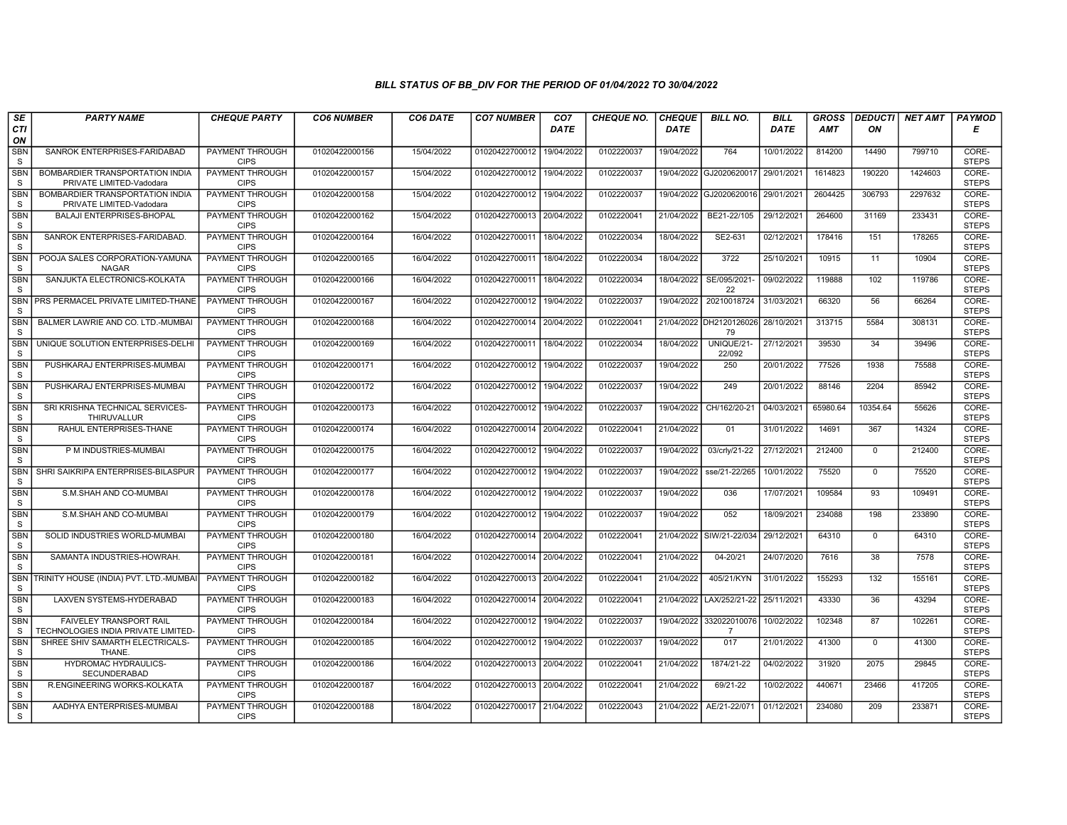| SE                         | <b>PARTY NAME</b>                                              | <b>CHEQUE PARTY</b>                   | <b>CO6 NUMBER</b> | CO6 DATE   | <b>CO7 NUMBER</b>         | CO <sub>7</sub> | <b>CHEQUE NO.</b> | <b>CHEQUE</b> | <b>BILL NO.</b>                | <b>BILL</b> | <b>GROSS</b> | <b>DEDUCTI</b>  | NET AMT | <b>PAYMOD</b>         |
|----------------------------|----------------------------------------------------------------|---------------------------------------|-------------------|------------|---------------------------|-----------------|-------------------|---------------|--------------------------------|-------------|--------------|-----------------|---------|-----------------------|
| CTI<br>ON                  |                                                                |                                       |                   |            |                           | <b>DATE</b>     |                   | DATE          |                                | <b>DATE</b> | AMT          | ON              |         | Е                     |
| <b>SBN</b><br>S            | SANROK ENTERPRISES-FARIDABAD                                   | <b>PAYMENT THROUGH</b><br><b>CIPS</b> | 01020422000156    | 15/04/2022 | 01020422700012            | 19/04/2022      | 0102220037        | 19/04/2022    | 764                            | 10/01/2022  | 814200       | 14490           | 799710  | CORE-<br><b>STEPS</b> |
| SBN<br>S                   | BOMBARDIER TRANSPORTATION INDIA<br>PRIVATE LIMITED-Vadodara    | <b>PAYMENT THROUGH</b><br><b>CIPS</b> | 01020422000157    | 15/04/2022 | 01020422700012            | 19/04/2022      | 0102220037        |               | 19/04/2022 GJ2020620017        | 29/01/2021  | 1614823      | 190220          | 1424603 | CORE-<br><b>STEPS</b> |
| <b>SBN</b><br>S            | BOMBARDIER TRANSPORTATION INDIA<br>PRIVATE LIMITED-Vadodara    | <b>PAYMENT THROUGH</b><br><b>CIPS</b> | 01020422000158    | 15/04/2022 | 01020422700012            | 19/04/2022      | 0102220037        | 19/04/2022    | GJ2020620016                   | 29/01/2021  | 2604425      | 306793          | 2297632 | CORE-<br><b>STEPS</b> |
| <b>SBN</b><br>S            | <b>BALAJI ENTERPRISES-BHOPAL</b>                               | <b>PAYMENT THROUGH</b><br><b>CIPS</b> | 01020422000162    | 15/04/2022 | 01020422700013            | 20/04/2022      | 0102220041        | 21/04/2022    | BE21-22/105                    | 29/12/2021  | 264600       | 31169           | 233431  | CORE-<br><b>STEPS</b> |
| <b>SBN</b><br>S            | SANROK ENTERPRISES-FARIDABAD                                   | <b>PAYMENT THROUGH</b><br><b>CIPS</b> | 01020422000164    | 16/04/2022 | 01020422700011            | 18/04/2022      | 0102220034        | 18/04/2022    | SE2-631                        | 02/12/2021  | 178416       | 151             | 178265  | CORE-<br><b>STEPS</b> |
| <b>SBN</b><br>S            | POOJA SALES CORPORATION-YAMUNA<br><b>NAGAR</b>                 | <b>PAYMENT THROUGH</b><br><b>CIPS</b> | 01020422000165    | 16/04/2022 | 01020422700011 18/04/2022 |                 | 0102220034        | 18/04/2022    | 3722                           | 25/10/2021  | 10915        | 11              | 10904   | CORE-<br><b>STEPS</b> |
| <b>SBN</b><br>S            | SANJUKTA ELECTRONICS-KOLKATA                                   | PAYMENT THROUGH<br><b>CIPS</b>        | 01020422000166    | 16/04/2022 | 01020422700011            | 18/04/2022      | 0102220034        | 18/04/2022    | SE/095/2021<br>22              | 09/02/2022  | 119888       | 102             | 119786  | CORE-<br><b>STEPS</b> |
| <b>SBN</b><br><sub>S</sub> | PRS PERMACEL PRIVATE LIMITED-THANE                             | PAYMENT THROUGH<br><b>CIPS</b>        | 01020422000167    | 16/04/2022 | 01020422700012            | 19/04/2022      | 0102220037        | 19/04/2022    | 20210018724                    | 31/03/2021  | 66320        | 56              | 66264   | CORE-<br><b>STEPS</b> |
| SBN<br>S                   | BALMER LAWRIE AND CO. LTD.-MUMBAI                              | PAYMENT THROUGH<br><b>CIPS</b>        | 01020422000168    | 16/04/2022 | 01020422700014 20/04/2022 |                 | 0102220041        |               | 21/04/2022 DH2120126026<br>79  | 28/10/2021  | 313715       | 5584            | 308131  | CORE-<br><b>STEPS</b> |
| <b>SBN</b><br>S            | UNIQUE SOLUTION ENTERPRISES-DELH                               | <b>PAYMENT THROUGH</b><br><b>CIPS</b> | 01020422000169    | 16/04/2022 | 01020422700011            | 18/04/2022      | 0102220034        | 18/04/2022    | UNIQUE/21-<br>22/092           | 27/12/2021  | 39530        | $\overline{34}$ | 39496   | CORE-<br><b>STEPS</b> |
| SBN<br>S                   | PUSHKARAJ ENTERPRISES-MUMBAI                                   | PAYMENT THROUGH<br><b>CIPS</b>        | 01020422000171    | 16/04/2022 | 01020422700012            | 19/04/2022      | 0102220037        | 19/04/2022    | 250                            | 20/01/2022  | 77526        | 1938            | 75588   | CORE-<br><b>STEPS</b> |
| <b>SBN</b><br>S            | PUSHKARAJ ENTERPRISES-MUMBAI                                   | PAYMENT THROUGH<br><b>CIPS</b>        | 01020422000172    | 16/04/2022 | 01020422700012            | 19/04/2022      | 0102220037        | 19/04/2022    | 249                            | 20/01/2022  | 88146        | 2204            | 85942   | CORE-<br><b>STEPS</b> |
| <b>SBN</b><br>S            | SRI KRISHNA TECHNICAL SERVICES-<br>THIRUVALLUR                 | <b>PAYMENT THROUGH</b><br><b>CIPS</b> | 01020422000173    | 16/04/2022 | 01020422700012 19/04/2022 |                 | 0102220037        | 19/04/2022    | CH/162/20-21                   | 04/03/2021  | 65980.64     | 10354.64        | 55626   | CORE-<br><b>STEPS</b> |
| <b>SBN</b><br>S            | RAHUL ENTERPRISES-THANE                                        | <b>PAYMENT THROUGH</b><br><b>CIPS</b> | 01020422000174    | 16/04/2022 | 01020422700014            | 20/04/2022      | 0102220041        | 21/04/2022    | 01                             | 31/01/2022  | 14691        | 367             | 14324   | CORE-<br><b>STEPS</b> |
| SBN<br><sub>S</sub>        | P M INDUSTRIES-MUMBAI                                          | PAYMENT THROUGH<br><b>CIPS</b>        | 01020422000175    | 16/04/2022 | 01020422700012            | 19/04/2022      | 0102220037        | 19/04/2022    | 03/crly/21-22                  | 27/12/2021  | 212400       | $\Omega$        | 212400  | CORE-<br><b>STEPS</b> |
| <b>SBN</b><br>S            | SHRI SAIKRIPA ENTERPRISES-BILASPUR                             | PAYMENT THROUGH<br><b>CIPS</b>        | 01020422000177    | 16/04/2022 | 01020422700012            | 19/04/2022      | 0102220037        | 19/04/2022    | sse/21-22/265                  | 10/01/2022  | 75520        | $\Omega$        | 75520   | CORE-<br><b>STEPS</b> |
| <b>SBN</b><br>S            | S.M.SHAH AND CO-MUMBAI                                         | <b>PAYMENT THROUGH</b><br><b>CIPS</b> | 01020422000178    | 16/04/2022 | 01020422700012            | 19/04/2022      | 0102220037        | 19/04/2022    | 036                            | 17/07/2021  | 109584       | 93              | 109491  | CORE-<br><b>STEPS</b> |
| <b>SBN</b><br>S            | S.M.SHAH AND CO-MUMBAI                                         | <b>PAYMENT THROUGH</b><br><b>CIPS</b> | 01020422000179    | 16/04/2022 | 01020422700012            | 19/04/2022      | 0102220037        | 19/04/2022    | 052                            | 18/09/2021  | 234088       | 198             | 233890  | CORE-<br><b>STEPS</b> |
| SBN<br>S                   | SOLID INDUSTRIES WORLD-MUMBAI                                  | PAYMENT THROUGH<br><b>CIPS</b>        | 01020422000180    | 16/04/2022 | 01020422700014 20/04/2022 |                 | 0102220041        |               | 21/04/2022 SIW/21-22/034       | 29/12/2021  | 64310        | $\mathbf 0$     | 64310   | CORE-<br><b>STEPS</b> |
| <b>SBN</b><br>S            | SAMANTA INDUSTRIES-HOWRAH.                                     | PAYMENT THROUGH<br><b>CIPS</b>        | 01020422000181    | 16/04/2022 | 01020422700014 20/04/2022 |                 | 0102220041        | 21/04/2022    | 04-20/21                       | 24/07/2020  | 7616         | 38              | 7578    | CORE-<br><b>STEPS</b> |
| <b>SBN</b><br>S            | TRINITY HOUSE (INDIA) PVT. LTD.-MUMBA                          | PAYMENT THROUGH<br><b>CIPS</b>        | 01020422000182    | 16/04/2022 | 01020422700013 20/04/2022 |                 | 0102220041        | 21/04/2022    | 405/21/KYN                     | 31/01/2022  | 155293       | 132             | 155161  | CORE-<br><b>STEPS</b> |
| <b>SBN</b><br>S            | LAXVEN SYSTEMS-HYDERABAD                                       | <b>PAYMENT THROUGH</b><br><b>CIPS</b> | 01020422000183    | 16/04/2022 | 01020422700014 20/04/2022 |                 | 0102220041        | 21/04/2022    | LAX/252/21-22                  | 25/11/2021  | 43330        | 36              | 43294   | CORE-<br><b>STEPS</b> |
| <b>SBN</b><br>S            | FAIVELEY TRANSPORT RAIL<br>TECHNOLOGIES INDIA PRIVATE LIMITED- | PAYMENT THROUGH<br><b>CIPS</b>        | 01020422000184    | 16/04/2022 | 01020422700012            | 19/04/2022      | 0102220037        | 19/04/2022    | 332022010076<br>$\overline{7}$ | 10/02/2022  | 102348       | 87              | 102261  | CORE-<br><b>STEPS</b> |
| <b>SBN</b><br>S            | SHREE SHIV SAMARTH ELECTRICALS-<br>THANE.                      | PAYMENT THROUGH<br><b>CIPS</b>        | 01020422000185    | 16/04/2022 | 01020422700012            | 19/04/2022      | 0102220037        | 19/04/2022    | 017                            | 21/01/2022  | 41300        | $\mathbf 0$     | 41300   | CORE-<br><b>STEPS</b> |
| SBN<br>S                   | HYDROMAC HYDRAULICS-<br><b>SECUNDERABAD</b>                    | PAYMENT THROUGH<br><b>CIPS</b>        | 01020422000186    | 16/04/2022 | 01020422700013 20/04/2022 |                 | 0102220041        | 21/04/2022    | 1874/21-22                     | 04/02/2022  | 31920        | 2075            | 29845   | CORE-<br><b>STEPS</b> |
| <b>SBN</b><br>S            | R.ENGINEERING WORKS-KOLKATA                                    | <b>PAYMENT THROUGH</b><br><b>CIPS</b> | 01020422000187    | 16/04/2022 | 01020422700013 20/04/2022 |                 | 0102220041        | 21/04/2022    | 69/21-22                       | 10/02/2022  | 440671       | 23466           | 417205  | CORE-<br><b>STEPS</b> |
| <b>SBN</b><br>S            | AADHYA ENTERPRISES-MUMBAI                                      | PAYMENT THROUGH<br><b>CIPS</b>        | 01020422000188    | 18/04/2022 | 01020422700017 21/04/2022 |                 | 0102220043        | 21/04/2022    | AE/21-22/071                   | 01/12/2021  | 234080       | 209             | 233871  | CORE-<br><b>STEPS</b> |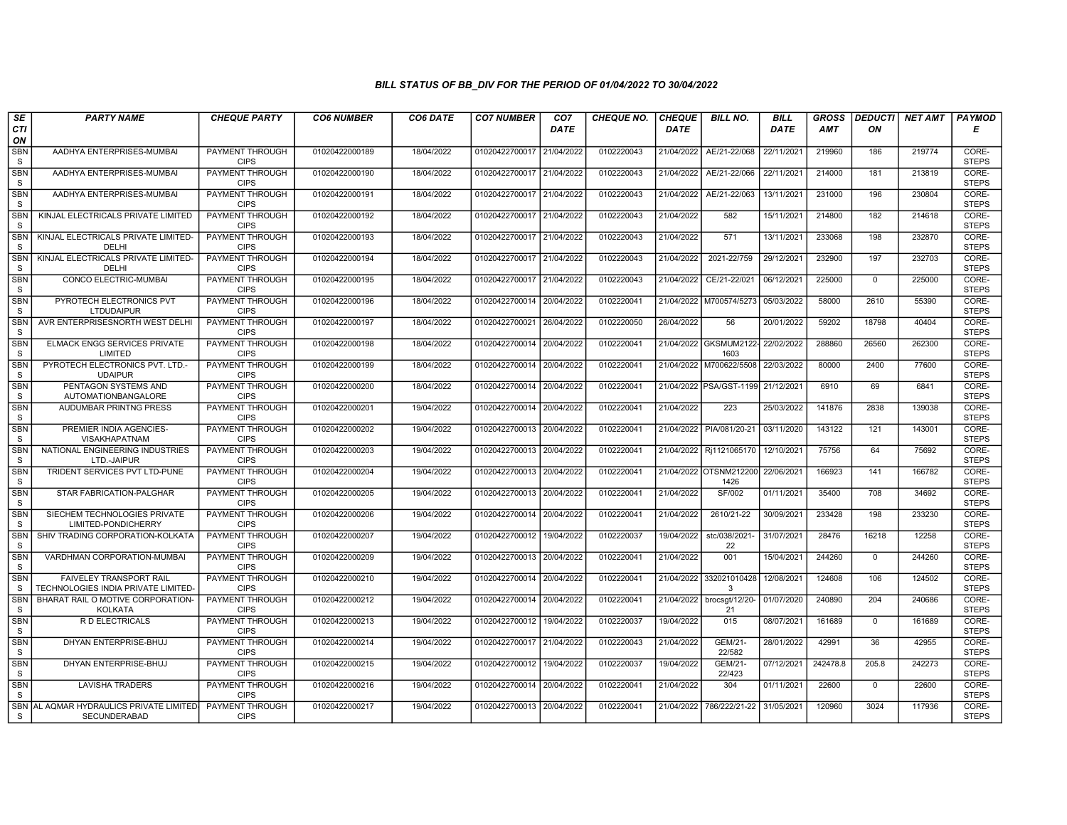| SE                         | <b>PARTY NAME</b>                                                    | <b>CHEQUE PARTY</b>                   | <b>CO6 NUMBER</b> | CO6 DATE   | <b>CO7 NUMBER</b>         | CO <sub>7</sub> | <b>CHEQUE NO.</b> | <b>CHEQUE</b> | <b>BILL NO.</b>                           | <b>BILL</b> | <b>GROSS</b> | <b>DEDUCTI</b> | NET AMT | <b>PAYMOD</b>         |
|----------------------------|----------------------------------------------------------------------|---------------------------------------|-------------------|------------|---------------------------|-----------------|-------------------|---------------|-------------------------------------------|-------------|--------------|----------------|---------|-----------------------|
| CTI<br>ON                  |                                                                      |                                       |                   |            |                           | <b>DATE</b>     |                   | <b>DATE</b>   |                                           | <b>DATE</b> | AMT          | ON             |         | Е                     |
| <b>SBN</b><br>S            | AADHYA ENTERPRISES-MUMBAI                                            | <b>PAYMENT THROUGH</b><br><b>CIPS</b> | 01020422000189    | 18/04/2022 | 01020422700017 21/04/2022 |                 | 0102220043        | 21/04/2022    | AE/21-22/068                              | 22/11/2021  | 219960       | 186            | 219774  | CORE-<br><b>STEPS</b> |
| <b>SBN</b><br>S            | AADHYA ENTERPRISES-MUMBAI                                            | <b>PAYMENT THROUGH</b><br><b>CIPS</b> | 01020422000190    | 18/04/2022 | 01020422700017 21/04/2022 |                 | 0102220043        | 21/04/2022    | AE/21-22/066                              | 22/11/2021  | 214000       | 181            | 213819  | CORE-<br><b>STEPS</b> |
| <b>SBN</b><br>S            | AADHYA ENTERPRISES-MUMBAI                                            | PAYMENT THROUGH<br><b>CIPS</b>        | 01020422000191    | 18/04/2022 | 01020422700017            | 21/04/2022      | 0102220043        | 21/04/2022    | AE/21-22/063                              | 13/11/2021  | 231000       | 196            | 230804  | CORE-<br><b>STEPS</b> |
| <b>SBN</b><br><sub>S</sub> | KINJAL ELECTRICALS PRIVATE LIMITED                                   | PAYMENT THROUGH<br><b>CIPS</b>        | 01020422000192    | 18/04/2022 | 01020422700017 21/04/2022 |                 | 0102220043        | 21/04/2022    | 582                                       | 15/11/2021  | 214800       | 182            | 214618  | CORE-<br><b>STEPS</b> |
| <b>SBN</b><br><sub>S</sub> | KINJAL ELECTRICALS PRIVATE LIMITED-<br>DELHI                         | <b>PAYMENT THROUGH</b><br><b>CIPS</b> | 01020422000193    | 18/04/2022 | 01020422700017            | 21/04/2022      | 0102220043        | 21/04/2022    | 571                                       | 13/11/2021  | 233068       | 198            | 232870  | CORE-<br><b>STEPS</b> |
| <b>SBN</b><br><sub>S</sub> | KINJAL ELECTRICALS PRIVATE LIMITED-<br>DELHI                         | <b>PAYMENT THROUGH</b><br><b>CIPS</b> | 01020422000194    | 18/04/2022 | 01020422700017 21/04/2022 |                 | 0102220043        | 21/04/2022    | 2021-22/759                               | 29/12/2021  | 232900       | 197            | 232703  | CORE-<br><b>STEPS</b> |
| SBN<br>S                   | CONCO ELECTRIC-MUMBAI                                                | PAYMENT THROUGH<br><b>CIPS</b>        | 01020422000195    | 18/04/2022 | 01020422700017 21/04/2022 |                 | 0102220043        | 21/04/2022    | CE/21-22/021                              | 06/12/2021  | 225000       | $\mathbf{0}$   | 225000  | CORE-<br><b>STEPS</b> |
| <b>SBN</b><br>S            | PYROTECH ELECTRONICS PVT<br><b>LTDUDAIPUR</b>                        | PAYMENT THROUGH<br><b>CIPS</b>        | 01020422000196    | 18/04/2022 | 01020422700014            | 20/04/2022      | 0102220041        | 21/04/2022    | M700574/5273                              | 05/03/2022  | 58000        | 2610           | 55390   | CORE-<br><b>STEPS</b> |
| SBN<br>S                   | AVR ENTERPRISESNORTH WEST DELHI                                      | PAYMENT THROUGH<br><b>CIPS</b>        | 01020422000197    | 18/04/2022 | 01020422700021 26/04/2022 |                 | 0102220050        | 26/04/2022    | 56                                        | 20/01/2022  | 59202        | 18798          | 40404   | CORE-<br><b>STEPS</b> |
| <b>SBN</b><br>S            | <b>ELMACK ENGG SERVICES PRIVATE</b><br>LIMITED                       | <b>PAYMENT THROUGH</b><br><b>CIPS</b> | 01020422000198    | 18/04/2022 | 01020422700014            | 20/04/2022      | 0102220041        |               | 21/04/2022 GKSMUM2122- 22/02/2022<br>1603 |             | 288860       | 26560          | 262300  | CORE-<br><b>STEPS</b> |
| SBN<br><sub>S</sub>        | PYROTECH ELECTRONICS PVT. LTD.-<br><b>UDAIPUR</b>                    | PAYMENT THROUGH<br><b>CIPS</b>        | 01020422000199    | 18/04/2022 | 01020422700014            | 20/04/2022      | 0102220041        | 21/04/2022    | M700622/5508                              | 22/03/2022  | 80000        | 2400           | 77600   | CORE-<br><b>STEPS</b> |
| <b>SBN</b><br>S            | PENTAGON SYSTEMS AND<br>AUTOMATIONBANGALORE                          | <b>PAYMENT THROUGH</b><br><b>CIPS</b> | 01020422000200    | 18/04/2022 | 01020422700014            | 20/04/2022      | 0102220041        |               | 21/04/2022 PSA/GST-1199                   | 21/12/2021  | 6910         | 69             | 6841    | CORE-<br><b>STEPS</b> |
| <b>SBN</b><br>S            | <b>AUDUMBAR PRINTNG PRESS</b>                                        | <b>PAYMENT THROUGH</b><br><b>CIPS</b> | 01020422000201    | 19/04/2022 | 01020422700014 20/04/2022 |                 | 0102220041        | 21/04/2022    | 223                                       | 25/03/2022  | 141876       | 2838           | 139038  | CORE-<br><b>STEPS</b> |
| <b>SBN</b><br>S            | PREMIER INDIA AGENCIES-<br><b>VISAKHAPATNAM</b>                      | <b>PAYMENT THROUGH</b><br><b>CIPS</b> | 01020422000202    | 19/04/2022 | 01020422700013            | 20/04/2022      | 0102220041        | 21/04/2022    | PIA/081/20-21                             | 03/11/2020  | 143122       | 121            | 143001  | CORE-<br><b>STEPS</b> |
| SBN<br>S                   | NATIONAL ENGINEERING INDUSTRIES<br>LTD.-JAIPUR                       | PAYMENT THROUGH<br><b>CIPS</b>        | 01020422000203    | 19/04/2022 | 01020422700013            | 20/04/2022      | 0102220041        |               | 21/04/2022   Ri1121065170                 | 12/10/2021  | 75756        | 64             | 75692   | CORE-<br><b>STEPS</b> |
| <b>SBN</b><br>S            | TRIDENT SERVICES PVT LTD-PUNE                                        | <b>PAYMENT THROUGH</b><br><b>CIPS</b> | 01020422000204    | 19/04/2022 | 01020422700013 20/04/2022 |                 | 0102220041        |               | 21/04/2022 OTSNM212200<br>1426            | 22/06/2021  | 166923       | 141            | 166782  | CORE-<br><b>STEPS</b> |
| <b>SBN</b><br>S            | STAR FABRICATION-PALGHAR                                             | <b>PAYMENT THROUGH</b><br><b>CIPS</b> | 01020422000205    | 19/04/2022 | 01020422700013            | 20/04/2022      | 0102220041        | 21/04/2022    | SF/002                                    | 01/11/2021  | 35400        | 708            | 34692   | CORE-<br><b>STEPS</b> |
| <b>SBN</b><br>S.           | SIECHEM TECHNOLOGIES PRIVATE<br>LIMITED-PONDICHERRY                  | <b>PAYMENT THROUGH</b><br><b>CIPS</b> | 01020422000206    | 19/04/2022 | 01020422700014            | 20/04/2022      | 0102220041        | 21/04/2022    | 2610/21-22                                | 30/09/2021  | 233428       | 198            | 233230  | CORE-<br><b>STEPS</b> |
| SBN<br><sub>S</sub>        | SHIV TRADING CORPORATION-KOLKATA                                     | PAYMENT THROUGH<br><b>CIPS</b>        | 01020422000207    | 19/04/2022 | 01020422700012            | 19/04/2022      | 0102220037        | 19/04/2022    | stc/038/2021-<br>22                       | 31/07/2021  | 28476        | 16218          | 12258   | CORE-<br><b>STEPS</b> |
| <b>SBN</b><br>S.           | VARDHMAN CORPORATION-MUMBAI                                          | PAYMENT THROUGH<br><b>CIPS</b>        | 01020422000209    | 19/04/2022 | 01020422700013            | 20/04/2022      | 0102220041        | 21/04/2022    | 001                                       | 15/04/2021  | 244260       | $\Omega$       | 244260  | CORE-<br><b>STEPS</b> |
| <b>SBN</b><br><sub>S</sub> | <b>FAIVELEY TRANSPORT RAIL</b><br>TECHNOLOGIES INDIA PRIVATE LIMITED | <b>PAYMENT THROUGH</b><br><b>CIPS</b> | 01020422000210    | 19/04/2022 | 01020422700014            | 20/04/2022      | 0102220041        | 21/04/2022    | 332021010428<br>3                         | 12/08/2021  | 124608       | 106            | 124502  | CORE-<br><b>STEPS</b> |
| <b>SBN</b><br>S            | BHARAT RAIL O MOTIVE CORPORATION-<br><b>KOLKATA</b>                  | <b>PAYMENT THROUGH</b><br><b>CIPS</b> | 01020422000212    | 19/04/2022 | 01020422700014 20/04/2022 |                 | 0102220041        | 21/04/2022    | brocsgt/12/20-<br>21                      | 01/07/2020  | 240890       | 204            | 240686  | CORE-<br><b>STEPS</b> |
| SBN<br>S                   | R D ELECTRICALS                                                      | PAYMENT THROUGH<br><b>CIPS</b>        | 01020422000213    | 19/04/2022 | 01020422700012            | 19/04/2022      | 0102220037        | 19/04/2022    | 015                                       | 08/07/2021  | 161689       | $\mathbf 0$    | 161689  | CORE-<br><b>STEPS</b> |
| <b>SBN</b><br>S            | DHYAN ENTERPRISE-BHUJ                                                | PAYMENT THROUGH<br><b>CIPS</b>        | 01020422000214    | 19/04/2022 | 01020422700017            | 21/04/2022      | 0102220043        | 21/04/2022    | GEM/21-<br>22/582                         | 28/01/2022  | 42991        | 36             | 42955   | CORE-<br><b>STEPS</b> |
| <b>SBN</b><br>S            | DHYAN ENTERPRISE-BHUJ                                                | PAYMENT THROUGH<br><b>CIPS</b>        | 01020422000215    | 19/04/2022 | 01020422700012            | 19/04/2022      | 0102220037        | 19/04/2022    | GEM/21-<br>22/423                         | 07/12/2021  | 242478.8     | 205.8          | 242273  | CORE-<br><b>STEPS</b> |
| <b>SBN</b><br>S            | <b>LAVISHA TRADERS</b>                                               | <b>PAYMENT THROUGH</b><br><b>CIPS</b> | 01020422000216    | 19/04/2022 | 01020422700014 20/04/2022 |                 | 0102220041        | 21/04/2022    | 304                                       | 01/11/2021  | 22600        | $\mathbf 0$    | 22600   | CORE-<br><b>STEPS</b> |
| S                          | SBN AL AQMAR HYDRAULICS PRIVATE LIMITED<br><b>SECUNDERABAD</b>       | <b>PAYMENT THROUGH</b><br><b>CIPS</b> | 01020422000217    | 19/04/2022 | 01020422700013 20/04/2022 |                 | 0102220041        | 21/04/2022    | 786/222/21-22                             | 31/05/2021  | 120960       | 3024           | 117936  | CORE-<br><b>STEPS</b> |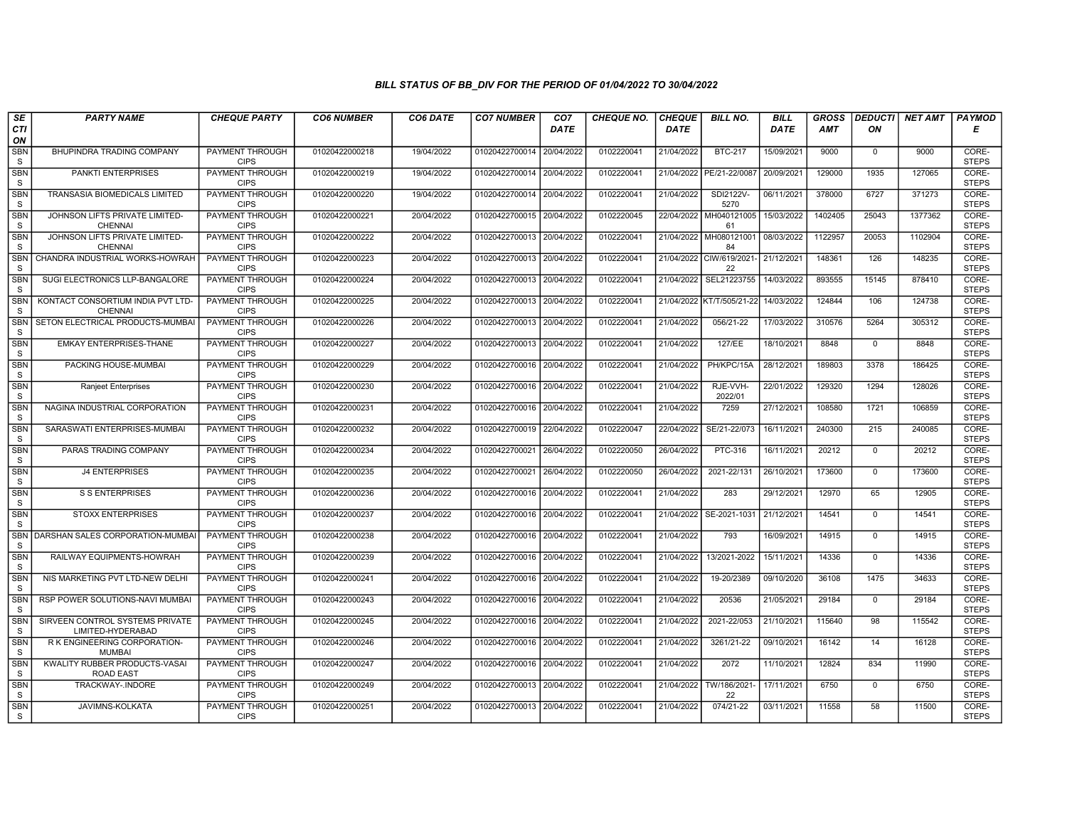| SE                         | <b>PARTY NAME</b>                                    | <b>CHEQUE PARTY</b>                   | <b>CO6 NUMBER</b> | CO6 DATE   | <b>CO7 NUMBER</b>         | CO <sub>7</sub> | <b>CHEQUE NO.</b> | <b>CHEQUE</b> | <b>BILL NO.</b>                | <b>BILL</b> | <b>GROSS</b> | <b>DEDUCTI</b> | NET AMT | <b>PAYMOD</b>         |
|----------------------------|------------------------------------------------------|---------------------------------------|-------------------|------------|---------------------------|-----------------|-------------------|---------------|--------------------------------|-------------|--------------|----------------|---------|-----------------------|
| CTI<br>ON                  |                                                      |                                       |                   |            |                           | <b>DATE</b>     |                   | DATE          |                                | <b>DATE</b> | AMT          | ON             |         | Е                     |
| <b>SBN</b><br>S            | BHUPINDRA TRADING COMPANY                            | <b>PAYMENT THROUGH</b><br><b>CIPS</b> | 01020422000218    | 19/04/2022 | 01020422700014 20/04/2022 |                 | 0102220041        | 21/04/2022    | <b>BTC-217</b>                 | 15/09/2021  | 9000         | $\mathbf 0$    | 9000    | CORE-<br><b>STEPS</b> |
| <b>SBN</b><br>S            | PANKTI ENTERPRISES                                   | <b>PAYMENT THROUGH</b><br><b>CIPS</b> | 01020422000219    | 19/04/2022 | 01020422700014 20/04/2022 |                 | 0102220041        | 21/04/2022    | PE/21-22/0087                  | 20/09/2021  | 129000       | 1935           | 127065  | CORE-<br><b>STEPS</b> |
| <b>SBN</b><br>S            | TRANSASIA BIOMEDICALS LIMITED                        | PAYMENT THROUGH<br><b>CIPS</b>        | 01020422000220    | 19/04/2022 | 01020422700014 20/04/2022 |                 | 0102220041        | 21/04/2022    | SDI2122V-<br>5270              | 06/11/2021  | 378000       | 6727           | 371273  | CORE-<br><b>STEPS</b> |
| <b>SBN</b><br>S            | JOHNSON LIFTS PRIVATE LIMITED-<br><b>CHENNAI</b>     | <b>PAYMENT THROUGH</b><br><b>CIPS</b> | 01020422000221    | 20/04/2022 | 01020422700015 20/04/2022 |                 | 0102220045        | 22/04/2022    | MH040121005<br>61              | 15/03/2022  | 1402405      | 25043          | 1377362 | CORE-<br><b>STEPS</b> |
| <b>SBN</b><br>S            | JOHNSON LIFTS PRIVATE LIMITED-<br><b>CHENNAI</b>     | <b>PAYMENT THROUGH</b><br><b>CIPS</b> | 01020422000222    | 20/04/2022 | 01020422700013 20/04/2022 |                 | 0102220041        | 21/04/2022    | MH080121001<br>84              | 08/03/2022  | 1122957      | 20053          | 1102904 | CORE-<br><b>STEPS</b> |
| <b>SBN</b><br>S            | CHANDRA INDUSTRIAL WORKS-HOWRAH                      | <b>PAYMENT THROUGH</b><br><b>CIPS</b> | 01020422000223    | 20/04/2022 | 01020422700013 20/04/2022 |                 | 0102220041        |               | 21/04/2022 CIW/619/2021-<br>22 | 21/12/2021  | 148361       | 126            | 148235  | CORE-<br><b>STEPS</b> |
| SBN<br>S                   | SUGI ELECTRONICS LLP-BANGALORE                       | PAYMENT THROUGH<br><b>CIPS</b>        | 01020422000224    | 20/04/2022 | 01020422700013 20/04/2022 |                 | 0102220041        | 21/04/2022    | SEL21223755                    | 14/03/2022  | 893555       | 15145          | 878410  | CORE-<br><b>STEPS</b> |
| <b>SBN</b><br><sub>S</sub> | KONTACT CONSORTIUM INDIA PVT LTD-<br><b>CHENNAI</b>  | PAYMENT THROUGH<br><b>CIPS</b>        | 01020422000225    | 20/04/2022 | 01020422700013 20/04/2022 |                 | 0102220041        | 21/04/2022    | KT/T/505/21-22                 | 14/03/2022  | 124844       | 106            | 124738  | CORE-<br><b>STEPS</b> |
| SBN<br>S                   | SETON ELECTRICAL PRODUCTS-MUMBAI                     | PAYMENT THROUGH<br><b>CIPS</b>        | 01020422000226    | 20/04/2022 | 01020422700013 20/04/2022 |                 | 0102220041        | 21/04/2022    | 056/21-22                      | 17/03/2022  | 310576       | 5264           | 305312  | CORE-<br><b>STEPS</b> |
| <b>SBN</b><br>S            | <b>EMKAY ENTERPRISES-THANE</b>                       | <b>PAYMENT THROUGH</b><br><b>CIPS</b> | 01020422000227    | 20/04/2022 | 01020422700013 20/04/2022 |                 | 0102220041        | 21/04/2022    | 127/EE                         | 18/10/2021  | 8848         | $\mathbf 0$    | 8848    | CORE-<br><b>STEPS</b> |
| SBN<br>S                   | PACKING HOUSE-MUMBAI                                 | PAYMENT THROUGH<br><b>CIPS</b>        | 01020422000229    | 20/04/2022 | 01020422700016 20/04/2022 |                 | 0102220041        | 21/04/2022    | PH/KPC/15A                     | 28/12/2021  | 189803       | 3378           | 186425  | CORE-<br><b>STEPS</b> |
| <b>SBN</b><br>S            | <b>Ranjeet Enterprises</b>                           | <b>PAYMENT THROUGH</b><br><b>CIPS</b> | 01020422000230    | 20/04/2022 | 01020422700016 20/04/2022 |                 | 0102220041        | 21/04/2022    | RJE-VVH-<br>2022/01            | 22/01/2022  | 129320       | 1294           | 128026  | CORE-<br><b>STEPS</b> |
| <b>SBN</b><br>S            | NAGINA INDUSTRIAL CORPORATION                        | <b>PAYMENT THROUGH</b><br><b>CIPS</b> | 01020422000231    | 20/04/2022 | 01020422700016 20/04/2022 |                 | 0102220041        | 21/04/2022    | 7259                           | 27/12/2021  | 108580       | 1721           | 106859  | CORE-<br><b>STEPS</b> |
| <b>SBN</b><br>S            | SARASWATI ENTERPRISES-MUMBAI                         | <b>PAYMENT THROUGH</b><br><b>CIPS</b> | 01020422000232    | 20/04/2022 | 01020422700019 22/04/2022 |                 | 0102220047        | 22/04/2022    | SE/21-22/073                   | 16/11/2021  | 240300       | 215            | 240085  | CORE-<br><b>STEPS</b> |
| <b>SBN</b><br>S            | PARAS TRADING COMPANY                                | PAYMENT THROUGH<br><b>CIPS</b>        | 01020422000234    | 20/04/2022 | 01020422700021 26/04/2022 |                 | 0102220050        | 26/04/2022    | PTC-316                        | 16/11/2021  | 20212        | $\mathbf 0$    | 20212   | CORE-<br><b>STEPS</b> |
| <b>SBN</b><br>S            | <b>J4 ENTERPRISES</b>                                | <b>PAYMENT THROUGH</b><br><b>CIPS</b> | 01020422000235    | 20/04/2022 | 01020422700021 26/04/2022 |                 | 0102220050        | 26/04/2022    | 2021-22/131                    | 26/10/2021  | 173600       | $\Omega$       | 173600  | CORE-<br><b>STEPS</b> |
| <b>SBN</b><br>S            | <b>S S ENTERPRISES</b>                               | PAYMENT THROUGH<br><b>CIPS</b>        | 01020422000236    | 20/04/2022 | 01020422700016 20/04/2022 |                 | 0102220041        | 21/04/2022    | 283                            | 29/12/2021  | 12970        | 65             | 12905   | CORE-<br><b>STEPS</b> |
| <b>SBN</b><br>S            | <b>STOXX ENTERPRISES</b>                             | <b>PAYMENT THROUGH</b><br><b>CIPS</b> | 01020422000237    | 20/04/2022 | 01020422700016 20/04/2022 |                 | 0102220041        | 21/04/2022    | SE-2021-1031                   | 21/12/2021  | 14541        | $\Omega$       | 14541   | CORE-<br><b>STEPS</b> |
| SBN<br>S                   | DARSHAN SALES CORPORATION-MUMBAI                     | PAYMENT THROUGH<br><b>CIPS</b>        | 01020422000238    | 20/04/2022 | 01020422700016 20/04/2022 |                 | 0102220041        | 21/04/2022    | 793                            | 16/09/2021  | 14915        | $\mathbf 0$    | 14915   | CORE-<br><b>STEPS</b> |
| <b>SBN</b><br>S            | RAILWAY EQUIPMENTS-HOWRAH                            | <b>PAYMENT THROUGH</b><br><b>CIPS</b> | 01020422000239    | 20/04/2022 | 01020422700016 20/04/2022 |                 | 0102220041        | 21/04/2022    | 13/2021-2022                   | 15/11/2021  | 14336        | $\Omega$       | 14336   | CORE-<br><b>STEPS</b> |
| <b>SBN</b><br>S            | NIS MARKETING PVT LTD-NEW DELHI                      | PAYMENT THROUGH<br><b>CIPS</b>        | 01020422000241    | 20/04/2022 | 01020422700016 20/04/2022 |                 | 0102220041        | 21/04/2022    | 19-20/2389                     | 09/10/2020  | 36108        | 1475           | 34633   | CORE-<br><b>STEPS</b> |
| <b>SBN</b><br>S            | RSP POWER SOLUTIONS-NAVI MUMBAI                      | <b>PAYMENT THROUGH</b><br><b>CIPS</b> | 01020422000243    | 20/04/2022 | 01020422700016 20/04/2022 |                 | 0102220041        | 21/04/2022    | 20536                          | 21/05/2021  | 29184        | $\mathbf 0$    | 29184   | CORE-<br><b>STEPS</b> |
| SBN<br><sub>S</sub>        | SIRVEEN CONTROL SYSTEMS PRIVATE<br>LIMITED-HYDERABAD | PAYMENT THROUGH<br><b>CIPS</b>        | 01020422000245    | 20/04/2022 | 01020422700016 20/04/2022 |                 | 0102220041        | 21/04/2022    | 2021-22/053                    | 21/10/2021  | 115640       | 98             | 115542  | CORE-<br><b>STEPS</b> |
| <b>SBN</b><br>S            | R K ENGINEERING CORPORATION-<br><b>MUMBAI</b>        | PAYMENT THROUGH<br><b>CIPS</b>        | 01020422000246    | 20/04/2022 | 01020422700016            | 20/04/2022      | 0102220041        | 21/04/2022    | 3261/21-22                     | 09/10/2021  | 16142        | 14             | 16128   | CORE-<br><b>STEPS</b> |
| SBN<br>S                   | KWALITY RUBBER PRODUCTS-VASAI<br><b>ROAD EAST</b>    | PAYMENT THROUGH<br><b>CIPS</b>        | 01020422000247    | 20/04/2022 | 01020422700016 20/04/2022 |                 | 0102220041        | 21/04/2022    | 2072                           | 11/10/2021  | 12824        | 834            | 11990   | CORE-<br><b>STEPS</b> |
| <b>SBN</b><br>S            | TRACKWAY-.INDORE                                     | <b>PAYMENT THROUGH</b><br><b>CIPS</b> | 01020422000249    | 20/04/2022 | 01020422700013 20/04/2022 |                 | 0102220041        | 21/04/2022    | TW/186/2021-<br>22             | 17/11/2021  | 6750         | $\mathbf 0$    | 6750    | CORE-<br><b>STEPS</b> |
| <b>SBN</b><br>S            | JAVIMNS-KOLKATA                                      | PAYMENT THROUGH<br><b>CIPS</b>        | 01020422000251    | 20/04/2022 | 01020422700013 20/04/2022 |                 | 0102220041        | 21/04/2022    | 074/21-22                      | 03/11/2021  | 11558        | 58             | 11500   | CORE-<br><b>STEPS</b> |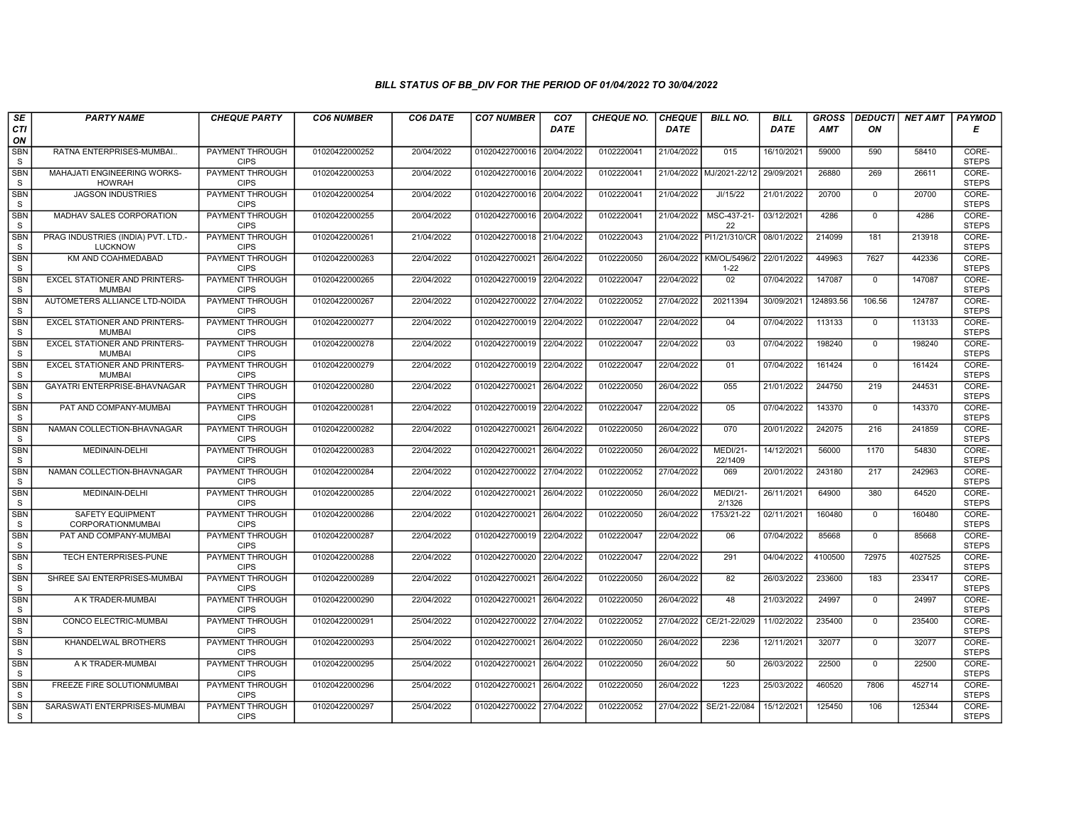| SE                      | <b>PARTY NAME</b>                                    | <b>CHEQUE PARTY</b>                   | <b>CO6 NUMBER</b> | CO6 DATE   | <b>CO7 NUMBER</b>         | CO <sub>7</sub> | <b>CHEQUE NO.</b> | <b>CHEQUE</b> | <b>BILL NO.</b>                       | <b>BILL</b> | <b>GROSS</b> | <b>DEDUCTI</b> | NET AMT | <b>PAYMOD</b>         |
|-------------------------|------------------------------------------------------|---------------------------------------|-------------------|------------|---------------------------|-----------------|-------------------|---------------|---------------------------------------|-------------|--------------|----------------|---------|-----------------------|
| CTI<br>ON               |                                                      |                                       |                   |            |                           | <b>DATE</b>     |                   | <b>DATE</b>   |                                       | <b>DATE</b> | <b>AMT</b>   | ON             |         | Е                     |
| <b>SBN</b><br>S         | RATNA ENTERPRISES-MUMBAI                             | <b>PAYMENT THROUGH</b><br><b>CIPS</b> | 01020422000252    | 20/04/2022 | 01020422700016 20/04/2022 |                 | 0102220041        | 21/04/2022    | 015                                   | 16/10/2021  | 59000        | 590            | 58410   | CORE-<br><b>STEPS</b> |
| <b>SBN</b><br>S         | MAHAJATI ENGINEERING WORKS-<br><b>HOWRAH</b>         | <b>PAYMENT THROUGH</b><br><b>CIPS</b> | 01020422000253    | 20/04/2022 | 01020422700016 20/04/2022 |                 | 0102220041        |               | 21/04/2022 MJ/2021-22/12              | 29/09/2021  | 26880        | 269            | 26611   | CORE-<br><b>STEPS</b> |
| <b>SBN</b><br>S         | <b>JAGSON INDUSTRIES</b>                             | PAYMENT THROUGH<br><b>CIPS</b>        | 01020422000254    | 20/04/2022 | 01020422700016 20/04/2022 |                 | 0102220041        | 21/04/2022    | JI/15/22                              | 21/01/2022  | 20700        | $\mathbf 0$    | 20700   | CORE-<br><b>STEPS</b> |
| <b>SBN</b><br>S         | MADHAV SALES CORPORATION                             | <b>PAYMENT THROUGH</b><br><b>CIPS</b> | 01020422000255    | 20/04/2022 | 01020422700016 20/04/2022 |                 | 0102220041        | 21/04/2022    | MSC-437-21-<br>22                     | 03/12/2021  | 4286         | $\mathbf{0}$   | 4286    | CORE-<br><b>STEPS</b> |
| <b>SBN</b><br>S         | PRAG INDUSTRIES (INDIA) PVT. LTD.-<br><b>LUCKNOW</b> | <b>PAYMENT THROUGH</b><br><b>CIPS</b> | 01020422000261    | 21/04/2022 | 01020422700018 21/04/2022 |                 | 0102220043        |               | 21/04/2022 PI1/21/310/CR              | 08/01/2022  | 214099       | 181            | 213918  | CORE-<br><b>STEPS</b> |
| <b>SBN</b><br>S         | KM AND COAHMEDABAD                                   | <b>PAYMENT THROUGH</b><br><b>CIPS</b> | 01020422000263    | 22/04/2022 | 01020422700021 26/04/2022 |                 | 0102220050        |               | 26/04/2022   KM/OL/5496/2<br>$1 - 22$ | 22/01/2022  | 449963       | 7627           | 442336  | CORE-<br><b>STEPS</b> |
| <b>SBN</b><br>S         | EXCEL STATIONER AND PRINTERS-<br><b>MUMBAI</b>       | PAYMENT THROUGH<br><b>CIPS</b>        | 01020422000265    | 22/04/2022 | 01020422700019 22/04/2022 |                 | 0102220047        | 22/04/2022    | 02                                    | 07/04/2022  | 147087       | $\mathbf 0$    | 147087  | CORE-<br><b>STEPS</b> |
| <b>SBN</b><br>${\tt S}$ | AUTOMETERS ALLIANCE LTD-NOIDA                        | PAYMENT THROUGH<br><b>CIPS</b>        | 01020422000267    | 22/04/2022 | 01020422700022 27/04/2022 |                 | 0102220052        | 27/04/2022    | 20211394                              | 30/09/2021  | 124893.56    | 106.56         | 124787  | CORE-<br><b>STEPS</b> |
| <b>SBN</b><br>S         | EXCEL STATIONER AND PRINTERS-<br><b>MUMBAI</b>       | PAYMENT THROUGH<br><b>CIPS</b>        | 01020422000277    | 22/04/2022 | 01020422700019 22/04/2022 |                 | 0102220047        | 22/04/2022    | 04                                    | 07/04/2022  | 113133       | $\mathbf 0$    | 113133  | CORE-<br><b>STEPS</b> |
| <b>SBN</b><br>S         | <b>EXCEL STATIONER AND PRINTERS-</b><br><b>MUMBA</b> | <b>PAYMENT THROUGH</b><br><b>CIPS</b> | 01020422000278    | 22/04/2022 | 01020422700019            | 22/04/2022      | 0102220047        | 22/04/2022    | 03                                    | 07/04/2022  | 198240       | $\mathbf 0$    | 198240  | CORE-<br><b>STEPS</b> |
| SBN<br>S.               | EXCEL STATIONER AND PRINTERS-<br><b>MUMBAI</b>       | PAYMENT THROUGH<br><b>CIPS</b>        | 01020422000279    | 22/04/2022 | 01020422700019 22/04/2022 |                 | 0102220047        | 22/04/2022    | 01                                    | 07/04/2022  | 161424       | $\mathbf 0$    | 161424  | CORE-<br><b>STEPS</b> |
| <b>SBN</b><br>S         | <b>GAYATRI ENTERPRISE-BHAVNAGAR</b>                  | <b>PAYMENT THROUGH</b><br><b>CIPS</b> | 01020422000280    | 22/04/2022 | 01020422700021            | 26/04/2022      | 0102220050        | 26/04/2022    | 055                                   | 21/01/2022  | 244750       | 219            | 244531  | CORE-<br><b>STEPS</b> |
| <b>SBN</b><br>S         | PAT AND COMPANY-MUMBAI                               | <b>PAYMENT THROUGH</b><br><b>CIPS</b> | 01020422000281    | 22/04/2022 | 01020422700019 22/04/2022 |                 | 0102220047        | 22/04/2022    | 05                                    | 07/04/2022  | 143370       | $\mathbf 0$    | 143370  | CORE-<br><b>STEPS</b> |
| <b>SBN</b><br>S         | NAMAN COLLECTION-BHAVNAGAR                           | <b>PAYMENT THROUGH</b><br><b>CIPS</b> | 01020422000282    | 22/04/2022 | 01020422700021            | 26/04/2022      | 0102220050        | 26/04/2022    | 070                                   | 20/01/2022  | 242075       | 216            | 241859  | CORE-<br><b>STEPS</b> |
| SBN<br>S                | MEDINAIN-DELHI                                       | PAYMENT THROUGH<br><b>CIPS</b>        | 01020422000283    | 22/04/2022 | 01020422700021            | 26/04/2022      | 0102220050        | 26/04/2022    | <b>MEDI/21-</b><br>22/1409            | 14/12/2021  | 56000        | 1170           | 54830   | CORE-<br><b>STEPS</b> |
| <b>SBN</b><br>S         | NAMAN COLLECTION-BHAVNAGAR                           | <b>PAYMENT THROUGH</b><br><b>CIPS</b> | 01020422000284    | 22/04/2022 | 01020422700022 27/04/2022 |                 | 0102220052        | 27/04/2022    | 069                                   | 20/01/2022  | 243180       | 217            | 242963  | CORE-<br><b>STEPS</b> |
| <b>SBN</b><br>S         | MEDINAIN-DELHI                                       | PAYMENT THROUGH<br><b>CIPS</b>        | 01020422000285    | 22/04/2022 | 01020422700021            | 26/04/2022      | 0102220050        | 26/04/2022    | <b>MEDI/21-</b><br>2/1326             | 26/11/2021  | 64900        | 380            | 64520   | CORE-<br><b>STEPS</b> |
| <b>SBN</b><br>S         | <b>SAFETY EQUIPMENT</b><br>CORPORATIONMUMBAI         | <b>PAYMENT THROUGH</b><br><b>CIPS</b> | 01020422000286    | 22/04/2022 | 01020422700021            | 26/04/2022      | 0102220050        | 26/04/2022    | 1753/21-22                            | 02/11/2021  | 160480       | $\mathbf 0$    | 160480  | CORE-<br><b>STEPS</b> |
| <b>SBN</b><br>S         | PAT AND COMPANY-MUMBAI                               | PAYMENT THROUGH<br><b>CIPS</b>        | 01020422000287    | 22/04/2022 | 01020422700019 22/04/2022 |                 | 0102220047        | 22/04/2022    | 06                                    | 07/04/2022  | 85668        | $\mathbf 0$    | 85668   | CORE-<br><b>STEPS</b> |
| <b>SBN</b><br>S         | TECH ENTERPRISES-PUNE                                | <b>PAYMENT THROUGH</b><br><b>CIPS</b> | 01020422000288    | 22/04/2022 | 01020422700020            | 22/04/2022      | 0102220047        | 22/04/2022    | 291                                   | 04/04/2022  | 4100500      | 72975          | 4027525 | CORE-<br><b>STEPS</b> |
| <b>SBN</b><br>S         | SHREE SAI ENTERPRISES-MUMBAI                         | <b>PAYMENT THROUGH</b><br><b>CIPS</b> | 01020422000289    | 22/04/2022 | 01020422700021 26/04/2022 |                 | 0102220050        | 26/04/2022    | 82                                    | 26/03/2022  | 233600       | 183            | 233417  | CORE-<br><b>STEPS</b> |
| <b>SBN</b><br>S         | A K TRADER-MUMBAI                                    | <b>PAYMENT THROUGH</b><br><b>CIPS</b> | 01020422000290    | 22/04/2022 | 01020422700021            | 26/04/2022      | 0102220050        | 26/04/2022    | 48                                    | 21/03/2022  | 24997        | $\mathbf 0$    | 24997   | CORE-<br><b>STEPS</b> |
| <b>SBN</b><br>S         | CONCO ELECTRIC-MUMBAI                                | PAYMENT THROUGH<br><b>CIPS</b>        | 01020422000291    | 25/04/2022 | 01020422700022 27/04/2022 |                 | 0102220052        | 27/04/2022    | CE/21-22/029                          | 11/02/2022  | 235400       | $\mathbf 0$    | 235400  | CORE-<br><b>STEPS</b> |
| <b>SBN</b><br>S         | KHANDELWAL BROTHERS                                  | <b>PAYMENT THROUGH</b><br><b>CIPS</b> | 01020422000293    | 25/04/2022 | 01020422700021            | 26/04/2022      | 0102220050        | 26/04/2022    | 2236                                  | 12/11/2021  | 32077        | $\mathbf{0}$   | 32077   | CORE-<br><b>STEPS</b> |
| <b>SBN</b><br>S         | A K TRADER-MUMBAI                                    | <b>PAYMENT THROUGH</b><br><b>CIPS</b> | 01020422000295    | 25/04/2022 | 01020422700021            | 26/04/2022      | 0102220050        | 26/04/2022    | 50                                    | 26/03/2022  | 22500        | $\Omega$       | 22500   | CORE-<br><b>STEPS</b> |
| <b>SBN</b><br>S         | FREEZE FIRE SOLUTIONMUMBAI                           | <b>PAYMENT THROUGH</b><br><b>CIPS</b> | 01020422000296    | 25/04/2022 | 01020422700021 26/04/2022 |                 | 0102220050        | 26/04/2022    | 1223                                  | 25/03/2022  | 460520       | 7806           | 452714  | CORE-<br><b>STEPS</b> |
| <b>SBN</b><br>S.        | SARASWATI ENTERPRISES-MUMBAI                         | PAYMENT THROUGH<br><b>CIPS</b>        | 01020422000297    | 25/04/2022 | 01020422700022 27/04/2022 |                 | 0102220052        | 27/04/2022    | SE/21-22/084                          | 15/12/2021  | 125450       | 106            | 125344  | CORE-<br><b>STEPS</b> |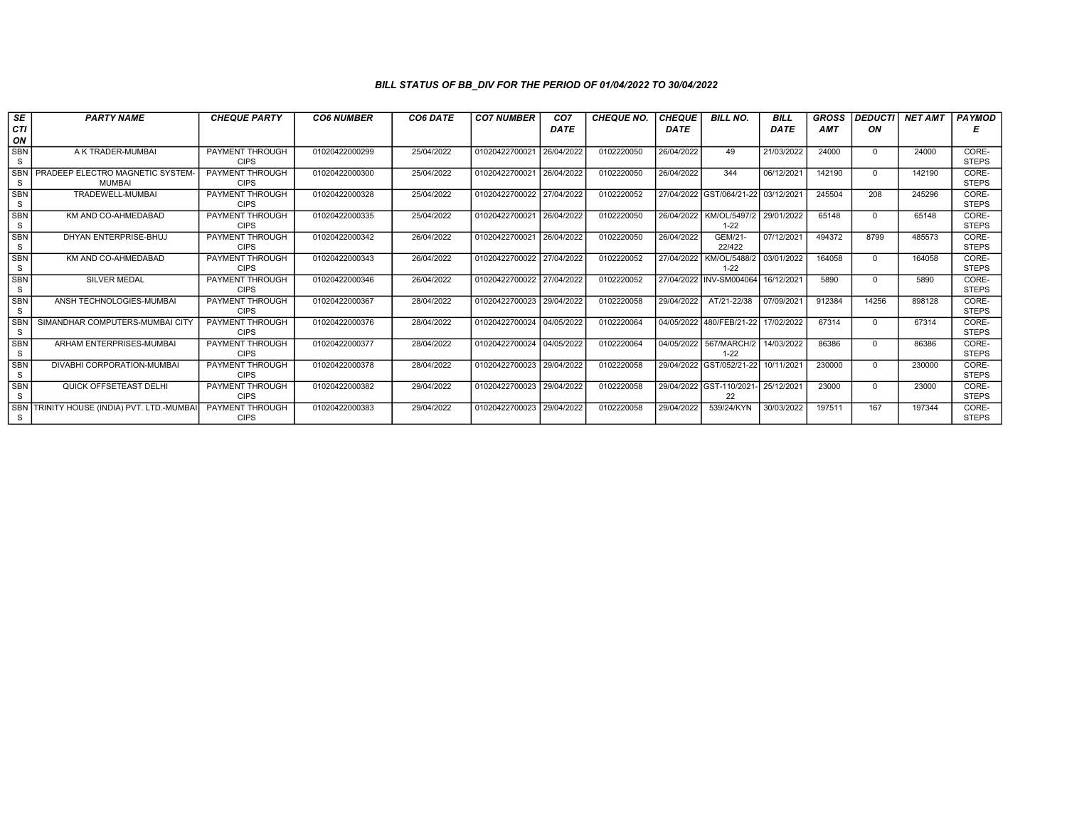| <b>SE</b>        | <b>PARTY NAME</b>                                | <b>CHEQUE PARTY</b>                   | <b>CO6 NUMBER</b> | CO6 DATE   | <b>CO7 NUMBER</b>         | CO <sub>7</sub> | <b>CHEQUE NO.</b> | <b>CHEQUE</b> | <b>BILL NO.</b>               | <b>BILL</b> | <b>GROSS</b> | <b>DEDUCTI</b> | <b>NET AMT</b> | <b>PAYMOD</b>         |
|------------------|--------------------------------------------------|---------------------------------------|-------------------|------------|---------------------------|-----------------|-------------------|---------------|-------------------------------|-------------|--------------|----------------|----------------|-----------------------|
| CTI              |                                                  |                                       |                   |            |                           | <b>DATE</b>     |                   | <b>DATE</b>   |                               | <b>DATE</b> | <b>AMT</b>   | ON             |                |                       |
| ON               |                                                  |                                       |                   |            |                           |                 |                   |               |                               |             |              |                |                |                       |
| <b>SBN</b><br>S  | A K TRADER-MUMBAI                                | <b>PAYMENT THROUGH</b><br><b>CIPS</b> | 01020422000299    | 25/04/2022 | 01020422700021            | 26/04/2022      | 0102220050        | 26/04/2022    | 49                            | 21/03/2022  | 24000        | $\Omega$       | 24000          | CORE-<br><b>STEPS</b> |
| <b>SBN</b><br>S  | PRADEEP ELECTRO MAGNETIC SYSTEM<br><b>MUMBAI</b> | <b>PAYMENT THROUGH</b><br><b>CIPS</b> | 01020422000300    | 25/04/2022 | 01020422700021 26/04/2022 |                 | 0102220050        | 26/04/2022    | 344                           | 06/12/2021  | 142190       | $\Omega$       | 142190         | CORE-<br><b>STEPS</b> |
| SBN<br>S         | TRADEWELL-MUMBAI                                 | <b>PAYMENT THROUGH</b><br><b>CIPS</b> | 01020422000328    | 25/04/2022 | 01020422700022 27/04/2022 |                 | 0102220052        |               | 27/04/2022 GST/064/21-22      | 03/12/2021  | 245504       | 208            | 245296         | CORE-<br><b>STEPS</b> |
| <b>SBN</b><br>S  | KM AND CO-AHMEDABAD                              | <b>PAYMENT THROUGH</b><br><b>CIPS</b> | 01020422000335    | 25/04/2022 | 01020422700021 26/04/2022 |                 | 0102220050        | 26/04/2022    | KM/OL/5497/2<br>$1 - 22$      | 29/01/2022  | 65148        | $\Omega$       | 65148          | CORE-<br><b>STEPS</b> |
| <b>SBN</b><br>S  | DHYAN ENTERPRISE-BHUJ                            | <b>PAYMENT THROUGH</b><br><b>CIPS</b> | 01020422000342    | 26/04/2022 | 01020422700021 26/04/2022 |                 | 0102220050        | 26/04/2022    | GEM/21-<br>22/422             | 07/12/2021  | 494372       | 8799           | 485573         | CORE-<br><b>STEPS</b> |
| <b>SBN</b><br>S  | KM AND CO-AHMEDABAD                              | PAYMENT THROUGH<br><b>CIPS</b>        | 01020422000343    | 26/04/2022 | 01020422700022 27/04/2022 |                 | 0102220052        | 27/04/2022    | KM/OL/5488/2<br>$1 - 22$      | 03/01/2022  | 164058       | $\Omega$       | 164058         | CORE-<br><b>STEPS</b> |
| SBN<br>S         | <b>SILVER MEDAL</b>                              | PAYMENT THROUGH<br><b>CIPS</b>        | 01020422000346    | 26/04/2022 | 01020422700022 27/04/2022 |                 | 0102220052        |               | 27/04/2022 INV-SM004064       | 16/12/2021  | 5890         | $\Omega$       | 5890           | CORE-<br><b>STEPS</b> |
| <b>SBN</b><br>S  | ANSH TECHNOLOGIES-MUMBAI                         | <b>PAYMENT THROUGH</b><br><b>CIPS</b> | 01020422000367    | 28/04/2022 | 01020422700023            | 29/04/2022      | 0102220058        | 29/04/2022    | AT/21-22/38                   | 07/09/2021  | 912384       | 14256          | 898128         | CORE-<br><b>STEPS</b> |
| <b>SBN</b><br>S  | SIMANDHAR COMPUTERS-MUMBAI CITY                  | <b>PAYMENT THROUGH</b><br><b>CIPS</b> | 01020422000376    | 28/04/2022 | 01020422700024 04/05/2022 |                 | 0102220064        |               | 04/05/2022 480/FEB/21-22      | 17/02/2022  | 67314        | $\Omega$       | 67314          | CORE-<br><b>STEPS</b> |
| <b>SBN</b><br>S. | ARHAM ENTERPRISES-MUMBAI                         | <b>PAYMENT THROUGH</b><br><b>CIPS</b> | 01020422000377    | 28/04/2022 | 01020422700024 04/05/2022 |                 | 0102220064        | 04/05/2022    | 567/MARCH/2<br>$1 - 22$       | 14/03/2022  | 86386        | $\Omega$       | 86386          | CORE-<br><b>STEPS</b> |
| <b>SBN</b><br>S  | DIVABHI CORPORATION-MUMBAI                       | <b>PAYMENT THROUGH</b><br><b>CIPS</b> | 01020422000378    | 28/04/2022 | 01020422700023 29/04/2022 |                 | 0102220058        |               | 29/04/2022 GST/052/21-22      | 10/11/2021  | 230000       | $\Omega$       | 230000         | CORE-<br><b>STEPS</b> |
| <b>SBN</b><br>S  | QUICK OFFSETEAST DELHI                           | <b>PAYMENT THROUGH</b><br><b>CIPS</b> | 01020422000382    | 29/04/2022 | 01020422700023 29/04/2022 |                 | 0102220058        |               | 29/04/2022 GST-110/2021<br>22 | 25/12/2021  | 23000        | $\Omega$       | 23000          | CORE-<br><b>STEPS</b> |
| <b>SBN</b><br>S  | TRINITY HOUSE (INDIA) PVT. LTD.-MUMBA            | <b>PAYMENT THROUGH</b><br><b>CIPS</b> | 01020422000383    | 29/04/2022 | 01020422700023 29/04/2022 |                 | 0102220058        | 29/04/2022    | 539/24/KYN                    | 30/03/2022  | 197511       | 167            | 197344         | CORE-<br><b>STEPS</b> |